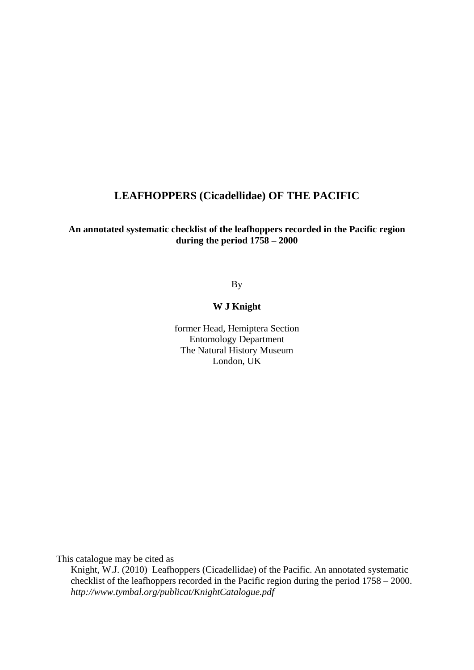#### **LEAFHOPPERS (Cicadellidae) OF THE PACIFIC**

#### **An annotated systematic checklist of the leafhoppers recorded in the Pacific region during the period 1758 – 2000**

By

#### **W J Knight**

former Head, Hemiptera Section Entomology Department The Natural History Museum London, UK

This catalogue may be cited as

Knight, W.J. (2010) Leafhoppers (Cicadellidae) of the Pacific. An annotated systematic checklist of the leafhoppers recorded in the Pacific region during the period 1758 – 2000. *http://www.tymbal.org/publicat/KnightCatalogue.pdf*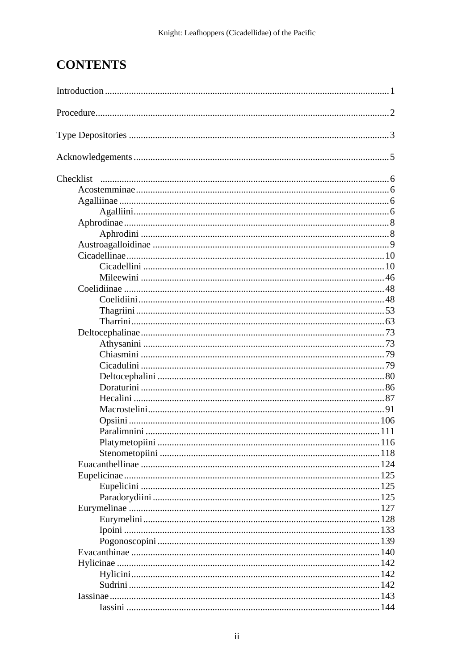# **CONTENTS**

| Checklist |  |
|-----------|--|
|           |  |
|           |  |
|           |  |
|           |  |
|           |  |
|           |  |
|           |  |
|           |  |
|           |  |
|           |  |
|           |  |
|           |  |
|           |  |
|           |  |
|           |  |
|           |  |
|           |  |
|           |  |
|           |  |
|           |  |
|           |  |
|           |  |
|           |  |
|           |  |
|           |  |
|           |  |
|           |  |
|           |  |
|           |  |
|           |  |
|           |  |
|           |  |
|           |  |
|           |  |
|           |  |
|           |  |
|           |  |
|           |  |
|           |  |
|           |  |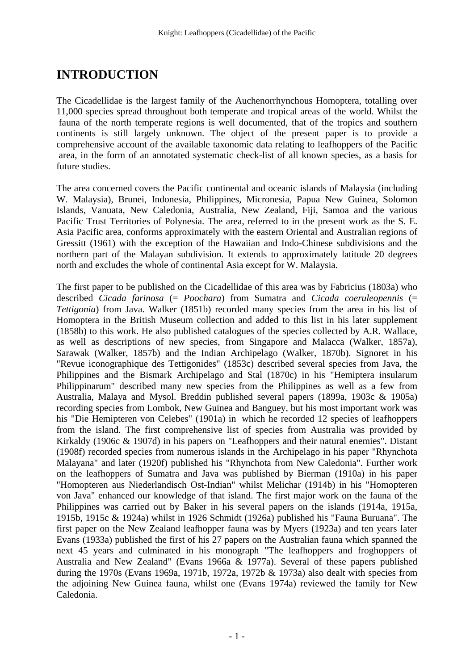# **INTRODUCTION**

The Cicadellidae is the largest family of the Auchenorrhynchous Homoptera, totalling over 11,000 species spread throughout both temperate and tropical areas of the world. Whilst the fauna of the north temperate regions is well documented, that of the tropics and southern continents is still largely unknown. The object of the present paper is to provide a comprehensive account of the available taxonomic data relating to leafhoppers of the Pacific area, in the form of an annotated systematic check-list of all known species, as a basis for future studies.

The area concerned covers the Pacific continental and oceanic islands of Malaysia (including W. Malaysia), Brunei, Indonesia, Philippines, Micronesia, Papua New Guinea, Solomon Islands, Vanuata, New Caledonia, Australia, New Zealand, Fiji, Samoa and the various Pacific Trust Territories of Polynesia. The area, referred to in the present work as the S. E. Asia Pacific area, conforms approximately with the eastern Oriental and Australian regions of Gressitt (1961) with the exception of the Hawaiian and Indo-Chinese subdivisions and the northern part of the Malayan subdivision. It extends to approximately latitude 20 degrees north and excludes the whole of continental Asia except for W. Malaysia.

The first paper to be published on the Cicadellidae of this area was by Fabricius (1803a) who described *Cicada farinosa* (= *Poochara*) from Sumatra and *Cicada coeruleopennis* (= *Tettigonia*) from Java. Walker (1851b) recorded many species from the area in his list of Homoptera in the British Museum collection and added to this list in his later supplement (1858b) to this work. He also published catalogues of the species collected by A.R. Wallace, as well as descriptions of new species, from Singapore and Malacca (Walker, 1857a), Sarawak (Walker, 1857b) and the Indian Archipelago (Walker, 1870b). Signoret in his "Revue iconographique des Tettigonides" (1853c) described several species from Java, the Philippines and the Bismark Archipelago and Stal (1870c) in his "Hemiptera insularum Philippinarum" described many new species from the Philippines as well as a few from Australia, Malaya and Mysol. Breddin published several papers (1899a, 1903c & 1905a) recording species from Lombok, New Guinea and Banguey, but his most important work was his "Die Hemipteren von Celebes" (1901a) in which he recorded 12 species of leafhoppers from the island. The first comprehensive list of species from Australia was provided by Kirkaldy (1906c & 1907d) in his papers on "Leafhoppers and their natural enemies". Distant (1908f) recorded species from numerous islands in the Archipelago in his paper "Rhynchota Malayana" and later (1920f) published his "Rhynchota from New Caledonia". Further work on the leafhoppers of Sumatra and Java was published by Bierman (1910a) in his paper "Homopteren aus Niederlandisch Ost-Indian" whilst Melichar (1914b) in his "Homopteren von Java" enhanced our knowledge of that island. The first major work on the fauna of the Philippines was carried out by Baker in his several papers on the islands (1914a, 1915a, 1915b, 1915c & 1924a) whilst in 1926 Schmidt (1926a) published his "Fauna Buruana". The first paper on the New Zealand leafhopper fauna was by Myers (1923a) and ten years later Evans (1933a) published the first of his 27 papers on the Australian fauna which spanned the next 45 years and culminated in his monograph "The leafhoppers and froghoppers of Australia and New Zealand" (Evans 1966a & 1977a). Several of these papers published during the 1970s (Evans 1969a, 1971b, 1972a, 1972b & 1973a) also dealt with species from the adjoining New Guinea fauna, whilst one (Evans 1974a) reviewed the family for New Caledonia.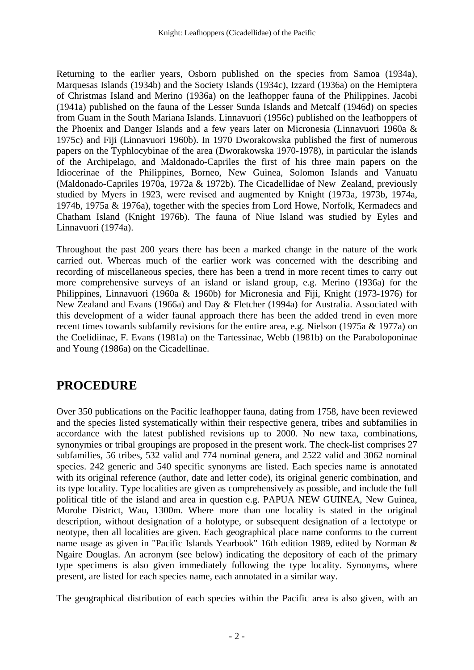Returning to the earlier years, Osborn published on the species from Samoa (1934a), Marquesas Islands (1934b) and the Society Islands (1934c), Izzard (1936a) on the Hemiptera of Christmas Island and Merino (1936a) on the leafhopper fauna of the Philippines. Jacobi (1941a) published on the fauna of the Lesser Sunda Islands and Metcalf (1946d) on species from Guam in the South Mariana Islands. Linnavuori (1956c) published on the leafhoppers of the Phoenix and Danger Islands and a few years later on Micronesia (Linnavuori 1960a & 1975c) and Fiji (Linnavuori 1960b). In 1970 Dworakowska published the first of numerous papers on the Typhlocybinae of the area (Dworakowska 1970-1978), in particular the islands of the Archipelago, and Maldonado-Capriles the first of his three main papers on the Idiocerinae of the Philippines, Borneo, New Guinea, Solomon Islands and Vanuatu (Maldonado-Capriles 1970a, 1972a & 1972b). The Cicadellidae of New Zealand, previously studied by Myers in 1923, were revised and augmented by Knight (1973a, 1973b, 1974a, 1974b, 1975a & 1976a), together with the species from Lord Howe, Norfolk, Kermadecs and Chatham Island (Knight 1976b). The fauna of Niue Island was studied by Eyles and Linnavuori (1974a).

Throughout the past 200 years there has been a marked change in the nature of the work carried out. Whereas much of the earlier work was concerned with the describing and recording of miscellaneous species, there has been a trend in more recent times to carry out more comprehensive surveys of an island or island group, e.g. Merino (1936a) for the Philippines, Linnavuori (1960a & 1960b) for Micronesia and Fiji, Knight (1973-1976) for New Zealand and Evans (1966a) and Day & Fletcher (1994a) for Australia. Associated with this development of a wider faunal approach there has been the added trend in even more recent times towards subfamily revisions for the entire area, e.g. Nielson (1975a & 1977a) on the Coelidiinae, F. Evans (1981a) on the Tartessinae, Webb (1981b) on the Paraboloponinae and Young (1986a) on the Cicadellinae.

# **PROCEDURE**

Over 350 publications on the Pacific leafhopper fauna, dating from 1758, have been reviewed and the species listed systematically within their respective genera, tribes and subfamilies in accordance with the latest published revisions up to 2000. No new taxa, combinations, synonymies or tribal groupings are proposed in the present work. The check-list comprises 27 subfamilies, 56 tribes, 532 valid and 774 nominal genera, and 2522 valid and 3062 nominal species. 242 generic and 540 specific synonyms are listed. Each species name is annotated with its original reference (author, date and letter code), its original generic combination, and its type locality. Type localities are given as comprehensively as possible, and include the full political title of the island and area in question e.g. PAPUA NEW GUINEA, New Guinea, Morobe District, Wau, 1300m. Where more than one locality is stated in the original description, without designation of a holotype, or subsequent designation of a lectotype or neotype, then all localities are given. Each geographical place name conforms to the current name usage as given in "Pacific Islands Yearbook" 16th edition 1989, edited by Norman & Ngaire Douglas. An acronym (see below) indicating the depository of each of the primary type specimens is also given immediately following the type locality. Synonyms, where present, are listed for each species name, each annotated in a similar way.

The geographical distribution of each species within the Pacific area is also given, with an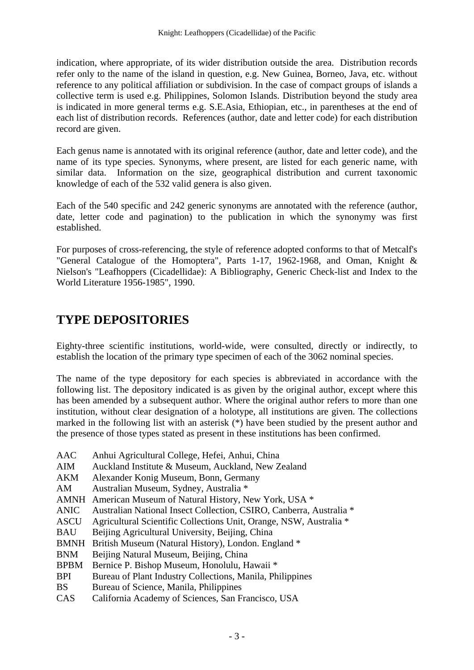indication, where appropriate, of its wider distribution outside the area. Distribution records refer only to the name of the island in question, e.g. New Guinea, Borneo, Java, etc. without reference to any political affiliation or subdivision. In the case of compact groups of islands a collective term is used e.g. Philippines, Solomon Islands. Distribution beyond the study area is indicated in more general terms e.g. S.E.Asia, Ethiopian, etc., in parentheses at the end of each list of distribution records. References (author, date and letter code) for each distribution record are given.

Each genus name is annotated with its original reference (author, date and letter code), and the name of its type species. Synonyms, where present, are listed for each generic name, with similar data. Information on the size, geographical distribution and current taxonomic knowledge of each of the 532 valid genera is also given.

Each of the 540 specific and 242 generic synonyms are annotated with the reference (author, date, letter code and pagination) to the publication in which the synonymy was first established.

For purposes of cross-referencing, the style of reference adopted conforms to that of Metcalf's "General Catalogue of the Homoptera", Parts 1-17, 1962-1968, and Oman, Knight & Nielson's "Leafhoppers (Cicadellidae): A Bibliography, Generic Check-list and Index to the World Literature 1956-1985", 1990.

# **TYPE DEPOSITORIES**

Eighty-three scientific institutions, world-wide, were consulted, directly or indirectly, to establish the location of the primary type specimen of each of the 3062 nominal species.

The name of the type depository for each species is abbreviated in accordance with the following list. The depository indicated is as given by the original author, except where this has been amended by a subsequent author. Where the original author refers to more than one institution, without clear designation of a holotype, all institutions are given. The collections marked in the following list with an asterisk (\*) have been studied by the present author and the presence of those types stated as present in these institutions has been confirmed.

- AAC Anhui Agricultural College, Hefei, Anhui, China
- AIM Auckland Institute & Museum, Auckland, New Zealand
- AKM Alexander Konig Museum, Bonn, Germany
- AM Australian Museum, Sydney, Australia \*
- AMNH American Museum of Natural History, New York, USA \*
- ANIC Australian National Insect Collection, CSIRO, Canberra, Australia \*
- ASCU Agricultural Scientific Collections Unit, Orange, NSW, Australia \*
- BAU Beijing Agricultural University, Beijing, China
- BMNH British Museum (Natural History), London. England \*
- BNM Beijing Natural Museum, Beijing, China
- BPBM Bernice P. Bishop Museum, Honolulu, Hawaii \*
- BPI Bureau of Plant Industry Collections, Manila, Philippines
- BS Bureau of Science, Manila, Philippines
- CAS California Academy of Sciences, San Francisco, USA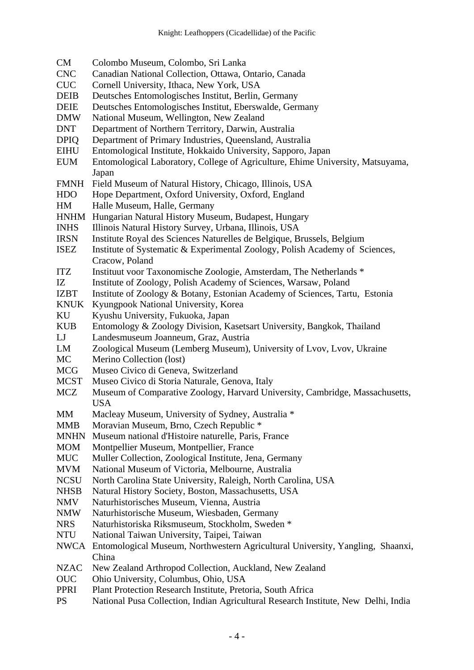- CM Colombo Museum, Colombo, Sri Lanka
- CNC Canadian National Collection, Ottawa, Ontario, Canada
- CUC Cornell University, Ithaca, New York, USA
- DEIB Deutsches Entomologisches Institut, Berlin, Germany
- DEIE Deutsches Entomologisches Institut, Eberswalde, Germany
- DMW National Museum, Wellington, New Zealand
- DNT Department of Northern Territory, Darwin, Australia
- DPIQ Department of Primary Industries, Queensland, Australia
- EIHU Entomological Institute, Hokkaido University, Sapporo, Japan
- EUM Entomological Laboratory, College of Agriculture, Ehime University, Matsuyama, Japan
- FMNH Field Museum of Natural History, Chicago, Illinois, USA
- HDO Hope Department, Oxford University, Oxford, England
- HM Halle Museum, Halle, Germany
- HNHM Hungarian Natural History Museum, Budapest, Hungary
- INHS Illinois Natural History Survey, Urbana, Illinois, USA
- IRSN Institute Royal des Sciences Naturelles de Belgique, Brussels, Belgium
- ISEZ Institute of Systematic & Experimental Zoology, Polish Academy of Sciences, Cracow, Poland
- ITZ Instituut voor Taxonomische Zoologie, Amsterdam, The Netherlands \*
- IZ Institute of Zoology, Polish Academy of Sciences, Warsaw, Poland
- IZBT Institute of Zoology & Botany, Estonian Academy of Sciences, Tartu, Estonia
- KNUK Kyungpook National University, Korea
- KU Kyushu University, Fukuoka, Japan
- KUB Entomology & Zoology Division, Kasetsart University, Bangkok, Thailand
- LJ Landesmuseum Joanneum, Graz, Austria
- LM Zoological Museum (Lemberg Museum), University of Lvov, Lvov, Ukraine
- MC Merino Collection (lost)
- MCG Museo Civico di Geneva, Switzerland
- MCST Museo Civico di Storia Naturale, Genova, Italy
- MCZ Museum of Comparative Zoology, Harvard University, Cambridge, Massachusetts, USA
- MM Macleay Museum, University of Sydney, Australia \*
- MMB Moravian Museum, Brno, Czech Republic \*
- MNHN Museum national d'Histoire naturelle, Paris, France
- MOM Montpellier Museum, Montpellier, France
- MUC Muller Collection, Zoological Institute, Jena, Germany
- MVM National Museum of Victoria, Melbourne, Australia
- NCSU North Carolina State University, Raleigh, North Carolina, USA
- NHSB Natural History Society, Boston, Massachusetts, USA
- NMV Naturhistorisches Museum, Vienna, Austria
- NMW Naturhistorische Museum, Wiesbaden, Germany
- NRS Naturhistoriska Riksmuseum, Stockholm, Sweden \*
- NTU National Taiwan University, Taipei, Taiwan
- NWCA Entomological Museum, Northwestern Agricultural University, Yangling, Shaanxi, China
- NZAC New Zealand Arthropod Collection, Auckland, New Zealand
- OUC Ohio University, Columbus, Ohio, USA
- PPRI Plant Protection Research Institute, Pretoria, South Africa
- PS National Pusa Collection, Indian Agricultural Research Institute, New Delhi, India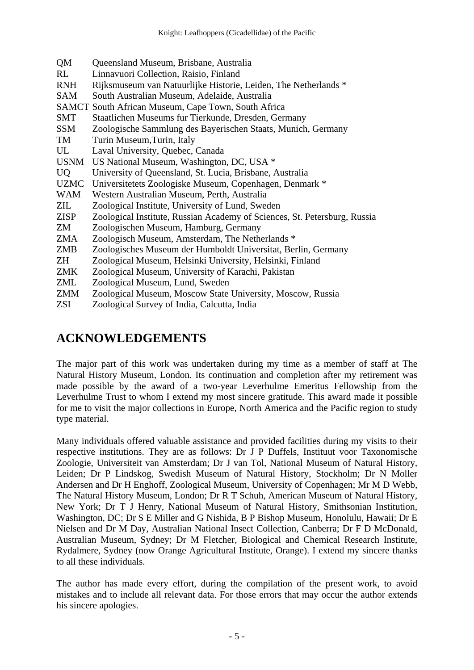| QM          | Queensland Museum, Brisbane, Australia                                    |
|-------------|---------------------------------------------------------------------------|
| RL          | Linnavuori Collection, Raisio, Finland                                    |
| <b>RNH</b>  | Rijksmuseum van Natuurlijke Historie, Leiden, The Netherlands *           |
| <b>SAM</b>  | South Australian Museum, Adelaide, Australia                              |
|             | SAMCT South African Museum, Cape Town, South Africa                       |
| <b>SMT</b>  | Staatlichen Museums fur Tierkunde, Dresden, Germany                       |
| <b>SSM</b>  | Zoologische Sammlung des Bayerischen Staats, Munich, Germany              |
| TM          | Turin Museum, Turin, Italy                                                |
| UL          | Laval University, Quebec, Canada                                          |
| <b>USNM</b> | US National Museum, Washington, DC, USA *                                 |
| <b>UQ</b>   | University of Queensland, St. Lucia, Brisbane, Australia                  |
| <b>UZMC</b> | Universitetets Zoologiske Museum, Copenhagen, Denmark *                   |
| WAM         | Western Australian Museum, Perth, Australia                               |
| ZIL         | Zoological Institute, University of Lund, Sweden                          |
| <b>ZISP</b> | Zoological Institute, Russian Academy of Sciences, St. Petersburg, Russia |
| ZM          | Zoologischen Museum, Hamburg, Germany                                     |
| ZMA         | Zoologisch Museum, Amsterdam, The Netherlands *                           |
| ZMB         | Zoologisches Museum der Humboldt Universitat, Berlin, Germany             |
| ZH          | Zoological Museum, Helsinki University, Helsinki, Finland                 |
| ZMK         | Zoological Museum, University of Karachi, Pakistan                        |
| ZML         | Zoological Museum, Lund, Sweden                                           |
| ZMM         | Zoological Museum, Moscow State University, Moscow, Russia                |
| <b>ZSI</b>  | Zoological Survey of India, Calcutta, India                               |

# **ACKNOWLEDGEMENTS**

The major part of this work was undertaken during my time as a member of staff at The Natural History Museum, London. Its continuation and completion after my retirement was made possible by the award of a two-year Leverhulme Emeritus Fellowship from the Leverhulme Trust to whom I extend my most sincere gratitude. This award made it possible for me to visit the major collections in Europe, North America and the Pacific region to study type material.

Many individuals offered valuable assistance and provided facilities during my visits to their respective institutions. They are as follows: Dr J P Duffels, Instituut voor Taxonomische Zoologie, Universiteit van Amsterdam; Dr J van Tol, National Museum of Natural History, Leiden; Dr P Lindskog, Swedish Museum of Natural History, Stockholm; Dr N Moller Andersen and Dr H Enghoff, Zoological Museum, University of Copenhagen; Mr M D Webb, The Natural History Museum, London; Dr R T Schuh, American Museum of Natural History, New York; Dr T J Henry, National Museum of Natural History, Smithsonian Institution, Washington, DC; Dr S E Miller and G Nishida, B P Bishop Museum, Honolulu, Hawaii; Dr E Nielsen and Dr M Day, Australian National Insect Collection, Canberra; Dr F D McDonald, Australian Museum, Sydney; Dr M Fletcher, Biological and Chemical Research Institute, Rydalmere, Sydney (now Orange Agricultural Institute, Orange). I extend my sincere thanks to all these individuals.

The author has made every effort, during the compilation of the present work, to avoid mistakes and to include all relevant data. For those errors that may occur the author extends his sincere apologies.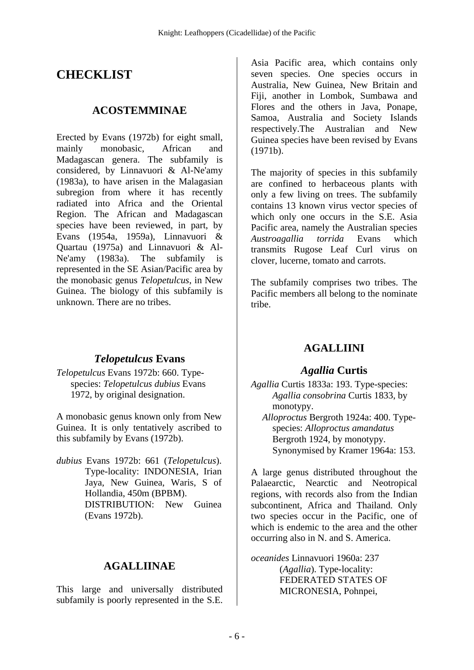# **CHECKLIST**

### **ACOSTEMMINAE**

Erected by Evans (1972b) for eight small, mainly monobasic, African and Madagascan genera. The subfamily is considered, by Linnavuori & Al-Ne'amy (1983a), to have arisen in the Malagasian subregion from where it has recently radiated into Africa and the Oriental Region. The African and Madagascan species have been reviewed, in part, by Evans (1954a, 1959a), Linnavuori & Quartau (1975a) and Linnavuori & Al-Ne'amy (1983a). The subfamily is represented in the SE Asian/Pacific area by the monobasic genus *Telopetulcus*, in New Guinea. The biology of this subfamily is unknown. There are no tribes.

## *Telopetulcus* **Evans**

*Telopetulcus* Evans 1972b: 660. Typespecies: *Telopetulcus dubius* Evans 1972, by original designation.

A monobasic genus known only from New Guinea. It is only tentatively ascribed to this subfamily by Evans (1972b).

*dubius* Evans 1972b: 661 (*Telopetulcus*). Type-locality: INDONESIA, Irian Jaya, New Guinea, Waris, S of Hollandia, 450m (BPBM). DISTRIBUTION: New Guinea (Evans 1972b).

### **AGALLIINAE**

This large and universally distributed subfamily is poorly represented in the S.E.

Asia Pacific area, which contains only seven species. One species occurs in Australia, New Guinea, New Britain and Fiji, another in Lombok, Sumbawa and Flores and the others in Java, Ponape, Samoa, Australia and Society Islands respectively.The Australian and New Guinea species have been revised by Evans (1971b).

The majority of species in this subfamily are confined to herbaceous plants with only a few living on trees. The subfamily contains 13 known virus vector species of which only one occurs in the S.E. Asia Pacific area, namely the Australian species *Austroagallia torrida* Evans which transmits Rugose Leaf Curl virus on clover, lucerne, tomato and carrots.

The subfamily comprises two tribes. The Pacific members all belong to the nominate tribe.

# **AGALLIINI**

### *Agallia* **Curtis**

*Agallia* Curtis 1833a: 193. Type-species: *Agallia consobrina* Curtis 1833, by monotypy.  *Alloproctus* Bergroth 1924a: 400. Type-

species: *Alloproctus amandatus* Bergroth 1924, by monotypy. Synonymised by Kramer 1964a: 153.

A large genus distributed throughout the Palaearctic, Nearctic and Neotropical regions, with records also from the Indian subcontinent, Africa and Thailand. Only two species occur in the Pacific, one of which is endemic to the area and the other occurring also in N. and S. America.

*oceanides* Linnavuori 1960a: 237 (*Agallia*). Type-locality: FEDERATED STATES OF MICRONESIA, Pohnpei,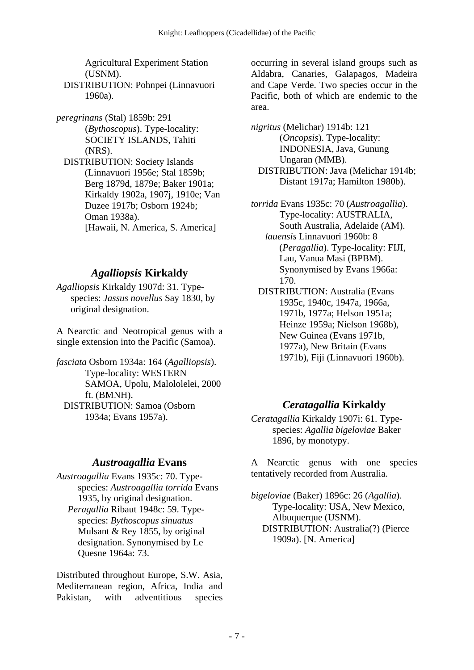Agricultural Experiment Station (USNM).

DISTRIBUTION: Pohnpei (Linnavuori 1960a).

*peregrinans* (Stal) 1859b: 291 (*Bythoscopus*). Type-locality: SOCIETY ISLANDS, Tahiti (NRS). DISTRIBUTION: Society Islands (Linnavuori 1956e; Stal 1859b; Berg 1879d, 1879e; Baker 1901a; Kirkaldy 1902a, 1907j, 1910e; Van Duzee 1917b; Osborn 1924b; Oman 1938a). [Hawaii, N. America, S. America]

## *Agalliopsis* **Kirkaldy**

*Agalliopsis* Kirkaldy 1907d: 31. Typespecies: *Jassus novellus* Say 1830, by original designation.

A Nearctic and Neotropical genus with a single extension into the Pacific (Samoa).

*fasciata* Osborn 1934a: 164 (*Agalliopsis*). Type-locality: WESTERN SAMOA, Upolu, Malololelei, 2000 ft. (BMNH). DISTRIBUTION: Samoa (Osborn 1934a; Evans 1957a).

## *Austroagallia* **Evans**

*Austroagallia* Evans 1935c: 70. Typespecies: *Austroagallia torrida* Evans 1935, by original designation.  *Peragallia* Ribaut 1948c: 59. Typespecies: *Bythoscopus sinuatus* Mulsant & Rey 1855, by original designation. Synonymised by Le Quesne 1964a: 73.

Distributed throughout Europe, S.W. Asia, Mediterranean region, Africa, India and Pakistan, with adventitious species occurring in several island groups such as Aldabra, Canaries, Galapagos, Madeira and Cape Verde. Two species occur in the Pacific, both of which are endemic to the area.

*nigritus* (Melichar) 1914b: 121 (*Oncopsis*). Type-locality: INDONESIA, Java, Gunung Ungaran (MMB). DISTRIBUTION: Java (Melichar 1914b; Distant 1917a; Hamilton 1980b).

*torrida* Evans 1935c: 70 (*Austroagallia*). Type-locality: AUSTRALIA, South Australia, Adelaide (AM). *lauensis* Linnavuori 1960b: 8 (*Peragallia*). Type-locality: FIJI, Lau, Vanua Masi (BPBM). Synonymised by Evans 1966a: 170.

DISTRIBUTION: Australia (Evans 1935c, 1940c, 1947a, 1966a, 1971b, 1977a; Helson 1951a; Heinze 1959a; Nielson 1968b), New Guinea (Evans 1971b, 1977a), New Britain (Evans 1971b), Fiji (Linnavuori 1960b).

# *Ceratagallia* **Kirkaldy**

*Ceratagallia* Kirkaldy 1907i: 61. Typespecies: *Agallia bigeloviae* Baker 1896, by monotypy.

A Nearctic genus with one species tentatively recorded from Australia.

*bigeloviae* (Baker) 1896c: 26 (*Agallia*). Type-locality: USA, New Mexico, Albuquerque (USNM). DISTRIBUTION: Australia(?) (Pierce 1909a). [N. America]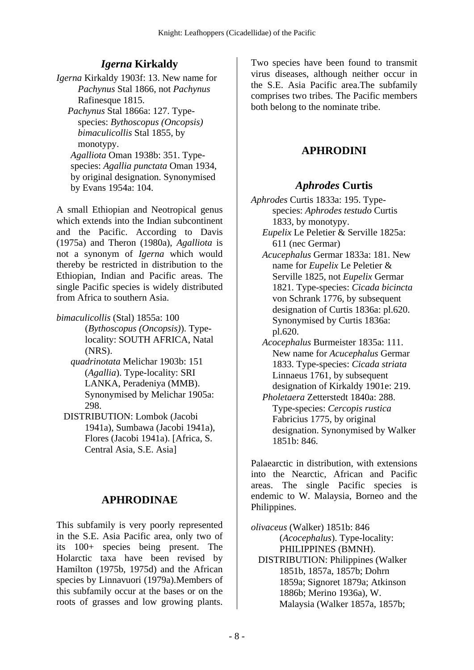## *Igerna* **Kirkaldy**

*Igerna* Kirkaldy 1903f: 13. New name for *Pachynus* Stal 1866, not *Pachynus* Rafinesque 1815.  *Pachynus* Stal 1866a: 127. Typespecies: *Bythoscopus (Oncopsis) bimaculicollis* Stal 1855, by monotypy.  *Agalliota* Oman 1938b: 351. Typespecies: *Agallia punctata* Oman 1934, by original designation. Synonymised by Evans 1954a: 104.

A small Ethiopian and Neotropical genus which extends into the Indian subcontinent and the Pacific. According to Davis (1975a) and Theron (1980a), *Agalliota* is not a synonym of *Igerna* which would thereby be restricted in distribution to the Ethiopian, Indian and Pacific areas. The single Pacific species is widely distributed from Africa to southern Asia.

*bimaculicollis* (Stal) 1855a: 100

(*Bythoscopus (Oncopsis)*). Typelocality: SOUTH AFRICA, Natal (NRS).

- *quadrinotata* Melichar 1903b: 151 (*Agallia*). Type-locality: SRI LANKA, Peradeniya (MMB). Synonymised by Melichar 1905a: 298.
- DISTRIBUTION: Lombok (Jacobi 1941a), Sumbawa (Jacobi 1941a), Flores (Jacobi 1941a). [Africa, S. Central Asia, S.E. Asia]

## **APHRODINAE**

This subfamily is very poorly represented in the S.E. Asia Pacific area, only two of its 100+ species being present. The Holarctic taxa have been revised by Hamilton (1975b, 1975d) and the African species by Linnavuori (1979a).Members of this subfamily occur at the bases or on the roots of grasses and low growing plants.

Two species have been found to transmit virus diseases, although neither occur in the S.E. Asia Pacific area.The subfamily comprises two tribes. The Pacific members both belong to the nominate tribe.

# **APHRODINI**

## *Aphrodes* **Curtis**

*Aphrodes* Curtis 1833a: 195. Typespecies: *Aphrodes testudo* Curtis 1833, by monotypy.

 *Eupelix* Le Peletier & Serville 1825a: 611 (nec Germar)

- *Acucephalus* Germar 1833a: 181. New name for *Eupelix* Le Peletier & Serville 1825, not *Eupelix* Germar 1821. Type-species: *Cicada bicincta* von Schrank 1776, by subsequent designation of Curtis 1836a: pl.620. Synonymised by Curtis 1836a: pl.620.
- *Acocephalus* Burmeister 1835a: 111. New name for *Acucephalus* Germar 1833. Type-species: *Cicada striata* Linnaeus 1761, by subsequent designation of Kirkaldy 1901e: 219.

 *Pholetaera* Zetterstedt 1840a: 288. Type-species: *Cercopis rustica* Fabricius 1775, by original designation. Synonymised by Walker 1851b: 846.

Palaearctic in distribution, with extensions into the Nearctic, African and Pacific areas. The single Pacific species is endemic to W. Malaysia, Borneo and the Philippines.

*olivaceus* (Walker) 1851b: 846 (*Acocephalus*). Type-locality: PHILIPPINES (BMNH). DISTRIBUTION: Philippines (Walker 1851b, 1857a, 1857b; Dohrn 1859a; Signoret 1879a; Atkinson 1886b; Merino 1936a), W. Malaysia (Walker 1857a, 1857b;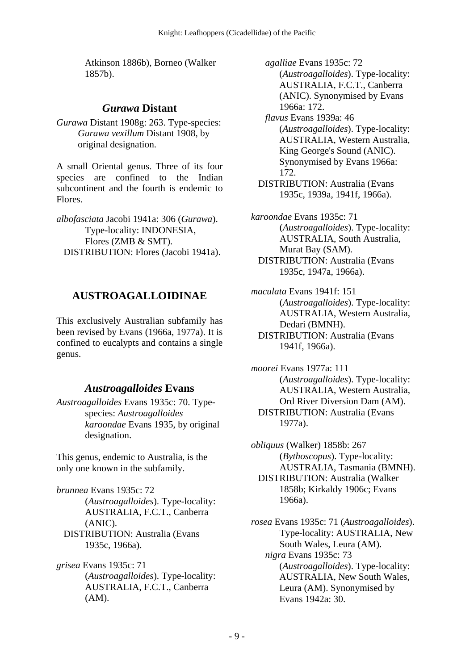Atkinson 1886b), Borneo (Walker 1857b).

### *Gurawa* **Distant**

*Gurawa* Distant 1908g: 263. Type-species: *Gurawa vexillum* Distant 1908, by original designation.

A small Oriental genus. Three of its four species are confined to the Indian subcontinent and the fourth is endemic to Flores.

*albofasciata* Jacobi 1941a: 306 (*Gurawa*). Type-locality: INDONESIA, Flores (ZMB & SMT). DISTRIBUTION: Flores (Jacobi 1941a).

# **AUSTROAGALLOIDINAE**

This exclusively Australian subfamily has been revised by Evans (1966a, 1977a). It is confined to eucalypts and contains a single genus.

# *Austroagalloides* **Evans**

*Austroagalloides* Evans 1935c: 70. Typespecies: *Austroagalloides karoondae* Evans 1935, by original designation.

This genus, endemic to Australia, is the only one known in the subfamily.

*brunnea* Evans 1935c: 72 (*Austroagalloides*). Type-locality: AUSTRALIA, F.C.T., Canberra (ANIC). DISTRIBUTION: Australia (Evans 1935c, 1966a).

*grisea* Evans 1935c: 71 (*Austroagalloides*). Type-locality: AUSTRALIA, F.C.T., Canberra (AM).

*agalliae* Evans 1935c: 72 (*Austroagalloides*). Type-locality: AUSTRALIA, F.C.T., Canberra (ANIC). Synonymised by Evans 1966a: 172.

*flavus* Evans 1939a: 46 (*Austroagalloides*). Type-locality: AUSTRALIA, Western Australia, King George's Sound (ANIC). Synonymised by Evans 1966a: 172.

DISTRIBUTION: Australia (Evans 1935c, 1939a, 1941f, 1966a).

*karoondae* Evans 1935c: 71 (*Austroagalloides*). Type-locality: AUSTRALIA, South Australia, Murat Bay (SAM). DISTRIBUTION: Australia (Evans 1935c, 1947a, 1966a).

*maculata* Evans 1941f: 151 (*Austroagalloides*). Type-locality: AUSTRALIA, Western Australia, Dedari (BMNH). DISTRIBUTION: Australia (Evans 1941f, 1966a).

*moorei* Evans 1977a: 111 (*Austroagalloides*). Type-locality: AUSTRALIA, Western Australia, Ord River Diversion Dam (AM). DISTRIBUTION: Australia (Evans 1977a).

*obliquus* (Walker) 1858b: 267 (*Bythoscopus*). Type-locality: AUSTRALIA, Tasmania (BMNH). DISTRIBUTION: Australia (Walker 1858b; Kirkaldy 1906c; Evans 1966a).

*rosea* Evans 1935c: 71 (*Austroagalloides*). Type-locality: AUSTRALIA, New South Wales, Leura (AM). *nigra* Evans 1935c: 73 (*Austroagalloides*). Type-locality: AUSTRALIA, New South Wales, Leura (AM). Synonymised by Evans 1942a: 30.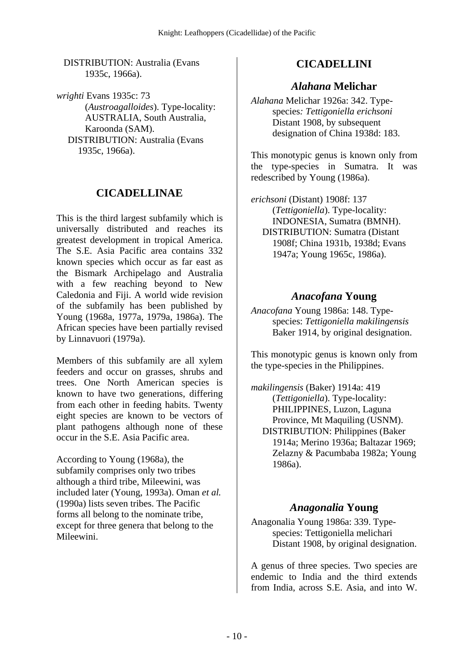DISTRIBUTION: Australia (Evans 1935c, 1966a).

*wrighti* Evans 1935c: 73 (*Austroagalloides*). Type-locality: AUSTRALIA, South Australia, Karoonda (SAM). DISTRIBUTION: Australia (Evans 1935c, 1966a).

### **CICADELLINAE**

This is the third largest subfamily which is universally distributed and reaches its greatest development in tropical America. The S.E. Asia Pacific area contains 332 known species which occur as far east as the Bismark Archipelago and Australia with a few reaching beyond to New Caledonia and Fiji. A world wide revision of the subfamily has been published by Young (1968a, 1977a, 1979a, 1986a). The African species have been partially revised by Linnavuori (1979a).

Members of this subfamily are all xylem feeders and occur on grasses, shrubs and trees. One North American species is known to have two generations, differing from each other in feeding habits. Twenty eight species are known to be vectors of plant pathogens although none of these occur in the S.E. Asia Pacific area.

According to Young (1968a), the subfamily comprises only two tribes although a third tribe, Mileewini, was included later (Young, 1993a). Oman *et al.* (1990a) lists seven tribes. The Pacific forms all belong to the nominate tribe, except for three genera that belong to the Mileewini.

### **CICADELLINI**

#### *Alahana* **Melichar**

*Alahana* Melichar 1926a: 342. Typespecies*: Tettigoniella erichsoni* Distant 1908, by subsequent designation of China 1938d: 183.

This monotypic genus is known only from the type-species in Sumatra. It was redescribed by Young (1986a).

*erichsoni* (Distant) 1908f: 137 (*Tettigoniella*). Type-locality: INDONESIA, Sumatra (BMNH). DISTRIBUTION: Sumatra (Distant 1908f; China 1931b, 1938d; Evans 1947a; Young 1965c, 1986a).

#### *Anacofana* **Young**

*Anacofana* Young 1986a: 148. Typespecies: *Tettigoniella makilingensis* Baker 1914, by original designation.

This monotypic genus is known only from the type-species in the Philippines.

*makilingensis* (Baker) 1914a: 419 (*Tettigoniella*). Type-locality: PHILIPPINES, Luzon, Laguna Province, Mt Maquiling (USNM). DISTRIBUTION: Philippines (Baker 1914a; Merino 1936a; Baltazar 1969; Zelazny & Pacumbaba 1982a; Young 1986a).

### *Anagonalia* **Young**

Anagonalia Young 1986a: 339. Typespecies: Tettigoniella melichari Distant 1908, by original designation.

A genus of three species. Two species are endemic to India and the third extends from India, across S.E. Asia, and into W.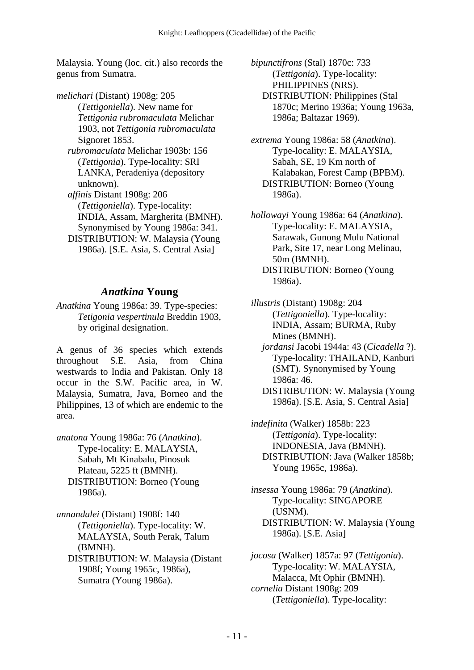Malaysia. Young (loc. cit.) also records the genus from Sumatra.

*melichari* (Distant) 1908g: 205 (*Tettigoniella*). New name for *Tettigonia rubromaculata* Melichar 1903, not *Tettigonia rubromaculata* Signoret 1853.  *rubromaculata* Melichar 1903b: 156 (*Tettigonia*). Type-locality: SRI LANKA, Peradeniya (depository unknown).  *affinis* Distant 1908g: 206 (*Tettigoniella*). Type-locality: INDIA, Assam, Margherita (BMNH). Synonymised by Young 1986a: 341. DISTRIBUTION: W. Malaysia (Young 1986a). [S.E. Asia, S. Central Asia]

#### *Anatkina* **Young**

*Anatkina* Young 1986a: 39. Type-species: *Tetigonia vespertinula* Breddin 1903, by original designation.

A genus of 36 species which extends throughout S.E. Asia, from China westwards to India and Pakistan. Only 18 occur in the S.W. Pacific area, in W. Malaysia, Sumatra, Java, Borneo and the Philippines, 13 of which are endemic to the area.

*anatona* Young 1986a: 76 (*Anatkina*). Type-locality: E. MALAYSIA, Sabah, Mt Kinabalu, Pinosuk Plateau, 5225 ft (BMNH). DISTRIBUTION: Borneo (Young 1986a).

*annandalei* (Distant) 1908f: 140 (*Tettigoniella*). Type-locality: W. MALAYSIA, South Perak, Talum (BMNH). DISTRIBUTION: W. Malaysia (Distant 1908f; Young 1965c, 1986a),

Sumatra (Young 1986a).

*bipunctifrons* (Stal) 1870c: 733 (*Tettigonia*). Type-locality: PHILIPPINES (NRS). DISTRIBUTION: Philippines (Stal 1870c; Merino 1936a; Young 1963a, 1986a; Baltazar 1969).

*extrema* Young 1986a: 58 (*Anatkina*). Type-locality: E. MALAYSIA, Sabah, SE, 19 Km north of Kalabakan, Forest Camp (BPBM). DISTRIBUTION: Borneo (Young 1986a).

*hollowayi* Young 1986a: 64 (*Anatkina*). Type-locality: E. MALAYSIA, Sarawak, Gunong Mulu National Park, Site 17, near Long Melinau, 50m (BMNH). DISTRIBUTION: Borneo (Young 1986a).

*illustris* (Distant) 1908g: 204 (*Tettigoniella*). Type-locality: INDIA, Assam; BURMA, Ruby Mines (BMNH).

 *jordansi* Jacobi 1944a: 43 (*Cicadella* ?). Type-locality: THAILAND, Kanburi (SMT). Synonymised by Young 1986a: 46.

 DISTRIBUTION: W. Malaysia (Young 1986a). [S.E. Asia, S. Central Asia]

*indefinita* (Walker) 1858b: 223 (*Tettigonia*). Type-locality: INDONESIA, Java (BMNH). DISTRIBUTION: Java (Walker 1858b; Young 1965c, 1986a).

*insessa* Young 1986a: 79 (*Anatkina*). Type-locality: SINGAPORE (USNM). DISTRIBUTION: W. Malaysia (Young 1986a). [S.E. Asia]

*jocosa* (Walker) 1857a: 97 (*Tettigonia*). Type-locality: W. MALAYSIA, Malacca, Mt Ophir (BMNH). *cornelia* Distant 1908g: 209 (*Tettigoniella*). Type-locality: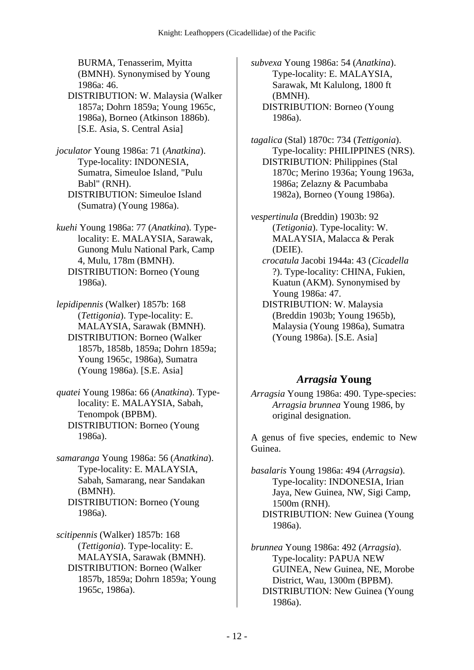BURMA, Tenasserim, Myitta (BMNH). Synonymised by Young 1986a: 46.

 DISTRIBUTION: W. Malaysia (Walker 1857a; Dohrn 1859a; Young 1965c, 1986a), Borneo (Atkinson 1886b). [S.E. Asia, S. Central Asia]

*joculator* Young 1986a: 71 (*Anatkina*). Type-locality: INDONESIA, Sumatra, Simeuloe Island, "Pulu Babl" (RNH). DISTRIBUTION: Simeuloe Island

(Sumatra) (Young 1986a).

*kuehi* Young 1986a: 77 (*Anatkina*). Typelocality: E. MALAYSIA, Sarawak, Gunong Mulu National Park, Camp 4, Mulu, 178m (BMNH). DISTRIBUTION: Borneo (Young 1986a).

*lepidipennis* (Walker) 1857b: 168 (*Tettigonia*). Type-locality: E. MALAYSIA, Sarawak (BMNH). DISTRIBUTION: Borneo (Walker 1857b, 1858b, 1859a; Dohrn 1859a; Young 1965c, 1986a), Sumatra (Young 1986a). [S.E. Asia]

*quatei* Young 1986a: 66 (*Anatkina*). Typelocality: E. MALAYSIA, Sabah, Tenompok (BPBM). DISTRIBUTION: Borneo (Young 1986a).

*samaranga* Young 1986a: 56 (*Anatkina*). Type-locality: E. MALAYSIA, Sabah, Samarang, near Sandakan (BMNH). DISTRIBUTION: Borneo (Young 1986a).

*scitipennis* (Walker) 1857b: 168 (*Tettigonia*). Type-locality: E. MALAYSIA, Sarawak (BMNH). DISTRIBUTION: Borneo (Walker 1857b, 1859a; Dohrn 1859a; Young 1965c, 1986a).

*subvexa* Young 1986a: 54 (*Anatkina*). Type-locality: E. MALAYSIA, Sarawak, Mt Kalulong, 1800 ft (BMNH). DISTRIBUTION: Borneo (Young

1986a).

*tagalica* (Stal) 1870c: 734 (*Tettigonia*). Type-locality: PHILIPPINES (NRS). DISTRIBUTION: Philippines (Stal 1870c; Merino 1936a; Young 1963a, 1986a; Zelazny & Pacumbaba 1982a), Borneo (Young 1986a).

*vespertinula* (Breddin) 1903b: 92 (*Tetigonia*). Type-locality: W. MALAYSIA, Malacca & Perak (DEIE).  *crocatula* Jacobi 1944a: 43 (*Cicadella* ?). Type-locality: CHINA, Fukien, Kuatun (AKM). Synonymised by

Young 1986a: 47. DISTRIBUTION: W. Malaysia (Breddin 1903b; Young 1965b), Malaysia (Young 1986a), Sumatra

(Young 1986a). [S.E. Asia]

#### *Arragsia* **Young**

*Arragsia* Young 1986a: 490. Type-species: *Arragsia brunnea* Young 1986, by original designation.

A genus of five species, endemic to New Guinea.

*basalaris* Young 1986a: 494 (*Arragsia*). Type-locality: INDONESIA, Irian Jaya, New Guinea, NW, Sigi Camp, 1500m (RNH). DISTRIBUTION: New Guinea (Young 1986a).

*brunnea* Young 1986a: 492 (*Arragsia*). Type-locality: PAPUA NEW GUINEA, New Guinea, NE, Morobe District, Wau, 1300m (BPBM). DISTRIBUTION: New Guinea (Young 1986a).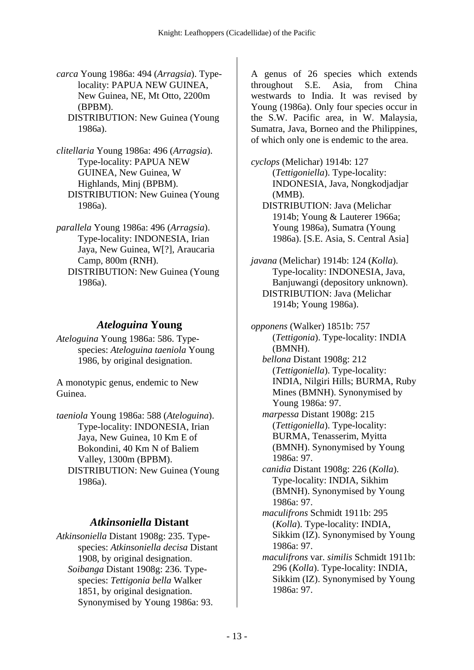*carca* Young 1986a: 494 (*Arragsia*). Typelocality: PAPUA NEW GUINEA, New Guinea, NE, Mt Otto, 2200m (BPBM).

 DISTRIBUTION: New Guinea (Young 1986a).

*clitellaria* Young 1986a: 496 (*Arragsia*). Type-locality: PAPUA NEW GUINEA, New Guinea, W Highlands, Minj (BPBM). DISTRIBUTION: New Guinea (Young 1986a).

*parallela* Young 1986a: 496 (*Arragsia*). Type-locality: INDONESIA, Irian Jaya, New Guinea, W[?], Araucaria Camp, 800m (RNH). DISTRIBUTION: New Guinea (Young 1986a).

### *Ateloguina* **Young**

*Ateloguina* Young 1986a: 586. Typespecies: *Ateloguina taeniola* Young 1986, by original designation.

A monotypic genus, endemic to New Guinea.

*taeniola* Young 1986a: 588 (*Ateloguina*). Type-locality: INDONESIA, Irian Jaya, New Guinea, 10 Km E of Bokondini, 40 Km N of Baliem Valley, 1300m (BPBM). DISTRIBUTION: New Guinea (Young 1986a).

### *Atkinsoniella* **Distant**

*Atkinsoniella* Distant 1908g: 235. Typespecies: *Atkinsoniella decisa* Distant 1908, by original designation.  *Soibanga* Distant 1908g: 236. Typespecies: *Tettigonia bella* Walker 1851, by original designation. Synonymised by Young 1986a: 93.

A genus of 26 species which extends throughout S.E. Asia, from China westwards to India. It was revised by Young (1986a). Only four species occur in the S.W. Pacific area, in W. Malaysia, Sumatra, Java, Borneo and the Philippines, of which only one is endemic to the area.

*cyclops* (Melichar) 1914b: 127 (*Tettigoniella*). Type-locality: INDONESIA, Java, Nongkodjadjar (MMB). DISTRIBUTION: Java (Melichar 1914b; Young & Lauterer 1966a; Young 1986a), Sumatra (Young 1986a). [S.E. Asia, S. Central Asia]

*javana* (Melichar) 1914b: 124 (*Kolla*). Type-locality: INDONESIA, Java, Banjuwangi (depository unknown). DISTRIBUTION: Java (Melichar 1914b; Young 1986a).

*opponens* (Walker) 1851b: 757 (*Tettigonia*). Type-locality: INDIA (BMNH).  *bellona* Distant 1908g: 212

(*Tettigoniella*). Type-locality: INDIA, Nilgiri Hills; BURMA, Ruby Mines (BMNH). Synonymised by Young 1986a: 97.

 *marpessa* Distant 1908g: 215 (*Tettigoniella*). Type-locality: BURMA, Tenasserim, Myitta (BMNH). Synonymised by Young 1986a: 97.

 *canidia* Distant 1908g: 226 (*Kolla*). Type-locality: INDIA, Sikhim (BMNH). Synonymised by Young 1986a: 97.

 *maculifrons* Schmidt 1911b: 295 (*Kolla*). Type-locality: INDIA, Sikkim (IZ). Synonymised by Young 1986a: 97.

 *maculifrons* var. *similis* Schmidt 1911b: 296 (*Kolla*). Type-locality: INDIA, Sikkim (IZ). Synonymised by Young 1986a: 97.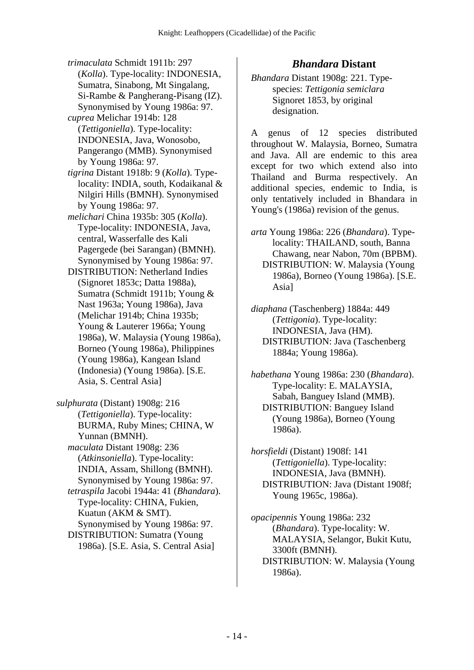- *trimaculata* Schmidt 1911b: 297 (*Kolla*). Type-locality: INDONESIA, Sumatra, Sinabong, Mt Singalang, Si-Rambe & Pangherang-Pisang (IZ). Synonymised by Young 1986a: 97.
- *cuprea* Melichar 1914b: 128 (*Tettigoniella*). Type-locality: INDONESIA, Java, Wonosobo, Pangerango (MMB). Synonymised by Young 1986a: 97.
- *tigrina* Distant 1918b: 9 (*Kolla*). Typelocality: INDIA, south, Kodaikanal & Nilgiri Hills (BMNH). Synonymised by Young 1986a: 97.
- *melichari* China 1935b: 305 (*Kolla*). Type-locality: INDONESIA, Java, central, Wasserfalle des Kali Pagergede (bei Sarangan) (BMNH). Synonymised by Young 1986a: 97.
- DISTRIBUTION: Netherland Indies (Signoret 1853c; Datta 1988a), Sumatra (Schmidt 1911b; Young & Nast 1963a; Young 1986a), Java (Melichar 1914b; China 1935b; Young & Lauterer 1966a; Young 1986a), W. Malaysia (Young 1986a), Borneo (Young 1986a), Philippines (Young 1986a), Kangean Island (Indonesia) (Young 1986a). [S.E. Asia, S. Central Asia]
- *sulphurata* (Distant) 1908g: 216 (*Tettigoniella*). Type-locality: BURMA, Ruby Mines; CHINA, W Yunnan (BMNH).  *maculata* Distant 1908g: 236 (*Atkinsoniella*). Type-locality: INDIA, Assam, Shillong (BMNH). Synonymised by Young 1986a: 97.  *tetraspila* Jacobi 1944a: 41 (*Bhandara*). Type-locality: CHINA, Fukien, Kuatun (AKM & SMT). Synonymised by Young 1986a: 97. DISTRIBUTION: Sumatra (Young 1986a). [S.E. Asia, S. Central Asia]

#### *Bhandara* **Distant**

*Bhandara* Distant 1908g: 221. Typespecies: *Tettigonia semiclara* Signoret 1853, by original designation.

A genus of 12 species distributed throughout W. Malaysia, Borneo, Sumatra and Java. All are endemic to this area except for two which extend also into Thailand and Burma respectively. An additional species, endemic to India, is only tentatively included in Bhandara in Young's (1986a) revision of the genus.

*arta* Young 1986a: 226 (*Bhandara*). Typelocality: THAILAND, south, Banna Chawang, near Nabon, 70m (BPBM). DISTRIBUTION: W. Malaysia (Young 1986a), Borneo (Young 1986a). [S.E. Asia]

*diaphana* (Taschenberg) 1884a: 449 (*Tettigonia*). Type-locality: INDONESIA, Java (HM). DISTRIBUTION: Java (Taschenberg 1884a; Young 1986a).

*habethana* Young 1986a: 230 (*Bhandara*). Type-locality: E. MALAYSIA, Sabah, Banguey Island (MMB). DISTRIBUTION: Banguey Island (Young 1986a), Borneo (Young 1986a).

*horsfieldi* (Distant) 1908f: 141 (*Tettigoniella*). Type-locality: INDONESIA, Java (BMNH). DISTRIBUTION: Java (Distant 1908f; Young 1965c, 1986a).

*opacipennis* Young 1986a: 232 (*Bhandara*). Type-locality: W. MALAYSIA, Selangor, Bukit Kutu, 3300ft (BMNH). DISTRIBUTION: W. Malaysia (Young 1986a).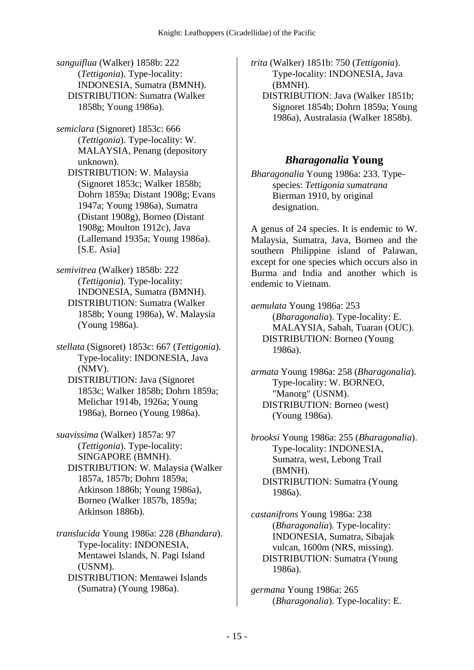*sanguiflua* (Walker) 1858b: 222 (*Tettigonia*). Type-locality: INDONESIA, Sumatra (BMNH). DISTRIBUTION: Sumatra (Walker 1858b; Young 1986a).

*semiclara* (Signoret) 1853c: 666 (*Tettigonia*). Type-locality: W. MALAYSIA, Penang (depository unknown).

 DISTRIBUTION: W. Malaysia (Signoret 1853c; Walker 1858b; Dohrn 1859a; Distant 1908g; Evans 1947a; Young 1986a), Sumatra (Distant 1908g), Borneo (Distant 1908g; Moulton 1912c), Java (Lallemand 1935a; Young 1986a). [S.E. Asia]

*semivitrea* (Walker) 1858b: 222 (*Tettigonia*). Type-locality: INDONESIA, Sumatra (BMNH). DISTRIBUTION: Sumatra (Walker 1858b; Young 1986a), W. Malaysia (Young 1986a).

*stellata* (Signoret) 1853c: 667 (*Tettigonia*). Type-locality: INDONESIA, Java (NMV). DISTRIBUTION: Java (Signoret 1853c; Walker 1858b; Dohrn 1859a; Melichar 1914b, 1926a; Young

1986a), Borneo (Young 1986a).

*suavissima* (Walker) 1857a: 97 (*Tettigonia*). Type-locality: SINGAPORE (BMNH). DISTRIBUTION: W. Malaysia (Walker 1857a, 1857b; Dohrn 1859a; Atkinson 1886b; Young 1986a), Borneo (Walker 1857b, 1859a; Atkinson 1886b).

*translucida* Young 1986a: 228 (*Bhandara*). Type-locality: INDONESIA, Mentawei Islands, N. Pagi Island (USNM). DISTRIBUTION: Mentawei Islands (Sumatra) (Young 1986a).

*trita* (Walker) 1851b: 750 (*Tettigonia*). Type-locality: INDONESIA, Java (BMNH).

 DISTRIBUTION: Java (Walker 1851b; Signoret 1854b; Dohrn 1859a; Young 1986a), Australasia (Walker 1858b).

#### *Bharagonalia* **Young**

*Bharagonalia* Young 1986a: 233. Typespecies: *Tettigonia sumatrana* Bierman 1910, by original designation.

A genus of 24 species. It is endemic to W. Malaysia, Sumatra, Java, Borneo and the southern Philippine island of Palawan, except for one species which occurs also in Burma and India and another which is endemic to Vietnam.

*aemulata* Young 1986a: 253 (*Bharagonalia*). Type-locality: E. MALAYSIA, Sabah, Tuaran (OUC). DISTRIBUTION: Borneo (Young 1986a).

*armata* Young 1986a: 258 (*Bharagonalia*). Type-locality: W. BORNEO, "Manorg" (USNM). DISTRIBUTION: Borneo (west) (Young 1986a).

*brooksi* Young 1986a: 255 (*Bharagonalia*). Type-locality: INDONESIA, Sumatra, west, Lebong Trail (BMNH). DISTRIBUTION: Sumatra (Young 1986a).

*castanifrons* Young 1986a: 238 (*Bharagonalia*). Type-locality: INDONESIA, Sumatra, Sibajak vulcan, 1600m (NRS, missing). DISTRIBUTION: Sumatra (Young 1986a).

*germana* Young 1986a: 265 (*Bharagonalia*). Type-locality: E.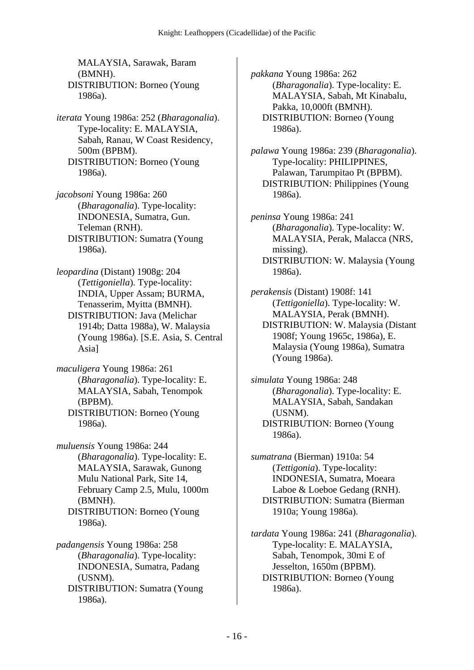MALAYSIA, Sarawak, Baram (BMNH). DISTRIBUTION: Borneo (Young 1986a).

*iterata* Young 1986a: 252 (*Bharagonalia*). Type-locality: E. MALAYSIA, Sabah, Ranau, W Coast Residency, 500m (BPBM). DISTRIBUTION: Borneo (Young 1986a).

*jacobsoni* Young 1986a: 260 (*Bharagonalia*). Type-locality: INDONESIA, Sumatra, Gun. Teleman (RNH). DISTRIBUTION: Sumatra (Young 1986a).

*leopardina* (Distant) 1908g: 204 (*Tettigoniella*). Type-locality: INDIA, Upper Assam; BURMA, Tenasserim, Myitta (BMNH). DISTRIBUTION: Java (Melichar 1914b; Datta 1988a), W. Malaysia (Young 1986a). [S.E. Asia, S. Central Asia]

*maculigera* Young 1986a: 261 (*Bharagonalia*). Type-locality: E. MALAYSIA, Sabah, Tenompok (BPBM). DISTRIBUTION: Borneo (Young 1986a).

*muluensis* Young 1986a: 244 (*Bharagonalia*). Type-locality: E. MALAYSIA, Sarawak, Gunong Mulu National Park, Site 14, February Camp 2.5, Mulu, 1000m (BMNH). DISTRIBUTION: Borneo (Young 1986a).

*padangensis* Young 1986a: 258 (*Bharagonalia*). Type-locality: INDONESIA, Sumatra, Padang (USNM). DISTRIBUTION: Sumatra (Young 1986a).

*pakkana* Young 1986a: 262 (*Bharagonalia*). Type-locality: E. MALAYSIA, Sabah, Mt Kinabalu, Pakka, 10,000ft (BMNH). DISTRIBUTION: Borneo (Young 1986a).

*palawa* Young 1986a: 239 (*Bharagonalia*). Type-locality: PHILIPPINES, Palawan, Tarumpitao Pt (BPBM). DISTRIBUTION: Philippines (Young 1986a).

*peninsa* Young 1986a: 241 (*Bharagonalia*). Type-locality: W. MALAYSIA, Perak, Malacca (NRS, missing). DISTRIBUTION: W. Malaysia (Young 1986a).

*perakensis* (Distant) 1908f: 141 (*Tettigoniella*). Type-locality: W. MALAYSIA, Perak (BMNH). DISTRIBUTION: W. Malaysia (Distant 1908f; Young 1965c, 1986a), E. Malaysia (Young 1986a), Sumatra (Young 1986a).

*simulata* Young 1986a: 248 (*Bharagonalia*). Type-locality: E. MALAYSIA, Sabah, Sandakan (USNM). DISTRIBUTION: Borneo (Young 1986a).

*sumatrana* (Bierman) 1910a: 54 (*Tettigonia*). Type-locality: INDONESIA, Sumatra, Moeara Laboe & Loeboe Gedang (RNH). DISTRIBUTION: Sumatra (Bierman 1910a; Young 1986a).

*tardata* Young 1986a: 241 (*Bharagonalia*). Type-locality: E. MALAYSIA, Sabah, Tenompok, 30mi E of Jesselton, 1650m (BPBM). DISTRIBUTION: Borneo (Young 1986a).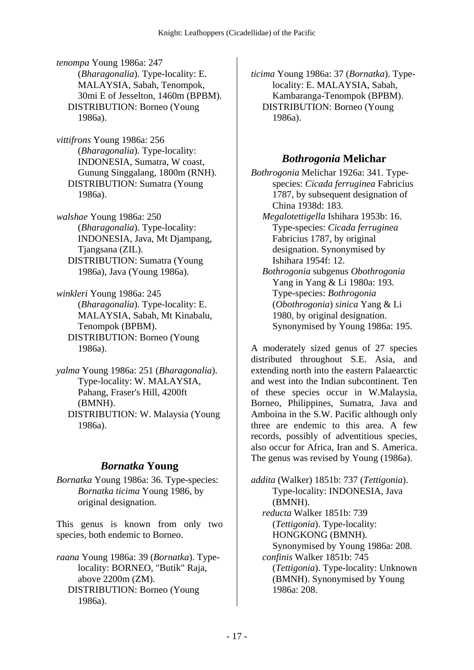*tenompa* Young 1986a: 247 (*Bharagonalia*). Type-locality: E. MALAYSIA, Sabah, Tenompok, 30mi E of Jesselton, 1460m (BPBM). DISTRIBUTION: Borneo (Young 1986a).

*vittifrons* Young 1986a: 256 (*Bharagonalia*). Type-locality: INDONESIA, Sumatra, W coast, Gunung Singgalang, 1800m (RNH). DISTRIBUTION: Sumatra (Young 1986a).

*walshae* Young 1986a: 250 (*Bharagonalia*). Type-locality: INDONESIA, Java, Mt Djampang, Tjangsana (ZIL). DISTRIBUTION: Sumatra (Young 1986a), Java (Young 1986a).

*winkleri* Young 1986a: 245 (*Bharagonalia*). Type-locality: E. MALAYSIA, Sabah, Mt Kinabalu, Tenompok (BPBM). DISTRIBUTION: Borneo (Young 1986a).

*yalma* Young 1986a: 251 (*Bharagonalia*). Type-locality: W. MALAYSIA, Pahang, Fraser's Hill, 4200ft (BMNH). DISTRIBUTION: W. Malaysia (Young 1986a).

# *Bornatka* **Young**

*Bornatka* Young 1986a: 36. Type-species: *Bornatka ticima* Young 1986, by original designation.

This genus is known from only two species, both endemic to Borneo.

*raana* Young 1986a: 39 (*Bornatka*). Typelocality: BORNEO, "Butik" Raja, above 2200m (ZM). DISTRIBUTION: Borneo (Young 1986a).

*ticima* Young 1986a: 37 (*Bornatka*). Typelocality: E. MALAYSIA, Sabah, Kambaranga-Tenompok (BPBM). DISTRIBUTION: Borneo (Young 1986a).

## *Bothrogonia* **Melichar**

*Bothrogonia* Melichar 1926a: 341. Typespecies: *Cicada ferruginea* Fabricius 1787, by subsequent designation of China 1938d: 183.

 *Megalotettigella* Ishihara 1953b: 16. Type-species: *Cicada ferruginea* Fabricius 1787, by original designation. Synonymised by Ishihara 1954f: 12.  *Bothrogonia* subgenus *Obothrogonia* Yang in Yang & Li 1980a: 193. Type-species: *Bothrogonia* (*Obothrogonia*) *sinica* Yang & Li 1980, by original designation. Synonymised by Young 1986a: 195.

A moderately sized genus of 27 species distributed throughout S.E. Asia, and extending north into the eastern Palaearctic and west into the Indian subcontinent. Ten of these species occur in W.Malaysia, Borneo, Philippines, Sumatra, Java and Amboina in the S.W. Pacific although only three are endemic to this area. A few records, possibly of adventitious species, also occur for Africa, Iran and S. America. The genus was revised by Young (1986a).

*addita* (Walker) 1851b: 737 (*Tettigonia*). Type-locality: INDONESIA, Java (BMNH).  *reducta* Walker 1851b: 739 (*Tettigonia*). Type-locality: HONGKONG (BMNH). Synonymised by Young 1986a: 208.  *confinis* Walker 1851b: 745 (*Tettigonia*). Type-locality: Unknown (BMNH). Synonymised by Young 1986a: 208.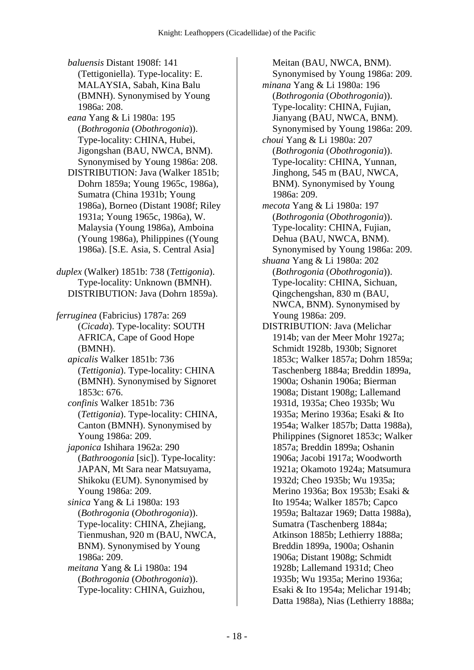*baluensis* Distant 1908f: 141 (Tettigoniella). Type-locality: E. MALAYSIA, Sabah, Kina Balu (BMNH). Synonymised by Young 1986a: 208.

 *eana* Yang & Li 1980a: 195 (*Bothrogonia* (*Obothrogonia*)). Type-locality: CHINA, Hubei, Jigongshan (BAU, NWCA, BNM). Synonymised by Young 1986a: 208.

 DISTRIBUTION: Java (Walker 1851b; Dohrn 1859a; Young 1965c, 1986a), Sumatra (China 1931b; Young 1986a), Borneo (Distant 1908f; Riley 1931a; Young 1965c, 1986a), W. Malaysia (Young 1986a), Amboina (Young 1986a), Philippines ((Young 1986a). [S.E. Asia, S. Central Asia]

*duplex* (Walker) 1851b: 738 (*Tettigonia*). Type-locality: Unknown (BMNH). DISTRIBUTION: Java (Dohrn 1859a).

*ferruginea* (Fabricius) 1787a: 269 (*Cicada*). Type-locality: SOUTH AFRICA, Cape of Good Hope (BMNH).

 *apicalis* Walker 1851b: 736 (*Tettigonia*). Type-locality: CHINA (BMNH). Synonymised by Signoret 1853c: 676.

 *confinis* Walker 1851b: 736 (*Tettigonia*). Type-locality: CHINA, Canton (BMNH). Synonymised by Young 1986a: 209.

 *japonica* Ishihara 1962a: 290 (*Bathroogonia* [sic]). Type-locality: JAPAN, Mt Sara near Matsuyama, Shikoku (EUM). Synonymised by Young 1986a: 209.

 *sinica* Yang & Li 1980a: 193 (*Bothrogonia* (*Obothrogonia*)). Type-locality: CHINA, Zhejiang, Tienmushan, 920 m (BAU, NWCA, BNM). Synonymised by Young 1986a: 209.

 *meitana* Yang & Li 1980a: 194 (*Bothrogonia* (*Obothrogonia*)). Type-locality: CHINA, Guizhou,

Meitan (BAU, NWCA, BNM). Synonymised by Young 1986a: 209.  *minana* Yang & Li 1980a: 196 (*Bothrogonia* (*Obothrogonia*)). Type-locality: CHINA, Fujian, Jianyang (BAU, NWCA, BNM). Synonymised by Young 1986a: 209.  *choui* Yang & Li 1980a: 207 (*Bothrogonia* (*Obothrogonia*)). Type-locality: CHINA, Yunnan, Jinghong, 545 m (BAU, NWCA, BNM). Synonymised by Young 1986a: 209.  *mecota* Yang & Li 1980a: 197 (*Bothrogonia* (*Obothrogonia*)). Type-locality: CHINA, Fujian, Dehua (BAU, NWCA, BNM). Synonymised by Young 1986a: 209.  *shuana* Yang & Li 1980a: 202 (*Bothrogonia* (*Obothrogonia*)). Type-locality: CHINA, Sichuan, Qingchengshan, 830 m (BAU, NWCA, BNM). Synonymised by Young 1986a: 209. DISTRIBUTION: Java (Melichar 1914b; van der Meer Mohr 1927a; Schmidt 1928b, 1930b; Signoret 1853c; Walker 1857a; Dohrn 1859a; Taschenberg 1884a; Breddin 1899a, 1900a; Oshanin 1906a; Bierman 1908a; Distant 1908g; Lallemand 1931d, 1935a; Cheo 1935b; Wu 1935a; Merino 1936a; Esaki & Ito 1954a; Walker 1857b; Datta 1988a), Philippines (Signoret 1853c; Walker 1857a; Breddin 1899a; Oshanin 1906a; Jacobi 1917a; Woodworth 1921a; Okamoto 1924a; Matsumura 1932d; Cheo 1935b; Wu 1935a; Merino 1936a; Box 1953b; Esaki & Ito 1954a; Walker 1857b; Capco 1959a; Baltazar 1969; Datta 1988a), Sumatra (Taschenberg 1884a; Atkinson 1885b; Lethierry 1888a; Breddin 1899a, 1900a; Oshanin 1906a; Distant 1908g; Schmidt 1928b; Lallemand 1931d; Cheo 1935b; Wu 1935a; Merino 1936a; Esaki & Ito 1954a; Melichar 1914b; Datta 1988a), Nias (Lethierry 1888a;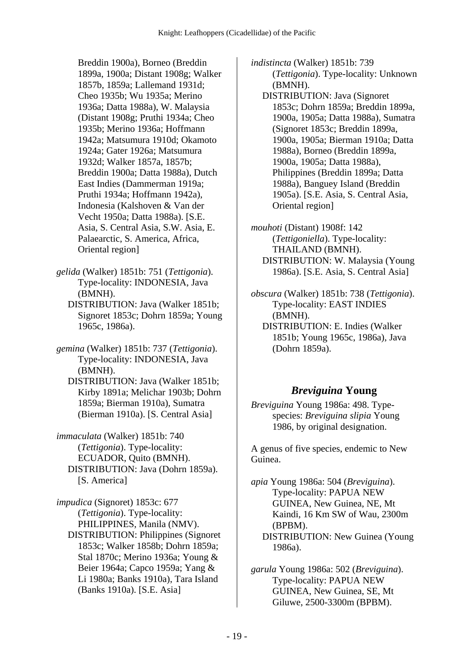Breddin 1900a), Borneo (Breddin 1899a, 1900a; Distant 1908g; Walker 1857b, 1859a; Lallemand 1931d; Cheo 1935b; Wu 1935a; Merino 1936a; Datta 1988a), W. Malaysia (Distant 1908g; Pruthi 1934a; Cheo 1935b; Merino 1936a; Hoffmann 1942a; Matsumura 1910d; Okamoto 1924a; Gater 1926a; Matsumura 1932d; Walker 1857a, 1857b; Breddin 1900a; Datta 1988a), Dutch East Indies (Dammerman 1919a; Pruthi 1934a; Hoffmann 1942a), Indonesia (Kalshoven & Van der Vecht 1950a; Datta 1988a). [S.E. Asia, S. Central Asia, S.W. Asia, E. Palaearctic, S. America, Africa, Oriental region]

*gelida* (Walker) 1851b: 751 (*Tettigonia*). Type-locality: INDONESIA, Java (BMNH).

 DISTRIBUTION: Java (Walker 1851b; Signoret 1853c; Dohrn 1859a; Young 1965c, 1986a).

*gemina* (Walker) 1851b: 737 (*Tettigonia*). Type-locality: INDONESIA, Java (BMNH).

 DISTRIBUTION: Java (Walker 1851b; Kirby 1891a; Melichar 1903b; Dohrn 1859a; Bierman 1910a), Sumatra (Bierman 1910a). [S. Central Asia]

*immaculata* (Walker) 1851b: 740 (*Tettigonia*). Type-locality: ECUADOR, Quito (BMNH). DISTRIBUTION: Java (Dohrn 1859a). [S. America]

*impudica* (Signoret) 1853c: 677 (*Tettigonia*). Type-locality: PHILIPPINES, Manila (NMV). DISTRIBUTION: Philippines (Signoret 1853c; Walker 1858b; Dohrn 1859a; Stal 1870c; Merino 1936a; Young & Beier 1964a; Capco 1959a; Yang & Li 1980a; Banks 1910a), Tara Island (Banks 1910a). [S.E. Asia]

*indistincta* (Walker) 1851b: 739 (*Tettigonia*). Type-locality: Unknown (BMNH).

 DISTRIBUTION: Java (Signoret 1853c; Dohrn 1859a; Breddin 1899a, 1900a, 1905a; Datta 1988a), Sumatra (Signoret 1853c; Breddin 1899a, 1900a, 1905a; Bierman 1910a; Datta 1988a), Borneo (Breddin 1899a, 1900a, 1905a; Datta 1988a), Philippines (Breddin 1899a; Datta 1988a), Banguey Island (Breddin 1905a). [S.E. Asia, S. Central Asia, Oriental region]

*mouhoti* (Distant) 1908f: 142 (*Tettigoniella*). Type-locality: THAILAND (BMNH). DISTRIBUTION: W. Malaysia (Young 1986a). [S.E. Asia, S. Central Asia]

- *obscura* (Walker) 1851b: 738 (*Tettigonia*). Type-locality: EAST INDIES (BMNH).
	- DISTRIBUTION: E. Indies (Walker 1851b; Young 1965c, 1986a), Java (Dohrn 1859a).

# *Breviguina* **Young**

*Breviguina* Young 1986a: 498. Typespecies: *Breviguina slipia* Young 1986, by original designation.

A genus of five species, endemic to New Guinea.

*apia* Young 1986a: 504 (*Breviguina*). Type-locality: PAPUA NEW GUINEA, New Guinea, NE, Mt Kaindi, 16 Km SW of Wau, 2300m (BPBM). DISTRIBUTION: New Guinea (Young 1986a).

*garula* Young 1986a: 502 (*Breviguina*). Type-locality: PAPUA NEW GUINEA, New Guinea, SE, Mt Giluwe, 2500-3300m (BPBM).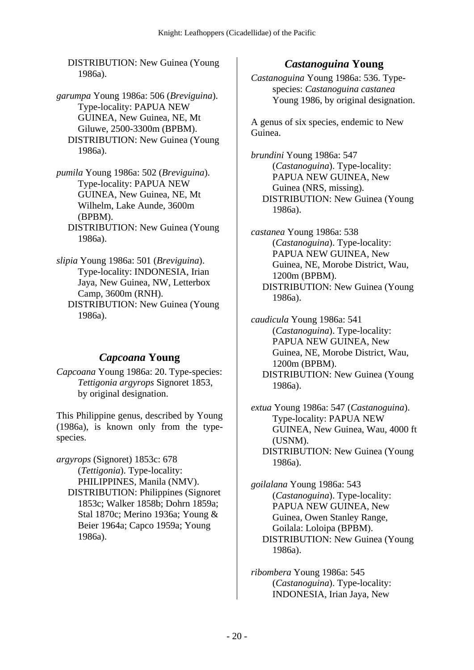DISTRIBUTION: New Guinea (Young 1986a).

- *garumpa* Young 1986a: 506 (*Breviguina*). Type-locality: PAPUA NEW GUINEA, New Guinea, NE, Mt Giluwe, 2500-3300m (BPBM). DISTRIBUTION: New Guinea (Young 1986a).
- *pumila* Young 1986a: 502 (*Breviguina*). Type-locality: PAPUA NEW GUINEA, New Guinea, NE, Mt Wilhelm, Lake Aunde, 3600m (BPBM). DISTRIBUTION: New Guinea (Young 1986a).

*slipia* Young 1986a: 501 (*Breviguina*). Type-locality: INDONESIA, Irian Jaya, New Guinea, NW, Letterbox Camp, 3600m (RNH). DISTRIBUTION: New Guinea (Young 1986a).

## *Capcoana* **Young**

*Capcoana* Young 1986a: 20. Type-species: *Tettigonia argyrops* Signoret 1853, by original designation.

This Philippine genus, described by Young (1986a), is known only from the typespecies.

*argyrops* (Signoret) 1853c: 678 (*Tettigonia*). Type-locality: PHILIPPINES, Manila (NMV). DISTRIBUTION: Philippines (Signoret 1853c; Walker 1858b; Dohrn 1859a; Stal 1870c; Merino 1936a; Young & Beier 1964a; Capco 1959a; Young 1986a).

## *Castanoguina* **Young**

*Castanoguina* Young 1986a: 536. Typespecies: *Castanoguina castanea* Young 1986, by original designation.

A genus of six species, endemic to New Guinea.

*brundini* Young 1986a: 547 (*Castanoguina*). Type-locality: PAPUA NEW GUINEA, New Guinea (NRS, missing). DISTRIBUTION: New Guinea (Young 1986a).

*castanea* Young 1986a: 538 (*Castanoguina*). Type-locality: PAPUA NEW GUINEA, New Guinea, NE, Morobe District, Wau, 1200m (BPBM). DISTRIBUTION: New Guinea (Young 1986a).

*caudicula* Young 1986a: 541 (*Castanoguina*). Type-locality: PAPUA NEW GUINEA, New Guinea, NE, Morobe District, Wau, 1200m (BPBM). DISTRIBUTION: New Guinea (Young 1986a).

*extua* Young 1986a: 547 (*Castanoguina*). Type-locality: PAPUA NEW GUINEA, New Guinea, Wau, 4000 ft (USNM). DISTRIBUTION: New Guinea (Young 1986a).

*goilalana* Young 1986a: 543 (*Castanoguina*). Type-locality: PAPUA NEW GUINEA, New Guinea, Owen Stanley Range, Goilala: Loloipa (BPBM). DISTRIBUTION: New Guinea (Young 1986a).

*ribombera* Young 1986a: 545 (*Castanoguina*). Type-locality: INDONESIA, Irian Jaya, New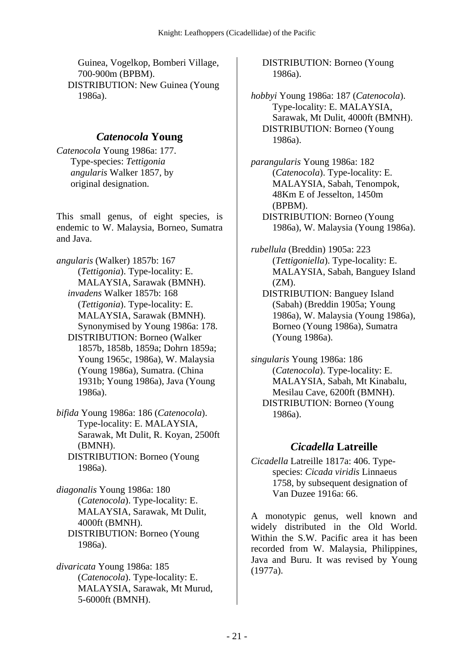Guinea, Vogelkop, Bomberi Village, 700-900m (BPBM). DISTRIBUTION: New Guinea (Young 1986a).

### *Catenocola* **Young**

*Catenocola* Young 1986a: 177. Type-species: *Tettigonia angularis* Walker 1857, by original designation.

This small genus, of eight species, is endemic to W. Malaysia, Borneo, Sumatra and Java.

- *angularis* (Walker) 1857b: 167 (*Tettigonia*). Type-locality: E. MALAYSIA, Sarawak (BMNH).  *invadens* Walker 1857b: 168 (*Tettigonia*). Type-locality: E. MALAYSIA, Sarawak (BMNH). Synonymised by Young 1986a: 178. DISTRIBUTION: Borneo (Walker 1857b, 1858b, 1859a; Dohrn 1859a; Young 1965c, 1986a), W. Malaysia (Young 1986a), Sumatra. (China 1931b; Young 1986a), Java (Young 1986a).
- *bifida* Young 1986a: 186 (*Catenocola*). Type-locality: E. MALAYSIA, Sarawak, Mt Dulit, R. Koyan, 2500ft (BMNH). DISTRIBUTION: Borneo (Young 1986a).

*diagonalis* Young 1986a: 180 (*Catenocola*). Type-locality: E. MALAYSIA, Sarawak, Mt Dulit, 4000ft (BMNH). DISTRIBUTION: Borneo (Young 1986a).

*divaricata* Young 1986a: 185 (*Catenocola*). Type-locality: E. MALAYSIA, Sarawak, Mt Murud, 5-6000ft (BMNH).

 DISTRIBUTION: Borneo (Young 1986a).

*hobbyi* Young 1986a: 187 (*Catenocola*). Type-locality: E. MALAYSIA, Sarawak, Mt Dulit, 4000ft (BMNH). DISTRIBUTION: Borneo (Young 1986a).

*parangularis* Young 1986a: 182 (*Catenocola*). Type-locality: E. MALAYSIA, Sabah, Tenompok, 48Km E of Jesselton, 1450m (BPBM). DISTRIBUTION: Borneo (Young 1986a), W. Malaysia (Young 1986a).

*rubellula* (Breddin) 1905a: 223 (*Tettigoniella*). Type-locality: E. MALAYSIA, Sabah, Banguey Island (ZM).

 DISTRIBUTION: Banguey Island (Sabah) (Breddin 1905a; Young 1986a), W. Malaysia (Young 1986a), Borneo (Young 1986a), Sumatra (Young 1986a).

*singularis* Young 1986a: 186 (*Catenocola*). Type-locality: E. MALAYSIA, Sabah, Mt Kinabalu, Mesilau Cave, 6200ft (BMNH). DISTRIBUTION: Borneo (Young 1986a).

### *Cicadella* **Latreille**

*Cicadella* Latreille 1817a: 406. Typespecies: *Cicada viridis* Linnaeus 1758, by subsequent designation of Van Duzee 1916a: 66.

A monotypic genus, well known and widely distributed in the Old World. Within the S.W. Pacific area it has been recorded from W. Malaysia, Philippines, Java and Buru. It was revised by Young (1977a).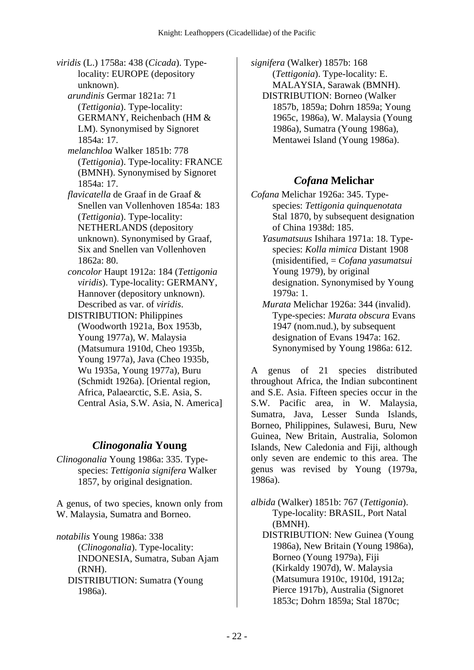*viridis* (L.) 1758a: 438 (*Cicada*). Typelocality: EUROPE (depository unknown).  *arundinis* Germar 1821a: 71 (*Tettigonia*). Type-locality: GERMANY, Reichenbach (HM & LM). Synonymised by Signoret 1854a: 17.  *melanchloa* Walker 1851b: 778 (*Tettigonia*). Type-locality: FRANCE (BMNH). Synonymised by Signoret 1854a: 17.  *flavicatella* de Graaf in de Graaf & Snellen van Vollenhoven 1854a: 183 (*Tettigonia*). Type-locality: NETHERLANDS (depository unknown). Synonymised by Graaf, Six and Snellen van Vollenhoven 1862a: 80.  *concolor* Haupt 1912a: 184 (*Tettigonia viridis*). Type-locality: GERMANY, Hannover (depository unknown). Described as var. of *viridis*. DISTRIBUTION: Philippines (Woodworth 1921a, Box 1953b, Young 1977a), W. Malaysia (Matsumura 1910d, Cheo 1935b, Young 1977a), Java (Cheo 1935b, Wu 1935a, Young 1977a), Buru

(Schmidt 1926a). [Oriental region, Africa, Palaearctic, S.E. Asia, S. Central Asia, S.W. Asia, N. America]

# *Clinogonalia* **Young**

*Clinogonalia* Young 1986a: 335. Typespecies: *Tettigonia signifera* Walker 1857, by original designation.

A genus, of two species, known only from W. Malaysia, Sumatra and Borneo.

*notabilis* Young 1986a: 338 (*Clinogonalia*). Type-locality: INDONESIA, Sumatra, Suban Ajam (RNH). DISTRIBUTION: Sumatra (Young 1986a).

*signifera* (Walker) 1857b: 168 (*Tettigonia*). Type-locality: E. MALAYSIA, Sarawak (BMNH). DISTRIBUTION: Borneo (Walker 1857b, 1859a; Dohrn 1859a; Young 1965c, 1986a), W. Malaysia (Young 1986a), Sumatra (Young 1986a), Mentawei Island (Young 1986a).

# *Cofana* **Melichar**

- *Cofana* Melichar 1926a: 345. Typespecies: *Tettigonia quinquenotata* Stal 1870, by subsequent designation of China 1938d: 185.
	- *Yasumatsuus* Ishihara 1971a: 18. Typespecies: *Kolla mimica* Distant 1908 (misidentified, = *Cofana yasumatsui* Young 1979), by original designation. Synonymised by Young 1979a: 1.
	- *Murata* Melichar 1926a: 344 (invalid). Type-species: *Murata obscura* Evans 1947 (nom.nud.), by subsequent designation of Evans 1947a: 162. Synonymised by Young 1986a: 612.

A genus of 21 species distributed throughout Africa, the Indian subcontinent and S.E. Asia. Fifteen species occur in the S.W. Pacific area, in W. Malaysia, Sumatra, Java, Lesser Sunda Islands, Borneo, Philippines, Sulawesi, Buru, New Guinea, New Britain, Australia, Solomon Islands, New Caledonia and Fiji, although only seven are endemic to this area. The genus was revised by Young (1979a, 1986a).

*albida* (Walker) 1851b: 767 (*Tettigonia*). Type-locality: BRASIL, Port Natal (BMNH).

 DISTRIBUTION: New Guinea (Young 1986a), New Britain (Young 1986a), Borneo (Young 1979a), Fiji (Kirkaldy 1907d), W. Malaysia (Matsumura 1910c, 1910d, 1912a; Pierce 1917b), Australia (Signoret 1853c; Dohrn 1859a; Stal 1870c;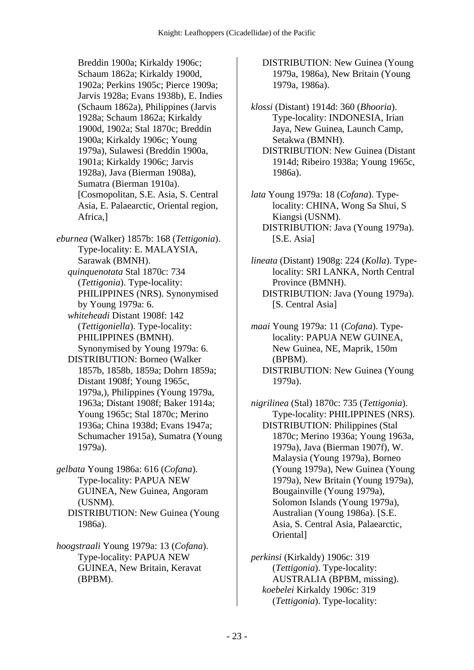Breddin 1900a; Kirkaldy 1906c; Schaum 1862a; Kirkaldy 1900d, 1902a; Perkins 1905c; Pierce 1909a; Jarvis 1928a; Evans 1938b), E. Indies (Schaum 1862a), Philippines (Jarvis 1928a; Schaum 1862a; Kirkaldy 1900d, 1902a; Stal 1870c; Breddin 1900a; Kirkaldy 1906c; Young 1979a), Sulawesi (Breddin 1900a, 1901a; Kirkaldy 1906c; Jarvis 1928a), Java (Bierman 1908a), Sumatra (Bierman 1910a). [Cosmopolitan, S.E. Asia, S. Central Asia, E. Palaearctic, Oriental region, Africa,]

*eburnea* (Walker) 1857b: 168 (*Tettigonia*). Type-locality: E. MALAYSIA, Sarawak (BMNH).  *quinquenotata* Stal 1870c: 734 (*Tettigonia*). Type-locality: PHILIPPINES (NRS). Synonymised by Young 1979a: 6.  *whiteheadi* Distant 1908f: 142 (*Tettigoniella*). Type-locality: PHILIPPINES (BMNH). Synonymised by Young 1979a: 6. DISTRIBUTION: Borneo (Walker 1857b, 1858b, 1859a; Dohrn 1859a; Distant 1908f; Young 1965c, 1979a,), Philippines (Young 1979a, 1963a; Distant 1908f; Baker 1914a; Young 1965c; Stal 1870c; Merino 1936a; China 1938d; Evans 1947a; Schumacher 1915a), Sumatra (Young 1979a).

*gelbata* Young 1986a: 616 (*Cofana*). Type-locality: PAPUA NEW GUINEA, New Guinea, Angoram (USNM). DISTRIBUTION: New Guinea (Young 1986a).

*hoogstraali* Young 1979a: 13 (*Cofana*). Type-locality: PAPUA NEW GUINEA, New Britain, Keravat (BPBM).

 DISTRIBUTION: New Guinea (Young 1979a, 1986a), New Britain (Young 1979a, 1986a).

*klossi* (Distant) 1914d: 360 (*Bhooria*). Type-locality: INDONESIA, Irian Jaya, New Guinea, Launch Camp, Setakwa (BMNH).

 DISTRIBUTION: New Guinea (Distant 1914d; Ribeiro 1938a; Young 1965c, 1986a).

*lata* Young 1979a: 18 (*Cofana*). Typelocality: CHINA, Wong Sa Shui, S Kiangsi (USNM). DISTRIBUTION: Java (Young 1979a). [S.E. Asia]

- *lineata* (Distant) 1908g: 224 (*Kolla*). Typelocality: SRI LANKA, North Central Province (BMNH). DISTRIBUTION: Java (Young 1979a).
	- [S. Central Asia]

*maai* Young 1979a: 11 (*Cofana*). Typelocality: PAPUA NEW GUINEA, New Guinea, NE, Maprik, 150m (BPBM). DISTRIBUTION: New Guinea (Young 1979a).

*nigrilinea* (Stal) 1870c: 735 (*Tettigonia*). Type-locality: PHILIPPINES (NRS). DISTRIBUTION: Philippines (Stal 1870c; Merino 1936a; Young 1963a, 1979a), Java (Bierman 1907f), W. Malaysia (Young 1979a), Borneo (Young 1979a), New Guinea (Young 1979a), New Britain (Young 1979a), Bougainville (Young 1979a), Solomon Islands (Young 1979a), Australian (Young 1986a). [S.E. Asia, S. Central Asia, Palaearctic, Oriental]

*perkinsi* (Kirkaldy) 1906c: 319 (*Tettigonia*). Type-locality: AUSTRALIA (BPBM, missing).  *koebelei* Kirkaldy 1906c: 319 (*Tettigonia*). Type-locality: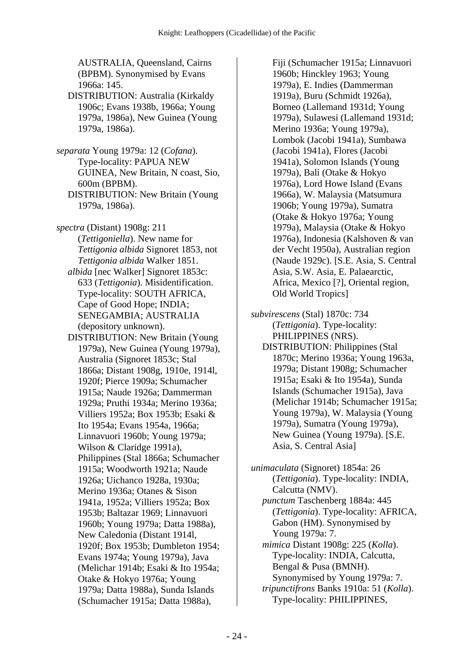AUSTRALIA, Queensland, Cairns (BPBM). Synonymised by Evans 1966a: 145. DISTRIBUTION: Australia (Kirkaldy 1906c; Evans 1938b, 1966a; Young 1979a, 1986a), New Guinea (Young 1979a, 1986a). *separata* Young 1979a: 12 (*Cofana*). Type-locality: PAPUA NEW GUINEA, New Britain, N coast, Sio, 600m (BPBM). DISTRIBUTION: New Britain (Young 1979a, 1986a). *spectra* (Distant) 1908g: 211 (*Tettigoniella*). New name for *Tettigonia albida* Signoret 1853, not *Tettigonia albida* Walker 1851.  *albida* [nec Walker] Signoret 1853c: 633 (*Tettigonia*). Misidentification. Type-locality: SOUTH AFRICA, Cape of Good Hope; INDIA; SENEGAMBIA; AUSTRALIA (depository unknown). DISTRIBUTION: New Britain (Young 1979a), New Guinea (Young 1979a), Australia (Signoret 1853c; Stal 1866a; Distant 1908g, 1910e, 1914l, 1920f; Pierce 1909a; Schumacher 1915a; Naude 1926a; Dammerman 1929a; Pruthi 1934a; Merino 1936a; Villiers 1952a; Box 1953b; Esaki & Ito 1954a; Evans 1954a, 1966a; Linnavuori 1960b; Young 1979a; Wilson & Claridge 1991a), Philippines (Stal 1866a; Schumacher 1915a; Woodworth 1921a; Naude 1926a; Uichanco 1928a, 1930a; Merino 1936a; Otanes & Sison 1941a, 1952a; Villiers 1952a; Box 1953b; Baltazar 1969; Linnavuori 1960b; Young 1979a; Datta 1988a), New Caledonia (Distant 1914l, 1920f; Box 1953b; Dumbleton 1954; Evans 1974a; Young 1979a), Java (Melichar 1914b; Esaki & Ito 1954a; Otake & Hokyo 1976a; Young 1979a; Datta 1988a), Sunda Islands (Schumacher 1915a; Datta 1988a),

Fiji (Schumacher 1915a; Linnavuori 1960b; Hinckley 1963; Young 1979a), E. Indies (Dammerman 1919a), Buru (Schmidt 1926a), Borneo (Lallemand 1931d; Young 1979a), Sulawesi (Lallemand 1931d; Merino 1936a; Young 1979a), Lombok (Jacobi 1941a), Sumbawa (Jacobi 1941a), Flores (Jacobi 1941a), Solomon Islands (Young 1979a), Bali (Otake & Hokyo 1976a), Lord Howe Island (Evans 1966a), W. Malaysia (Matsumura 1906b; Young 1979a), Sumatra (Otake & Hokyo 1976a; Young 1979a), Malaysia (Otake & Hokyo 1976a), Indonesia (Kalshoven & van der Vecht 1950a), Australian region (Naude 1929c). [S.E. Asia, S. Central Asia, S.W. Asia, E. Palaearctic, Africa, Mexico [?], Oriental region, Old World Tropics]

*subvirescens* (Stal) 1870c: 734 (*Tettigonia*). Type-locality: PHILIPPINES (NRS). DISTRIBUTION: Philippines (Stal 1870c; Merino 1936a; Young 1963a, 1979a; Distant 1908g; Schumacher 1915a; Esaki & Ito 1954a), Sunda Islands (Schumacher 1915a), Java (Melichar 1914b; Schumacher 1915a; Young 1979a), W. Malaysia (Young 1979a), Sumatra (Young 1979a), New Guinea (Young 1979a). [S.E.

Asia, S. Central Asia]

*unimaculata* (Signoret) 1854a: 26 (*Tettigonia*). Type-locality: INDIA, Calcutta (NMV).  *punctum* Taschenberg 1884a: 445 (*Tettigonia*). Type-locality: AFRICA, Gabon (HM). Synonymised by Young 1979a: 7.  *mimica* Distant 1908g: 225 (*Kolla*). Type-locality: INDIA, Calcutta, Bengal & Pusa (BMNH). Synonymised by Young 1979a: 7.  *tripunctifrons* Banks 1910a: 51 (*Kolla*). Type-locality: PHILIPPINES,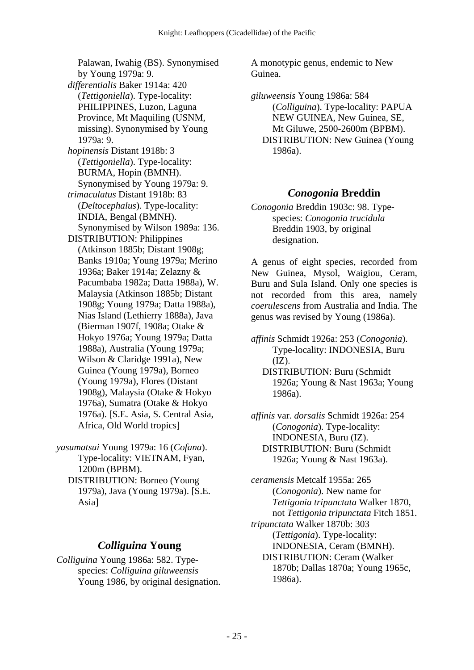Palawan, Iwahig (BS). Synonymised by Young 1979a: 9.  *differentialis* Baker 1914a: 420 (*Tettigoniella*). Type-locality: PHILIPPINES, Luzon, Laguna Province, Mt Maquiling (USNM, missing). Synonymised by Young 1979a: 9.  *hopinensis* Distant 1918b: 3 (*Tettigoniella*). Type-locality: BURMA, Hopin (BMNH). Synonymised by Young 1979a: 9.  *trimaculatus* Distant 1918b: 83 (*Deltocephalus*). Type-locality: INDIA, Bengal (BMNH). Synonymised by Wilson 1989a: 136. DISTRIBUTION: Philippines (Atkinson 1885b; Distant 1908g; Banks 1910a; Young 1979a; Merino 1936a; Baker 1914a; Zelazny & Pacumbaba 1982a; Datta 1988a), W. Malaysia (Atkinson 1885b; Distant 1908g; Young 1979a; Datta 1988a), Nias Island (Lethierry 1888a), Java (Bierman 1907f, 1908a; Otake & Hokyo 1976a; Young 1979a; Datta 1988a), Australia (Young 1979a; Wilson & Claridge 1991a), New Guinea (Young 1979a), Borneo (Young 1979a), Flores (Distant 1908g), Malaysia (Otake & Hokyo 1976a), Sumatra (Otake & Hokyo 1976a). [S.E. Asia, S. Central Asia, Africa, Old World tropics]

*yasumatsui* Young 1979a: 16 (*Cofana*). Type-locality: VIETNAM, Fyan, 1200m (BPBM). DISTRIBUTION: Borneo (Young 1979a), Java (Young 1979a). [S.E. Asia]

### *Colliguina* **Young**

*Colliguina* Young 1986a: 582. Typespecies: *Colliguina giluweensis* Young 1986, by original designation. A monotypic genus, endemic to New Guinea.

*giluweensis* Young 1986a: 584 (*Colliguina*). Type-locality: PAPUA NEW GUINEA, New Guinea, SE, Mt Giluwe, 2500-2600m (BPBM). DISTRIBUTION: New Guinea (Young 1986a).

## *Conogonia* **Breddin**

*Conogonia* Breddin 1903c: 98. Typespecies: *Conogonia trucidula* Breddin 1903, by original designation.

A genus of eight species, recorded from New Guinea, Mysol, Waigiou, Ceram, Buru and Sula Island. Only one species is not recorded from this area, namely *coerulescens* from Australia and India. The genus was revised by Young (1986a).

*affinis* Schmidt 1926a: 253 (*Conogonia*). Type-locality: INDONESIA, Buru  $(IZ).$  DISTRIBUTION: Buru (Schmidt 1926a; Young & Nast 1963a; Young 1986a).

*affinis* var. *dorsalis* Schmidt 1926a: 254 (*Conogonia*). Type-locality: INDONESIA, Buru (IZ). DISTRIBUTION: Buru (Schmidt 1926a; Young & Nast 1963a).

*ceramensis* Metcalf 1955a: 265 (*Conogonia*). New name for *Tettigonia tripunctata* Walker 1870, not *Tettigonia tripunctata* Fitch 1851. *tripunctata* Walker 1870b: 303 (*Tettigonia*). Type-locality: INDONESIA, Ceram (BMNH). DISTRIBUTION: Ceram (Walker 1870b; Dallas 1870a; Young 1965c, 1986a).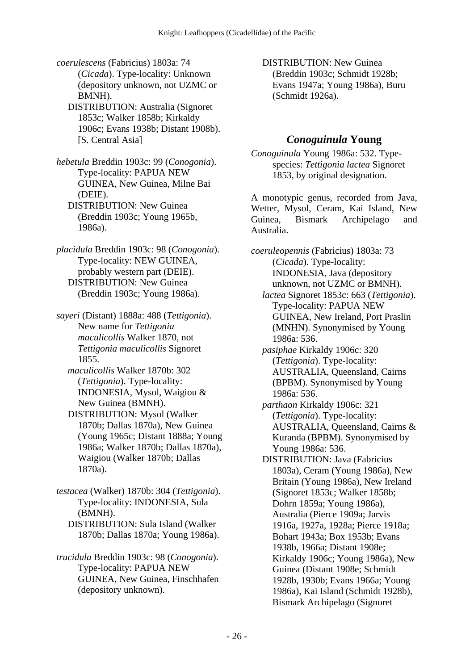*coerulescens* (Fabricius) 1803a: 74 (*Cicada*). Type-locality: Unknown (depository unknown, not UZMC or BMNH).

 DISTRIBUTION: Australia (Signoret 1853c; Walker 1858b; Kirkaldy 1906c; Evans 1938b; Distant 1908b). [S. Central Asia]

*hebetula* Breddin 1903c: 99 (*Conogonia*). Type-locality: PAPUA NEW GUINEA, New Guinea, Milne Bai (DEIE).

 DISTRIBUTION: New Guinea (Breddin 1903c; Young 1965b, 1986a).

*placidula* Breddin 1903c: 98 (*Conogonia*). Type-locality: NEW GUINEA, probably western part (DEIE). DISTRIBUTION: New Guinea (Breddin 1903c; Young 1986a).

*sayeri* (Distant) 1888a: 488 (*Tettigonia*). New name for *Tettigonia maculicollis* Walker 1870, not *Tettigonia maculicollis* Signoret 1855.

 *maculicollis* Walker 1870b: 302 (*Tettigonia*). Type-locality: INDONESIA, Mysol, Waigiou & New Guinea (BMNH).

 DISTRIBUTION: Mysol (Walker 1870b; Dallas 1870a), New Guinea (Young 1965c; Distant 1888a; Young 1986a; Walker 1870b; Dallas 1870a), Waigiou (Walker 1870b; Dallas 1870a).

*testacea* (Walker) 1870b: 304 (*Tettigonia*). Type-locality: INDONESIA, Sula (BMNH). DISTRIBUTION: Sula Island (Walker

1870b; Dallas 1870a; Young 1986a).

*trucidula* Breddin 1903c: 98 (*Conogonia*). Type-locality: PAPUA NEW GUINEA, New Guinea, Finschhafen (depository unknown).

 DISTRIBUTION: New Guinea (Breddin 1903c; Schmidt 1928b; Evans 1947a; Young 1986a), Buru (Schmidt 1926a).

# *Conoguinula* **Young**

*Conoguinula* Young 1986a: 532. Typespecies: *Tettigonia lactea* Signoret 1853, by original designation.

A monotypic genus, recorded from Java, Wetter, Mysol, Ceram, Kai Island, New Guinea, Bismark Archipelago and Australia.

*coeruleopennis* (Fabricius) 1803a: 73 (*Cicada*). Type-locality: INDONESIA, Java (depository unknown, not UZMC or BMNH).  *lactea* Signoret 1853c: 663 (*Tettigonia*). Type-locality: PAPUA NEW GUINEA, New Ireland, Port Praslin (MNHN). Synonymised by Young 1986a: 536.  *pasiphae* Kirkaldy 1906c: 320 (*Tettigonia*). Type-locality: AUSTRALIA, Queensland, Cairns (BPBM). Synonymised by Young 1986a: 536.  *parthaon* Kirkaldy 1906c: 321 (*Tettigonia*). Type-locality: AUSTRALIA, Queensland, Cairns & Kuranda (BPBM). Synonymised by Young 1986a: 536. DISTRIBUTION: Java (Fabricius 1803a), Ceram (Young 1986a), New Britain (Young 1986a), New Ireland (Signoret 1853c; Walker 1858b; Dohrn 1859a; Young 1986a), Australia (Pierce 1909a; Jarvis 1916a, 1927a, 1928a; Pierce 1918a; Bohart 1943a; Box 1953b; Evans 1938b, 1966a; Distant 1908e; Kirkaldy 1906c; Young 1986a), New Guinea (Distant 1908e; Schmidt 1928b, 1930b; Evans 1966a; Young 1986a), Kai Island (Schmidt 1928b), Bismark Archipelago (Signoret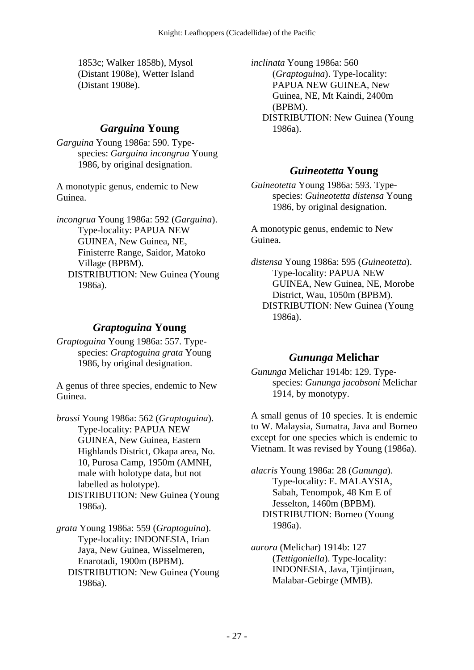1853c; Walker 1858b), Mysol (Distant 1908e), Wetter Island (Distant 1908e).

### *Garguina* **Young**

*Garguina* Young 1986a: 590. Typespecies: *Garguina incongrua* Young 1986, by original designation.

A monotypic genus, endemic to New Guinea.

*incongrua* Young 1986a: 592 (*Garguina*). Type-locality: PAPUA NEW GUINEA, New Guinea, NE, Finisterre Range, Saidor, Matoko Village (BPBM). DISTRIBUTION: New Guinea (Young 1986a).

## *Graptoguina* **Young**

*Graptoguina* Young 1986a: 557. Typespecies: *Graptoguina grata* Young 1986, by original designation.

A genus of three species, endemic to New Guinea.

*brassi* Young 1986a: 562 (*Graptoguina*). Type-locality: PAPUA NEW GUINEA, New Guinea, Eastern Highlands District, Okapa area, No. 10, Purosa Camp, 1950m (AMNH, male with holotype data, but not labelled as holotype). DISTRIBUTION: New Guinea (Young 1986a).

*grata* Young 1986a: 559 (*Graptoguina*). Type-locality: INDONESIA, Irian Jaya, New Guinea, Wisselmeren, Enarotadi, 1900m (BPBM). DISTRIBUTION: New Guinea (Young 1986a).

*inclinata* Young 1986a: 560 (*Graptoguina*). Type-locality: PAPUA NEW GUINEA, New Guinea, NE, Mt Kaindi, 2400m (BPBM). DISTRIBUTION: New Guinea (Young 1986a).

## *Guineotetta* **Young**

*Guineotetta* Young 1986a: 593. Typespecies: *Guineotetta distensa* Young 1986, by original designation.

A monotypic genus, endemic to New Guinea.

*distensa* Young 1986a: 595 (*Guineotetta*). Type-locality: PAPUA NEW GUINEA, New Guinea, NE, Morobe District, Wau, 1050m (BPBM). DISTRIBUTION: New Guinea (Young 1986a).

# *Gununga* **Melichar**

*Gununga* Melichar 1914b: 129. Typespecies: *Gununga jacobsoni* Melichar 1914, by monotypy.

A small genus of 10 species. It is endemic to W. Malaysia, Sumatra, Java and Borneo except for one species which is endemic to Vietnam. It was revised by Young (1986a).

*alacris* Young 1986a: 28 (*Gununga*). Type-locality: E. MALAYSIA, Sabah, Tenompok, 48 Km E of Jesselton, 1460m (BPBM). DISTRIBUTION: Borneo (Young 1986a).

*aurora* (Melichar) 1914b: 127 (*Tettigoniella*). Type-locality: INDONESIA, Java, Tjintjiruan, Malabar-Gebirge (MMB).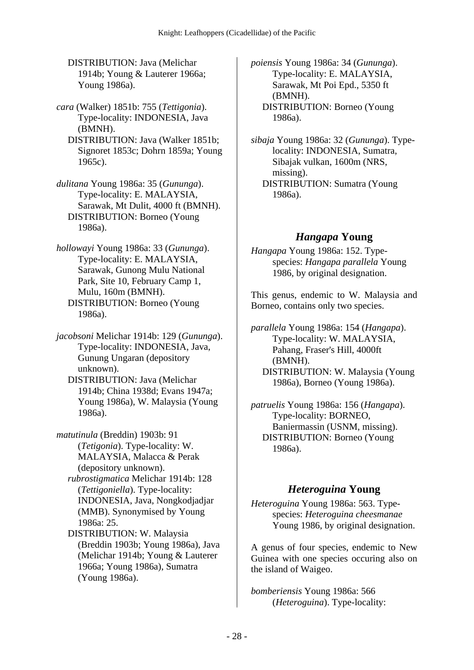DISTRIBUTION: Java (Melichar 1914b; Young & Lauterer 1966a; Young 1986a).

*cara* (Walker) 1851b: 755 (*Tettigonia*). Type-locality: INDONESIA, Java (BMNH).

 DISTRIBUTION: Java (Walker 1851b; Signoret 1853c; Dohrn 1859a; Young 1965c).

*dulitana* Young 1986a: 35 (*Gununga*). Type-locality: E. MALAYSIA, Sarawak, Mt Dulit, 4000 ft (BMNH). DISTRIBUTION: Borneo (Young 1986a).

*hollowayi* Young 1986a: 33 (*Gununga*). Type-locality: E. MALAYSIA, Sarawak, Gunong Mulu National Park, Site 10, February Camp 1, Mulu, 160m (BMNH). DISTRIBUTION: Borneo (Young 1986a).

*jacobsoni* Melichar 1914b: 129 (*Gununga*). Type-locality: INDONESIA, Java, Gunung Ungaran (depository unknown).

 DISTRIBUTION: Java (Melichar 1914b; China 1938d; Evans 1947a; Young 1986a), W. Malaysia (Young 1986a).

*matutinula* (Breddin) 1903b: 91 (*Tetigonia*). Type-locality: W. MALAYSIA, Malacca & Perak (depository unknown).

 *rubrostigmatica* Melichar 1914b: 128 (*Tettigoniella*). Type-locality: INDONESIA, Java, Nongkodjadjar (MMB). Synonymised by Young 1986a: 25.

 DISTRIBUTION: W. Malaysia (Breddin 1903b; Young 1986a), Java (Melichar 1914b; Young & Lauterer 1966a; Young 1986a), Sumatra (Young 1986a).

*poiensis* Young 1986a: 34 (*Gununga*). Type-locality: E. MALAYSIA, Sarawak, Mt Poi Epd., 5350 ft (BMNH). DISTRIBUTION: Borneo (Young 1986a).

*sibaja* Young 1986a: 32 (*Gununga*). Typelocality: INDONESIA, Sumatra, Sibajak vulkan, 1600m (NRS, missing). DISTRIBUTION: Sumatra (Young 1986a).

# *Hangapa* **Young**

*Hangapa* Young 1986a: 152. Typespecies: *Hangapa parallela* Young 1986, by original designation.

This genus, endemic to W. Malaysia and Borneo, contains only two species.

*parallela* Young 1986a: 154 (*Hangapa*). Type-locality: W. MALAYSIA, Pahang, Fraser's Hill, 4000ft (BMNH). DISTRIBUTION: W. Malaysia (Young 1986a), Borneo (Young 1986a).

*patruelis* Young 1986a: 156 (*Hangapa*). Type-locality: BORNEO, Baniermassin (USNM, missing). DISTRIBUTION: Borneo (Young 1986a).

## *Heteroguina* **Young**

*Heteroguina* Young 1986a: 563. Typespecies: *Heteroguina cheesmanae* Young 1986, by original designation.

A genus of four species, endemic to New Guinea with one species occuring also on the island of Waigeo.

*bomberiensis* Young 1986a: 566 (*Heteroguina*). Type-locality: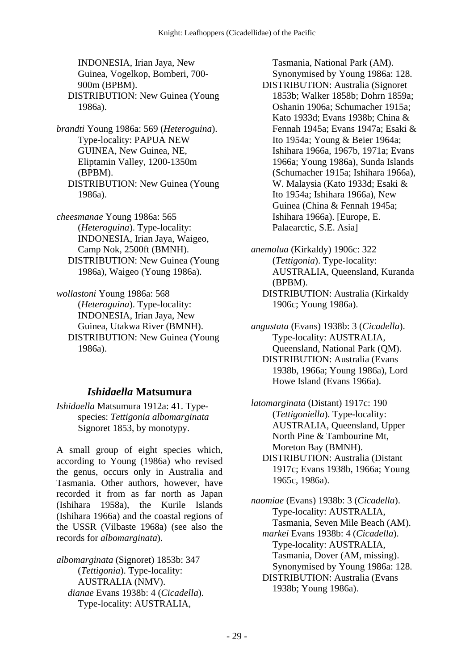INDONESIA, Irian Jaya, New Guinea, Vogelkop, Bomberi, 700- 900m (BPBM). DISTRIBUTION: New Guinea (Young 1986a).

*brandti* Young 1986a: 569 (*Heteroguina*). Type-locality: PAPUA NEW GUINEA, New Guinea, NE, Eliptamin Valley, 1200-1350m (BPBM). DISTRIBUTION: New Guinea (Young 1986a).

*cheesmanae* Young 1986a: 565 (*Heteroguina*). Type-locality: INDONESIA, Irian Jaya, Waigeo, Camp Nok, 2500ft (BMNH). DISTRIBUTION: New Guinea (Young 1986a), Waigeo (Young 1986a).

*wollastoni* Young 1986a: 568 (*Heteroguina*). Type-locality: INDONESIA, Irian Jaya, New Guinea, Utakwa River (BMNH). DISTRIBUTION: New Guinea (Young 1986a).

## *Ishidaella* **Matsumura**

*Ishidaella* Matsumura 1912a: 41. Typespecies: *Tettigonia albomarginata* Signoret 1853, by monotypy.

A small group of eight species which, according to Young (1986a) who revised the genus, occurs only in Australia and Tasmania. Other authors, however, have recorded it from as far north as Japan (Ishihara 1958a), the Kurile Islands (Ishihara 1966a) and the coastal regions of the USSR (Vilbaste 1968a) (see also the records for *albomarginata*).

*albomarginata* (Signoret) 1853b: 347 (*Tettigonia*). Type-locality: AUSTRALIA (NMV).  *dianae* Evans 1938b: 4 (*Cicadella*). Type-locality: AUSTRALIA,

Tasmania, National Park (AM). Synonymised by Young 1986a: 128. DISTRIBUTION: Australia (Signoret 1853b; Walker 1858b; Dohrn 1859a; Oshanin 1906a; Schumacher 1915a; Kato 1933d; Evans 1938b; China & Fennah 1945a; Evans 1947a; Esaki & Ito 1954a; Young & Beier 1964a; Ishihara 1966a, 1967b, 1971a; Evans 1966a; Young 1986a), Sunda Islands (Schumacher 1915a; Ishihara 1966a), W. Malaysia (Kato 1933d; Esaki & Ito 1954a; Ishihara 1966a), New Guinea (China & Fennah 1945a; Ishihara 1966a). [Europe, E. Palaearctic, S.E. Asia]

*anemolua* (Kirkaldy) 1906c: 322 (*Tettigonia*). Type-locality: AUSTRALIA, Queensland, Kuranda (BPBM). DISTRIBUTION: Australia (Kirkaldy 1906c; Young 1986a).

*angustata* (Evans) 1938b: 3 (*Cicadella*). Type-locality: AUSTRALIA, Queensland, National Park (QM). DISTRIBUTION: Australia (Evans 1938b, 1966a; Young 1986a), Lord Howe Island (Evans 1966a).

*latomarginata* (Distant) 1917c: 190 (*Tettigoniella*). Type-locality: AUSTRALIA, Queensland, Upper North Pine & Tambourine Mt, Moreton Bay (BMNH). DISTRIBUTION: Australia (Distant 1917c; Evans 1938b, 1966a; Young 1965c, 1986a).

*naomiae* (Evans) 1938b: 3 (*Cicadella*). Type-locality: AUSTRALIA, Tasmania, Seven Mile Beach (AM).  *markei* Evans 1938b: 4 (*Cicadella*). Type-locality: AUSTRALIA, Tasmania, Dover (AM, missing). Synonymised by Young 1986a: 128. DISTRIBUTION: Australia (Evans 1938b; Young 1986a).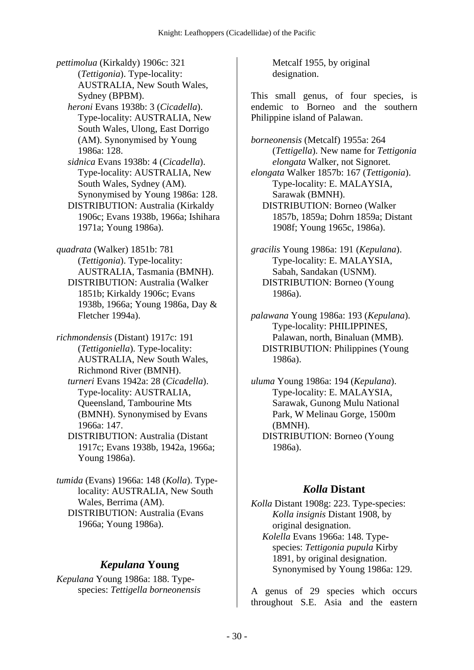*pettimolua* (Kirkaldy) 1906c: 321 (*Tettigonia*). Type-locality: AUSTRALIA, New South Wales, Sydney (BPBM).  *heroni* Evans 1938b: 3 (*Cicadella*). Type-locality: AUSTRALIA, New South Wales, Ulong, East Dorrigo (AM). Synonymised by Young 1986a: 128.  *sidnica* Evans 1938b: 4 (*Cicadella*). Type-locality: AUSTRALIA, New South Wales, Sydney (AM). Synonymised by Young 1986a: 128. DISTRIBUTION: Australia (Kirkaldy 1906c; Evans 1938b, 1966a; Ishihara 1971a; Young 1986a).

*quadrata* (Walker) 1851b: 781 (*Tettigonia*). Type-locality: AUSTRALIA, Tasmania (BMNH). DISTRIBUTION: Australia (Walker 1851b; Kirkaldy 1906c; Evans 1938b, 1966a; Young 1986a, Day & Fletcher 1994a).

*richmondensis* (Distant) 1917c: 191 (*Tettigoniella*). Type-locality: AUSTRALIA, New South Wales, Richmond River (BMNH).  *turneri* Evans 1942a: 28 (*Cicadella*). Type-locality: AUSTRALIA, Queensland, Tambourine Mts (BMNH). Synonymised by Evans 1966a: 147. DISTRIBUTION: Australia (Distant 1917c; Evans 1938b, 1942a, 1966a;

Young 1986a).

*tumida* (Evans) 1966a: 148 (*Kolla*). Typelocality: AUSTRALIA, New South Wales, Berrima (AM). DISTRIBUTION: Australia (Evans 1966a; Young 1986a).

# *Kepulana* **Young**

*Kepulana* Young 1986a: 188. Typespecies: *Tettigella borneonensis* Metcalf 1955, by original designation.

This small genus, of four species, is endemic to Borneo and the southern Philippine island of Palawan.

*borneonensis* (Metcalf) 1955a: 264 (*Tettigella*). New name for *Tettigonia elongata* Walker, not Signoret.

*elongata* Walker 1857b: 167 (*Tettigonia*). Type-locality: E. MALAYSIA, Sarawak (BMNH). DISTRIBUTION: Borneo (Walker 1857b, 1859a; Dohrn 1859a; Distant 1908f; Young 1965c, 1986a).

*gracilis* Young 1986a: 191 (*Kepulana*). Type-locality: E. MALAYSIA, Sabah, Sandakan (USNM). DISTRIBUTION: Borneo (Young 1986a).

*palawana* Young 1986a: 193 (*Kepulana*). Type-locality: PHILIPPINES, Palawan, north, Binaluan (MMB). DISTRIBUTION: Philippines (Young 1986a).

*uluma* Young 1986a: 194 (*Kepulana*). Type-locality: E. MALAYSIA, Sarawak, Gunong Mulu National Park, W Melinau Gorge, 1500m (BMNH). DISTRIBUTION: Borneo (Young 1986a).

## *Kolla* **Distant**

*Kolla* Distant 1908g: 223. Type-species: *Kolla insignis* Distant 1908, by original designation.  *Kolella* Evans 1966a: 148. Typespecies: *Tettigonia pupula* Kirby 1891, by original designation. Synonymised by Young 1986a: 129.

A genus of 29 species which occurs throughout S.E. Asia and the eastern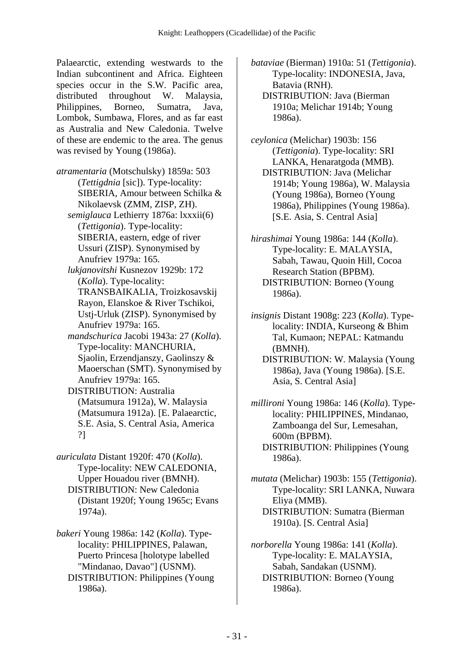Palaearctic, extending westwards to the Indian subcontinent and Africa. Eighteen species occur in the S.W. Pacific area, distributed throughout W. Malaysia, Philippines, Borneo, Sumatra, Java, Lombok, Sumbawa, Flores, and as far east as Australia and New Caledonia. Twelve of these are endemic to the area. The genus was revised by Young (1986a).

*atramentaria* (Motschulsky) 1859a: 503 (*Tettigdnia* [sic]). Type-locality: SIBERIA, Amour between Schilka & Nikolaevsk (ZMM, ZISP, ZH).  *semiglauca* Lethierry 1876a: lxxxii(6) (*Tettigonia*). Type-locality: SIBERIA, eastern, edge of river Ussuri (ZISP). Synonymised by Anufriev 1979a: 165.  *lukjanovitshi* Kusnezov 1929b: 172 (*Kolla*). Type-locality: TRANSBAIKALIA, Troizkosavskij Rayon, Elanskoe & River Tschikoi, Ustj-Urluk (ZISP). Synonymised by Anufriev 1979a: 165.  *mandschurica* Jacobi 1943a: 27 (*Kolla*). Type-locality: MANCHURIA, Sjaolin, Erzendjanszy, Gaolinszy & Maoerschan (SMT). Synonymised by Anufriev 1979a: 165.

 DISTRIBUTION: Australia (Matsumura 1912a), W. Malaysia (Matsumura 1912a). [E. Palaearctic, S.E. Asia, S. Central Asia, America ?]

- *auriculata* Distant 1920f: 470 (*Kolla*). Type-locality: NEW CALEDONIA, Upper Houadou river (BMNH). DISTRIBUTION: New Caledonia (Distant 1920f; Young 1965c; Evans 1974a).
- *bakeri* Young 1986a: 142 (*Kolla*). Typelocality: PHILIPPINES, Palawan, Puerto Princesa [holotype labelled "Mindanao, Davao"] (USNM). DISTRIBUTION: Philippines (Young 1986a).

*bataviae* (Bierman) 1910a: 51 (*Tettigonia*). Type-locality: INDONESIA, Java, Batavia (RNH). DISTRIBUTION: Java (Bierman

1910a; Melichar 1914b; Young 1986a).

*ceylonica* (Melichar) 1903b: 156 (*Tettigonia*). Type-locality: SRI LANKA, Henaratgoda (MMB). DISTRIBUTION: Java (Melichar 1914b; Young 1986a), W. Malaysia (Young 1986a), Borneo (Young 1986a), Philippines (Young 1986a). [S.E. Asia, S. Central Asia]

*hirashimai* Young 1986a: 144 (*Kolla*). Type-locality: E. MALAYSIA, Sabah, Tawau, Quoin Hill, Cocoa Research Station (BPBM). DISTRIBUTION: Borneo (Young 1986a).

*insignis* Distant 1908g: 223 (*Kolla*). Typelocality: INDIA, Kurseong & Bhim Tal, Kumaon; NEPAL: Katmandu (BMNH).

 DISTRIBUTION: W. Malaysia (Young 1986a), Java (Young 1986a). [S.E. Asia, S. Central Asia]

*millironi* Young 1986a: 146 (*Kolla*). Typelocality: PHILIPPINES, Mindanao, Zamboanga del Sur, Lemesahan, 600m (BPBM). DISTRIBUTION: Philippines (Young 1986a).

*mutata* (Melichar) 1903b: 155 (*Tettigonia*). Type-locality: SRI LANKA, Nuwara Eliya (MMB). DISTRIBUTION: Sumatra (Bierman 1910a). [S. Central Asia]

*norborella* Young 1986a: 141 (*Kolla*). Type-locality: E. MALAYSIA, Sabah, Sandakan (USNM). DISTRIBUTION: Borneo (Young 1986a).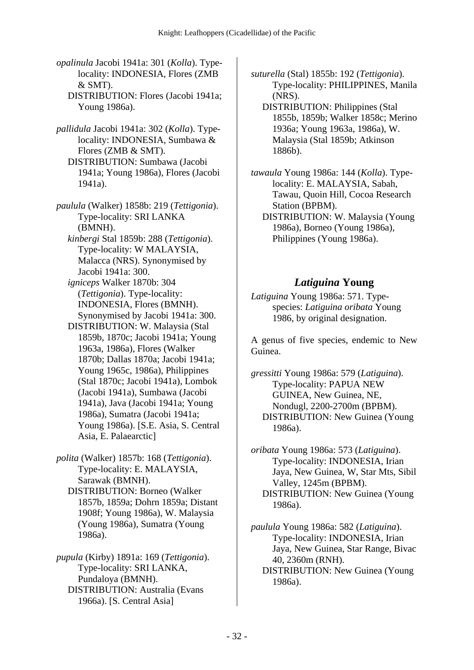- *opalinula* Jacobi 1941a: 301 (*Kolla*). Typelocality: INDONESIA, Flores (ZMB  $&$  SMT).
	- DISTRIBUTION: Flores (Jacobi 1941a; Young 1986a).
- *pallidula* Jacobi 1941a: 302 (*Kolla*). Typelocality: INDONESIA, Sumbawa & Flores (ZMB & SMT). DISTRIBUTION: Sumbawa (Jacobi 1941a; Young 1986a), Flores (Jacobi 1941a).
- *paulula* (Walker) 1858b: 219 (*Tettigonia*). Type-locality: SRI LANKA (BMNH).
	- *kinbergi* Stal 1859b: 288 (*Tettigonia*). Type-locality: W MALAYSIA, Malacca (NRS). Synonymised by Jacobi 1941a: 300.
	- *igniceps* Walker 1870b: 304 (*Tettigonia*). Type-locality: INDONESIA, Flores (BMNH). Synonymised by Jacobi 1941a: 300.
	- DISTRIBUTION: W. Malaysia (Stal 1859b, 1870c; Jacobi 1941a; Young 1963a, 1986a), Flores (Walker 1870b; Dallas 1870a; Jacobi 1941a; Young 1965c, 1986a), Philippines (Stal 1870c; Jacobi 1941a), Lombok (Jacobi 1941a), Sumbawa (Jacobi 1941a), Java (Jacobi 1941a; Young 1986a), Sumatra (Jacobi 1941a; Young 1986a). [S.E. Asia, S. Central Asia, E. Palaearctic]
- *polita* (Walker) 1857b: 168 (*Tettigonia*). Type-locality: E. MALAYSIA, Sarawak (BMNH). DISTRIBUTION: Borneo (Walker 1857b, 1859a; Dohrn 1859a; Distant 1908f; Young 1986a), W. Malaysia (Young 1986a), Sumatra (Young 1986a).

*pupula* (Kirby) 1891a: 169 (*Tettigonia*). Type-locality: SRI LANKA, Pundaloya (BMNH). DISTRIBUTION: Australia (Evans 1966a). [S. Central Asia]

*suturella* (Stal) 1855b: 192 (*Tettigonia*). Type-locality: PHILIPPINES, Manila (NRS).

 DISTRIBUTION: Philippines (Stal 1855b, 1859b; Walker 1858c; Merino 1936a; Young 1963a, 1986a), W. Malaysia (Stal 1859b; Atkinson 1886b).

- *tawaula* Young 1986a: 144 (*Kolla*). Typelocality: E. MALAYSIA, Sabah, Tawau, Quoin Hill, Cocoa Research Station (BPBM).
	- DISTRIBUTION: W. Malaysia (Young 1986a), Borneo (Young 1986a), Philippines (Young 1986a).

## *Latiguina* **Young**

*Latiguina* Young 1986a: 571. Typespecies: *Latiguina oribata* Young 1986, by original designation.

A genus of five species, endemic to New Guinea.

*gressitti* Young 1986a: 579 (*Latiguina*). Type-locality: PAPUA NEW GUINEA, New Guinea, NE, Nondugl, 2200-2700m (BPBM). DISTRIBUTION: New Guinea (Young 1986a).

*oribata* Young 1986a: 573 (*Latiguina*). Type-locality: INDONESIA, Irian Jaya, New Guinea, W, Star Mts, Sibil Valley, 1245m (BPBM). DISTRIBUTION: New Guinea (Young 1986a).

*paulula* Young 1986a: 582 (*Latiguina*). Type-locality: INDONESIA, Irian Jaya, New Guinea, Star Range, Bivac 40, 2360m (RNH). DISTRIBUTION: New Guinea (Young 1986a).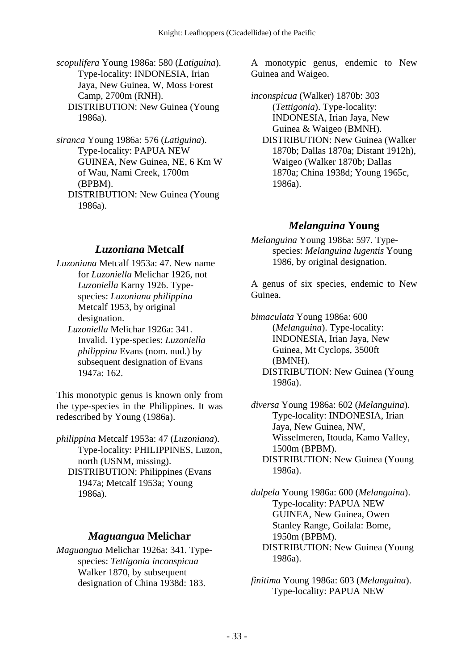*scopulifera* Young 1986a: 580 (*Latiguina*). Type-locality: INDONESIA, Irian Jaya, New Guinea, W, Moss Forest Camp, 2700m (RNH). DISTRIBUTION: New Guinea (Young 1986a).

*siranca* Young 1986a: 576 (*Latiguina*). Type-locality: PAPUA NEW GUINEA, New Guinea, NE, 6 Km W of Wau, Nami Creek, 1700m (BPBM). DISTRIBUTION: New Guinea (Young 1986a).

### *Luzoniana* **Metcalf**

*Luzoniana* Metcalf 1953a: 47. New name for *Luzoniella* Melichar 1926, not *Luzoniella* Karny 1926. Typespecies: *Luzoniana philippina* Metcalf 1953, by original designation.

 *Luzoniella* Melichar 1926a: 341. Invalid. Type-species: *Luzoniella philippina* Evans (nom. nud.) by subsequent designation of Evans 1947a: 162.

This monotypic genus is known only from the type-species in the Philippines. It was redescribed by Young (1986a).

*philippina* Metcalf 1953a: 47 (*Luzoniana*). Type-locality: PHILIPPINES, Luzon, north (USNM, missing). DISTRIBUTION: Philippines (Evans 1947a; Metcalf 1953a; Young 1986a).

#### *Maguangua* **Melichar**

*Maguangua* Melichar 1926a: 341. Typespecies: *Tettigonia inconspicua* Walker 1870, by subsequent designation of China 1938d: 183.

A monotypic genus, endemic to New Guinea and Waigeo.

*inconspicua* (Walker) 1870b: 303 (*Tettigonia*). Type-locality: INDONESIA, Irian Jaya, New Guinea & Waigeo (BMNH). DISTRIBUTION: New Guinea (Walker 1870b; Dallas 1870a; Distant 1912h), Waigeo (Walker 1870b; Dallas 1870a; China 1938d; Young 1965c, 1986a).

#### *Melanguina* **Young**

*Melanguina* Young 1986a: 597. Typespecies: *Melanguina lugentis* Young 1986, by original designation.

A genus of six species, endemic to New Guinea.

*bimaculata* Young 1986a: 600 (*Melanguina*). Type-locality: INDONESIA, Irian Jaya, New Guinea, Mt Cyclops, 3500ft (BMNH). DISTRIBUTION: New Guinea (Young 1986a).

*diversa* Young 1986a: 602 (*Melanguina*). Type-locality: INDONESIA, Irian Jaya, New Guinea, NW, Wisselmeren, Itouda, Kamo Valley, 1500m (BPBM). DISTRIBUTION: New Guinea (Young 1986a).

*dulpela* Young 1986a: 600 (*Melanguina*). Type-locality: PAPUA NEW GUINEA, New Guinea, Owen Stanley Range, Goilala: Bome, 1950m (BPBM). DISTRIBUTION: New Guinea (Young 1986a).

*finitima* Young 1986a: 603 (*Melanguina*). Type-locality: PAPUA NEW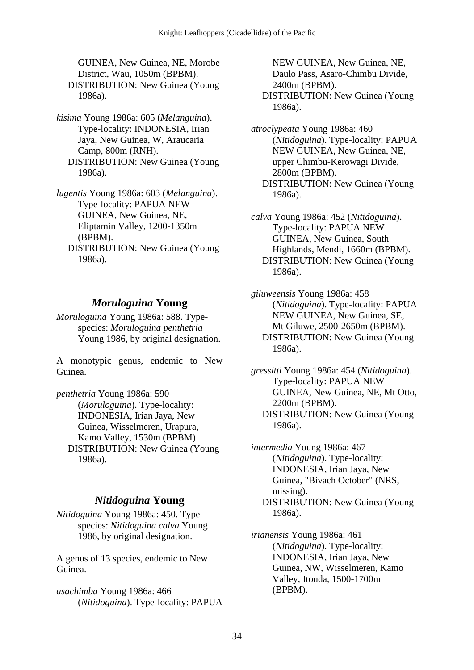GUINEA, New Guinea, NE, Morobe District, Wau, 1050m (BPBM). DISTRIBUTION: New Guinea (Young 1986a).

*kisima* Young 1986a: 605 (*Melanguina*). Type-locality: INDONESIA, Irian Jaya, New Guinea, W, Araucaria Camp, 800m (RNH). DISTRIBUTION: New Guinea (Young 1986a).

*lugentis* Young 1986a: 603 (*Melanguina*). Type-locality: PAPUA NEW GUINEA, New Guinea, NE, Eliptamin Valley, 1200-1350m (BPBM). DISTRIBUTION: New Guinea (Young 1986a).

## *Moruloguina* **Young**

*Moruloguina* Young 1986a: 588. Typespecies: *Moruloguina penthetria* Young 1986, by original designation.

A monotypic genus, endemic to New Guinea.

*penthetria* Young 1986a: 590 (*Moruloguina*). Type-locality: INDONESIA, Irian Jaya, New Guinea, Wisselmeren, Urapura, Kamo Valley, 1530m (BPBM). DISTRIBUTION: New Guinea (Young 1986a).

## *Nitidoguina* **Young**

*Nitidoguina* Young 1986a: 450. Typespecies: *Nitidoguina calva* Young 1986, by original designation.

A genus of 13 species, endemic to New Guinea.

*asachimba* Young 1986a: 466 (*Nitidoguina*). Type-locality: PAPUA

NEW GUINEA, New Guinea, NE, Daulo Pass, Asaro-Chimbu Divide, 2400m (BPBM). DISTRIBUTION: New Guinea (Young 1986a).

*atroclypeata* Young 1986a: 460 (*Nitidoguina*). Type-locality: PAPUA NEW GUINEA, New Guinea, NE, upper Chimbu-Kerowagi Divide, 2800m (BPBM). DISTRIBUTION: New Guinea (Young 1986a).

*calva* Young 1986a: 452 (*Nitidoguina*). Type-locality: PAPUA NEW GUINEA, New Guinea, South Highlands, Mendi, 1660m (BPBM). DISTRIBUTION: New Guinea (Young 1986a).

*giluweensis* Young 1986a: 458 (*Nitidoguina*). Type-locality: PAPUA NEW GUINEA, New Guinea, SE, Mt Giluwe, 2500-2650m (BPBM). DISTRIBUTION: New Guinea (Young 1986a).

*gressitti* Young 1986a: 454 (*Nitidoguina*). Type-locality: PAPUA NEW GUINEA, New Guinea, NE, Mt Otto, 2200m (BPBM). DISTRIBUTION: New Guinea (Young 1986a).

*intermedia* Young 1986a: 467 (*Nitidoguina*). Type-locality: INDONESIA, Irian Jaya, New Guinea, "Bivach October" (NRS, missing). DISTRIBUTION: New Guinea (Young 1986a).

*irianensis* Young 1986a: 461 (*Nitidoguina*). Type-locality: INDONESIA, Irian Jaya, New Guinea, NW, Wisselmeren, Kamo Valley, Itouda, 1500-1700m (BPBM).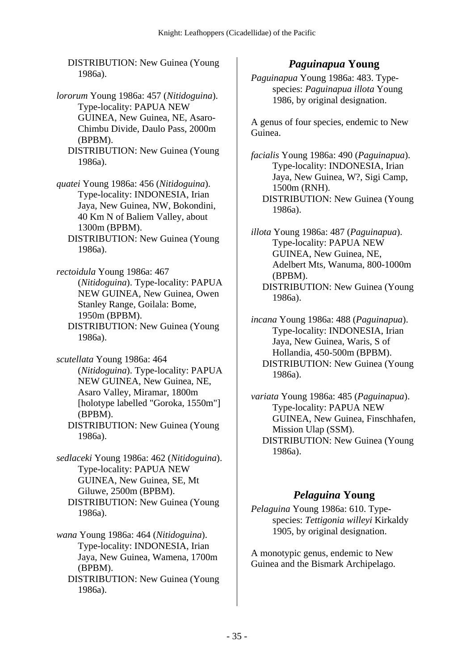DISTRIBUTION: New Guinea (Young 1986a).

- *lororum* Young 1986a: 457 (*Nitidoguina*). Type-locality: PAPUA NEW GUINEA, New Guinea, NE, Asaro-Chimbu Divide, Daulo Pass, 2000m (BPBM).
	- DISTRIBUTION: New Guinea (Young 1986a).
- *quatei* Young 1986a: 456 (*Nitidoguina*). Type-locality: INDONESIA, Irian Jaya, New Guinea, NW, Bokondini, 40 Km N of Baliem Valley, about 1300m (BPBM).
	- DISTRIBUTION: New Guinea (Young 1986a).
- *rectoidula* Young 1986a: 467 (*Nitidoguina*). Type-locality: PAPUA NEW GUINEA, New Guinea, Owen Stanley Range, Goilala: Bome, 1950m (BPBM).
	- DISTRIBUTION: New Guinea (Young 1986a).
- *scutellata* Young 1986a: 464 (*Nitidoguina*). Type-locality: PAPUA NEW GUINEA, New Guinea, NE, Asaro Valley, Miramar, 1800m [holotype labelled "Goroka, 1550m"] (BPBM). DISTRIBUTION: New Guinea (Young
	- 1986a).
- *sedlaceki* Young 1986a: 462 (*Nitidoguina*). Type-locality: PAPUA NEW GUINEA, New Guinea, SE, Mt Giluwe, 2500m (BPBM). DISTRIBUTION: New Guinea (Young 1986a).
- *wana* Young 1986a: 464 (*Nitidoguina*). Type-locality: INDONESIA, Irian Jaya, New Guinea, Wamena, 1700m (BPBM).
	- DISTRIBUTION: New Guinea (Young 1986a).

### *Paguinapua* **Young**

*Paguinapua* Young 1986a: 483. Typespecies: *Paguinapua illota* Young 1986, by original designation.

A genus of four species, endemic to New Guinea.

*facialis* Young 1986a: 490 (*Paguinapua*). Type-locality: INDONESIA, Irian Jaya, New Guinea, W?, Sigi Camp, 1500m (RNH). DISTRIBUTION: New Guinea (Young 1986a).

*illota* Young 1986a: 487 (*Paguinapua*). Type-locality: PAPUA NEW GUINEA, New Guinea, NE, Adelbert Mts, Wanuma, 800-1000m (BPBM). DISTRIBUTION: New Guinea (Young 1986a).

*incana* Young 1986a: 488 (*Paguinapua*). Type-locality: INDONESIA, Irian Jaya, New Guinea, Waris, S of Hollandia, 450-500m (BPBM). DISTRIBUTION: New Guinea (Young 1986a).

*variata* Young 1986a: 485 (*Paguinapua*). Type-locality: PAPUA NEW GUINEA, New Guinea, Finschhafen, Mission Ulap (SSM). DISTRIBUTION: New Guinea (Young 1986a).

### *Pelaguina* **Young**

*Pelaguina* Young 1986a: 610. Typespecies: *Tettigonia willeyi* Kirkaldy 1905, by original designation.

A monotypic genus, endemic to New Guinea and the Bismark Archipelago.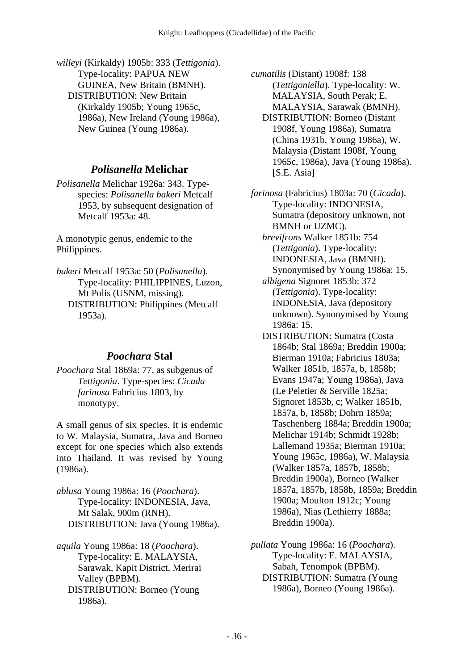*willeyi* (Kirkaldy) 1905b: 333 (*Tettigonia*). Type-locality: PAPUA NEW GUINEA, New Britain (BMNH). DISTRIBUTION: New Britain (Kirkaldy 1905b; Young 1965c, 1986a), New Ireland (Young 1986a), New Guinea (Young 1986a).

## *Polisanella* **Melichar**

*Polisanella* Melichar 1926a: 343. Typespecies: *Polisanella bakeri* Metcalf 1953, by subsequent designation of Metcalf 1953a: 48.

A monotypic genus, endemic to the Philippines.

*bakeri* Metcalf 1953a: 50 (*Polisanella*). Type-locality: PHILIPPINES, Luzon, Mt Polis (USNM, missing). DISTRIBUTION: Philippines (Metcalf 1953a).

# *Poochara* **Stal**

*Poochara* Stal 1869a: 77, as subgenus of *Tettigonia*. Type-species: *Cicada farinosa* Fabricius 1803, by monotypy.

A small genus of six species. It is endemic to W. Malaysia, Sumatra, Java and Borneo except for one species which also extends into Thailand. It was revised by Young (1986a).

*ablusa* Young 1986a: 16 (*Poochara*). Type-locality: INDONESIA, Java, Mt Salak, 900m (RNH). DISTRIBUTION: Java (Young 1986a).

*aquila* Young 1986a: 18 (*Poochara*). Type-locality: E. MALAYSIA, Sarawak, Kapit District, Merirai Valley (BPBM). DISTRIBUTION: Borneo (Young 1986a).

*cumatilis* (Distant) 1908f: 138 (*Tettigoniella*). Type-locality: W. MALAYSIA, South Perak; E. MALAYSIA, Sarawak (BMNH). DISTRIBUTION: Borneo (Distant 1908f, Young 1986a), Sumatra (China 1931b, Young 1986a), W. Malaysia (Distant 1908f, Young 1965c, 1986a), Java (Young 1986a). [S.E. Asia]

*farinosa* (Fabricius) 1803a: 70 (*Cicada*). Type-locality: INDONESIA, Sumatra (depository unknown, not BMNH or UZMC).

 *brevifrons* Walker 1851b: 754 (*Tettigonia*). Type-locality: INDONESIA, Java (BMNH). Synonymised by Young 1986a: 15.

 *albigena* Signoret 1853b: 372 (*Tettigonia*). Type-locality: INDONESIA, Java (depository unknown). Synonymised by Young 1986a: 15.

 DISTRIBUTION: Sumatra (Costa 1864b; Stal 1869a; Breddin 1900a; Bierman 1910a; Fabricius 1803a; Walker 1851b, 1857a, b, 1858b; Evans 1947a; Young 1986a), Java (Le Peletier & Serville 1825a; Signoret 1853b, c; Walker 1851b, 1857a, b, 1858b; Dohrn 1859a; Taschenberg 1884a; Breddin 1900a; Melichar 1914b; Schmidt 1928b; Lallemand 1935a; Bierman 1910a; Young 1965c, 1986a), W. Malaysia (Walker 1857a, 1857b, 1858b; Breddin 1900a), Borneo (Walker 1857a, 1857b, 1858b, 1859a; Breddin 1900a; Moulton 1912c; Young 1986a), Nias (Lethierry 1888a; Breddin 1900a).

*pullata* Young 1986a: 16 (*Poochara*). Type-locality: E. MALAYSIA, Sabah, Tenompok (BPBM). DISTRIBUTION: Sumatra (Young 1986a), Borneo (Young 1986a).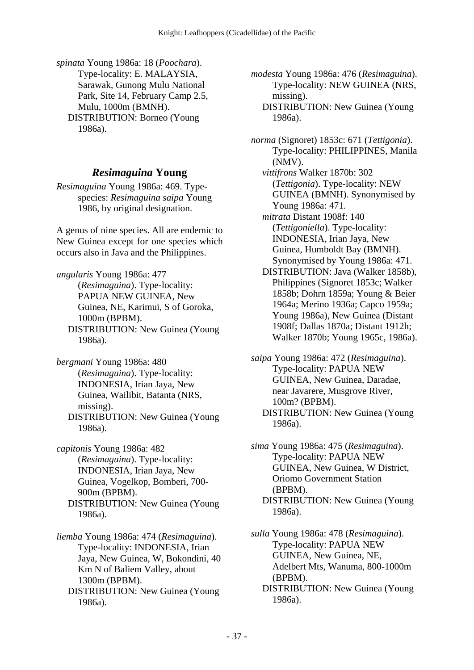*spinata* Young 1986a: 18 (*Poochara*). Type-locality: E. MALAYSIA, Sarawak, Gunong Mulu National Park, Site 14, February Camp 2.5, Mulu, 1000m (BMNH). DISTRIBUTION: Borneo (Young 1986a).

## *Resimaguina* **Young**

*Resimaguina* Young 1986a: 469. Typespecies: *Resimaguina saipa* Young 1986, by original designation.

A genus of nine species. All are endemic to New Guinea except for one species which occurs also in Java and the Philippines.

*angularis* Young 1986a: 477 (*Resimaguina*). Type-locality: PAPUA NEW GUINEA, New Guinea, NE, Karimui, S of Goroka, 1000m (BPBM). DISTRIBUTION: New Guinea (Young 1986a).

*bergmani* Young 1986a: 480 (*Resimaguina*). Type-locality: INDONESIA, Irian Jaya, New Guinea, Wailibit, Batanta (NRS, missing). DISTRIBUTION: New Guinea (Young 1986a).

*capitonis* Young 1986a: 482 (*Resimaguina*). Type-locality: INDONESIA, Irian Jaya, New Guinea, Vogelkop, Bomberi, 700- 900m (BPBM). DISTRIBUTION: New Guinea (Young 1986a).

*liemba* Young 1986a: 474 (*Resimaguina*). Type-locality: INDONESIA, Irian Jaya, New Guinea, W, Bokondini, 40 Km N of Baliem Valley, about 1300m (BPBM). DISTRIBUTION: New Guinea (Young 1986a).

*modesta* Young 1986a: 476 (*Resimaguina*). Type-locality: NEW GUINEA (NRS, missing).

 DISTRIBUTION: New Guinea (Young 1986a).

*norma* (Signoret) 1853c: 671 (*Tettigonia*). Type-locality: PHILIPPINES, Manila (NMV).

 *vittifrons* Walker 1870b: 302 (*Tettigonia*). Type-locality: NEW GUINEA (BMNH). Synonymised by Young 1986a: 471.

 *mitrata* Distant 1908f: 140 (*Tettigoniella*). Type-locality: INDONESIA, Irian Jaya, New Guinea, Humboldt Bay (BMNH). Synonymised by Young 1986a: 471.

 DISTRIBUTION: Java (Walker 1858b), Philippines (Signoret 1853c; Walker 1858b; Dohrn 1859a; Young & Beier 1964a; Merino 1936a; Capco 1959a; Young 1986a), New Guinea (Distant 1908f; Dallas 1870a; Distant 1912h; Walker 1870b; Young 1965c, 1986a).

*saipa* Young 1986a: 472 (*Resimaguina*). Type-locality: PAPUA NEW GUINEA, New Guinea, Daradae, near Javarere, Musgrove River, 100m? (BPBM). DISTRIBUTION: New Guinea (Young

1986a).

*sima* Young 1986a: 475 (*Resimaguina*). Type-locality: PAPUA NEW GUINEA, New Guinea, W District, Oriomo Government Station (BPBM). DISTRIBUTION: New Guinea (Young 1986a).

*sulla* Young 1986a: 478 (*Resimaguina*). Type-locality: PAPUA NEW GUINEA, New Guinea, NE, Adelbert Mts, Wanuma, 800-1000m (BPBM).

 DISTRIBUTION: New Guinea (Young 1986a).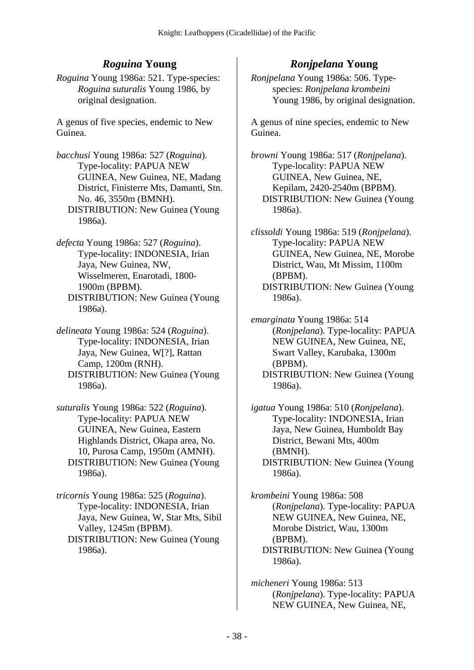# *Roguina* **Young**

*Roguina* Young 1986a: 521. Type-species: *Roguina suturalis* Young 1986, by original designation.

A genus of five species, endemic to New Guinea.

*bacchusi* Young 1986a: 527 (*Roguina*). Type-locality: PAPUA NEW GUINEA, New Guinea, NE, Madang District, Finisterre Mts, Damanti, Stn. No. 46, 3550m (BMNH). DISTRIBUTION: New Guinea (Young 1986a).

*defecta* Young 1986a: 527 (*Roguina*). Type-locality: INDONESIA, Irian Jaya, New Guinea, NW, Wisselmeren, Enarotadi, 1800- 1900m (BPBM). DISTRIBUTION: New Guinea (Young 1986a).

*delineata* Young 1986a: 524 (*Roguina*). Type-locality: INDONESIA, Irian Jaya, New Guinea, W[?], Rattan Camp, 1200m (RNH). DISTRIBUTION: New Guinea (Young 1986a).

*suturalis* Young 1986a: 522 (*Roguina*). Type-locality: PAPUA NEW GUINEA, New Guinea, Eastern Highlands District, Okapa area, No. 10, Purosa Camp, 1950m (AMNH). DISTRIBUTION: New Guinea (Young 1986a).

*tricornis* Young 1986a: 525 (*Roguina*). Type-locality: INDONESIA, Irian Jaya, New Guinea, W, Star Mts, Sibil Valley, 1245m (BPBM). DISTRIBUTION: New Guinea (Young 1986a).

# *Ronjpelana* **Young**

*Ronjpelana* Young 1986a: 506. Typespecies: *Ronjpelana krombeini* Young 1986, by original designation.

A genus of nine species, endemic to New Guinea.

*browni* Young 1986a: 517 (*Ronjpelana*). Type-locality: PAPUA NEW GUINEA, New Guinea, NE, Kepilam, 2420-2540m (BPBM). DISTRIBUTION: New Guinea (Young 1986a).

*clissoldi* Young 1986a: 519 (*Ronjpelana*). Type-locality: PAPUA NEW GUINEA, New Guinea, NE, Morobe District, Wau, Mt Missim, 1100m (BPBM). DISTRIBUTION: New Guinea (Young 1986a).

*emarginata* Young 1986a: 514 (*Ronjpelana*). Type-locality: PAPUA NEW GUINEA, New Guinea, NE, Swart Valley, Karubaka, 1300m (BPBM). DISTRIBUTION: New Guinea (Young 1986a).

*igatua* Young 1986a: 510 (*Ronjpelana*). Type-locality: INDONESIA, Irian Jaya, New Guinea, Humboldt Bay District, Bewani Mts, 400m (BMNH). DISTRIBUTION: New Guinea (Young 1986a).

*krombeini* Young 1986a: 508 (*Ronjpelana*). Type-locality: PAPUA NEW GUINEA, New Guinea, NE, Morobe District, Wau, 1300m (BPBM). DISTRIBUTION: New Guinea (Young 1986a).

*micheneri* Young 1986a: 513 (*Ronjpelana*). Type-locality: PAPUA NEW GUINEA, New Guinea, NE,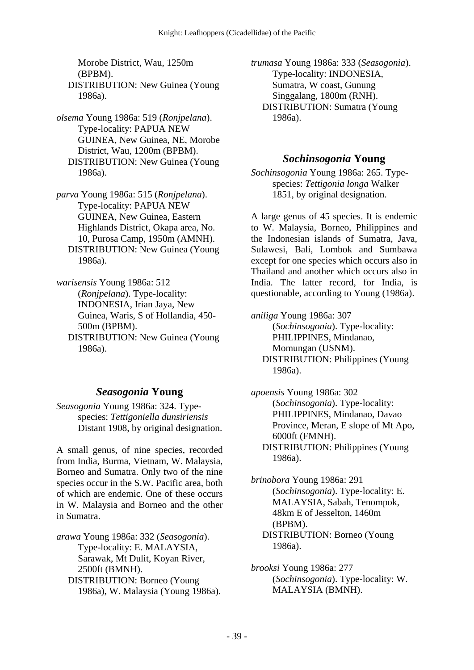Morobe District, Wau, 1250m (BPBM). DISTRIBUTION: New Guinea (Young 1986a).

*olsema* Young 1986a: 519 (*Ronjpelana*). Type-locality: PAPUA NEW GUINEA, New Guinea, NE, Morobe District, Wau, 1200m (BPBM). DISTRIBUTION: New Guinea (Young 1986a).

*parva* Young 1986a: 515 (*Ronjpelana*). Type-locality: PAPUA NEW GUINEA, New Guinea, Eastern Highlands District, Okapa area, No. 10, Purosa Camp, 1950m (AMNH). DISTRIBUTION: New Guinea (Young 1986a).

*warisensis* Young 1986a: 512 (*Ronjpelana*). Type-locality: INDONESIA, Irian Jaya, New Guinea, Waris, S of Hollandia, 450- 500m (BPBM). DISTRIBUTION: New Guinea (Young 1986a).

## *Seasogonia* **Young**

*Seasogonia* Young 1986a: 324. Typespecies: *Tettigoniella dunsiriensis* Distant 1908, by original designation.

A small genus, of nine species, recorded from India, Burma, Vietnam, W. Malaysia, Borneo and Sumatra. Only two of the nine species occur in the S.W. Pacific area, both of which are endemic. One of these occurs in W. Malaysia and Borneo and the other in Sumatra.

*arawa* Young 1986a: 332 (*Seasogonia*). Type-locality: E. MALAYSIA, Sarawak, Mt Dulit, Koyan River, 2500ft (BMNH). DISTRIBUTION: Borneo (Young 1986a), W. Malaysia (Young 1986a). *trumasa* Young 1986a: 333 (*Seasogonia*). Type-locality: INDONESIA, Sumatra, W coast, Gunung Singgalang, 1800m (RNH). DISTRIBUTION: Sumatra (Young 1986a).

## *Sochinsogonia* **Young**

*Sochinsogonia* Young 1986a: 265. Typespecies: *Tettigonia longa* Walker 1851, by original designation.

A large genus of 45 species. It is endemic to W. Malaysia, Borneo, Philippines and the Indonesian islands of Sumatra, Java, Sulawesi, Bali, Lombok and Sumbawa except for one species which occurs also in Thailand and another which occurs also in India. The latter record, for India, is questionable, according to Young (1986a).

*aniliga* Young 1986a: 307 (*Sochinsogonia*). Type-locality: PHILIPPINES, Mindanao, Momungan (USNM). DISTRIBUTION: Philippines (Young 1986a).

*apoensis* Young 1986a: 302 (*Sochinsogonia*). Type-locality: PHILIPPINES, Mindanao, Davao Province, Meran, E slope of Mt Apo, 6000ft (FMNH). DISTRIBUTION: Philippines (Young 1986a).

*brinobora* Young 1986a: 291 (*Sochinsogonia*). Type-locality: E. MALAYSIA, Sabah, Tenompok, 48km E of Jesselton, 1460m (BPBM). DISTRIBUTION: Borneo (Young 1986a).

*brooksi* Young 1986a: 277 (*Sochinsogonia*). Type-locality: W. MALAYSIA (BMNH).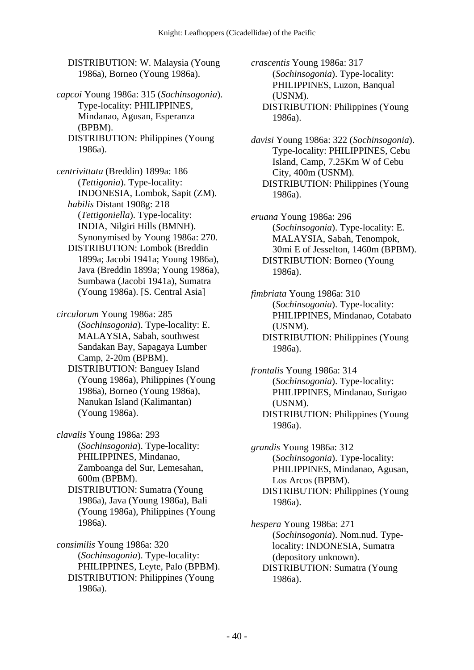DISTRIBUTION: W. Malaysia (Young 1986a), Borneo (Young 1986a).

*capcoi* Young 1986a: 315 (*Sochinsogonia*). Type-locality: PHILIPPINES, Mindanao, Agusan, Esperanza (BPBM). DISTRIBUTION: Philippines (Young 1986a).

*centrivittata* (Breddin) 1899a: 186 (*Tettigonia*). Type-locality: INDONESIA, Lombok, Sapit (ZM).  *habilis* Distant 1908g: 218 (*Tettigoniella*). Type-locality: INDIA, Nilgiri Hills (BMNH). Synonymised by Young 1986a: 270. DISTRIBUTION: Lombok (Breddin 1899a; Jacobi 1941a; Young 1986a), Java (Breddin 1899a; Young 1986a), Sumbawa (Jacobi 1941a), Sumatra (Young 1986a). [S. Central Asia]

*circulorum* Young 1986a: 285 (*Sochinsogonia*). Type-locality: E. MALAYSIA, Sabah, southwest Sandakan Bay, Sapagaya Lumber Camp, 2-20m (BPBM).

 DISTRIBUTION: Banguey Island (Young 1986a), Philippines (Young 1986a), Borneo (Young 1986a), Nanukan Island (Kalimantan) (Young 1986a).

*clavalis* Young 1986a: 293 (*Sochinsogonia*). Type-locality: PHILIPPINES, Mindanao, Zamboanga del Sur, Lemesahan, 600m (BPBM).

 DISTRIBUTION: Sumatra (Young 1986a), Java (Young 1986a), Bali (Young 1986a), Philippines (Young 1986a).

*consimilis* Young 1986a: 320 (*Sochinsogonia*). Type-locality: PHILIPPINES, Leyte, Palo (BPBM). DISTRIBUTION: Philippines (Young 1986a).

*crascentis* Young 1986a: 317 (*Sochinsogonia*). Type-locality: PHILIPPINES, Luzon, Banqual (USNM). DISTRIBUTION: Philippines (Young 1986a).

*davisi* Young 1986a: 322 (*Sochinsogonia*). Type-locality: PHILIPPINES, Cebu Island, Camp, 7.25Km W of Cebu City, 400m (USNM). DISTRIBUTION: Philippines (Young 1986a).

*eruana* Young 1986a: 296 (*Sochinsogonia*). Type-locality: E. MALAYSIA, Sabah, Tenompok, 30mi E of Jesselton, 1460m (BPBM). DISTRIBUTION: Borneo (Young 1986a).

*fimbriata* Young 1986a: 310 (*Sochinsogonia*). Type-locality: PHILIPPINES, Mindanao, Cotabato (USNM). DISTRIBUTION: Philippines (Young 1986a).

*frontalis* Young 1986a: 314 (*Sochinsogonia*). Type-locality: PHILIPPINES, Mindanao, Surigao (USNM). DISTRIBUTION: Philippines (Young 1986a).

*grandis* Young 1986a: 312 (*Sochinsogonia*). Type-locality: PHILIPPINES, Mindanao, Agusan, Los Arcos (BPBM). DISTRIBUTION: Philippines (Young 1986a).

*hespera* Young 1986a: 271 (*Sochinsogonia*). Nom.nud. Typelocality: INDONESIA, Sumatra (depository unknown). DISTRIBUTION: Sumatra (Young 1986a).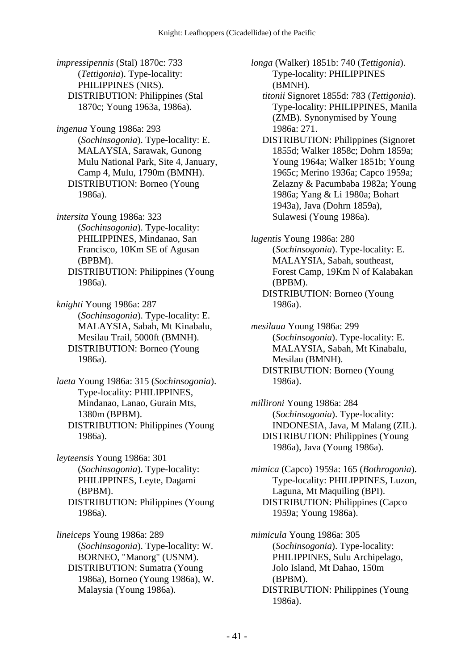*impressipennis* (Stal) 1870c: 733 (*Tettigonia*). Type-locality: PHILIPPINES (NRS). DISTRIBUTION: Philippines (Stal 1870c; Young 1963a, 1986a).

*ingenua* Young 1986a: 293 (*Sochinsogonia*). Type-locality: E. MALAYSIA, Sarawak, Gunong Mulu National Park, Site 4, January, Camp 4, Mulu, 1790m (BMNH). DISTRIBUTION: Borneo (Young 1986a).

*intersita* Young 1986a: 323 (*Sochinsogonia*). Type-locality: PHILIPPINES, Mindanao, San Francisco, 10Km SE of Agusan (BPBM).

 DISTRIBUTION: Philippines (Young 1986a).

*knighti* Young 1986a: 287 (*Sochinsogonia*). Type-locality: E. MALAYSIA, Sabah, Mt Kinabalu, Mesilau Trail, 5000ft (BMNH). DISTRIBUTION: Borneo (Young 1986a).

*laeta* Young 1986a: 315 (*Sochinsogonia*). Type-locality: PHILIPPINES, Mindanao, Lanao, Gurain Mts, 1380m (BPBM). DISTRIBUTION: Philippines (Young 1986a).

*leyteensis* Young 1986a: 301 (*Sochinsogonia*). Type-locality: PHILIPPINES, Leyte, Dagami (BPBM). DISTRIBUTION: Philippines (Young 1986a).

*lineiceps* Young 1986a: 289 (*Sochinsogonia*). Type-locality: W. BORNEO, "Manorg" (USNM). DISTRIBUTION: Sumatra (Young 1986a), Borneo (Young 1986a), W. Malaysia (Young 1986a).

*longa* (Walker) 1851b: 740 (*Tettigonia*). Type-locality: PHILIPPINES (BMNH).

- *titonii* Signoret 1855d: 783 (*Tettigonia*). Type-locality: PHILIPPINES, Manila (ZMB). Synonymised by Young 1986a: 271.
- DISTRIBUTION: Philippines (Signoret 1855d; Walker 1858c; Dohrn 1859a; Young 1964a; Walker 1851b; Young 1965c; Merino 1936a; Capco 1959a; Zelazny & Pacumbaba 1982a; Young 1986a; Yang & Li 1980a; Bohart 1943a), Java (Dohrn 1859a), Sulawesi (Young 1986a).

*lugentis* Young 1986a: 280 (*Sochinsogonia*). Type-locality: E. MALAYSIA, Sabah, southeast, Forest Camp, 19Km N of Kalabakan (BPBM). DISTRIBUTION: Borneo (Young 1986a).

- *mesilaua* Young 1986a: 299 (*Sochinsogonia*). Type-locality: E. MALAYSIA, Sabah, Mt Kinabalu, Mesilau (BMNH). DISTRIBUTION: Borneo (Young 1986a).
- *millironi* Young 1986a: 284 (*Sochinsogonia*). Type-locality: INDONESIA, Java, M Malang (ZIL). DISTRIBUTION: Philippines (Young 1986a), Java (Young 1986a).

*mimica* (Capco) 1959a: 165 (*Bothrogonia*). Type-locality: PHILIPPINES, Luzon, Laguna, Mt Maquiling (BPI). DISTRIBUTION: Philippines (Capco 1959a; Young 1986a).

*mimicula* Young 1986a: 305 (*Sochinsogonia*). Type-locality: PHILIPPINES, Sulu Archipelago, Jolo Island, Mt Dahao, 150m (BPBM). DISTRIBUTION: Philippines (Young 1986a).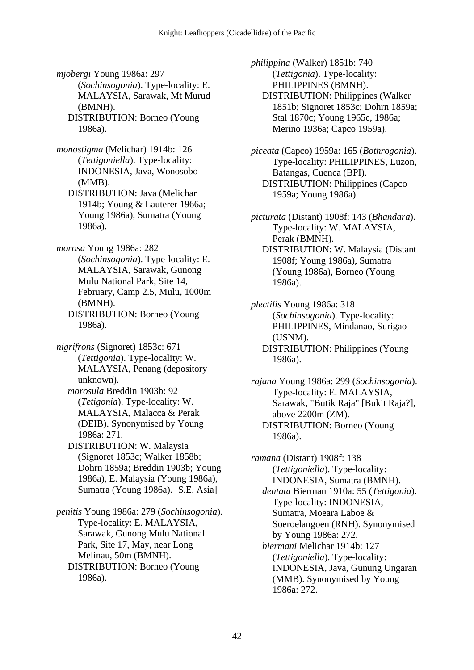*mjobergi* Young 1986a: 297 (*Sochinsogonia*). Type-locality: E. MALAYSIA, Sarawak, Mt Murud (BMNH). DISTRIBUTION: Borneo (Young

1986a).

*monostigma* (Melichar) 1914b: 126 (*Tettigoniella*). Type-locality: INDONESIA, Java, Wonosobo (MMB).

 DISTRIBUTION: Java (Melichar 1914b; Young & Lauterer 1966a; Young 1986a), Sumatra (Young 1986a).

*morosa* Young 1986a: 282 (*Sochinsogonia*). Type-locality: E. MALAYSIA, Sarawak, Gunong Mulu National Park, Site 14, February, Camp 2.5, Mulu, 1000m (BMNH). DISTRIBUTION: Borneo (Young

1986a).

*nigrifrons* (Signoret) 1853c: 671 (*Tettigonia*). Type-locality: W. MALAYSIA, Penang (depository unknown).

 *morosula* Breddin 1903b: 92 (*Tetigonia*). Type-locality: W. MALAYSIA, Malacca & Perak (DEIB). Synonymised by Young 1986a: 271.

 DISTRIBUTION: W. Malaysia (Signoret 1853c; Walker 1858b; Dohrn 1859a; Breddin 1903b; Young 1986a), E. Malaysia (Young 1986a), Sumatra (Young 1986a). [S.E. Asia]

*penitis* Young 1986a: 279 (*Sochinsogonia*). Type-locality: E. MALAYSIA, Sarawak, Gunong Mulu National Park, Site 17, May, near Long Melinau, 50m (BMNH). DISTRIBUTION: Borneo (Young 1986a).

*philippina* (Walker) 1851b: 740 (*Tettigonia*). Type-locality: PHILIPPINES (BMNH). DISTRIBUTION: Philippines (Walker 1851b; Signoret 1853c; Dohrn 1859a; Stal 1870c; Young 1965c, 1986a; Merino 1936a; Capco 1959a).

*piceata* (Capco) 1959a: 165 (*Bothrogonia*). Type-locality: PHILIPPINES, Luzon, Batangas, Cuenca (BPI). DISTRIBUTION: Philippines (Capco 1959a; Young 1986a).

*picturata* (Distant) 1908f: 143 (*Bhandara*). Type-locality: W. MALAYSIA, Perak (BMNH). DISTRIBUTION: W. Malaysia (Distant 1908f; Young 1986a), Sumatra (Young 1986a), Borneo (Young 1986a).

*plectilis* Young 1986a: 318 (*Sochinsogonia*). Type-locality: PHILIPPINES, Mindanao, Surigao (USNM). DISTRIBUTION: Philippines (Young 1986a).

*rajana* Young 1986a: 299 (*Sochinsogonia*). Type-locality: E. MALAYSIA, Sarawak, "Butik Raja" [Bukit Raja?], above 2200m (ZM). DISTRIBUTION: Borneo (Young 1986a).

*ramana* (Distant) 1908f: 138 (*Tettigoniella*). Type-locality: INDONESIA, Sumatra (BMNH).  *dentata* Bierman 1910a: 55 (*Tettigonia*). Type-locality: INDONESIA, Sumatra, Moeara Laboe & Soeroelangoen (RNH). Synonymised by Young 1986a: 272.  *biermani* Melichar 1914b: 127 (*Tettigoniella*). Type-locality: INDONESIA, Java, Gunung Ungaran (MMB). Synonymised by Young 1986a: 272.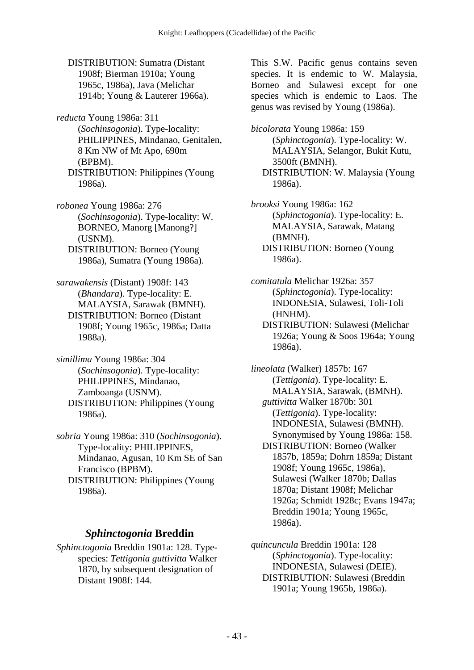DISTRIBUTION: Sumatra (Distant 1908f; Bierman 1910a; Young 1965c, 1986a), Java (Melichar 1914b; Young & Lauterer 1966a).

*reducta* Young 1986a: 311 (*Sochinsogonia*). Type-locality: PHILIPPINES, Mindanao, Genitalen, 8 Km NW of Mt Apo, 690m (BPBM). DISTRIBUTION: Philippines (Young 1986a).

*robonea* Young 1986a: 276 (*Sochinsogonia*). Type-locality: W. BORNEO, Manorg [Manong?] (USNM). DISTRIBUTION: Borneo (Young 1986a), Sumatra (Young 1986a).

*sarawakensis* (Distant) 1908f: 143 (*Bhandara*). Type-locality: E. MALAYSIA, Sarawak (BMNH). DISTRIBUTION: Borneo (Distant 1908f; Young 1965c, 1986a; Datta 1988a).

*simillima* Young 1986a: 304 (*Sochinsogonia*). Type-locality: PHILIPPINES, Mindanao, Zamboanga (USNM). DISTRIBUTION: Philippines (Young 1986a).

*sobria* Young 1986a: 310 (*Sochinsogonia*). Type-locality: PHILIPPINES, Mindanao, Agusan, 10 Km SE of San Francisco (BPBM). DISTRIBUTION: Philippines (Young 1986a).

### *Sphinctogonia* **Breddin**

*Sphinctogonia* Breddin 1901a: 128. Typespecies: *Tettigonia guttivitta* Walker 1870, by subsequent designation of Distant 1908f: 144.

This S.W. Pacific genus contains seven species. It is endemic to W. Malaysia, Borneo and Sulawesi except for one species which is endemic to Laos. The genus was revised by Young (1986a).

*bicolorata* Young 1986a: 159 (*Sphinctogonia*). Type-locality: W. MALAYSIA, Selangor, Bukit Kutu, 3500ft (BMNH). DISTRIBUTION: W. Malaysia (Young 1986a).

*brooksi* Young 1986a: 162 (*Sphinctogonia*). Type-locality: E. MALAYSIA, Sarawak, Matang (BMNH). DISTRIBUTION: Borneo (Young 1986a).

*comitatula* Melichar 1926a: 357 (*Sphinctogonia*). Type-locality: INDONESIA, Sulawesi, Toli-Toli (HNHM). DISTRIBUTION: Sulawesi (Melichar

1926a; Young & Soos 1964a; Young 1986a).

*lineolata* (Walker) 1857b: 167 (*Tettigonia*). Type-locality: E. MALAYSIA, Sarawak, (BMNH).  *guttivitta* Walker 1870b: 301 (*Tettigonia*). Type-locality: INDONESIA, Sulawesi (BMNH). Synonymised by Young 1986a: 158. DISTRIBUTION: Borneo (Walker 1857b, 1859a; Dohrn 1859a; Distant 1908f; Young 1965c, 1986a), Sulawesi (Walker 1870b; Dallas 1870a; Distant 1908f; Melichar 1926a; Schmidt 1928c; Evans 1947a; Breddin 1901a; Young 1965c, 1986a).

*quincuncula* Breddin 1901a: 128 (*Sphinctogonia*). Type-locality: INDONESIA, Sulawesi (DEIE). DISTRIBUTION: Sulawesi (Breddin 1901a; Young 1965b, 1986a).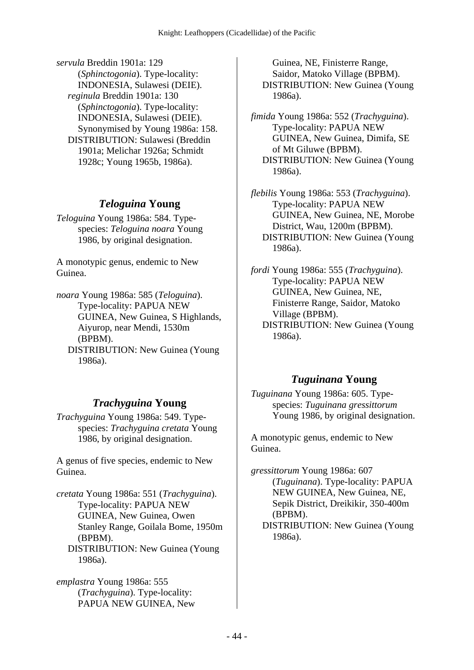*servula* Breddin 1901a: 129 (*Sphinctogonia*). Type-locality: INDONESIA, Sulawesi (DEIE).  *reginula* Breddin 1901a: 130 (*Sphinctogonia*). Type-locality: INDONESIA, Sulawesi (DEIE). Synonymised by Young 1986a: 158. DISTRIBUTION: Sulawesi (Breddin 1901a; Melichar 1926a; Schmidt 1928c; Young 1965b, 1986a).

## *Teloguina* **Young**

*Teloguina* Young 1986a: 584. Typespecies: *Teloguina noara* Young 1986, by original designation.

A monotypic genus, endemic to New Guinea.

*noara* Young 1986a: 585 (*Teloguina*). Type-locality: PAPUA NEW GUINEA, New Guinea, S Highlands, Aiyurop, near Mendi, 1530m (BPBM). DISTRIBUTION: New Guinea (Young 1986a).

# *Trachyguina* **Young**

*Trachyguina* Young 1986a: 549. Typespecies: *Trachyguina cretata* Young 1986, by original designation.

A genus of five species, endemic to New Guinea.

*cretata* Young 1986a: 551 (*Trachyguina*). Type-locality: PAPUA NEW GUINEA, New Guinea, Owen Stanley Range, Goilala Bome, 1950m (BPBM). DISTRIBUTION: New Guinea (Young 1986a).

*emplastra* Young 1986a: 555 (*Trachyguina*). Type-locality: PAPUA NEW GUINEA, New

Guinea, NE, Finisterre Range, Saidor, Matoko Village (BPBM). DISTRIBUTION: New Guinea (Young 1986a).

*fimida* Young 1986a: 552 (*Trachyguina*). Type-locality: PAPUA NEW GUINEA, New Guinea, Dimifa, SE of Mt Giluwe (BPBM). DISTRIBUTION: New Guinea (Young 1986a).

*flebilis* Young 1986a: 553 (*Trachyguina*). Type-locality: PAPUA NEW GUINEA, New Guinea, NE, Morobe District, Wau, 1200m (BPBM). DISTRIBUTION: New Guinea (Young 1986a).

*fordi* Young 1986a: 555 (*Trachyguina*). Type-locality: PAPUA NEW GUINEA, New Guinea, NE, Finisterre Range, Saidor, Matoko Village (BPBM). DISTRIBUTION: New Guinea (Young 1986a).

## *Tuguinana* **Young**

*Tuguinana* Young 1986a: 605. Typespecies: *Tuguinana gressittorum* Young 1986, by original designation.

A monotypic genus, endemic to New Guinea.

*gressittorum* Young 1986a: 607 (*Tuguinana*). Type-locality: PAPUA NEW GUINEA, New Guinea, NE, Sepik District, Dreikikir, 350-400m (BPBM). DISTRIBUTION: New Guinea (Young 1986a).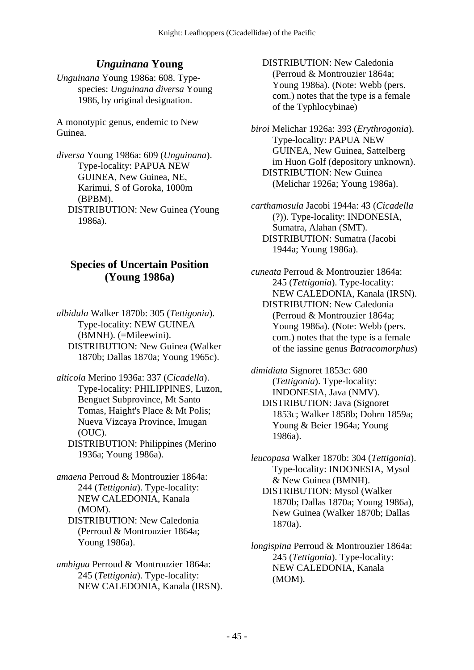# *Unguinana* **Young**

*Unguinana* Young 1986a: 608. Typespecies: *Unguinana diversa* Young 1986, by original designation.

A monotypic genus, endemic to New Guinea.

*diversa* Young 1986a: 609 (*Unguinana*). Type-locality: PAPUA NEW GUINEA, New Guinea, NE, Karimui, S of Goroka, 1000m (BPBM). DISTRIBUTION: New Guinea (Young 1986a).

## **Species of Uncertain Position (Young 1986a)**

*albidula* Walker 1870b: 305 (*Tettigonia*). Type-locality: NEW GUINEA (BMNH). (=Mileewini). DISTRIBUTION: New Guinea (Walker 1870b; Dallas 1870a; Young 1965c).

*alticola* Merino 1936a: 337 (*Cicadella*). Type-locality: PHILIPPINES, Luzon, Benguet Subprovince, Mt Santo Tomas, Haight's Place & Mt Polis; Nueva Vizcaya Province, Imugan (OUC).

 DISTRIBUTION: Philippines (Merino 1936a; Young 1986a).

- *amaena* Perroud & Montrouzier 1864a: 244 (*Tettigonia*). Type-locality: NEW CALEDONIA, Kanala (MOM).
	- DISTRIBUTION: New Caledonia (Perroud & Montrouzier 1864a; Young 1986a).
- *ambigua* Perroud & Montrouzier 1864a: 245 (*Tettigonia*). Type-locality: NEW CALEDONIA, Kanala (IRSN).
- DISTRIBUTION: New Caledonia (Perroud & Montrouzier 1864a; Young 1986a). (Note: Webb (pers. com.) notes that the type is a female of the Typhlocybinae)
- *biroi* Melichar 1926a: 393 (*Erythrogonia*). Type-locality: PAPUA NEW GUINEA, New Guinea, Sattelberg im Huon Golf (depository unknown). DISTRIBUTION: New Guinea (Melichar 1926a; Young 1986a).
- *carthamosula* Jacobi 1944a: 43 (*Cicadella* (?)). Type-locality: INDONESIA, Sumatra, Alahan (SMT). DISTRIBUTION: Sumatra (Jacobi 1944a; Young 1986a).

*cuneata* Perroud & Montrouzier 1864a: 245 (*Tettigonia*). Type-locality: NEW CALEDONIA, Kanala (IRSN). DISTRIBUTION: New Caledonia (Perroud & Montrouzier 1864a; Young 1986a). (Note: Webb (pers. com.) notes that the type is a female of the iassine genus *Batracomorphus*)

*dimidiata* Signoret 1853c: 680 (*Tettigonia*). Type-locality: INDONESIA, Java (NMV). DISTRIBUTION: Java (Signoret 1853c; Walker 1858b; Dohrn 1859a; Young & Beier 1964a; Young 1986a).

*leucopasa* Walker 1870b: 304 (*Tettigonia*). Type-locality: INDONESIA, Mysol & New Guinea (BMNH). DISTRIBUTION: Mysol (Walker 1870b; Dallas 1870a; Young 1986a), New Guinea (Walker 1870b; Dallas 1870a).

*longispina* Perroud & Montrouzier 1864a: 245 (*Tettigonia*). Type-locality: NEW CALEDONIA, Kanala (MOM).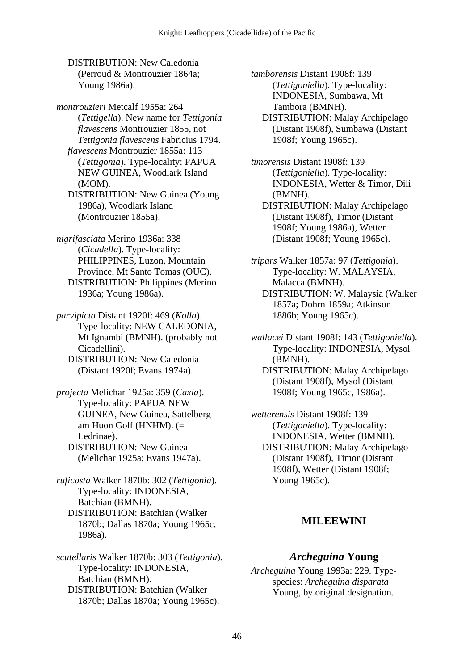DISTRIBUTION: New Caledonia (Perroud & Montrouzier 1864a; Young 1986a).

*montrouzieri* Metcalf 1955a: 264 (*Tettigella*). New name for *Tettigonia flavescens* Montrouzier 1855, not *Tettigonia flavescens* Fabricius 1794.  *flavescens* Montrouzier 1855a: 113 (*Tettigonia*). Type-locality: PAPUA NEW GUINEA, Woodlark Island (MOM). DISTRIBUTION: New Guinea (Young 1986a), Woodlark Island

*nigrifasciata* Merino 1936a: 338 (*Cicadella*). Type-locality: PHILIPPINES, Luzon, Mountain Province, Mt Santo Tomas (OUC). DISTRIBUTION: Philippines (Merino 1936a; Young 1986a).

(Montrouzier 1855a).

*parvipicta* Distant 1920f: 469 (*Kolla*). Type-locality: NEW CALEDONIA, Mt Ignambi (BMNH). (probably not Cicadellini). DISTRIBUTION: New Caledonia

(Distant 1920f; Evans 1974a).

*projecta* Melichar 1925a: 359 (*Caxia*). Type-locality: PAPUA NEW GUINEA, New Guinea, Sattelberg am Huon Golf (HNHM).  $(=$ Ledrinae). DISTRIBUTION: New Guinea (Melichar 1925a; Evans 1947a).

*ruficosta* Walker 1870b: 302 (*Tettigonia*). Type-locality: INDONESIA, Batchian (BMNH). DISTRIBUTION: Batchian (Walker 1870b; Dallas 1870a; Young 1965c, 1986a).

*scutellaris* Walker 1870b: 303 (*Tettigonia*). Type-locality: INDONESIA, Batchian (BMNH). DISTRIBUTION: Batchian (Walker 1870b; Dallas 1870a; Young 1965c).

*tamborensis* Distant 1908f: 139 (*Tettigoniella*). Type-locality: INDONESIA, Sumbawa, Mt Tambora (BMNH). DISTRIBUTION: Malay Archipelago

(Distant 1908f), Sumbawa (Distant 1908f; Young 1965c).

*timorensis* Distant 1908f: 139 (*Tettigoniella*). Type-locality: INDONESIA, Wetter & Timor, Dili (BMNH). DISTRIBUTION: Malay Archipelago (Distant 1908f), Timor (Distant 1908f; Young 1986a), Wetter (Distant 1908f; Young 1965c).

*tripars* Walker 1857a: 97 (*Tettigonia*). Type-locality: W. MALAYSIA, Malacca (BMNH). DISTRIBUTION: W. Malaysia (Walker 1857a; Dohrn 1859a; Atkinson 1886b; Young 1965c).

*wallacei* Distant 1908f: 143 (*Tettigoniella*). Type-locality: INDONESIA, Mysol (BMNH). DISTRIBUTION: Malay Archipelago (Distant 1908f), Mysol (Distant 1908f; Young 1965c, 1986a).

*wetterensis* Distant 1908f: 139 (*Tettigoniella*). Type-locality: INDONESIA, Wetter (BMNH). DISTRIBUTION: Malay Archipelago (Distant 1908f), Timor (Distant 1908f), Wetter (Distant 1908f; Young 1965c).

### **MILEEWINI**

#### *Archeguina* **Young**

*Archeguina* Young 1993a: 229. Typespecies: *Archeguina disparata* Young, by original designation.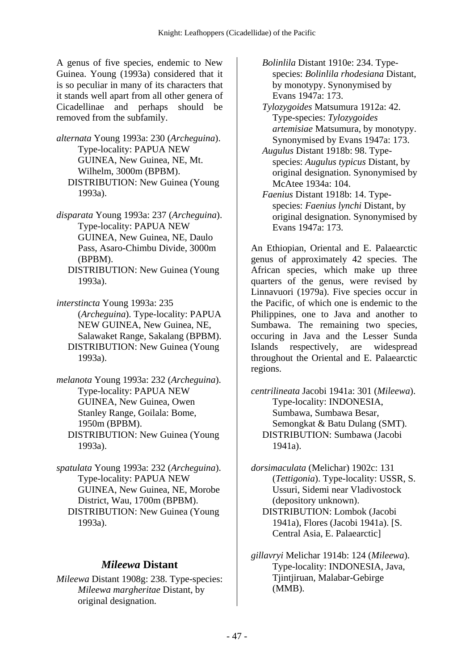A genus of five species, endemic to New Guinea. Young (1993a) considered that it is so peculiar in many of its characters that it stands well apart from all other genera of Cicadellinae and perhaps should be removed from the subfamily.

*alternata* Young 1993a: 230 (*Archeguina*). Type-locality: PAPUA NEW GUINEA, New Guinea, NE, Mt. Wilhelm, 3000m (BPBM). DISTRIBUTION: New Guinea (Young 1993a).

*disparata* Young 1993a: 237 (*Archeguina*). Type-locality: PAPUA NEW GUINEA, New Guinea, NE, Daulo Pass, Asaro-Chimbu Divide, 3000m (BPBM).

 DISTRIBUTION: New Guinea (Young 1993a).

*interstincta* Young 1993a: 235 (*Archeguina*). Type-locality: PAPUA NEW GUINEA, New Guinea, NE, Salawaket Range, Sakalang (BPBM). DISTRIBUTION: New Guinea (Young 1993a).

*melanota* Young 1993a: 232 (*Archeguina*). Type-locality: PAPUA NEW GUINEA, New Guinea, Owen Stanley Range, Goilala: Bome, 1950m (BPBM). DISTRIBUTION: New Guinea (Young 1993a).

*spatulata* Young 1993a: 232 (*Archeguina*). Type-locality: PAPUA NEW GUINEA, New Guinea, NE, Morobe District, Wau, 1700m (BPBM). DISTRIBUTION: New Guinea (Young 1993a).

#### *Mileewa* **Distant**

*Mileewa* Distant 1908g: 238. Type-species: *Mileewa margheritae* Distant, by original designation.

 *Bolinlila* Distant 1910e: 234. Typespecies: *Bolinlila rhodesiana* Distant, by monotypy. Synonymised by Evans 1947a: 173.

 *Tylozygoides* Matsumura 1912a: 42. Type-species: *Tylozygoides artemisiae* Matsumura, by monotypy. Synonymised by Evans 1947a: 173.

 *Augulus* Distant 1918b: 98. Typespecies: *Augulus typicus* Distant, by original designation. Synonymised by McAtee 1934a: 104.

 *Faenius* Distant 1918b: 14. Typespecies: *Faenius lynchi* Distant, by original designation. Synonymised by Evans 1947a: 173.

An Ethiopian, Oriental and E. Palaearctic genus of approximately 42 species. The African species, which make up three quarters of the genus, were revised by Linnavuori (1979a). Five species occur in the Pacific, of which one is endemic to the Philippines, one to Java and another to Sumbawa. The remaining two species, occuring in Java and the Lesser Sunda Islands respectively, are widespread throughout the Oriental and E. Palaearctic regions.

*centrilineata* Jacobi 1941a: 301 (*Mileewa*). Type-locality: INDONESIA, Sumbawa, Sumbawa Besar, Semongkat & Batu Dulang (SMT). DISTRIBUTION: Sumbawa (Jacobi 1941a).

*dorsimaculata* (Melichar) 1902c: 131 (*Tettigonia*). Type-locality: USSR, S. Ussuri, Sidemi near Vladivostock (depository unknown). DISTRIBUTION: Lombok (Jacobi

1941a), Flores (Jacobi 1941a). [S. Central Asia, E. Palaearctic]

*gillavryi* Melichar 1914b: 124 (*Mileewa*). Type-locality: INDONESIA, Java, Tjintjiruan, Malabar-Gebirge (MMB).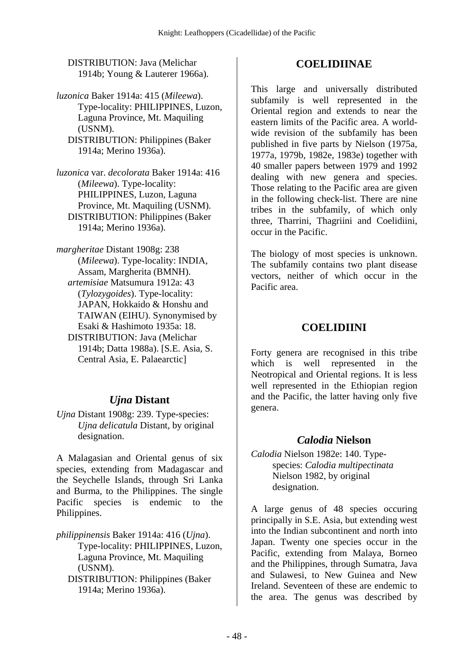DISTRIBUTION: Java (Melichar 1914b; Young & Lauterer 1966a).

*luzonica* Baker 1914a: 415 (*Mileewa*). Type-locality: PHILIPPINES, Luzon, Laguna Province, Mt. Maquiling (USNM).

- DISTRIBUTION: Philippines (Baker 1914a; Merino 1936a).
- *luzonica* var. *decolorata* Baker 1914a: 416 (*Mileewa*). Type-locality: PHILIPPINES, Luzon, Laguna Province, Mt. Maquiling (USNM). DISTRIBUTION: Philippines (Baker 1914a; Merino 1936a).

*margheritae* Distant 1908g: 238 (*Mileewa*). Type-locality: INDIA, Assam, Margherita (BMNH).  *artemisiae* Matsumura 1912a: 43 (*Tylozygoides*). Type-locality: JAPAN, Hokkaido & Honshu and TAIWAN (EIHU). Synonymised by Esaki & Hashimoto 1935a: 18. DISTRIBUTION: Java (Melichar 1914b; Datta 1988a). [S.E. Asia, S. Central Asia, E. Palaearctic]

## *Ujna* **Distant**

*Ujna* Distant 1908g: 239. Type-species: *Ujna delicatula* Distant, by original designation.

A Malagasian and Oriental genus of six species, extending from Madagascar and the Seychelle Islands, through Sri Lanka and Burma, to the Philippines. The single Pacific species is endemic to the Philippines.

*philippinensis* Baker 1914a: 416 (*Ujna*). Type-locality: PHILIPPINES, Luzon, Laguna Province, Mt. Maquiling (USNM).

 DISTRIBUTION: Philippines (Baker 1914a; Merino 1936a).

# **COELIDIINAE**

This large and universally distributed subfamily is well represented in the Oriental region and extends to near the eastern limits of the Pacific area. A worldwide revision of the subfamily has been published in five parts by Nielson (1975a, 1977a, 1979b, 1982e, 1983e) together with 40 smaller papers between 1979 and 1992 dealing with new genera and species. Those relating to the Pacific area are given in the following check-list. There are nine tribes in the subfamily, of which only three, Tharrini, Thagriini and Coelidiini, occur in the Pacific.

The biology of most species is unknown. The subfamily contains two plant disease vectors, neither of which occur in the Pacific area.

# **COELIDIINI**

Forty genera are recognised in this tribe which is well represented in the Neotropical and Oriental regions. It is less well represented in the Ethiopian region and the Pacific, the latter having only five genera.

## *Calodia* **Nielson**

*Calodia* Nielson 1982e: 140. Typespecies: *Calodia multipectinata* Nielson 1982, by original designation.

A large genus of 48 species occuring principally in S.E. Asia, but extending west into the Indian subcontinent and north into Japan. Twenty one species occur in the Pacific, extending from Malaya, Borneo and the Philippines, through Sumatra, Java and Sulawesi, to New Guinea and New Ireland. Seventeen of these are endemic to the area. The genus was described by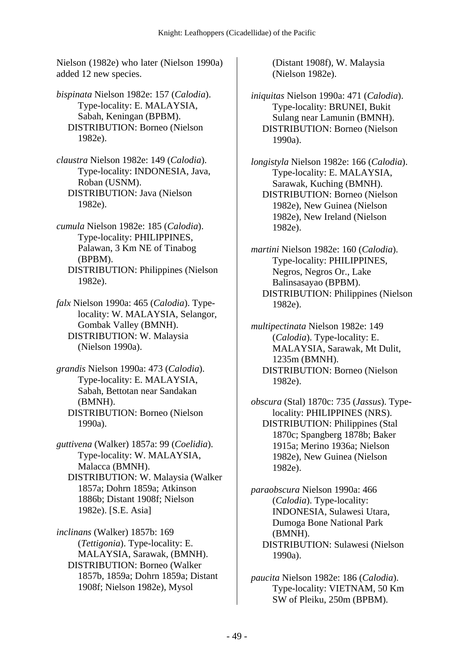Nielson (1982e) who later (Nielson 1990a) added 12 new species.

*bispinata* Nielson 1982e: 157 (*Calodia*). Type-locality: E. MALAYSIA, Sabah, Keningan (BPBM). DISTRIBUTION: Borneo (Nielson 1982e).

*claustra* Nielson 1982e: 149 (*Calodia*). Type-locality: INDONESIA, Java, Roban (USNM). DISTRIBUTION: Java (Nielson 1982e).

*cumula* Nielson 1982e: 185 (*Calodia*). Type-locality: PHILIPPINES, Palawan, 3 Km NE of Tinabog (BPBM). DISTRIBUTION: Philippines (Nielson 1982e).

*falx* Nielson 1990a: 465 (*Calodia*). Typelocality: W. MALAYSIA, Selangor, Gombak Valley (BMNH). DISTRIBUTION: W. Malaysia (Nielson 1990a).

*grandis* Nielson 1990a: 473 (*Calodia*). Type-locality: E. MALAYSIA, Sabah, Bettotan near Sandakan (BMNH). DISTRIBUTION: Borneo (Nielson 1990a).

*guttivena* (Walker) 1857a: 99 (*Coelidia*). Type-locality: W. MALAYSIA, Malacca (BMNH). DISTRIBUTION: W. Malaysia (Walker 1857a; Dohrn 1859a; Atkinson 1886b; Distant 1908f; Nielson 1982e). [S.E. Asia]

*inclinans* (Walker) 1857b: 169 (*Tettigonia*). Type-locality: E. MALAYSIA, Sarawak, (BMNH). DISTRIBUTION: Borneo (Walker 1857b, 1859a; Dohrn 1859a; Distant 1908f; Nielson 1982e), Mysol

(Distant 1908f), W. Malaysia (Nielson 1982e).

*iniquitas* Nielson 1990a: 471 (*Calodia*). Type-locality: BRUNEI, Bukit Sulang near Lamunin (BMNH). DISTRIBUTION: Borneo (Nielson 1990a).

*longistyla* Nielson 1982e: 166 (*Calodia*). Type-locality: E. MALAYSIA, Sarawak, Kuching (BMNH). DISTRIBUTION: Borneo (Nielson 1982e), New Guinea (Nielson 1982e), New Ireland (Nielson 1982e).

*martini* Nielson 1982e: 160 (*Calodia*). Type-locality: PHILIPPINES, Negros, Negros Or., Lake Balinsasayao (BPBM). DISTRIBUTION: Philippines (Nielson 1982e).

*multipectinata* Nielson 1982e: 149 (*Calodia*). Type-locality: E. MALAYSIA, Sarawak, Mt Dulit, 1235m (BMNH). DISTRIBUTION: Borneo (Nielson 1982e).

*obscura* (Stal) 1870c: 735 (*Jassus*). Typelocality: PHILIPPINES (NRS). DISTRIBUTION: Philippines (Stal 1870c; Spangberg 1878b; Baker 1915a; Merino 1936a; Nielson 1982e), New Guinea (Nielson 1982e).

*paraobscura* Nielson 1990a: 466 (*Calodia*). Type-locality: INDONESIA, Sulawesi Utara, Dumoga Bone National Park (BMNH). DISTRIBUTION: Sulawesi (Nielson 1990a).

*paucita* Nielson 1982e: 186 (*Calodia*). Type-locality: VIETNAM, 50 Km SW of Pleiku, 250m (BPBM).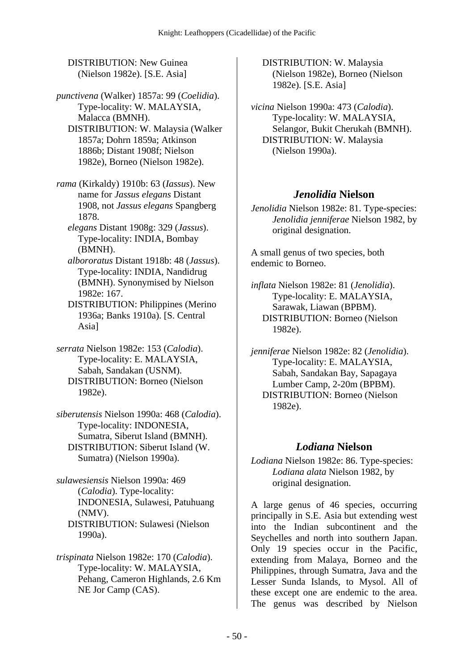DISTRIBUTION: New Guinea (Nielson 1982e). [S.E. Asia]

*punctivena* (Walker) 1857a: 99 (*Coelidia*). Type-locality: W. MALAYSIA, Malacca (BMNH). DISTRIBUTION: W. Malaysia (Walker 1857a; Dohrn 1859a; Atkinson

1886b; Distant 1908f; Nielson 1982e), Borneo (Nielson 1982e).

*rama* (Kirkaldy) 1910b: 63 (*Iassus*). New name for *Jassus elegans* Distant 1908, not *Jassus elegans* Spangberg 1878.

 *elegans* Distant 1908g: 329 (*Jassus*). Type-locality: INDIA, Bombay (BMNH).

 *albororatus* Distant 1918b: 48 (*Jassus*). Type-locality: INDIA, Nandidrug (BMNH). Synonymised by Nielson 1982e: 167.

 DISTRIBUTION: Philippines (Merino 1936a; Banks 1910a). [S. Central Asia]

*serrata* Nielson 1982e: 153 (*Calodia*). Type-locality: E. MALAYSIA, Sabah, Sandakan (USNM). DISTRIBUTION: Borneo (Nielson 1982e).

*siberutensis* Nielson 1990a: 468 (*Calodia*). Type-locality: INDONESIA, Sumatra, Siberut Island (BMNH). DISTRIBUTION: Siberut Island (W. Sumatra) (Nielson 1990a).

*sulawesiensis* Nielson 1990a: 469 (*Calodia*). Type-locality: INDONESIA, Sulawesi, Patuhuang (NMV). DISTRIBUTION: Sulawesi (Nielson 1990a).

*trispinata* Nielson 1982e: 170 (*Calodia*). Type-locality: W. MALAYSIA, Pehang, Cameron Highlands, 2.6 Km NE Jor Camp (CAS).

 DISTRIBUTION: W. Malaysia (Nielson 1982e), Borneo (Nielson 1982e). [S.E. Asia]

*vicina* Nielson 1990a: 473 (*Calodia*). Type-locality: W. MALAYSIA, Selangor, Bukit Cherukah (BMNH). DISTRIBUTION: W. Malaysia (Nielson 1990a).

# *Jenolidia* **Nielson**

*Jenolidia* Nielson 1982e: 81. Type-species: *Jenolidia jenniferae* Nielson 1982, by original designation.

A small genus of two species, both endemic to Borneo.

*inflata* Nielson 1982e: 81 (*Jenolidia*). Type-locality: E. MALAYSIA, Sarawak, Liawan (BPBM). DISTRIBUTION: Borneo (Nielson 1982e).

*jenniferae* Nielson 1982e: 82 (*Jenolidia*). Type-locality: E. MALAYSIA, Sabah, Sandakan Bay, Sapagaya Lumber Camp, 2-20m (BPBM). DISTRIBUTION: Borneo (Nielson 1982e).

## *Lodiana* **Nielson**

*Lodiana* Nielson 1982e: 86. Type-species: *Lodiana alata* Nielson 1982, by original designation.

A large genus of 46 species, occurring principally in S.E. Asia but extending west into the Indian subcontinent and the Seychelles and north into southern Japan. Only 19 species occur in the Pacific, extending from Malaya, Borneo and the Philippines, through Sumatra, Java and the Lesser Sunda Islands, to Mysol. All of these except one are endemic to the area. The genus was described by Nielson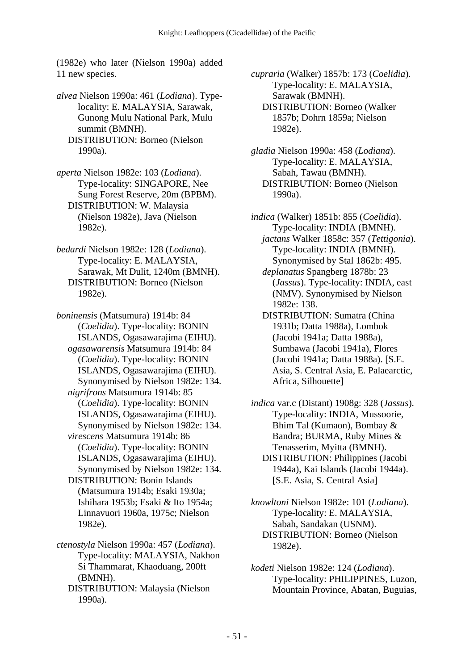(1982e) who later (Nielson 1990a) added 11 new species.

- *alvea* Nielson 1990a: 461 (*Lodiana*). Typelocality: E. MALAYSIA, Sarawak, Gunong Mulu National Park, Mulu summit (BMNH). DISTRIBUTION: Borneo (Nielson 1990a).
- *aperta* Nielson 1982e: 103 (*Lodiana*). Type-locality: SINGAPORE, Nee Sung Forest Reserve, 20m (BPBM). DISTRIBUTION: W. Malaysia (Nielson 1982e), Java (Nielson 1982e).
- *bedardi* Nielson 1982e: 128 (*Lodiana*). Type-locality: E. MALAYSIA, Sarawak, Mt Dulit, 1240m (BMNH). DISTRIBUTION: Borneo (Nielson 1982e).
- *boninensis* (Matsumura) 1914b: 84 (*Coelidia*). Type-locality: BONIN ISLANDS, Ogasawarajima (EIHU).  *ogasawarensis* Matsumura 1914b: 84 (*Coelidia*). Type-locality: BONIN ISLANDS, Ogasawarajima (EIHU). Synonymised by Nielson 1982e: 134.  *nigrifrons* Matsumura 1914b: 85 (*Coelidia*). Type-locality: BONIN ISLANDS, Ogasawarajima (EIHU). Synonymised by Nielson 1982e: 134.  *virescens* Matsumura 1914b: 86 (*Coelidia*). Type-locality: BONIN ISLANDS, Ogasawarajima (EIHU). Synonymised by Nielson 1982e: 134. DISTRIBUTION: Bonin Islands (Matsumura 1914b; Esaki 1930a; Ishihara 1953b; Esaki & Ito 1954a; Linnavuori 1960a, 1975c; Nielson 1982e).
- *ctenostyla* Nielson 1990a: 457 (*Lodiana*). Type-locality: MALAYSIA, Nakhon Si Thammarat, Khaoduang, 200ft (BMNH).
	- DISTRIBUTION: Malaysia (Nielson 1990a).

*cupraria* (Walker) 1857b: 173 (*Coelidia*). Type-locality: E. MALAYSIA, Sarawak (BMNH). DISTRIBUTION: Borneo (Walker 1857b; Dohrn 1859a; Nielson 1982e).

- *gladia* Nielson 1990a: 458 (*Lodiana*). Type-locality: E. MALAYSIA, Sabah, Tawau (BMNH). DISTRIBUTION: Borneo (Nielson 1990a).
- *indica* (Walker) 1851b: 855 (*Coelidia*). Type-locality: INDIA (BMNH).  *jactans* Walker 1858c: 357 (*Tettigonia*). Type-locality: INDIA (BMNH). Synonymised by Stal 1862b: 495.  *deplanatus* Spangberg 1878b: 23 (*Jassus*). Type-locality: INDIA, east (NMV). Synonymised by Nielson 1982e: 138. DISTRIBUTION: Sumatra (China 1931b; Datta 1988a), Lombok (Jacobi 1941a; Datta 1988a), Sumbawa (Jacobi 1941a), Flores (Jacobi 1941a; Datta 1988a). [S.E. Asia, S. Central Asia, E. Palaearctic, Africa, Silhouette]
- *indica* var.c (Distant) 1908g: 328 (*Jassus*). Type-locality: INDIA, Mussoorie, Bhim Tal (Kumaon), Bombay & Bandra; BURMA, Ruby Mines & Tenasserim, Myitta (BMNH). DISTRIBUTION: Philippines (Jacobi 1944a), Kai Islands (Jacobi 1944a). [S.E. Asia, S. Central Asia]
- *knowltoni* Nielson 1982e: 101 (*Lodiana*). Type-locality: E. MALAYSIA, Sabah, Sandakan (USNM). DISTRIBUTION: Borneo (Nielson 1982e).
- *kodeti* Nielson 1982e: 124 (*Lodiana*). Type-locality: PHILIPPINES, Luzon, Mountain Province, Abatan, Buguias,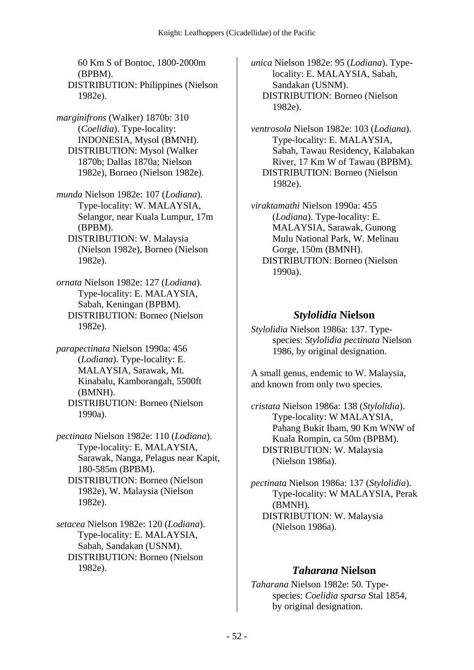60 Km S of Bontoc, 1800-2000m (BPBM). DISTRIBUTION: Philippines (Nielson 1982e).

*marginifrons* (Walker) 1870b: 310 (*Coelidia*). Type-locality: INDONESIA, Mysol (BMNH). DISTRIBUTION: Mysol (Walker 1870b; Dallas 1870a; Nielson 1982e), Borneo (Nielson 1982e).

*munda* Nielson 1982e: 107 (*Lodiana*). Type-locality: W. MALAYSIA, Selangor, near Kuala Lumpur, 17m (BPBM).

 DISTRIBUTION: W. Malaysia (Nielson 1982e), Borneo (Nielson 1982e).

*ornata* Nielson 1982e: 127 (*Lodiana*). Type-locality: E. MALAYSIA, Sabah, Keningan (BPBM). DISTRIBUTION: Borneo (Nielson 1982e).

*parapectinata* Nielson 1990a: 456 (*Lodiana*). Type-locality: E. MALAYSIA, Sarawak, Mt. Kinabalu, Kamborangah, 5500ft (BMNH). DISTRIBUTION: Borneo (Nielson 1990a).

*pectinata* Nielson 1982e: 110 (*Lodiana*). Type-locality: E. MALAYSIA, Sarawak, Nanga, Pelagus near Kapit, 180-585m (BPBM). DISTRIBUTION: Borneo (Nielson 1982e), W. Malaysia (Nielson 1982e).

*setacea* Nielson 1982e: 120 (*Lodiana*). Type-locality: E. MALAYSIA, Sabah, Sandakan (USNM). DISTRIBUTION: Borneo (Nielson 1982e).

*unica* Nielson 1982e: 95 (*Lodiana*). Typelocality: E. MALAYSIA, Sabah, Sandakan (USNM). DISTRIBUTION: Borneo (Nielson 1982e).

*ventrosola* Nielson 1982e: 103 (*Lodiana*). Type-locality: E. MALAYSIA, Sabah, Tawau Residency, Kalabakan River, 17 Km W of Tawau (BPBM). DISTRIBUTION: Borneo (Nielson 1982e).

*viraktamathi* Nielson 1990a: 455 (*Lodiana*). Type-locality: E. MALAYSIA, Sarawak, Gunong Mulu National Park, W. Melinau Gorge, 150m (BMNH). DISTRIBUTION: Borneo (Nielson 1990a).

#### *Stylolidia* **Nielson**

*Stylolidia* Nielson 1986a: 137. Typespecies: *Stylolidia pectinata* Nielson 1986, by original designation.

A small genus, endemic to W. Malaysia, and known from only two species.

*cristata* Nielson 1986a: 138 (*Stylolidia*). Type-locality: W MALAYSIA, Pahang Bukit Ibam, 90 Km WNW of Kuala Rompin, ca 50m (BPBM). DISTRIBUTION: W. Malaysia (Nielson 1986a).

*pectinata* Nielson 1986a: 137 (*Stylolidia*). Type-locality: W MALAYSIA, Perak (BMNH). DISTRIBUTION: W. Malaysia (Nielson 1986a).

#### *Taharana* **Nielson**

*Taharana* Nielson 1982e: 50. Typespecies: *Coelidia sparsa* Stal 1854, by original designation.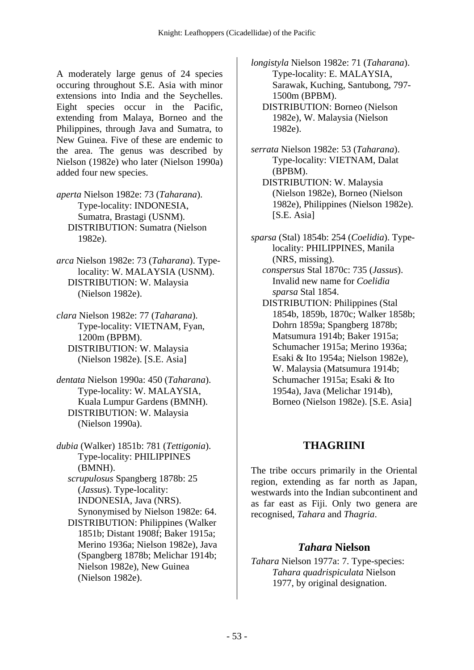A moderately large genus of 24 species occuring throughout S.E. Asia with minor extensions into India and the Seychelles. Eight species occur in the Pacific, extending from Malaya, Borneo and the Philippines, through Java and Sumatra, to New Guinea. Five of these are endemic to the area. The genus was described by Nielson (1982e) who later (Nielson 1990a) added four new species.

*aperta* Nielson 1982e: 73 (*Taharana*). Type-locality: INDONESIA, Sumatra, Brastagi (USNM). DISTRIBUTION: Sumatra (Nielson 1982e).

*arca* Nielson 1982e: 73 (*Taharana*). Typelocality: W. MALAYSIA (USNM). DISTRIBUTION: W. Malaysia (Nielson 1982e).

*clara* Nielson 1982e: 77 (*Taharana*). Type-locality: VIETNAM, Fyan, 1200m (BPBM). DISTRIBUTION: W. Malaysia (Nielson 1982e). [S.E. Asia]

*dentata* Nielson 1990a: 450 (*Taharana*). Type-locality: W. MALAYSIA, Kuala Lumpur Gardens (BMNH). DISTRIBUTION: W. Malaysia (Nielson 1990a).

*dubia* (Walker) 1851b: 781 (*Tettigonia*). Type-locality: PHILIPPINES (BMNH).  *scrupulosus* Spangberg 1878b: 25 (*Jassus*). Type-locality: INDONESIA, Java (NRS). Synonymised by Nielson 1982e: 64. DISTRIBUTION: Philippines (Walker 1851b; Distant 1908f; Baker 1915a; Merino 1936a; Nielson 1982e), Java (Spangberg 1878b; Melichar 1914b; Nielson 1982e), New Guinea

(Nielson 1982e).

*longistyla* Nielson 1982e: 71 (*Taharana*). Type-locality: E. MALAYSIA, Sarawak, Kuching, Santubong, 797- 1500m (BPBM). DISTRIBUTION: Borneo (Nielson

- 1982e), W. Malaysia (Nielson 1982e).
- *serrata* Nielson 1982e: 53 (*Taharana*). Type-locality: VIETNAM, Dalat (BPBM).
	- DISTRIBUTION: W. Malaysia (Nielson 1982e), Borneo (Nielson 1982e), Philippines (Nielson 1982e). [S.E. Asia]
- *sparsa* (Stal) 1854b: 254 (*Coelidia*). Typelocality: PHILIPPINES, Manila (NRS, missing).
	- *conspersus* Stal 1870c: 735 (*Jassus*). Invalid new name for *Coelidia sparsa* Stal 1854.
	- DISTRIBUTION: Philippines (Stal 1854b, 1859b, 1870c; Walker 1858b; Dohrn 1859a; Spangberg 1878b; Matsumura 1914b; Baker 1915a; Schumacher 1915a; Merino 1936a; Esaki & Ito 1954a; Nielson 1982e), W. Malaysia (Matsumura 1914b; Schumacher 1915a; Esaki & Ito 1954a), Java (Melichar 1914b), Borneo (Nielson 1982e). [S.E. Asia]

## **THAGRIINI**

The tribe occurs primarily in the Oriental region, extending as far north as Japan, westwards into the Indian subcontinent and as far east as Fiji. Only two genera are recognised, *Tahara* and *Thagria*.

### *Tahara* **Nielson**

*Tahara* Nielson 1977a: 7. Type-species: *Tahara quadrispiculata* Nielson 1977, by original designation.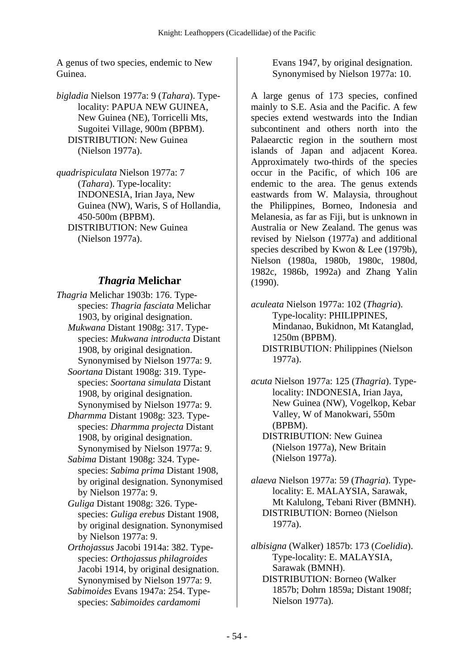A genus of two species, endemic to New Guinea.

*bigladia* Nielson 1977a: 9 (*Tahara*). Typelocality: PAPUA NEW GUINEA, New Guinea (NE), Torricelli Mts, Sugoitei Village, 900m (BPBM). DISTRIBUTION: New Guinea (Nielson 1977a).

*quadrispiculata* Nielson 1977a: 7 (*Tahara*). Type-locality: INDONESIA, Irian Jaya, New Guinea (NW), Waris, S of Hollandia, 450-500m (BPBM). DISTRIBUTION: New Guinea (Nielson 1977a).

### *Thagria* **Melichar**

- *Thagria* Melichar 1903b: 176. Typespecies: *Thagria fasciata* Melichar 1903, by original designation.  *Mukwana* Distant 1908g: 317. Typespecies: *Mukwana introducta* Distant 1908, by original designation. Synonymised by Nielson 1977a: 9.
	- *Soortana* Distant 1908g: 319. Typespecies: *Soortana simulata* Distant 1908, by original designation. Synonymised by Nielson 1977a: 9.
	- *Dharmma* Distant 1908g: 323. Typespecies: *Dharmma projecta* Distant 1908, by original designation. Synonymised by Nielson 1977a: 9.
	- *Sabima* Distant 1908g: 324. Typespecies: *Sabima prima* Distant 1908, by original designation. Synonymised by Nielson 1977a: 9.
	- *Guliga* Distant 1908g: 326. Typespecies: *Guliga erebus* Distant 1908, by original designation. Synonymised by Nielson 1977a: 9.
	- *Orthojassus* Jacobi 1914a: 382. Typespecies: *Orthojassus philagroides* Jacobi 1914, by original designation. Synonymised by Nielson 1977a: 9.
	- *Sabimoides* Evans 1947a: 254. Typespecies: *Sabimoides cardamomi*

Evans 1947, by original designation. Synonymised by Nielson 1977a: 10.

A large genus of 173 species, confined mainly to S.E. Asia and the Pacific. A few species extend westwards into the Indian subcontinent and others north into the Palaearctic region in the southern most islands of Japan and adjacent Korea. Approximately two-thirds of the species occur in the Pacific, of which 106 are endemic to the area. The genus extends eastwards from W. Malaysia, throughout the Philippines, Borneo, Indonesia and Melanesia, as far as Fiji, but is unknown in Australia or New Zealand. The genus was revised by Nielson (1977a) and additional species described by Kwon & Lee (1979b), Nielson (1980a, 1980b, 1980c, 1980d, 1982c, 1986b, 1992a) and Zhang Yalin (1990).

*aculeata* Nielson 1977a: 102 (*Thagria*). Type-locality: PHILIPPINES, Mindanao, Bukidnon, Mt Katanglad, 1250m (BPBM). DISTRIBUTION: Philippines (Nielson 1977a).

*acuta* Nielson 1977a: 125 (*Thagria*). Typelocality: INDONESIA, Irian Jaya, New Guinea (NW), Vogelkop, Kebar Valley, W of Manokwari, 550m (BPBM). DISTRIBUTION: New Guinea

(Nielson 1977a), New Britain (Nielson 1977a).

*alaeva* Nielson 1977a: 59 (*Thagria*). Typelocality: E. MALAYSIA, Sarawak, Mt Kalulong, Tebani River (BMNH). DISTRIBUTION: Borneo (Nielson 1977a).

*albisigna* (Walker) 1857b: 173 (*Coelidia*). Type-locality: E. MALAYSIA, Sarawak (BMNH).

 DISTRIBUTION: Borneo (Walker 1857b; Dohrn 1859a; Distant 1908f; Nielson 1977a).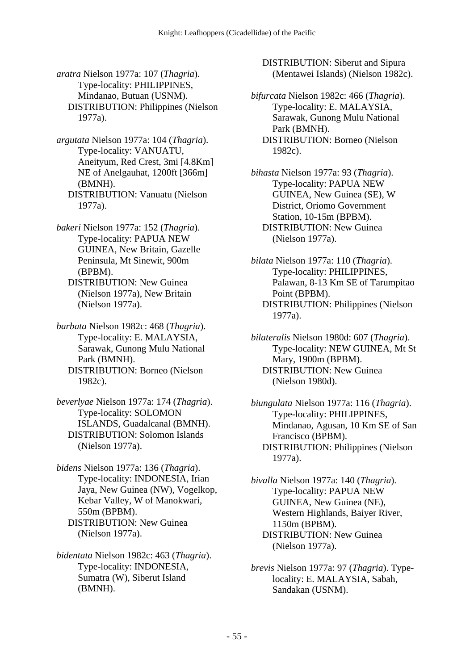*aratra* Nielson 1977a: 107 (*Thagria*). Type-locality: PHILIPPINES, Mindanao, Butuan (USNM). DISTRIBUTION: Philippines (Nielson 1977a).

*argutata* Nielson 1977a: 104 (*Thagria*). Type-locality: VANUATU, Aneityum, Red Crest, 3mi [4.8Km] NE of Anelgauhat, 1200ft [366m] (BMNH). DISTRIBUTION: Vanuatu (Nielson 1977a).

*bakeri* Nielson 1977a: 152 (*Thagria*). Type-locality: PAPUA NEW GUINEA, New Britain, Gazelle Peninsula, Mt Sinewit, 900m (BPBM).

 DISTRIBUTION: New Guinea (Nielson 1977a), New Britain (Nielson 1977a).

*barbata* Nielson 1982c: 468 (*Thagria*). Type-locality: E. MALAYSIA, Sarawak, Gunong Mulu National Park (BMNH). DISTRIBUTION: Borneo (Nielson 1982c).

*beverlyae* Nielson 1977a: 174 (*Thagria*). Type-locality: SOLOMON ISLANDS, Guadalcanal (BMNH). DISTRIBUTION: Solomon Islands (Nielson 1977a).

*bidens* Nielson 1977a: 136 (*Thagria*). Type-locality: INDONESIA, Irian Jaya, New Guinea (NW), Vogelkop, Kebar Valley, W of Manokwari, 550m (BPBM). DISTRIBUTION: New Guinea (Nielson 1977a).

*bidentata* Nielson 1982c: 463 (*Thagria*). Type-locality: INDONESIA, Sumatra (W), Siberut Island (BMNH).

 DISTRIBUTION: Siberut and Sipura (Mentawei Islands) (Nielson 1982c).

*bifurcata* Nielson 1982c: 466 (*Thagria*). Type-locality: E. MALAYSIA, Sarawak, Gunong Mulu National Park (BMNH). DISTRIBUTION: Borneo (Nielson 1982c).

*bihasta* Nielson 1977a: 93 (*Thagria*). Type-locality: PAPUA NEW GUINEA, New Guinea (SE), W District, Oriomo Government Station, 10-15m (BPBM). DISTRIBUTION: New Guinea (Nielson 1977a).

*bilata* Nielson 1977a: 110 (*Thagria*). Type-locality: PHILIPPINES, Palawan, 8-13 Km SE of Tarumpitao Point (BPBM). DISTRIBUTION: Philippines (Nielson 1977a).

*bilateralis* Nielson 1980d: 607 (*Thagria*). Type-locality: NEW GUINEA, Mt St Mary, 1900m (BPBM). DISTRIBUTION: New Guinea (Nielson 1980d).

*biungulata* Nielson 1977a: 116 (*Thagria*). Type-locality: PHILIPPINES, Mindanao, Agusan, 10 Km SE of San Francisco (BPBM). DISTRIBUTION: Philippines (Nielson 1977a).

*bivalla* Nielson 1977a: 140 (*Thagria*). Type-locality: PAPUA NEW GUINEA, New Guinea (NE), Western Highlands, Baiyer River, 1150m (BPBM). DISTRIBUTION: New Guinea (Nielson 1977a).

*brevis* Nielson 1977a: 97 (*Thagria*). Typelocality: E. MALAYSIA, Sabah, Sandakan (USNM).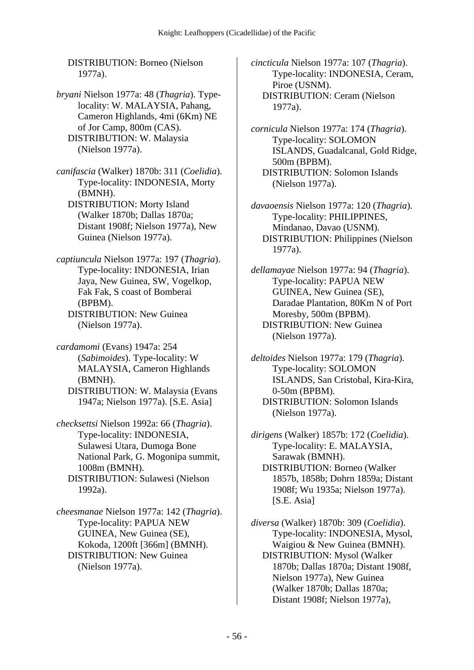DISTRIBUTION: Borneo (Nielson 1977a).

*bryani* Nielson 1977a: 48 (*Thagria*). Typelocality: W. MALAYSIA, Pahang, Cameron Highlands, 4mi (6Km) NE of Jor Camp, 800m (CAS). DISTRIBUTION: W. Malaysia (Nielson 1977a).

*canifascia* (Walker) 1870b: 311 (*Coelidia*). Type-locality: INDONESIA, Morty (BMNH). DISTRIBUTION: Morty Island (Walker 1870b; Dallas 1870a; Distant 1908f; Nielson 1977a), New

Guinea (Nielson 1977a).

*captiuncula* Nielson 1977a: 197 (*Thagria*). Type-locality: INDONESIA, Irian Jaya, New Guinea, SW, Vogelkop, Fak Fak, S coast of Bomberai (BPBM). DISTRIBUTION: New Guinea

(Nielson 1977a).

*cardamomi* (Evans) 1947a: 254 (*Sabimoides*). Type-locality: W MALAYSIA, Cameron Highlands (BMNH). DISTRIBUTION: W. Malaysia (Evans

1947a; Nielson 1977a). [S.E. Asia]

*checksettsi* Nielson 1992a: 66 (*Thagria*). Type-locality: INDONESIA, Sulawesi Utara, Dumoga Bone National Park, G. Mogonipa summit, 1008m (BMNH). DISTRIBUTION: Sulawesi (Nielson 1992a).

*cheesmanae* Nielson 1977a: 142 (*Thagria*). Type-locality: PAPUA NEW GUINEA, New Guinea (SE), Kokoda, 1200ft [366m] (BMNH). DISTRIBUTION: New Guinea (Nielson 1977a).

*cincticula* Nielson 1977a: 107 (*Thagria*). Type-locality: INDONESIA, Ceram, Piroe (USNM). DISTRIBUTION: Ceram (Nielson 1977a).

*cornicula* Nielson 1977a: 174 (*Thagria*). Type-locality: SOLOMON ISLANDS, Guadalcanal, Gold Ridge, 500m (BPBM). DISTRIBUTION: Solomon Islands (Nielson 1977a).

*davaoensis* Nielson 1977a: 120 (*Thagria*). Type-locality: PHILIPPINES, Mindanao, Davao (USNM). DISTRIBUTION: Philippines (Nielson 1977a).

*dellamayae* Nielson 1977a: 94 (*Thagria*). Type-locality: PAPUA NEW GUINEA, New Guinea (SE), Daradae Plantation, 80Km N of Port Moresby, 500m (BPBM). DISTRIBUTION: New Guinea (Nielson 1977a).

*deltoides* Nielson 1977a: 179 (*Thagria*). Type-locality: SOLOMON ISLANDS, San Cristobal, Kira-Kira, 0-50m (BPBM). DISTRIBUTION: Solomon Islands (Nielson 1977a).

*dirigens* (Walker) 1857b: 172 (*Coelidia*). Type-locality: E. MALAYSIA, Sarawak (BMNH). DISTRIBUTION: Borneo (Walker 1857b, 1858b; Dohrn 1859a; Distant 1908f; Wu 1935a; Nielson 1977a). [S.E. Asia]

*diversa* (Walker) 1870b: 309 (*Coelidia*). Type-locality: INDONESIA, Mysol, Waigiou & New Guinea (BMNH). DISTRIBUTION: Mysol (Walker 1870b; Dallas 1870a; Distant 1908f, Nielson 1977a), New Guinea (Walker 1870b; Dallas 1870a; Distant 1908f; Nielson 1977a),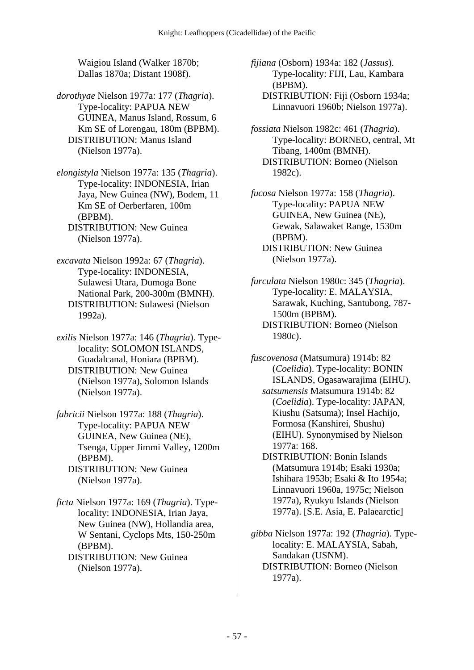Waigiou Island (Walker 1870b; Dallas 1870a; Distant 1908f).

- *dorothyae* Nielson 1977a: 177 (*Thagria*). Type-locality: PAPUA NEW GUINEA, Manus Island, Rossum, 6 Km SE of Lorengau, 180m (BPBM). DISTRIBUTION: Manus Island (Nielson 1977a).
- *elongistyla* Nielson 1977a: 135 (*Thagria*). Type-locality: INDONESIA, Irian Jaya, New Guinea (NW), Bodem, 11 Km SE of Oerberfaren, 100m (BPBM). DISTRIBUTION: New Guinea (Nielson 1977a).
- *excavata* Nielson 1992a: 67 (*Thagria*). Type-locality: INDONESIA, Sulawesi Utara, Dumoga Bone National Park, 200-300m (BMNH). DISTRIBUTION: Sulawesi (Nielson 1992a).
- *exilis* Nielson 1977a: 146 (*Thagria*). Typelocality: SOLOMON ISLANDS, Guadalcanal, Honiara (BPBM). DISTRIBUTION: New Guinea (Nielson 1977a), Solomon Islands (Nielson 1977a).
- *fabricii* Nielson 1977a: 188 (*Thagria*). Type-locality: PAPUA NEW GUINEA, New Guinea (NE), Tsenga, Upper Jimmi Valley, 1200m (BPBM). DISTRIBUTION: New Guinea (Nielson 1977a).

*ficta* Nielson 1977a: 169 (*Thagria*). Typelocality: INDONESIA, Irian Jaya, New Guinea (NW), Hollandia area, W Sentani, Cyclops Mts, 150-250m (BPBM). DISTRIBUTION: New Guinea

```
(Nielson 1977a).
```
*fijiana* (Osborn) 1934a: 182 (*Jassus*). Type-locality: FIJI, Lau, Kambara (BPBM). DISTRIBUTION: Fiji (Osborn 1934a; Linnavuori 1960b; Nielson 1977a).

- *fossiata* Nielson 1982c: 461 (*Thagria*). Type-locality: BORNEO, central, Mt Tibang, 1400m (BMNH). DISTRIBUTION: Borneo (Nielson 1982c).
- *fucosa* Nielson 1977a: 158 (*Thagria*). Type-locality: PAPUA NEW GUINEA, New Guinea (NE), Gewak, Salawaket Range, 1530m (BPBM). DISTRIBUTION: New Guinea (Nielson 1977a).
- *furculata* Nielson 1980c: 345 (*Thagria*). Type-locality: E. MALAYSIA, Sarawak, Kuching, Santubong, 787- 1500m (BPBM). DISTRIBUTION: Borneo (Nielson 1980c).

*fuscovenosa* (Matsumura) 1914b: 82 (*Coelidia*). Type-locality: BONIN ISLANDS, Ogasawarajima (EIHU).

- *satsumensis* Matsumura 1914b: 82 (*Coelidia*). Type-locality: JAPAN, Kiushu (Satsuma); Insel Hachijo, Formosa (Kanshirei, Shushu) (EIHU). Synonymised by Nielson 1977a: 168.
- DISTRIBUTION: Bonin Islands (Matsumura 1914b; Esaki 1930a; Ishihara 1953b; Esaki & Ito 1954a; Linnavuori 1960a, 1975c; Nielson 1977a), Ryukyu Islands (Nielson 1977a). [S.E. Asia, E. Palaearctic]

*gibba* Nielson 1977a: 192 (*Thagria*). Typelocality: E. MALAYSIA, Sabah, Sandakan (USNM). DISTRIBUTION: Borneo (Nielson 1977a).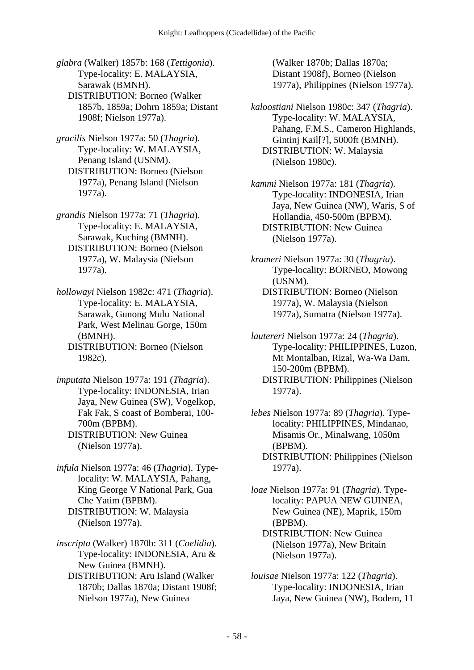*glabra* (Walker) 1857b: 168 (*Tettigonia*). Type-locality: E. MALAYSIA, Sarawak (BMNH). DISTRIBUTION: Borneo (Walker 1857b, 1859a; Dohrn 1859a; Distant 1908f; Nielson 1977a).

*gracilis* Nielson 1977a: 50 (*Thagria*). Type-locality: W. MALAYSIA, Penang Island (USNM). DISTRIBUTION: Borneo (Nielson 1977a), Penang Island (Nielson 1977a).

*grandis* Nielson 1977a: 71 (*Thagria*). Type-locality: E. MALAYSIA, Sarawak, Kuching (BMNH). DISTRIBUTION: Borneo (Nielson 1977a), W. Malaysia (Nielson 1977a).

*hollowayi* Nielson 1982c: 471 (*Thagria*). Type-locality: E. MALAYSIA, Sarawak, Gunong Mulu National Park, West Melinau Gorge, 150m (BMNH).

 DISTRIBUTION: Borneo (Nielson 1982c).

*imputata* Nielson 1977a: 191 (*Thagria*). Type-locality: INDONESIA, Irian Jaya, New Guinea (SW), Vogelkop, Fak Fak, S coast of Bomberai, 100- 700m (BPBM). DISTRIBUTION: New Guinea (Nielson 1977a).

*infula* Nielson 1977a: 46 (*Thagria*). Typelocality: W. MALAYSIA, Pahang, King George V National Park, Gua Che Yatim (BPBM). DISTRIBUTION: W. Malaysia (Nielson 1977a).

*inscripta* (Walker) 1870b: 311 (*Coelidia*). Type-locality: INDONESIA, Aru & New Guinea (BMNH).

 DISTRIBUTION: Aru Island (Walker 1870b; Dallas 1870a; Distant 1908f; Nielson 1977a), New Guinea

(Walker 1870b; Dallas 1870a; Distant 1908f), Borneo (Nielson 1977a), Philippines (Nielson 1977a).

*kaloostiani* Nielson 1980c: 347 (*Thagria*). Type-locality: W. MALAYSIA, Pahang, F.M.S., Cameron Highlands, Gintinj Kail[?], 5000ft (BMNH). DISTRIBUTION: W. Malaysia (Nielson 1980c).

*kammi* Nielson 1977a: 181 (*Thagria*). Type-locality: INDONESIA, Irian Jaya, New Guinea (NW), Waris, S of Hollandia, 450-500m (BPBM). DISTRIBUTION: New Guinea (Nielson 1977a).

*krameri* Nielson 1977a: 30 (*Thagria*). Type-locality: BORNEO, Mowong (USNM). DISTRIBUTION: Borneo (Nielson

1977a), W. Malaysia (Nielson 1977a), Sumatra (Nielson 1977a).

*lautereri* Nielson 1977a: 24 (*Thagria*). Type-locality: PHILIPPINES, Luzon, Mt Montalban, Rizal, Wa-Wa Dam, 150-200m (BPBM). DISTRIBUTION: Philippines (Nielson 1977a).

*lebes* Nielson 1977a: 89 (*Thagria*). Typelocality: PHILIPPINES, Mindanao, Misamis Or., Minalwang, 1050m (BPBM).

 DISTRIBUTION: Philippines (Nielson 1977a).

*loae* Nielson 1977a: 91 (*Thagria*). Typelocality: PAPUA NEW GUINEA, New Guinea (NE), Maprik, 150m (BPBM).

 DISTRIBUTION: New Guinea (Nielson 1977a), New Britain (Nielson 1977a).

*louisae* Nielson 1977a: 122 (*Thagria*). Type-locality: INDONESIA, Irian Jaya, New Guinea (NW), Bodem, 11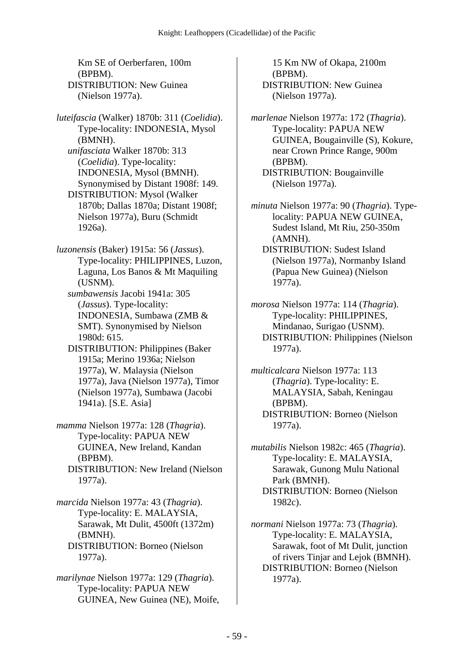Km SE of Oerberfaren, 100m (BPBM). DISTRIBUTION: New Guinea (Nielson 1977a).

*luteifascia* (Walker) 1870b: 311 (*Coelidia*). Type-locality: INDONESIA, Mysol (BMNH).  *unifasciata* Walker 1870b: 313 (*Coelidia*). Type-locality: INDONESIA, Mysol (BMNH). Synonymised by Distant 1908f: 149. DISTRIBUTION: Mysol (Walker 1870b; Dallas 1870a; Distant 1908f; Nielson 1977a), Buru (Schmidt 1926a).

*luzonensis* (Baker) 1915a: 56 (*Jassus*). Type-locality: PHILIPPINES, Luzon, Laguna, Los Banos & Mt Maquiling (USNM).

 *sumbawensis* Jacobi 1941a: 305 (*Jassus*). Type-locality: INDONESIA, Sumbawa (ZMB & SMT). Synonymised by Nielson 1980d: 615.

 DISTRIBUTION: Philippines (Baker 1915a; Merino 1936a; Nielson 1977a), W. Malaysia (Nielson 1977a), Java (Nielson 1977a), Timor (Nielson 1977a), Sumbawa (Jacobi 1941a). [S.E. Asia]

*mamma* Nielson 1977a: 128 (*Thagria*). Type-locality: PAPUA NEW GUINEA, New Ireland, Kandan (BPBM). DISTRIBUTION: New Ireland (Nielson

1977a).

*marcida* Nielson 1977a: 43 (*Thagria*). Type-locality: E. MALAYSIA, Sarawak, Mt Dulit, 4500ft (1372m) (BMNH). DISTRIBUTION: Borneo (Nielson 1977a).

*marilynae* Nielson 1977a: 129 (*Thagria*). Type-locality: PAPUA NEW GUINEA, New Guinea (NE), Moife,

15 Km NW of Okapa, 2100m (BPBM). DISTRIBUTION: New Guinea (Nielson 1977a).

*marlenae* Nielson 1977a: 172 (*Thagria*). Type-locality: PAPUA NEW GUINEA, Bougainville (S), Kokure, near Crown Prince Range, 900m (BPBM). DISTRIBUTION: Bougainville (Nielson 1977a).

*minuta* Nielson 1977a: 90 (*Thagria*). Typelocality: PAPUA NEW GUINEA, Sudest Island, Mt Riu, 250-350m (AMNH).

 DISTRIBUTION: Sudest Island (Nielson 1977a), Normanby Island (Papua New Guinea) (Nielson 1977a).

*morosa* Nielson 1977a: 114 (*Thagria*). Type-locality: PHILIPPINES, Mindanao, Surigao (USNM). DISTRIBUTION: Philippines (Nielson 1977a).

*multicalcara* Nielson 1977a: 113 (*Thagria*). Type-locality: E. MALAYSIA, Sabah, Keningau (BPBM). DISTRIBUTION: Borneo (Nielson 1977a).

*mutabilis* Nielson 1982c: 465 (*Thagria*). Type-locality: E. MALAYSIA, Sarawak, Gunong Mulu National Park (BMNH). DISTRIBUTION: Borneo (Nielson 1982c).

*normani* Nielson 1977a: 73 (*Thagria*). Type-locality: E. MALAYSIA, Sarawak, foot of Mt Dulit, junction of rivers Tinjar and Lejok (BMNH). DISTRIBUTION: Borneo (Nielson 1977a).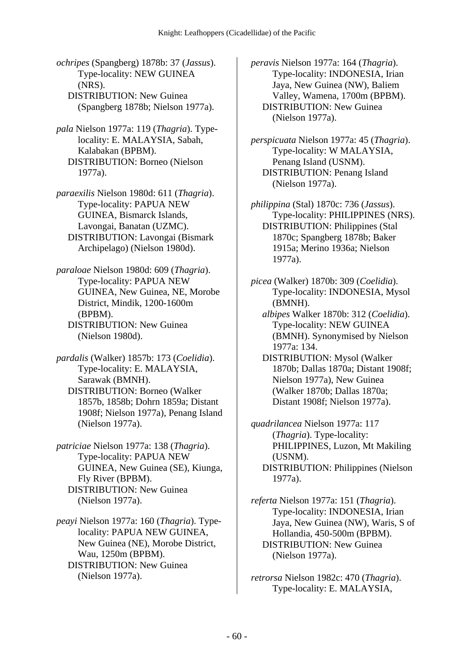- *ochripes* (Spangberg) 1878b: 37 (*Jassus*). Type-locality: NEW GUINEA (NRS). DISTRIBUTION: New Guinea (Spangberg 1878b; Nielson 1977a).
- *pala* Nielson 1977a: 119 (*Thagria*). Typelocality: E. MALAYSIA, Sabah, Kalabakan (BPBM). DISTRIBUTION: Borneo (Nielson 1977a).
- *paraexilis* Nielson 1980d: 611 (*Thagria*). Type-locality: PAPUA NEW GUINEA, Bismarck Islands, Lavongai, Banatan (UZMC). DISTRIBUTION: Lavongai (Bismark Archipelago) (Nielson 1980d).
- *paraloae* Nielson 1980d: 609 (*Thagria*). Type-locality: PAPUA NEW GUINEA, New Guinea, NE, Morobe District, Mindik, 1200-1600m (BPBM). DISTRIBUTION: New Guinea (Nielson 1980d).
- *pardalis* (Walker) 1857b: 173 (*Coelidia*). Type-locality: E. MALAYSIA, Sarawak (BMNH). DISTRIBUTION: Borneo (Walker 1857b, 1858b; Dohrn 1859a; Distant 1908f; Nielson 1977a), Penang Island (Nielson 1977a).
- *patriciae* Nielson 1977a: 138 (*Thagria*). Type-locality: PAPUA NEW GUINEA, New Guinea (SE), Kiunga, Fly River (BPBM). DISTRIBUTION: New Guinea (Nielson 1977a).
- *peayi* Nielson 1977a: 160 (*Thagria*). Typelocality: PAPUA NEW GUINEA, New Guinea (NE), Morobe District, Wau, 1250m (BPBM). DISTRIBUTION: New Guinea (Nielson 1977a).

*peravis* Nielson 1977a: 164 (*Thagria*). Type-locality: INDONESIA, Irian Jaya, New Guinea (NW), Baliem Valley, Wamena, 1700m (BPBM). DISTRIBUTION: New Guinea (Nielson 1977a).

- *perspicuata* Nielson 1977a: 45 (*Thagria*). Type-locality: W MALAYSIA, Penang Island (USNM). DISTRIBUTION: Penang Island (Nielson 1977a).
- *philippina* (Stal) 1870c: 736 (*Jassus*). Type-locality: PHILIPPINES (NRS). DISTRIBUTION: Philippines (Stal 1870c; Spangberg 1878b; Baker 1915a; Merino 1936a; Nielson 1977a).
- *picea* (Walker) 1870b: 309 (*Coelidia*). Type-locality: INDONESIA, Mysol (BMNH).
	- *albipes* Walker 1870b: 312 (*Coelidia*). Type-locality: NEW GUINEA (BMNH). Synonymised by Nielson 1977a: 134.
	- DISTRIBUTION: Mysol (Walker 1870b; Dallas 1870a; Distant 1908f; Nielson 1977a), New Guinea (Walker 1870b; Dallas 1870a; Distant 1908f; Nielson 1977a).
- *quadrilancea* Nielson 1977a: 117 (*Thagria*). Type-locality: PHILIPPINES, Luzon, Mt Makiling (USNM). DISTRIBUTION: Philippines (Nielson 1977a).
- *referta* Nielson 1977a: 151 (*Thagria*). Type-locality: INDONESIA, Irian Jaya, New Guinea (NW), Waris, S of Hollandia, 450-500m (BPBM). DISTRIBUTION: New Guinea (Nielson 1977a).
- *retrorsa* Nielson 1982c: 470 (*Thagria*). Type-locality: E. MALAYSIA,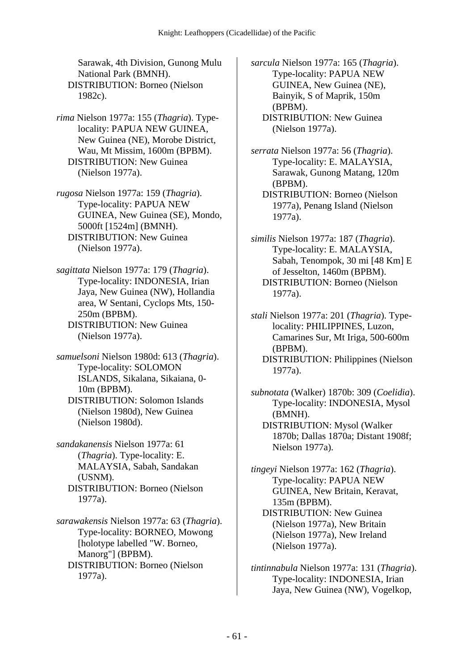Sarawak, 4th Division, Gunong Mulu National Park (BMNH). DISTRIBUTION: Borneo (Nielson 1982c).

*rima* Nielson 1977a: 155 (*Thagria*). Typelocality: PAPUA NEW GUINEA, New Guinea (NE), Morobe District, Wau, Mt Missim, 1600m (BPBM). DISTRIBUTION: New Guinea (Nielson 1977a).

*rugosa* Nielson 1977a: 159 (*Thagria*). Type-locality: PAPUA NEW GUINEA, New Guinea (SE), Mondo, 5000ft [1524m] (BMNH). DISTRIBUTION: New Guinea (Nielson 1977a).

*sagittata* Nielson 1977a: 179 (*Thagria*). Type-locality: INDONESIA, Irian Jaya, New Guinea (NW), Hollandia area, W Sentani, Cyclops Mts, 150- 250m (BPBM). DISTRIBUTION: New Guinea (Nielson 1977a).

*samuelsoni* Nielson 1980d: 613 (*Thagria*). Type-locality: SOLOMON ISLANDS, Sikalana, Sikaiana, 0- 10m (BPBM). DISTRIBUTION: Solomon Islands (Nielson 1980d), New Guinea (Nielson 1980d).

*sandakanensis* Nielson 1977a: 61 (*Thagria*). Type-locality: E. MALAYSIA, Sabah, Sandakan (USNM). DISTRIBUTION: Borneo (Nielson 1977a).

*sarawakensis* Nielson 1977a: 63 (*Thagria*). Type-locality: BORNEO, Mowong [holotype labelled "W. Borneo, Manorg"] (BPBM). DISTRIBUTION: Borneo (Nielson 1977a).

*sarcula* Nielson 1977a: 165 (*Thagria*). Type-locality: PAPUA NEW GUINEA, New Guinea (NE), Bainyik, S of Maprik, 150m (BPBM). DISTRIBUTION: New Guinea (Nielson 1977a).

*serrata* Nielson 1977a: 56 (*Thagria*). Type-locality: E. MALAYSIA, Sarawak, Gunong Matang, 120m (BPBM).

- DISTRIBUTION: Borneo (Nielson 1977a), Penang Island (Nielson 1977a).
- *similis* Nielson 1977a: 187 (*Thagria*). Type-locality: E. MALAYSIA, Sabah, Tenompok, 30 mi [48 Km] E of Jesselton, 1460m (BPBM). DISTRIBUTION: Borneo (Nielson 1977a).

*stali* Nielson 1977a: 201 (*Thagria*). Typelocality: PHILIPPINES, Luzon, Camarines Sur, Mt Iriga, 500-600m (BPBM).

 DISTRIBUTION: Philippines (Nielson 1977a).

*subnotata* (Walker) 1870b: 309 (*Coelidia*). Type-locality: INDONESIA, Mysol (BMNH). DISTRIBUTION: Mysol (Walker

1870b; Dallas 1870a; Distant 1908f; Nielson 1977a).

*tingeyi* Nielson 1977a: 162 (*Thagria*). Type-locality: PAPUA NEW GUINEA, New Britain, Keravat, 135m (BPBM). DISTRIBUTION: New Guinea (Nielson 1977a), New Britain (Nielson 1977a), New Ireland (Nielson 1977a).

*tintinnabula* Nielson 1977a: 131 (*Thagria*). Type-locality: INDONESIA, Irian Jaya, New Guinea (NW), Vogelkop,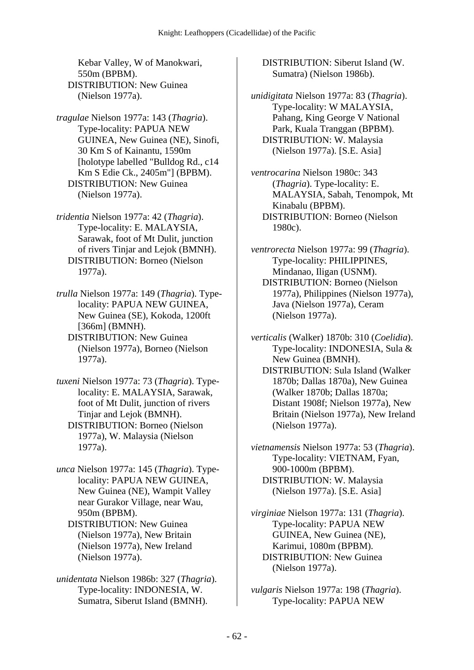Kebar Valley, W of Manokwari, 550m (BPBM). DISTRIBUTION: New Guinea (Nielson 1977a).

*tragulae* Nielson 1977a: 143 (*Thagria*). Type-locality: PAPUA NEW GUINEA, New Guinea (NE), Sinofi, 30 Km S of Kainantu, 1590m [holotype labelled "Bulldog Rd., c14 Km S Edie Ck., 2405m"] (BPBM). DISTRIBUTION: New Guinea (Nielson 1977a).

*tridentia* Nielson 1977a: 42 (*Thagria*). Type-locality: E. MALAYSIA, Sarawak, foot of Mt Dulit, junction of rivers Tinjar and Lejok (BMNH). DISTRIBUTION: Borneo (Nielson 1977a).

*trulla* Nielson 1977a: 149 (*Thagria*). Typelocality: PAPUA NEW GUINEA, New Guinea (SE), Kokoda, 1200ft [366m] (BMNH).

 DISTRIBUTION: New Guinea (Nielson 1977a), Borneo (Nielson 1977a).

- *tuxeni* Nielson 1977a: 73 (*Thagria*). Typelocality: E. MALAYSIA, Sarawak, foot of Mt Dulit, junction of rivers Tinjar and Lejok (BMNH). DISTRIBUTION: Borneo (Nielson 1977a), W. Malaysia (Nielson 1977a).
- *unca* Nielson 1977a: 145 (*Thagria*). Typelocality: PAPUA NEW GUINEA, New Guinea (NE), Wampit Valley near Gurakor Village, near Wau, 950m (BPBM).

 DISTRIBUTION: New Guinea (Nielson 1977a), New Britain (Nielson 1977a), New Ireland (Nielson 1977a).

*unidentata* Nielson 1986b: 327 (*Thagria*). Type-locality: INDONESIA, W. Sumatra, Siberut Island (BMNH).

 DISTRIBUTION: Siberut Island (W. Sumatra) (Nielson 1986b).

- *unidigitata* Nielson 1977a: 83 (*Thagria*). Type-locality: W MALAYSIA, Pahang, King George V National Park, Kuala Tranggan (BPBM). DISTRIBUTION: W. Malaysia (Nielson 1977a). [S.E. Asia]
- *ventrocarina* Nielson 1980c: 343 (*Thagria*). Type-locality: E. MALAYSIA, Sabah, Tenompok, Mt Kinabalu (BPBM). DISTRIBUTION: Borneo (Nielson 1980c).

*ventrorecta* Nielson 1977a: 99 (*Thagria*). Type-locality: PHILIPPINES, Mindanao, Iligan (USNM). DISTRIBUTION: Borneo (Nielson 1977a), Philippines (Nielson 1977a), Java (Nielson 1977a), Ceram (Nielson 1977a).

*verticalis* (Walker) 1870b: 310 (*Coelidia*). Type-locality: INDONESIA, Sula & New Guinea (BMNH). DISTRIBUTION: Sula Island (Walker 1870b; Dallas 1870a), New Guinea (Walker 1870b; Dallas 1870a; Distant 1908f; Nielson 1977a), New Britain (Nielson 1977a), New Ireland (Nielson 1977a).

*vietnamensis* Nielson 1977a: 53 (*Thagria*). Type-locality: VIETNAM, Fyan, 900-1000m (BPBM). DISTRIBUTION: W. Malaysia (Nielson 1977a). [S.E. Asia]

- *virginiae* Nielson 1977a: 131 (*Thagria*). Type-locality: PAPUA NEW GUINEA, New Guinea (NE), Karimui, 1080m (BPBM). DISTRIBUTION: New Guinea (Nielson 1977a).
- *vulgaris* Nielson 1977a: 198 (*Thagria*). Type-locality: PAPUA NEW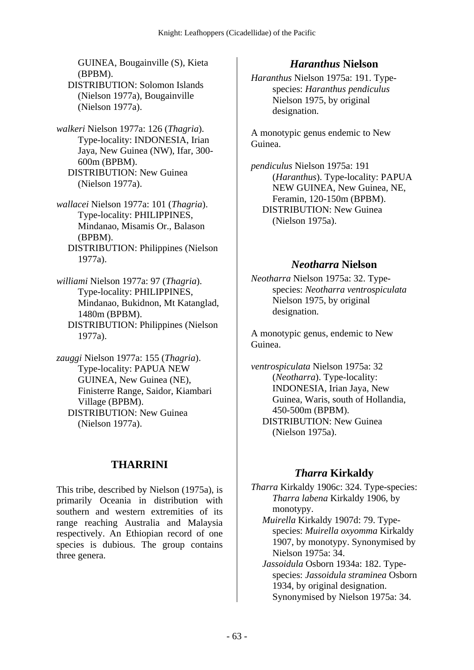GUINEA, Bougainville (S), Kieta (BPBM). DISTRIBUTION: Solomon Islands (Nielson 1977a), Bougainville

*walkeri* Nielson 1977a: 126 (*Thagria*). Type-locality: INDONESIA, Irian Jaya, New Guinea (NW), Ifar, 300- 600m (BPBM). DISTRIBUTION: New Guinea (Nielson 1977a).

(Nielson 1977a).

*wallacei* Nielson 1977a: 101 (*Thagria*). Type-locality: PHILIPPINES, Mindanao, Misamis Or., Balason (BPBM). DISTRIBUTION: Philippines (Nielson

1977a). *williami* Nielson 1977a: 97 (*Thagria*). Type-locality: PHILIPPINES, Mindanao, Bukidnon, Mt Katanglad, 1480m (BPBM).

 DISTRIBUTION: Philippines (Nielson 1977a).

*zauggi* Nielson 1977a: 155 (*Thagria*). Type-locality: PAPUA NEW GUINEA, New Guinea (NE), Finisterre Range, Saidor, Kiambari Village (BPBM). DISTRIBUTION: New Guinea (Nielson 1977a).

# **THARRINI**

This tribe, described by Nielson (1975a), is primarily Oceania in distribution with southern and western extremities of its range reaching Australia and Malaysia respectively. An Ethiopian record of one species is dubious. The group contains three genera.

### *Haranthus* **Nielson**

*Haranthus* Nielson 1975a: 191. Typespecies: *Haranthus pendiculus* Nielson 1975, by original designation.

A monotypic genus endemic to New Guinea.

*pendiculus* Nielson 1975a: 191 (*Haranthus*). Type-locality: PAPUA NEW GUINEA, New Guinea, NE, Feramin, 120-150m (BPBM). DISTRIBUTION: New Guinea (Nielson 1975a).

### *Neotharra* **Nielson**

*Neotharra* Nielson 1975a: 32. Typespecies: *Neotharra ventrospiculata* Nielson 1975, by original designation.

A monotypic genus, endemic to New Guinea.

*ventrospiculata* Nielson 1975a: 32 (*Neotharra*). Type-locality: INDONESIA, Irian Jaya, New Guinea, Waris, south of Hollandia, 450-500m (BPBM). DISTRIBUTION: New Guinea (Nielson 1975a).

# *Tharra* **Kirkaldy**

*Tharra* Kirkaldy 1906c: 324. Type-species: *Tharra labena* Kirkaldy 1906, by monotypy.

 *Muirella* Kirkaldy 1907d: 79. Typespecies: *Muirella oxyomma* Kirkaldy 1907, by monotypy. Synonymised by Nielson 1975a: 34.

 *Jassoidula* Osborn 1934a: 182. Typespecies: *Jassoidula straminea* Osborn 1934, by original designation. Synonymised by Nielson 1975a: 34.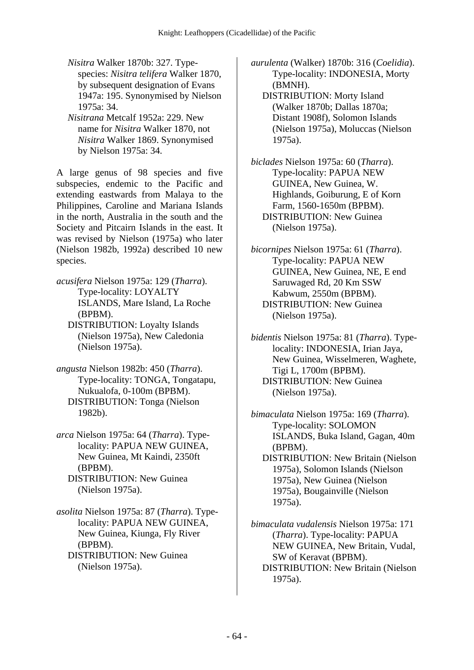- *Nisitra* Walker 1870b: 327. Typespecies: *Nisitra telifera* Walker 1870, by subsequent designation of Evans 1947a: 195. Synonymised by Nielson 1975a: 34.
- *Nisitrana* Metcalf 1952a: 229. New name for *Nisitra* Walker 1870, not *Nisitra* Walker 1869. Synonymised by Nielson 1975a: 34.

A large genus of 98 species and five subspecies, endemic to the Pacific and extending eastwards from Malaya to the Philippines, Caroline and Mariana Islands in the north, Australia in the south and the Society and Pitcairn Islands in the east. It was revised by Nielson (1975a) who later (Nielson 1982b, 1992a) described 10 new species.

*acusifera* Nielson 1975a: 129 (*Tharra*). Type-locality: LOYALTY ISLANDS, Mare Island, La Roche (BPBM). DISTRIBUTION: Loyalty Islands (Nielson 1975a), New Caledonia

(Nielson 1975a).

- *angusta* Nielson 1982b: 450 (*Tharra*). Type-locality: TONGA, Tongatapu, Nukualofa, 0-100m (BPBM). DISTRIBUTION: Tonga (Nielson 1982b).
- *arca* Nielson 1975a: 64 (*Tharra*). Typelocality: PAPUA NEW GUINEA, New Guinea, Mt Kaindi, 2350ft (BPBM). DISTRIBUTION: New Guinea (Nielson 1975a).
- *asolita* Nielson 1975a: 87 (*Tharra*). Typelocality: PAPUA NEW GUINEA, New Guinea, Kiunga, Fly River (BPBM). DISTRIBUTION: New Guinea
	- (Nielson 1975a).

*aurulenta* (Walker) 1870b: 316 (*Coelidia*). Type-locality: INDONESIA, Morty (BMNH).

- DISTRIBUTION: Morty Island (Walker 1870b; Dallas 1870a; Distant 1908f), Solomon Islands (Nielson 1975a), Moluccas (Nielson 1975a).
- *biclades* Nielson 1975a: 60 (*Tharra*). Type-locality: PAPUA NEW GUINEA, New Guinea, W. Highlands, Goiburung, E of Korn Farm, 1560-1650m (BPBM). DISTRIBUTION: New Guinea (Nielson 1975a).
- *bicornipes* Nielson 1975a: 61 (*Tharra*). Type-locality: PAPUA NEW GUINEA, New Guinea, NE, E end Saruwaged Rd, 20 Km SSW Kabwum, 2550m (BPBM). DISTRIBUTION: New Guinea (Nielson 1975a).
- *bidentis* Nielson 1975a: 81 (*Tharra*). Typelocality: INDONESIA, Irian Jaya, New Guinea, Wisselmeren, Waghete, Tigi L, 1700m (BPBM). DISTRIBUTION: New Guinea (Nielson 1975a).

*bimaculata* Nielson 1975a: 169 (*Tharra*). Type-locality: SOLOMON ISLANDS, Buka Island, Gagan, 40m (BPBM). DISTRIBUTION: New Britain (Nielson 1975a), Solomon Islands (Nielson 1975a), New Guinea (Nielson 1975a), Bougainville (Nielson 1975a).

*bimaculata vudalensis* Nielson 1975a: 171 (*Tharra*). Type-locality: PAPUA NEW GUINEA, New Britain, Vudal, SW of Keravat (BPBM). DISTRIBUTION: New Britain (Nielson 1975a).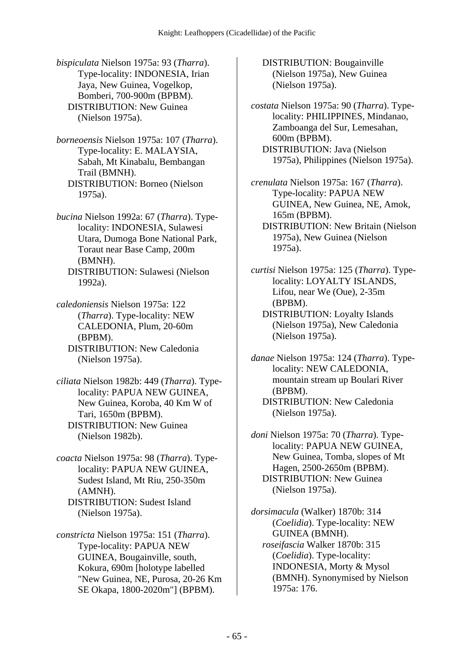*bispiculata* Nielson 1975a: 93 (*Tharra*). Type-locality: INDONESIA, Irian Jaya, New Guinea, Vogelkop, Bomberi, 700-900m (BPBM). DISTRIBUTION: New Guinea (Nielson 1975a).

*borneoensis* Nielson 1975a: 107 (*Tharra*). Type-locality: E. MALAYSIA, Sabah, Mt Kinabalu, Bembangan Trail (BMNH). DISTRIBUTION: Borneo (Nielson 1975a).

*bucina* Nielson 1992a: 67 (*Tharra*). Typelocality: INDONESIA, Sulawesi Utara, Dumoga Bone National Park, Toraut near Base Camp, 200m (BMNH). DISTRIBUTION: Sulawesi (Nielson

*caledoniensis* Nielson 1975a: 122 (*Tharra*). Type-locality: NEW CALEDONIA, Plum, 20-60m (BPBM). DISTRIBUTION: New Caledonia (Nielson 1975a).

1992a).

*ciliata* Nielson 1982b: 449 (*Tharra*). Typelocality: PAPUA NEW GUINEA, New Guinea, Koroba, 40 Km W of Tari, 1650m (BPBM). DISTRIBUTION: New Guinea (Nielson 1982b).

*coacta* Nielson 1975a: 98 (*Tharra*). Typelocality: PAPUA NEW GUINEA, Sudest Island, Mt Riu, 250-350m (AMNH). DISTRIBUTION: Sudest Island (Nielson 1975a).

*constricta* Nielson 1975a: 151 (*Tharra*). Type-locality: PAPUA NEW GUINEA, Bougainville, south, Kokura, 690m [holotype labelled "New Guinea, NE, Purosa, 20-26 Km SE Okapa, 1800-2020m"] (BPBM).

 DISTRIBUTION: Bougainville (Nielson 1975a), New Guinea (Nielson 1975a).

*costata* Nielson 1975a: 90 (*Tharra*). Typelocality: PHILIPPINES, Mindanao, Zamboanga del Sur, Lemesahan, 600m (BPBM). DISTRIBUTION: Java (Nielson 1975a), Philippines (Nielson 1975a).

*crenulata* Nielson 1975a: 167 (*Tharra*). Type-locality: PAPUA NEW GUINEA, New Guinea, NE, Amok, 165m (BPBM). DISTRIBUTION: New Britain (Nielson 1975a), New Guinea (Nielson

*curtisi* Nielson 1975a: 125 (*Tharra*). Typelocality: LOYALTY ISLANDS, Lifou, near We (Oue), 2-35m (BPBM).

- DISTRIBUTION: Loyalty Islands (Nielson 1975a), New Caledonia (Nielson 1975a).
- *danae* Nielson 1975a: 124 (*Tharra*). Typelocality: NEW CALEDONIA, mountain stream up Boulari River (BPBM). DISTRIBUTION: New Caledonia

(Nielson 1975a).

1975a).

*doni* Nielson 1975a: 70 (*Tharra*). Typelocality: PAPUA NEW GUINEA, New Guinea, Tomba, slopes of Mt Hagen, 2500-2650m (BPBM). DISTRIBUTION: New Guinea (Nielson 1975a).

*dorsimacula* (Walker) 1870b: 314 (*Coelidia*). Type-locality: NEW GUINEA (BMNH).  *roseifascia* Walker 1870b: 315 (*Coelidia*). Type-locality: INDONESIA, Morty & Mysol (BMNH). Synonymised by Nielson 1975a: 176.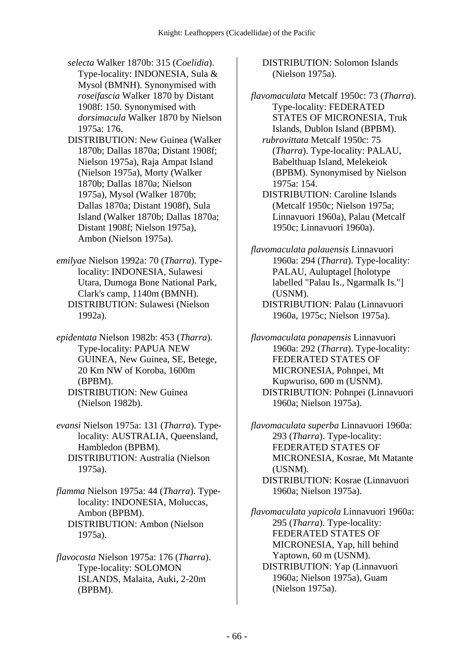*selecta* Walker 1870b: 315 (*Coelidia*). Type-locality: INDONESIA, Sula & Mysol (BMNH). Synonymised with *roseifascia* Walker 1870 by Distant 1908f: 150. Synonymised with *dorsimacula* Walker 1870 by Nielson 1975a: 176.

 DISTRIBUTION: New Guinea (Walker 1870b; Dallas 1870a; Distant 1908f; Nielson 1975a), Raja Ampat Island (Nielson 1975a), Morty (Walker 1870b; Dallas 1870a; Nielson 1975a), Mysol (Walker 1870b; Dallas 1870a; Distant 1908f), Sula Island (Walker 1870b; Dallas 1870a; Distant 1908f; Nielson 1975a), Ambon (Nielson 1975a).

*emilyae* Nielson 1992a: 70 (*Tharra*). Typelocality: INDONESIA, Sulawesi Utara, Dumoga Bone National Park, Clark's camp, 1140m (BMNH). DISTRIBUTION: Sulawesi (Nielson 1992a).

*epidentata* Nielson 1982b: 453 (*Tharra*). Type-locality: PAPUA NEW GUINEA, New Guinea, SE, Betege, 20 Km NW of Koroba, 1600m (BPBM). DISTRIBUTION: New Guinea (Nielson 1982b).

*evansi* Nielson 1975a: 131 (*Tharra*). Typelocality: AUSTRALIA, Queensland, Hambledon (BPBM). DISTRIBUTION: Australia (Nielson 1975a).

*flamma* Nielson 1975a: 44 (*Tharra*). Typelocality: INDONESIA, Moluccas, Ambon (BPBM). DISTRIBUTION: Ambon (Nielson 1975a).

*flavocosta* Nielson 1975a: 176 (*Tharra*). Type-locality: SOLOMON ISLANDS, Malaita, Auki, 2-20m (BPBM).

 DISTRIBUTION: Solomon Islands (Nielson 1975a).

*flavomaculata* Metcalf 1950c: 73 (*Tharra*). Type-locality: FEDERATED STATES OF MICRONESIA, Truk Islands, Dublon Island (BPBM).  *rubrovittata* Metcalf 1950c: 75

(*Tharra*). Type-locality: PALAU, Babelthuap Island, Melekeiok (BPBM). Synonymised by Nielson 1975a: 154.

 DISTRIBUTION: Caroline Islands (Metcalf 1950c; Nielson 1975a; Linnavuori 1960a), Palau (Metcalf 1950c; Linnavuori 1960a).

*flavomaculata palauensis* Linnavuori 1960a: 294 (*Tharra*). Type-locality: PALAU, Auluptagel [holotype labelled "Palau Is., Ngarmalk Is."] (USNM).

 DISTRIBUTION: Palau (Linnavuori 1960a, 1975c; Nielson 1975a).

*flavomaculata ponapensis* Linnavuori 1960a: 292 (*Tharra*). Type-locality: FEDERATED STATES OF MICRONESIA, Pohnpei, Mt Kupwuriso, 600 m (USNM). DISTRIBUTION: Pohnpei (Linnavuori 1960a; Nielson 1975a).

*flavomaculata superba* Linnavuori 1960a: 293 (*Tharra*). Type-locality: FEDERATED STATES OF MICRONESIA, Kosrae, Mt Matante (USNM). DISTRIBUTION: Kosrae (Linnavuori 1960a; Nielson 1975a).

*flavomaculata yapicola* Linnavuori 1960a: 295 (*Tharra*). Type-locality: FEDERATED STATES OF MICRONESIA, Yap, hill behind Yaptown, 60 m (USNM). DISTRIBUTION: Yap (Linnavuori 1960a; Nielson 1975a), Guam (Nielson 1975a).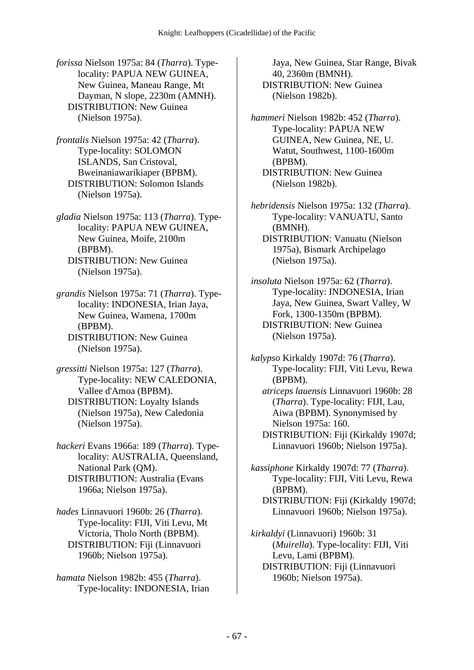*forissa* Nielson 1975a: 84 (*Tharra*). Typelocality: PAPUA NEW GUINEA, New Guinea, Maneau Range, Mt Dayman, N slope, 2230m (AMNH). DISTRIBUTION: New Guinea (Nielson 1975a).

*frontalis* Nielson 1975a: 42 (*Tharra*). Type-locality: SOLOMON ISLANDS, San Cristoval, Bweinaniawarikiaper (BPBM). DISTRIBUTION: Solomon Islands (Nielson 1975a).

*gladia* Nielson 1975a: 113 (*Tharra*). Typelocality: PAPUA NEW GUINEA, New Guinea, Moife, 2100m (BPBM). DISTRIBUTION: New Guinea (Nielson 1975a).

*grandis* Nielson 1975a: 71 (*Tharra*). Typelocality: INDONESIA, Irian Jaya, New Guinea, Wamena, 1700m (BPBM). DISTRIBUTION: New Guinea

(Nielson 1975a).

*gressitti* Nielson 1975a: 127 (*Tharra*). Type-locality: NEW CALEDONIA, Vallee d'Amoa (BPBM). DISTRIBUTION: Loyalty Islands (Nielson 1975a), New Caledonia (Nielson 1975a).

*hackeri* Evans 1966a: 189 (*Tharra*). Typelocality: AUSTRALIA, Queensland, National Park (QM). DISTRIBUTION: Australia (Evans 1966a; Nielson 1975a).

*hades* Linnavuori 1960b: 26 (*Tharra*). Type-locality: FIJI, Viti Levu, Mt Victoria, Tholo North (BPBM). DISTRIBUTION: Fiji (Linnavuori 1960b; Nielson 1975a).

*hamata* Nielson 1982b: 455 (*Tharra*). Type-locality: INDONESIA, Irian

Jaya, New Guinea, Star Range, Bivak 40, 2360m (BMNH). DISTRIBUTION: New Guinea (Nielson 1982b).

*hammeri* Nielson 1982b: 452 (*Tharra*). Type-locality: PAPUA NEW GUINEA, New Guinea, NE, U. Watut, Southwest, 1100-1600m (BPBM). DISTRIBUTION: New Guinea (Nielson 1982b).

*hebridensis* Nielson 1975a: 132 (*Tharra*). Type-locality: VANUATU, Santo (BMNH). DISTRIBUTION: Vanuatu (Nielson 1975a), Bismark Archipelago (Nielson 1975a).

*insoluta* Nielson 1975a: 62 (*Tharra*). Type-locality: INDONESIA, Irian Jaya, New Guinea, Swart Valley, W Fork, 1300-1350m (BPBM). DISTRIBUTION: New Guinea (Nielson 1975a).

*kalypso* Kirkaldy 1907d: 76 (*Tharra*). Type-locality: FIJI, Viti Levu, Rewa (BPBM).  *atriceps lauensis* Linnavuori 1960b: 28 (*Tharra*). Type-locality: FIJI, Lau, Aiwa (BPBM). Synonymised by

Nielson 1975a: 160. DISTRIBUTION: Fiji (Kirkaldy 1907d; Linnavuori 1960b; Nielson 1975a).

*kassiphone* Kirkaldy 1907d: 77 (*Tharra*). Type-locality: FIJI, Viti Levu, Rewa (BPBM). DISTRIBUTION: Fiji (Kirkaldy 1907d;

Linnavuori 1960b; Nielson 1975a).

*kirkaldyi* (Linnavuori) 1960b: 31 (*Muirella*). Type-locality: FIJI, Viti Levu, Lami (BPBM). DISTRIBUTION: Fiji (Linnavuori 1960b; Nielson 1975a).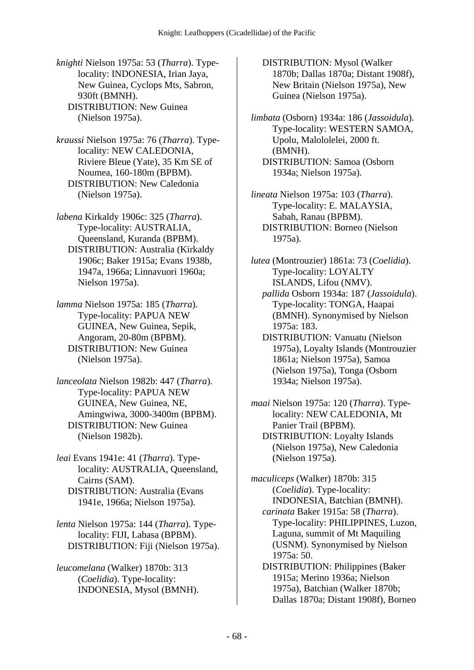*knighti* Nielson 1975a: 53 (*Tharra*). Typelocality: INDONESIA, Irian Jaya, New Guinea, Cyclops Mts, Sabron, 930ft (BMNH). DISTRIBUTION: New Guinea (Nielson 1975a).

*kraussi* Nielson 1975a: 76 (*Tharra*). Typelocality: NEW CALEDONIA, Riviere Bleue (Yate), 35 Km SE of Noumea, 160-180m (BPBM). DISTRIBUTION: New Caledonia (Nielson 1975a).

*labena* Kirkaldy 1906c: 325 (*Tharra*). Type-locality: AUSTRALIA, Queensland, Kuranda (BPBM). DISTRIBUTION: Australia (Kirkaldy 1906c; Baker 1915a; Evans 1938b, 1947a, 1966a; Linnavuori 1960a; Nielson 1975a).

*lamma* Nielson 1975a: 185 (*Tharra*). Type-locality: PAPUA NEW GUINEA, New Guinea, Sepik, Angoram, 20-80m (BPBM). DISTRIBUTION: New Guinea (Nielson 1975a).

*lanceolata* Nielson 1982b: 447 (*Tharra*). Type-locality: PAPUA NEW GUINEA, New Guinea, NE, Amingwiwa, 3000-3400m (BPBM). DISTRIBUTION: New Guinea (Nielson 1982b).

*leai* Evans 1941e: 41 (*Tharra*). Typelocality: AUSTRALIA, Queensland, Cairns (SAM). DISTRIBUTION: Australia (Evans 1941e, 1966a; Nielson 1975a).

*lenta* Nielson 1975a: 144 (*Tharra*). Typelocality: FIJI, Labasa (BPBM). DISTRIBUTION: Fiji (Nielson 1975a).

*leucomelana* (Walker) 1870b: 313 (*Coelidia*). Type-locality: INDONESIA, Mysol (BMNH).  DISTRIBUTION: Mysol (Walker 1870b; Dallas 1870a; Distant 1908f), New Britain (Nielson 1975a), New Guinea (Nielson 1975a).

*limbata* (Osborn) 1934a: 186 (*Jassoidula*). Type-locality: WESTERN SAMOA, Upolu, Malololelei, 2000 ft. (BMNH). DISTRIBUTION: Samoa (Osborn 1934a; Nielson 1975a).

*lineata* Nielson 1975a: 103 (*Tharra*). Type-locality: E. MALAYSIA, Sabah, Ranau (BPBM). DISTRIBUTION: Borneo (Nielson 1975a).

*lutea* (Montrouzier) 1861a: 73 (*Coelidia*). Type-locality: LOYALTY ISLANDS, Lifou (NMV).

 *pallida* Osborn 1934a: 187 (*Jassoidula*). Type-locality: TONGA, Haapai (BMNH). Synonymised by Nielson 1975a: 183.

 DISTRIBUTION: Vanuatu (Nielson 1975a), Loyalty Islands (Montrouzier 1861a; Nielson 1975a), Samoa (Nielson 1975a), Tonga (Osborn 1934a; Nielson 1975a).

*maai* Nielson 1975a: 120 (*Tharra*). Typelocality: NEW CALEDONIA, Mt Panier Trail (BPBM). DISTRIBUTION: Loyalty Islands (Nielson 1975a), New Caledonia (Nielson 1975a).

*maculiceps* (Walker) 1870b: 315 (*Coelidia*). Type-locality: INDONESIA, Batchian (BMNH).  *carinata* Baker 1915a: 58 (*Tharra*). Type-locality: PHILIPPINES, Luzon, Laguna, summit of Mt Maquiling (USNM). Synonymised by Nielson 1975a: 50. DISTRIBUTION: Philippines (Baker

1915a; Merino 1936a; Nielson 1975a), Batchian (Walker 1870b; Dallas 1870a; Distant 1908f), Borneo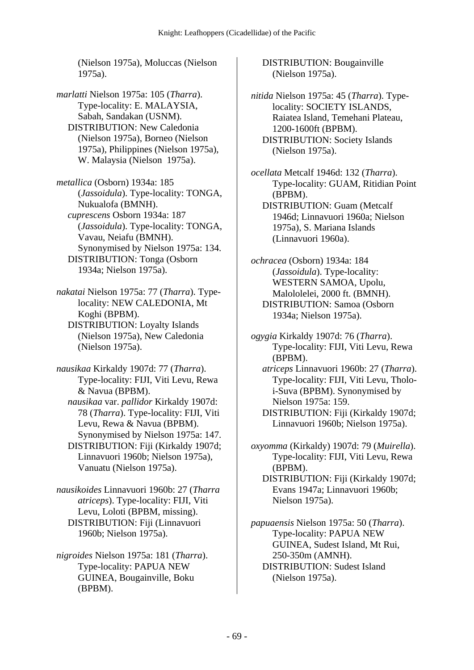(Nielson 1975a), Moluccas (Nielson 1975a).

*marlatti* Nielson 1975a: 105 (*Tharra*). Type-locality: E. MALAYSIA, Sabah, Sandakan (USNM). DISTRIBUTION: New Caledonia (Nielson 1975a), Borneo (Nielson 1975a), Philippines (Nielson 1975a), W. Malaysia (Nielson 1975a).

*metallica* (Osborn) 1934a: 185 (*Jassoidula*). Type-locality: TONGA, Nukualofa (BMNH).  *cuprescens* Osborn 1934a: 187 (*Jassoidula*). Type-locality: TONGA, Vavau, Neiafu (BMNH). Synonymised by Nielson 1975a: 134. DISTRIBUTION: Tonga (Osborn 1934a; Nielson 1975a).

*nakatai* Nielson 1975a: 77 (*Tharra*). Typelocality: NEW CALEDONIA, Mt Koghi (BPBM). DISTRIBUTION: Loyalty Islands (Nielson 1975a), New Caledonia (Nielson 1975a).

*nausikaa* Kirkaldy 1907d: 77 (*Tharra*). Type-locality: FIJI, Viti Levu, Rewa & Navua (BPBM).

 *nausikaa* var. *pallidor* Kirkaldy 1907d: 78 (*Tharra*). Type-locality: FIJI, Viti Levu, Rewa & Navua (BPBM). Synonymised by Nielson 1975a: 147. DISTRIBUTION: Fiji (Kirkaldy 1907d; Linnavuori 1960b; Nielson 1975a), Vanuatu (Nielson 1975a).

*nausikoides* Linnavuori 1960b: 27 (*Tharra atriceps*). Type-locality: FIJI, Viti Levu, Loloti (BPBM, missing). DISTRIBUTION: Fiji (Linnavuori 1960b; Nielson 1975a).

*nigroides* Nielson 1975a: 181 (*Tharra*). Type-locality: PAPUA NEW GUINEA, Bougainville, Boku (BPBM).

 DISTRIBUTION: Bougainville (Nielson 1975a).

*nitida* Nielson 1975a: 45 (*Tharra*). Typelocality: SOCIETY ISLANDS, Raiatea Island, Temehani Plateau, 1200-1600ft (BPBM). DISTRIBUTION: Society Islands (Nielson 1975a).

*ocellata* Metcalf 1946d: 132 (*Tharra*). Type-locality: GUAM, Ritidian Point (BPBM). DISTRIBUTION: Guam (Metcalf 1946d; Linnavuori 1960a; Nielson 1975a), S. Mariana Islands (Linnavuori 1960a).

*ochracea* (Osborn) 1934a: 184 (*Jassoidula*). Type-locality: WESTERN SAMOA, Upolu, Malololelei, 2000 ft. (BMNH). DISTRIBUTION: Samoa (Osborn 1934a; Nielson 1975a).

*ogygia* Kirkaldy 1907d: 76 (*Tharra*). Type-locality: FIJI, Viti Levu, Rewa (BPBM).

 *atriceps* Linnavuori 1960b: 27 (*Tharra*). Type-locality: FIJI, Viti Levu, Tholoi-Suva (BPBM). Synonymised by Nielson 1975a: 159.

 DISTRIBUTION: Fiji (Kirkaldy 1907d; Linnavuori 1960b; Nielson 1975a).

*oxyomma* (Kirkaldy) 1907d: 79 (*Muirella*). Type-locality: FIJI, Viti Levu, Rewa (BPBM).

 DISTRIBUTION: Fiji (Kirkaldy 1907d; Evans 1947a; Linnavuori 1960b; Nielson 1975a).

*papuaensis* Nielson 1975a: 50 (*Tharra*). Type-locality: PAPUA NEW GUINEA, Sudest Island, Mt Rui, 250-350m (AMNH). DISTRIBUTION: Sudest Island (Nielson 1975a).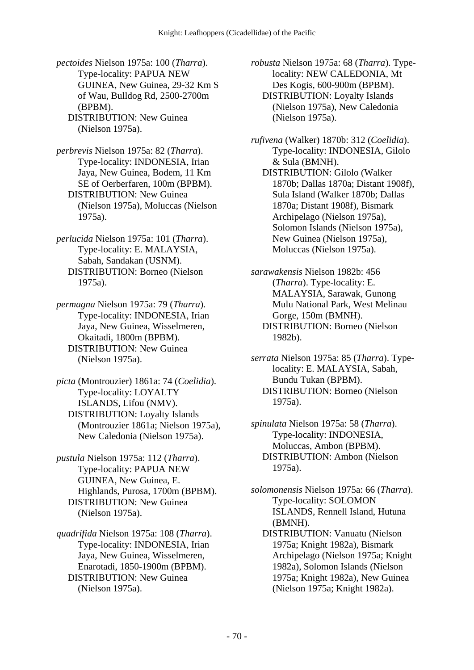*pectoides* Nielson 1975a: 100 (*Tharra*). Type-locality: PAPUA NEW GUINEA, New Guinea, 29-32 Km S of Wau, Bulldog Rd, 2500-2700m (BPBM). DISTRIBUTION: New Guinea

(Nielson 1975a).

*perbrevis* Nielson 1975a: 82 (*Tharra*). Type-locality: INDONESIA, Irian Jaya, New Guinea, Bodem, 11 Km SE of Oerberfaren, 100m (BPBM). DISTRIBUTION: New Guinea (Nielson 1975a), Moluccas (Nielson 1975a).

*perlucida* Nielson 1975a: 101 (*Tharra*). Type-locality: E. MALAYSIA, Sabah, Sandakan (USNM). DISTRIBUTION: Borneo (Nielson 1975a).

*permagna* Nielson 1975a: 79 (*Tharra*). Type-locality: INDONESIA, Irian Jaya, New Guinea, Wisselmeren, Okaitadi, 1800m (BPBM). DISTRIBUTION: New Guinea (Nielson 1975a).

*picta* (Montrouzier) 1861a: 74 (*Coelidia*). Type-locality: LOYALTY ISLANDS, Lifou (NMV). DISTRIBUTION: Loyalty Islands (Montrouzier 1861a; Nielson 1975a), New Caledonia (Nielson 1975a).

*pustula* Nielson 1975a: 112 (*Tharra*). Type-locality: PAPUA NEW GUINEA, New Guinea, E. Highlands, Purosa, 1700m (BPBM). DISTRIBUTION: New Guinea (Nielson 1975a).

*quadrifida* Nielson 1975a: 108 (*Tharra*). Type-locality: INDONESIA, Irian Jaya, New Guinea, Wisselmeren, Enarotadi, 1850-1900m (BPBM). DISTRIBUTION: New Guinea (Nielson 1975a).

*robusta* Nielson 1975a: 68 (*Tharra*). Typelocality: NEW CALEDONIA, Mt Des Kogis, 600-900m (BPBM). DISTRIBUTION: Loyalty Islands (Nielson 1975a), New Caledonia

*rufivena* (Walker) 1870b: 312 (*Coelidia*). Type-locality: INDONESIA, Gilolo & Sula (BMNH).

(Nielson 1975a).

 DISTRIBUTION: Gilolo (Walker 1870b; Dallas 1870a; Distant 1908f), Sula Island (Walker 1870b; Dallas 1870a; Distant 1908f), Bismark Archipelago (Nielson 1975a), Solomon Islands (Nielson 1975a), New Guinea (Nielson 1975a), Moluccas (Nielson 1975a).

*sarawakensis* Nielson 1982b: 456 (*Tharra*). Type-locality: E. MALAYSIA, Sarawak, Gunong Mulu National Park, West Melinau Gorge, 150m (BMNH). DISTRIBUTION: Borneo (Nielson 1982b).

*serrata* Nielson 1975a: 85 (*Tharra*). Typelocality: E. MALAYSIA, Sabah, Bundu Tukan (BPBM). DISTRIBUTION: Borneo (Nielson 1975a).

*spinulata* Nielson 1975a: 58 (*Tharra*). Type-locality: INDONESIA, Moluccas, Ambon (BPBM). DISTRIBUTION: Ambon (Nielson 1975a).

*solomonensis* Nielson 1975a: 66 (*Tharra*). Type-locality: SOLOMON ISLANDS, Rennell Island, Hutuna (BMNH).

 DISTRIBUTION: Vanuatu (Nielson 1975a; Knight 1982a), Bismark Archipelago (Nielson 1975a; Knight 1982a), Solomon Islands (Nielson 1975a; Knight 1982a), New Guinea (Nielson 1975a; Knight 1982a).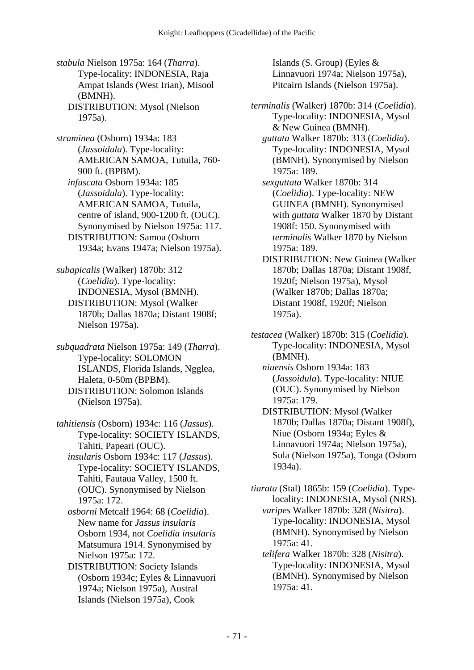*stabula* Nielson 1975a: 164 (*Tharra*). Type-locality: INDONESIA, Raja Ampat Islands (West Irian), Misool (BMNH). DISTRIBUTION: Mysol (Nielson 1975a).

*straminea* (Osborn) 1934a: 183 (*Jassoidula*). Type-locality: AMERICAN SAMOA, Tutuila, 760- 900 ft. (BPBM).  *infuscata* Osborn 1934a: 185 (*Jassoidula*). Type-locality: AMERICAN SAMOA, Tutuila, centre of island, 900-1200 ft. (OUC). Synonymised by Nielson 1975a: 117. DISTRIBUTION: Samoa (Osborn 1934a; Evans 1947a; Nielson 1975a).

*subapicalis* (Walker) 1870b: 312 (*Coelidia*). Type-locality: INDONESIA, Mysol (BMNH). DISTRIBUTION: Mysol (Walker 1870b; Dallas 1870a; Distant 1908f; Nielson 1975a).

*subquadrata* Nielson 1975a: 149 (*Tharra*). Type-locality: SOLOMON ISLANDS, Florida Islands, Ngglea, Haleta, 0-50m (BPBM). DISTRIBUTION: Solomon Islands (Nielson 1975a).

*tahitiensis* (Osborn) 1934c: 116 (*Jassus*). Type-locality: SOCIETY ISLANDS, Tahiti, Papeari (OUC).

 *insularis* Osborn 1934c: 117 (*Jassus*). Type-locality: SOCIETY ISLANDS, Tahiti, Fautaua Valley, 1500 ft. (OUC). Synonymised by Nielson 1975a: 172.

 *osborni* Metcalf 1964: 68 (*Coelidia*). New name for *Jassus insularis* Osborn 1934, not *Coelidia insularis* Matsumura 1914. Synonymised by Nielson 1975a: 172.

 DISTRIBUTION: Society Islands (Osborn 1934c; Eyles & Linnavuori 1974a; Nielson 1975a), Austral Islands (Nielson 1975a), Cook

Islands (S. Group) (Eyles & Linnavuori 1974a; Nielson 1975a), Pitcairn Islands (Nielson 1975a).

*terminalis* (Walker) 1870b: 314 (*Coelidia*). Type-locality: INDONESIA, Mysol & New Guinea (BMNH).

 *guttata* Walker 1870b: 313 (*Coelidia*). Type-locality: INDONESIA, Mysol (BMNH). Synonymised by Nielson 1975a: 189.

 *sexguttata* Walker 1870b: 314 (*Coelidia*). Type-locality: NEW GUINEA (BMNH). Synonymised with *guttata* Walker 1870 by Distant 1908f: 150. Synonymised with *terminalis* Walker 1870 by Nielson 1975a: 189.

 DISTRIBUTION: New Guinea (Walker 1870b; Dallas 1870a; Distant 1908f, 1920f; Nielson 1975a), Mysol (Walker 1870b; Dallas 1870a; Distant 1908f, 1920f; Nielson 1975a).

*testacea* (Walker) 1870b: 315 (*Coelidia*). Type-locality: INDONESIA, Mysol (BMNH).

 *niuensis* Osborn 1934a: 183 (*Jassoidula*). Type-locality: NIUE (OUC). Synonymised by Nielson 1975a: 179.

 DISTRIBUTION: Mysol (Walker 1870b; Dallas 1870a; Distant 1908f), Niue (Osborn 1934a; Eyles & Linnavuori 1974a; Nielson 1975a), Sula (Nielson 1975a), Tonga (Osborn 1934a).

*tiarata* (Stal) 1865b: 159 (*Coelidia*). Typelocality: INDONESIA, Mysol (NRS).  *varipes* Walker 1870b: 328 (*Nisitra*).

Type-locality: INDONESIA, Mysol (BMNH). Synonymised by Nielson 1975a: 41.

 *telifera* Walker 1870b: 328 (*Nisitra*). Type-locality: INDONESIA, Mysol (BMNH). Synonymised by Nielson 1975a: 41.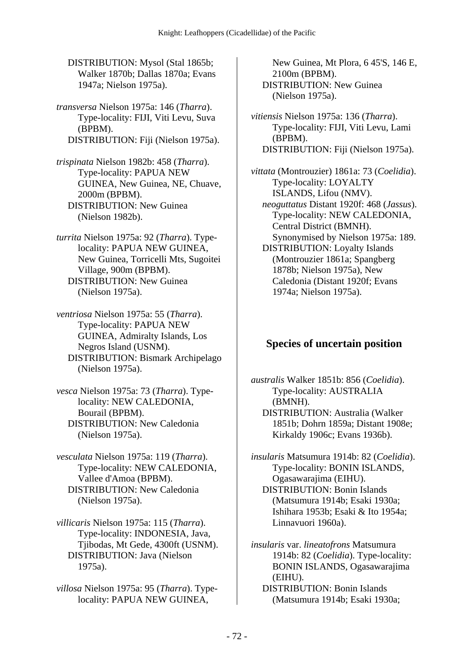DISTRIBUTION: Mysol (Stal 1865b; Walker 1870b; Dallas 1870a; Evans 1947a; Nielson 1975a).

*transversa* Nielson 1975a: 146 (*Tharra*). Type-locality: FIJI, Viti Levu, Suva (BPBM). DISTRIBUTION: Fiji (Nielson 1975a).

*trispinata* Nielson 1982b: 458 (*Tharra*). Type-locality: PAPUA NEW GUINEA, New Guinea, NE, Chuave, 2000m (BPBM). DISTRIBUTION: New Guinea (Nielson 1982b).

*turrita* Nielson 1975a: 92 (*Tharra*). Typelocality: PAPUA NEW GUINEA, New Guinea, Torricelli Mts, Sugoitei Village, 900m (BPBM). DISTRIBUTION: New Guinea (Nielson 1975a).

*ventriosa* Nielson 1975a: 55 (*Tharra*). Type-locality: PAPUA NEW GUINEA, Admiralty Islands, Los Negros Island (USNM). DISTRIBUTION: Bismark Archipelago (Nielson 1975a).

*vesca* Nielson 1975a: 73 (*Tharra*). Typelocality: NEW CALEDONIA, Bourail (BPBM). DISTRIBUTION: New Caledonia (Nielson 1975a).

*vesculata* Nielson 1975a: 119 (*Tharra*). Type-locality: NEW CALEDONIA, Vallee d'Amoa (BPBM). DISTRIBUTION: New Caledonia (Nielson 1975a).

*villicaris* Nielson 1975a: 115 (*Tharra*). Type-locality: INDONESIA, Java, Tjibodas, Mt Gede, 4300ft (USNM). DISTRIBUTION: Java (Nielson 1975a).

*villosa* Nielson 1975a: 95 (*Tharra*). Typelocality: PAPUA NEW GUINEA,

New Guinea, Mt Plora, 6 45'S, 146 E, 2100m (BPBM). DISTRIBUTION: New Guinea (Nielson 1975a).

*vitiensis* Nielson 1975a: 136 (*Tharra*). Type-locality: FIJI, Viti Levu, Lami (BPBM). DISTRIBUTION: Fiji (Nielson 1975a).

*vittata* (Montrouzier) 1861a: 73 (*Coelidia*). Type-locality: LOYALTY ISLANDS, Lifou (NMV).  *neoguttatus* Distant 1920f: 468 (*Jassus*). Type-locality: NEW CALEDONIA, Central District (BMNH). Synonymised by Nielson 1975a: 189.

 DISTRIBUTION: Loyalty Islands (Montrouzier 1861a; Spangberg 1878b; Nielson 1975a), New Caledonia (Distant 1920f; Evans 1974a; Nielson 1975a).

#### **Species of uncertain position**

*australis* Walker 1851b: 856 (*Coelidia*). Type-locality: AUSTRALIA (BMNH). DISTRIBUTION: Australia (Walker 1851b; Dohrn 1859a; Distant 1908e; Kirkaldy 1906c; Evans 1936b).

*insularis* Matsumura 1914b: 82 (*Coelidia*). Type-locality: BONIN ISLANDS, Ogasawarajima (EIHU). DISTRIBUTION: Bonin Islands (Matsumura 1914b; Esaki 1930a; Ishihara 1953b; Esaki & Ito 1954a; Linnavuori 1960a).

*insularis* var. *lineatofrons* Matsumura 1914b: 82 (*Coelidia*). Type-locality: BONIN ISLANDS, Ogasawarajima (EIHU).

 DISTRIBUTION: Bonin Islands (Matsumura 1914b; Esaki 1930a;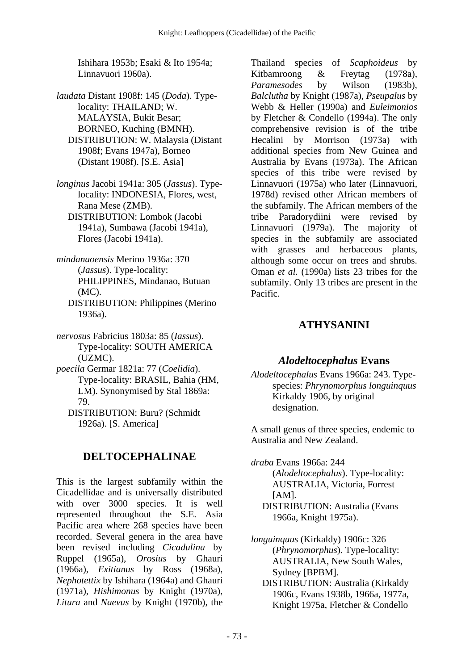Ishihara 1953b; Esaki & Ito 1954a; Linnavuori 1960a).

- *laudata* Distant 1908f: 145 (*Doda*). Typelocality: THAILAND; W. MALAYSIA, Bukit Besar; BORNEO, Kuching (BMNH). DISTRIBUTION: W. Malaysia (Distant 1908f; Evans 1947a), Borneo (Distant 1908f). [S.E. Asia]
- *longinus* Jacobi 1941a: 305 (*Jassus*). Typelocality: INDONESIA, Flores, west, Rana Mese (ZMB). DISTRIBUTION: Lombok (Jacobi 1941a), Sumbawa (Jacobi 1941a), Flores (Jacobi 1941a).
- *mindanaoensis* Merino 1936a: 370 (*Jassus*). Type-locality: PHILIPPINES, Mindanao, Butuan (MC).
	- DISTRIBUTION: Philippines (Merino 1936a).
- *nervosus* Fabricius 1803a: 85 (*Iassus*). Type-locality: SOUTH AMERICA (UZMC).
- *poecila* Germar 1821a: 77 (*Coelidia*). Type-locality: BRASIL, Bahia (HM, LM). Synonymised by Stal 1869a: 79.
	- DISTRIBUTION: Buru? (Schmidt 1926a). [S. America]

# **DELTOCEPHALINAE**

This is the largest subfamily within the Cicadellidae and is universally distributed with over 3000 species. It is well represented throughout the S.E. Asia Pacific area where 268 species have been recorded. Several genera in the area have been revised including *Cicadulina* by Ruppel (1965a), *Orosius* by Ghauri (1966a), *Exitianus* by Ross (1968a), *Nephotettix* by Ishihara (1964a) and Ghauri (1971a), *Hishimonus* by Knight (1970a), *Litura* and *Naevus* by Knight (1970b), the

Thailand species of *Scaphoideus* by Kitbamroong & Freytag (1978a), *Paramesodes* by Wilson (1983b), *Balclutha* by Knight (1987a), *Pseupalus* by Webb & Heller (1990a) and *Euleimonios* by Fletcher & Condello (1994a). The only comprehensive revision is of the tribe Hecalini by Morrison (1973a) with additional species from New Guinea and Australia by Evans (1973a). The African species of this tribe were revised by Linnavuori (1975a) who later (Linnavuori, 1978d) revised other African members of the subfamily. The African members of the tribe Paradorydiini were revised by Linnavuori (1979a). The majority of species in the subfamily are associated with grasses and herbaceous plants, although some occur on trees and shrubs. Oman *et al.* (1990a) lists 23 tribes for the subfamily. Only 13 tribes are present in the Pacific.

# **ATHYSANINI**

### *Alodeltocephalus* **Evans**

*Alodeltocephalus* Evans 1966a: 243. Typespecies: *Phrynomorphus longuinquus* Kirkaldy 1906, by original designation.

A small genus of three species, endemic to Australia and New Zealand.

- *draba* Evans 1966a: 244 (*Alodeltocephalus*). Type-locality: AUSTRALIA, Victoria, Forrest  $[AM]$ . DISTRIBUTION: Australia (Evans 1966a, Knight 1975a).
- *longuinquus* (Kirkaldy) 1906c: 326 (*Phrynomorphus*). Type-locality: AUSTRALIA, New South Wales, Sydney [BPBM].
	- DISTRIBUTION: Australia (Kirkaldy 1906c, Evans 1938b, 1966a, 1977a, Knight 1975a, Fletcher & Condello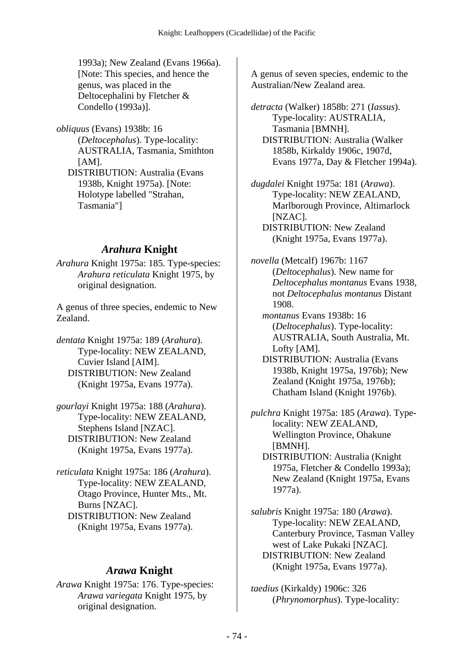1993a); New Zealand (Evans 1966a). [Note: This species, and hence the genus, was placed in the Deltocephalini by Fletcher & Condello (1993a)].

*obliquus* (Evans) 1938b: 16 (*Deltocephalus*). Type-locality: AUSTRALIA, Tasmania, Smithton  $[AM]$ . DISTRIBUTION: Australia (Evans 1938b, Knight 1975a). [Note: Holotype labelled "Strahan, Tasmania"]

# *Arahura* **Knight**

*Arahura* Knight 1975a: 185. Type-species: *Arahura reticulata* Knight 1975, by original designation.

A genus of three species, endemic to New Zealand.

*dentata* Knight 1975a: 189 (*Arahura*). Type-locality: NEW ZEALAND, Cuvier Island [AIM]. DISTRIBUTION: New Zealand (Knight 1975a, Evans 1977a).

*gourlayi* Knight 1975a: 188 (*Arahura*). Type-locality: NEW ZEALAND, Stephens Island [NZAC]. DISTRIBUTION: New Zealand (Knight 1975a, Evans 1977a).

*reticulata* Knight 1975a: 186 (*Arahura*). Type-locality: NEW ZEALAND, Otago Province, Hunter Mts., Mt. Burns [NZAC]. DISTRIBUTION: New Zealand (Knight 1975a, Evans 1977a).

### *Arawa* **Knight**

*Arawa* Knight 1975a: 176. Type-species: *Arawa variegata* Knight 1975, by original designation.

A genus of seven species, endemic to the Australian/New Zealand area.

*detracta* (Walker) 1858b: 271 (*Iassus*). Type-locality: AUSTRALIA, Tasmania [BMNH]. DISTRIBUTION: Australia (Walker 1858b, Kirkaldy 1906c, 1907d, Evans 1977a, Day & Fletcher 1994a).

*dugdalei* Knight 1975a: 181 (*Arawa*). Type-locality: NEW ZEALAND, Marlborough Province, Altimarlock [NZAC]. DISTRIBUTION: New Zealand (Knight 1975a, Evans 1977a).

*novella* (Metcalf) 1967b: 1167 (*Deltocephalus*). New name for *Deltocephalus montanus* Evans 1938, not *Deltocephalus montanus* Distant 1908.

 *montanus* Evans 1938b: 16 (*Deltocephalus*). Type-locality: AUSTRALIA, South Australia, Mt. Lofty [AM].

 DISTRIBUTION: Australia (Evans 1938b, Knight 1975a, 1976b); New Zealand (Knight 1975a, 1976b); Chatham Island (Knight 1976b).

*pulchra* Knight 1975a: 185 (*Arawa*). Typelocality: NEW ZEALAND, Wellington Province, Ohakune [BMNH].

 DISTRIBUTION: Australia (Knight 1975a, Fletcher & Condello 1993a); New Zealand (Knight 1975a, Evans 1977a).

*salubris* Knight 1975a: 180 (*Arawa*). Type-locality: NEW ZEALAND, Canterbury Province, Tasman Valley west of Lake Pukaki [NZAC]. DISTRIBUTION: New Zealand (Knight 1975a, Evans 1977a).

*taedius* (Kirkaldy) 1906c: 326 (*Phrynomorphus*). Type-locality: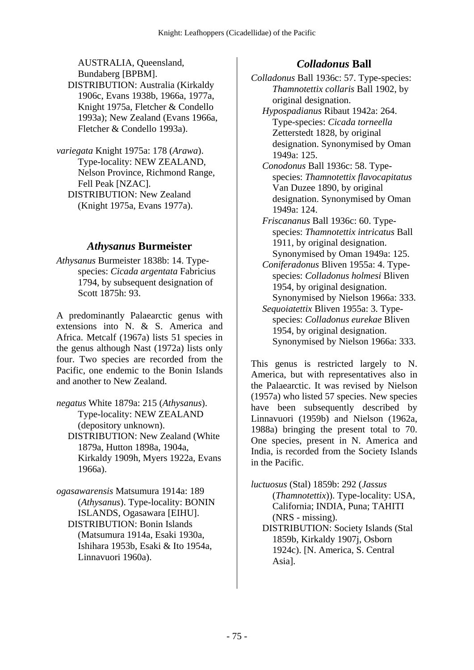AUSTRALIA, Queensland, Bundaberg [BPBM]. DISTRIBUTION: Australia (Kirkaldy 1906c, Evans 1938b, 1966a, 1977a, Knight 1975a, Fletcher & Condello 1993a); New Zealand (Evans 1966a, Fletcher & Condello 1993a).

*variegata* Knight 1975a: 178 (*Arawa*). Type-locality: NEW ZEALAND, Nelson Province, Richmond Range, Fell Peak [NZAC]. DISTRIBUTION: New Zealand (Knight 1975a, Evans 1977a).

### *Athysanus* **Burmeister**

*Athysanus* Burmeister 1838b: 14. Typespecies: *Cicada argentata* Fabricius 1794, by subsequent designation of Scott 1875h: 93.

A predominantly Palaearctic genus with extensions into N. & S. America and Africa. Metcalf (1967a) lists 51 species in the genus although Nast (1972a) lists only four. Two species are recorded from the Pacific, one endemic to the Bonin Islands and another to New Zealand.

*negatus* White 1879a: 215 (*Athysanus*). Type-locality: NEW ZEALAND (depository unknown). DISTRIBUTION: New Zealand (White 1879a, Hutton 1898a, 1904a, Kirkaldy 1909h, Myers 1922a, Evans 1966a).

*ogasawarensis* Matsumura 1914a: 189 (*Athysanus*). Type-locality: BONIN ISLANDS, Ogasawara [EIHU]. DISTRIBUTION: Bonin Islands (Matsumura 1914a, Esaki 1930a, Ishihara 1953b, Esaki & Ito 1954a, Linnavuori 1960a).

# *Colladonus* **Ball**

*Colladonus* Ball 1936c: 57. Type-species: *Thamnotettix collaris* Ball 1902, by original designation.

- *Hypospadianus* Ribaut 1942a: 264. Type-species: *Cicada torneella* Zetterstedt 1828, by original designation. Synonymised by Oman 1949a: 125.
- *Conodonus* Ball 1936c: 58. Typespecies: *Thamnotettix flavocapitatus* Van Duzee 1890, by original designation. Synonymised by Oman 1949a: 124.
- *Friscananus* Ball 1936c: 60. Typespecies: *Thamnotettix intricatus* Ball 1911, by original designation. Synonymised by Oman 1949a: 125.
- *Coniferadonus* Bliven 1955a: 4. Typespecies: *Colladonus holmesi* Bliven 1954, by original designation. Synonymised by Nielson 1966a: 333.
- *Sequoiatettix* Bliven 1955a: 3. Typespecies: *Colladonus eurekae* Bliven 1954, by original designation. Synonymised by Nielson 1966a: 333.

This genus is restricted largely to N. America, but with representatives also in the Palaearctic. It was revised by Nielson (1957a) who listed 57 species. New species have been subsequently described by Linnavuori (1959b) and Nielson (1962a, 1988a) bringing the present total to 70. One species, present in N. America and India, is recorded from the Society Islands in the Pacific.

- *luctuosus* (Stal) 1859b: 292 (*Jassus* (*Thamnotettix*)). Type-locality: USA, California; INDIA, Puna; TAHITI (NRS - missing). DISTRIBUTION: Society Islands (Stal 1859b, Kirkaldy 1907j, Osborn
	- 1924c). [N. America, S. Central Asia].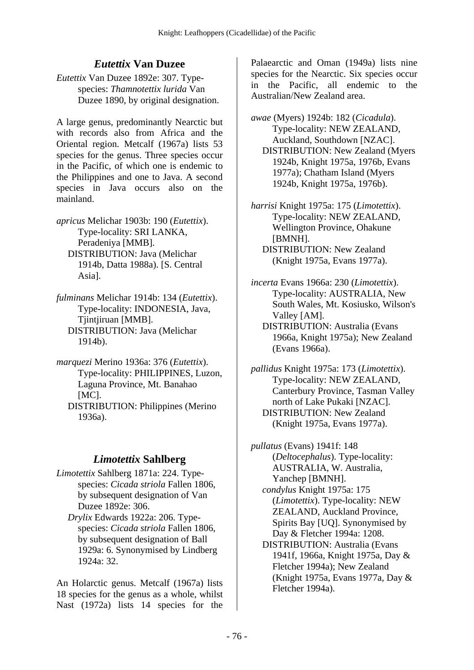# *Eutettix* **Van Duzee**

*Eutettix* Van Duzee 1892e: 307. Typespecies: *Thamnotettix lurida* Van Duzee 1890, by original designation.

A large genus, predominantly Nearctic but with records also from Africa and the Oriental region. Metcalf (1967a) lists 53 species for the genus. Three species occur in the Pacific, of which one is endemic to the Philippines and one to Java. A second species in Java occurs also on the mainland.

*apricus* Melichar 1903b: 190 (*Eutettix*). Type-locality: SRI LANKA, Peradeniya [MMB]. DISTRIBUTION: Java (Melichar 1914b, Datta 1988a). [S. Central Asia].

*fulminans* Melichar 1914b: 134 (*Eutettix*). Type-locality: INDONESIA, Java, Tjintjiruan [MMB]. DISTRIBUTION: Java (Melichar 1914b).

*marquezi* Merino 1936a: 376 (*Eutettix*). Type-locality: PHILIPPINES, Luzon, Laguna Province, Mt. Banahao [MC]. DISTRIBUTION: Philippines (Merino

1936a).

# *Limotettix* **Sahlberg**

*Limotettix* Sahlberg 1871a: 224. Typespecies: *Cicada striola* Fallen 1806, by subsequent designation of Van Duzee 1892e: 306.

 *Drylix* Edwards 1922a: 206. Typespecies: *Cicada striola* Fallen 1806, by subsequent designation of Ball 1929a: 6. Synonymised by Lindberg 1924a: 32.

An Holarctic genus. Metcalf (1967a) lists 18 species for the genus as a whole, whilst Nast (1972a) lists 14 species for the

Palaearctic and Oman (1949a) lists nine species for the Nearctic. Six species occur in the Pacific, all endemic to the Australian/New Zealand area.

*awae* (Myers) 1924b: 182 (*Cicadula*). Type-locality: NEW ZEALAND, Auckland, Southdown [NZAC]. DISTRIBUTION: New Zealand (Myers 1924b, Knight 1975a, 1976b, Evans 1977a); Chatham Island (Myers 1924b, Knight 1975a, 1976b).

*harrisi* Knight 1975a: 175 (*Limotettix*). Type-locality: NEW ZEALAND, Wellington Province, Ohakune [BMNH]. DISTRIBUTION: New Zealand (Knight 1975a, Evans 1977a).

*incerta* Evans 1966a: 230 (*Limotettix*). Type-locality: AUSTRALIA, New South Wales, Mt. Kosiusko, Wilson's Valley [AM].

 DISTRIBUTION: Australia (Evans 1966a, Knight 1975a); New Zealand (Evans 1966a).

*pallidus* Knight 1975a: 173 (*Limotettix*). Type-locality: NEW ZEALAND, Canterbury Province, Tasman Valley north of Lake Pukaki [NZAC]. DISTRIBUTION: New Zealand (Knight 1975a, Evans 1977a).

*pullatus* (Evans) 1941f: 148 (*Deltocephalus*). Type-locality: AUSTRALIA, W. Australia, Yanchep [BMNH]. *condylus* Knight 1975a: 175 (*Limotettix*). Type-locality: NEW ZEALAND, Auckland Province, Spirits Bay [UQ]. Synonymised by Day & Fletcher 1994a: 1208. DISTRIBUTION: Australia (Evans 1941f, 1966a, Knight 1975a, Day &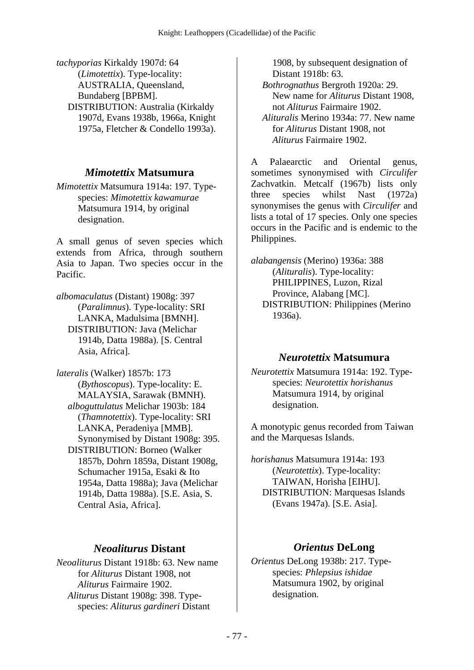*tachyporias* Kirkaldy 1907d: 64 (*Limotettix*). Type-locality: AUSTRALIA, Queensland, Bundaberg [BPBM]. DISTRIBUTION: Australia (Kirkaldy 1907d, Evans 1938b, 1966a, Knight 1975a, Fletcher & Condello 1993a).

#### *Mimotettix* **Matsumura**

*Mimotettix* Matsumura 1914a: 197. Typespecies: *Mimotettix kawamurae* Matsumura 1914, by original designation.

A small genus of seven species which extends from Africa, through southern Asia to Japan. Two species occur in the Pacific.

*albomaculatus* (Distant) 1908g: 397 (*Paralimnus*). Type-locality: SRI LANKA, Madulsima [BMNH]. DISTRIBUTION: Java (Melichar 1914b, Datta 1988a). [S. Central Asia, Africa].

*lateralis* (Walker) 1857b: 173 (*Bythoscopus*). Type-locality: E. MALAYSIA, Sarawak (BMNH).  *alboguttulatus* Melichar 1903b: 184 (*Thamnotettix*). Type-locality: SRI LANKA, Peradeniya [MMB]. Synonymised by Distant 1908g: 395. DISTRIBUTION: Borneo (Walker 1857b, Dohrn 1859a, Distant 1908g, Schumacher 1915a, Esaki & Ito 1954a, Datta 1988a); Java (Melichar 1914b, Datta 1988a). [S.E. Asia, S. Central Asia, Africa].

#### *Neoaliturus* **Distant**

*Neoaliturus* Distant 1918b: 63. New name for *Aliturus* Distant 1908, not *Aliturus* Fairmaire 1902.  *Aliturus* Distant 1908g: 398. Typespecies: *Aliturus gardineri* Distant

1908, by subsequent designation of Distant 1918b: 63.

 *Bothrognathus* Bergroth 1920a: 29. New name for *Aliturus* Distant 1908, not *Aliturus* Fairmaire 1902.

 *Alituralis* Merino 1934a: 77. New name for *Aliturus* Distant 1908, not *Aliturus* Fairmaire 1902.

A Palaearctic and Oriental genus, sometimes synonymised with *Circulifer* Zachvatkin. Metcalf (1967b) lists only three species whilst Nast (1972a) synonymises the genus with *Circulifer* and lists a total of 17 species. Only one species occurs in the Pacific and is endemic to the Philippines.

*alabangensis* (Merino) 1936a: 388 (*Alituralis*). Type-locality: PHILIPPINES, Luzon, Rizal Province, Alabang [MC]. DISTRIBUTION: Philippines (Merino 1936a).

#### *Neurotettix* **Matsumura**

*Neurotettix* Matsumura 1914a: 192. Typespecies: *Neurotettix horishanus* Matsumura 1914, by original designation.

A monotypic genus recorded from Taiwan and the Marquesas Islands.

*horishanus* Matsumura 1914a: 193 (*Neurotettix*). Type-locality: TAIWAN, Horisha [EIHU]. DISTRIBUTION: Marquesas Islands (Evans 1947a). [S.E. Asia].

#### *Orientus* **DeLong**

*Orientus* DeLong 1938b: 217. Typespecies: *Phlepsius ishidae* Matsumura 1902, by original designation.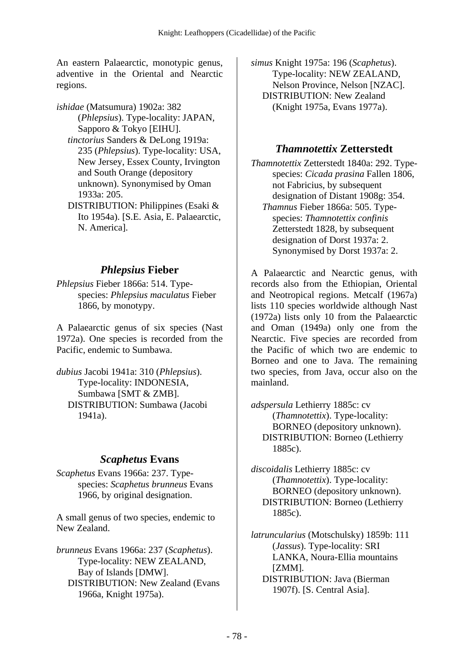An eastern Palaearctic, monotypic genus, adventive in the Oriental and Nearctic regions.

*ishidae* (Matsumura) 1902a: 382 (*Phlepsius*). Type-locality: JAPAN, Sapporo & Tokyo [EIHU].

 *tinctorius* Sanders & DeLong 1919a: 235 (*Phlepsius*). Type-locality: USA, New Jersey, Essex County, Irvington and South Orange (depository unknown). Synonymised by Oman 1933a: 205.

 DISTRIBUTION: Philippines (Esaki & Ito 1954a). [S.E. Asia, E. Palaearctic, N. America].

### *Phlepsius* **Fieber**

*Phlepsius* Fieber 1866a: 514. Typespecies: *Phlepsius maculatus* Fieber 1866, by monotypy.

A Palaearctic genus of six species (Nast 1972a). One species is recorded from the Pacific, endemic to Sumbawa.

*dubius* Jacobi 1941a: 310 (*Phlepsius*). Type-locality: INDONESIA, Sumbawa [SMT & ZMB]. DISTRIBUTION: Sumbawa (Jacobi 1941a).

### *Scaphetus* **Evans**

*Scaphetus* Evans 1966a: 237. Typespecies: *Scaphetus brunneus* Evans 1966, by original designation.

A small genus of two species, endemic to New Zealand.

*brunneus* Evans 1966a: 237 (*Scaphetus*). Type-locality: NEW ZEALAND, Bay of Islands [DMW]. DISTRIBUTION: New Zealand (Evans 1966a, Knight 1975a).

*simus* Knight 1975a: 196 (*Scaphetus*). Type-locality: NEW ZEALAND, Nelson Province, Nelson [NZAC]. DISTRIBUTION: New Zealand (Knight 1975a, Evans 1977a).

## *Thamnotettix* **Zetterstedt**

*Thamnotettix* Zetterstedt 1840a: 292. Typespecies: *Cicada prasina* Fallen 1806, not Fabricius, by subsequent designation of Distant 1908g: 354.  *Thamnus* Fieber 1866a: 505. Typespecies: *Thamnotettix confinis* Zetterstedt 1828, by subsequent designation of Dorst 1937a: 2. Synonymised by Dorst 1937a: 2.

A Palaearctic and Nearctic genus, with records also from the Ethiopian, Oriental and Neotropical regions. Metcalf (1967a) lists 110 species worldwide although Nast (1972a) lists only 10 from the Palaearctic and Oman (1949a) only one from the Nearctic. Five species are recorded from the Pacific of which two are endemic to Borneo and one to Java. The remaining two species, from Java, occur also on the mainland.

*adspersula* Lethierry 1885c: cv (*Thamnotettix*). Type-locality: BORNEO (depository unknown). DISTRIBUTION: Borneo (Lethierry 1885c).

*discoidalis* Lethierry 1885c: cv (*Thamnotettix*). Type-locality: BORNEO (depository unknown). DISTRIBUTION: Borneo (Lethierry 1885c).

*latruncularius* (Motschulsky) 1859b: 111 (*Jassus*). Type-locality: SRI LANKA, Noura-Ellia mountains [ZMM]. DISTRIBUTION: Java (Bierman 1907f). [S. Central Asia].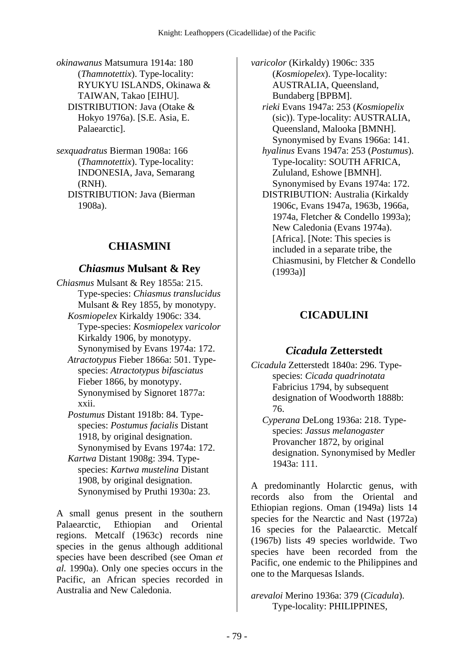*okinawanus* Matsumura 1914a: 180 (*Thamnotettix*). Type-locality: RYUKYU ISLANDS, Okinawa & TAIWAN, Takao [EIHU]. DISTRIBUTION: Java (Otake & Hokyo 1976a). [S.E. Asia, E. Palaearctic].

*sexquadratus* Bierman 1908a: 166 (*Thamnotettix*). Type-locality: INDONESIA, Java, Semarang (RNH). DISTRIBUTION: Java (Bierman 1908a).

## **CHIASMINI**

### *Chiasmus* **Mulsant & Rey**

- *Chiasmus* Mulsant & Rey 1855a: 215. Type-species: *Chiasmus translucidus* Mulsant & Rey 1855, by monotypy.  *Kosmiopelex* Kirkaldy 1906c: 334. Type-species: *Kosmiopelex varicolor* Kirkaldy 1906, by monotypy. Synonymised by Evans 1974a: 172.
	- *Atractotypus* Fieber 1866a: 501. Typespecies: *Atractotypus bifasciatus* Fieber 1866, by monotypy. Synonymised by Signoret 1877a: xxii.
	- *Postumus* Distant 1918b: 84. Typespecies: *Postumus facialis* Distant 1918, by original designation. Synonymised by Evans 1974a: 172.
	- *Kartwa* Distant 1908g: 394. Typespecies: *Kartwa mustelina* Distant 1908, by original designation. Synonymised by Pruthi 1930a: 23.

A small genus present in the southern Palaearctic, Ethiopian and Oriental regions. Metcalf (1963c) records nine species in the genus although additional species have been described (see Oman *et al.* 1990a). Only one species occurs in the Pacific, an African species recorded in Australia and New Caledonia.

*varicolor* (Kirkaldy) 1906c: 335 (*Kosmiopelex*). Type-locality: AUSTRALIA, Queensland, Bundaberg [BPBM].  *rieki* Evans 1947a: 253 (*Kosmiopelix* (sic)). Type-locality: AUSTRALIA, Queensland, Malooka [BMNH]. Synonymised by Evans 1966a: 141.  *hyalinus* Evans 1947a: 253 (*Postumus*). Type-locality: SOUTH AFRICA, Zululand, Eshowe [BMNH]. Synonymised by Evans 1974a: 172. DISTRIBUTION: Australia (Kirkaldy 1906c, Evans 1947a, 1963b, 1966a, 1974a, Fletcher & Condello 1993a); New Caledonia (Evans 1974a). [Africa]. [Note: This species is included in a separate tribe, the Chiasmusini, by Fletcher & Condello (1993a)]

# **CICADULINI**

### *Cicadula* **Zetterstedt**

- *Cicadula* Zetterstedt 1840a: 296. Typespecies: *Cicada quadrinotata* Fabricius 1794, by subsequent designation of Woodworth 1888b: 76.
	- *Cyperana* DeLong 1936a: 218. Typespecies: *Jassus melanogaster* Provancher 1872, by original designation. Synonymised by Medler 1943a: 111.

A predominantly Holarctic genus, with records also from the Oriental and Ethiopian regions. Oman (1949a) lists 14 species for the Nearctic and Nast (1972a) 16 species for the Palaearctic. Metcalf (1967b) lists 49 species worldwide. Two species have been recorded from the Pacific, one endemic to the Philippines and one to the Marquesas Islands.

*arevaloi* Merino 1936a: 379 (*Cicadula*). Type-locality: PHILIPPINES,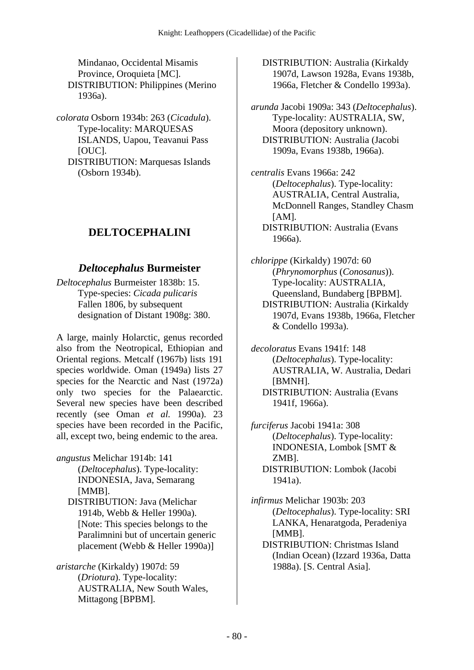Mindanao, Occidental Misamis Province, Oroquieta [MC]. DISTRIBUTION: Philippines (Merino 1936a).

*colorata* Osborn 1934b: 263 (*Cicadula*). Type-locality: MARQUESAS ISLANDS, Uapou, Teavanui Pass [OUC]. DISTRIBUTION: Marquesas Islands (Osborn 1934b).

# **DELTOCEPHALINI**

### *Deltocephalus* **Burmeister**

*Deltocephalus* Burmeister 1838b: 15. Type-species: *Cicada pulicaris* Fallen 1806, by subsequent designation of Distant 1908g: 380.

A large, mainly Holarctic, genus recorded also from the Neotropical, Ethiopian and Oriental regions. Metcalf (1967b) lists 191 species worldwide. Oman (1949a) lists 27 species for the Nearctic and Nast (1972a) only two species for the Palaearctic. Several new species have been described recently (see Oman *et al.* 1990a). 23 species have been recorded in the Pacific, all, except two, being endemic to the area.

- *angustus* Melichar 1914b: 141 (*Deltocephalus*). Type-locality: INDONESIA, Java, Semarang [MMB].
	- DISTRIBUTION: Java (Melichar 1914b, Webb & Heller 1990a). [Note: This species belongs to the Paralimnini but of uncertain generic placement (Webb & Heller 1990a)]
- *aristarche* (Kirkaldy) 1907d: 59 (*Driotura*). Type-locality: AUSTRALIA, New South Wales, Mittagong [BPBM].

 DISTRIBUTION: Australia (Kirkaldy 1907d, Lawson 1928a, Evans 1938b, 1966a, Fletcher & Condello 1993a).

*arunda* Jacobi 1909a: 343 (*Deltocephalus*). Type-locality: AUSTRALIA, SW, Moora (depository unknown). DISTRIBUTION: Australia (Jacobi 1909a, Evans 1938b, 1966a).

*centralis* Evans 1966a: 242 (*Deltocephalus*). Type-locality: AUSTRALIA, Central Australia, McDonnell Ranges, Standley Chasm  $[AM]$ . DISTRIBUTION: Australia (Evans 1966a).

*chlorippe* (Kirkaldy) 1907d: 60 (*Phrynomorphus* (*Conosanus*)). Type-locality: AUSTRALIA, Queensland, Bundaberg [BPBM]. DISTRIBUTION: Australia (Kirkaldy 1907d, Evans 1938b, 1966a, Fletcher & Condello 1993a).

*decoloratus* Evans 1941f: 148 (*Deltocephalus*). Type-locality: AUSTRALIA, W. Australia, Dedari [BMNH]. DISTRIBUTION: Australia (Evans 1941f, 1966a).

*furciferus* Jacobi 1941a: 308 (*Deltocephalus*). Type-locality: INDONESIA, Lombok [SMT & ZMB]. DISTRIBUTION: Lombok (Jacobi 1941a).

*infirmus* Melichar 1903b: 203 (*Deltocephalus*). Type-locality: SRI LANKA, Henaratgoda, Peradeniya [MMB].

 DISTRIBUTION: Christmas Island (Indian Ocean) (Izzard 1936a, Datta 1988a). [S. Central Asia].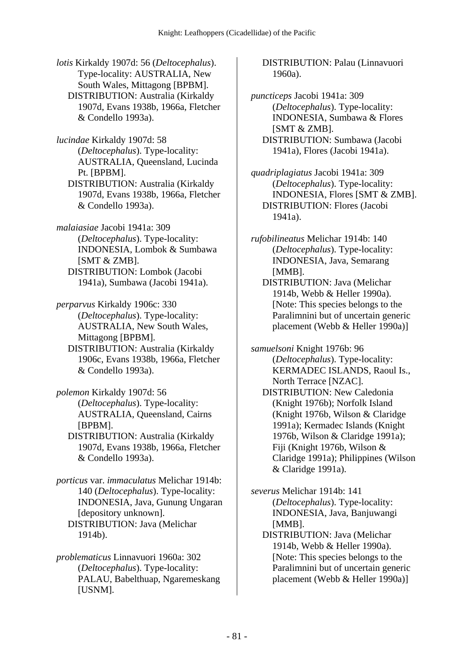*lotis* Kirkaldy 1907d: 56 (*Deltocephalus*). Type-locality: AUSTRALIA, New South Wales, Mittagong [BPBM]. DISTRIBUTION: Australia (Kirkaldy 1907d, Evans 1938b, 1966a, Fletcher & Condello 1993a).

*lucindae* Kirkaldy 1907d: 58 (*Deltocephalus*). Type-locality: AUSTRALIA, Queensland, Lucinda Pt. [BPBM].

 DISTRIBUTION: Australia (Kirkaldy 1907d, Evans 1938b, 1966a, Fletcher & Condello 1993a).

*malaiasiae* Jacobi 1941a: 309 (*Deltocephalus*). Type-locality: INDONESIA, Lombok & Sumbawa [SMT & ZMB]. DISTRIBUTION: Lombok (Jacobi 1941a), Sumbawa (Jacobi 1941a).

*perparvus* Kirkaldy 1906c: 330 (*Deltocephalus*). Type-locality: AUSTRALIA, New South Wales, Mittagong [BPBM]. DISTRIBUTION: Australia (Kirkaldy

1906c, Evans 1938b, 1966a, Fletcher & Condello 1993a).

*polemon* Kirkaldy 1907d: 56 (*Deltocephalus*). Type-locality: AUSTRALIA, Queensland, Cairns [BPBM].

 DISTRIBUTION: Australia (Kirkaldy 1907d, Evans 1938b, 1966a, Fletcher & Condello 1993a).

*porticus* var. *immaculatus* Melichar 1914b: 140 (*Deltocephalus*). Type-locality: INDONESIA, Java, Gunung Ungaran [depository unknown]. DISTRIBUTION: Java (Melichar 1914b).

*problematicus* Linnavuori 1960a: 302 (*Deltocephalus*). Type-locality: PALAU, Babelthuap, Ngaremeskang [USNM].

 DISTRIBUTION: Palau (Linnavuori 1960a).

*puncticeps* Jacobi 1941a: 309 (*Deltocephalus*). Type-locality: INDONESIA, Sumbawa & Flores [SMT & ZMB]. DISTRIBUTION: Sumbawa (Jacobi 1941a), Flores (Jacobi 1941a).

*quadriplagiatus* Jacobi 1941a: 309 (*Deltocephalus*). Type-locality: INDONESIA, Flores [SMT & ZMB]. DISTRIBUTION: Flores (Jacobi 1941a).

*rufobilineatus* Melichar 1914b: 140 (*Deltocephalus*). Type-locality: INDONESIA, Java, Semarang [MMB]. DISTRIBUTION: Java (Melichar

1914b, Webb & Heller 1990a). [Note: This species belongs to the Paralimnini but of uncertain generic placement (Webb & Heller 1990a)]

*samuelsoni* Knight 1976b: 96 (*Deltocephalus*). Type-locality: KERMADEC ISLANDS, Raoul Is., North Terrace [NZAC]. DISTRIBUTION: New Caledonia (Knight 1976b); Norfolk Island (Knight 1976b, Wilson & Claridge 1991a); Kermadec Islands (Knight 1976b, Wilson & Claridge 1991a); Fiji (Knight 1976b, Wilson & Claridge 1991a); Philippines (Wilson & Claridge 1991a).

*severus* Melichar 1914b: 141 (*Deltocephalus*). Type-locality: INDONESIA, Java, Banjuwangi [MMB].

 DISTRIBUTION: Java (Melichar 1914b, Webb & Heller 1990a). [Note: This species belongs to the Paralimnini but of uncertain generic placement (Webb & Heller 1990a)]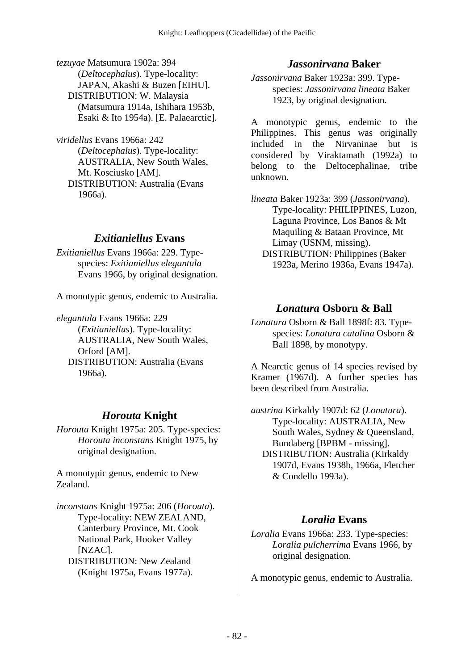*tezuyae* Matsumura 1902a: 394 (*Deltocephalus*). Type-locality: JAPAN, Akashi & Buzen [EIHU]. DISTRIBUTION: W. Malaysia (Matsumura 1914a, Ishihara 1953b, Esaki & Ito 1954a). [E. Palaearctic].

*viridellus* Evans 1966a: 242 (*Deltocephalus*). Type-locality: AUSTRALIA, New South Wales, Mt. Kosciusko [AM]. DISTRIBUTION: Australia (Evans 1966a).

#### *Exitianiellus* **Evans**

*Exitianiellus* Evans 1966a: 229. Typespecies: *Exitianiellus elegantula* Evans 1966, by original designation.

A monotypic genus, endemic to Australia.

*elegantula* Evans 1966a: 229 (*Exitianiellus*). Type-locality: AUSTRALIA, New South Wales, Orford [AM]. DISTRIBUTION: Australia (Evans 1966a).

### *Horouta* **Knight**

*Horouta* Knight 1975a: 205. Type-species: *Horouta inconstans* Knight 1975, by original designation.

A monotypic genus, endemic to New Zealand.

*inconstans* Knight 1975a: 206 (*Horouta*). Type-locality: NEW ZEALAND, Canterbury Province, Mt. Cook National Park, Hooker Valley [NZAC]. DISTRIBUTION: New Zealand (Knight 1975a, Evans 1977a).

#### *Jassonirvana* **Baker**

*Jassonirvana* Baker 1923a: 399. Typespecies: *Jassonirvana lineata* Baker 1923, by original designation.

A monotypic genus, endemic to the Philippines. This genus was originally included in the Nirvaninae but is considered by Viraktamath (1992a) to belong to the Deltocephalinae, tribe unknown.

*lineata* Baker 1923a: 399 (*Jassonirvana*). Type-locality: PHILIPPINES, Luzon, Laguna Province, Los Banos & Mt Maquiling & Bataan Province, Mt Limay (USNM, missing). DISTRIBUTION: Philippines (Baker 1923a, Merino 1936a, Evans 1947a).

#### *Lonatura* **Osborn & Ball**

*Lonatura* Osborn & Ball 1898f: 83. Typespecies: *Lonatura catalina* Osborn & Ball 1898, by monotypy.

A Nearctic genus of 14 species revised by Kramer (1967d). A further species has been described from Australia.

*austrina* Kirkaldy 1907d: 62 (*Lonatura*). Type-locality: AUSTRALIA, New South Wales, Sydney & Queensland, Bundaberg [BPBM - missing]. DISTRIBUTION: Australia (Kirkaldy 1907d, Evans 1938b, 1966a, Fletcher & Condello 1993a).

#### *Loralia* **Evans**

*Loralia* Evans 1966a: 233. Type-species: *Loralia pulcherrima* Evans 1966, by original designation.

A monotypic genus, endemic to Australia.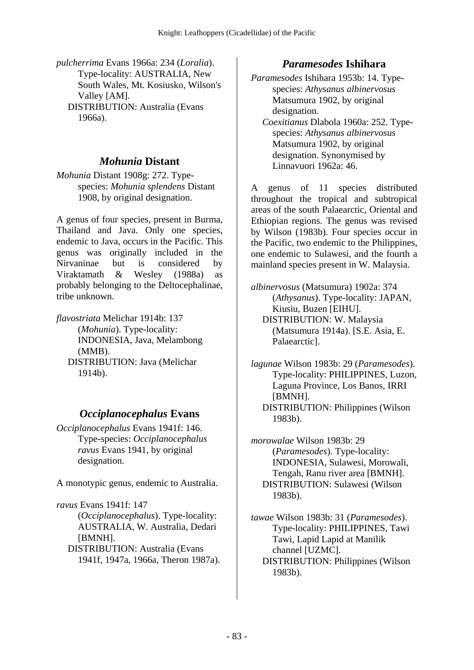*pulcherrima* Evans 1966a: 234 (*Loralia*). Type-locality: AUSTRALIA, New South Wales, Mt. Kosiusko, Wilson's Valley [AM]. DISTRIBUTION: Australia (Evans 1966a).

### *Mohunia* **Distant**

*Mohunia* Distant 1908g: 272. Typespecies: *Mohunia splendens* Distant 1908, by original designation.

A genus of four species, present in Burma, Thailand and Java. Only one species, endemic to Java, occurs in the Pacific. This genus was originally included in the Nirvaninae but is considered by Viraktamath & Wesley (1988a) as probably belonging to the Deltocephalinae, tribe unknown.

*flavostriata* Melichar 1914b: 137 (*Mohunia*). Type-locality: INDONESIA, Java, Melambong (MMB). DISTRIBUTION: Java (Melichar 1914b).

### *Occiplanocephalus* **Evans**

*Occiplanocephalus* Evans 1941f: 146. Type-species: *Occiplanocephalus ravus* Evans 1941, by original designation.

A monotypic genus, endemic to Australia.

*ravus* Evans 1941f: 147 (*Occiplanocephalus*). Type-locality: AUSTRALIA, W. Australia, Dedari [BMNH]. DISTRIBUTION: Australia (Evans 1941f, 1947a, 1966a, Theron 1987a).

### *Paramesodes* **Ishihara**

*Paramesodes* Ishihara 1953b: 14. Typespecies: *Athysanus albinervosus* Matsumura 1902, by original designation.

 *Coexitianus* Dlabola 1960a: 252. Typespecies: *Athysanus albinervosus* Matsumura 1902, by original designation. Synonymised by Linnavuori 1962a: 46.

A genus of 11 species distributed throughout the tropical and subtropical areas of the south Palaearctic, Oriental and Ethiopian regions. The genus was revised by Wilson (1983b). Four species occur in the Pacific, two endemic to the Philippines, one endemic to Sulawesi, and the fourth a mainland species present in W. Malaysia.

*albinervosus* (Matsumura) 1902a: 374 (*Athysanus*). Type-locality: JAPAN, Kiusiu, Buzen [EIHU]. DISTRIBUTION: W. Malaysia (Matsumura 1914a). [S.E. Asia, E. Palaearctic].

*lagunae* Wilson 1983b: 29 (*Paramesodes*). Type-locality: PHILIPPINES, Luzon, Laguna Province, Los Banos, IRRI [BMNH]. DISTRIBUTION: Philippines (Wilson 1983b).

*morowalae* Wilson 1983b: 29 (*Paramesodes*). Type-locality: INDONESIA, Sulawesi, Morowali, Tengah, Ranu river area [BMNH]. DISTRIBUTION: Sulawesi (Wilson 1983b).

*tawae* Wilson 1983b: 31 (*Paramesodes*). Type-locality: PHILIPPINES, Tawi Tawi, Lapid Lapid at Manilik channel [UZMC]. DISTRIBUTION: Philippines (Wilson 1983b).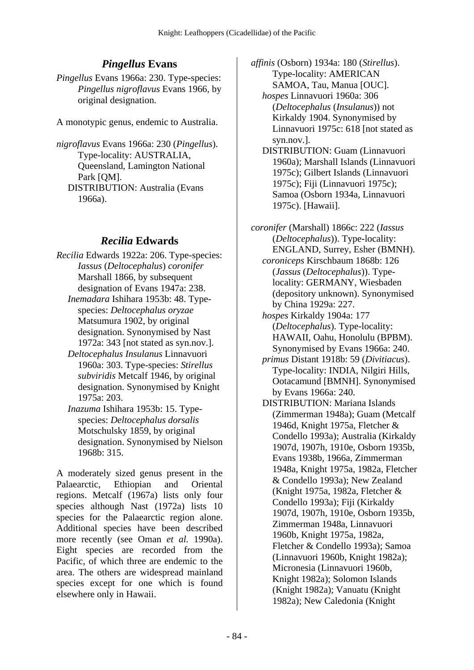# *Pingellus* **Evans**

*Pingellus* Evans 1966a: 230. Type-species: *Pingellus nigroflavus* Evans 1966, by original designation.

A monotypic genus, endemic to Australia.

*nigroflavus* Evans 1966a: 230 (*Pingellus*). Type-locality: AUSTRALIA, Queensland, Lamington National Park [QM]. DISTRIBUTION: Australia (Evans 1966a).

### *Recilia* **Edwards**

- *Recilia* Edwards 1922a: 206. Type-species: *Iassus* (*Deltocephalus*) *coronifer* Marshall 1866, by subsequent designation of Evans 1947a: 238.
	- *Inemadara* Ishihara 1953b: 48. Typespecies: *Deltocephalus oryzae* Matsumura 1902, by original designation. Synonymised by Nast 1972a: 343 [not stated as syn.nov.].
	- *Deltocephalus Insulanus* Linnavuori 1960a: 303. Type-species: *Stirellus subviridis* Metcalf 1946, by original designation. Synonymised by Knight 1975a: 203.
	- *Inazuma* Ishihara 1953b: 15. Typespecies: *Deltocephalus dorsalis* Motschulsky 1859, by original designation. Synonymised by Nielson 1968b: 315.

A moderately sized genus present in the Palaearctic, Ethiopian and Oriental regions. Metcalf (1967a) lists only four species although Nast (1972a) lists 10 species for the Palaearctic region alone. Additional species have been described more recently (see Oman *et al.* 1990a). Eight species are recorded from the Pacific, of which three are endemic to the area. The others are widespread mainland species except for one which is found elsewhere only in Hawaii.

*affinis* (Osborn) 1934a: 180 (*Stirellus*). Type-locality: AMERICAN SAMOA, Tau, Manua [OUC].

 *hospes* Linnavuori 1960a: 306 (*Deltocephalus* (*Insulanus*)) not Kirkaldy 1904. Synonymised by Linnavuori 1975c: 618 [not stated as syn.nov.].

 DISTRIBUTION: Guam (Linnavuori 1960a); Marshall Islands (Linnavuori 1975c); Gilbert Islands (Linnavuori 1975c); Fiji (Linnavuori 1975c); Samoa (Osborn 1934a, Linnavuori 1975c). [Hawaii].

*coronifer* (Marshall) 1866c: 222 (*Iassus* (*Deltocephalus*)). Type-locality: ENGLAND, Surrey, Esher (BMNH).  *coroniceps* Kirschbaum 1868b: 126

- (*Jassus* (*Deltocephalus*)). Typelocality: GERMANY, Wiesbaden (depository unknown). Synonymised by China 1929a: 227.
- *hospes* Kirkaldy 1904a: 177 (*Deltocephalus*). Type-locality: HAWAII, Oahu, Honolulu (BPBM). Synonymised by Evans 1966a: 240.
- *primus* Distant 1918b: 59 (*Divitiacus*). Type-locality: INDIA, Nilgiri Hills, Ootacamund [BMNH]. Synonymised by Evans 1966a: 240.
- DISTRIBUTION: Mariana Islands (Zimmerman 1948a); Guam (Metcalf 1946d, Knight 1975a, Fletcher & Condello 1993a); Australia (Kirkaldy 1907d, 1907h, 1910e, Osborn 1935b, Evans 1938b, 1966a, Zimmerman 1948a, Knight 1975a, 1982a, Fletcher & Condello 1993a); New Zealand (Knight 1975a, 1982a, Fletcher & Condello 1993a); Fiji (Kirkaldy 1907d, 1907h, 1910e, Osborn 1935b, Zimmerman 1948a, Linnavuori 1960b, Knight 1975a, 1982a, Fletcher & Condello 1993a); Samoa (Linnavuori 1960b, Knight 1982a); Micronesia (Linnavuori 1960b, Knight 1982a); Solomon Islands (Knight 1982a); Vanuatu (Knight 1982a); New Caledonia (Knight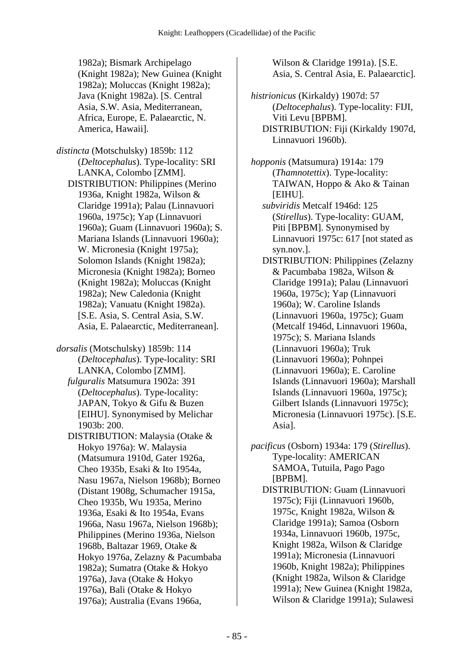1982a); Bismark Archipelago (Knight 1982a); New Guinea (Knight 1982a); Moluccas (Knight 1982a); Java (Knight 1982a). [S. Central Asia, S.W. Asia, Mediterranean, Africa, Europe, E. Palaearctic, N. America, Hawaii].

*distincta* (Motschulsky) 1859b: 112 (*Deltocephalus*). Type-locality: SRI LANKA, Colombo [ZMM]. DISTRIBUTION: Philippines (Merino 1936a, Knight 1982a, Wilson & Claridge 1991a); Palau (Linnavuori 1960a, 1975c); Yap (Linnavuori 1960a); Guam (Linnavuori 1960a); S. Mariana Islands (Linnavuori 1960a); W. Micronesia (Knight 1975a); Solomon Islands (Knight 1982a); Micronesia (Knight 1982a); Borneo (Knight 1982a); Moluccas (Knight 1982a); New Caledonia (Knight 1982a); Vanuatu (Knight 1982a). [S.E. Asia, S. Central Asia, S.W. Asia, E. Palaearctic, Mediterranean].

*dorsalis* (Motschulsky) 1859b: 114 (*Deltocephalus*). Type-locality: SRI LANKA, Colombo [ZMM].  *fulguralis* Matsumura 1902a: 391 (*Deltocephalus*). Type-locality: JAPAN, Tokyo & Gifu & Buzen [EIHU]. Synonymised by Melichar 1903b: 200. DISTRIBUTION: Malaysia (Otake & Hokyo 1976a): W. Malaysia

(Matsumura 1910d, Gater 1926a, Cheo 1935b, Esaki & Ito 1954a, Nasu 1967a, Nielson 1968b); Borneo (Distant 1908g, Schumacher 1915a, Cheo 1935b, Wu 1935a, Merino 1936a, Esaki & Ito 1954a, Evans 1966a, Nasu 1967a, Nielson 1968b); Philippines (Merino 1936a, Nielson 1968b, Baltazar 1969, Otake & Hokyo 1976a, Zelazny & Pacumbaba 1982a); Sumatra (Otake & Hokyo 1976a), Java (Otake & Hokyo 1976a), Bali (Otake & Hokyo 1976a); Australia (Evans 1966a,

Wilson & Claridge 1991a). [S.E. Asia, S. Central Asia, E. Palaearctic].

*histrionicus* (Kirkaldy) 1907d: 57 (*Deltocephalus*). Type-locality: FIJI, Viti Levu [BPBM]. DISTRIBUTION: Fiji (Kirkaldy 1907d, Linnavuori 1960b).

*hopponis* (Matsumura) 1914a: 179 (*Thamnotettix*). Type-locality: TAIWAN, Hoppo & Ako & Tainan [EIHU].  *subviridis* Metcalf 1946d: 125 (*Stirellus*). Type-locality: GUAM, Piti [BPBM]. Synonymised by Linnavuori 1975c: 617 [not stated as syn.nov.]. DISTRIBUTION: Philippines (Zelazny & Pacumbaba 1982a, Wilson & Claridge 1991a); Palau (Linnavuori 1960a, 1975c); Yap (Linnavuori 1960a); W. Caroline Islands (Linnavuori 1960a, 1975c); Guam (Metcalf 1946d, Linnavuori 1960a, 1975c); S. Mariana Islands (Linnavuori 1960a); Truk (Linnavuori 1960a); Pohnpei (Linnavuori 1960a); E. Caroline Islands (Linnavuori 1960a); Marshall Islands (Linnavuori 1960a, 1975c); Gilbert Islands (Linnavuori 1975c); Micronesia (Linnavuori 1975c). [S.E. Asia].

*pacificus* (Osborn) 1934a: 179 (*Stirellus*). Type-locality: AMERICAN SAMOA, Tutuila, Pago Pago [BPBM]. DISTRIBUTION: Guam (Linnavuori

1975c); Fiji (Linnavuori 1960b, 1975c, Knight 1982a, Wilson & Claridge 1991a); Samoa (Osborn 1934a, Linnavuori 1960b, 1975c, Knight 1982a, Wilson & Claridge 1991a); Micronesia (Linnavuori 1960b, Knight 1982a); Philippines (Knight 1982a, Wilson & Claridge 1991a); New Guinea (Knight 1982a, Wilson & Claridge 1991a); Sulawesi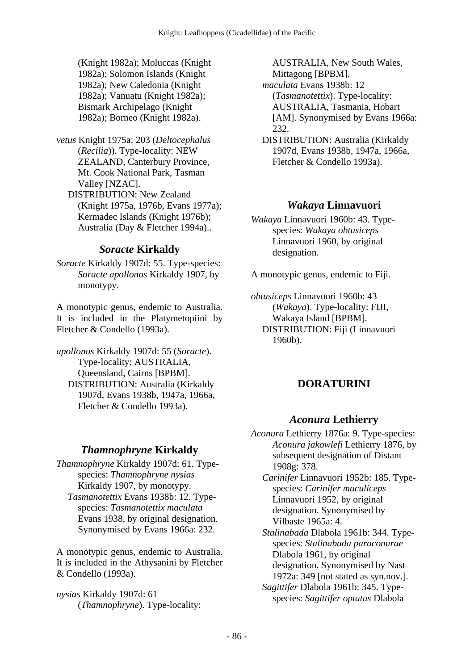(Knight 1982a); Moluccas (Knight 1982a); Solomon Islands (Knight 1982a); New Caledonia (Knight 1982a); Vanuatu (Knight 1982a); Bismark Archipelago (Knight 1982a); Borneo (Knight 1982a).

- *vetus* Knight 1975a: 203 (*Deltocephalus* (*Recilia*)). Type-locality: NEW ZEALAND, Canterbury Province, Mt. Cook National Park, Tasman Valley [NZAC].
	- DISTRIBUTION: New Zealand (Knight 1975a, 1976b, Evans 1977a); Kermadec Islands (Knight 1976b); Australia (Day & Fletcher 1994a)..

### *Soracte* **Kirkaldy**

*Soracte* Kirkaldy 1907d: 55. Type-species: *Soracte apollonos* Kirkaldy 1907, by monotypy.

A monotypic genus, endemic to Australia. It is included in the Platymetopiini by Fletcher & Condello (1993a).

*apollonos* Kirkaldy 1907d: 55 (*Soracte*). Type-locality: AUSTRALIA, Queensland, Cairns [BPBM]. DISTRIBUTION: Australia (Kirkaldy 1907d, Evans 1938b, 1947a, 1966a, Fletcher & Condello 1993a).

# *Thamnophryne* **Kirkaldy**

*Thamnophryne* Kirkaldy 1907d: 61. Typespecies: *Thamnophryne nysias* Kirkaldy 1907, by monotypy.  *Tasmanotettix* Evans 1938b: 12. Typespecies: *Tasmanotettix maculata* Evans 1938, by original designation. Synonymised by Evans 1966a: 232.

A monotypic genus, endemic to Australia. It is included in the Athysanini by Fletcher & Condello (1993a).

*nysias* Kirkaldy 1907d: 61 (*Thamnophryne*). Type-locality: AUSTRALIA, New South Wales, Mittagong [BPBM].

- *maculata* Evans 1938b: 12 (*Tasmanotettix*). Type-locality: AUSTRALIA, Tasmania, Hobart [AM]. Synonymised by Evans 1966a: 232.
- DISTRIBUTION: Australia (Kirkaldy 1907d, Evans 1938b, 1947a, 1966a, Fletcher & Condello 1993a).

## *Wakaya* **Linnavuori**

*Wakaya* Linnavuori 1960b: 43. Typespecies: *Wakaya obtusiceps* Linnavuori 1960, by original designation.

A monotypic genus, endemic to Fiji.

*obtusiceps* Linnavuori 1960b: 43 (*Wakaya*). Type-locality: FIJI, Wakaya Island [BPBM]. DISTRIBUTION: Fiji (Linnavuori 1960b).

# **DORATURINI**

### *Aconura* **Lethierry**

*Aconura* Lethierry 1876a: 9. Type-species: *Aconura jakowlefi* Lethierry 1876, by subsequent designation of Distant 1908g: 378.

 *Carinifer* Linnavuori 1952b: 185. Typespecies: *Carinifer maculiceps* Linnavuori 1952, by original designation. Synonymised by Vilbaste 1965a: 4.

 *Stalinabada* Dlabola 1961b: 344. Typespecies: *Stalinabada paraconurae* Dlabola 1961, by original designation. Synonymised by Nast 1972a: 349 [not stated as syn.nov.].

 *Sagittifer* Dlabola 1961b: 345. Typespecies: *Sagittifer optatus* Dlabola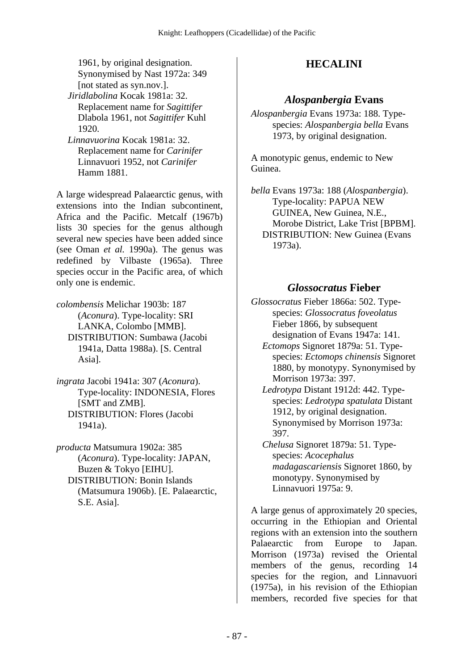1961, by original designation. Synonymised by Nast 1972a: 349 [not stated as syn.nov.].

- *Jiridlabolina* Kocak 1981a: 32. Replacement name for *Sagittifer* Dlabola 1961, not *Sagittifer* Kuhl 1920.
- *Linnavuorina* Kocak 1981a: 32. Replacement name for *Carinifer* Linnavuori 1952, not *Carinifer* Hamm 1881.

A large widespread Palaearctic genus, with extensions into the Indian subcontinent, Africa and the Pacific. Metcalf (1967b) lists 30 species for the genus although several new species have been added since (see Oman *et al.* 1990a). The genus was redefined by Vilbaste (1965a). Three species occur in the Pacific area, of which only one is endemic.

*colombensis* Melichar 1903b: 187 (*Aconura*). Type-locality: SRI LANKA, Colombo [MMB]. DISTRIBUTION: Sumbawa (Jacobi 1941a, Datta 1988a). [S. Central Asia].

*ingrata* Jacobi 1941a: 307 (*Aconura*). Type-locality: INDONESIA, Flores [SMT and ZMB]. DISTRIBUTION: Flores (Jacobi 1941a).

*producta* Matsumura 1902a: 385 (*Aconura*). Type-locality: JAPAN, Buzen & Tokyo [EIHU]. DISTRIBUTION: Bonin Islands (Matsumura 1906b). [E. Palaearctic, S.E. Asia].

# **HECALINI**

### *Alospanbergia* **Evans**

*Alospanbergia* Evans 1973a: 188. Typespecies: *Alospanbergia bella* Evans 1973, by original designation.

A monotypic genus, endemic to New Guinea.

*bella* Evans 1973a: 188 (*Alospanbergia*). Type-locality: PAPUA NEW GUINEA, New Guinea, N.E., Morobe District, Lake Trist [BPBM]. DISTRIBUTION: New Guinea (Evans 1973a).

#### *Glossocratus* **Fieber**

- *Glossocratus* Fieber 1866a: 502. Typespecies: *Glossocratus foveolatus* Fieber 1866, by subsequent designation of Evans 1947a: 141.
	- *Ectomops* Signoret 1879a: 51. Typespecies: *Ectomops chinensis* Signoret 1880, by monotypy. Synonymised by Morrison 1973a: 397.
	- *Ledrotypa* Distant 1912d: 442. Typespecies: *Ledrotypa spatulata* Distant 1912, by original designation. Synonymised by Morrison 1973a: 397.
	- *Chelusa* Signoret 1879a: 51. Typespecies: *Acocephalus madagascariensis* Signoret 1860, by monotypy. Synonymised by Linnavuori 1975a: 9.

A large genus of approximately 20 species, occurring in the Ethiopian and Oriental regions with an extension into the southern Palaearctic from Europe to Japan. Morrison (1973a) revised the Oriental members of the genus, recording 14 species for the region, and Linnavuori (1975a), in his revision of the Ethiopian members, recorded five species for that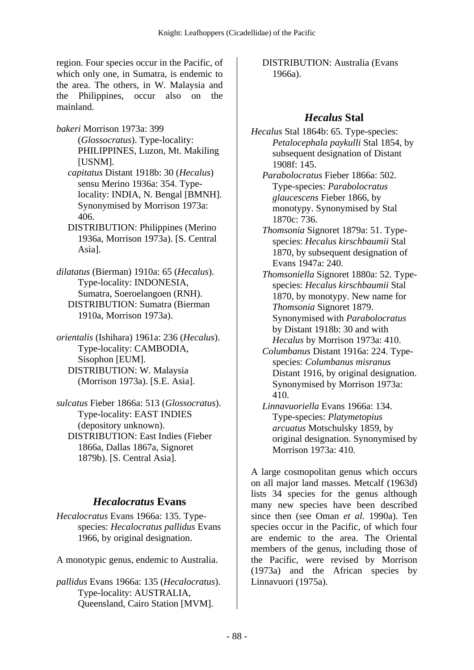region. Four species occur in the Pacific, of which only one, in Sumatra, is endemic to the area. The others, in W. Malaysia and the Philippines, occur also on the mainland.

*bakeri* Morrison 1973a: 399 (*Glossocratus*). Type-locality: PHILIPPINES, Luzon, Mt. Makiling [USNM].

 *capitatus* Distant 1918b: 30 (*Hecalus*) sensu Merino 1936a: 354. Typelocality: INDIA, N. Bengal [BMNH]. Synonymised by Morrison 1973a: 406.

- DISTRIBUTION: Philippines (Merino 1936a, Morrison 1973a). [S. Central Asia].
- *dilatatus* (Bierman) 1910a: 65 (*Hecalus*). Type-locality: INDONESIA, Sumatra, Soeroelangoen (RNH). DISTRIBUTION: Sumatra (Bierman 1910a, Morrison 1973a).
- *orientalis* (Ishihara) 1961a: 236 (*Hecalus*). Type-locality: CAMBODIA, Sisophon [EUM]. DISTRIBUTION: W. Malaysia (Morrison 1973a). [S.E. Asia].
- *sulcatus* Fieber 1866a: 513 (*Glossocratus*). Type-locality: EAST INDIES (depository unknown). DISTRIBUTION: East Indies (Fieber 1866a, Dallas 1867a, Signoret 1879b). [S. Central Asia].

### *Hecalocratus* **Evans**

*Hecalocratus* Evans 1966a: 135. Typespecies: *Hecalocratus pallidus* Evans 1966, by original designation.

A monotypic genus, endemic to Australia.

*pallidus* Evans 1966a: 135 (*Hecalocratus*). Type-locality: AUSTRALIA, Queensland, Cairo Station [MVM].

 DISTRIBUTION: Australia (Evans 1966a).

# *Hecalus* **Stal**

*Hecalus* Stal 1864b: 65. Type-species: *Petalocephala paykulli* Stal 1854, by subsequent designation of Distant 1908f: 145.

- *Parabolocratus* Fieber 1866a: 502. Type-species: *Parabolocratus glaucescens* Fieber 1866, by monotypy. Synonymised by Stal 1870c: 736.
- *Thomsonia* Signoret 1879a: 51. Typespecies: *Hecalus kirschbaumii* Stal 1870, by subsequent designation of Evans 1947a: 240.
- *Thomsoniella* Signoret 1880a: 52. Typespecies: *Hecalus kirschbaumii* Stal 1870, by monotypy. New name for *Thomsonia* Signoret 1879. Synonymised with *Parabolocratus* by Distant 1918b: 30 and with *Hecalus* by Morrison 1973a: 410.
- *Columbanus* Distant 1916a: 224. Typespecies: *Columbanus misranus* Distant 1916, by original designation. Synonymised by Morrison 1973a: 410.
- *Linnavuoriella* Evans 1966a: 134. Type-species: *Platymetopius arcuatus* Motschulsky 1859, by original designation. Synonymised by Morrison 1973a: 410.

A large cosmopolitan genus which occurs on all major land masses. Metcalf (1963d) lists 34 species for the genus although many new species have been described since then (see Oman *et al.* 1990a). Ten species occur in the Pacific, of which four are endemic to the area. The Oriental members of the genus, including those of the Pacific, were revised by Morrison (1973a) and the African species by Linnavuori (1975a).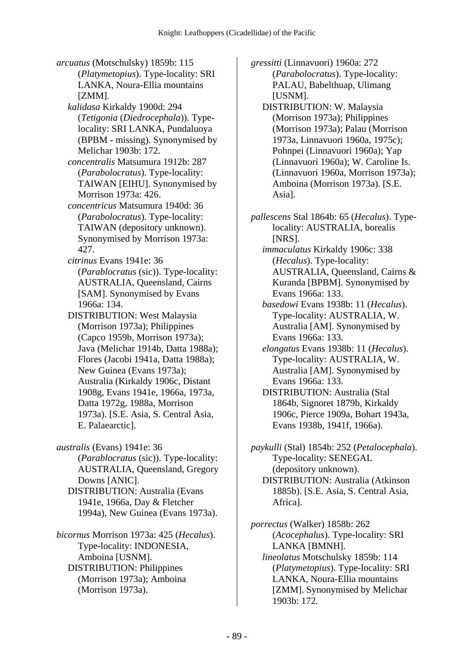*arcuatus* (Motschulsky) 1859b: 115 (*Platymetopius*). Type-locality: SRI LANKA, Noura-Ellia mountains [ZMM].  *kalidasa* Kirkaldy 1900d: 294 (*Tetigonia* (*Diedrocephala*)). Typelocality: SRI LANKA, Pundaluoya (BPBM - missing). Synonymised by Melichar 1903b: 172.  *concentralis* Matsumura 1912b: 287 (*Parabolocratus*). Type-locality: TAIWAN [EIHU]. Synonymised by Morrison 1973a: 426.  *concentricus* Matsumura 1940d: 36 (*Parabolocratus*). Type-locality: TAIWAN (depository unknown). Synonymised by Morrison 1973a: 427.  *citrinus* Evans 1941e: 36 (*Parablocratus* (sic)). Type-locality: AUSTRALIA, Queensland, Cairns [SAM]. Synonymised by Evans 1966a: 134. DISTRIBUTION: West Malaysia (Morrison 1973a); Philippines (Capco 1959b, Morrison 1973a); Java (Melichar 1914b, Datta 1988a); Flores (Jacobi 1941a, Datta 1988a); New Guinea (Evans 1973a); Australia (Kirkaldy 1906c, Distant 1908g, Evans 1941e, 1966a, 1973a, Datta 1972g, 1988a, Morrison 1973a). [S.E. Asia, S. Central Asia, E. Palaearctic].

*australis* (Evans) 1941e: 36 (*Parablocratus* (sic)). Type-locality: AUSTRALIA, Queensland, Gregory Downs [ANIC]. DISTRIBUTION: Australia (Evans 1941e, 1966a, Day & Fletcher 1994a), New Guinea (Evans 1973a).

*bicornus* Morrison 1973a: 425 (*Hecalus*). Type-locality: INDONESIA, Amboina [USNM]. DISTRIBUTION: Philippines (Morrison 1973a); Amboina (Morrison 1973a).

*gressitti* (Linnavuori) 1960a: 272 (*Parabolocratus*). Type-locality: PALAU, Babelthuap, Ulimang [USNM].

- DISTRIBUTION: W. Malaysia (Morrison 1973a); Philippines (Morrison 1973a); Palau (Morrison 1973a, Linnavuori 1960a, 1975c); Pohnpei (Linnavuori 1960a); Yap (Linnavuori 1960a); W. Caroline Is. (Linnavuori 1960a, Morrison 1973a); Amboina (Morrison 1973a). [S.E. Asia].
- *pallescens* Stal 1864b: 65 (*Hecalus*). Typelocality: AUSTRALIA, borealis [NRS].

 *immaculatus* Kirkaldy 1906c: 338 (*Hecalus*). Type-locality: AUSTRALIA, Queensland, Cairns & Kuranda [BPBM]. Synonymised by Evans 1966a: 133.

 *basedowi* Evans 1938b: 11 (*Hecalus*). Type-locality: AUSTRALIA, W. Australia [AM]. Synonymised by Evans 1966a: 133.

 *elongatus* Evans 1938b: 11 (*Hecalus*). Type-locality: AUSTRALIA, W. Australia [AM]. Synonymised by Evans 1966a: 133.

 DISTRIBUTION: Australia (Stal 1864b, Signoret 1879b, Kirkaldy 1906c, Pierce 1909a, Bohart 1943a, Evans 1938b, 1941f, 1966a).

*paykulli* (Stal) 1854b: 252 (*Petalocephala*). Type-locality: SENEGAL (depository unknown). DISTRIBUTION: Australia (Atkinson 1885b). [S.E. Asia, S. Central Asia,

Africa].

*porrectus* (Walker) 1858b: 262 (*Acocephalus*). Type-locality: SRI LANKA [BMNH].  *lineolatus* Motschulsky 1859b: 114 (*Platymetopius*). Type-locality: SRI LANKA, Noura-Ellia mountains [ZMM]. Synonymised by Melichar 1903b: 172.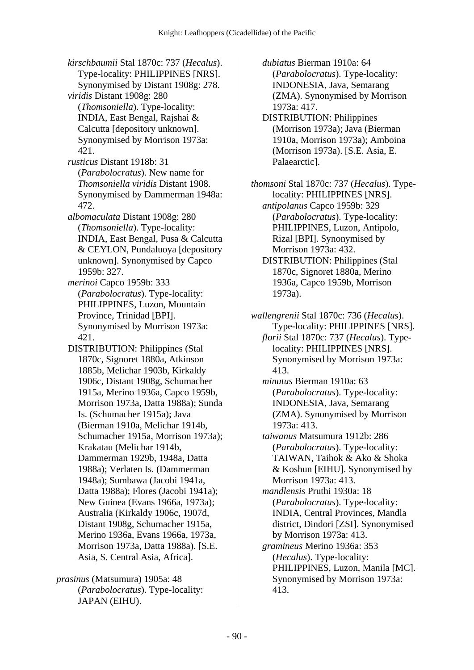*kirschbaumii* Stal 1870c: 737 (*Hecalus*). Type-locality: PHILIPPINES [NRS]. Synonymised by Distant 1908g: 278.  *viridis* Distant 1908g: 280 (*Thomsoniella*). Type-locality: INDIA, East Bengal, Rajshai & Calcutta [depository unknown]. Synonymised by Morrison 1973a: 421.  *rusticus* Distant 1918b: 31 (*Parabolocratus*). New name for *Thomsoniella viridis* Distant 1908. Synonymised by Dammerman 1948a: 472.  *albomaculata* Distant 1908g: 280 (*Thomsoniella*). Type-locality: INDIA, East Bengal, Pusa & Calcutta & CEYLON, Pundaluoya [depository unknown]. Synonymised by Capco 1959b: 327.  *merinoi* Capco 1959b: 333 (*Parabolocratus*). Type-locality: PHILIPPINES, Luzon, Mountain Province, Trinidad [BPI]. Synonymised by Morrison 1973a: 421. DISTRIBUTION: Philippines (Stal 1870c, Signoret 1880a, Atkinson 1885b, Melichar 1903b, Kirkaldy 1906c, Distant 1908g, Schumacher 1915a, Merino 1936a, Capco 1959b, Morrison 1973a, Datta 1988a); Sunda Is. (Schumacher 1915a); Java (Bierman 1910a, Melichar 1914b, Schumacher 1915a, Morrison 1973a); Krakatau (Melichar 1914b, Dammerman 1929b, 1948a, Datta 1988a); Verlaten Is. (Dammerman 1948a); Sumbawa (Jacobi 1941a, Datta 1988a); Flores (Jacobi 1941a); New Guinea (Evans 1966a, 1973a); Australia (Kirkaldy 1906c, 1907d, Distant 1908g, Schumacher 1915a, Merino 1936a, Evans 1966a, 1973a, Morrison 1973a, Datta 1988a). [S.E. Asia, S. Central Asia, Africa].

*prasinus* (Matsumura) 1905a: 48 (*Parabolocratus*). Type-locality: JAPAN (EIHU).

 *dubiatus* Bierman 1910a: 64 (*Parabolocratus*). Type-locality: INDONESIA, Java, Semarang (ZMA). Synonymised by Morrison 1973a: 417.

 DISTRIBUTION: Philippines (Morrison 1973a); Java (Bierman 1910a, Morrison 1973a); Amboina (Morrison 1973a). [S.E. Asia, E. Palaearctic].

*thomsoni* Stal 1870c: 737 (*Hecalus*). Typelocality: PHILIPPINES [NRS].  *antipolanus* Capco 1959b: 329 (*Parabolocratus*). Type-locality: PHILIPPINES, Luzon, Antipolo, Rizal [BPI]. Synonymised by Morrison 1973a: 432.

 DISTRIBUTION: Philippines (Stal 1870c, Signoret 1880a, Merino 1936a, Capco 1959b, Morrison 1973a).

*wallengrenii* Stal 1870c: 736 (*Hecalus*). Type-locality: PHILIPPINES [NRS].

 *florii* Stal 1870c: 737 (*Hecalus*). Typelocality: PHILIPPINES [NRS]. Synonymised by Morrison 1973a: 413.

 *minutus* Bierman 1910a: 63 (*Parabolocratus*). Type-locality: INDONESIA, Java, Semarang (ZMA). Synonymised by Morrison 1973a: 413.

 *taiwanus* Matsumura 1912b: 286 (*Parabolocratus*). Type-locality: TAIWAN, Taihok & Ako & Shoka & Koshun [EIHU]. Synonymised by Morrison 1973a: 413.  *mandlensis* Pruthi 1930a: 18 (*Parabolocratus*). Type-locality: INDIA, Central Provinces, Mandla district, Dindori [ZSI]. Synonymised by Morrison 1973a: 413.

 *gramineus* Merino 1936a: 353 (*Hecalus*). Type-locality: PHILIPPINES, Luzon, Manila [MC]. Synonymised by Morrison 1973a: 413.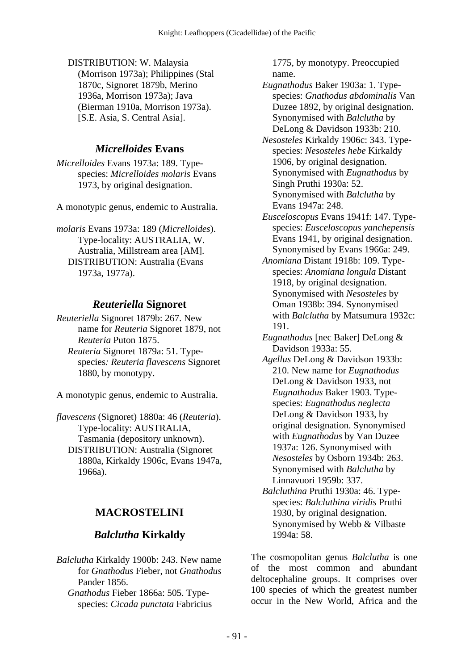DISTRIBUTION: W. Malaysia (Morrison 1973a); Philippines (Stal 1870c, Signoret 1879b, Merino 1936a, Morrison 1973a); Java (Bierman 1910a, Morrison 1973a). [S.E. Asia, S. Central Asia].

## *Micrelloides* **Evans**

*Micrelloides* Evans 1973a: 189. Typespecies: *Micrelloides molaris* Evans 1973, by original designation.

A monotypic genus, endemic to Australia.

*molaris* Evans 1973a: 189 (*Micrelloides*). Type-locality: AUSTRALIA, W. Australia, Millstream area [AM]. DISTRIBUTION: Australia (Evans 1973a, 1977a).

## *Reuteriella* **Signoret**

*Reuteriella* Signoret 1879b: 267. New name for *Reuteria* Signoret 1879, not *Reuteria* Puton 1875.  *Reuteria* Signoret 1879a: 51. Typespecies*: Reuteria flavescens* Signoret 1880, by monotypy.

A monotypic genus, endemic to Australia.

*flavescens* (Signoret) 1880a: 46 (*Reuteria*). Type-locality: AUSTRALIA, Tasmania (depository unknown). DISTRIBUTION: Australia (Signoret 1880a, Kirkaldy 1906c, Evans 1947a, 1966a).

# **MACROSTELINI**

# *Balclutha* **Kirkaldy**

*Balclutha* Kirkaldy 1900b: 243. New name for *Gnathodus* Fieber, not *Gnathodus* Pander 1856.  *Gnathodus* Fieber 1866a: 505. Typespecies: *Cicada punctata* Fabricius

1775, by monotypy. Preoccupied name.

 *Eugnathodus* Baker 1903a: 1. Typespecies: *Gnathodus abdominalis* Van Duzee 1892, by original designation. Synonymised with *Balclutha* by DeLong & Davidson 1933b: 210.

 *Nesosteles* Kirkaldy 1906c: 343. Typespecies: *Nesosteles hebe* Kirkaldy 1906, by original designation. Synonymised with *Eugnathodus* by Singh Pruthi 1930a: 52. Synonymised with *Balclutha* by Evans 1947a: 248.

 *Eusceloscopus* Evans 1941f: 147. Typespecies: *Eusceloscopus yanchepensis* Evans 1941, by original designation. Synonymised by Evans 1966a: 249.

- *Anomiana* Distant 1918b: 109. Typespecies: *Anomiana longula* Distant 1918, by original designation. Synonymised with *Nesosteles* by Oman 1938b: 394. Synonymised with *Balclutha* by Matsumura 1932c: 191.
- *Eugnathodus* [nec Baker] DeLong & Davidson 1933a: 55.
- *Agellus* DeLong & Davidson 1933b: 210. New name for *Eugnathodus* DeLong & Davidson 1933, not *Eugnathodus* Baker 1903. Typespecies: *Eugnathodus neglecta* DeLong & Davidson 1933, by original designation. Synonymised with *Eugnathodus* by Van Duzee 1937a: 126. Synonymised with *Nesosteles* by Osborn 1934b: 263. Synonymised with *Balclutha* by Linnavuori 1959b: 337.
- *Balcluthina* Pruthi 1930a: 46. Typespecies: *Balcluthina viridis* Pruthi 1930, by original designation. Synonymised by Webb & Vilbaste 1994a: 58.

The cosmopolitan genus *Balclutha* is one of the most common and abundant deltocephaline groups. It comprises over 100 species of which the greatest number occur in the New World, Africa and the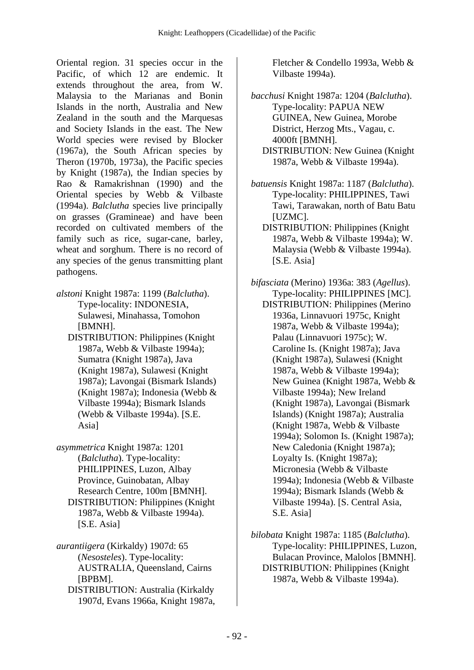Oriental region. 31 species occur in the Pacific, of which 12 are endemic. It extends throughout the area, from W. Malaysia to the Marianas and Bonin Islands in the north, Australia and New Zealand in the south and the Marquesas and Society Islands in the east. The New World species were revised by Blocker (1967a), the South African species by Theron (1970b, 1973a), the Pacific species by Knight (1987a), the Indian species by Rao & Ramakrishnan (1990) and the Oriental species by Webb & Vilbaste (1994a). *Balclutha* species live principally on grasses (Gramineae) and have been recorded on cultivated members of the family such as rice, sugar-cane, barley, wheat and sorghum. There is no record of any species of the genus transmitting plant pathogens.

- *alstoni* Knight 1987a: 1199 (*Balclutha*). Type-locality: INDONESIA, Sulawesi, Minahassa, Tomohon [BMNH].
	- DISTRIBUTION: Philippines (Knight 1987a, Webb & Vilbaste 1994a); Sumatra (Knight 1987a), Java (Knight 1987a), Sulawesi (Knight 1987a); Lavongai (Bismark Islands) (Knight 1987a); Indonesia (Webb & Vilbaste 1994a); Bismark Islands (Webb & Vilbaste 1994a). [S.E. Asia]

*asymmetrica* Knight 1987a: 1201 (*Balclutha*). Type-locality: PHILIPPINES, Luzon, Albay Province, Guinobatan, Albay Research Centre, 100m [BMNH]. DISTRIBUTION: Philippines (Knight 1987a, Webb & Vilbaste 1994a). [S.E. Asia]

*aurantiigera* (Kirkaldy) 1907d: 65 (*Nesosteles*). Type-locality: AUSTRALIA, Queensland, Cairns [BPBM]. DISTRIBUTION: Australia (Kirkaldy 1907d, Evans 1966a, Knight 1987a, Fletcher & Condello 1993a, Webb & Vilbaste 1994a).

*bacchusi* Knight 1987a: 1204 (*Balclutha*). Type-locality: PAPUA NEW GUINEA, New Guinea, Morobe District, Herzog Mts., Vagau, c. 4000ft [BMNH]. DISTRIBUTION: New Guinea (Knight 1987a, Webb & Vilbaste 1994a).

*batuensis* Knight 1987a: 1187 (*Balclutha*). Type-locality: PHILIPPINES, Tawi Tawi, Tarawakan, north of Batu Batu [UZMC].

- DISTRIBUTION: Philippines (Knight 1987a, Webb & Vilbaste 1994a); W. Malaysia (Webb & Vilbaste 1994a). [S.E. Asia]
- *bifasciata* (Merino) 1936a: 383 (*Agellus*). Type-locality: PHILIPPINES [MC].
	- DISTRIBUTION: Philippines (Merino 1936a, Linnavuori 1975c, Knight 1987a, Webb & Vilbaste 1994a); Palau (Linnavuori 1975c); W. Caroline Is. (Knight 1987a); Java (Knight 1987a), Sulawesi (Knight 1987a, Webb & Vilbaste 1994a); New Guinea (Knight 1987a, Webb & Vilbaste 1994a); New Ireland (Knight 1987a), Lavongai (Bismark Islands) (Knight 1987a); Australia (Knight 1987a, Webb & Vilbaste 1994a); Solomon Is. (Knight 1987a); New Caledonia (Knight 1987a); Loyalty Is. (Knight 1987a); Micronesia (Webb & Vilbaste 1994a); Indonesia (Webb & Vilbaste 1994a); Bismark Islands (Webb & Vilbaste 1994a). [S. Central Asia, S.E. Asia]

*bilobata* Knight 1987a: 1185 (*Balclutha*). Type-locality: PHILIPPINES, Luzon, Bulacan Province, Malolos [BMNH]. DISTRIBUTION: Philippines (Knight 1987a, Webb & Vilbaste 1994a).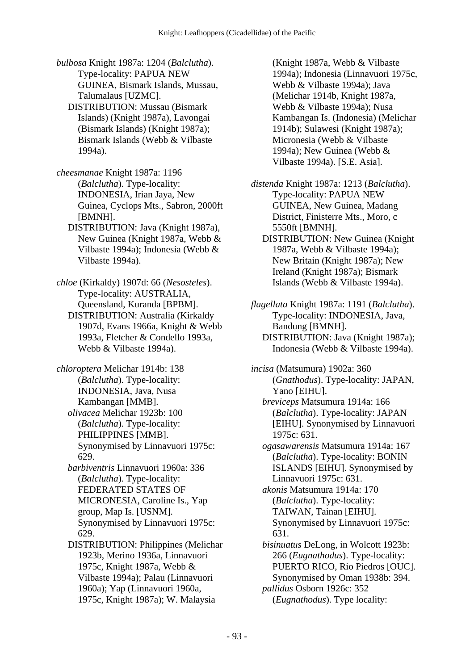*bulbosa* Knight 1987a: 1204 (*Balclutha*). Type-locality: PAPUA NEW GUINEA, Bismark Islands, Mussau, Talumalaus [UZMC].

 DISTRIBUTION: Mussau (Bismark Islands) (Knight 1987a), Lavongai (Bismark Islands) (Knight 1987a); Bismark Islands (Webb & Vilbaste 1994a).

*cheesmanae* Knight 1987a: 1196 (*Balclutha*). Type-locality: INDONESIA, Irian Jaya, New Guinea, Cyclops Mts., Sabron, 2000ft [BMNH].

 DISTRIBUTION: Java (Knight 1987a), New Guinea (Knight 1987a, Webb & Vilbaste 1994a); Indonesia (Webb & Vilbaste 1994a).

*chloe* (Kirkaldy) 1907d: 66 (*Nesosteles*). Type-locality: AUSTRALIA, Queensland, Kuranda [BPBM]. DISTRIBUTION: Australia (Kirkaldy 1907d, Evans 1966a, Knight & Webb 1993a, Fletcher & Condello 1993a, Webb & Vilbaste 1994a).

*chloroptera* Melichar 1914b: 138 (*Balclutha*). Type-locality: INDONESIA, Java, Nusa Kambangan [MMB].  *olivacea* Melichar 1923b: 100 (*Balclutha*). Type-locality: PHILIPPINES [MMB]. Synonymised by Linnavuori 1975c: 629.

 *barbiventris* Linnavuori 1960a: 336 (*Balclutha*). Type-locality: FEDERATED STATES OF MICRONESIA, Caroline Is., Yap group, Map Is. [USNM]. Synonymised by Linnavuori 1975c: 629.

 DISTRIBUTION: Philippines (Melichar 1923b, Merino 1936a, Linnavuori 1975c, Knight 1987a, Webb & Vilbaste 1994a); Palau (Linnavuori 1960a); Yap (Linnavuori 1960a, 1975c, Knight 1987a); W. Malaysia

(Knight 1987a, Webb & Vilbaste 1994a); Indonesia (Linnavuori 1975c, Webb & Vilbaste 1994a); Java (Melichar 1914b, Knight 1987a, Webb & Vilbaste 1994a); Nusa Kambangan Is. (Indonesia) (Melichar 1914b); Sulawesi (Knight 1987a); Micronesia (Webb & Vilbaste 1994a); New Guinea (Webb & Vilbaste 1994a). [S.E. Asia].

*distenda* Knight 1987a: 1213 (*Balclutha*). Type-locality: PAPUA NEW GUINEA, New Guinea, Madang District, Finisterre Mts., Moro, c 5550ft [BMNH]. DISTRIBUTION: New Guinea (Knight

1987a, Webb & Vilbaste 1994a); New Britain (Knight 1987a); New Ireland (Knight 1987a); Bismark Islands (Webb & Vilbaste 1994a).

*flagellata* Knight 1987a: 1191 (*Balclutha*). Type-locality: INDONESIA, Java, Bandung [BMNH]. DISTRIBUTION: Java (Knight 1987a); Indonesia (Webb & Vilbaste 1994a).

*incisa* (Matsumura) 1902a: 360 (*Gnathodus*). Type-locality: JAPAN, Yano [EIHU].  *breviceps* Matsumura 1914a: 166 (*Balclutha*). Type-locality: JAPAN [EIHU]. Synonymised by Linnavuori 1975c: 631.  *ogasawarensis* Matsumura 1914a: 167 (*Balclutha*). Type-locality: BONIN ISLANDS [EIHU]. Synonymised by Linnavuori 1975c: 631.  *akonis* Matsumura 1914a: 170 (*Balclutha*). Type-locality: TAIWAN, Tainan [EIHU]. Synonymised by Linnavuori 1975c: 631.  *bisinuatus* DeLong, in Wolcott 1923b: 266 (*Eugnathodus*). Type-locality: PUERTO RICO, Rio Piedros [OUC]. Synonymised by Oman 1938b: 394.  *pallidus* Osborn 1926c: 352 (*Eugnathodus*). Type locality: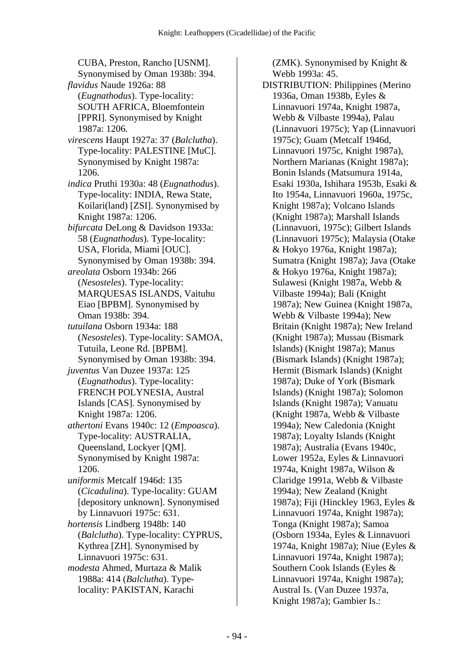CUBA, Preston, Rancho [USNM]. Synonymised by Oman 1938b: 394.  *flavidus* Naude 1926a: 88 (*Eugnathodus*). Type-locality: SOUTH AFRICA, Bloemfontein [PPRI]. Synonymised by Knight 1987a: 1206.  *virescens* Haupt 1927a: 37 (*Balclutha*). Type-locality: PALESTINE [MuC]. Synonymised by Knight 1987a: 1206.  *indica* Pruthi 1930a: 48 (*Eugnathodus*). Type-locality: INDIA, Rewa State, Koilari(land) [ZSI]. Synonymised by Knight 1987a: 1206.  *bifurcata* DeLong & Davidson 1933a: 58 (*Eugnathodus*). Type-locality: USA, Florida, Miami [OUC]. Synonymised by Oman 1938b: 394.  *areolata* Osborn 1934b: 266 (*Nesosteles*). Type-locality: MARQUESAS ISLANDS, Vaituhu Eiao [BPBM]. Synonymised by Oman 1938b: 394.  *tutuilana* Osborn 1934a: 188 (*Nesosteles*). Type-locality: SAMOA, Tutuila, Leone Rd. [BPBM]. Synonymised by Oman 1938b: 394.  *juventus* Van Duzee 1937a: 125 (*Eugnathodus*). Type-locality: FRENCH POLYNESIA, Austral Islands [CAS]. Synonymised by Knight 1987a: 1206.  *athertoni* Evans 1940c: 12 (*Empoasca*). Type-locality: AUSTRALIA, Queensland, Lockyer [QM]. Synonymised by Knight 1987a: 1206.  *uniformis* Metcalf 1946d: 135 (*Cicadulina*). Type-locality: GUAM [depository unknown]. Synonymised by Linnavuori 1975c: 631.  *hortensis* Lindberg 1948b: 140 (*Balclutha*). Type-locality: CYPRUS, Kythrea [ZH]. Synonymised by Linnavuori 1975c: 631.  *modesta* Ahmed, Murtaza & Malik 1988a: 414 (*Balclutha*). Typelocality: PAKISTAN, Karachi

(ZMK). Synonymised by Knight & Webb 1993a: 45.

 DISTRIBUTION: Philippines (Merino 1936a, Oman 1938b, Eyles & Linnavuori 1974a, Knight 1987a, Webb & Vilbaste 1994a), Palau (Linnavuori 1975c); Yap (Linnavuori 1975c); Guam (Metcalf 1946d, Linnavuori 1975c, Knight 1987a), Northern Marianas (Knight 1987a); Bonin Islands (Matsumura 1914a, Esaki 1930a, Ishihara 1953b, Esaki & Ito 1954a, Linnavuori 1960a, 1975c, Knight 1987a); Volcano Islands (Knight 1987a); Marshall Islands (Linnavuori, 1975c); Gilbert Islands (Linnavuori 1975c); Malaysia (Otake & Hokyo 1976a, Knight 1987a); Sumatra (Knight 1987a); Java (Otake & Hokyo 1976a, Knight 1987a); Sulawesi (Knight 1987a, Webb & Vilbaste 1994a); Bali (Knight 1987a); New Guinea (Knight 1987a, Webb & Vilbaste 1994a); New Britain (Knight 1987a); New Ireland (Knight 1987a); Mussau (Bismark Islands) (Knight 1987a); Manus (Bismark Islands) (Knight 1987a); Hermit (Bismark Islands) (Knight 1987a); Duke of York (Bismark Islands) (Knight 1987a); Solomon Islands (Knight 1987a); Vanuatu (Knight 1987a, Webb & Vilbaste 1994a); New Caledonia (Knight 1987a); Loyalty Islands (Knight 1987a); Australia (Evans 1940c, Lower 1952a, Eyles & Linnavuori 1974a, Knight 1987a, Wilson & Claridge 1991a, Webb & Vilbaste 1994a); New Zealand (Knight 1987a); Fiji (Hinckley 1963, Eyles & Linnavuori 1974a, Knight 1987a); Tonga (Knight 1987a); Samoa (Osborn 1934a, Eyles & Linnavuori 1974a, Knight 1987a); Niue (Eyles & Linnavuori 1974a, Knight 1987a); Southern Cook Islands (Eyles & Linnavuori 1974a, Knight 1987a); Austral Is. (Van Duzee 1937a, Knight 1987a); Gambier Is.: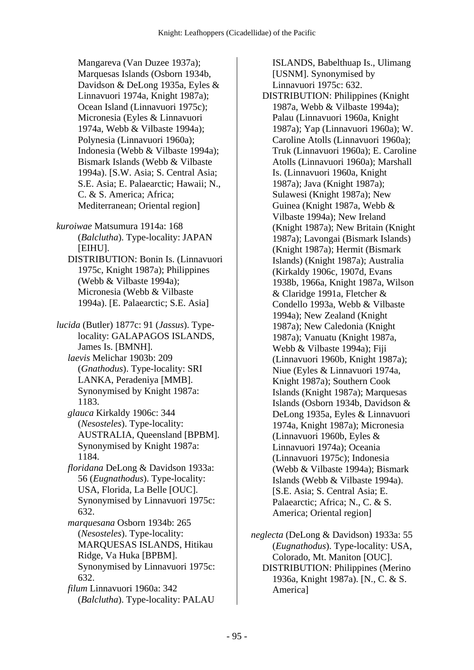Mangareva (Van Duzee 1937a); Marquesas Islands (Osborn 1934b, Davidson & DeLong 1935a, Eyles & Linnavuori 1974a, Knight 1987a); Ocean Island (Linnavuori 1975c); Micronesia (Eyles & Linnavuori 1974a, Webb & Vilbaste 1994a); Polynesia (Linnavuori 1960a); Indonesia (Webb & Vilbaste 1994a); Bismark Islands (Webb & Vilbaste 1994a). [S.W. Asia; S. Central Asia; S.E. Asia; E. Palaearctic; Hawaii; N., C. & S. America; Africa; Mediterranean; Oriental region]

*kuroiwae* Matsumura 1914a: 168 (*Balclutha*). Type-locality: JAPAN [EIHU].

 DISTRIBUTION: Bonin Is. (Linnavuori 1975c, Knight 1987a); Philippines (Webb & Vilbaste 1994a); Micronesia (Webb & Vilbaste 1994a). [E. Palaearctic; S.E. Asia]

*lucida* (Butler) 1877c: 91 (*Jassus*). Typelocality: GALAPAGOS ISLANDS, James Is. [BMNH].  *laevis* Melichar 1903b: 209 (*Gnathodus*). Type-locality: SRI LANKA, Peradeniya [MMB]. Synonymised by Knight 1987a: 1183.  *glauca* Kirkaldy 1906c: 344 (*Nesosteles*). Type-locality:

AUSTRALIA, Queensland [BPBM]. Synonymised by Knight 1987a: 1184.

 *floridana* DeLong & Davidson 1933a: 56 (*Eugnathodus*). Type-locality: USA, Florida, La Belle [OUC]. Synonymised by Linnavuori 1975c: 632.

 *marquesana* Osborn 1934b: 265 (*Nesosteles*). Type-locality: MARQUESAS ISLANDS, Hitikau Ridge, Va Huka [BPBM]. Synonymised by Linnavuori 1975c: 632.

 *filum* Linnavuori 1960a: 342 (*Balclutha*). Type-locality: PALAU

ISLANDS, Babelthuap Is., Ulimang [USNM]. Synonymised by Linnavuori 1975c: 632. DISTRIBUTION: Philippines (Knight 1987a, Webb & Vilbaste 1994a); Palau (Linnavuori 1960a, Knight 1987a); Yap (Linnavuori 1960a); W. Caroline Atolls (Linnavuori 1960a); Truk (Linnavuori 1960a); E. Caroline Atolls (Linnavuori 1960a); Marshall Is. (Linnavuori 1960a, Knight 1987a); Java (Knight 1987a); Sulawesi (Knight 1987a); New Guinea (Knight 1987a, Webb & Vilbaste 1994a); New Ireland (Knight 1987a); New Britain (Knight 1987a); Lavongai (Bismark Islands) (Knight 1987a); Hermit (Bismark Islands) (Knight 1987a); Australia (Kirkaldy 1906c, 1907d, Evans 1938b, 1966a, Knight 1987a, Wilson & Claridge 1991a, Fletcher & Condello 1993a, Webb & Vilbaste 1994a); New Zealand (Knight 1987a); New Caledonia (Knight 1987a); Vanuatu (Knight 1987a, Webb & Vilbaste 1994a); Fiji (Linnavuori 1960b, Knight 1987a); Niue (Eyles & Linnavuori 1974a, Knight 1987a); Southern Cook Islands (Knight 1987a); Marquesas Islands (Osborn 1934b, Davidson & DeLong 1935a, Eyles & Linnavuori 1974a, Knight 1987a); Micronesia (Linnavuori 1960b, Eyles & Linnavuori 1974a); Oceania (Linnavuori 1975c); Indonesia (Webb & Vilbaste 1994a); Bismark Islands (Webb & Vilbaste 1994a). [S.E. Asia; S. Central Asia; E. Palaearctic; Africa; N., C. & S. America; Oriental region]

*neglecta* (DeLong & Davidson) 1933a: 55 (*Eugnathodus*). Type-locality: USA, Colorado, Mt. Maniton [OUC]. DISTRIBUTION: Philippines (Merino 1936a, Knight 1987a). [N., C. & S. America]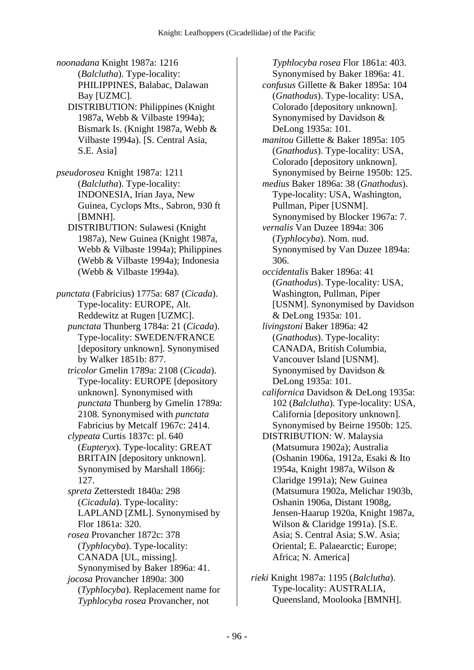*noonadana* Knight 1987a: 1216 (*Balclutha*). Type-locality: PHILIPPINES, Balabac, Dalawan Bay [UZMC]. DISTRIBUTION: Philippines (Knight 1987a, Webb & Vilbaste 1994a); Bismark Is. (Knight 1987a, Webb & Vilbaste 1994a). [S. Central Asia, S.E. Asia] *pseudorosea* Knight 1987a: 1211 (*Balclutha*). Type-locality: INDONESIA, Irian Jaya, New Guinea, Cyclops Mts., Sabron, 930 ft [BMNH]. DISTRIBUTION: Sulawesi (Knight 1987a), New Guinea (Knight 1987a, Webb & Vilbaste 1994a); Philippines (Webb & Vilbaste 1994a); Indonesia (Webb & Vilbaste 1994a). *punctata* (Fabricius) 1775a: 687 (*Cicada*). Type-locality: EUROPE, Alt. Reddewitz at Rugen [UZMC].  *punctata* Thunberg 1784a: 21 (*Cicada*). Type-locality: SWEDEN/FRANCE [depository unknown]. Synonymised by Walker 1851b: 877.  *tricolor* Gmelin 1789a: 2108 (*Cicada*). Type-locality: EUROPE [depository unknown]. Synonymised with *punctata* Thunberg by Gmelin 1789a: 2108. Synonymised with *punctata* Fabricius by Metcalf 1967c: 2414.  *clypeata* Curtis 1837c: pl. 640 (*Eupteryx*). Type-locality: GREAT BRITAIN [depository unknown]. Synonymised by Marshall 1866j: 127.  *spreta* Zetterstedt 1840a: 298 (*Cicadula*). Type-locality: LAPLAND [ZML]. Synonymised by Flor 1861a: 320.  *rosea* Provancher 1872c: 378 (*Typhlocyba*). Type-locality: CANADA [UL, missing]. Synonymised by Baker 1896a: 41.  *jocosa* Provancher 1890a: 300 (*Typhlocyba*). Replacement name for *Typhlocyba rosea* Provancher, not

*Typhlocyba rosea* Flor 1861a: 403. Synonymised by Baker 1896a: 41.  *confusus* Gillette & Baker 1895a: 104 (*Gnathodus*). Type-locality: USA, Colorado [depository unknown]. Synonymised by Davidson & DeLong 1935a: 101.  *manitou* Gillette & Baker 1895a: 105 (*Gnathodus*). Type-locality: USA, Colorado [depository unknown]. Synonymised by Beirne 1950b: 125.  *medius* Baker 1896a: 38 (*Gnathodus*). Type-locality: USA, Washington, Pullman, Piper [USNM]. Synonymised by Blocker 1967a: 7.  *vernalis* Van Duzee 1894a: 306 (*Typhlocyba*). Nom. nud. Synonymised by Van Duzee 1894a: 306.  *occidentalis* Baker 1896a: 41 (*Gnathodus*). Type-locality: USA, Washington, Pullman, Piper [USNM]. Synonymised by Davidson & DeLong 1935a: 101.  *livingstoni* Baker 1896a: 42 (*Gnathodus*). Type-locality: CANADA, British Columbia, Vancouver Island [USNM]. Synonymised by Davidson & DeLong 1935a: 101.  *californica* Davidson & DeLong 1935a: 102 (*Balclutha*). Type-locality: USA, California [depository unknown]. Synonymised by Beirne 1950b: 125. DISTRIBUTION: W. Malaysia (Matsumura 1902a); Australia (Oshanin 1906a, 1912a, Esaki & Ito 1954a, Knight 1987a, Wilson & Claridge 1991a); New Guinea (Matsumura 1902a, Melichar 1903b, Oshanin 1906a, Distant 1908g, Jensen-Haarup 1920a, Knight 1987a, Wilson & Claridge 1991a). [S.E. Asia; S. Central Asia; S.W. Asia; Oriental; E. Palaearctic; Europe; Africa; N. America]

*rieki* Knight 1987a: 1195 (*Balclutha*). Type-locality: AUSTRALIA, Queensland, Moolooka [BMNH].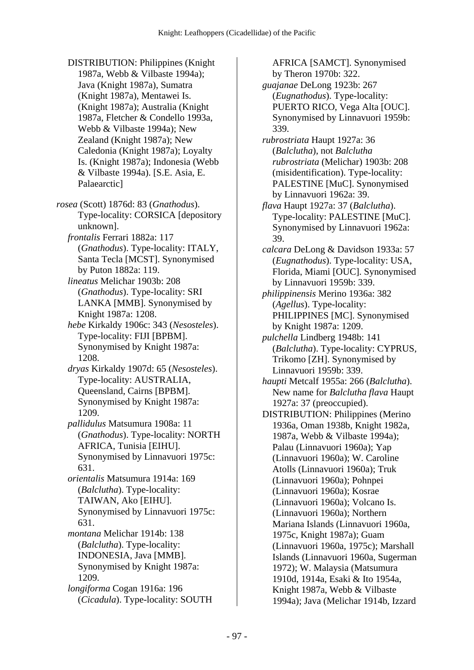DISTRIBUTION: Philippines (Knight 1987a, Webb & Vilbaste 1994a); Java (Knight 1987a), Sumatra (Knight 1987a), Mentawei Is. (Knight 1987a); Australia (Knight 1987a, Fletcher & Condello 1993a, Webb & Vilbaste 1994a); New Zealand (Knight 1987a); New Caledonia (Knight 1987a); Loyalty Is. (Knight 1987a); Indonesia (Webb & Vilbaste 1994a). [S.E. Asia, E. Palaearctic]

*rosea* (Scott) 1876d: 83 (*Gnathodus*). Type-locality: CORSICA [depository unknown].

 *frontalis* Ferrari 1882a: 117 (*Gnathodus*). Type-locality: ITALY, Santa Tecla [MCST]. Synonymised by Puton 1882a: 119.

 *lineatus* Melichar 1903b: 208 (*Gnathodus*). Type-locality: SRI LANKA [MMB]. Synonymised by Knight 1987a: 1208.

 *hebe* Kirkaldy 1906c: 343 (*Nesosteles*). Type-locality: FIJI [BPBM]. Synonymised by Knight 1987a: 1208.

- *dryas* Kirkaldy 1907d: 65 (*Nesosteles*). Type-locality: AUSTRALIA, Queensland, Cairns [BPBM]. Synonymised by Knight 1987a: 1209.
- *pallidulus* Matsumura 1908a: 11 (*Gnathodus*). Type-locality: NORTH AFRICA, Tunisia [EIHU]. Synonymised by Linnavuori 1975c: 631.

 *orientalis* Matsumura 1914a: 169 (*Balclutha*). Type-locality: TAIWAN, Ako [EIHU]. Synonymised by Linnavuori 1975c: 631.  *montana* Melichar 1914b: 138

(*Balclutha*). Type-locality: INDONESIA, Java [MMB]. Synonymised by Knight 1987a: 1209.

 *longiforma* Cogan 1916a: 196 (*Cicadula*). Type-locality: SOUTH AFRICA [SAMCT]. Synonymised by Theron 1970b: 322.

 *guajanae* DeLong 1923b: 267 (*Eugnathodus*). Type-locality: PUERTO RICO, Vega Alta [OUC]. Synonymised by Linnavuori 1959b: 339.

 *rubrostriata* Haupt 1927a: 36 (*Balclutha*), not *Balclutha rubrostriata* (Melichar) 1903b: 208 (misidentification). Type-locality: PALESTINE [MuC]. Synonymised by Linnavuori 1962a: 39.

 *flava* Haupt 1927a: 37 (*Balclutha*). Type-locality: PALESTINE [MuC]. Synonymised by Linnavuori 1962a: 39.

 *calcara* DeLong & Davidson 1933a: 57 (*Eugnathodus*). Type-locality: USA, Florida, Miami [OUC]. Synonymised by Linnavuori 1959b: 339.

 *philippinensis* Merino 1936a: 382 (*Agellus*). Type-locality: PHILIPPINES [MC]. Synonymised by Knight 1987a: 1209.

 *pulchella* Lindberg 1948b: 141 (*Balclutha*). Type-locality: CYPRUS, Trikomo [ZH]. Synonymised by Linnavuori 1959b: 339.

 *haupti* Metcalf 1955a: 266 (*Balclutha*). New name for *Balclutha flava* Haupt 1927a: 37 (preoccupied).

 DISTRIBUTION: Philippines (Merino 1936a, Oman 1938b, Knight 1982a, 1987a, Webb & Vilbaste 1994a); Palau (Linnavuori 1960a); Yap (Linnavuori 1960a); W. Caroline Atolls (Linnavuori 1960a); Truk (Linnavuori 1960a); Pohnpei (Linnavuori 1960a); Kosrae (Linnavuori 1960a); Volcano Is. (Linnavuori 1960a); Northern Mariana Islands (Linnavuori 1960a, 1975c, Knight 1987a); Guam (Linnavuori 1960a, 1975c); Marshall Islands (Linnavuori 1960a, Sugerman 1972); W. Malaysia (Matsumura 1910d, 1914a, Esaki & Ito 1954a, Knight 1987a, Webb & Vilbaste 1994a); Java (Melichar 1914b, Izzard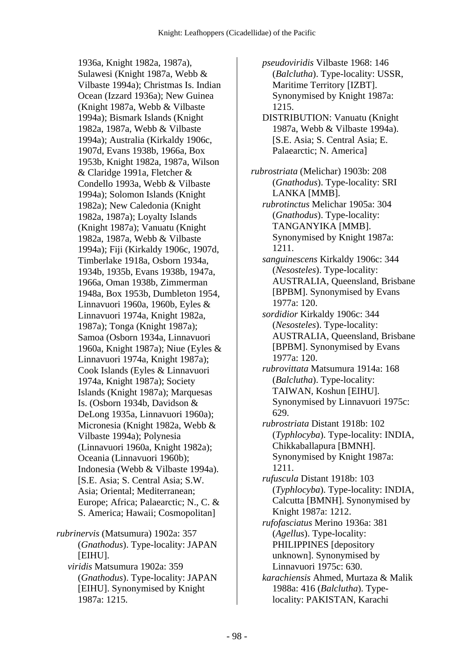1936a, Knight 1982a, 1987a), Sulawesi (Knight 1987a, Webb & Vilbaste 1994a); Christmas Is. Indian Ocean (Izzard 1936a); New Guinea (Knight 1987a, Webb & Vilbaste 1994a); Bismark Islands (Knight 1982a, 1987a, Webb & Vilbaste 1994a); Australia (Kirkaldy 1906c, 1907d, Evans 1938b, 1966a, Box 1953b, Knight 1982a, 1987a, Wilson & Claridge 1991a, Fletcher & Condello 1993a, Webb & Vilbaste 1994a); Solomon Islands (Knight 1982a); New Caledonia (Knight 1982a, 1987a); Loyalty Islands (Knight 1987a); Vanuatu (Knight 1982a, 1987a, Webb & Vilbaste 1994a); Fiji (Kirkaldy 1906c, 1907d, Timberlake 1918a, Osborn 1934a, 1934b, 1935b, Evans 1938b, 1947a, 1966a, Oman 1938b, Zimmerman 1948a, Box 1953b, Dumbleton 1954, Linnavuori 1960a, 1960b, Eyles & Linnavuori 1974a, Knight 1982a, 1987a); Tonga (Knight 1987a); Samoa (Osborn 1934a, Linnavuori 1960a, Knight 1987a); Niue (Eyles & Linnavuori 1974a, Knight 1987a); Cook Islands (Eyles & Linnavuori 1974a, Knight 1987a); Society Islands (Knight 1987a); Marquesas Is. (Osborn 1934b, Davidson & DeLong 1935a, Linnavuori 1960a); Micronesia (Knight 1982a, Webb & Vilbaste 1994a); Polynesia (Linnavuori 1960a, Knight 1982a); Oceania (Linnavuori 1960b); Indonesia (Webb & Vilbaste 1994a). [S.E. Asia; S. Central Asia; S.W. Asia; Oriental; Mediterranean; Europe; Africa; Palaearctic; N., C. & S. America; Hawaii; Cosmopolitan] *rubrinervis* (Matsumura) 1902a: 357 (*Gnathodus*). Type-locality: JAPAN [EIHU].

 *viridis* Matsumura 1902a: 359 (*Gnathodus*). Type-locality: JAPAN [EIHU]. Synonymised by Knight 1987a: 1215.

 *pseudoviridis* Vilbaste 1968: 146 (*Balclutha*). Type-locality: USSR, Maritime Territory [IZBT]. Synonymised by Knight 1987a: 1215. DISTRIBUTION: Vanuatu (Knight 1987a, Webb & Vilbaste 1994a). [S.E. Asia; S. Central Asia; E. Palaearctic; N. America] *rubrostriata* (Melichar) 1903b: 208 (*Gnathodus*). Type-locality: SRI LANKA [MMB].  *rubrotinctus* Melichar 1905a: 304 (*Gnathodus*). Type-locality: TANGANYIKA [MMB]. Synonymised by Knight 1987a: 1211.  *sanguinescens* Kirkaldy 1906c: 344 (*Nesosteles*). Type-locality: AUSTRALIA, Queensland, Brisbane [BPBM]. Synonymised by Evans 1977a: 120.  *sordidior* Kirkaldy 1906c: 344 (*Nesosteles*). Type-locality: AUSTRALIA, Queensland, Brisbane [BPBM]. Synonymised by Evans 1977a: 120.  *rubrovittata* Matsumura 1914a: 168 (*Balclutha*). Type-locality: TAIWAN, Koshun [EIHU]. Synonymised by Linnavuori 1975c: 629.  *rubrostriata* Distant 1918b: 102 (*Typhlocyba*). Type-locality: INDIA, Chikkaballapura [BMNH]. Synonymised by Knight 1987a: 1211.  *rufuscula* Distant 1918b: 103 (*Typhlocyba*). Type-locality: INDIA, Calcutta [BMNH]. Synonymised by Knight 1987a: 1212.  *rufofasciatus* Merino 1936a: 381 (*Agellus*). Type-locality: PHILIPPINES [depository unknown]. Synonymised by Linnavuori 1975c: 630.  *karachiensis* Ahmed, Murtaza & Malik 1988a: 416 (*Balclutha*). Typelocality: PAKISTAN, Karachi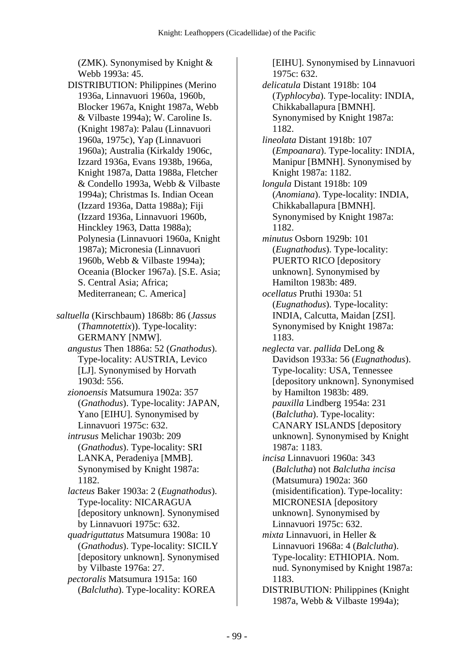(ZMK). Synonymised by Knight & Webb 1993a: 45.

 DISTRIBUTION: Philippines (Merino 1936a, Linnavuori 1960a, 1960b, Blocker 1967a, Knight 1987a, Webb & Vilbaste 1994a); W. Caroline Is. (Knight 1987a): Palau (Linnavuori 1960a, 1975c), Yap (Linnavuori 1960a); Australia (Kirkaldy 1906c, Izzard 1936a, Evans 1938b, 1966a, Knight 1987a, Datta 1988a, Fletcher & Condello 1993a, Webb & Vilbaste 1994a); Christmas Is. Indian Ocean (Izzard 1936a, Datta 1988a); Fiji (Izzard 1936a, Linnavuori 1960b, Hinckley 1963, Datta 1988a); Polynesia (Linnavuori 1960a, Knight 1987a); Micronesia (Linnavuori 1960b, Webb & Vilbaste 1994a); Oceania (Blocker 1967a). [S.E. Asia; S. Central Asia; Africa; Mediterranean; C. America]

*saltuella* (Kirschbaum) 1868b: 86 (*Jassus* (*Thamnotettix*)). Type-locality: GERMANY [NMW].

 *angustus* Then 1886a: 52 (*Gnathodus*). Type-locality: AUSTRIA, Levico [LJ]. Synonymised by Horvath 1903d: 556.

 *zionoensis* Matsumura 1902a: 357 (*Gnathodus*). Type-locality: JAPAN, Yano [EIHU]. Synonymised by Linnavuori 1975c: 632.

 *intrusus* Melichar 1903b: 209 (*Gnathodus*). Type-locality: SRI LANKA, Peradeniya [MMB]. Synonymised by Knight 1987a: 1182.

 *lacteus* Baker 1903a: 2 (*Eugnathodus*). Type-locality: NICARAGUA [depository unknown]. Synonymised by Linnavuori 1975c: 632.

 *quadriguttatus* Matsumura 1908a: 10 (*Gnathodus*). Type-locality: SICILY [depository unknown]. Synonymised by Vilbaste 1976a: 27.

 *pectoralis* Matsumura 1915a: 160 (*Balclutha*). Type-locality: KOREA

[EIHU]. Synonymised by Linnavuori 1975c: 632.  *delicatula* Distant 1918b: 104 (*Typhlocyba*). Type-locality: INDIA, Chikkaballapura [BMNH]. Synonymised by Knight 1987a: 1182.  *lineolata* Distant 1918b: 107 (*Empoanara*). Type-locality: INDIA, Manipur [BMNH]. Synonymised by Knight 1987a: 1182.  *longula* Distant 1918b: 109 (*Anomiana*). Type-locality: INDIA, Chikkaballapura [BMNH]. Synonymised by Knight 1987a: 1182.  *minutus* Osborn 1929b: 101 (*Eugnathodus*). Type-locality: PUERTO RICO [depository unknown]. Synonymised by Hamilton 1983b: 489.  *ocellatus* Pruthi 1930a: 51 (*Eugnathodus*). Type-locality: INDIA, Calcutta, Maidan [ZSI]. Synonymised by Knight 1987a: 1183.  *neglecta* var. *pallida* DeLong & Davidson 1933a: 56 (*Eugnathodus*). Type-locality: USA, Tennessee [depository unknown]. Synonymised by Hamilton 1983b: 489.  *pauxilla* Lindberg 1954a: 231 (*Balclutha*). Type-locality: CANARY ISLANDS [depository unknown]. Synonymised by Knight 1987a: 1183.  *incisa* Linnavuori 1960a: 343 (*Balclutha*) not *Balclutha incisa* (Matsumura) 1902a: 360 (misidentification). Type-locality: MICRONESIA [depository unknown]. Synonymised by Linnavuori 1975c: 632.  *mixta* Linnavuori, in Heller & Linnavuori 1968a: 4 (*Balclutha*). Type-locality: ETHIOPIA. Nom. nud. Synonymised by Knight 1987a: 1183. DISTRIBUTION: Philippines (Knight 1987a, Webb & Vilbaste 1994a);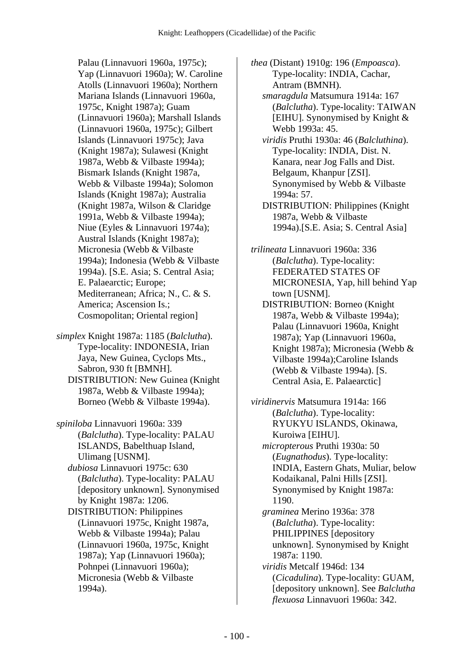Palau (Linnavuori 1960a, 1975c); Yap (Linnavuori 1960a); W. Caroline Atolls (Linnavuori 1960a); Northern Mariana Islands (Linnavuori 1960a, 1975c, Knight 1987a); Guam (Linnavuori 1960a); Marshall Islands (Linnavuori 1960a, 1975c); Gilbert Islands (Linnavuori 1975c); Java (Knight 1987a); Sulawesi (Knight 1987a, Webb & Vilbaste 1994a); Bismark Islands (Knight 1987a, Webb & Vilbaste 1994a); Solomon Islands (Knight 1987a); Australia (Knight 1987a, Wilson & Claridge 1991a, Webb & Vilbaste 1994a); Niue (Eyles & Linnavuori 1974a); Austral Islands (Knight 1987a); Micronesia (Webb & Vilbaste 1994a); Indonesia (Webb & Vilbaste 1994a). [S.E. Asia; S. Central Asia; E. Palaearctic; Europe; Mediterranean; Africa; N., C. & S. America; Ascension Is.; Cosmopolitan; Oriental region]

*simplex* Knight 1987a: 1185 (*Balclutha*). Type-locality: INDONESIA, Irian Jaya, New Guinea, Cyclops Mts., Sabron, 930 ft [BMNH]. DISTRIBUTION: New Guinea (Knight 1987a, Webb & Vilbaste 1994a); Borneo (Webb & Vilbaste 1994a).

*spiniloba* Linnavuori 1960a: 339 (*Balclutha*). Type-locality: PALAU ISLANDS, Babelthuap Island, Ulimang [USNM].

 *dubiosa* Linnavuori 1975c: 630 (*Balclutha*). Type-locality: PALAU [depository unknown]. Synonymised by Knight 1987a: 1206.

 DISTRIBUTION: Philippines (Linnavuori 1975c, Knight 1987a, Webb & Vilbaste 1994a); Palau (Linnavuori 1960a, 1975c, Knight 1987a); Yap (Linnavuori 1960a); Pohnpei (Linnavuori 1960a); Micronesia (Webb & Vilbaste 1994a).

*thea* (Distant) 1910g: 196 (*Empoasca*). Type-locality: INDIA, Cachar, Antram (BMNH).

 *smaragdula* Matsumura 1914a: 167 (*Balclutha*). Type-locality: TAIWAN [EIHU]. Synonymised by Knight  $\&$ Webb 1993a: 45.

 *viridis* Pruthi 1930a: 46 (*Balcluthina*). Type-locality: INDIA, Dist. N. Kanara, near Jog Falls and Dist. Belgaum, Khanpur [ZSI]. Synonymised by Webb & Vilbaste 1994a: 57. DISTRIBUTION: Philippines (Knight

1987a, Webb & Vilbaste 1994a).[S.E. Asia; S. Central Asia]

*trilineata* Linnavuori 1960a: 336 (*Balclutha*). Type-locality: FEDERATED STATES OF MICRONESIA, Yap, hill behind Yap town [USNM].

 DISTRIBUTION: Borneo (Knight 1987a, Webb & Vilbaste 1994a); Palau (Linnavuori 1960a, Knight 1987a); Yap (Linnavuori 1960a, Knight 1987a); Micronesia (Webb & Vilbaste 1994a);Caroline Islands (Webb & Vilbaste 1994a). [S. Central Asia, E. Palaearctic]

*viridinervis* Matsumura 1914a: 166 (*Balclutha*). Type-locality: RYUKYU ISLANDS, Okinawa, Kuroiwa [EIHU].  *micropterous* Pruthi 1930a: 50 (*Eugnathodus*). Type-locality: INDIA, Eastern Ghats, Muliar, below Kodaikanal, Palni Hills [ZSI]. Synonymised by Knight 1987a: 1190.  *graminea* Merino 1936a: 378 (*Balclutha*). Type-locality: PHILIPPINES [depository unknown]. Synonymised by Knight 1987a: 1190.  *viridis* Metcalf 1946d: 134 (*Cicadulina*). Type-locality: GUAM, [depository unknown]. See *Balclutha flexuosa* Linnavuori 1960a: 342.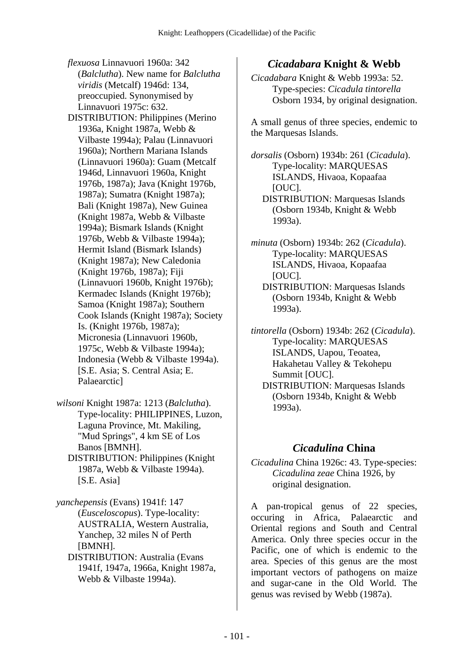- *flexuosa* Linnavuori 1960a: 342 (*Balclutha*). New name for *Balclutha viridis* (Metcalf) 1946d: 134, preoccupied. Synonymised by Linnavuori 1975c: 632.
- DISTRIBUTION: Philippines (Merino 1936a, Knight 1987a, Webb & Vilbaste 1994a); Palau (Linnavuori 1960a); Northern Mariana Islands (Linnavuori 1960a): Guam (Metcalf 1946d, Linnavuori 1960a, Knight 1976b, 1987a); Java (Knight 1976b, 1987a); Sumatra (Knight 1987a); Bali (Knight 1987a), New Guinea (Knight 1987a, Webb & Vilbaste 1994a); Bismark Islands (Knight 1976b, Webb & Vilbaste 1994a); Hermit Island (Bismark Islands) (Knight 1987a); New Caledonia (Knight 1976b, 1987a); Fiji (Linnavuori 1960b, Knight 1976b); Kermadec Islands (Knight 1976b); Samoa (Knight 1987a); Southern Cook Islands (Knight 1987a); Society Is. (Knight 1976b, 1987a); Micronesia (Linnavuori 1960b, 1975c, Webb & Vilbaste 1994a); Indonesia (Webb & Vilbaste 1994a). [S.E. Asia; S. Central Asia; E. Palaearctic]
- *wilsoni* Knight 1987a: 1213 (*Balclutha*). Type-locality: PHILIPPINES, Luzon, Laguna Province, Mt. Makiling, "Mud Springs", 4 km SE of Los Banos [BMNH].
	- DISTRIBUTION: Philippines (Knight 1987a, Webb & Vilbaste 1994a). [S.E. Asia]

*yanchepensis* (Evans) 1941f: 147 (*Eusceloscopus*). Type-locality: AUSTRALIA, Western Australia, Yanchep, 32 miles N of Perth [BMNH].

 DISTRIBUTION: Australia (Evans 1941f, 1947a, 1966a, Knight 1987a, Webb & Vilbaste 1994a).

## *Cicadabara* **Knight & Webb**

*Cicadabara* Knight & Webb 1993a: 52. Type-species: *Cicadula tintorella* Osborn 1934, by original designation.

A small genus of three species, endemic to the Marquesas Islands.

*dorsalis* (Osborn) 1934b: 261 (*Cicadula*). Type-locality: MARQUESAS ISLANDS, Hivaoa, Kopaafaa [OUC]. DISTRIBUTION: Marquesas Islands (Osborn 1934b, Knight & Webb

1993a). *minuta* (Osborn) 1934b: 262 (*Cicadula*).

Type-locality: MARQUESAS ISLANDS, Hivaoa, Kopaafaa [OUC].

 DISTRIBUTION: Marquesas Islands (Osborn 1934b, Knight & Webb 1993a).

*tintorella* (Osborn) 1934b: 262 (*Cicadula*). Type-locality: MARQUESAS ISLANDS, Uapou, Teoatea, Hakahetau Valley & Tekohepu Summit [OUC].

 DISTRIBUTION: Marquesas Islands (Osborn 1934b, Knight & Webb 1993a).

#### *Cicadulina* **China**

*Cicadulina* China 1926c: 43. Type-species: *Cicadulina zeae* China 1926, by original designation.

A pan-tropical genus of 22 species, occuring in Africa, Palaearctic and Oriental regions and South and Central America. Only three species occur in the Pacific, one of which is endemic to the area. Species of this genus are the most important vectors of pathogens on maize and sugar-cane in the Old World. The genus was revised by Webb (1987a).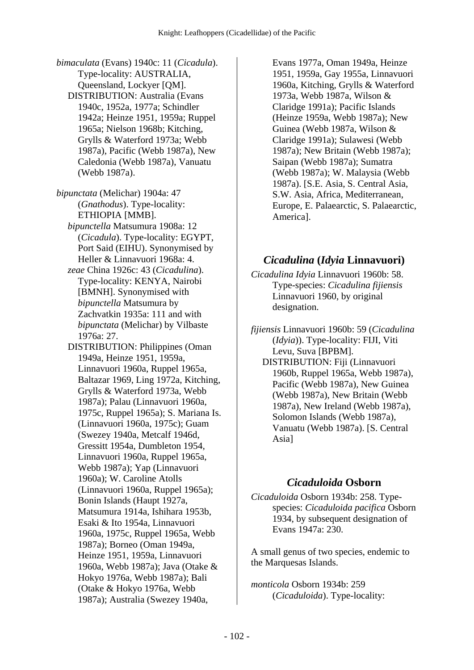*bimaculata* (Evans) 1940c: 11 (*Cicadula*). Type-locality: AUSTRALIA, Queensland, Lockyer [QM]. DISTRIBUTION: Australia (Evans 1940c, 1952a, 1977a; Schindler 1942a; Heinze 1951, 1959a; Ruppel 1965a; Nielson 1968b; Kitching, Grylls & Waterford 1973a; Webb 1987a), Pacific (Webb 1987a), New Caledonia (Webb 1987a), Vanuatu (Webb 1987a).

*bipunctata* (Melichar) 1904a: 47 (*Gnathodus*). Type-locality: ETHIOPIA [MMB].  *bipunctella* Matsumura 1908a: 12 (*Cicadula*). Type-locality: EGYPT, Port Said (EIHU). Synonymised by

- Heller & Linnavuori 1968a: 4.  *zeae* China 1926c: 43 (*Cicadulina*). Type-locality: KENYA, Nairobi [BMNH]. Synonymised with *bipunctella* Matsumura by Zachvatkin 1935a: 111 and with *bipunctata* (Melichar) by Vilbaste 1976a: 27.
- DISTRIBUTION: Philippines (Oman 1949a, Heinze 1951, 1959a, Linnavuori 1960a, Ruppel 1965a, Baltazar 1969, Ling 1972a, Kitching, Grylls & Waterford 1973a, Webb 1987a); Palau (Linnavuori 1960a, 1975c, Ruppel 1965a); S. Mariana Is. (Linnavuori 1960a, 1975c); Guam (Swezey 1940a, Metcalf 1946d, Gressitt 1954a, Dumbleton 1954, Linnavuori 1960a, Ruppel 1965a, Webb 1987a); Yap (Linnavuori 1960a); W. Caroline Atolls (Linnavuori 1960a, Ruppel 1965a); Bonin Islands (Haupt 1927a, Matsumura 1914a, Ishihara 1953b, Esaki & Ito 1954a, Linnavuori 1960a, 1975c, Ruppel 1965a, Webb 1987a); Borneo (Oman 1949a, Heinze 1951, 1959a, Linnavuori 1960a, Webb 1987a); Java (Otake & Hokyo 1976a, Webb 1987a); Bali (Otake & Hokyo 1976a, Webb 1987a); Australia (Swezey 1940a,

Evans 1977a, Oman 1949a, Heinze 1951, 1959a, Gay 1955a, Linnavuori 1960a, Kitching, Grylls & Waterford 1973a, Webb 1987a, Wilson & Claridge 1991a); Pacific Islands (Heinze 1959a, Webb 1987a); New Guinea (Webb 1987a, Wilson & Claridge 1991a); Sulawesi (Webb 1987a); New Britain (Webb 1987a); Saipan (Webb 1987a); Sumatra (Webb 1987a); W. Malaysia (Webb 1987a). [S.E. Asia, S. Central Asia, S.W. Asia, Africa, Mediterranean, Europe, E. Palaearctic, S. Palaearctic, America].

#### *Cicadulina* **(***Idyia* **Linnavuori)**

*Cicadulina Idyia* Linnavuori 1960b: 58. Type-species: *Cicadulina fijiensis* Linnavuori 1960, by original designation.

*fijiensis* Linnavuori 1960b: 59 (*Cicadulina* (*Idyia*)). Type-locality: FIJI, Viti Levu, Suva [BPBM].

 DISTRIBUTION: Fiji (Linnavuori 1960b, Ruppel 1965a, Webb 1987a), Pacific (Webb 1987a), New Guinea (Webb 1987a), New Britain (Webb 1987a), New Ireland (Webb 1987a), Solomon Islands (Webb 1987a), Vanuatu (Webb 1987a). [S. Central Asia]

#### *Cicaduloida* **Osborn**

*Cicaduloida* Osborn 1934b: 258. Typespecies: *Cicaduloida pacifica* Osborn 1934, by subsequent designation of Evans 1947a: 230.

A small genus of two species, endemic to the Marquesas Islands.

*monticola* Osborn 1934b: 259 (*Cicaduloida*). Type-locality: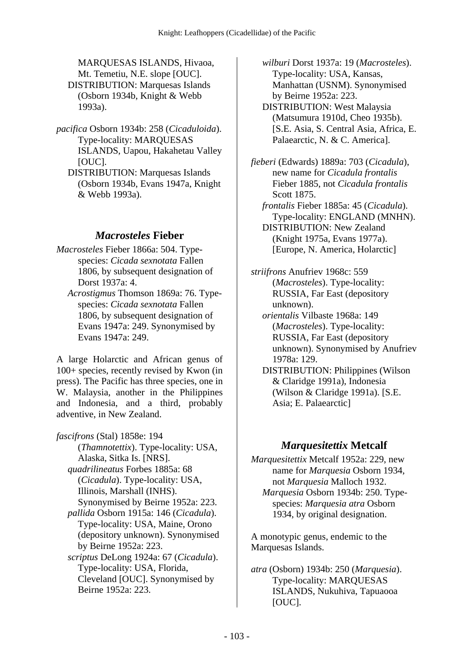MARQUESAS ISLANDS, Hivaoa, Mt. Temetiu, N.E. slope [OUC]. DISTRIBUTION: Marquesas Islands (Osborn 1934b, Knight & Webb 1993a).

- *pacifica* Osborn 1934b: 258 (*Cicaduloida*). Type-locality: MARQUESAS ISLANDS, Uapou, Hakahetau Valley [OUC].
	- DISTRIBUTION: Marquesas Islands (Osborn 1934b, Evans 1947a, Knight & Webb 1993a).

### *Macrosteles* **Fieber**

- *Macrosteles* Fieber 1866a: 504. Typespecies: *Cicada sexnotata* Fallen 1806, by subsequent designation of Dorst 1937a: 4.
	- *Acrostigmus* Thomson 1869a: 76. Typespecies: *Cicada sexnotata* Fallen 1806, by subsequent designation of Evans 1947a: 249. Synonymised by Evans 1947a: 249.

A large Holarctic and African genus of 100+ species, recently revised by Kwon (in press). The Pacific has three species, one in W. Malaysia, another in the Philippines and Indonesia, and a third, probably adventive, in New Zealand.

*fascifrons* (Stal) 1858e: 194 (*Thamnotettix*). Type-locality: USA, Alaska, Sitka Is. [NRS].  *quadrilineatus* Forbes 1885a: 68 (*Cicadula*). Type-locality: USA, Illinois, Marshall (INHS). Synonymised by Beirne 1952a: 223.  *pallida* Osborn 1915a: 146 (*Cicadula*). Type-locality: USA, Maine, Orono (depository unknown). Synonymised by Beirne 1952a: 223.  *scriptus* DeLong 1924a: 67 (*Cicadula*). Type-locality: USA, Florida, Cleveland [OUC]. Synonymised by Beirne 1952a: 223.

 *wilburi* Dorst 1937a: 19 (*Macrosteles*). Type-locality: USA, Kansas, Manhattan (USNM). Synonymised by Beirne 1952a: 223. DISTRIBUTION: West Malaysia

(Matsumura 1910d, Cheo 1935b). [S.E. Asia, S. Central Asia, Africa, E. Palaearctic, N. & C. America].

- *fieberi* (Edwards) 1889a: 703 (*Cicadula*), new name for *Cicadula frontalis* Fieber 1885, not *Cicadula frontalis* Scott 1875.
	- *frontalis* Fieber 1885a: 45 (*Cicadula*). Type-locality: ENGLAND (MNHN). DISTRIBUTION: New Zealand

(Knight 1975a, Evans 1977a). [Europe, N. America, Holarctic]

*striifrons* Anufriev 1968c: 559 (*Macrosteles*). Type-locality: RUSSIA, Far East (depository unknown).

 *orientalis* Vilbaste 1968a: 149 (*Macrosteles*). Type-locality: RUSSIA, Far East (depository unknown). Synonymised by Anufriev 1978a: 129.

 DISTRIBUTION: Philippines (Wilson & Claridge 1991a), Indonesia (Wilson & Claridge 1991a). [S.E. Asia; E. Palaearctic]

### *Marquesitettix* **Metcalf**

*Marquesitettix* Metcalf 1952a: 229, new name for *Marquesia* Osborn 1934, not *Marquesia* Malloch 1932.  *Marquesia* Osborn 1934b: 250. Typespecies: *Marquesia atra* Osborn 1934, by original designation.

A monotypic genus, endemic to the Marquesas Islands.

*atra* (Osborn) 1934b: 250 (*Marquesia*). Type-locality: MARQUESAS ISLANDS, Nukuhiva, Tapuaooa [OUC].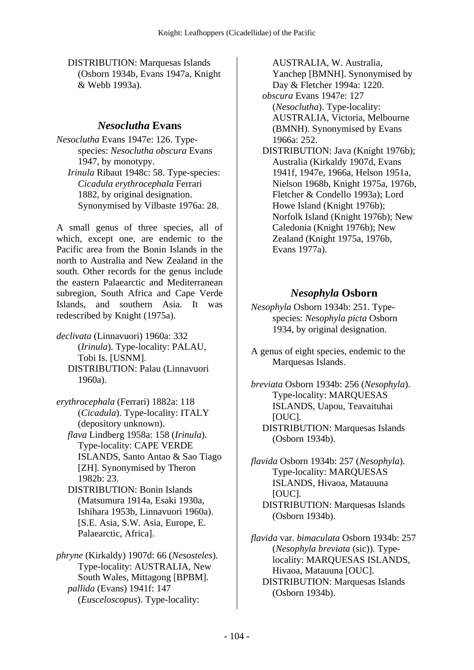DISTRIBUTION: Marquesas Islands (Osborn 1934b, Evans 1947a, Knight & Webb 1993a).

#### *Nesoclutha* **Evans**

*Nesoclutha* Evans 1947e: 126. Typespecies: *Nesoclutha obscura* Evans 1947, by monotypy.  *Irinula* Ribaut 1948c: 58. Type-species: *Cicadula erythrocephala* Ferrari 1882, by original designation. Synonymised by Vilbaste 1976a: 28.

A small genus of three species, all of which, except one, are endemic to the Pacific area from the Bonin Islands in the north to Australia and New Zealand in the south. Other records for the genus include the eastern Palaearctic and Mediterranean subregion, South Africa and Cape Verde Islands, and southern Asia. It was redescribed by Knight (1975a).

*declivata* (Linnavuori) 1960a: 332 (*Irinula*). Type-locality: PALAU, Tobi Is. [USNM]. DISTRIBUTION: Palau (Linnavuori 1960a).

*erythrocephala* (Ferrari) 1882a: 118 (*Cicadula*). Type-locality: ITALY (depository unknown).

 *flava* Lindberg 1958a: 158 (*Irinula*). Type-locality: CAPE VERDE ISLANDS, Santo Antao & Sao Tiago [ZH]. Synonymised by Theron 1982b: 23.

 DISTRIBUTION: Bonin Islands (Matsumura 1914a, Esaki 1930a, Ishihara 1953b, Linnavuori 1960a). [S.E. Asia, S.W. Asia, Europe, E. Palaearctic, Africa].

*phryne* (Kirkaldy) 1907d: 66 (*Nesosteles*). Type-locality: AUSTRALIA, New South Wales, Mittagong [BPBM].  *pallida* (Evans) 1941f: 147 (*Eusceloscopus*). Type-locality:

AUSTRALIA, W. Australia, Yanchep [BMNH]. Synonymised by Day & Fletcher 1994a: 1220.  *obscura* Evans 1947e: 127 (*Nesoclutha*). Type-locality: AUSTRALIA, Victoria, Melbourne (BMNH). Synonymised by Evans 1966a: 252. DISTRIBUTION: Java (Knight 1976b); Australia (Kirkaldy 1907d, Evans 1941f, 1947e, 1966a, Helson 1951a, Nielson 1968b, Knight 1975a, 1976b,

Fletcher & Condello 1993a); Lord Howe Island (Knight 1976b); Norfolk Island (Knight 1976b); New Caledonia (Knight 1976b); New Zealand (Knight 1975a, 1976b, Evans 1977a).

## *Nesophyla* **Osborn**

*Nesophyla* Osborn 1934b: 251. Typespecies: *Nesophyla picta* Osborn 1934, by original designation.

A genus of eight species, endemic to the Marquesas Islands.

*breviata* Osborn 1934b: 256 (*Nesophyla*). Type-locality: MARQUESAS ISLANDS, Uapou, Teavaituhai [OUC]. DISTRIBUTION: Marquesas Islands (Osborn 1934b).

*flavida* Osborn 1934b: 257 (*Nesophyla*). Type-locality: MARQUESAS ISLANDS, Hivaoa, Matauuna [OUC]. DISTRIBUTION: Marquesas Islands (Osborn 1934b).

*flavida* var. *bimaculata* Osborn 1934b: 257 (*Nesophyla breviata* (sic)). Typelocality: MARQUESAS ISLANDS, Hivaoa, Matauuna [OUC]. DISTRIBUTION: Marquesas Islands (Osborn 1934b).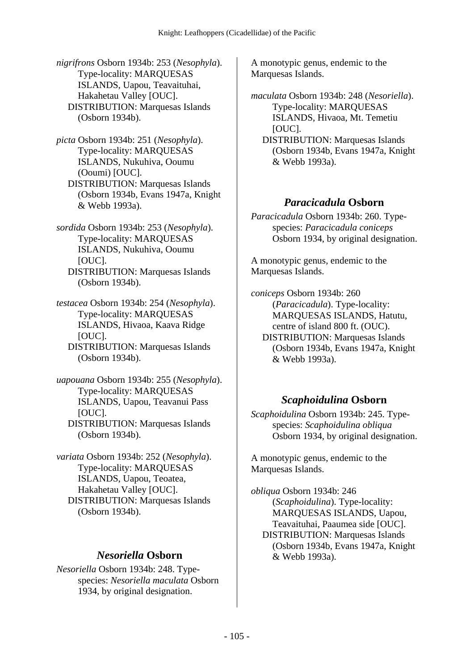*nigrifrons* Osborn 1934b: 253 (*Nesophyla*). Type-locality: MARQUESAS ISLANDS, Uapou, Teavaituhai, Hakahetau Valley [OUC]. DISTRIBUTION: Marquesas Islands (Osborn 1934b).

*picta* Osborn 1934b: 251 (*Nesophyla*). Type-locality: MARQUESAS ISLANDS, Nukuhiva, Ooumu (Ooumi) [OUC]. DISTRIBUTION: Marquesas Islands (Osborn 1934b, Evans 1947a, Knight & Webb 1993a).

*sordida* Osborn 1934b: 253 (*Nesophyla*). Type-locality: MARQUESAS ISLANDS, Nukuhiva, Ooumu [OUC]. DISTRIBUTION: Marquesas Islands (Osborn 1934b).

*testacea* Osborn 1934b: 254 (*Nesophyla*). Type-locality: MARQUESAS ISLANDS, Hivaoa, Kaava Ridge [OUC].

 DISTRIBUTION: Marquesas Islands (Osborn 1934b).

*uapouana* Osborn 1934b: 255 (*Nesophyla*). Type-locality: MARQUESAS ISLANDS, Uapou, Teavanui Pass [OUC]. DISTRIBUTION: Marquesas Islands

(Osborn 1934b).

*variata* Osborn 1934b: 252 (*Nesophyla*). Type-locality: MARQUESAS ISLANDS, Uapou, Teoatea, Hakahetau Valley [OUC]. DISTRIBUTION: Marquesas Islands (Osborn 1934b).

### *Nesoriella* **Osborn**

*Nesoriella* Osborn 1934b: 248. Typespecies: *Nesoriella maculata* Osborn 1934, by original designation.

A monotypic genus, endemic to the Marquesas Islands.

*maculata* Osborn 1934b: 248 (*Nesoriella*). Type-locality: MARQUESAS ISLANDS, Hivaoa, Mt. Temetiu [OUC].

 DISTRIBUTION: Marquesas Islands (Osborn 1934b, Evans 1947a, Knight & Webb 1993a).

### *Paracicadula* **Osborn**

*Paracicadula* Osborn 1934b: 260. Typespecies: *Paracicadula coniceps* Osborn 1934, by original designation.

A monotypic genus, endemic to the Marquesas Islands.

*coniceps* Osborn 1934b: 260 (*Paracicadula*). Type-locality: MARQUESAS ISLANDS, Hatutu, centre of island 800 ft. (OUC). DISTRIBUTION: Marquesas Islands (Osborn 1934b, Evans 1947a, Knight & Webb 1993a).

### *Scaphoidulina* **Osborn**

*Scaphoidulina* Osborn 1934b: 245. Typespecies: *Scaphoidulina obliqua* Osborn 1934, by original designation.

A monotypic genus, endemic to the Marquesas Islands.

*obliqua* Osborn 1934b: 246 (*Scaphoidulina*). Type-locality: MARQUESAS ISLANDS, Uapou, Teavaituhai, Paaumea side [OUC]. DISTRIBUTION: Marquesas Islands (Osborn 1934b, Evans 1947a, Knight & Webb 1993a).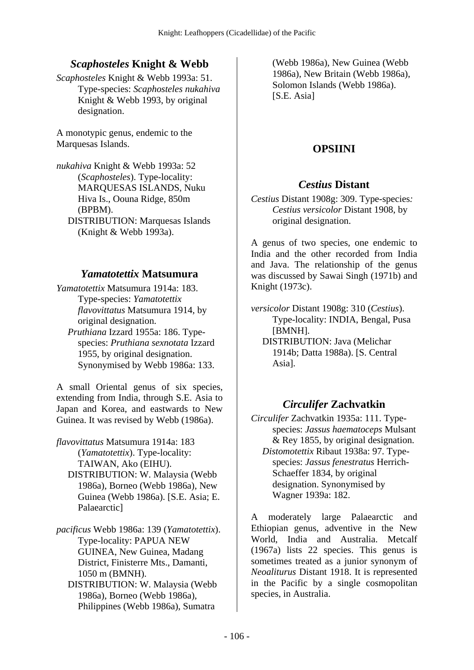### *Scaphosteles* **Knight & Webb**

*Scaphosteles* Knight & Webb 1993a: 51. Type-species: *Scaphosteles nukahiva* Knight & Webb 1993, by original designation.

A monotypic genus, endemic to the Marquesas Islands.

*nukahiva* Knight & Webb 1993a: 52 (*Scaphosteles*). Type-locality: MARQUESAS ISLANDS, Nuku Hiva Is., Oouna Ridge, 850m (BPBM). DISTRIBUTION: Marquesas Islands (Knight & Webb 1993a).

#### *Yamatotettix* **Matsumura**

*Yamatotettix* Matsumura 1914a: 183. Type-species: *Yamatotettix flavovittatus* Matsumura 1914, by original designation.

 *Pruthiana* Izzard 1955a: 186. Typespecies: *Pruthiana sexnotata* Izzard 1955, by original designation. Synonymised by Webb 1986a: 133.

A small Oriental genus of six species, extending from India, through S.E. Asia to Japan and Korea, and eastwards to New Guinea. It was revised by Webb (1986a).

*flavovittatus* Matsumura 1914a: 183 (*Yamatotettix*). Type-locality: TAIWAN, Ako (EIHU). DISTRIBUTION: W. Malaysia (Webb

1986a), Borneo (Webb 1986a), New Guinea (Webb 1986a). [S.E. Asia; E. Palaearctic]

*pacificus* Webb 1986a: 139 (*Yamatotettix*). Type-locality: PAPUA NEW GUINEA, New Guinea, Madang District, Finisterre Mts., Damanti, 1050 m (BMNH).

 DISTRIBUTION: W. Malaysia (Webb 1986a), Borneo (Webb 1986a), Philippines (Webb 1986a), Sumatra

(Webb 1986a), New Guinea (Webb 1986a), New Britain (Webb 1986a), Solomon Islands (Webb 1986a). [S.E. Asia]

## **OPSIINI**

#### *Cestius* **Distant**

*Cestius* Distant 1908g: 309. Type-species*: Cestius versicolor* Distant 1908, by original designation.

A genus of two species, one endemic to India and the other recorded from India and Java. The relationship of the genus was discussed by Sawai Singh (1971b) and Knight (1973c).

*versicolor* Distant 1908g: 310 (*Cestius*). Type-locality: INDIA, Bengal, Pusa [BMNH].

 DISTRIBUTION: Java (Melichar 1914b; Datta 1988a). [S. Central Asia].

### *Circulifer* **Zachvatkin**

*Circulifer* Zachvatkin 1935a: 111. Typespecies: *Jassus haematoceps* Mulsant & Rey 1855, by original designation.  *Distomotettix* Ribaut 1938a: 97. Typespecies: *Jassus fenestratus* Herrich-Schaeffer 1834, by original designation. Synonymised by Wagner 1939a: 182.

A moderately large Palaearctic and Ethiopian genus, adventive in the New World, India and Australia. Metcalf (1967a) lists 22 species. This genus is sometimes treated as a junior synonym of *Neoaliturus* Distant 1918. It is represented in the Pacific by a single cosmopolitan species, in Australia.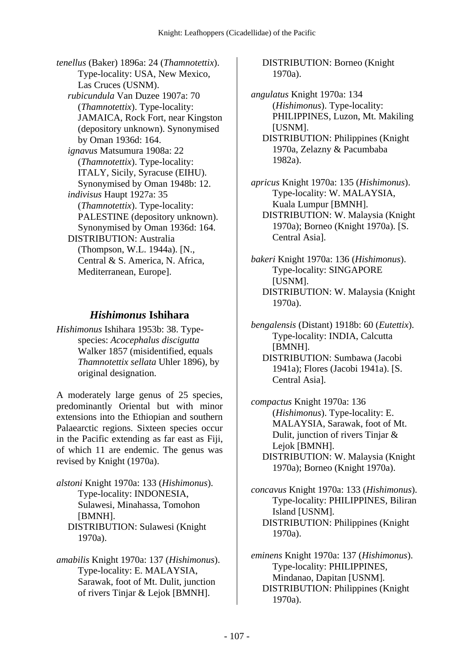*tenellus* (Baker) 1896a: 24 (*Thamnotettix*). Type-locality: USA, New Mexico, Las Cruces (USNM).  *rubicundula* Van Duzee 1907a: 70 (*Thamnotettix*). Type-locality: JAMAICA, Rock Fort, near Kingston (depository unknown). Synonymised by Oman 1936d: 164.  *ignavus* Matsumura 1908a: 22 (*Thamnotettix*). Type-locality: ITALY, Sicily, Syracuse (EIHU). Synonymised by Oman 1948b: 12.  *indivisus* Haupt 1927a: 35 (*Thamnotettix*). Type-locality: PALESTINE (depository unknown). Synonymised by Oman 1936d: 164. DISTRIBUTION: Australia (Thompson, W.L. 1944a). [N., Central & S. America, N. Africa, Mediterranean, Europe].

#### *Hishimonus* **Ishihara**

*Hishimonus* Ishihara 1953b: 38. Typespecies: *Acocephalus discigutta* Walker 1857 (misidentified, equals *Thamnotettix sellata* Uhler 1896), by original designation.

A moderately large genus of 25 species, predominantly Oriental but with minor extensions into the Ethiopian and southern Palaearctic regions. Sixteen species occur in the Pacific extending as far east as Fiji, of which 11 are endemic. The genus was revised by Knight (1970a).

*alstoni* Knight 1970a: 133 (*Hishimonus*). Type-locality: INDONESIA, Sulawesi, Minahassa, Tomohon [BMNH]. DISTRIBUTION: Sulawesi (Knight 1970a).

*amabilis* Knight 1970a: 137 (*Hishimonus*). Type-locality: E. MALAYSIA, Sarawak, foot of Mt. Dulit, junction of rivers Tinjar & Lejok [BMNH].

 DISTRIBUTION: Borneo (Knight 1970a).

*angulatus* Knight 1970a: 134 (*Hishimonus*). Type-locality: PHILIPPINES, Luzon, Mt. Makiling [USNM]. DISTRIBUTION: Philippines (Knight 1970a, Zelazny & Pacumbaba 1982a).

*apricus* Knight 1970a: 135 (*Hishimonus*). Type-locality: W. MALAYSIA, Kuala Lumpur [BMNH]. DISTRIBUTION: W. Malaysia (Knight 1970a); Borneo (Knight 1970a). [S. Central Asia].

*bakeri* Knight 1970a: 136 (*Hishimonus*). Type-locality: SINGAPORE [USNM]. DISTRIBUTION: W. Malaysia (Knight 1970a).

*bengalensis* (Distant) 1918b: 60 (*Eutettix*). Type-locality: INDIA, Calcutta [BMNH]. DISTRIBUTION: Sumbawa (Jacobi 1941a); Flores (Jacobi 1941a). [S. Central Asia].

*compactus* Knight 1970a: 136 (*Hishimonus*). Type-locality: E. MALAYSIA, Sarawak, foot of Mt. Dulit, junction of rivers Tinjar & Lejok [BMNH]. DISTRIBUTION: W. Malaysia (Knight 1970a); Borneo (Knight 1970a).

*concavus* Knight 1970a: 133 (*Hishimonus*). Type-locality: PHILIPPINES, Biliran Island [USNM]. DISTRIBUTION: Philippines (Knight 1970a).

*eminens* Knight 1970a: 137 (*Hishimonus*). Type-locality: PHILIPPINES, Mindanao, Dapitan [USNM]. DISTRIBUTION: Philippines (Knight 1970a).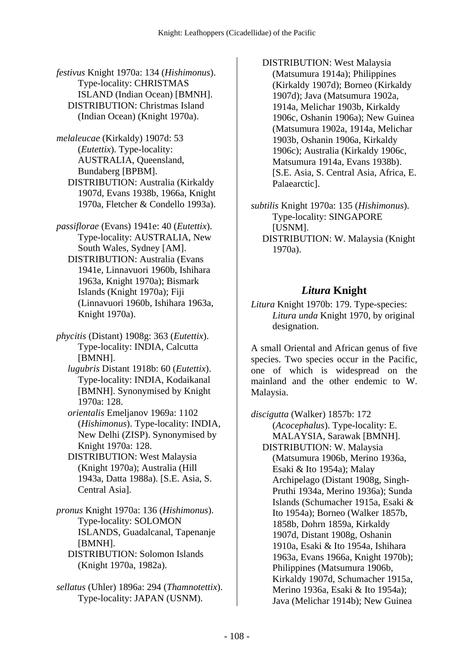*festivus* Knight 1970a: 134 (*Hishimonus*). Type-locality: CHRISTMAS ISLAND (Indian Ocean) [BMNH]. DISTRIBUTION: Christmas Island (Indian Ocean) (Knight 1970a).

*melaleucae* (Kirkaldy) 1907d: 53 (*Eutettix*). Type-locality: AUSTRALIA, Queensland, Bundaberg [BPBM]. DISTRIBUTION: Australia (Kirkaldy 1907d, Evans 1938b, 1966a, Knight 1970a, Fletcher & Condello 1993a).

*passiflorae* (Evans) 1941e: 40 (*Eutettix*). Type-locality: AUSTRALIA, New South Wales, Sydney [AM]. DISTRIBUTION: Australia (Evans 1941e, Linnavuori 1960b, Ishihara 1963a, Knight 1970a); Bismark Islands (Knight 1970a); Fiji (Linnavuori 1960b, Ishihara 1963a, Knight 1970a).

*phycitis* (Distant) 1908g: 363 (*Eutettix*). Type-locality: INDIA, Calcutta [BMNH].

 *lugubris* Distant 1918b: 60 (*Eutettix*). Type-locality: INDIA, Kodaikanal [BMNH]. Synonymised by Knight 1970a: 128.

 *orientalis* Emeljanov 1969a: 1102 (*Hishimonus*). Type-locality: INDIA, New Delhi (ZISP). Synonymised by Knight 1970a: 128.

 DISTRIBUTION: West Malaysia (Knight 1970a); Australia (Hill 1943a, Datta 1988a). [S.E. Asia, S. Central Asia].

*pronus* Knight 1970a: 136 (*Hishimonus*). Type-locality: SOLOMON ISLANDS, Guadalcanal, Tapenanje [BMNH]. DISTRIBUTION: Solomon Islands

(Knight 1970a, 1982a).

*sellatus* (Uhler) 1896a: 294 (*Thamnotettix*). Type-locality: JAPAN (USNM).

 DISTRIBUTION: West Malaysia (Matsumura 1914a); Philippines (Kirkaldy 1907d); Borneo (Kirkaldy 1907d); Java (Matsumura 1902a, 1914a, Melichar 1903b, Kirkaldy 1906c, Oshanin 1906a); New Guinea (Matsumura 1902a, 1914a, Melichar 1903b, Oshanin 1906a, Kirkaldy 1906c); Australia (Kirkaldy 1906c, Matsumura 1914a, Evans 1938b). [S.E. Asia, S. Central Asia, Africa, E. Palaearctic].

*subtilis* Knight 1970a: 135 (*Hishimonus*). Type-locality: SINGAPORE [USNM]. DISTRIBUTION: W. Malaysia (Knight 1970a).

# *Litura* **Knight**

*Litura* Knight 1970b: 179. Type-species: *Litura unda* Knight 1970, by original designation.

A small Oriental and African genus of five species. Two species occur in the Pacific, one of which is widespread on the mainland and the other endemic to W. Malaysia.

*discigutta* (Walker) 1857b: 172 (*Acocephalus*). Type-locality: E. MALAYSIA, Sarawak [BMNH]. DISTRIBUTION: W. Malaysia (Matsumura 1906b, Merino 1936a, Esaki & Ito 1954a); Malay Archipelago (Distant 1908g, Singh-Pruthi 1934a, Merino 1936a); Sunda Islands (Schumacher 1915a, Esaki & Ito 1954a); Borneo (Walker 1857b, 1858b, Dohrn 1859a, Kirkaldy 1907d, Distant 1908g, Oshanin 1910a, Esaki & Ito 1954a, Ishihara 1963a, Evans 1966a, Knight 1970b); Philippines (Matsumura 1906b, Kirkaldy 1907d, Schumacher 1915a, Merino 1936a, Esaki & Ito 1954a); Java (Melichar 1914b); New Guinea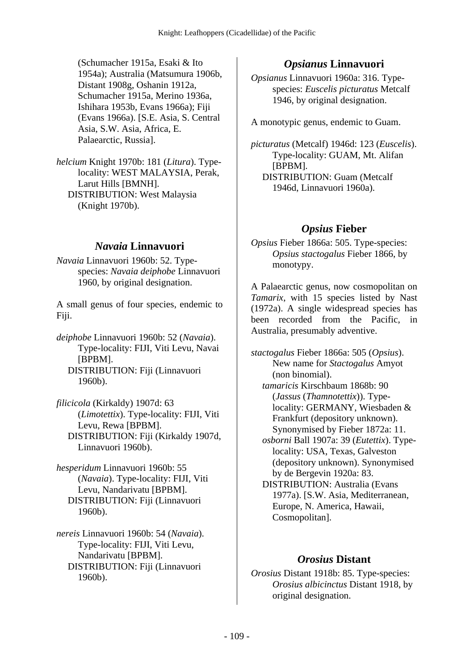(Schumacher 1915a, Esaki & Ito 1954a); Australia (Matsumura 1906b, Distant 1908g, Oshanin 1912a, Schumacher 1915a, Merino 1936a, Ishihara 1953b, Evans 1966a); Fiji (Evans 1966a). [S.E. Asia, S. Central Asia, S.W. Asia, Africa, E. Palaearctic, Russia].

*helcium* Knight 1970b: 181 (*Litura*). Typelocality: WEST MALAYSIA, Perak, Larut Hills [BMNH]. DISTRIBUTION: West Malaysia (Knight 1970b).

### *Navaia* **Linnavuori**

*Navaia* Linnavuori 1960b: 52. Typespecies: *Navaia deiphobe* Linnavuori 1960, by original designation.

A small genus of four species, endemic to Fiji.

*deiphobe* Linnavuori 1960b: 52 (*Navaia*). Type-locality: FIJI, Viti Levu, Navai [BPBM]. DISTRIBUTION: Fiji (Linnavuori 1960b).

*filicicola* (Kirkaldy) 1907d: 63 (*Limotettix*). Type-locality: FIJI, Viti Levu, Rewa [BPBM]. DISTRIBUTION: Fiji (Kirkaldy 1907d, Linnavuori 1960b).

*hesperidum* Linnavuori 1960b: 55 (*Navaia*). Type-locality: FIJI, Viti Levu, Nandarivatu [BPBM]. DISTRIBUTION: Fiji (Linnavuori 1960b).

*nereis* Linnavuori 1960b: 54 (*Navaia*). Type-locality: FIJI, Viti Levu, Nandarivatu [BPBM]. DISTRIBUTION: Fiji (Linnavuori 1960b).

## *Opsianus* **Linnavuori**

*Opsianus* Linnavuori 1960a: 316. Typespecies: *Euscelis picturatus* Metcalf 1946, by original designation.

A monotypic genus, endemic to Guam.

*picturatus* (Metcalf) 1946d: 123 (*Euscelis*). Type-locality: GUAM, Mt. Alifan [BPBM]. DISTRIBUTION: Guam (Metcalf 1946d, Linnavuori 1960a).

## *Opsius* **Fieber**

*Opsius* Fieber 1866a: 505. Type-species: *Opsius stactogalus* Fieber 1866, by monotypy.

A Palaearctic genus, now cosmopolitan on *Tamarix*, with 15 species listed by Nast (1972a). A single widespread species has been recorded from the Pacific, in Australia, presumably adventive.

*stactogalus* Fieber 1866a: 505 (*Opsius*). New name for *Stactogalus* Amyot (non binomial).  *tamaricis* Kirschbaum 1868b: 90

(*Jassus* (*Thamnotettix*)). Typelocality: GERMANY, Wiesbaden & Frankfurt (depository unknown). Synonymised by Fieber 1872a: 11.

 *osborni* Ball 1907a: 39 (*Eutettix*). Typelocality: USA, Texas, Galveston (depository unknown). Synonymised by de Bergevin 1920a: 83.

 DISTRIBUTION: Australia (Evans 1977a). [S.W. Asia, Mediterranean, Europe, N. America, Hawaii, Cosmopolitan].

### *Orosius* **Distant**

*Orosius* Distant 1918b: 85. Type-species: *Orosius albicinctus* Distant 1918, by original designation.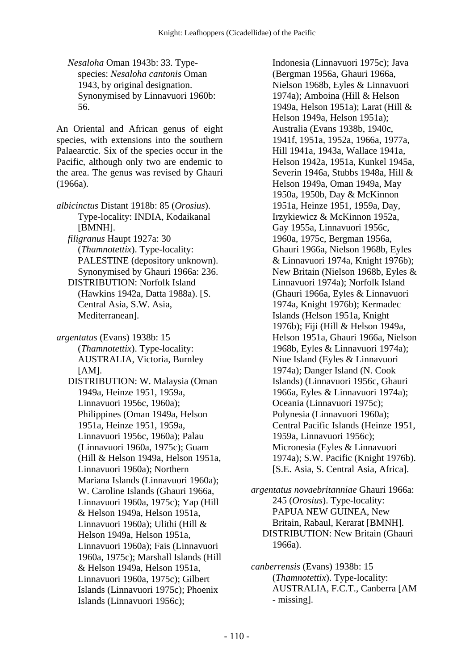*Nesaloha* Oman 1943b: 33. Typespecies: *Nesaloha cantonis* Oman 1943, by original designation. Synonymised by Linnavuori 1960b: 56.

An Oriental and African genus of eight species, with extensions into the southern Palaearctic. Six of the species occur in the Pacific, although only two are endemic to the area. The genus was revised by Ghauri (1966a).

*albicinctus* Distant 1918b: 85 (*Orosius*). Type-locality: INDIA, Kodaikanal [BMNH].

 *filigranus* Haupt 1927a: 30 (*Thamnotettix*). Type-locality: PALESTINE (depository unknown). Synonymised by Ghauri 1966a: 236.

 DISTRIBUTION: Norfolk Island (Hawkins 1942a, Datta 1988a). [S. Central Asia, S.W. Asia, Mediterranean].

*argentatus* (Evans) 1938b: 15 (*Thamnotettix*). Type-locality: AUSTRALIA, Victoria, Burnley  $[AM]$ .

 DISTRIBUTION: W. Malaysia (Oman 1949a, Heinze 1951, 1959a, Linnavuori 1956c, 1960a); Philippines (Oman 1949a, Helson 1951a, Heinze 1951, 1959a, Linnavuori 1956c, 1960a); Palau (Linnavuori 1960a, 1975c); Guam (Hill & Helson 1949a, Helson 1951a, Linnavuori 1960a); Northern Mariana Islands (Linnavuori 1960a); W. Caroline Islands (Ghauri 1966a, Linnavuori 1960a, 1975c); Yap (Hill & Helson 1949a, Helson 1951a, Linnavuori 1960a); Ulithi (Hill & Helson 1949a, Helson 1951a, Linnavuori 1960a); Fais (Linnavuori 1960a, 1975c); Marshall Islands (Hill & Helson 1949a, Helson 1951a, Linnavuori 1960a, 1975c); Gilbert Islands (Linnavuori 1975c); Phoenix Islands (Linnavuori 1956c);

Indonesia (Linnavuori 1975c); Java (Bergman 1956a, Ghauri 1966a, Nielson 1968b, Eyles & Linnavuori 1974a); Amboina (Hill & Helson 1949a, Helson 1951a); Larat (Hill & Helson 1949a, Helson 1951a); Australia (Evans 1938b, 1940c, 1941f, 1951a, 1952a, 1966a, 1977a, Hill 1941a, 1943a, Wallace 1941a, Helson 1942a, 1951a, Kunkel 1945a, Severin 1946a, Stubbs 1948a, Hill & Helson 1949a, Oman 1949a, May 1950a, 1950b, Day & McKinnon 1951a, Heinze 1951, 1959a, Day, Irzykiewicz & McKinnon 1952a, Gay 1955a, Linnavuori 1956c, 1960a, 1975c, Bergman 1956a, Ghauri 1966a, Nielson 1968b, Eyles & Linnavuori 1974a, Knight 1976b); New Britain (Nielson 1968b, Eyles & Linnavuori 1974a); Norfolk Island (Ghauri 1966a, Eyles & Linnavuori 1974a, Knight 1976b); Kermadec Islands (Helson 1951a, Knight 1976b); Fiji (Hill & Helson 1949a, Helson 1951a, Ghauri 1966a, Nielson 1968b, Eyles & Linnavuori 1974a); Niue Island (Eyles & Linnavuori 1974a); Danger Island (N. Cook Islands) (Linnavuori 1956c, Ghauri 1966a, Eyles & Linnavuori 1974a); Oceania (Linnavuori 1975c); Polynesia (Linnavuori 1960a); Central Pacific Islands (Heinze 1951, 1959a, Linnavuori 1956c); Micronesia (Eyles & Linnavuori 1974a); S.W. Pacific (Knight 1976b). [S.E. Asia, S. Central Asia, Africa].

*argentatus novaebritanniae* Ghauri 1966a: 245 (*Orosius*). Type-locality: PAPUA NEW GUINEA, New Britain, Rabaul, Kerarat [BMNH]. DISTRIBUTION: New Britain (Ghauri 1966a).

*canberrensis* (Evans) 1938b: 15 (*Thamnotettix*). Type-locality: AUSTRALIA, F.C.T., Canberra [AM - missing].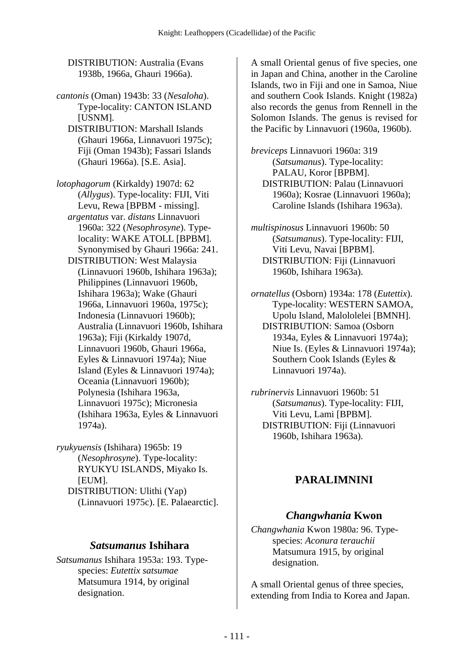DISTRIBUTION: Australia (Evans 1938b, 1966a, Ghauri 1966a).

*cantonis* (Oman) 1943b: 33 (*Nesaloha*). Type-locality: CANTON ISLAND [USNM].

 DISTRIBUTION: Marshall Islands (Ghauri 1966a, Linnavuori 1975c); Fiji (Oman 1943b); Fassari Islands (Ghauri 1966a). [S.E. Asia].

*lotophagorum* (Kirkaldy) 1907d: 62 (*Allygus*). Type-locality: FIJI, Viti Levu, Rewa [BPBM - missing].  *argentatus* var. *distans* Linnavuori 1960a: 322 (*Nesophrosyne*). Typelocality: WAKE ATOLL [BPBM]. Synonymised by Ghauri 1966a: 241. DISTRIBUTION: West Malaysia (Linnavuori 1960b, Ishihara 1963a); Philippines (Linnavuori 1960b, Ishihara 1963a); Wake (Ghauri 1966a, Linnavuori 1960a, 1975c); Indonesia (Linnavuori 1960b); Australia (Linnavuori 1960b, Ishihara 1963a); Fiji (Kirkaldy 1907d, Linnavuori 1960b, Ghauri 1966a, Eyles & Linnavuori 1974a); Niue Island (Eyles & Linnavuori 1974a); Oceania (Linnavuori 1960b); Polynesia (Ishihara 1963a, Linnavuori 1975c); Micronesia (Ishihara 1963a, Eyles & Linnavuori 1974a).

*ryukyuensis* (Ishihara) 1965b: 19 (*Nesophrosyne*). Type-locality: RYUKYU ISLANDS, Miyako Is. [EUM]. DISTRIBUTION: Ulithi (Yap) (Linnavuori 1975c). [E. Palaearctic].

### *Satsumanus* **Ishihara**

*Satsumanus* Ishihara 1953a: 193. Typespecies: *Eutettix satsumae* Matsumura 1914, by original designation.

A small Oriental genus of five species, one in Japan and China, another in the Caroline Islands, two in Fiji and one in Samoa, Niue and southern Cook Islands. Knight (1982a) also records the genus from Rennell in the Solomon Islands. The genus is revised for the Pacific by Linnavuori (1960a, 1960b).

*breviceps* Linnavuori 1960a: 319 (*Satsumanus*). Type-locality: PALAU, Koror [BPBM]. DISTRIBUTION: Palau (Linnavuori 1960a); Kosrae (Linnavuori 1960a); Caroline Islands (Ishihara 1963a).

*multispinosus* Linnavuori 1960b: 50 (*Satsumanus*). Type-locality: FIJI, Viti Levu, Navai [BPBM]. DISTRIBUTION: Fiji (Linnavuori 1960b, Ishihara 1963a).

*ornatellus* (Osborn) 1934a: 178 (*Eutettix*). Type-locality: WESTERN SAMOA, Upolu Island, Malololelei [BMNH]. DISTRIBUTION: Samoa (Osborn 1934a, Eyles & Linnavuori 1974a); Niue Is. (Eyles & Linnavuori 1974a); Southern Cook Islands (Eyles & Linnavuori 1974a).

*rubrinervis* Linnavuori 1960b: 51 (*Satsumanus*). Type-locality: FIJI, Viti Levu, Lami [BPBM]. DISTRIBUTION: Fiji (Linnavuori 1960b, Ishihara 1963a).

# **PARALIMNINI**

### *Changwhania* **Kwon**

*Changwhania* Kwon 1980a: 96. Typespecies: *Aconura terauchii* Matsumura 1915, by original designation.

A small Oriental genus of three species, extending from India to Korea and Japan.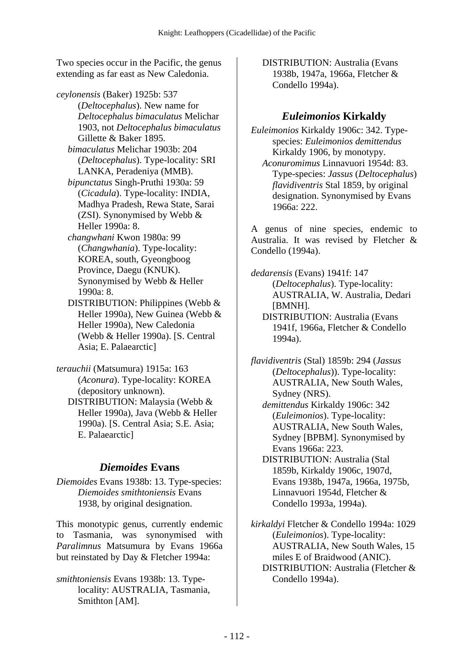Two species occur in the Pacific, the genus extending as far east as New Caledonia.

- *ceylonensis* (Baker) 1925b: 537
	- (*Deltocephalus*). New name for *Deltocephalus bimaculatus* Melichar 1903, not *Deltocephalus bimaculatus* Gillette & Baker 1895.
	- *bimaculatus* Melichar 1903b: 204 (*Deltocephalus*). Type-locality: SRI LANKA, Peradeniya (MMB).
	- *bipunctatus* Singh-Pruthi 1930a: 59 (*Cicadula*). Type-locality: INDIA, Madhya Pradesh, Rewa State, Sarai (ZSI). Synonymised by Webb & Heller 1990a: 8.
	- *changwhani* Kwon 1980a: 99 (*Changwhania*). Type-locality: KOREA, south, Gyeongboog Province, Daegu (KNUK). Synonymised by Webb & Heller 1990a: 8.
	- DISTRIBUTION: Philippines (Webb & Heller 1990a), New Guinea (Webb & Heller 1990a), New Caledonia (Webb & Heller 1990a). [S. Central Asia; E. Palaearctic]
- *terauchii* (Matsumura) 1915a: 163 (*Aconura*). Type-locality: KOREA (depository unknown).
	- DISTRIBUTION: Malaysia (Webb & Heller 1990a), Java (Webb & Heller 1990a). [S. Central Asia; S.E. Asia; E. Palaearctic]

## *Diemoides* **Evans**

*Diemoides* Evans 1938b: 13. Type-species: *Diemoides smithtoniensis* Evans 1938, by original designation.

This monotypic genus, currently endemic to Tasmania, was synonymised with *Paralimnus* Matsumura by Evans 1966a but reinstated by Day & Fletcher 1994a:

*smithtoniensis* Evans 1938b: 13. Typelocality: AUSTRALIA, Tasmania, Smithton [AM].

 DISTRIBUTION: Australia (Evans 1938b, 1947a, 1966a, Fletcher & Condello 1994a).

# *Euleimonios* **Kirkaldy**

*Euleimonios* Kirkaldy 1906c: 342. Typespecies: *Euleimonios demittendus* Kirkaldy 1906, by monotypy.

 *Aconuromimus* Linnavuori 1954d: 83. Type-species: *Jassus* (*Deltocephalus*) *flavidiventris* Stal 1859, by original designation. Synonymised by Evans 1966a: 222.

A genus of nine species, endemic to Australia. It was revised by Fletcher & Condello (1994a).

*dedarensis* (Evans) 1941f: 147 (*Deltocephalus*). Type-locality: AUSTRALIA, W. Australia, Dedari [BMNH]. DISTRIBUTION: Australia (Evans 1941f, 1966a, Fletcher & Condello

*flavidiventris* (Stal) 1859b: 294 (*Jassus* (*Deltocephalus*)). Type-locality: AUSTRALIA, New South Wales, Sydney (NRS).

1994a).

 *demittendus* Kirkaldy 1906c: 342 (*Euleimonios*). Type-locality: AUSTRALIA, New South Wales, Sydney [BPBM]. Synonymised by Evans 1966a: 223.

 DISTRIBUTION: Australia (Stal 1859b, Kirkaldy 1906c, 1907d, Evans 1938b, 1947a, 1966a, 1975b, Linnavuori 1954d, Fletcher & Condello 1993a, 1994a).

*kirkaldyi* Fletcher & Condello 1994a: 1029 (*Euleimonios*). Type-locality: AUSTRALIA, New South Wales, 15 miles E of Braidwood (ANIC). DISTRIBUTION: Australia (Fletcher & Condello 1994a).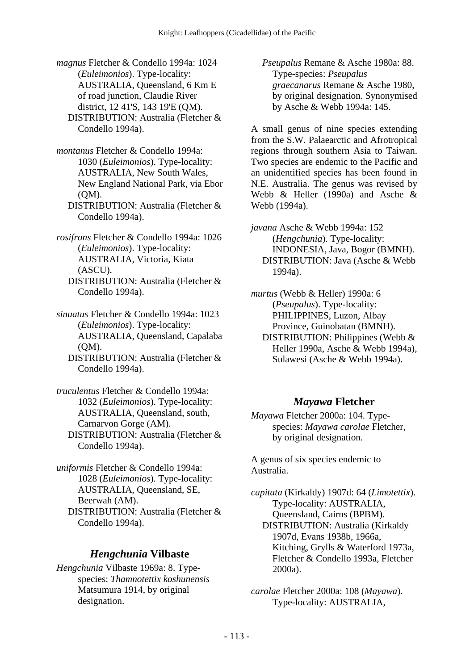*magnus* Fletcher & Condello 1994a: 1024 (*Euleimonios*). Type-locality: AUSTRALIA, Queensland, 6 Km E of road junction, Claudie River district, 12 41'S, 143 19'E (QM). DISTRIBUTION: Australia (Fletcher & Condello 1994a).

*montanus* Fletcher & Condello 1994a: 1030 (*Euleimonios*). Type-locality:

AUSTRALIA, New South Wales, New England National Park, via Ebor (QM).

 DISTRIBUTION: Australia (Fletcher & Condello 1994a).

*rosifrons* Fletcher & Condello 1994a: 1026 (*Euleimonios*). Type-locality: AUSTRALIA, Victoria, Kiata (ASCU).

 DISTRIBUTION: Australia (Fletcher & Condello 1994a).

*sinuatus* Fletcher & Condello 1994a: 1023 (*Euleimonios*). Type-locality: AUSTRALIA, Queensland, Capalaba (QM).

 DISTRIBUTION: Australia (Fletcher & Condello 1994a).

*truculentus* Fletcher & Condello 1994a: 1032 (*Euleimonios*). Type-locality: AUSTRALIA, Queensland, south, Carnarvon Gorge (AM). DISTRIBUTION: Australia (Fletcher & Condello 1994a).

*uniformis* Fletcher & Condello 1994a: 1028 (*Euleimonios*). Type-locality: AUSTRALIA, Queensland, SE, Beerwah (AM). DISTRIBUTION: Australia (Fletcher & Condello 1994a).

#### *Hengchunia* **Vilbaste**

*Hengchunia* Vilbaste 1969a: 8. Typespecies: *Thamnotettix koshunensis* Matsumura 1914, by original designation.

 *Pseupalus* Remane & Asche 1980a: 88. Type-species: *Pseupalus graecanarus* Remane & Asche 1980, by original designation. Synonymised by Asche & Webb 1994a: 145.

A small genus of nine species extending from the S.W. Palaearctic and Afrotropical regions through southern Asia to Taiwan. Two species are endemic to the Pacific and an unidentified species has been found in N.E. Australia. The genus was revised by Webb & Heller (1990a) and Asche & Webb (1994a).

*javana* Asche & Webb 1994a: 152 (*Hengchunia*). Type-locality: INDONESIA, Java, Bogor (BMNH). DISTRIBUTION: Java (Asche & Webb 1994a).

*murtus* (Webb & Heller) 1990a: 6 (*Pseupalus*). Type-locality: PHILIPPINES, Luzon, Albay Province, Guinobatan (BMNH). DISTRIBUTION: Philippines (Webb & Heller 1990a, Asche & Webb 1994a), Sulawesi (Asche & Webb 1994a).

## *Mayawa* **Fletcher**

*Mayawa* Fletcher 2000a: 104. Typespecies: *Mayawa carolae* Fletcher, by original designation.

A genus of six species endemic to Australia.

*capitata* (Kirkaldy) 1907d: 64 (*Limotettix*). Type-locality: AUSTRALIA, Queensland, Cairns (BPBM). DISTRIBUTION: Australia (Kirkaldy 1907d, Evans 1938b, 1966a, Kitching, Grylls & Waterford 1973a, Fletcher & Condello 1993a, Fletcher 2000a).

*carolae* Fletcher 2000a: 108 (*Mayawa*). Type-locality: AUSTRALIA,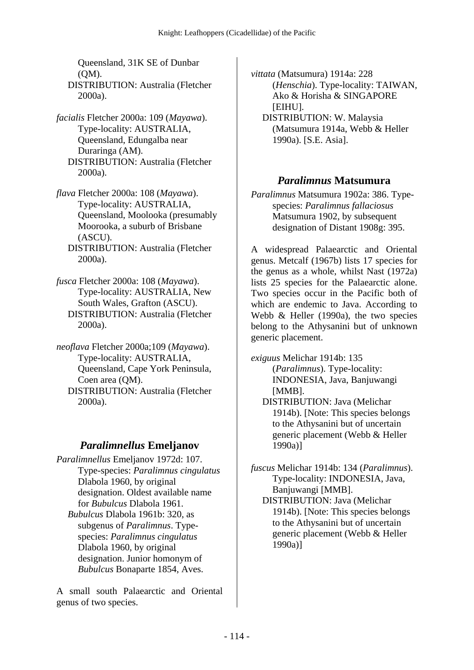Queensland, 31K SE of Dunbar (QM). DISTRIBUTION: Australia (Fletcher

*facialis* Fletcher 2000a: 109 (*Mayawa*). Type-locality: AUSTRALIA, Queensland, Edungalba near Duraringa (AM). DISTRIBUTION: Australia (Fletcher 2000a).

2000a).

- *flava* Fletcher 2000a: 108 (*Mayawa*). Type-locality: AUSTRALIA, Queensland, Moolooka (presumably Moorooka, a suburb of Brisbane (ASCU).
	- DISTRIBUTION: Australia (Fletcher 2000a).
- *fusca* Fletcher 2000a: 108 (*Mayawa*). Type-locality: AUSTRALIA, New South Wales, Grafton (ASCU). DISTRIBUTION: Australia (Fletcher 2000a).
- *neoflava* Fletcher 2000a;109 (*Mayawa*). Type-locality: AUSTRALIA, Queensland, Cape York Peninsula, Coen area (QM). DISTRIBUTION: Australia (Fletcher 2000a).

### *Paralimnellus* **Emeljanov**

*Paralimnellus* Emeljanov 1972d: 107. Type-species: *Paralimnus cingulatus* Dlabola 1960, by original designation. Oldest available name for *Bubulcus* Dlabola 1961.  *Bubulcus* Dlabola 1961b: 320, as subgenus of *Paralimnus*. Typespecies: *Paralimnus cingulatus* Dlabola 1960, by original designation. Junior homonym of *Bubulcus* Bonaparte 1854, Aves.

A small south Palaearctic and Oriental genus of two species.

*vittata* (Matsumura) 1914a: 228 (*Henschia*). Type-locality: TAIWAN, Ako & Horisha & SINGAPORE [EIHU]. DISTRIBUTION: W. Malaysia

(Matsumura 1914a, Webb & Heller 1990a). [S.E. Asia].

#### *Paralimnus* **Matsumura**

*Paralimnus* Matsumura 1902a: 386. Typespecies: *Paralimnus fallaciosus* Matsumura 1902, by subsequent designation of Distant 1908g: 395.

A widespread Palaearctic and Oriental genus. Metcalf (1967b) lists 17 species for the genus as a whole, whilst Nast (1972a) lists 25 species for the Palaearctic alone. Two species occur in the Pacific both of which are endemic to Java. According to Webb & Heller (1990a), the two species belong to the Athysanini but of unknown generic placement.

*exiguus* Melichar 1914b: 135 (*Paralimnus*). Type-locality: INDONESIA, Java, Banjuwangi [MMB]. DISTRIBUTION: Java (Melichar

1914b). [Note: This species belongs to the Athysanini but of uncertain generic placement (Webb & Heller 1990a)]

*fuscus* Melichar 1914b: 134 (*Paralimnus*). Type-locality: INDONESIA, Java, Banjuwangi [MMB].

 DISTRIBUTION: Java (Melichar 1914b). [Note: This species belongs to the Athysanini but of uncertain generic placement (Webb & Heller 1990a)]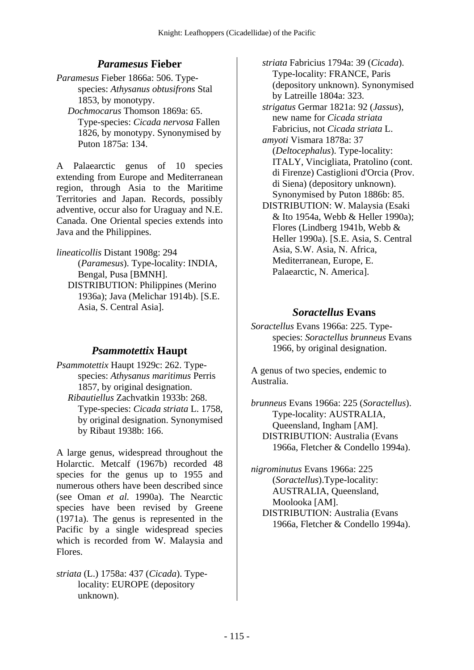### *Paramesus* **Fieber**

*Paramesus* Fieber 1866a: 506. Typespecies: *Athysanus obtusifrons* Stal 1853, by monotypy.

 *Dochmocarus* Thomson 1869a: 65. Type-species: *Cicada nervosa* Fallen 1826, by monotypy. Synonymised by Puton 1875a: 134.

A Palaearctic genus of 10 species extending from Europe and Mediterranean region, through Asia to the Maritime Territories and Japan. Records, possibly adventive, occur also for Uraguay and N.E. Canada. One Oriental species extends into Java and the Philippines.

*lineaticollis* Distant 1908g: 294 (*Paramesus*). Type-locality: INDIA,

Bengal, Pusa [BMNH]. DISTRIBUTION: Philippines (Merino 1936a); Java (Melichar 1914b). [S.E. Asia, S. Central Asia].

### *Psammotettix* **Haupt**

*Psammotettix* Haupt 1929c: 262. Typespecies: *Athysanus maritimus* Perris 1857, by original designation.  *Ribautiellus* Zachvatkin 1933b: 268. Type-species: *Cicada striata* L. 1758, by original designation. Synonymised by Ribaut 1938b: 166.

A large genus, widespread throughout the Holarctic. Metcalf (1967b) recorded 48 species for the genus up to 1955 and numerous others have been described since (see Oman *et al.* 1990a). The Nearctic species have been revised by Greene (1971a). The genus is represented in the Pacific by a single widespread species which is recorded from W. Malaysia and Flores.

*striata* (L.) 1758a: 437 (*Cicada*). Typelocality: EUROPE (depository unknown).

 *striata* Fabricius 1794a: 39 (*Cicada*). Type-locality: FRANCE, Paris (depository unknown). Synonymised by Latreille 1804a: 323.  *strigatus* Germar 1821a: 92 (*Jassus*), new name for *Cicada striata* Fabricius, not *Cicada striata* L.  *amyoti* Vismara 1878a: 37 (*Deltocephalus*). Type-locality: ITALY, Vincigliata, Pratolino (cont. di Firenze) Castiglioni d'Orcia (Prov. di Siena) (depository unknown). Synonymised by Puton 1886b: 85. DISTRIBUTION: W. Malaysia (Esaki & Ito 1954a, Webb & Heller 1990a); Flores (Lindberg 1941b, Webb & Heller 1990a). [S.E. Asia, S. Central Asia, S.W. Asia, N. Africa, Mediterranean, Europe, E. Palaearctic, N. America].

### *Soractellus* **Evans**

*Soractellus* Evans 1966a: 225. Typespecies: *Soractellus brunneus* Evans 1966, by original designation.

A genus of two species, endemic to Australia.

*brunneus* Evans 1966a: 225 (*Soractellus*). Type-locality: AUSTRALIA, Queensland, Ingham [AM]. DISTRIBUTION: Australia (Evans 1966a, Fletcher & Condello 1994a).

*nigrominutus* Evans 1966a: 225 (*Soractellus*).Type-locality: AUSTRALIA, Queensland, Moolooka [AM]. DISTRIBUTION: Australia (Evans 1966a, Fletcher & Condello 1994a).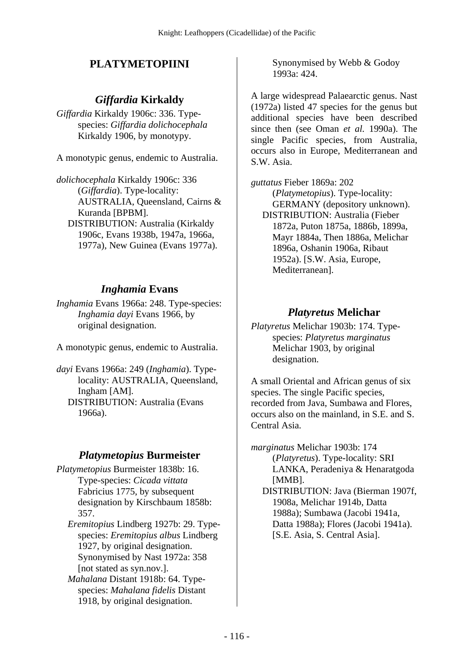# **PLATYMETOPIINI**

## *Giffardia* **Kirkaldy**

*Giffardia* Kirkaldy 1906c: 336. Typespecies: *Giffardia dolichocephala* Kirkaldy 1906, by monotypy.

A monotypic genus, endemic to Australia.

*dolichocephala* Kirkaldy 1906c: 336 (*Giffardia*). Type-locality: AUSTRALIA, Queensland, Cairns & Kuranda [BPBM]. DISTRIBUTION: Australia (Kirkaldy 1906c, Evans 1938b, 1947a, 1966a, 1977a), New Guinea (Evans 1977a).

## *Inghamia* **Evans**

*Inghamia* Evans 1966a: 248. Type-species: *Inghamia dayi* Evans 1966, by original designation.

A monotypic genus, endemic to Australia.

*dayi* Evans 1966a: 249 (*Inghamia*). Typelocality: AUSTRALIA, Queensland, Ingham [AM]. DISTRIBUTION: Australia (Evans 1966a).

### *Platymetopius* **Burmeister**

- *Platymetopius* Burmeister 1838b: 16. Type-species: *Cicada vittata*  Fabricius 1775, by subsequent designation by Kirschbaum 1858b: 357.
	- *Eremitopius* Lindberg 1927b: 29. Typespecies: *Eremitopius albus* Lindberg 1927, by original designation. Synonymised by Nast 1972a: 358 [not stated as syn.nov.].
	- *Mahalana* Distant 1918b: 64. Typespecies: *Mahalana fidelis* Distant 1918, by original designation.

Synonymised by Webb & Godoy 1993a: 424.

A large widespread Palaearctic genus. Nast (1972a) listed 47 species for the genus but additional species have been described since then (see Oman *et al.* 1990a). The single Pacific species, from Australia, occurs also in Europe, Mediterranean and S.W. Asia.

*guttatus* Fieber 1869a: 202 (*Platymetopius*). Type-locality: GERMANY (depository unknown). DISTRIBUTION: Australia (Fieber 1872a, Puton 1875a, 1886b, 1899a, Mayr 1884a, Then 1886a, Melichar 1896a, Oshanin 1906a, Ribaut 1952a). [S.W. Asia, Europe, Mediterranean].

### *Platyretus* **Melichar**

*Platyretus* Melichar 1903b: 174. Typespecies: *Platyretus marginatus* Melichar 1903, by original designation.

A small Oriental and African genus of six species. The single Pacific species, recorded from Java, Sumbawa and Flores, occurs also on the mainland, in S.E. and S. Central Asia.

*marginatus* Melichar 1903b: 174 (*Platyretus*). Type-locality: SRI LANKA, Peradeniya & Henaratgoda [MMB]. DISTRIBUTION: Java (Bierman 1907f, 1908a, Melichar 1914b, Datta 1988a); Sumbawa (Jacobi 1941a, Datta 1988a); Flores (Jacobi 1941a). [S.E. Asia, S. Central Asia].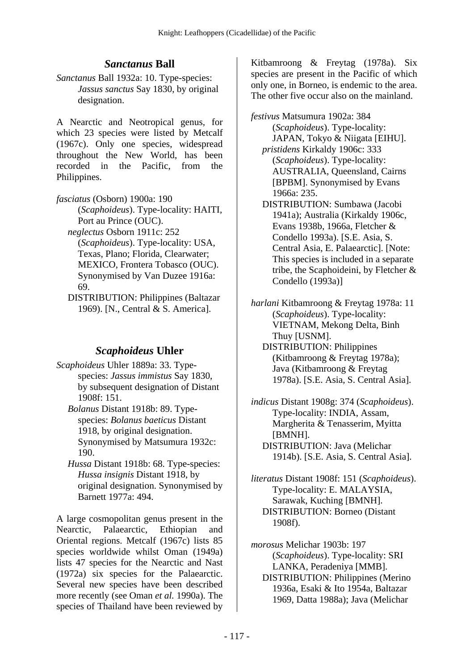## *Sanctanus* **Ball**

*Sanctanus* Ball 1932a: 10. Type-species: *Jassus sanctus* Say 1830, by original designation.

A Nearctic and Neotropical genus, for which 23 species were listed by Metcalf (1967c). Only one species, widespread throughout the New World, has been recorded in the Pacific, from the Philippines.

*fasciatus* (Osborn) 1900a: 190 (*Scaphoideus*). Type-locality: HAITI, Port au Prince (OUC).  *neglectus* Osborn 1911c: 252

(*Scaphoideus*). Type-locality: USA, Texas, Plano; Florida, Clearwater; MEXICO, Frontera Tobasco (OUC). Synonymised by Van Duzee 1916a: 69.

 DISTRIBUTION: Philippines (Baltazar 1969). [N., Central & S. America].

## *Scaphoideus* **Uhler**

- *Scaphoideus* Uhler 1889a: 33. Typespecies: *Jassus immistus* Say 1830, by subsequent designation of Distant 1908f: 151.
	- *Bolanus* Distant 1918b: 89. Typespecies: *Bolanus baeticus* Distant 1918, by original designation. Synonymised by Matsumura 1932c: 190.
	- *Hussa* Distant 1918b: 68. Type-species: *Hussa insignis* Distant 1918, by original designation. Synonymised by Barnett 1977a: 494.

A large cosmopolitan genus present in the Nearctic, Palaearctic, Ethiopian and Oriental regions. Metcalf (1967c) lists 85 species worldwide whilst Oman (1949a) lists 47 species for the Nearctic and Nast (1972a) six species for the Palaearctic. Several new species have been described more recently (see Oman *et al.* 1990a). The species of Thailand have been reviewed by

Kitbamroong & Freytag (1978a). Six species are present in the Pacific of which only one, in Borneo, is endemic to the area. The other five occur also on the mainland.

*festivus* Matsumura 1902a: 384 (*Scaphoideus*). Type-locality: JAPAN, Tokyo & Niigata [EIHU].  *pristidens* Kirkaldy 1906c: 333 (*Scaphoideus*). Type-locality: AUSTRALIA, Queensland, Cairns [BPBM]. Synonymised by Evans 1966a: 235. DISTRIBUTION: Sumbawa (Jacobi 1941a); Australia (Kirkaldy 1906c, Evans 1938b, 1966a, Fletcher & Condello 1993a). [S.E. Asia, S.

Central Asia, E. Palaearctic]. [Note: This species is included in a separate tribe, the Scaphoideini, by Fletcher & Condello (1993a)]

*harlani* Kitbamroong & Freytag 1978a: 11 (*Scaphoideus*). Type-locality: VIETNAM, Mekong Delta, Binh Thuy [USNM]. DISTRIBUTION: Philippines

(Kitbamroong & Freytag 1978a); Java (Kitbamroong & Freytag 1978a). [S.E. Asia, S. Central Asia].

*indicus* Distant 1908g: 374 (*Scaphoideus*). Type-locality: INDIA, Assam, Margherita & Tenasserim, Myitta [BMNH]. DISTRIBUTION: Java (Melichar 1914b). [S.E. Asia, S. Central Asia].

*literatus* Distant 1908f: 151 (*Scaphoideus*). Type-locality: E. MALAYSIA, Sarawak, Kuching [BMNH]. DISTRIBUTION: Borneo (Distant 1908f).

*morosus* Melichar 1903b: 197 (*Scaphoideus*). Type-locality: SRI LANKA, Peradeniya [MMB]. DISTRIBUTION: Philippines (Merino 1936a, Esaki & Ito 1954a, Baltazar 1969, Datta 1988a); Java (Melichar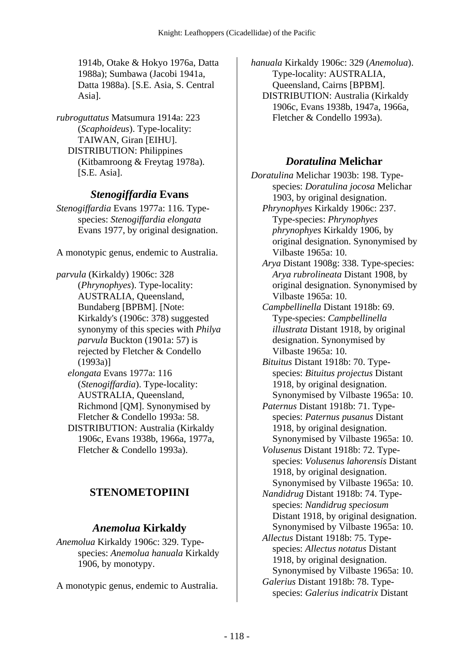1914b, Otake & Hokyo 1976a, Datta 1988a); Sumbawa (Jacobi 1941a, Datta 1988a). [S.E. Asia, S. Central Asia].

*rubroguttatus* Matsumura 1914a: 223 (*Scaphoideus*). Type-locality: TAIWAN, Giran [EIHU]. DISTRIBUTION: Philippines (Kitbamroong & Freytag 1978a). [S.E. Asia].

## *Stenogiffardia* **Evans**

*Stenogiffardia* Evans 1977a: 116. Typespecies: *Stenogiffardia elongata* Evans 1977, by original designation.

A monotypic genus, endemic to Australia.

*parvula* (Kirkaldy) 1906c: 328 (*Phrynophyes*). Type-locality: AUSTRALIA, Queensland, Bundaberg [BPBM]. [Note: Kirkaldy's (1906c: 378) suggested synonymy of this species with *Philya parvula* Buckton (1901a: 57) is rejected by Fletcher & Condello (1993a)]

 *elongata* Evans 1977a: 116 (*Stenogiffardia*). Type-locality: AUSTRALIA, Queensland, Richmond [QM]. Synonymised by Fletcher & Condello 1993a: 58.

 DISTRIBUTION: Australia (Kirkaldy 1906c, Evans 1938b, 1966a, 1977a, Fletcher & Condello 1993a).

# **STENOMETOPIINI**

## *Anemolua* **Kirkaldy**

*Anemolua* Kirkaldy 1906c: 329. Typespecies: *Anemolua hanuala* Kirkaldy 1906, by monotypy.

A monotypic genus, endemic to Australia.

*hanuala* Kirkaldy 1906c: 329 (*Anemolua*). Type-locality: AUSTRALIA, Queensland, Cairns [BPBM]. DISTRIBUTION: Australia (Kirkaldy 1906c, Evans 1938b, 1947a, 1966a, Fletcher & Condello 1993a).

## *Doratulina* **Melichar**

*Doratulina* Melichar 1903b: 198. Typespecies: *Doratulina jocosa* Melichar 1903, by original designation.  *Phrynophyes* Kirkaldy 1906c: 237.

Type-species: *Phrynophyes phrynophyes* Kirkaldy 1906, by original designation. Synonymised by Vilbaste 1965a: 10.

 *Arya* Distant 1908g: 338. Type-species: *Arya rubrolineata* Distant 1908, by original designation. Synonymised by Vilbaste 1965a: 10.

 *Campbellinella* Distant 1918b: 69. Type-species: *Campbellinella illustrata* Distant 1918, by original designation. Synonymised by Vilbaste 1965a: 10.

 *Bituitus* Distant 1918b: 70. Typespecies: *Bituitus projectus* Distant 1918, by original designation. Synonymised by Vilbaste 1965a: 10.

 *Paternus* Distant 1918b: 71. Typespecies: *Paternus pusanus* Distant 1918, by original designation. Synonymised by Vilbaste 1965a: 10.

 *Volusenus* Distant 1918b: 72. Typespecies: *Volusenus lahorensis* Distant 1918, by original designation. Synonymised by Vilbaste 1965a: 10.

 *Nandidrug* Distant 1918b: 74. Typespecies: *Nandidrug speciosum* Distant 1918, by original designation. Synonymised by Vilbaste 1965a: 10.

 *Allectus* Distant 1918b: 75. Typespecies: *Allectus notatus* Distant 1918, by original designation. Synonymised by Vilbaste 1965a: 10.  *Galerius* Distant 1918b: 78. Typespecies: *Galerius indicatrix* Distant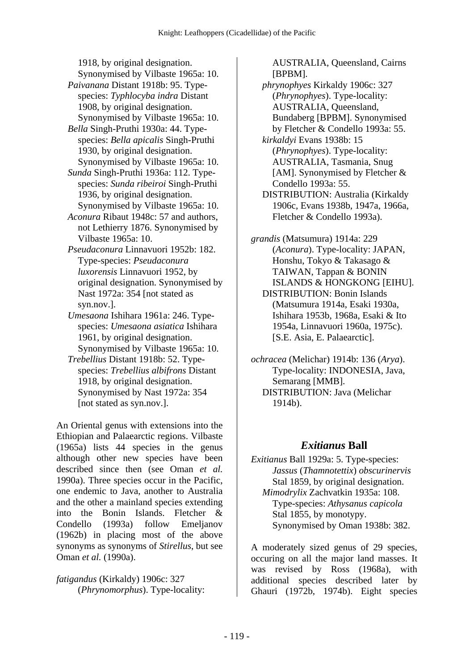1918, by original designation.

Synonymised by Vilbaste 1965a: 10.

- *Paivanana* Distant 1918b: 95. Typespecies: *Typhlocyba indra* Distant 1908, by original designation. Synonymised by Vilbaste 1965a: 10.
- *Bella* Singh-Pruthi 1930a: 44. Typespecies: *Bella apicalis* Singh-Pruthi 1930, by original designation. Synonymised by Vilbaste 1965a: 10.
- *Sunda* Singh-Pruthi 1936a: 112. Typespecies: *Sunda ribeiroi* Singh-Pruthi 1936, by original designation. Synonymised by Vilbaste 1965a: 10.
- *Aconura* Ribaut 1948c: 57 and authors, not Lethierry 1876. Synonymised by Vilbaste 1965a: 10.
- *Pseudaconura* Linnavuori 1952b: 182. Type-species: *Pseudaconura luxorensis* Linnavuori 1952, by original designation. Synonymised by Nast 1972a: 354 [not stated as syn.nov.].
- *Umesaona* Ishihara 1961a: 246. Typespecies: *Umesaona asiatica* Ishihara 1961, by original designation. Synonymised by Vilbaste 1965a: 10.
- *Trebellius* Distant 1918b: 52. Typespecies: *Trebellius albifrons* Distant 1918, by original designation. Synonymised by Nast 1972a: 354 [not stated as syn.nov.].

An Oriental genus with extensions into the Ethiopian and Palaearctic regions. Vilbaste (1965a) lists 44 species in the genus although other new species have been described since then (see Oman *et al.* 1990a). Three species occur in the Pacific, one endemic to Java, another to Australia and the other a mainland species extending into the Bonin Islands. Fletcher & Condello (1993a) follow Emeljanov (1962b) in placing most of the above synonyms as synonyms of *Stirellus*, but see Oman *et al.* (1990a).

*fatigandus* (Kirkaldy) 1906c: 327 (*Phrynomorphus*). Type-locality: AUSTRALIA, Queensland, Cairns [BPBM].

- *phrynophyes* Kirkaldy 1906c: 327 (*Phrynophyes*). Type-locality: AUSTRALIA, Queensland, Bundaberg [BPBM]. Synonymised by Fletcher & Condello 1993a: 55.
- *kirkaldyi* Evans 1938b: 15 (*Phrynophyes*). Type-locality: AUSTRALIA, Tasmania, Snug [AM]. Synonymised by Fletcher & Condello 1993a: 55.
- DISTRIBUTION: Australia (Kirkaldy 1906c, Evans 1938b, 1947a, 1966a, Fletcher & Condello 1993a).
- *grandis* (Matsumura) 1914a: 229 (*Aconura*). Type-locality: JAPAN, Honshu, Tokyo & Takasago & TAIWAN, Tappan & BONIN ISLANDS & HONGKONG [EIHU]. DISTRIBUTION: Bonin Islands (Matsumura 1914a, Esaki 1930a, Ishihara 1953b, 1968a, Esaki & Ito 1954a, Linnavuori 1960a, 1975c).

[S.E. Asia, E. Palaearctic].

*ochracea* (Melichar) 1914b: 136 (*Arya*). Type-locality: INDONESIA, Java, Semarang [MMB]. DISTRIBUTION: Java (Melichar 1914b).

## *Exitianus* **Ball**

*Exitianus* Ball 1929a: 5. Type-species: *Jassus* (*Thamnotettix*) *obscurinervis* Stal 1859, by original designation.  *Mimodrylix* Zachvatkin 1935a: 108. Type-species: *Athysanus capicola* Stal 1855, by monotypy. Synonymised by Oman 1938b: 382.

A moderately sized genus of 29 species, occuring on all the major land masses. It was revised by Ross (1968a), with additional species described later by Ghauri (1972b, 1974b). Eight species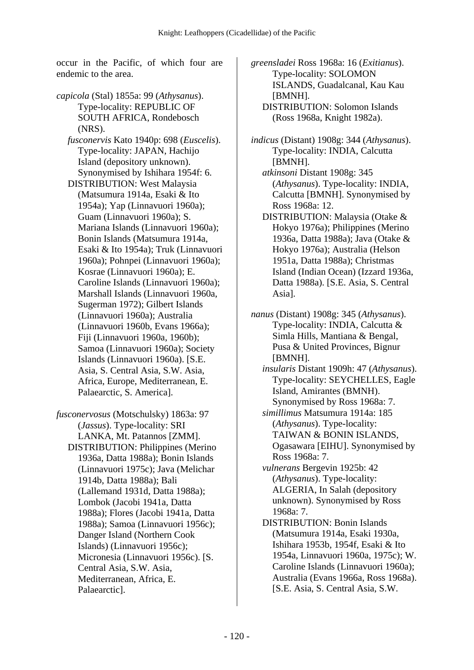occur in the Pacific, of which four are endemic to the area.

- *capicola* (Stal) 1855a: 99 (*Athysanus*). Type-locality: REPUBLIC OF SOUTH AFRICA, Rondebosch (NRS).
	- *fusconervis* Kato 1940p: 698 (*Euscelis*). Type-locality: JAPAN, Hachijo Island (depository unknown). Synonymised by Ishihara 1954f: 6.
	- DISTRIBUTION: West Malaysia (Matsumura 1914a, Esaki & Ito 1954a); Yap (Linnavuori 1960a); Guam (Linnavuori 1960a); S. Mariana Islands (Linnavuori 1960a); Bonin Islands (Matsumura 1914a, Esaki & Ito 1954a); Truk (Linnavuori 1960a); Pohnpei (Linnavuori 1960a); Kosrae (Linnavuori 1960a); E. Caroline Islands (Linnavuori 1960a); Marshall Islands (Linnavuori 1960a, Sugerman 1972); Gilbert Islands (Linnavuori 1960a); Australia (Linnavuori 1960b, Evans 1966a); Fiji (Linnavuori 1960a, 1960b); Samoa (Linnavuori 1960a); Society Islands (Linnavuori 1960a). [S.E. Asia, S. Central Asia, S.W. Asia, Africa, Europe, Mediterranean, E. Palaearctic, S. America].
- *fusconervosus* (Motschulsky) 1863a: 97 (*Jassus*). Type-locality: SRI LANKA, Mt. Patannos [ZMM]. DISTRIBUTION: Philippines (Merino 1936a, Datta 1988a); Bonin Islands (Linnavuori 1975c); Java (Melichar 1914b, Datta 1988a); Bali (Lallemand 1931d, Datta 1988a); Lombok (Jacobi 1941a, Datta 1988a); Flores (Jacobi 1941a, Datta 1988a); Samoa (Linnavuori 1956c); Danger Island (Northern Cook Islands) (Linnavuori 1956c); Micronesia (Linnavuori 1956c). [S. Central Asia, S.W. Asia, Mediterranean, Africa, E. Palaearctic].

*greensladei* Ross 1968a: 16 (*Exitianus*). Type-locality: SOLOMON ISLANDS, Guadalcanal, Kau Kau [BMNH]. DISTRIBUTION: Solomon Islands (Ross 1968a, Knight 1982a).

*indicus* (Distant) 1908g: 344 (*Athysanus*). Type-locality: INDIA, Calcutta [BMNH].  *atkinsoni* Distant 1908g: 345 (*Athysanus*). Type-locality: INDIA, Calcutta [BMNH]. Synonymised by Ross 1968a: 12. DISTRIBUTION: Malaysia (Otake & Hokyo 1976a); Philippines (Merino 1936a, Datta 1988a); Java (Otake & Hokyo 1976a); Australia (Helson 1951a, Datta 1988a); Christmas Island (Indian Ocean) (Izzard 1936a, Datta 1988a). [S.E. Asia, S. Central Asia].

*nanus* (Distant) 1908g: 345 (*Athysanus*). Type-locality: INDIA, Calcutta & Simla Hills, Mantiana & Bengal, Pusa & United Provinces, Bignur [BMNH].

 *insularis* Distant 1909h: 47 (*Athysanus*). Type-locality: SEYCHELLES, Eagle Island, Amirantes (BMNH). Synonymised by Ross 1968a: 7.

 *simillimus* Matsumura 1914a: 185 (*Athysanus*). Type-locality: TAIWAN & BONIN ISLANDS, Ogasawara [EIHU]. Synonymised by Ross 1968a: 7.

 *vulnerans* Bergevin 1925b: 42 (*Athysanus*). Type-locality: ALGERIA, In Salah (depository unknown). Synonymised by Ross 1968a: 7.

 DISTRIBUTION: Bonin Islands (Matsumura 1914a, Esaki 1930a, Ishihara 1953b, 1954f, Esaki & Ito 1954a, Linnavuori 1960a, 1975c); W. Caroline Islands (Linnavuori 1960a); Australia (Evans 1966a, Ross 1968a). [S.E. Asia, S. Central Asia, S.W.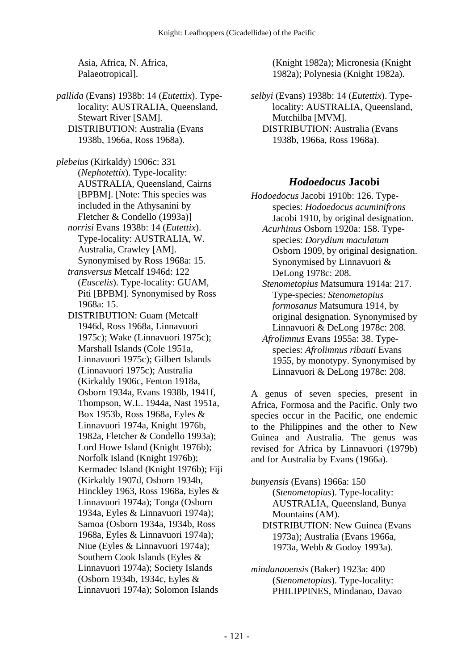Asia, Africa, N. Africa, Palaeotropical].

*pallida* (Evans) 1938b: 14 (*Eutettix*). Typelocality: AUSTRALIA, Queensland, Stewart River [SAM]. DISTRIBUTION: Australia (Evans 1938b, 1966a, Ross 1968a).

*plebeius* (Kirkaldy) 1906c: 331 (*Nephotettix*). Type-locality: AUSTRALIA, Queensland, Cairns [BPBM]. [Note: This species was included in the Athysanini by Fletcher & Condello (1993a)]  *norrisi* Evans 1938b: 14 (*Eutettix*). Type-locality: AUSTRALIA, W. Australia, Crawley [AM]. Synonymised by Ross 1968a: 15.

- *transversus* Metcalf 1946d: 122 (*Euscelis*). Type-locality: GUAM, Piti [BPBM]. Synonymised by Ross 1968a: 15.
- DISTRIBUTION: Guam (Metcalf 1946d, Ross 1968a, Linnavuori 1975c); Wake (Linnavuori 1975c); Marshall Islands (Cole 1951a, Linnavuori 1975c); Gilbert Islands (Linnavuori 1975c); Australia (Kirkaldy 1906c, Fenton 1918a, Osborn 1934a, Evans 1938b, 1941f, Thompson, W.L. 1944a, Nast 1951a, Box 1953b, Ross 1968a, Eyles & Linnavuori 1974a, Knight 1976b, 1982a, Fletcher & Condello 1993a); Lord Howe Island (Knight 1976b); Norfolk Island (Knight 1976b); Kermadec Island (Knight 1976b); Fiji (Kirkaldy 1907d, Osborn 1934b, Hinckley 1963, Ross 1968a, Eyles & Linnavuori 1974a); Tonga (Osborn 1934a, Eyles & Linnavuori 1974a); Samoa (Osborn 1934a, 1934b, Ross 1968a, Eyles & Linnavuori 1974a); Niue (Eyles & Linnavuori 1974a); Southern Cook Islands (Eyles & Linnavuori 1974a); Society Islands (Osborn 1934b, 1934c, Eyles & Linnavuori 1974a); Solomon Islands

(Knight 1982a); Micronesia (Knight 1982a); Polynesia (Knight 1982a).

*selbyi* (Evans) 1938b: 14 (*Eutettix*). Typelocality: AUSTRALIA, Queensland, Mutchilba [MVM]. DISTRIBUTION: Australia (Evans 1938b, 1966a, Ross 1968a).

#### *Hodoedocus* **Jacobi**

*Hodoedocus* Jacobi 1910b: 126. Typespecies: *Hodoedocus acuminifrons* Jacobi 1910, by original designation.  *Acurhinus* Osborn 1920a: 158. Typespecies: *Dorydium maculatum* Osborn 1909, by original designation. Synonymised by Linnavuori & DeLong 1978c: 208.  *Stenometopius* Matsumura 1914a: 217. Type-species: *Stenometopius formosanus* Matsumura 1914, by original designation. Synonymised by Linnavuori & DeLong 1978c: 208.

 *Afrolimnus* Evans 1955a: 38. Typespecies: *Afrolimnus ribauti* Evans 1955, by monotypy. Synonymised by Linnavuori & DeLong 1978c: 208.

A genus of seven species, present in Africa, Formosa and the Pacific. Only two species occur in the Pacific, one endemic to the Philippines and the other to New Guinea and Australia. The genus was revised for Africa by Linnavuori (1979b) and for Australia by Evans (1966a).

*bunyensis* (Evans) 1966a: 150 (*Stenometopius*). Type-locality: AUSTRALIA, Queensland, Bunya Mountains (AM). DISTRIBUTION: New Guinea (Evans 1973a); Australia (Evans 1966a, 1973a, Webb & Godoy 1993a).

*mindanaoensis* (Baker) 1923a: 400 (*Stenometopius*). Type-locality: PHILIPPINES, Mindanao, Davao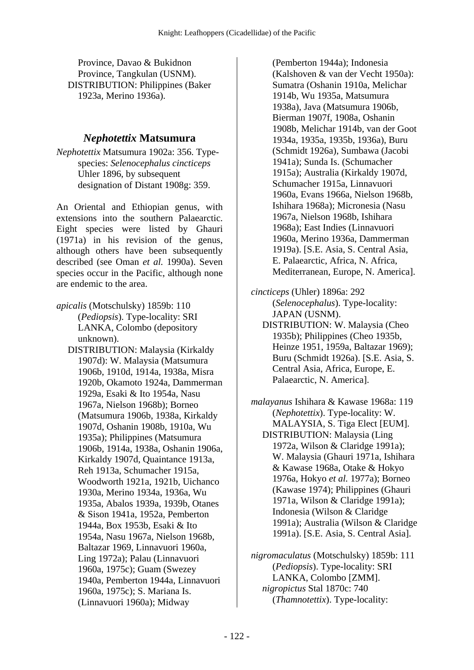Province, Davao & Bukidnon Province, Tangkulan (USNM). DISTRIBUTION: Philippines (Baker 1923a, Merino 1936a).

#### *Nephotettix* **Matsumura**

*Nephotettix* Matsumura 1902a: 356. Typespecies: *Selenocephalus cincticeps* Uhler 1896, by subsequent designation of Distant 1908g: 359.

An Oriental and Ethiopian genus, with extensions into the southern Palaearctic. Eight species were listed by Ghauri (1971a) in his revision of the genus, although others have been subsequently described (see Oman *et al.* 1990a). Seven species occur in the Pacific, although none are endemic to the area.

*apicalis* (Motschulsky) 1859b: 110 (*Pediopsis*). Type-locality: SRI LANKA, Colombo (depository unknown).

 DISTRIBUTION: Malaysia (Kirkaldy 1907d): W. Malaysia (Matsumura 1906b, 1910d, 1914a, 1938a, Misra 1920b, Okamoto 1924a, Dammerman 1929a, Esaki & Ito 1954a, Nasu 1967a, Nielson 1968b); Borneo (Matsumura 1906b, 1938a, Kirkaldy 1907d, Oshanin 1908b, 1910a, Wu 1935a); Philippines (Matsumura 1906b, 1914a, 1938a, Oshanin 1906a, Kirkaldy 1907d, Quaintance 1913a, Reh 1913a, Schumacher 1915a, Woodworth 1921a, 1921b, Uichanco 1930a, Merino 1934a, 1936a, Wu 1935a, Abalos 1939a, 1939b, Otanes & Sison 1941a, 1952a, Pemberton 1944a, Box 1953b, Esaki & Ito 1954a, Nasu 1967a, Nielson 1968b, Baltazar 1969, Linnavuori 1960a, Ling 1972a); Palau (Linnavuori 1960a, 1975c); Guam (Swezey 1940a, Pemberton 1944a, Linnavuori 1960a, 1975c); S. Mariana Is. (Linnavuori 1960a); Midway

(Pemberton 1944a); Indonesia (Kalshoven & van der Vecht 1950a): Sumatra (Oshanin 1910a, Melichar 1914b, Wu 1935a, Matsumura 1938a), Java (Matsumura 1906b, Bierman 1907f, 1908a, Oshanin 1908b, Melichar 1914b, van der Goot 1934a, 1935a, 1935b, 1936a), Buru (Schmidt 1926a), Sumbawa (Jacobi 1941a); Sunda Is. (Schumacher 1915a); Australia (Kirkaldy 1907d, Schumacher 1915a, Linnavuori 1960a, Evans 1966a, Nielson 1968b, Ishihara 1968a); Micronesia (Nasu 1967a, Nielson 1968b, Ishihara 1968a); East Indies (Linnavuori 1960a, Merino 1936a, Dammerman 1919a). [S.E. Asia, S. Central Asia, E. Palaearctic, Africa, N. Africa, Mediterranean, Europe, N. America].

*cincticeps* (Uhler) 1896a: 292 (*Selenocephalus*). Type-locality: JAPAN (USNM). DISTRIBUTION: W. Malaysia (Cheo 1935b); Philippines (Cheo 1935b, Heinze 1951, 1959a, Baltazar 1969); Buru (Schmidt 1926a). [S.E. Asia, S. Central Asia, Africa, Europe, E. Palaearctic, N. America].

*malayanus* Ishihara & Kawase 1968a: 119 (*Nephotettix*). Type-locality: W. MALAYSIA, S. Tiga Elect [EUM]. DISTRIBUTION: Malaysia (Ling 1972a, Wilson & Claridge 1991a); W. Malaysia (Ghauri 1971a, Ishihara & Kawase 1968a, Otake & Hokyo 1976a, Hokyo *et al.* 1977a); Borneo (Kawase 1974); Philippines (Ghauri 1971a, Wilson & Claridge 1991a); Indonesia (Wilson & Claridge 1991a); Australia (Wilson & Claridge 1991a). [S.E. Asia, S. Central Asia].

*nigromaculatus* (Motschulsky) 1859b: 111 (*Pediopsis*). Type-locality: SRI LANKA, Colombo [ZMM].  *nigropictus* Stal 1870c: 740 (*Thamnotettix*). Type-locality: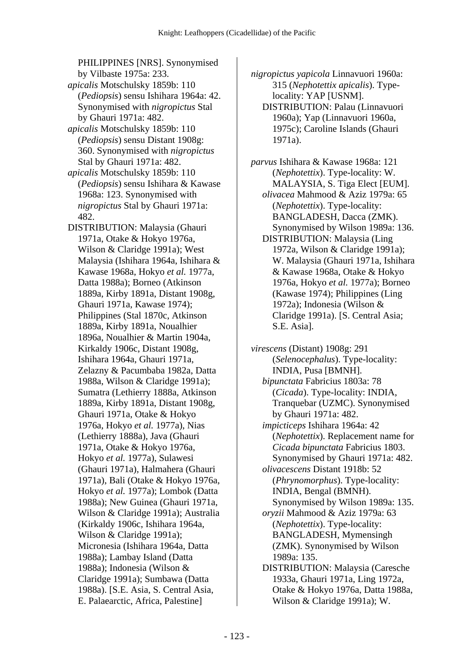PHILIPPINES [NRS]. Synonymised by Vilbaste 1975a: 233.

- *apicalis* Motschulsky 1859b: 110 (*Pediopsis*) sensu Ishihara 1964a: 42. Synonymised with *nigropictus* Stal by Ghauri 1971a: 482.
- *apicalis* Motschulsky 1859b: 110 (*Pediopsis*) sensu Distant 1908g: 360. Synonymised with *nigropictus* Stal by Ghauri 1971a: 482.
- *apicalis* Motschulsky 1859b: 110 (*Pediopsis*) sensu Ishihara & Kawase 1968a: 123. Synonymised with *nigropictus* Stal by Ghauri 1971a: 482.
- DISTRIBUTION: Malaysia (Ghauri 1971a, Otake & Hokyo 1976a, Wilson & Claridge 1991a); West Malaysia (Ishihara 1964a, Ishihara & Kawase 1968a, Hokyo *et al.* 1977a, Datta 1988a); Borneo (Atkinson 1889a, Kirby 1891a, Distant 1908g, Ghauri 1971a, Kawase 1974); Philippines (Stal 1870c, Atkinson 1889a, Kirby 1891a, Noualhier 1896a, Noualhier & Martin 1904a, Kirkaldy 1906c, Distant 1908g, Ishihara 1964a, Ghauri 1971a, Zelazny & Pacumbaba 1982a, Datta 1988a, Wilson & Claridge 1991a); Sumatra (Lethierry 1888a, Atkinson 1889a, Kirby 1891a, Distant 1908g, Ghauri 1971a, Otake & Hokyo 1976a, Hokyo *et al.* 1977a), Nias (Lethierry 1888a), Java (Ghauri 1971a, Otake & Hokyo 1976a, Hokyo *et al.* 1977a), Sulawesi (Ghauri 1971a), Halmahera (Ghauri 1971a), Bali (Otake & Hokyo 1976a, Hokyo *et al.* 1977a); Lombok (Datta 1988a); New Guinea (Ghauri 1971a, Wilson & Claridge 1991a); Australia (Kirkaldy 1906c, Ishihara 1964a, Wilson & Claridge 1991a); Micronesia (Ishihara 1964a, Datta 1988a); Lambay Island (Datta 1988a); Indonesia (Wilson & Claridge 1991a); Sumbawa (Datta 1988a). [S.E. Asia, S. Central Asia, E. Palaearctic, Africa, Palestine]

*nigropictus yapicola* Linnavuori 1960a: 315 (*Nephotettix apicalis*). Typelocality: YAP [USNM].

- DISTRIBUTION: Palau (Linnavuori 1960a); Yap (Linnavuori 1960a, 1975c); Caroline Islands (Ghauri 1971a).
- *parvus* Ishihara & Kawase 1968a: 121 (*Nephotettix*). Type-locality: W. MALAYSIA, S. Tiga Elect [EUM].  *olivacea* Mahmood & Aziz 1979a: 65 (*Nephotettix*). Type-locality: BANGLADESH, Dacca (ZMK). Synonymised by Wilson 1989a: 136. DISTRIBUTION: Malaysia (Ling 1972a, Wilson & Claridge 1991a); W. Malaysia (Ghauri 1971a, Ishihara & Kawase 1968a, Otake & Hokyo 1976a, Hokyo *et al.* 1977a); Borneo (Kawase 1974); Philippines (Ling 1972a); Indonesia (Wilson & Claridge 1991a). [S. Central Asia;

S.E. Asia].

*virescens* (Distant) 1908g: 291 (*Selenocephalus*). Type-locality: INDIA, Pusa [BMNH].  *bipunctata* Fabricius 1803a: 78 (*Cicada*). Type-locality: INDIA, Tranquebar (UZMC). Synonymised by Ghauri 1971a: 482.  *impicticeps* Ishihara 1964a: 42 (*Nephotettix*). Replacement name for *Cicada bipunctata* Fabricius 1803. Synonymised by Ghauri 1971a: 482.  *olivacescens* Distant 1918b: 52 (*Phrynomorphus*). Type-locality: INDIA, Bengal (BMNH). Synonymised by Wilson 1989a: 135.  *oryzii* Mahmood & Aziz 1979a: 63 (*Nephotettix*). Type-locality: BANGLADESH, Mymensingh (ZMK). Synonymised by Wilson 1989a: 135. DISTRIBUTION: Malaysia (Caresche 1933a, Ghauri 1971a, Ling 1972a, Otake & Hokyo 1976a, Datta 1988a, Wilson & Claridge 1991a); W.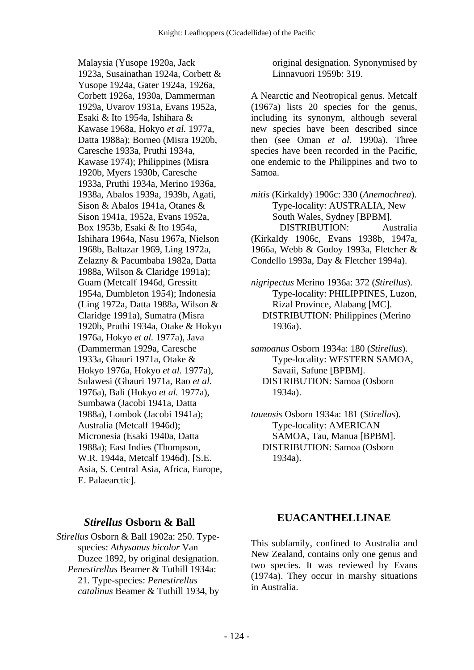Malaysia (Yusope 1920a, Jack 1923a, Susainathan 1924a, Corbett & Yusope 1924a, Gater 1924a, 1926a, Corbett 1926a, 1930a, Dammerman 1929a, Uvarov 1931a, Evans 1952a, Esaki & Ito 1954a, Ishihara & Kawase 1968a, Hokyo *et al.* 1977a, Datta 1988a); Borneo (Misra 1920b, Caresche 1933a, Pruthi 1934a, Kawase 1974); Philippines (Misra 1920b, Myers 1930b, Caresche 1933a, Pruthi 1934a, Merino 1936a, 1938a, Abalos 1939a, 1939b, Agati, Sison & Abalos 1941a, Otanes & Sison 1941a, 1952a, Evans 1952a, Box 1953b, Esaki & Ito 1954a, Ishihara 1964a, Nasu 1967a, Nielson 1968b, Baltazar 1969, Ling 1972a, Zelazny & Pacumbaba 1982a, Datta 1988a, Wilson & Claridge 1991a); Guam (Metcalf 1946d, Gressitt 1954a, Dumbleton 1954); Indonesia (Ling 1972a, Datta 1988a, Wilson & Claridge 1991a), Sumatra (Misra 1920b, Pruthi 1934a, Otake & Hokyo 1976a, Hokyo *et al.* 1977a), Java (Dammerman 1929a, Caresche 1933a, Ghauri 1971a, Otake & Hokyo 1976a, Hokyo *et al.* 1977a), Sulawesi (Ghauri 1971a, Rao *et al.* 1976a), Bali (Hokyo *et al.* 1977a), Sumbawa (Jacobi 1941a, Datta 1988a), Lombok (Jacobi 1941a); Australia (Metcalf 1946d); Micronesia (Esaki 1940a, Datta 1988a); East Indies (Thompson, W.R. 1944a, Metcalf 1946d). [S.E. Asia, S. Central Asia, Africa, Europe, E. Palaearctic].

#### *Stirellus* **Osborn & Ball**

*Stirellus* Osborn & Ball 1902a: 250. Typespecies: *Athysanus bicolor* Van Duzee 1892, by original designation.  *Penestirellus* Beamer & Tuthill 1934a: 21. Type-species: *Penestirellus catalinus* Beamer & Tuthill 1934, by

original designation. Synonymised by Linnavuori 1959b: 319.

A Nearctic and Neotropical genus. Metcalf (1967a) lists 20 species for the genus, including its synonym, although several new species have been described since then (see Oman *et al.* 1990a). Three species have been recorded in the Pacific, one endemic to the Philippines and two to Samoa.

*mitis* (Kirkaldy) 1906c: 330 (*Anemochrea*). Type-locality: AUSTRALIA, New South Wales, Sydney [BPBM]. DISTRIBUTION: Australia (Kirkaldy 1906c, Evans 1938b, 1947a, 1966a, Webb & Godoy 1993a, Fletcher & Condello 1993a, Day & Fletcher 1994a).

- *nigripectus* Merino 1936a: 372 (*Stirellus*). Type-locality: PHILIPPINES, Luzon, Rizal Province, Alabang [MC]. DISTRIBUTION: Philippines (Merino 1936a).
- *samoanus* Osborn 1934a: 180 (*Stirellus*). Type-locality: WESTERN SAMOA, Savaii, Safune [BPBM]. DISTRIBUTION: Samoa (Osborn 1934a).
- *tauensis* Osborn 1934a: 181 (*Stirellus*). Type-locality: AMERICAN SAMOA, Tau, Manua [BPBM]. DISTRIBUTION: Samoa (Osborn 1934a).

### **EUACANTHELLINAE**

This subfamily, confined to Australia and New Zealand, contains only one genus and two species. It was reviewed by Evans (1974a). They occur in marshy situations in Australia.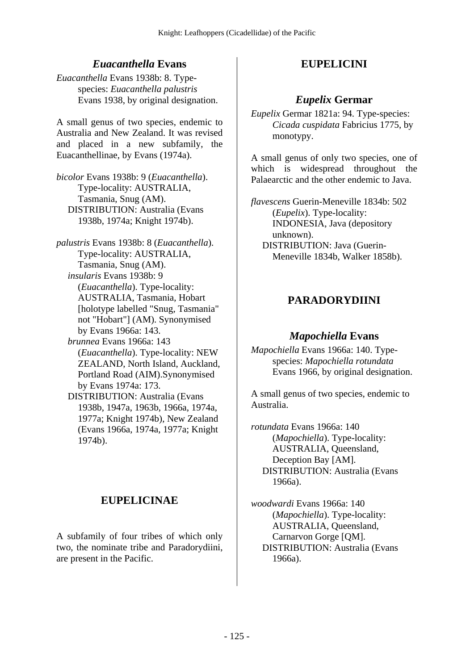## *Euacanthella* **Evans**

*Euacanthella* Evans 1938b: 8. Typespecies: *Euacanthella palustris*  Evans 1938, by original designation.

A small genus of two species, endemic to Australia and New Zealand. It was revised and placed in a new subfamily, the Euacanthellinae, by Evans (1974a).

*bicolor* Evans 1938b: 9 (*Euacanthella*). Type-locality: AUSTRALIA, Tasmania, Snug (AM). DISTRIBUTION: Australia (Evans 1938b, 1974a; Knight 1974b).

*palustris* Evans 1938b: 8 (*Euacanthella*). Type-locality: AUSTRALIA, Tasmania, Snug (AM).  *insularis* Evans 1938b: 9 (*Euacanthella*). Type-locality: AUSTRALIA, Tasmania, Hobart [holotype labelled "Snug, Tasmania" not "Hobart"] (AM). Synonymised by Evans 1966a: 143.  *brunnea* Evans 1966a: 143 (*Euacanthella*). Type-locality: NEW

ZEALAND, North Island, Auckland, Portland Road (AIM).Synonymised by Evans 1974a: 173.

 DISTRIBUTION: Australia (Evans 1938b, 1947a, 1963b, 1966a, 1974a, 1977a; Knight 1974b), New Zealand (Evans 1966a, 1974a, 1977a; Knight 1974b).

# **EUPELICINAE**

A subfamily of four tribes of which only two, the nominate tribe and Paradorydiini, are present in the Pacific.

# **EUPELICINI**

## *Eupelix* **Germar**

*Eupelix* Germar 1821a: 94. Type-species: *Cicada cuspidata* Fabricius 1775, by monotypy.

A small genus of only two species, one of which is widespread throughout the Palaearctic and the other endemic to Java.

*flavescens* Guerin-Meneville 1834b: 502 (*Eupelix*). Type-locality: INDONESIA, Java (depository unknown). DISTRIBUTION: Java (Guerin-Meneville 1834b, Walker 1858b).

# **PARADORYDIINI**

### *Mapochiella* **Evans**

*Mapochiella* Evans 1966a: 140. Typespecies: *Mapochiella rotundata* Evans 1966, by original designation.

A small genus of two species, endemic to Australia.

*rotundata* Evans 1966a: 140 (*Mapochiella*). Type-locality: AUSTRALIA, Queensland, Deception Bay [AM]. DISTRIBUTION: Australia (Evans 1966a).

*woodwardi* Evans 1966a: 140 (*Mapochiella*). Type-locality: AUSTRALIA, Queensland, Carnarvon Gorge [QM]. DISTRIBUTION: Australia (Evans 1966a).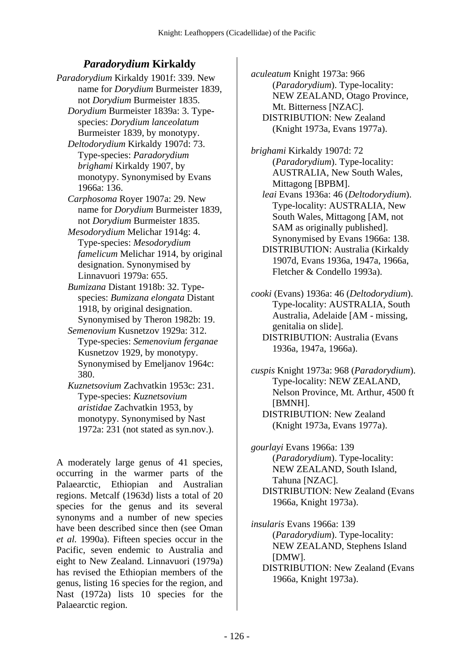# *Paradorydium* **Kirkaldy**

*Paradorydium* Kirkaldy 1901f: 339. New name for *Dorydium* Burmeister 1839, not *Dorydium* Burmeister 1835.

 *Dorydium* Burmeister 1839a: 3. Typespecies: *Dorydium lanceolatum* Burmeister 1839, by monotypy.

- *Deltodorydium* Kirkaldy 1907d: 73. Type-species: *Paradorydium brighami* Kirkaldy 1907, by monotypy. Synonymised by Evans 1966a: 136.
- *Carphosoma* Royer 1907a: 29. New name for *Dorydium* Burmeister 1839, not *Dorydium* Burmeister 1835.
- *Mesodorydium* Melichar 1914g: 4. Type-species: *Mesodorydium famelicum* Melichar 1914, by original designation. Synonymised by Linnavuori 1979a: 655.
- *Bumizana* Distant 1918b: 32. Typespecies: *Bumizana elongata* Distant 1918, by original designation. Synonymised by Theron 1982b: 19.
- *Semenovium* Kusnetzov 1929a: 312. Type-species: *Semenovium ferganae* Kusnetzov 1929, by monotypy. Synonymised by Emeljanov 1964c: 380.
- *Kuznetsovium* Zachvatkin 1953c: 231. Type-species: *Kuznetsovium aristidae* Zachvatkin 1953, by monotypy. Synonymised by Nast 1972a: 231 (not stated as syn.nov.).

A moderately large genus of 41 species, occurring in the warmer parts of the Palaearctic, Ethiopian and Australian regions. Metcalf (1963d) lists a total of 20 species for the genus and its several synonyms and a number of new species have been described since then (see Oman *et al.* 1990a). Fifteen species occur in the Pacific, seven endemic to Australia and eight to New Zealand. Linnavuori (1979a) has revised the Ethiopian members of the genus, listing 16 species for the region, and Nast (1972a) lists 10 species for the Palaearctic region.

*aculeatum* Knight 1973a: 966 (*Paradorydium*). Type-locality: NEW ZEALAND, Otago Province, Mt. Bitterness [NZAC]. DISTRIBUTION: New Zealand (Knight 1973a, Evans 1977a).

*brighami* Kirkaldy 1907d: 72 (*Paradorydium*). Type-locality: AUSTRALIA, New South Wales, Mittagong [BPBM].  *leai* Evans 1936a: 46 (*Deltodorydium*).

Type-locality: AUSTRALIA, New South Wales, Mittagong [AM, not SAM as originally published]. Synonymised by Evans 1966a: 138.

 DISTRIBUTION: Australia (Kirkaldy 1907d, Evans 1936a, 1947a, 1966a, Fletcher & Condello 1993a).

*cooki* (Evans) 1936a: 46 (*Deltodorydium*). Type-locality: AUSTRALIA, South Australia, Adelaide [AM - missing, genitalia on slide].

 DISTRIBUTION: Australia (Evans 1936a, 1947a, 1966a).

*cuspis* Knight 1973a: 968 (*Paradorydium*). Type-locality: NEW ZEALAND, Nelson Province, Mt. Arthur, 4500 ft [BMNH]. DISTRIBUTION: New Zealand (Knight 1973a, Evans 1977a).

*gourlayi* Evans 1966a: 139 (*Paradorydium*). Type-locality: NEW ZEALAND, South Island, Tahuna [NZAC]. DISTRIBUTION: New Zealand (Evans 1966a, Knight 1973a).

*insularis* Evans 1966a: 139 (*Paradorydium*). Type-locality: NEW ZEALAND, Stephens Island [DMW]. DISTRIBUTION: New Zealand (Evans 1966a, Knight 1973a).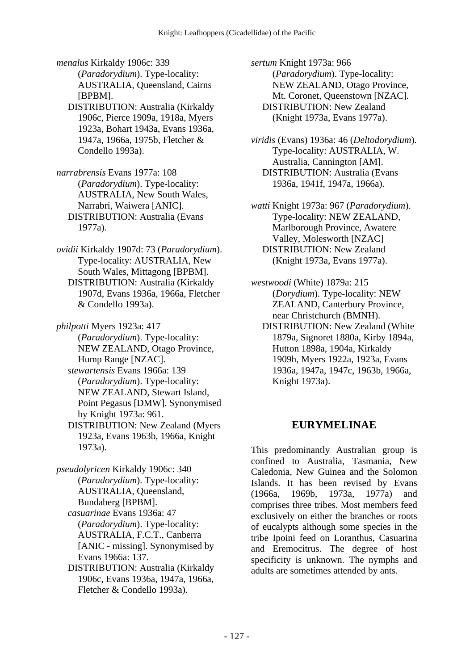*menalus* Kirkaldy 1906c: 339 (*Paradorydium*). Type-locality: AUSTRALIA, Queensland, Cairns [BPBM].

- DISTRIBUTION: Australia (Kirkaldy 1906c, Pierce 1909a, 1918a, Myers 1923a, Bohart 1943a, Evans 1936a, 1947a, 1966a, 1975b, Fletcher & Condello 1993a).
- *narrabrensis* Evans 1977a: 108 (*Paradorydium*). Type-locality: AUSTRALIA, New South Wales, Narrabri, Waiwera [ANIC]. DISTRIBUTION: Australia (Evans 1977a).
- *ovidii* Kirkaldy 1907d: 73 (*Paradorydium*). Type-locality: AUSTRALIA, New South Wales, Mittagong [BPBM]. DISTRIBUTION: Australia (Kirkaldy 1907d, Evans 1936a, 1966a, Fletcher & Condello 1993a).

*philpotti* Myers 1923a: 417 (*Paradorydium*). Type-locality: NEW ZEALAND, Otago Province, Hump Range [NZAC].  *stewartensis* Evans 1966a: 139 (*Paradorydium*). Type-locality: NEW ZEALAND, Stewart Island, Point Pegasus [DMW]. Synonymised by Knight 1973a: 961. DISTRIBUTION: New Zealand (Myers 1923a, Evans 1963b, 1966a, Knight

1973a).

*pseudolyricen* Kirkaldy 1906c: 340 (*Paradorydium*). Type-locality: AUSTRALIA, Queensland, Bundaberg [BPBM].  *casuarinae* Evans 1936a: 47 (*Paradorydium*). Type-locality: AUSTRALIA, F.C.T., Canberra [ANIC - missing]. Synonymised by Evans 1966a: 137. DISTRIBUTION: Australia (Kirkaldy

1906c, Evans 1936a, 1947a, 1966a, Fletcher & Condello 1993a).

*sertum* Knight 1973a: 966 (*Paradorydium*). Type-locality: NEW ZEALAND, Otago Province, Mt. Coronet, Queenstown [NZAC]. DISTRIBUTION: New Zealand (Knight 1973a, Evans 1977a).

*viridis* (Evans) 1936a: 46 (*Deltodorydium*). Type-locality: AUSTRALIA, W. Australia, Cannington [AM]. DISTRIBUTION: Australia (Evans 1936a, 1941f, 1947a, 1966a).

*watti* Knight 1973a: 967 (*Paradorydium*). Type-locality: NEW ZEALAND, Marlborough Province, Awatere Valley, Molesworth [NZAC] DISTRIBUTION: New Zealand (Knight 1973a, Evans 1977a).

*westwoodi* (White) 1879a: 215 (*Dorydium*). Type-locality: NEW ZEALAND, Canterbury Province, near Christchurch (BMNH).

 DISTRIBUTION: New Zealand (White 1879a, Signoret 1880a, Kirby 1894a, Hutton 1898a, 1904a, Kirkaldy 1909h, Myers 1922a, 1923a, Evans 1936a, 1947a, 1947c, 1963b, 1966a, Knight 1973a).

## **EURYMELINAE**

This predominantly Australian group is confined to Australia, Tasmania, New Caledonia, New Guinea and the Solomon Islands. It has been revised by Evans (1966a, 1969b, 1973a, 1977a) and comprises three tribes. Most members feed exclusively on either the branches or roots of eucalypts although some species in the tribe Ipoini feed on Loranthus, Casuarina and Eremocitrus. The degree of host specificity is unknown. The nymphs and adults are sometimes attended by ants.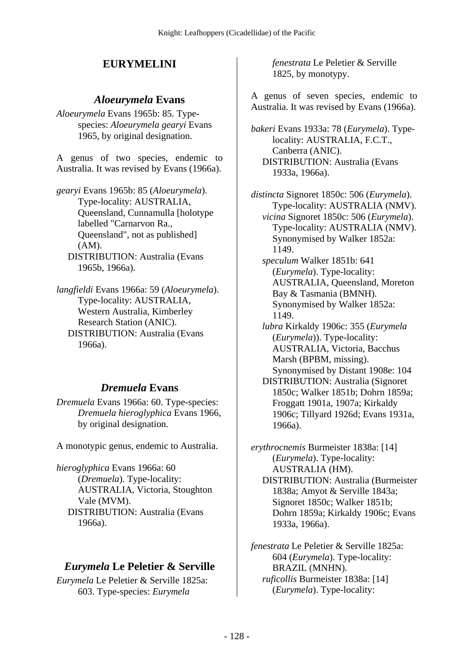# **EURYMELINI**

### *Aloeurymela* **Evans**

*Aloeurymela* Evans 1965b: 85. Typespecies: *Aloeurymela gearyi* Evans 1965, by original designation.

A genus of two species, endemic to Australia. It was revised by Evans (1966a).

*gearyi* Evans 1965b: 85 (*Aloeurymela*). Type-locality: AUSTRALIA, Queensland, Cunnamulla [holotype labelled "Carnarvon Ra., Queensland", not as published] (AM). DISTRIBUTION: Australia (Evans 1965b, 1966a).

*langfieldi* Evans 1966a: 59 (*Aloeurymela*). Type-locality: AUSTRALIA, Western Australia, Kimberley Research Station (ANIC). DISTRIBUTION: Australia (Evans 1966a).

### *Dremuela* **Evans**

*Dremuela* Evans 1966a: 60. Type-species: *Dremuela hieroglyphica* Evans 1966, by original designation.

A monotypic genus, endemic to Australia.

*hieroglyphica* Evans 1966a: 60 (*Dremuela*). Type-locality: AUSTRALIA, Victoria, Stoughton Vale (MVM). DISTRIBUTION: Australia (Evans 1966a).

## *Eurymela* **Le Peletier & Serville**

*Eurymela* Le Peletier & Serville 1825a: 603. Type-species: *Eurymela* 

*fenestrata* Le Peletier & Serville 1825, by monotypy.

A genus of seven species, endemic to Australia. It was revised by Evans (1966a).

*bakeri* Evans 1933a: 78 (*Eurymela*). Typelocality: AUSTRALIA, F.C.T., Canberra (ANIC). DISTRIBUTION: Australia (Evans 1933a, 1966a).

*distincta* Signoret 1850c: 506 (*Eurymela*). Type-locality: AUSTRALIA (NMV).  *vicina* Signoret 1850c: 506 (*Eurymela*). Type-locality: AUSTRALIA (NMV). Synonymised by Walker 1852a: 1149.  *speculum* Walker 1851b: 641

- (*Eurymela*). Type-locality: AUSTRALIA, Queensland, Moreton Bay & Tasmania (BMNH). Synonymised by Walker 1852a: 1149.
- *lubra* Kirkaldy 1906c: 355 (*Eurymela* (*Eurymela*)). Type-locality: AUSTRALIA, Victoria, Bacchus Marsh (BPBM, missing). Synonymised by Distant 1908e: 104
- DISTRIBUTION: Australia (Signoret 1850c; Walker 1851b; Dohrn 1859a; Froggatt 1901a, 1907a; Kirkaldy 1906c; Tillyard 1926d; Evans 1931a, 1966a).

*erythrocnemis* Burmeister 1838a: [14] (*Eurymela*). Type-locality: AUSTRALIA (HM). DISTRIBUTION: Australia (Burmeister 1838a; Amyot & Serville 1843a; Signoret 1850c; Walker 1851b; Dohrn 1859a; Kirkaldy 1906c; Evans 1933a, 1966a).

*fenestrata* Le Peletier & Serville 1825a: 604 (*Eurymela*). Type-locality: BRAZIL (MNHN).  *ruficollis* Burmeister 1838a: [14] (*Eurymela*). Type-locality: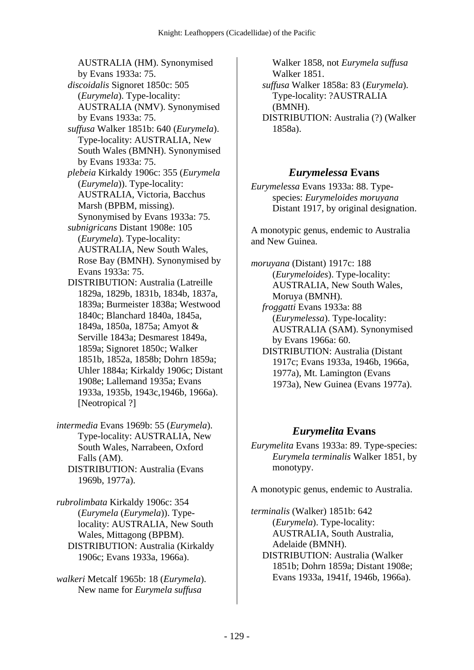AUSTRALIA (HM). Synonymised by Evans 1933a: 75.  *discoidalis* Signoret 1850c: 505 (*Eurymela*). Type-locality: AUSTRALIA (NMV). Synonymised by Evans 1933a: 75.  *suffusa* Walker 1851b: 640 (*Eurymela*). Type-locality: AUSTRALIA, New South Wales (BMNH). Synonymised by Evans 1933a: 75.  *plebeia* Kirkaldy 1906c: 355 (*Eurymela* (*Eurymela*)). Type-locality: AUSTRALIA, Victoria, Bacchus Marsh (BPBM, missing). Synonymised by Evans 1933a: 75.  *subnigricans* Distant 1908e: 105 (*Eurymela*). Type-locality: AUSTRALIA, New South Wales, Rose Bay (BMNH). Synonymised by Evans 1933a: 75. DISTRIBUTION: Australia (Latreille 1829a, 1829b, 1831b, 1834b, 1837a, 1839a; Burmeister 1838a; Westwood 1840c; Blanchard 1840a, 1845a, 1849a, 1850a, 1875a; Amyot & Serville 1843a; Desmarest 1849a, 1859a; Signoret 1850c; Walker 1851b, 1852a, 1858b; Dohrn 1859a; Uhler 1884a; Kirkaldy 1906c; Distant 1908e; Lallemand 1935a; Evans 1933a, 1935b, 1943c,1946b, 1966a).

*intermedia* Evans 1969b: 55 (*Eurymela*). Type-locality: AUSTRALIA, New South Wales, Narrabeen, Oxford Falls (AM).

[Neotropical ?]

 DISTRIBUTION: Australia (Evans 1969b, 1977a).

*rubrolimbata* Kirkaldy 1906c: 354 (*Eurymela* (*Eurymela*)). Typelocality: AUSTRALIA, New South Wales, Mittagong (BPBM). DISTRIBUTION: Australia (Kirkaldy 1906c; Evans 1933a, 1966a).

*walkeri* Metcalf 1965b: 18 (*Eurymela*). New name for *Eurymela suffusa*

Walker 1858, not *Eurymela suffusa* Walker 1851.  *suffusa* Walker 1858a: 83 (*Eurymela*). Type-locality: ?AUSTRALIA

(BMNH).

 DISTRIBUTION: Australia (?) (Walker 1858a).

## *Eurymelessa* **Evans**

*Eurymelessa* Evans 1933a: 88. Typespecies: *Eurymeloides moruyana* Distant 1917, by original designation.

A monotypic genus, endemic to Australia and New Guinea.

*moruyana* (Distant) 1917c: 188 (*Eurymeloides*). Type-locality: AUSTRALIA, New South Wales, Moruya (BMNH).  *froggatti* Evans 1933a: 88 (*Eurymelessa*). Type-locality: AUSTRALIA (SAM). Synonymised by Evans 1966a: 60. DISTRIBUTION: Australia (Distant 1917c; Evans 1933a, 1946b, 1966a,

1977a), Mt. Lamington (Evans 1973a), New Guinea (Evans 1977a).

## *Eurymelita* **Evans**

*Eurymelita* Evans 1933a: 89. Type-species: *Eurymela terminalis* Walker 1851, by monotypy.

A monotypic genus, endemic to Australia.

*terminalis* (Walker) 1851b: 642 (*Eurymela*). Type-locality: AUSTRALIA, South Australia, Adelaide (BMNH). DISTRIBUTION: Australia (Walker 1851b; Dohrn 1859a; Distant 1908e; Evans 1933a, 1941f, 1946b, 1966a).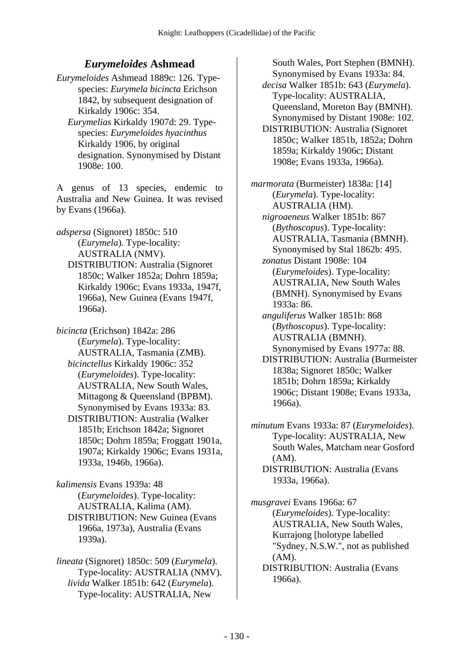### *Eurymeloides* **Ashmead**

*Eurymeloides* Ashmead 1889c: 126. Typespecies: *Eurymela bicincta* Erichson 1842, by subsequent designation of Kirkaldy 1906c: 354.

 *Eurymelias* Kirkaldy 1907d: 29. Typespecies: *Eurymeloides hyacinthus* Kirkaldy 1906, by original designation. Synonymised by Distant 1908e: 100.

A genus of 13 species, endemic to Australia and New Guinea. It was revised by Evans (1966a).

*adspersa* (Signoret) 1850c: 510 (*Eurymela*). Type-locality: AUSTRALIA (NMV). DISTRIBUTION: Australia (Signoret 1850c; Walker 1852a; Dohrn 1859a; Kirkaldy 1906c; Evans 1933a, 1947f,

1966a), New Guinea (Evans 1947f, 1966a). *bicincta* (Erichson) 1842a: 286 (*Eurymela*). Type-locality: AUSTRALIA, Tasmania (ZMB).

 *bicinctellus* Kirkaldy 1906c: 352 (*Eurymeloides*). Type-locality: AUSTRALIA, New South Wales, Mittagong & Queensland (BPBM). Synonymised by Evans 1933a: 83. DISTRIBUTION: Australia (Walker 1851b; Erichson 1842a; Signoret 1850c; Dohrn 1859a; Froggatt 1901a, 1907a; Kirkaldy 1906c; Evans 1931a, 1933a, 1946b, 1966a).

*kalimensis* Evans 1939a: 48 (*Eurymeloides*). Type-locality: AUSTRALIA, Kalima (AM). DISTRIBUTION: New Guinea (Evans 1966a, 1973a), Australia (Evans 1939a).

*lineata* (Signoret) 1850c: 509 (*Eurymela*). Type-locality: AUSTRALIA (NMV).  *livida* Walker 1851b: 642 (*Eurymela*). Type-locality: AUSTRALIA, New

South Wales, Port Stephen (BMNH). Synonymised by Evans 1933a: 84.  *decisa* Walker 1851b: 643 (*Eurymela*). Type-locality: AUSTRALIA, Queensland, Moreton Bay (BMNH). Synonymised by Distant 1908e: 102. DISTRIBUTION: Australia (Signoret 1850c; Walker 1851b, 1852a; Dohrn 1859a; Kirkaldy 1906c; Distant 1908e; Evans 1933a, 1966a).

*marmorata* (Burmeister) 1838a: [14] (*Eurymela*). Type-locality: AUSTRALIA (HM).  *nigroaeneus* Walker 1851b: 867 (*Bythoscopus*). Type-locality: AUSTRALIA, Tasmania (BMNH). Synonymised by Stal 1862b: 495.  *zonatus* Distant 1908e: 104 (*Eurymeloides*). Type-locality: AUSTRALIA, New South Wales (BMNH). Synonymised by Evans 1933a: 86.  *anguliferus* Walker 1851b: 868 (*Bythoscopus*). Type-locality: AUSTRALIA (BMNH). Synonymised by Evans 1977a: 88. DISTRIBUTION: Australia (Burmeister 1838a; Signoret 1850c; Walker 1851b; Dohrn 1859a; Kirkaldy 1906c; Distant 1908e; Evans 1933a, 1966a).

*minutum* Evans 1933a: 87 (*Eurymeloides*). Type-locality: AUSTRALIA, New South Wales, Matcham near Gosford  $(AM)$ .

 DISTRIBUTION: Australia (Evans 1933a, 1966a).

*musgravei* Evans 1966a: 67 (*Eurymeloides*). Type-locality: AUSTRALIA, New South Wales, Kurrajong [holotype labelled "Sydney, N.S.W.", not as published (AM).

 DISTRIBUTION: Australia (Evans 1966a).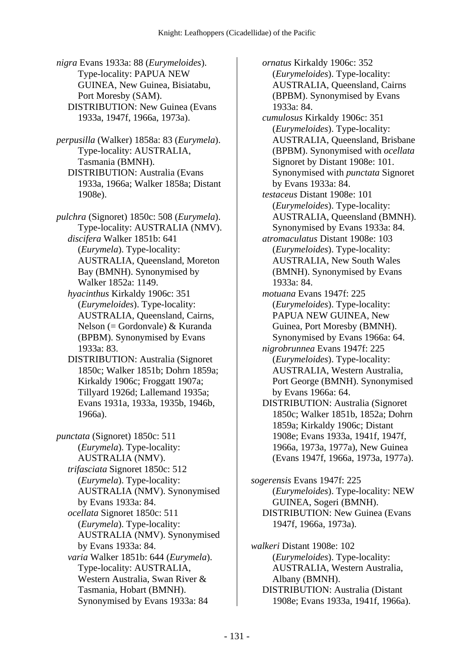*nigra* Evans 1933a: 88 (*Eurymeloides*). Type-locality: PAPUA NEW GUINEA, New Guinea, Bisiatabu, Port Moresby (SAM). DISTRIBUTION: New Guinea (Evans 1933a, 1947f, 1966a, 1973a).

*perpusilla* (Walker) 1858a: 83 (*Eurymela*). Type-locality: AUSTRALIA, Tasmania (BMNH). DISTRIBUTION: Australia (Evans 1933a, 1966a; Walker 1858a; Distant 1908e).

*pulchra* (Signoret) 1850c: 508 (*Eurymela*). Type-locality: AUSTRALIA (NMV).  *discifera* Walker 1851b: 641 (*Eurymela*). Type-locality: AUSTRALIA, Queensland, Moreton Bay (BMNH). Synonymised by Walker 1852a: 1149.

 *hyacinthus* Kirkaldy 1906c: 351 (*Eurymeloides*). Type-locality: AUSTRALIA, Queensland, Cairns, Nelson (= Gordonvale) & Kuranda (BPBM). Synonymised by Evans 1933a: 83.

 DISTRIBUTION: Australia (Signoret 1850c; Walker 1851b; Dohrn 1859a; Kirkaldy 1906c; Froggatt 1907a; Tillyard 1926d; Lallemand 1935a; Evans 1931a, 1933a, 1935b, 1946b, 1966a).

*punctata* (Signoret) 1850c: 511 (*Eurymela*). Type-locality: AUSTRALIA (NMV).  *trifasciata* Signoret 1850c: 512 (*Eurymela*). Type-locality: AUSTRALIA (NMV). Synonymised by Evans 1933a: 84.  *ocellata* Signoret 1850c: 511 (*Eurymela*). Type-locality: AUSTRALIA (NMV). Synonymised by Evans 1933a: 84.  *varia* Walker 1851b: 644 (*Eurymela*). Type-locality: AUSTRALIA, Western Australia, Swan River & Tasmania, Hobart (BMNH). Synonymised by Evans 1933a: 84

 *ornatus* Kirkaldy 1906c: 352 (*Eurymeloides*). Type-locality: AUSTRALIA, Queensland, Cairns (BPBM). Synonymised by Evans 1933a: 84.  *cumulosus* Kirkaldy 1906c: 351 (*Eurymeloides*). Type-locality: AUSTRALIA, Queensland, Brisbane (BPBM). Synonymised with *ocellata* Signoret by Distant 1908e: 101. Synonymised with *punctata* Signoret by Evans 1933a: 84.  *testaceus* Distant 1908e: 101 (*Eurymeloides*). Type-locality: AUSTRALIA, Queensland (BMNH). Synonymised by Evans 1933a: 84.  *atromaculatus* Distant 1908e: 103 (*Eurymeloides*). Type-locality: AUSTRALIA, New South Wales (BMNH). Synonymised by Evans 1933a: 84.  *motuana* Evans 1947f: 225 (*Eurymeloides*). Type-locality: PAPUA NEW GUINEA, New Guinea, Port Moresby (BMNH). Synonymised by Evans 1966a: 64.  *nigrobrunnea* Evans 1947f: 225 (*Eurymeloides*). Type-locality: AUSTRALIA, Western Australia, Port George (BMNH). Synonymised by Evans 1966a: 64. DISTRIBUTION: Australia (Signoret 1850c; Walker 1851b, 1852a; Dohrn 1859a; Kirkaldy 1906c; Distant 1908e; Evans 1933a, 1941f, 1947f, 1966a, 1973a, 1977a), New Guinea (Evans 1947f, 1966a, 1973a, 1977a). *sogerensis* Evans 1947f: 225 (*Eurymeloides*). Type-locality: NEW GUINEA, Sogeri (BMNH).

 DISTRIBUTION: New Guinea (Evans 1947f, 1966a, 1973a).

*walkeri* Distant 1908e: 102 (*Eurymeloides*). Type-locality: AUSTRALIA, Western Australia, Albany (BMNH). DISTRIBUTION: Australia (Distant 1908e; Evans 1933a, 1941f, 1966a).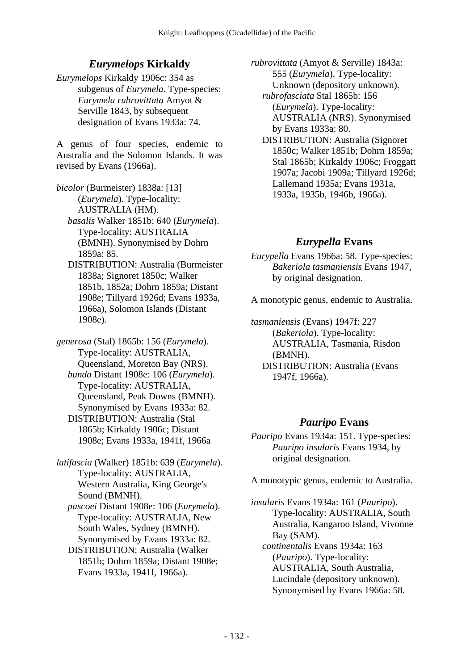## *Eurymelops* **Kirkaldy**

*Eurymelops* Kirkaldy 1906c: 354 as subgenus of *Eurymela*. Type-species: *Eurymela rubrovittata* Amyot & Serville 1843, by subsequent designation of Evans 1933a: 74.

A genus of four species, endemic to Australia and the Solomon Islands. It was revised by Evans (1966a).

*bicolor* (Burmeister) 1838a: [13] (*Eurymela*). Type-locality: AUSTRALIA (HM).  *basalis* Walker 1851b: 640 (*Eurymela*). Type-locality: AUSTRALIA (BMNH). Synonymised by Dohrn 1859a: 85.

 DISTRIBUTION: Australia (Burmeister 1838a; Signoret 1850c; Walker 1851b, 1852a; Dohrn 1859a; Distant 1908e; Tillyard 1926d; Evans 1933a, 1966a), Solomon Islands (Distant 1908e).

*generosa* (Stal) 1865b: 156 (*Eurymela*). Type-locality: AUSTRALIA, Queensland, Moreton Bay (NRS).  *bunda* Distant 1908e: 106 (*Eurymela*). Type-locality: AUSTRALIA, Queensland, Peak Downs (BMNH). Synonymised by Evans 1933a: 82. DISTRIBUTION: Australia (Stal 1865b; Kirkaldy 1906c; Distant 1908e; Evans 1933a, 1941f, 1966a

*latifascia* (Walker) 1851b: 639 (*Eurymela*). Type-locality: AUSTRALIA, Western Australia, King George's Sound (BMNH).

 *pascoei* Distant 1908e: 106 (*Eurymela*). Type-locality: AUSTRALIA, New South Wales, Sydney (BMNH). Synonymised by Evans 1933a: 82.

 DISTRIBUTION: Australia (Walker 1851b; Dohrn 1859a; Distant 1908e; Evans 1933a, 1941f, 1966a).

*rubrovittata* (Amyot & Serville) 1843a: 555 (*Eurymela*). Type-locality: Unknown (depository unknown).

 *rubrofasciata* Stal 1865b: 156 (*Eurymela*). Type-locality: AUSTRALIA (NRS). Synonymised by Evans 1933a: 80.

 DISTRIBUTION: Australia (Signoret 1850c; Walker 1851b; Dohrn 1859a; Stal 1865b; Kirkaldy 1906c; Froggatt 1907a; Jacobi 1909a; Tillyard 1926d; Lallemand 1935a; Evans 1931a, 1933a, 1935b, 1946b, 1966a).

# *Eurypella* **Evans**

*Eurypella* Evans 1966a: 58. Type-species: *Bakeriola tasmaniensis* Evans 1947, by original designation.

A monotypic genus, endemic to Australia.

*tasmaniensis* (Evans) 1947f: 227 (*Bakeriola*). Type-locality: AUSTRALIA, Tasmania, Risdon (BMNH). DISTRIBUTION: Australia (Evans 1947f, 1966a).

## *Pauripo* **Evans**

*Pauripo* Evans 1934a: 151. Type-species: *Pauripo insularis* Evans 1934, by original designation.

A monotypic genus, endemic to Australia.

*insularis* Evans 1934a: 161 (*Pauripo*). Type-locality: AUSTRALIA, South Australia, Kangaroo Island, Vivonne Bay (SAM).  *continentalis* Evans 1934a: 163 (*Pauripo*). Type-locality: AUSTRALIA, South Australia, Lucindale (depository unknown). Synonymised by Evans 1966a: 58.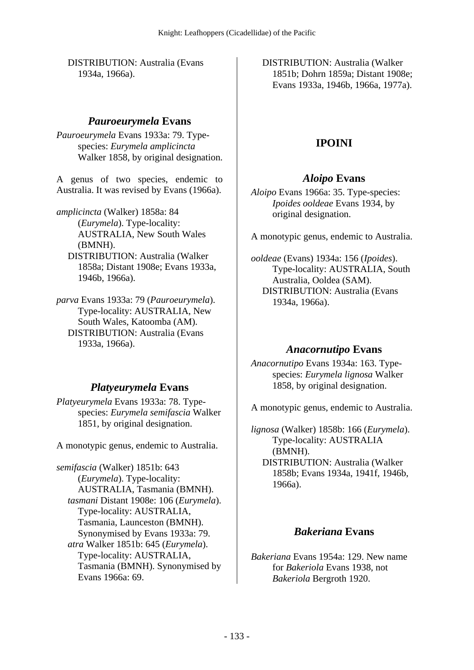DISTRIBUTION: Australia (Evans 1934a, 1966a).

### *Pauroeurymela* **Evans**

*Pauroeurymela* Evans 1933a: 79. Typespecies: *Eurymela amplicincta* Walker 1858, by original designation.

A genus of two species, endemic to Australia. It was revised by Evans (1966a).

*amplicincta* (Walker) 1858a: 84 (*Eurymela*). Type-locality: AUSTRALIA, New South Wales (BMNH). DISTRIBUTION: Australia (Walker 1858a; Distant 1908e; Evans 1933a, 1946b, 1966a).

*parva* Evans 1933a: 79 (*Pauroeurymela*). Type-locality: AUSTRALIA, New South Wales, Katoomba (AM). DISTRIBUTION: Australia (Evans 1933a, 1966a).

## *Platyeurymela* **Evans**

*Platyeurymela* Evans 1933a: 78. Typespecies: *Eurymela semifascia* Walker 1851, by original designation.

A monotypic genus, endemic to Australia.

*semifascia* (Walker) 1851b: 643 (*Eurymela*). Type-locality: AUSTRALIA, Tasmania (BMNH).  *tasmani* Distant 1908e: 106 (*Eurymela*). Type-locality: AUSTRALIA, Tasmania, Launceston (BMNH). Synonymised by Evans 1933a: 79.  *atra* Walker 1851b: 645 (*Eurymela*). Type-locality: AUSTRALIA, Tasmania (BMNH). Synonymised by Evans 1966a: 69.

 DISTRIBUTION: Australia (Walker 1851b; Dohrn 1859a; Distant 1908e; Evans 1933a, 1946b, 1966a, 1977a).

# **IPOINI**

## *Aloipo* **Evans**

*Aloipo* Evans 1966a: 35. Type-species: *Ipoides ooldeae* Evans 1934, by original designation.

A monotypic genus, endemic to Australia.

*ooldeae* (Evans) 1934a: 156 (*Ipoides*). Type-locality: AUSTRALIA, South Australia, Ooldea (SAM). DISTRIBUTION: Australia (Evans 1934a, 1966a).

### *Anacornutipo* **Evans**

*Anacornutipo* Evans 1934a: 163. Typespecies: *Eurymela lignosa* Walker 1858, by original designation.

A monotypic genus, endemic to Australia.

*lignosa* (Walker) 1858b: 166 (*Eurymela*). Type-locality: AUSTRALIA (BMNH). DISTRIBUTION: Australia (Walker 1858b; Evans 1934a, 1941f, 1946b, 1966a).

# *Bakeriana* **Evans**

*Bakeriana* Evans 1954a: 129. New name for *Bakeriola* Evans 1938, not *Bakeriola* Bergroth 1920.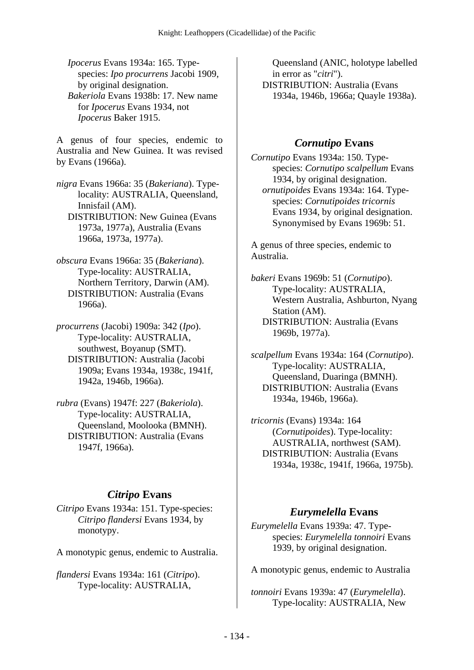*Ipocerus* Evans 1934a: 165. Typespecies: *Ipo procurrens* Jacobi 1909, by original designation.  *Bakeriola* Evans 1938b: 17. New name for *Ipocerus* Evans 1934, not *Ipocerus* Baker 1915.

A genus of four species, endemic to Australia and New Guinea. It was revised by Evans (1966a).

*nigra* Evans 1966a: 35 (*Bakeriana*). Typelocality: AUSTRALIA, Queensland, Innisfail (AM). DISTRIBUTION: New Guinea (Evans 1973a, 1977a), Australia (Evans 1966a, 1973a, 1977a).

*obscura* Evans 1966a: 35 (*Bakeriana*). Type-locality: AUSTRALIA, Northern Territory, Darwin (AM). DISTRIBUTION: Australia (Evans 1966a).

*procurrens* (Jacobi) 1909a: 342 (*Ipo*). Type-locality: AUSTRALIA, southwest, Boyanup (SMT). DISTRIBUTION: Australia (Jacobi 1909a; Evans 1934a, 1938c, 1941f, 1942a, 1946b, 1966a).

*rubra* (Evans) 1947f: 227 (*Bakeriola*). Type-locality: AUSTRALIA, Queensland, Moolooka (BMNH). DISTRIBUTION: Australia (Evans 1947f, 1966a).

## *Citripo* **Evans**

*Citripo* Evans 1934a: 151. Type-species: *Citripo flandersi* Evans 1934, by monotypy.

A monotypic genus, endemic to Australia.

*flandersi* Evans 1934a: 161 (*Citripo*). Type-locality: AUSTRALIA,

Queensland (ANIC, holotype labelled in error as "*citri*"). DISTRIBUTION: Australia (Evans 1934a, 1946b, 1966a; Quayle 1938a).

## *Cornutipo* **Evans**

*Cornutipo* Evans 1934a: 150. Typespecies: *Cornutipo scalpellum* Evans 1934, by original designation.  *ornutipoides* Evans 1934a: 164. Typespecies: *Cornutipoides tricornis* Evans 1934, by original designation. Synonymised by Evans 1969b: 51.

A genus of three species, endemic to Australia.

*bakeri* Evans 1969b: 51 (*Cornutipo*). Type-locality: AUSTRALIA, Western Australia, Ashburton, Nyang Station (AM). DISTRIBUTION: Australia (Evans 1969b, 1977a).

*scalpellum* Evans 1934a: 164 (*Cornutipo*). Type-locality: AUSTRALIA, Queensland, Duaringa (BMNH). DISTRIBUTION: Australia (Evans 1934a, 1946b, 1966a).

*tricornis* (Evans) 1934a: 164 (*Cornutipoides*). Type-locality: AUSTRALIA, northwest (SAM). DISTRIBUTION: Australia (Evans 1934a, 1938c, 1941f, 1966a, 1975b).

# *Eurymelella* **Evans**

*Eurymelella* Evans 1939a: 47. Typespecies: *Eurymelella tonnoiri* Evans 1939, by original designation.

A monotypic genus, endemic to Australia

*tonnoiri* Evans 1939a: 47 (*Eurymelella*). Type-locality: AUSTRALIA, New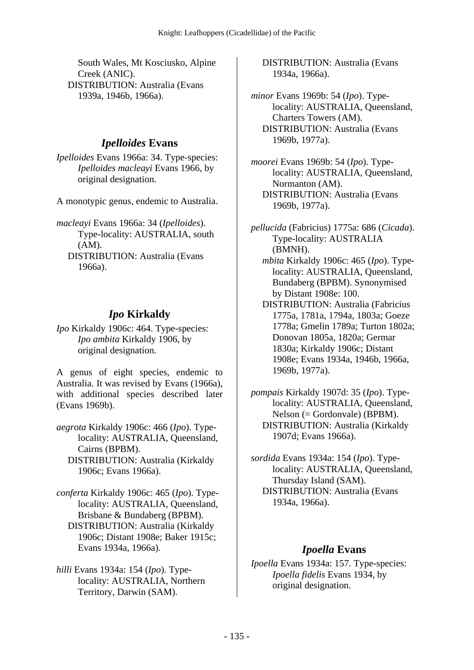South Wales, Mt Kosciusko, Alpine Creek (ANIC). DISTRIBUTION: Australia (Evans 1939a, 1946b, 1966a).

### *Ipelloides* **Evans**

*Ipelloides* Evans 1966a: 34. Type-species: *Ipelloides macleayi* Evans 1966, by original designation.

A monotypic genus, endemic to Australia.

*macleayi* Evans 1966a: 34 (*Ipelloides*). Type-locality: AUSTRALIA, south (AM). DISTRIBUTION: Australia (Evans 1966a).

## *Ipo* **Kirkaldy**

*Ipo* Kirkaldy 1906c: 464. Type-species: *Ipo ambita* Kirkaldy 1906, by original designation.

A genus of eight species, endemic to Australia. It was revised by Evans (1966a), with additional species described later (Evans 1969b).

- *aegrota* Kirkaldy 1906c: 466 (*Ipo*). Typelocality: AUSTRALIA, Queensland, Cairns (BPBM). DISTRIBUTION: Australia (Kirkaldy
	- 1906c; Evans 1966a).

*conferta* Kirkaldy 1906c: 465 (*Ipo*). Typelocality: AUSTRALIA, Queensland, Brisbane & Bundaberg (BPBM). DISTRIBUTION: Australia (Kirkaldy 1906c; Distant 1908e; Baker 1915c; Evans 1934a, 1966a).

*hilli* Evans 1934a: 154 (*Ipo*). Typelocality: AUSTRALIA, Northern Territory, Darwin (SAM).

 DISTRIBUTION: Australia (Evans 1934a, 1966a).

*minor* Evans 1969b: 54 (*Ipo*). Typelocality: AUSTRALIA, Queensland, Charters Towers (AM). DISTRIBUTION: Australia (Evans 1969b, 1977a).

*moorei* Evans 1969b: 54 (*Ipo*). Typelocality: AUSTRALIA, Queensland, Normanton (AM). DISTRIBUTION: Australia (Evans 1969b, 1977a).

*pellucida* (Fabricius) 1775a: 686 (*Cicada*). Type-locality: AUSTRALIA (BMNH).

 *mbita* Kirkaldy 1906c: 465 (*Ipo*). Typelocality: AUSTRALIA, Queensland, Bundaberg (BPBM). Synonymised by Distant 1908e: 100.

- DISTRIBUTION: Australia (Fabricius 1775a, 1781a, 1794a, 1803a; Goeze 1778a; Gmelin 1789a; Turton 1802a; Donovan 1805a, 1820a; Germar 1830a; Kirkaldy 1906c; Distant 1908e; Evans 1934a, 1946b, 1966a, 1969b, 1977a).
- *pompais* Kirkaldy 1907d: 35 (*Ipo*). Typelocality: AUSTRALIA, Queensland, Nelson (= Gordonvale) (BPBM). DISTRIBUTION: Australia (Kirkaldy 1907d; Evans 1966a).
- *sordida* Evans 1934a: 154 (*Ipo*). Typelocality: AUSTRALIA, Queensland, Thursday Island (SAM). DISTRIBUTION: Australia (Evans 1934a, 1966a).

### *Ipoella* **Evans**

*Ipoella* Evans 1934a: 157. Type-species: *Ipoella fidelis* Evans 1934, by original designation.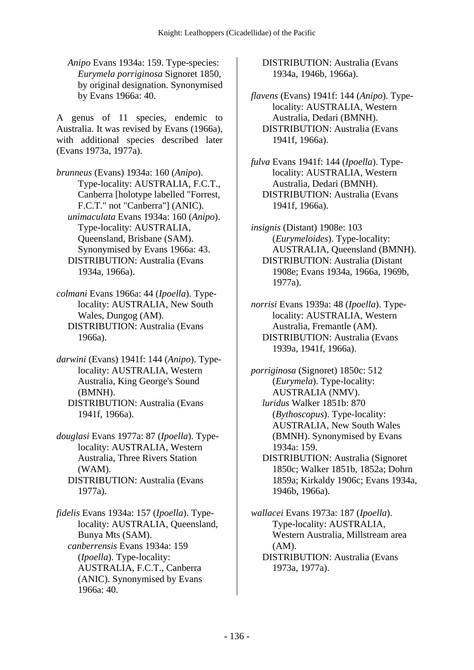*Anipo* Evans 1934a: 159. Type-species: *Eurymela porriginosa* Signoret 1850, by original designation. Synonymised by Evans 1966a: 40.

A genus of 11 species, endemic to Australia. It was revised by Evans (1966a), with additional species described later (Evans 1973a, 1977a).

*brunneus* (Evans) 1934a: 160 (*Anipo*). Type-locality: AUSTRALIA, F.C.T., Canberra [holotype labelled "Forrest, F.C.T." not "Canberra"] (ANIC).  *unimaculata* Evans 1934a: 160 (*Anipo*). Type-locality: AUSTRALIA, Queensland, Brisbane (SAM). Synonymised by Evans 1966a: 43. DISTRIBUTION: Australia (Evans 1934a, 1966a).

- *colmani* Evans 1966a: 44 (*Ipoella*). Typelocality: AUSTRALIA, New South Wales, Dungog (AM). DISTRIBUTION: Australia (Evans 1966a).
- *darwini* (Evans) 1941f: 144 (*Anipo*). Typelocality: AUSTRALIA, Western Australia, King George's Sound (BMNH). DISTRIBUTION: Australia (Evans 1941f, 1966a).
- *douglasi* Evans 1977a: 87 (*Ipoella*). Typelocality: AUSTRALIA, Western Australia, Three Rivers Station (WAM). DISTRIBUTION: Australia (Evans 1977a).

*fidelis* Evans 1934a: 157 (*Ipoella*). Typelocality: AUSTRALIA, Queensland, Bunya Mts (SAM).  *canberrensis* Evans 1934a: 159 (*Ipoella*). Type-locality: AUSTRALIA, F.C.T., Canberra (ANIC). Synonymised by Evans 1966a: 40.

 DISTRIBUTION: Australia (Evans 1934a, 1946b, 1966a).

- *flavens* (Evans) 1941f: 144 (*Anipo*). Typelocality: AUSTRALIA, Western Australia, Dedari (BMNH). DISTRIBUTION: Australia (Evans 1941f, 1966a).
- *fulva* Evans 1941f: 144 (*Ipoella*). Typelocality: AUSTRALIA, Western Australia, Dedari (BMNH). DISTRIBUTION: Australia (Evans 1941f, 1966a).
- *insignis* (Distant) 1908e: 103 (*Eurymeloides*). Type-locality: AUSTRALIA, Queensland (BMNH). DISTRIBUTION: Australia (Distant 1908e; Evans 1934a, 1966a, 1969b, 1977a).

*norrisi* Evans 1939a: 48 (*Ipoella*). Typelocality: AUSTRALIA, Western Australia, Fremantle (AM). DISTRIBUTION: Australia (Evans 1939a, 1941f, 1966a).

*porriginosa* (Signoret) 1850c: 512 (*Eurymela*). Type-locality: AUSTRALIA (NMV).  *luridus* Walker 1851b: 870 (*Bythoscopus*). Type-locality: AUSTRALIA, New South Wales (BMNH). Synonymised by Evans 1934a: 159. DISTRIBUTION: Australia (Signoret

1850c; Walker 1851b, 1852a; Dohrn 1859a; Kirkaldy 1906c; Evans 1934a, 1946b, 1966a).

*wallacei* Evans 1973a: 187 (*Ipoella*). Type-locality: AUSTRALIA, Western Australia, Millstream area (AM). DISTRIBUTION: Australia (Evans 1973a, 1977a).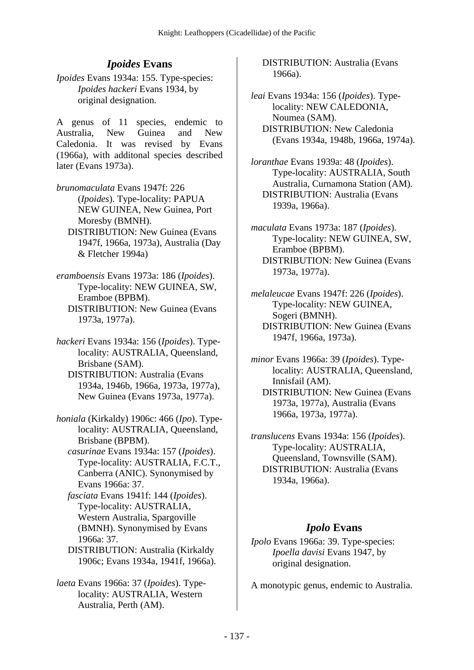# *Ipoides* **Evans**

*Ipoides* Evans 1934a: 155. Type-species: *Ipoides hackeri* Evans 1934, by original designation.

A genus of 11 species, endemic to Australia, New Guinea and New Caledonia. It was revised by Evans (1966a), with additonal species described later (Evans 1973a).

*brunomaculata* Evans 1947f: 226 (*Ipoides*). Type-locality: PAPUA NEW GUINEA, New Guinea, Port Moresby (BMNH). DISTRIBUTION: New Guinea (Evans

1947f, 1966a, 1973a), Australia (Day & Fletcher 1994a)

*eramboensis* Evans 1973a: 186 (*Ipoides*). Type-locality: NEW GUINEA, SW, Eramboe (BPBM). DISTRIBUTION: New Guinea (Evans 1973a, 1977a).

*hackeri* Evans 1934a: 156 (*Ipoides*). Typelocality: AUSTRALIA, Queensland, Brisbane (SAM). DISTRIBUTION: Australia (Evans 1934a, 1946b, 1966a, 1973a, 1977a), New Guinea (Evans 1973a, 1977a).

*honiala* (Kirkaldy) 1906c: 466 (*Ipo*). Typelocality: AUSTRALIA, Queensland, Brisbane (BPBM).

 *casurinae* Evans 1934a: 157 (*Ipoides*). Type-locality: AUSTRALIA, F.C.T., Canberra (ANIC). Synonymised by Evans 1966a: 37.

 *fasciata* Evans 1941f: 144 (*Ipoides*). Type-locality: AUSTRALIA, Western Australia, Spargoville (BMNH). Synonymised by Evans 1966a: 37.

 DISTRIBUTION: Australia (Kirkaldy 1906c; Evans 1934a, 1941f, 1966a).

*laeta* Evans 1966a: 37 (*Ipoides*). Typelocality: AUSTRALIA, Western Australia, Perth (AM).

 DISTRIBUTION: Australia (Evans 1966a).

*leai* Evans 1934a: 156 (*Ipoides*). Typelocality: NEW CALEDONIA, Noumea (SAM). DISTRIBUTION: New Caledonia (Evans 1934a, 1948b, 1966a, 1974a).

*loranthae* Evans 1939a: 48 (*Ipoides*). Type-locality: AUSTRALIA, South Australia, Curnamona Station (AM). DISTRIBUTION: Australia (Evans 1939a, 1966a).

*maculata* Evans 1973a: 187 (*Ipoides*). Type-locality: NEW GUINEA, SW, Eramboe (BPBM). DISTRIBUTION: New Guinea (Evans 1973a, 1977a).

*melaleucae* Evans 1947f: 226 (*Ipoides*). Type-locality: NEW GUINEA, Sogeri (BMNH). DISTRIBUTION: New Guinea (Evans 1947f, 1966a, 1973a).

*minor* Evans 1966a: 39 (*Ipoides*). Typelocality: AUSTRALIA, Queensland, Innisfail (AM). DISTRIBUTION: New Guinea (Evans 1973a, 1977a), Australia (Evans 1966a, 1973a, 1977a).

*translucens* Evans 1934a: 156 (*Ipoides*). Type-locality: AUSTRALIA, Queensland, Townsville (SAM). DISTRIBUTION: Australia (Evans 1934a, 1966a).

## *Ipolo* **Evans**

*Ipolo* Evans 1966a: 39. Type-species: *Ipoella davisi* Evans 1947, by original designation.

A monotypic genus, endemic to Australia.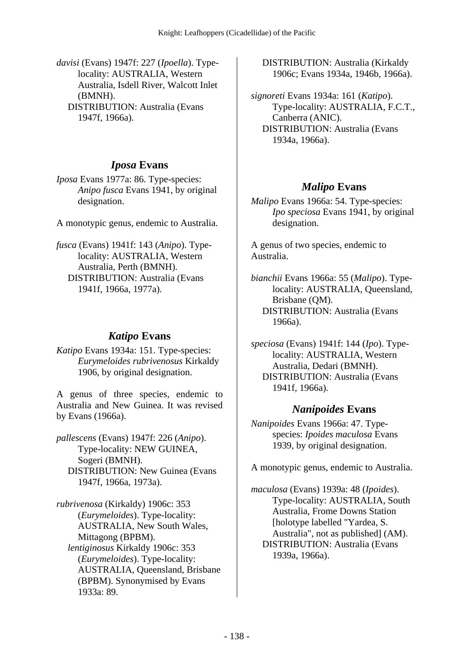*davisi* (Evans) 1947f: 227 (*Ipoella*). Typelocality: AUSTRALIA, Western Australia, Isdell River, Walcott Inlet (BMNH). DISTRIBUTION: Australia (Evans 1947f, 1966a).

## *Iposa* **Evans**

*Iposa* Evans 1977a: 86. Type-species: *Anipo fusca* Evans 1941, by original designation.

A monotypic genus, endemic to Australia.

*fusca* (Evans) 1941f: 143 (*Anipo*). Typelocality: AUSTRALIA, Western Australia, Perth (BMNH). DISTRIBUTION: Australia (Evans 1941f, 1966a, 1977a).

### *Katipo* **Evans**

*Katipo* Evans 1934a: 151. Type-species: *Eurymeloides rubrivenosus* Kirkaldy 1906, by original designation.

A genus of three species, endemic to Australia and New Guinea. It was revised by Evans (1966a).

*pallescens* (Evans) 1947f: 226 (*Anipo*). Type-locality: NEW GUINEA, Sogeri (BMNH). DISTRIBUTION: New Guinea (Evans 1947f, 1966a, 1973a).

*rubrivenosa* (Kirkaldy) 1906c: 353 (*Eurymeloides*). Type-locality: AUSTRALIA, New South Wales, Mittagong (BPBM).  *lentiginosus* Kirkaldy 1906c: 353 (*Eurymeloides*). Type-locality: AUSTRALIA, Queensland, Brisbane (BPBM). Synonymised by Evans 1933a: 89.

 DISTRIBUTION: Australia (Kirkaldy 1906c; Evans 1934a, 1946b, 1966a).

*signoreti* Evans 1934a: 161 (*Katipo*). Type-locality: AUSTRALIA, F.C.T., Canberra (ANIC). DISTRIBUTION: Australia (Evans 1934a, 1966a).

# *Malipo* **Evans**

*Malipo* Evans 1966a: 54. Type-species: *Ipo speciosa* Evans 1941, by original designation.

A genus of two species, endemic to Australia.

*bianchii* Evans 1966a: 55 (*Malipo*). Typelocality: AUSTRALIA, Queensland, Brisbane (QM). DISTRIBUTION: Australia (Evans 1966a).

*speciosa* (Evans) 1941f: 144 (*Ipo*). Typelocality: AUSTRALIA, Western Australia, Dedari (BMNH). DISTRIBUTION: Australia (Evans 1941f, 1966a).

## *Nanipoides* **Evans**

*Nanipoides* Evans 1966a: 47. Typespecies: *Ipoides maculosa* Evans 1939, by original designation.

A monotypic genus, endemic to Australia.

*maculosa* (Evans) 1939a: 48 (*Ipoides*). Type-locality: AUSTRALIA, South Australia, Frome Downs Station [holotype labelled "Yardea, S. Australia", not as published] (AM). DISTRIBUTION: Australia (Evans 1939a, 1966a).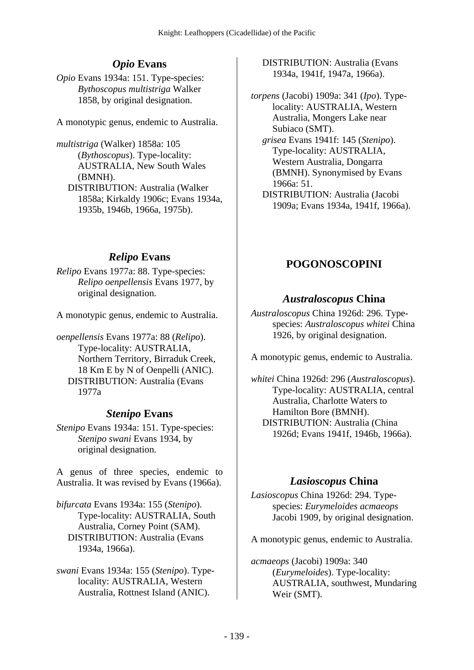# *Opio* **Evans**

*Opio* Evans 1934a: 151. Type-species: *Bythoscopus multistriga* Walker 1858, by original designation.

A monotypic genus, endemic to Australia.

*multistriga* (Walker) 1858a: 105 (*Bythoscopus*). Type-locality: AUSTRALIA, New South Wales (BMNH). DISTRIBUTION: Australia (Walker 1858a; Kirkaldy 1906c; Evans 1934a, 1935b, 1946b, 1966a, 1975b).

# *Relipo* **Evans**

*Relipo* Evans 1977a: 88. Type-species: *Relipo oenpellensis* Evans 1977, by original designation.

A monotypic genus, endemic to Australia.

*oenpellensis* Evans 1977a: 88 (*Relipo*). Type-locality: AUSTRALIA, Northern Territory, Birraduk Creek, 18 Km E by N of Oenpelli (ANIC). DISTRIBUTION: Australia (Evans 1977a

## *Stenipo* **Evans**

*Stenipo* Evans 1934a: 151. Type-species: *Stenipo swani* Evans 1934, by original designation.

A genus of three species, endemic to Australia. It was revised by Evans (1966a).

*bifurcata* Evans 1934a: 155 (*Stenipo*). Type-locality: AUSTRALIA, South Australia, Corney Point (SAM). DISTRIBUTION: Australia (Evans 1934a, 1966a).

*swani* Evans 1934a: 155 (*Stenipo*). Typelocality: AUSTRALIA, Western Australia, Rottnest Island (ANIC).

 DISTRIBUTION: Australia (Evans 1934a, 1941f, 1947a, 1966a).

*torpens* (Jacobi) 1909a: 341 (*Ipo*). Typelocality: AUSTRALIA, Western Australia, Mongers Lake near Subiaco (SMT).

 *grisea* Evans 1941f: 145 (*Stenipo*). Type-locality: AUSTRALIA, Western Australia, Dongarra (BMNH). Synonymised by Evans 1966a: 51.

 DISTRIBUTION: Australia (Jacobi 1909a; Evans 1934a, 1941f, 1966a).

# **POGONOSCOPINI**

## *Australoscopus* **China**

*Australoscopus* China 1926d: 296. Typespecies: *Australoscopus whitei* China 1926, by original designation.

A monotypic genus, endemic to Australia.

*whitei* China 1926d: 296 (*Australoscopus*). Type-locality: AUSTRALIA, central Australia, Charlotte Waters to Hamilton Bore (BMNH). DISTRIBUTION: Australia (China 1926d; Evans 1941f, 1946b, 1966a).

# *Lasioscopus* **China**

*Lasioscopus* China 1926d: 294. Typespecies: *Eurymeloides acmaeops* Jacobi 1909, by original designation.

A monotypic genus, endemic to Australia.

*acmaeops* (Jacobi) 1909a: 340 (*Eurymeloides*). Type-locality: AUSTRALIA, southwest, Mundaring Weir (SMT).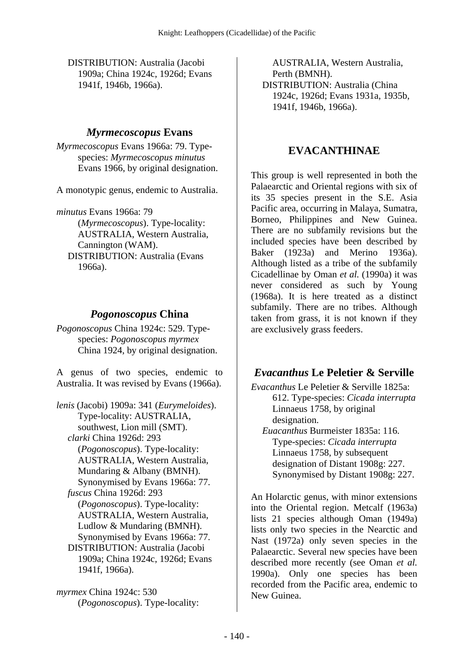DISTRIBUTION: Australia (Jacobi 1909a; China 1924c, 1926d; Evans 1941f, 1946b, 1966a).

#### *Myrmecoscopus* **Evans**

*Myrmecoscopus* Evans 1966a: 79. Typespecies: *Myrmecoscopus minutus* Evans 1966, by original designation.

A monotypic genus, endemic to Australia.

*minutus* Evans 1966a: 79 (*Myrmecoscopus*). Type-locality: AUSTRALIA, Western Australia, Cannington (WAM). DISTRIBUTION: Australia (Evans 1966a).

#### *Pogonoscopus* **China**

*Pogonoscopus* China 1924c: 529. Typespecies: *Pogonoscopus myrmex* China 1924, by original designation.

A genus of two species, endemic to Australia. It was revised by Evans (1966a).

*lenis* (Jacobi) 1909a: 341 (*Eurymeloides*). Type-locality: AUSTRALIA, southwest, Lion mill (SMT).  *clarki* China 1926d: 293 (*Pogonoscopus*). Type-locality: AUSTRALIA, Western Australia, Mundaring & Albany (BMNH). Synonymised by Evans 1966a: 77.  *fuscus* China 1926d: 293 (*Pogonoscopus*). Type-locality: AUSTRALIA, Western Australia, Ludlow & Mundaring (BMNH). Synonymised by Evans 1966a: 77. DISTRIBUTION: Australia (Jacobi 1909a; China 1924c, 1926d; Evans 1941f, 1966a).

*myrmex* China 1924c: 530 (*Pogonoscopus*). Type-locality:

AUSTRALIA, Western Australia, Perth (BMNH). DISTRIBUTION: Australia (China 1924c, 1926d; Evans 1931a, 1935b, 1941f, 1946b, 1966a).

#### **EVACANTHINAE**

This group is well represented in both the Palaearctic and Oriental regions with six of its 35 species present in the S.E. Asia Pacific area, occurring in Malaya, Sumatra, Borneo, Philippines and New Guinea. There are no subfamily revisions but the included species have been described by Baker (1923a) and Merino 1936a). Although listed as a tribe of the subfamily Cicadellinae by Oman *et al.* (1990a) it was never considered as such by Young (1968a). It is here treated as a distinct subfamily. There are no tribes. Although taken from grass, it is not known if they are exclusively grass feeders.

#### *Evacanthus* **Le Peletier & Serville**

*Evacanthus* Le Peletier & Serville 1825a: 612. Type-species: *Cicada interrupta* Linnaeus 1758, by original designation.  *Euacanthus* Burmeister 1835a: 116.

Type-species: *Cicada interrupta* Linnaeus 1758, by subsequent designation of Distant 1908g: 227. Synonymised by Distant 1908g: 227.

An Holarctic genus, with minor extensions into the Oriental region. Metcalf (1963a) lists 21 species although Oman (1949a) lists only two species in the Nearctic and Nast (1972a) only seven species in the Palaearctic. Several new species have been described more recently (see Oman *et al.* 1990a). Only one species has been recorded from the Pacific area, endemic to New Guinea.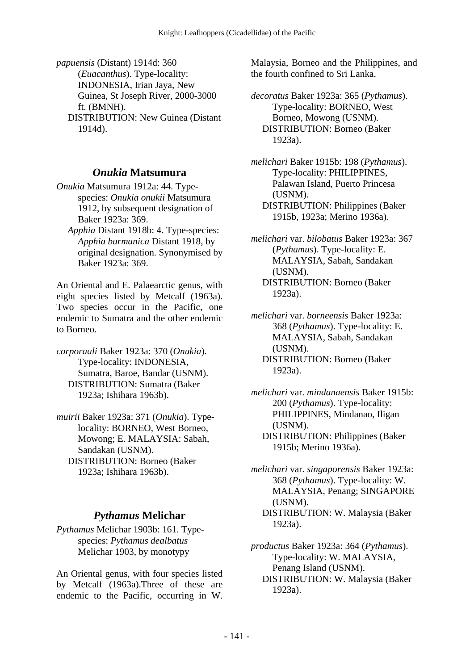*papuensis* (Distant) 1914d: 360 (*Euacanthus*). Type-locality: INDONESIA, Irian Jaya, New Guinea, St Joseph River, 2000-3000 ft. (BMNH). DISTRIBUTION: New Guinea (Distant

1914d).

### *Onukia* **Matsumura**

*Onukia* Matsumura 1912a: 44. Typespecies: *Onukia onukii* Matsumura 1912, by subsequent designation of Baker 1923a: 369.

 *Apphia* Distant 1918b: 4. Type-species: *Apphia burmanica* Distant 1918, by original designation. Synonymised by Baker 1923a: 369.

An Oriental and E. Palaearctic genus, with eight species listed by Metcalf (1963a). Two species occur in the Pacific, one endemic to Sumatra and the other endemic to Borneo.

*corporaali* Baker 1923a: 370 (*Onukia*). Type-locality: INDONESIA, Sumatra, Baroe, Bandar (USNM). DISTRIBUTION: Sumatra (Baker 1923a; Ishihara 1963b).

*muirii* Baker 1923a: 371 (*Onukia*). Typelocality: BORNEO, West Borneo, Mowong; E. MALAYSIA: Sabah, Sandakan (USNM). DISTRIBUTION: Borneo (Baker 1923a; Ishihara 1963b).

# *Pythamus* **Melichar**

*Pythamus* Melichar 1903b: 161. Typespecies: *Pythamus dealbatus* Melichar 1903, by monotypy

An Oriental genus, with four species listed by Metcalf (1963a).Three of these are endemic to the Pacific, occurring in W.

Malaysia, Borneo and the Philippines, and the fourth confined to Sri Lanka.

*decoratus* Baker 1923a: 365 (*Pythamus*). Type-locality: BORNEO, West Borneo, Mowong (USNM). DISTRIBUTION: Borneo (Baker 1923a).

*melichari* Baker 1915b: 198 (*Pythamus*). Type-locality: PHILIPPINES, Palawan Island, Puerto Princesa (USNM). DISTRIBUTION: Philippines (Baker 1915b, 1923a; Merino 1936a).

*melichari* var. *bilobatus* Baker 1923a: 367 (*Pythamus*). Type-locality: E. MALAYSIA, Sabah, Sandakan (USNM). DISTRIBUTION: Borneo (Baker 1923a).

*melichari* var. *borneensis* Baker 1923a: 368 (*Pythamus*). Type-locality: E. MALAYSIA, Sabah, Sandakan (USNM). DISTRIBUTION: Borneo (Baker 1923a).

*melichari* var. *mindanaensis* Baker 1915b: 200 (*Pythamus*). Type-locality: PHILIPPINES, Mindanao, Iligan (USNM). DISTRIBUTION: Philippines (Baker 1915b; Merino 1936a).

*melichari* var. *singaporensis* Baker 1923a: 368 (*Pythamus*). Type-locality: W. MALAYSIA, Penang; SINGAPORE (USNM).

 DISTRIBUTION: W. Malaysia (Baker 1923a).

*productus* Baker 1923a: 364 (*Pythamus*). Type-locality: W. MALAYSIA, Penang Island (USNM). DISTRIBUTION: W. Malaysia (Baker 1923a).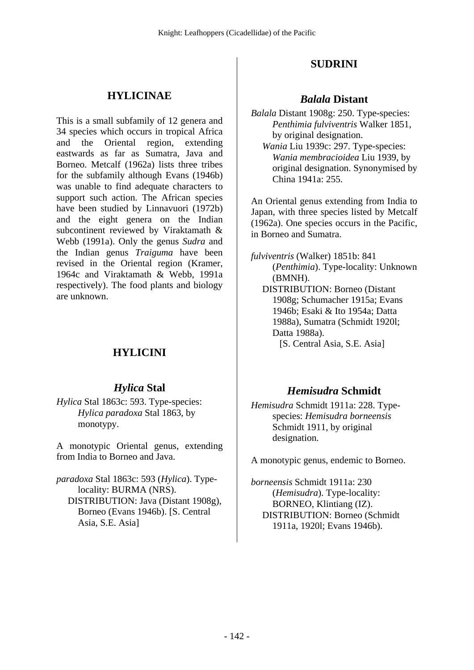#### **HYLICINAE**

This is a small subfamily of 12 genera and 34 species which occurs in tropical Africa and the Oriental region, extending eastwards as far as Sumatra, Java and Borneo. Metcalf (1962a) lists three tribes for the subfamily although Evans (1946b) was unable to find adequate characters to support such action. The African species have been studied by Linnavuori (1972b) and the eight genera on the Indian subcontinent reviewed by Viraktamath & Webb (1991a). Only the genus *Sudra* and the Indian genus *Traiguma* have been revised in the Oriental region (Kramer, 1964c and Viraktamath & Webb, 1991a respectively). The food plants and biology are unknown.

# **HYLICINI**

#### *Hylica* **Stal**

*Hylica* Stal 1863c: 593. Type-species: *Hylica paradoxa* Stal 1863, by monotypy.

A monotypic Oriental genus, extending from India to Borneo and Java.

*paradoxa* Stal 1863c: 593 (*Hylica*). Typelocality: BURMA (NRS). DISTRIBUTION: Java (Distant 1908g), Borneo (Evans 1946b). [S. Central Asia, S.E. Asia]

#### **SUDRINI**

#### *Balala* **Distant**

*Balala* Distant 1908g: 250. Type-species: *Penthimia fulviventris* Walker 1851, by original designation.  *Wania* Liu 1939c: 297. Type-species: *Wania membracioidea* Liu 1939, by original designation. Synonymised by

China 1941a: 255.

An Oriental genus extending from India to Japan, with three species listed by Metcalf (1962a). One species occurs in the Pacific, in Borneo and Sumatra.

*fulviventris* (Walker) 1851b: 841 (*Penthimia*). Type-locality: Unknown (BMNH). DISTRIBUTION: Borneo (Distant 1908g; Schumacher 1915a; Evans 1946b; Esaki & Ito 1954a; Datta 1988a), Sumatra (Schmidt 1920l; Datta 1988a). [S. Central Asia, S.E. Asia]

#### *Hemisudra* **Schmidt**

*Hemisudra* Schmidt 1911a: 228. Typespecies: *Hemisudra borneensis* Schmidt 1911, by original designation.

A monotypic genus, endemic to Borneo.

*borneensis* Schmidt 1911a: 230 (*Hemisudra*). Type-locality: BORNEO, Klintiang (IZ). DISTRIBUTION: Borneo (Schmidt 1911a, 1920l; Evans 1946b).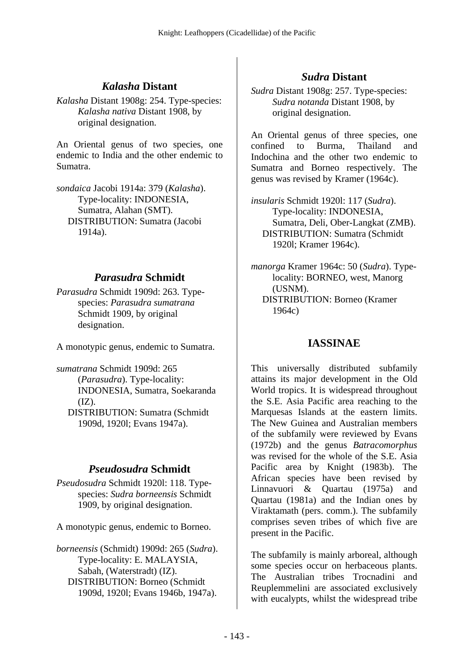#### *Kalasha* **Distant**

*Kalasha* Distant 1908g: 254. Type-species: *Kalasha nativa* Distant 1908, by original designation.

An Oriental genus of two species, one endemic to India and the other endemic to Sumatra.

*sondaica* Jacobi 1914a: 379 (*Kalasha*). Type-locality: INDONESIA, Sumatra, Alahan (SMT). DISTRIBUTION: Sumatra (Jacobi 1914a).

#### *Parasudra* **Schmidt**

*Parasudra* Schmidt 1909d: 263. Typespecies: *Parasudra sumatrana* Schmidt 1909, by original designation.

A monotypic genus, endemic to Sumatra.

*sumatrana* Schmidt 1909d: 265 (*Parasudra*). Type-locality: INDONESIA, Sumatra, Soekaranda  $(IZ)$ . DISTRIBUTION: Sumatra (Schmidt 1909d, 1920l; Evans 1947a).

#### *Pseudosudra* **Schmidt**

*Pseudosudra* Schmidt 1920l: 118. Typespecies: *Sudra borneensis* Schmidt 1909, by original designation.

A monotypic genus, endemic to Borneo.

*borneensis* (Schmidt) 1909d: 265 (*Sudra*). Type-locality: E. MALAYSIA, Sabah, (Waterstradt) (IZ). DISTRIBUTION: Borneo (Schmidt 1909d, 1920l; Evans 1946b, 1947a).

### *Sudra* **Distant**

*Sudra* Distant 1908g: 257. Type-species: *Sudra notanda* Distant 1908, by original designation.

An Oriental genus of three species, one confined to Burma, Thailand and Indochina and the other two endemic to Sumatra and Borneo respectively. The genus was revised by Kramer (1964c).

*insularis* Schmidt 1920l: 117 (*Sudra*). Type-locality: INDONESIA, Sumatra, Deli, Ober-Langkat (ZMB). DISTRIBUTION: Sumatra (Schmidt 1920l; Kramer 1964c).

*manorga* Kramer 1964c: 50 (*Sudra*). Typelocality: BORNEO, west, Manorg (USNM). DISTRIBUTION: Borneo (Kramer 1964c)

#### **IASSINAE**

This universally distributed subfamily attains its major development in the Old World tropics. It is widespread throughout the S.E. Asia Pacific area reaching to the Marquesas Islands at the eastern limits. The New Guinea and Australian members of the subfamily were reviewed by Evans (1972b) and the genus *Batracomorphus* was revised for the whole of the S.E. Asia Pacific area by Knight (1983b). The African species have been revised by Linnavuori & Quartau (1975a) and Quartau (1981a) and the Indian ones by Viraktamath (pers. comm.). The subfamily comprises seven tribes of which five are present in the Pacific.

The subfamily is mainly arboreal, although some species occur on herbaceous plants. The Australian tribes Trocnadini and Reuplemmelini are associated exclusively with eucalypts, whilst the widespread tribe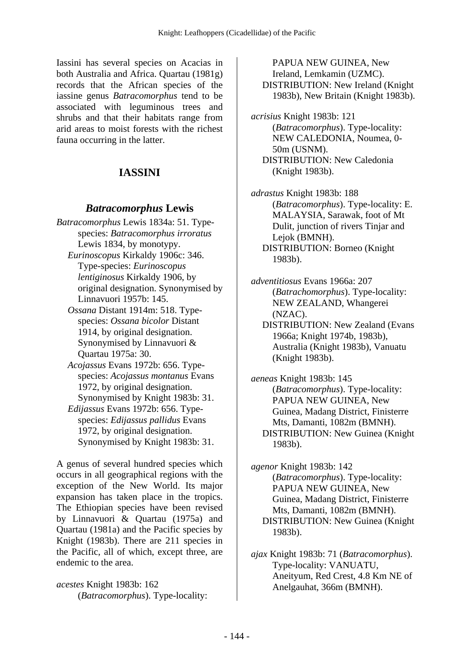Iassini has several species on Acacias in both Australia and Africa. Quartau (1981g) records that the African species of the iassine genus *Batracomorphus* tend to be associated with leguminous trees and shrubs and that their habitats range from arid areas to moist forests with the richest fauna occurring in the latter.

#### **IASSINI**

#### *Batracomorphus* **Lewis**

- *Batracomorphus* Lewis 1834a: 51. Typespecies: *Batracomorphus irroratus* Lewis 1834, by monotypy.  *Eurinoscopus* Kirkaldy 1906c: 346.
	- Type-species: *Eurinoscopus lentiginosus* Kirkaldy 1906, by original designation. Synonymised by Linnavuori 1957b: 145.
	- *Ossana* Distant 1914m: 518. Typespecies: *Ossana bicolor* Distant 1914, by original designation. Synonymised by Linnavuori & Quartau 1975a: 30.
	- *Acojassus* Evans 1972b: 656. Typespecies: *Acojassus montanus* Evans 1972, by original designation. Synonymised by Knight 1983b: 31.
	- *Edijassus* Evans 1972b: 656. Typespecies: *Edijassus pallidus* Evans 1972, by original designation. Synonymised by Knight 1983b: 31.

A genus of several hundred species which occurs in all geographical regions with the exception of the New World. Its major expansion has taken place in the tropics. The Ethiopian species have been revised by Linnavuori & Quartau (1975a) and Quartau (1981a) and the Pacific species by Knight (1983b). There are 211 species in the Pacific, all of which, except three, are endemic to the area.

*acestes* Knight 1983b: 162 (*Batracomorphus*). Type-locality:

PAPUA NEW GUINEA, New Ireland, Lemkamin (UZMC). DISTRIBUTION: New Ireland (Knight 1983b), New Britain (Knight 1983b).

*acrisius* Knight 1983b: 121 (*Batracomorphus*). Type-locality: NEW CALEDONIA, Noumea, 0- 50m (USNM). DISTRIBUTION: New Caledonia (Knight 1983b).

*adrastus* Knight 1983b: 188 (*Batracomorphus*). Type-locality: E. MALAYSIA, Sarawak, foot of Mt Dulit, junction of rivers Tinjar and Lejok (BMNH). DISTRIBUTION: Borneo (Knight 1983b).

*adventitiosus* Evans 1966a: 207 (*Batrachomorphus*). Type-locality: NEW ZEALAND, Whangerei (NZAC). DISTRIBUTION: New Zealand (Evans

1966a; Knight 1974b, 1983b), Australia (Knight 1983b), Vanuatu (Knight 1983b).

*aeneas* Knight 1983b: 145 (*Batracomorphus*). Type-locality: PAPUA NEW GUINEA, New Guinea, Madang District, Finisterre Mts, Damanti, 1082m (BMNH). DISTRIBUTION: New Guinea (Knight 1983b).

*agenor* Knight 1983b: 142 (*Batracomorphus*). Type-locality: PAPUA NEW GUINEA, New Guinea, Madang District, Finisterre Mts, Damanti, 1082m (BMNH). DISTRIBUTION: New Guinea (Knight 1983b).

*ajax* Knight 1983b: 71 (*Batracomorphus*). Type-locality: VANUATU, Aneityum, Red Crest, 4.8 Km NE of Anelgauhat, 366m (BMNH).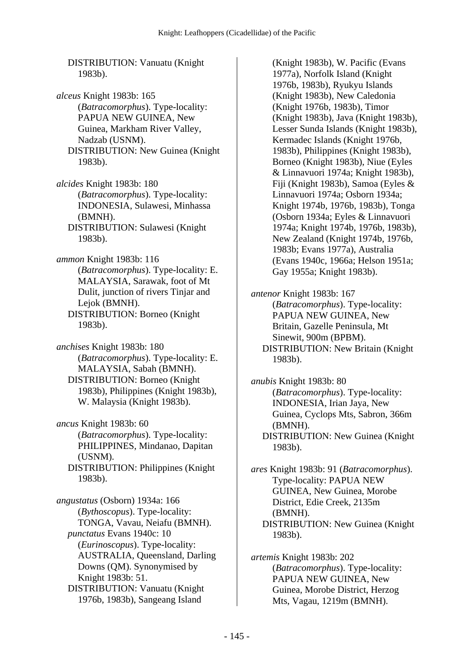DISTRIBUTION: Vanuatu (Knight 1983b).

*alceus* Knight 1983b: 165 (*Batracomorphus*). Type-locality: PAPUA NEW GUINEA, New Guinea, Markham River Valley, Nadzab (USNM). DISTRIBUTION: New Guinea (Knight 1983b).

*alcides* Knight 1983b: 180 (*Batracomorphus*). Type-locality: INDONESIA, Sulawesi, Minhassa (BMNH). DISTRIBUTION: Sulawesi (Knight

1983b).

*ammon* Knight 1983b: 116 (*Batracomorphus*). Type-locality: E. MALAYSIA, Sarawak, foot of Mt Dulit, junction of rivers Tinjar and Lejok (BMNH). DISTRIBUTION: Borneo (Knight 1983b).

*anchises* Knight 1983b: 180 (*Batracomorphus*). Type-locality: E. MALAYSIA, Sabah (BMNH). DISTRIBUTION: Borneo (Knight 1983b), Philippines (Knight 1983b), W. Malaysia (Knight 1983b).

*ancus* Knight 1983b: 60 (*Batracomorphus*). Type-locality: PHILIPPINES, Mindanao, Dapitan (USNM). DISTRIBUTION: Philippines (Knight 1983b).

*angustatus* (Osborn) 1934a: 166 (*Bythoscopus*). Type-locality: TONGA, Vavau, Neiafu (BMNH).  *punctatus* Evans 1940c: 10 (*Eurinoscopus*). Type-locality: AUSTRALIA, Queensland, Darling Downs (QM). Synonymised by Knight 1983b: 51. DISTRIBUTION: Vanuatu (Knight

1976b, 1983b), Sangeang Island

(Knight 1983b), W. Pacific (Evans 1977a), Norfolk Island (Knight 1976b, 1983b), Ryukyu Islands (Knight 1983b), New Caledonia (Knight 1976b, 1983b), Timor (Knight 1983b), Java (Knight 1983b), Lesser Sunda Islands (Knight 1983b), Kermadec Islands (Knight 1976b, 1983b), Philippines (Knight 1983b), Borneo (Knight 1983b), Niue (Eyles & Linnavuori 1974a; Knight 1983b), Fiji (Knight 1983b), Samoa (Eyles & Linnavuori 1974a; Osborn 1934a; Knight 1974b, 1976b, 1983b), Tonga (Osborn 1934a; Eyles & Linnavuori 1974a; Knight 1974b, 1976b, 1983b), New Zealand (Knight 1974b, 1976b, 1983b; Evans 1977a), Australia (Evans 1940c, 1966a; Helson 1951a; Gay 1955a; Knight 1983b).

*antenor* Knight 1983b: 167 (*Batracomorphus*). Type-locality: PAPUA NEW GUINEA, New Britain, Gazelle Peninsula, Mt Sinewit, 900m (BPBM). DISTRIBUTION: New Britain (Knight 1983b).

*anubis* Knight 1983b: 80 (*Batracomorphus*). Type-locality: INDONESIA, Irian Jaya, New Guinea, Cyclops Mts, Sabron, 366m (BMNH). DISTRIBUTION: New Guinea (Knight 1983b).

*ares* Knight 1983b: 91 (*Batracomorphus*). Type-locality: PAPUA NEW GUINEA, New Guinea, Morobe District, Edie Creek, 2135m (BMNH). DISTRIBUTION: New Guinea (Knight 1983b).

*artemis* Knight 1983b: 202 (*Batracomorphus*). Type-locality: PAPUA NEW GUINEA, New Guinea, Morobe District, Herzog Mts, Vagau, 1219m (BMNH).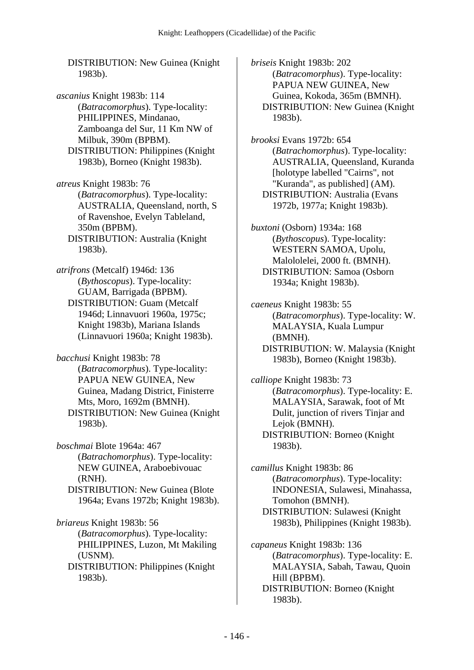DISTRIBUTION: New Guinea (Knight 1983b).

*ascanius* Knight 1983b: 114 (*Batracomorphus*). Type-locality: PHILIPPINES, Mindanao, Zamboanga del Sur, 11 Km NW of Milbuk, 390m (BPBM). DISTRIBUTION: Philippines (Knight 1983b), Borneo (Knight 1983b).

*atreus* Knight 1983b: 76 (*Batracomorphus*). Type-locality: AUSTRALIA, Queensland, north, S of Ravenshoe, Evelyn Tableland, 350m (BPBM). DISTRIBUTION: Australia (Knight

1983b).

*atrifrons* (Metcalf) 1946d: 136 (*Bythoscopus*). Type-locality: GUAM, Barrigada (BPBM). DISTRIBUTION: Guam (Metcalf 1946d; Linnavuori 1960a, 1975c; Knight 1983b), Mariana Islands (Linnavuori 1960a; Knight 1983b).

*bacchusi* Knight 1983b: 78 (*Batracomorphus*). Type-locality: PAPUA NEW GUINEA, New Guinea, Madang District, Finisterre Mts, Moro, 1692m (BMNH). DISTRIBUTION: New Guinea (Knight 1983b).

*boschmai* Blote 1964a: 467 (*Batrachomorphus*). Type-locality: NEW GUINEA, Araboebivouac (RNH). DISTRIBUTION: New Guinea (Blote 1964a; Evans 1972b; Knight 1983b).

*briareus* Knight 1983b: 56 (*Batracomorphus*). Type-locality: PHILIPPINES, Luzon, Mt Makiling (USNM). DISTRIBUTION: Philippines (Knight 1983b).

*briseis* Knight 1983b: 202 (*Batracomorphus*). Type-locality: PAPUA NEW GUINEA, New Guinea, Kokoda, 365m (BMNH). DISTRIBUTION: New Guinea (Knight 1983b).

*brooksi* Evans 1972b: 654 (*Batrachomorphus*). Type-locality: AUSTRALIA, Queensland, Kuranda [holotype labelled "Cairns", not "Kuranda", as published] (AM). DISTRIBUTION: Australia (Evans 1972b, 1977a; Knight 1983b).

*buxtoni* (Osborn) 1934a: 168 (*Bythoscopus*). Type-locality: WESTERN SAMOA, Upolu, Malololelei, 2000 ft. (BMNH). DISTRIBUTION: Samoa (Osborn 1934a; Knight 1983b).

*caeneus* Knight 1983b: 55 (*Batracomorphus*). Type-locality: W. MALAYSIA, Kuala Lumpur (BMNH). DISTRIBUTION: W. Malaysia (Knight 1983b), Borneo (Knight 1983b).

*calliope* Knight 1983b: 73 (*Batracomorphus*). Type-locality: E. MALAYSIA, Sarawak, foot of Mt Dulit, junction of rivers Tinjar and Lejok (BMNH). DISTRIBUTION: Borneo (Knight 1983b).

*camillus* Knight 1983b: 86 (*Batracomorphus*). Type-locality: INDONESIA, Sulawesi, Minahassa, Tomohon (BMNH). DISTRIBUTION: Sulawesi (Knight 1983b), Philippines (Knight 1983b).

*capaneus* Knight 1983b: 136 (*Batracomorphus*). Type-locality: E. MALAYSIA, Sabah, Tawau, Quoin Hill (BPBM). DISTRIBUTION: Borneo (Knight 1983b).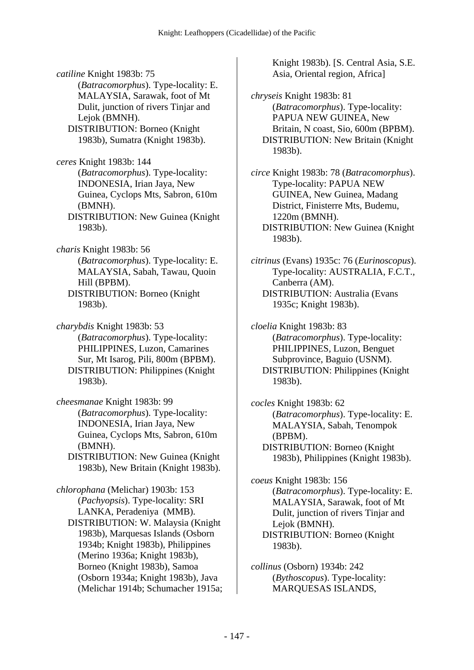*catiline* Knight 1983b: 75 (*Batracomorphus*). Type-locality: E. MALAYSIA, Sarawak, foot of Mt Dulit, junction of rivers Tinjar and Lejok (BMNH). DISTRIBUTION: Borneo (Knight 1983b), Sumatra (Knight 1983b). *ceres* Knight 1983b: 144 (*Batracomorphus*). Type-locality: INDONESIA, Irian Jaya, New Guinea, Cyclops Mts, Sabron, 610m (BMNH). DISTRIBUTION: New Guinea (Knight 1983b). *charis* Knight 1983b: 56 (*Batracomorphus*). Type-locality: E. MALAYSIA, Sabah, Tawau, Quoin Hill (BPBM). DISTRIBUTION: Borneo (Knight 1983b). *charybdis* Knight 1983b: 53 (*Batracomorphus*). Type-locality: PHILIPPINES, Luzon, Camarines Sur, Mt Isarog, Pili, 800m (BPBM). DISTRIBUTION: Philippines (Knight 1983b). *cheesmanae* Knight 1983b: 99 (*Batracomorphus*). Type-locality: INDONESIA, Irian Jaya, New Guinea, Cyclops Mts, Sabron, 610m (BMNH). DISTRIBUTION: New Guinea (Knight 1983b), New Britain (Knight 1983b). *chlorophana* (Melichar) 1903b: 153 (*Pachyopsis*). Type-locality: SRI LANKA, Peradeniya (MMB). DISTRIBUTION: W. Malaysia (Knight 1983b), Marquesas Islands (Osborn 1934b; Knight 1983b), Philippines (Merino 1936a; Knight 1983b), Borneo (Knight 1983b), Samoa

(Osborn 1934a; Knight 1983b), Java (Melichar 1914b; Schumacher 1915a; Knight 1983b). [S. Central Asia, S.E. Asia, Oriental region, Africa]

*chryseis* Knight 1983b: 81 (*Batracomorphus*). Type-locality: PAPUA NEW GUINEA, New Britain, N coast, Sio, 600m (BPBM). DISTRIBUTION: New Britain (Knight 1983b).

*circe* Knight 1983b: 78 (*Batracomorphus*). Type-locality: PAPUA NEW GUINEA, New Guinea, Madang District, Finisterre Mts, Budemu, 1220m (BMNH). DISTRIBUTION: New Guinea (Knight 1983b).

*citrinus* (Evans) 1935c: 76 (*Eurinoscopus*). Type-locality: AUSTRALIA, F.C.T., Canberra (AM). DISTRIBUTION: Australia (Evans 1935c; Knight 1983b).

*cloelia* Knight 1983b: 83 (*Batracomorphus*). Type-locality: PHILIPPINES, Luzon, Benguet Subprovince, Baguio (USNM). DISTRIBUTION: Philippines (Knight 1983b).

*cocles* Knight 1983b: 62 (*Batracomorphus*). Type-locality: E. MALAYSIA, Sabah, Tenompok (BPBM). DISTRIBUTION: Borneo (Knight 1983b), Philippines (Knight 1983b).

*coeus* Knight 1983b: 156 (*Batracomorphus*). Type-locality: E. MALAYSIA, Sarawak, foot of Mt Dulit, junction of rivers Tinjar and Lejok (BMNH). DISTRIBUTION: Borneo (Knight 1983b).

*collinus* (Osborn) 1934b: 242 (*Bythoscopus*). Type-locality: MARQUESAS ISLANDS,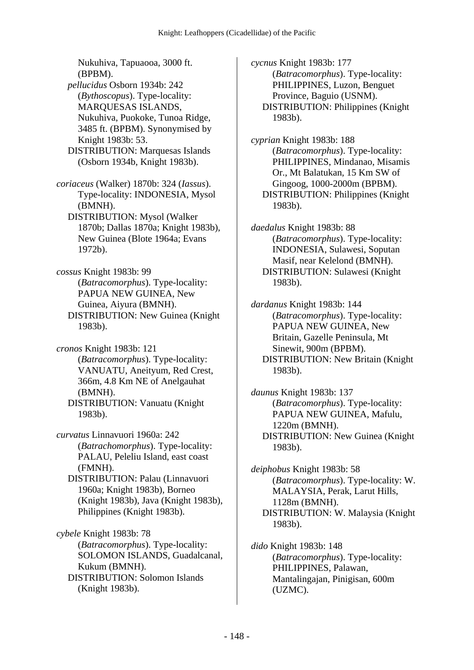Nukuhiva, Tapuaooa, 3000 ft. (BPBM).  *pellucidus* Osborn 1934b: 242 (*Bythoscopus*). Type-locality: MARQUESAS ISLANDS, Nukuhiva, Puokoke, Tunoa Ridge, 3485 ft. (BPBM). Synonymised by Knight 1983b: 53. DISTRIBUTION: Marquesas Islands (Osborn 1934b, Knight 1983b). *coriaceus* (Walker) 1870b: 324 (*Iassus*).

Type-locality: INDONESIA, Mysol (BMNH). DISTRIBUTION: Mysol (Walker 1870b; Dallas 1870a; Knight 1983b),

New Guinea (Blote 1964a; Evans 1972b).

*cossus* Knight 1983b: 99 (*Batracomorphus*). Type-locality: PAPUA NEW GUINEA, New Guinea, Aiyura (BMNH). DISTRIBUTION: New Guinea (Knight 1983b).

*cronos* Knight 1983b: 121 (*Batracomorphus*). Type-locality: VANUATU, Aneityum, Red Crest, 366m, 4.8 Km NE of Anelgauhat (BMNH). DISTRIBUTION: Vanuatu (Knight 1983b).

*curvatus* Linnavuori 1960a: 242 (*Batrachomorphus*). Type-locality: PALAU, Peleliu Island, east coast (FMNH).

 DISTRIBUTION: Palau (Linnavuori 1960a; Knight 1983b), Borneo (Knight 1983b), Java (Knight 1983b), Philippines (Knight 1983b).

*cybele* Knight 1983b: 78 (*Batracomorphus*). Type-locality: SOLOMON ISLANDS, Guadalcanal, Kukum (BMNH). DISTRIBUTION: Solomon Islands (Knight 1983b).

*cycnus* Knight 1983b: 177 (*Batracomorphus*). Type-locality: PHILIPPINES, Luzon, Benguet Province, Baguio (USNM). DISTRIBUTION: Philippines (Knight 1983b).

*cyprian* Knight 1983b: 188 (*Batracomorphus*). Type-locality: PHILIPPINES, Mindanao, Misamis Or., Mt Balatukan, 15 Km SW of Gingoog, 1000-2000m (BPBM). DISTRIBUTION: Philippines (Knight 1983b).

*daedalus* Knight 1983b: 88 (*Batracomorphus*). Type-locality: INDONESIA, Sulawesi, Soputan Masif, near Kelelond (BMNH). DISTRIBUTION: Sulawesi (Knight 1983b).

*dardanus* Knight 1983b: 144 (*Batracomorphus*). Type-locality: PAPUA NEW GUINEA, New Britain, Gazelle Peninsula, Mt Sinewit, 900m (BPBM). DISTRIBUTION: New Britain (Knight 1983b).

*daunus* Knight 1983b: 137 (*Batracomorphus*). Type-locality: PAPUA NEW GUINEA, Mafulu, 1220m (BMNH). DISTRIBUTION: New Guinea (Knight 1983b).

*deiphobus* Knight 1983b: 58 (*Batracomorphus*). Type-locality: W. MALAYSIA, Perak, Larut Hills, 1128m (BMNH). DISTRIBUTION: W. Malaysia (Knight 1983b).

*dido* Knight 1983b: 148 (*Batracomorphus*). Type-locality: PHILIPPINES, Palawan, Mantalingajan, Pinigisan, 600m (UZMC).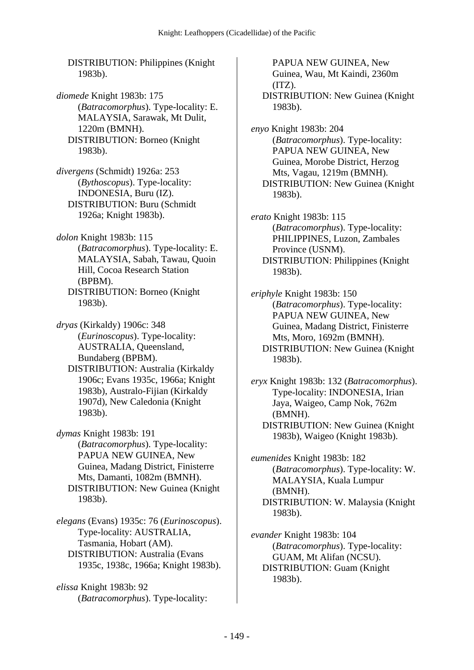DISTRIBUTION: Philippines (Knight 1983b).

*diomede* Knight 1983b: 175 (*Batracomorphus*). Type-locality: E. MALAYSIA, Sarawak, Mt Dulit, 1220m (BMNH). DISTRIBUTION: Borneo (Knight 1983b).

*divergens* (Schmidt) 1926a: 253 (*Bythoscopus*). Type-locality: INDONESIA, Buru (IZ). DISTRIBUTION: Buru (Schmidt 1926a; Knight 1983b).

*dolon* Knight 1983b: 115 (*Batracomorphus*). Type-locality: E. MALAYSIA, Sabah, Tawau, Quoin Hill, Cocoa Research Station (BPBM). DISTRIBUTION: Borneo (Knight 1983b).

*dryas* (Kirkaldy) 1906c: 348 (*Eurinoscopus*). Type-locality: AUSTRALIA, Queensland, Bundaberg (BPBM).

 DISTRIBUTION: Australia (Kirkaldy 1906c; Evans 1935c, 1966a; Knight 1983b), Australo-Fijian (Kirkaldy 1907d), New Caledonia (Knight 1983b).

*dymas* Knight 1983b: 191 (*Batracomorphus*). Type-locality: PAPUA NEW GUINEA, New Guinea, Madang District, Finisterre Mts, Damanti, 1082m (BMNH). DISTRIBUTION: New Guinea (Knight 1983b).

*elegans* (Evans) 1935c: 76 (*Eurinoscopus*). Type-locality: AUSTRALIA, Tasmania, Hobart (AM). DISTRIBUTION: Australia (Evans 1935c, 1938c, 1966a; Knight 1983b).

*elissa* Knight 1983b: 92 (*Batracomorphus*). Type-locality:

PAPUA NEW GUINEA, New Guinea, Wau, Mt Kaindi, 2360m  $(TZ)$ . DISTRIBUTION: New Guinea (Knight 1983b).

*enyo* Knight 1983b: 204 (*Batracomorphus*). Type-locality: PAPUA NEW GUINEA, New Guinea, Morobe District, Herzog Mts, Vagau, 1219m (BMNH). DISTRIBUTION: New Guinea (Knight 1983b).

*erato* Knight 1983b: 115 (*Batracomorphus*). Type-locality: PHILIPPINES, Luzon, Zambales Province (USNM). DISTRIBUTION: Philippines (Knight 1983b).

*eriphyle* Knight 1983b: 150 (*Batracomorphus*). Type-locality: PAPUA NEW GUINEA, New Guinea, Madang District, Finisterre Mts, Moro, 1692m (BMNH). DISTRIBUTION: New Guinea (Knight 1983b).

*eryx* Knight 1983b: 132 (*Batracomorphus*). Type-locality: INDONESIA, Irian Jaya, Waigeo, Camp Nok, 762m (BMNH). DISTRIBUTION: New Guinea (Knight 1983b), Waigeo (Knight 1983b).

*eumenides* Knight 1983b: 182 (*Batracomorphus*). Type-locality: W. MALAYSIA, Kuala Lumpur (BMNH). DISTRIBUTION: W. Malaysia (Knight 1983b).

*evander* Knight 1983b: 104 (*Batracomorphus*). Type-locality: GUAM, Mt Alifan (NCSU). DISTRIBUTION: Guam (Knight 1983b).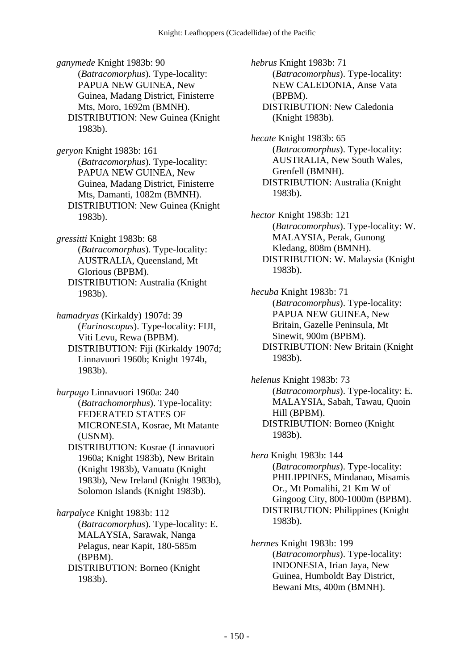*ganymede* Knight 1983b: 90 (*Batracomorphus*). Type-locality: PAPUA NEW GUINEA, New Guinea, Madang District, Finisterre Mts, Moro, 1692m (BMNH). DISTRIBUTION: New Guinea (Knight 1983b).

*geryon* Knight 1983b: 161 (*Batracomorphus*). Type-locality: PAPUA NEW GUINEA, New Guinea, Madang District, Finisterre Mts, Damanti, 1082m (BMNH). DISTRIBUTION: New Guinea (Knight 1983b).

*gressitti* Knight 1983b: 68 (*Batracomorphus*). Type-locality: AUSTRALIA, Queensland, Mt Glorious (BPBM). DISTRIBUTION: Australia (Knight 1983b).

*hamadryas* (Kirkaldy) 1907d: 39 (*Eurinoscopus*). Type-locality: FIJI, Viti Levu, Rewa (BPBM). DISTRIBUTION: Fiji (Kirkaldy 1907d; Linnavuori 1960b; Knight 1974b, 1983b).

*harpago* Linnavuori 1960a: 240 (*Batrachomorphus*). Type-locality: FEDERATED STATES OF MICRONESIA, Kosrae, Mt Matante (USNM).

 DISTRIBUTION: Kosrae (Linnavuori 1960a; Knight 1983b), New Britain (Knight 1983b), Vanuatu (Knight 1983b), New Ireland (Knight 1983b), Solomon Islands (Knight 1983b).

*harpalyce* Knight 1983b: 112 (*Batracomorphus*). Type-locality: E. MALAYSIA, Sarawak, Nanga Pelagus, near Kapit, 180-585m (BPBM). DISTRIBUTION: Borneo (Knight 1983b).

*hebrus* Knight 1983b: 71 (*Batracomorphus*). Type-locality: NEW CALEDONIA, Anse Vata (BPBM). DISTRIBUTION: New Caledonia (Knight 1983b).

*hecate* Knight 1983b: 65 (*Batracomorphus*). Type-locality: AUSTRALIA, New South Wales, Grenfell (BMNH). DISTRIBUTION: Australia (Knight 1983b).

*hector* Knight 1983b: 121 (*Batracomorphus*). Type-locality: W. MALAYSIA, Perak, Gunong Kledang, 808m (BMNH). DISTRIBUTION: W. Malaysia (Knight 1983b).

*hecuba* Knight 1983b: 71 (*Batracomorphus*). Type-locality: PAPUA NEW GUINEA, New Britain, Gazelle Peninsula, Mt Sinewit, 900m (BPBM). DISTRIBUTION: New Britain (Knight 1983b).

*helenus* Knight 1983b: 73 (*Batracomorphus*). Type-locality: E. MALAYSIA, Sabah, Tawau, Quoin Hill (BPBM). DISTRIBUTION: Borneo (Knight 1983b).

*hera* Knight 1983b: 144 (*Batracomorphus*). Type-locality: PHILIPPINES, Mindanao, Misamis Or., Mt Pomalihi, 21 Km W of Gingoog City, 800-1000m (BPBM). DISTRIBUTION: Philippines (Knight 1983b).

*hermes* Knight 1983b: 199 (*Batracomorphus*). Type-locality: INDONESIA, Irian Jaya, New Guinea, Humboldt Bay District, Bewani Mts, 400m (BMNH).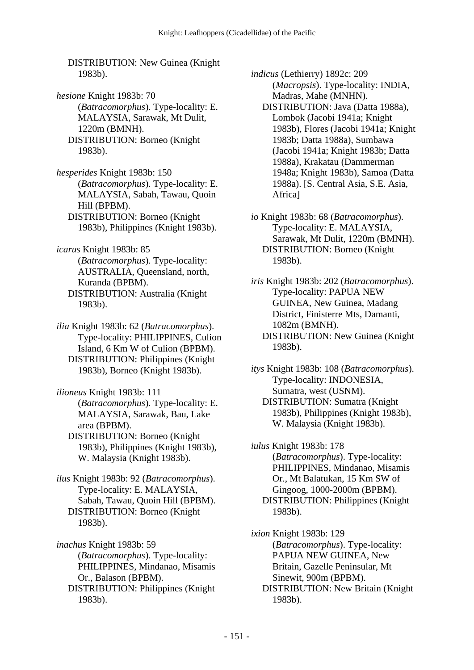DISTRIBUTION: New Guinea (Knight 1983b).

*hesione* Knight 1983b: 70 (*Batracomorphus*). Type-locality: E. MALAYSIA, Sarawak, Mt Dulit, 1220m (BMNH). DISTRIBUTION: Borneo (Knight 1983b).

*hesperides* Knight 1983b: 150 (*Batracomorphus*). Type-locality: E. MALAYSIA, Sabah, Tawau, Quoin Hill (BPBM). DISTRIBUTION: Borneo (Knight 1983b), Philippines (Knight 1983b).

*icarus* Knight 1983b: 85 (*Batracomorphus*). Type-locality: AUSTRALIA, Queensland, north, Kuranda (BPBM). DISTRIBUTION: Australia (Knight 1983b).

*ilia* Knight 1983b: 62 (*Batracomorphus*). Type-locality: PHILIPPINES, Culion Island, 6 Km W of Culion (BPBM). DISTRIBUTION: Philippines (Knight 1983b), Borneo (Knight 1983b).

*ilioneus* Knight 1983b: 111 (*Batracomorphus*). Type-locality: E. MALAYSIA, Sarawak, Bau, Lake area (BPBM). DISTRIBUTION: Borneo (Knight

1983b), Philippines (Knight 1983b), W. Malaysia (Knight 1983b).

*ilus* Knight 1983b: 92 (*Batracomorphus*). Type-locality: E. MALAYSIA, Sabah, Tawau, Quoin Hill (BPBM). DISTRIBUTION: Borneo (Knight 1983b).

*inachus* Knight 1983b: 59 (*Batracomorphus*). Type-locality: PHILIPPINES, Mindanao, Misamis Or., Balason (BPBM). DISTRIBUTION: Philippines (Knight 1983b).

*indicus* (Lethierry) 1892c: 209 (*Macropsis*). Type-locality: INDIA, Madras, Mahe (MNHN).

 DISTRIBUTION: Java (Datta 1988a), Lombok (Jacobi 1941a; Knight 1983b), Flores (Jacobi 1941a; Knight 1983b; Datta 1988a), Sumbawa (Jacobi 1941a; Knight 1983b; Datta 1988a), Krakatau (Dammerman 1948a; Knight 1983b), Samoa (Datta 1988a). [S. Central Asia, S.E. Asia, Africa]

*io* Knight 1983b: 68 (*Batracomorphus*). Type-locality: E. MALAYSIA, Sarawak, Mt Dulit, 1220m (BMNH). DISTRIBUTION: Borneo (Knight 1983b).

*iris* Knight 1983b: 202 (*Batracomorphus*). Type-locality: PAPUA NEW GUINEA, New Guinea, Madang District, Finisterre Mts, Damanti, 1082m (BMNH). DISTRIBUTION: New Guinea (Knight 1983b).

*itys* Knight 1983b: 108 (*Batracomorphus*). Type-locality: INDONESIA, Sumatra, west (USNM). DISTRIBUTION: Sumatra (Knight 1983b), Philippines (Knight 1983b), W. Malaysia (Knight 1983b).

*iulus* Knight 1983b: 178 (*Batracomorphus*). Type-locality: PHILIPPINES, Mindanao, Misamis Or., Mt Balatukan, 15 Km SW of Gingoog, 1000-2000m (BPBM). DISTRIBUTION: Philippines (Knight 1983b).

*ixion* Knight 1983b: 129 (*Batracomorphus*). Type-locality: PAPUA NEW GUINEA, New Britain, Gazelle Peninsular, Mt Sinewit, 900m (BPBM). DISTRIBUTION: New Britain (Knight 1983b).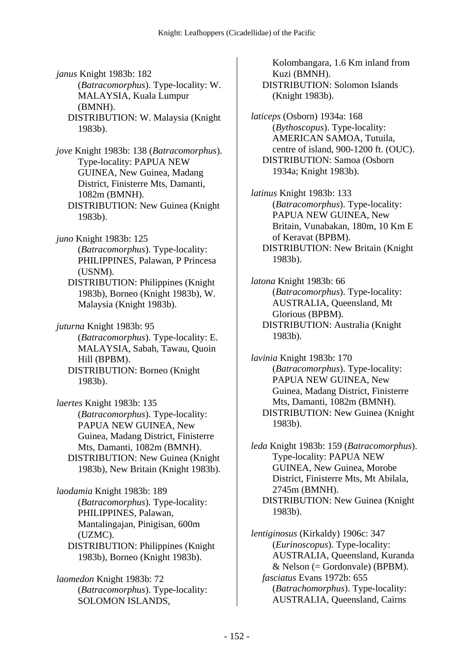*janus* Knight 1983b: 182 (*Batracomorphus*). Type-locality: W. MALAYSIA, Kuala Lumpur (BMNH). DISTRIBUTION: W. Malaysia (Knight

1983b).

*jove* Knight 1983b: 138 (*Batracomorphus*). Type-locality: PAPUA NEW GUINEA, New Guinea, Madang District, Finisterre Mts, Damanti, 1082m (BMNH). DISTRIBUTION: New Guinea (Knight 1983b).

*juno* Knight 1983b: 125 (*Batracomorphus*). Type-locality: PHILIPPINES, Palawan, P Princesa (USNM).

 DISTRIBUTION: Philippines (Knight 1983b), Borneo (Knight 1983b), W. Malaysia (Knight 1983b).

*juturna* Knight 1983b: 95 (*Batracomorphus*). Type-locality: E. MALAYSIA, Sabah, Tawau, Quoin Hill (BPBM).

 DISTRIBUTION: Borneo (Knight 1983b).

*laertes* Knight 1983b: 135 (*Batracomorphus*). Type-locality: PAPUA NEW GUINEA, New Guinea, Madang District, Finisterre Mts, Damanti, 1082m (BMNH). DISTRIBUTION: New Guinea (Knight 1983b), New Britain (Knight 1983b).

*laodamia* Knight 1983b: 189 (*Batracomorphus*). Type-locality: PHILIPPINES, Palawan, Mantalingajan, Pinigisan, 600m (UZMC). DISTRIBUTION: Philippines (Knight 1983b), Borneo (Knight 1983b).

*laomedon* Knight 1983b: 72 (*Batracomorphus*). Type-locality: SOLOMON ISLANDS,

Kolombangara, 1.6 Km inland from Kuzi (BMNH). DISTRIBUTION: Solomon Islands (Knight 1983b).

*laticeps* (Osborn) 1934a: 168 (*Bythoscopus*). Type-locality: AMERICAN SAMOA, Tutuila, centre of island, 900-1200 ft. (OUC). DISTRIBUTION: Samoa (Osborn 1934a; Knight 1983b).

*latinus* Knight 1983b: 133 (*Batracomorphus*). Type-locality: PAPUA NEW GUINEA, New Britain, Vunabakan, 180m, 10 Km E of Keravat (BPBM). DISTRIBUTION: New Britain (Knight 1983b).

*latona* Knight 1983b: 66 (*Batracomorphus*). Type-locality: AUSTRALIA, Queensland, Mt Glorious (BPBM). DISTRIBUTION: Australia (Knight 1983b).

*lavinia* Knight 1983b: 170 (*Batracomorphus*). Type-locality: PAPUA NEW GUINEA, New Guinea, Madang District, Finisterre Mts, Damanti, 1082m (BMNH). DISTRIBUTION: New Guinea (Knight 1983b).

*leda* Knight 1983b: 159 (*Batracomorphus*). Type-locality: PAPUA NEW GUINEA, New Guinea, Morobe District, Finisterre Mts, Mt Abilala, 2745m (BMNH). DISTRIBUTION: New Guinea (Knight 1983b).

*lentiginosus* (Kirkaldy) 1906c: 347 (*Eurinoscopus*). Type-locality: AUSTRALIA, Queensland, Kuranda  $& Nelson (= Gordonvale) (BPBM).$  *fasciatus* Evans 1972b: 655 (*Batrachomorphus*). Type-locality: AUSTRALIA, Queensland, Cairns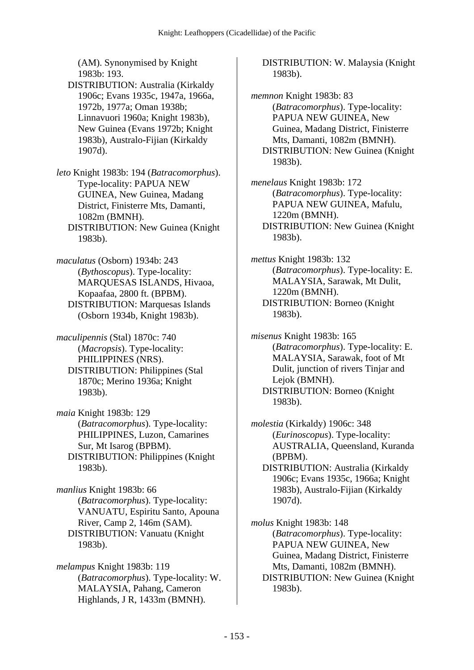(AM). Synonymised by Knight 1983b: 193.

 DISTRIBUTION: Australia (Kirkaldy 1906c; Evans 1935c, 1947a, 1966a, 1972b, 1977a; Oman 1938b; Linnavuori 1960a; Knight 1983b), New Guinea (Evans 1972b; Knight 1983b), Australo-Fijian (Kirkaldy 1907d).

*leto* Knight 1983b: 194 (*Batracomorphus*). Type-locality: PAPUA NEW GUINEA, New Guinea, Madang District, Finisterre Mts, Damanti, 1082m (BMNH). DISTRIBUTION: New Guinea (Knight 1983b).

*maculatus* (Osborn) 1934b: 243 (*Bythoscopus*). Type-locality: MARQUESAS ISLANDS, Hivaoa, Kopaafaa, 2800 ft. (BPBM). DISTRIBUTION: Marquesas Islands (Osborn 1934b, Knight 1983b).

*maculipennis* (Stal) 1870c: 740 (*Macropsis*). Type-locality: PHILIPPINES (NRS). DISTRIBUTION: Philippines (Stal 1870c; Merino 1936a; Knight 1983b).

*maia* Knight 1983b: 129 (*Batracomorphus*). Type-locality: PHILIPPINES, Luzon, Camarines Sur, Mt Isarog (BPBM). DISTRIBUTION: Philippines (Knight 1983b).

*manlius* Knight 1983b: 66 (*Batracomorphus*). Type-locality: VANUATU, Espiritu Santo, Apouna River, Camp 2, 146m (SAM). DISTRIBUTION: Vanuatu (Knight 1983b).

*melampus* Knight 1983b: 119 (*Batracomorphus*). Type-locality: W. MALAYSIA, Pahang, Cameron Highlands, J R, 1433m (BMNH).

 DISTRIBUTION: W. Malaysia (Knight 1983b).

*memnon* Knight 1983b: 83 (*Batracomorphus*). Type-locality: PAPUA NEW GUINEA, New Guinea, Madang District, Finisterre Mts, Damanti, 1082m (BMNH). DISTRIBUTION: New Guinea (Knight 1983b).

*menelaus* Knight 1983b: 172 (*Batracomorphus*). Type-locality: PAPUA NEW GUINEA, Mafulu, 1220m (BMNH). DISTRIBUTION: New Guinea (Knight 1983b).

*mettus* Knight 1983b: 132 (*Batracomorphus*). Type-locality: E. MALAYSIA, Sarawak, Mt Dulit, 1220m (BMNH). DISTRIBUTION: Borneo (Knight 1983b).

*misenus* Knight 1983b: 165 (*Batracomorphus*). Type-locality: E. MALAYSIA, Sarawak, foot of Mt Dulit, junction of rivers Tinjar and Lejok (BMNH). DISTRIBUTION: Borneo (Knight 1983b).

*molestia* (Kirkaldy) 1906c: 348 (*Eurinoscopus*). Type-locality: AUSTRALIA, Queensland, Kuranda (BPBM).

 DISTRIBUTION: Australia (Kirkaldy 1906c; Evans 1935c, 1966a; Knight 1983b), Australo-Fijian (Kirkaldy 1907d).

*molus* Knight 1983b: 148 (*Batracomorphus*). Type-locality: PAPUA NEW GUINEA, New Guinea, Madang District, Finisterre Mts, Damanti, 1082m (BMNH). DISTRIBUTION: New Guinea (Knight 1983b).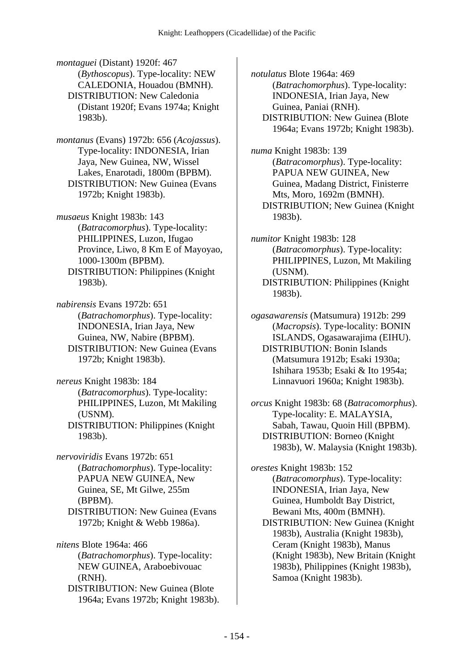*montaguei* (Distant) 1920f: 467 (*Bythoscopus*). Type-locality: NEW CALEDONIA, Houadou (BMNH). DISTRIBUTION: New Caledonia (Distant 1920f; Evans 1974a; Knight 1983b).

*montanus* (Evans) 1972b: 656 (*Acojassus*). Type-locality: INDONESIA, Irian Jaya, New Guinea, NW, Wissel Lakes, Enarotadi, 1800m (BPBM). DISTRIBUTION: New Guinea (Evans 1972b; Knight 1983b).

*musaeus* Knight 1983b: 143 (*Batracomorphus*). Type-locality: PHILIPPINES, Luzon, Ifugao Province, Liwo, 8 Km E of Mayoyao, 1000-1300m (BPBM). DISTRIBUTION: Philippines (Knight 1983b).

*nabirensis* Evans 1972b: 651 (*Batrachomorphus*). Type-locality: INDONESIA, Irian Jaya, New Guinea, NW, Nabire (BPBM). DISTRIBUTION: New Guinea (Evans 1972b; Knight 1983b).

*nereus* Knight 1983b: 184 (*Batracomorphus*). Type-locality: PHILIPPINES, Luzon, Mt Makiling (USNM). DISTRIBUTION: Philippines (Knight 1983b).

*nervoviridis* Evans 1972b: 651 (*Batrachomorphus*). Type-locality: PAPUA NEW GUINEA, New Guinea, SE, Mt Gilwe, 255m (BPBM). DISTRIBUTION: New Guinea (Evans 1972b; Knight & Webb 1986a).

*nitens* Blote 1964a: 466 (*Batrachomorphus*). Type-locality: NEW GUINEA, Araboebivouac (RNH). DISTRIBUTION: New Guinea (Blote 1964a; Evans 1972b; Knight 1983b). *notulatus* Blote 1964a: 469 (*Batrachomorphus*). Type-locality: INDONESIA, Irian Jaya, New Guinea, Paniai (RNH). DISTRIBUTION: New Guinea (Blote 1964a; Evans 1972b; Knight 1983b).

*numa* Knight 1983b: 139 (*Batracomorphus*). Type-locality: PAPUA NEW GUINEA, New Guinea, Madang District, Finisterre Mts, Moro, 1692m (BMNH). DISTRIBUTION; New Guinea (Knight 1983b).

*numitor* Knight 1983b: 128 (*Batracomorphus*). Type-locality: PHILIPPINES, Luzon, Mt Makiling (USNM). DISTRIBUTION: Philippines (Knight 1983b).

*ogasawarensis* (Matsumura) 1912b: 299 (*Macropsis*). Type-locality: BONIN ISLANDS, Ogasawarajima (EIHU). DISTRIBUTION: Bonin Islands (Matsumura 1912b; Esaki 1930a; Ishihara 1953b; Esaki & Ito 1954a; Linnavuori 1960a; Knight 1983b).

*orcus* Knight 1983b: 68 (*Batracomorphus*). Type-locality: E. MALAYSIA, Sabah, Tawau, Quoin Hill (BPBM). DISTRIBUTION: Borneo (Knight 1983b), W. Malaysia (Knight 1983b).

*orestes* Knight 1983b: 152 (*Batracomorphus*). Type-locality: INDONESIA, Irian Jaya, New Guinea, Humboldt Bay District, Bewani Mts, 400m (BMNH).

 DISTRIBUTION: New Guinea (Knight 1983b), Australia (Knight 1983b), Ceram (Knight 1983b), Manus (Knight 1983b), New Britain (Knight 1983b), Philippines (Knight 1983b), Samoa (Knight 1983b).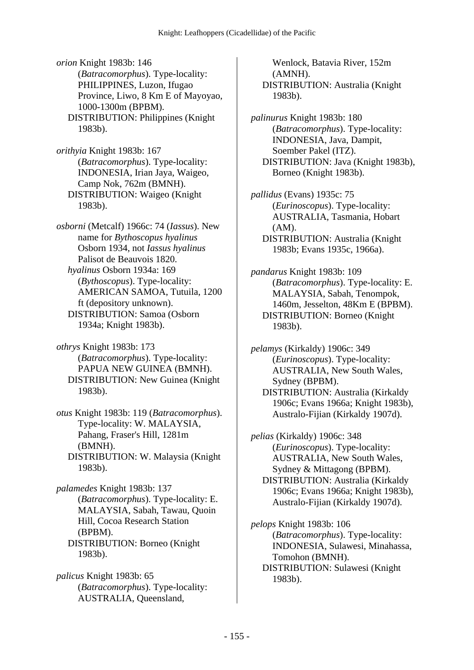*orion* Knight 1983b: 146 (*Batracomorphus*). Type-locality: PHILIPPINES, Luzon, Ifugao Province, Liwo, 8 Km E of Mayoyao, 1000-1300m (BPBM). DISTRIBUTION: Philippines (Knight 1983b).

*orithyia* Knight 1983b: 167 (*Batracomorphus*). Type-locality: INDONESIA, Irian Jaya, Waigeo, Camp Nok, 762m (BMNH). DISTRIBUTION: Waigeo (Knight 1983b).

*osborni* (Metcalf) 1966c: 74 (*Iassus*). New name for *Bythoscopus hyalinus* Osborn 1934, not *Iassus hyalinus* Palisot de Beauvois 1820.  *hyalinus* Osborn 1934a: 169 (*Bythoscopus*). Type-locality: AMERICAN SAMOA, Tutuila, 1200 ft (depository unknown). DISTRIBUTION: Samoa (Osborn 1934a; Knight 1983b).

*othrys* Knight 1983b: 173 (*Batracomorphus*). Type-locality: PAPUA NEW GUINEA (BMNH). DISTRIBUTION: New Guinea (Knight 1983b).

*otus* Knight 1983b: 119 (*Batracomorphus*). Type-locality: W. MALAYSIA, Pahang, Fraser's Hill, 1281m (BMNH). DISTRIBUTION: W. Malaysia (Knight 1983b).

*palamedes* Knight 1983b: 137 (*Batracomorphus*). Type-locality: E. MALAYSIA, Sabah, Tawau, Quoin Hill, Cocoa Research Station (BPBM). DISTRIBUTION: Borneo (Knight 1983b).

*palicus* Knight 1983b: 65 (*Batracomorphus*). Type-locality: AUSTRALIA, Queensland,

Wenlock, Batavia River, 152m (AMNH). DISTRIBUTION: Australia (Knight 1983b).

*palinurus* Knight 1983b: 180 (*Batracomorphus*). Type-locality: INDONESIA, Java, Dampit, Soember Pakel (ITZ). DISTRIBUTION: Java (Knight 1983b), Borneo (Knight 1983b).

*pallidus* (Evans) 1935c: 75 (*Eurinoscopus*). Type-locality: AUSTRALIA, Tasmania, Hobart (AM). DISTRIBUTION: Australia (Knight 1983b; Evans 1935c, 1966a).

*pandarus* Knight 1983b: 109 (*Batracomorphus*). Type-locality: E. MALAYSIA, Sabah, Tenompok, 1460m, Jesselton, 48Km E (BPBM). DISTRIBUTION: Borneo (Knight 1983b).

*pelamys* (Kirkaldy) 1906c: 349 (*Eurinoscopus*). Type-locality: AUSTRALIA, New South Wales, Sydney (BPBM). DISTRIBUTION: Australia (Kirkaldy 1906c; Evans 1966a; Knight 1983b), Australo-Fijian (Kirkaldy 1907d).

*pelias* (Kirkaldy) 1906c: 348 (*Eurinoscopus*). Type-locality: AUSTRALIA, New South Wales, Sydney & Mittagong (BPBM). DISTRIBUTION: Australia (Kirkaldy 1906c; Evans 1966a; Knight 1983b), Australo-Fijian (Kirkaldy 1907d).

*pelops* Knight 1983b: 106 (*Batracomorphus*). Type-locality: INDONESIA, Sulawesi, Minahassa, Tomohon (BMNH). DISTRIBUTION: Sulawesi (Knight 1983b).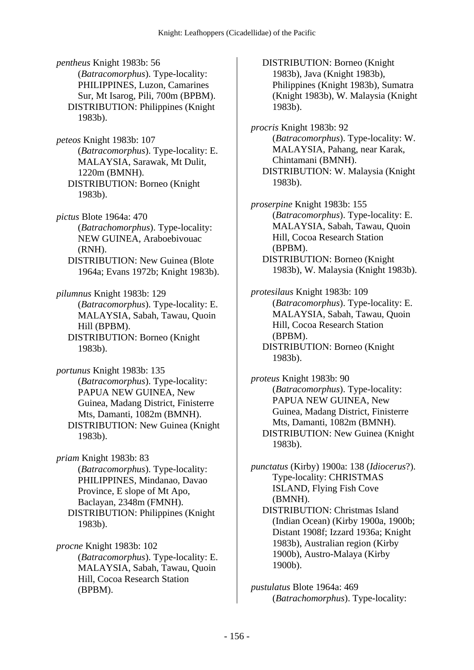*pentheus* Knight 1983b: 56 (*Batracomorphus*). Type-locality: PHILIPPINES, Luzon, Camarines Sur, Mt Isarog, Pili, 700m (BPBM). DISTRIBUTION: Philippines (Knight 1983b).

*peteos* Knight 1983b: 107 (*Batracomorphus*). Type-locality: E. MALAYSIA, Sarawak, Mt Dulit, 1220m (BMNH). DISTRIBUTION: Borneo (Knight 1983b).

*pictus* Blote 1964a: 470 (*Batrachomorphus*). Type-locality: NEW GUINEA, Araboebivouac (RNH). DISTRIBUTION: New Guinea (Blote 1964a; Evans 1972b; Knight 1983b).

*pilumnus* Knight 1983b: 129 (*Batracomorphus*). Type-locality: E. MALAYSIA, Sabah, Tawau, Quoin Hill (BPBM).

 DISTRIBUTION: Borneo (Knight 1983b).

*portunus* Knight 1983b: 135 (*Batracomorphus*). Type-locality: PAPUA NEW GUINEA, New Guinea, Madang District, Finisterre Mts, Damanti, 1082m (BMNH). DISTRIBUTION: New Guinea (Knight 1983b).

*priam* Knight 1983b: 83 (*Batracomorphus*). Type-locality: PHILIPPINES, Mindanao, Davao Province, E slope of Mt Apo, Baclayan, 2348m (FMNH). DISTRIBUTION: Philippines (Knight 1983b).

*procne* Knight 1983b: 102 (*Batracomorphus*). Type-locality: E. MALAYSIA, Sabah, Tawau, Quoin Hill, Cocoa Research Station (BPBM).

 DISTRIBUTION: Borneo (Knight 1983b), Java (Knight 1983b), Philippines (Knight 1983b), Sumatra (Knight 1983b), W. Malaysia (Knight 1983b).

*procris* Knight 1983b: 92 (*Batracomorphus*). Type-locality: W. MALAYSIA, Pahang, near Karak, Chintamani (BMNH). DISTRIBUTION: W. Malaysia (Knight 1983b).

*proserpine* Knight 1983b: 155 (*Batracomorphus*). Type-locality: E. MALAYSIA, Sabah, Tawau, Quoin Hill, Cocoa Research Station (BPBM). DISTRIBUTION: Borneo (Knight 1983b), W. Malaysia (Knight 1983b).

*protesilaus* Knight 1983b: 109 (*Batracomorphus*). Type-locality: E. MALAYSIA, Sabah, Tawau, Quoin Hill, Cocoa Research Station (BPBM). DISTRIBUTION: Borneo (Knight 1983b).

*proteus* Knight 1983b: 90 (*Batracomorphus*). Type-locality: PAPUA NEW GUINEA, New Guinea, Madang District, Finisterre Mts, Damanti, 1082m (BMNH). DISTRIBUTION: New Guinea (Knight 1983b).

*punctatus* (Kirby) 1900a: 138 (*Idiocerus*?). Type-locality: CHRISTMAS ISLAND, Flying Fish Cove (BMNH). DISTRIBUTION: Christmas Island (Indian Ocean) (Kirby 1900a, 1900b; Distant 1908f; Izzard 1936a; Knight 1983b), Australian region (Kirby 1900b), Austro-Malaya (Kirby 1900b).

*pustulatus* Blote 1964a: 469 (*Batrachomorphus*). Type-locality: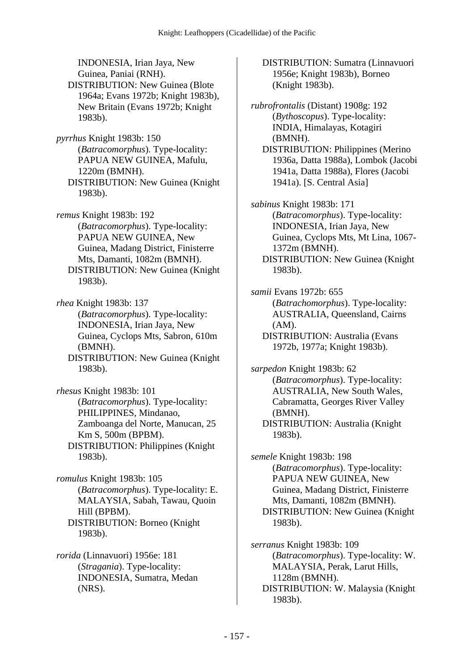INDONESIA, Irian Jaya, New Guinea, Paniai (RNH). DISTRIBUTION: New Guinea (Blote 1964a; Evans 1972b; Knight 1983b), New Britain (Evans 1972b; Knight 1983b).

*pyrrhus* Knight 1983b: 150 (*Batracomorphus*). Type-locality: PAPUA NEW GUINEA, Mafulu, 1220m (BMNH). DISTRIBUTION: New Guinea (Knight 1983b).

*remus* Knight 1983b: 192 (*Batracomorphus*). Type-locality: PAPUA NEW GUINEA, New Guinea, Madang District, Finisterre Mts, Damanti, 1082m (BMNH). DISTRIBUTION: New Guinea (Knight 1983b).

*rhea* Knight 1983b: 137 (*Batracomorphus*). Type-locality: INDONESIA, Irian Jaya, New Guinea, Cyclops Mts, Sabron, 610m (BMNH). DISTRIBUTION: New Guinea (Knight

1983b).

*rhesus* Knight 1983b: 101 (*Batracomorphus*). Type-locality: PHILIPPINES, Mindanao, Zamboanga del Norte, Manucan, 25 Km S, 500m (BPBM). DISTRIBUTION: Philippines (Knight 1983b).

*romulus* Knight 1983b: 105 (*Batracomorphus*). Type-locality: E. MALAYSIA, Sabah, Tawau, Quoin Hill (BPBM). DISTRIBUTION: Borneo (Knight 1983b).

*rorida* (Linnavuori) 1956e: 181 (*Stragania*). Type-locality: INDONESIA, Sumatra, Medan (NRS).

 DISTRIBUTION: Sumatra (Linnavuori 1956e; Knight 1983b), Borneo (Knight 1983b).

*rubrofrontalis* (Distant) 1908g: 192 (*Bythoscopus*). Type-locality: INDIA, Himalayas, Kotagiri (BMNH). DISTRIBUTION: Philippines (Merino 1936a, Datta 1988a), Lombok (Jacobi 1941a, Datta 1988a), Flores (Jacobi 1941a). [S. Central Asia]

*sabinus* Knight 1983b: 171 (*Batracomorphus*). Type-locality: INDONESIA, Irian Jaya, New Guinea, Cyclops Mts, Mt Lina, 1067- 1372m (BMNH). DISTRIBUTION: New Guinea (Knight 1983b).

*samii* Evans 1972b: 655 (*Batrachomorphus*). Type-locality: AUSTRALIA, Queensland, Cairns (AM). DISTRIBUTION: Australia (Evans 1972b, 1977a; Knight 1983b).

*sarpedon* Knight 1983b: 62 (*Batracomorphus*). Type-locality: AUSTRALIA, New South Wales, Cabramatta, Georges River Valley (BMNH). DISTRIBUTION: Australia (Knight 1983b).

*semele* Knight 1983b: 198 (*Batracomorphus*). Type-locality: PAPUA NEW GUINEA, New Guinea, Madang District, Finisterre Mts, Damanti, 1082m (BMNH). DISTRIBUTION: New Guinea (Knight 1983b).

*serranus* Knight 1983b: 109 (*Batracomorphus*). Type-locality: W. MALAYSIA, Perak, Larut Hills, 1128m (BMNH). DISTRIBUTION: W. Malaysia (Knight 1983b).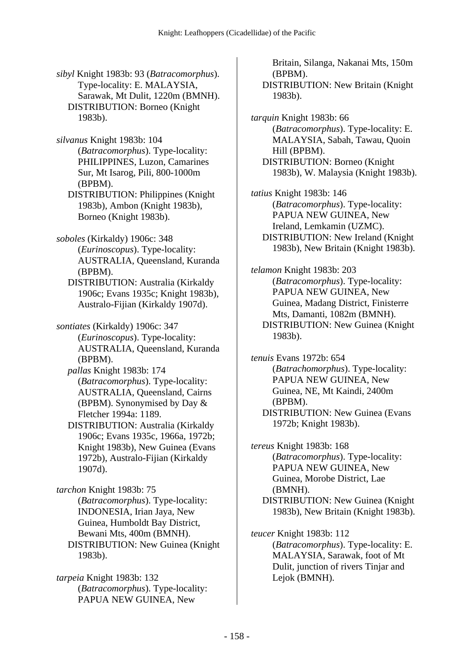*sibyl* Knight 1983b: 93 (*Batracomorphus*). Type-locality: E. MALAYSIA, Sarawak, Mt Dulit, 1220m (BMNH). DISTRIBUTION: Borneo (Knight 1983b).

*silvanus* Knight 1983b: 104 (*Batracomorphus*). Type-locality: PHILIPPINES, Luzon, Camarines Sur, Mt Isarog, Pili, 800-1000m (BPBM).

 DISTRIBUTION: Philippines (Knight 1983b), Ambon (Knight 1983b), Borneo (Knight 1983b).

*soboles* (Kirkaldy) 1906c: 348 (*Eurinoscopus*). Type-locality: AUSTRALIA, Queensland, Kuranda (BPBM).

 DISTRIBUTION: Australia (Kirkaldy 1906c; Evans 1935c; Knight 1983b), Australo-Fijian (Kirkaldy 1907d).

*sontiates* (Kirkaldy) 1906c: 347 (*Eurinoscopus*). Type-locality: AUSTRALIA, Queensland, Kuranda (BPBM).

 *pallas* Knight 1983b: 174 (*Batracomorphus*). Type-locality: AUSTRALIA, Queensland, Cairns (BPBM). Synonymised by Day & Fletcher 1994a: 1189.

 DISTRIBUTION: Australia (Kirkaldy 1906c; Evans 1935c, 1966a, 1972b; Knight 1983b), New Guinea (Evans 1972b), Australo-Fijian (Kirkaldy 1907d).

*tarchon* Knight 1983b: 75 (*Batracomorphus*). Type-locality: INDONESIA, Irian Jaya, New Guinea, Humboldt Bay District, Bewani Mts, 400m (BMNH). DISTRIBUTION: New Guinea (Knight 1983b).

*tarpeia* Knight 1983b: 132 (*Batracomorphus*). Type-locality: PAPUA NEW GUINEA, New

Britain, Silanga, Nakanai Mts, 150m (BPBM).

 DISTRIBUTION: New Britain (Knight 1983b).

*tarquin* Knight 1983b: 66 (*Batracomorphus*). Type-locality: E. MALAYSIA, Sabah, Tawau, Quoin Hill (BPBM). DISTRIBUTION: Borneo (Knight 1983b), W. Malaysia (Knight 1983b).

*tatius* Knight 1983b: 146 (*Batracomorphus*). Type-locality: PAPUA NEW GUINEA, New Ireland, Lemkamin (UZMC). DISTRIBUTION: New Ireland (Knight 1983b), New Britain (Knight 1983b).

*telamon* Knight 1983b: 203 (*Batracomorphus*). Type-locality: PAPUA NEW GUINEA, New Guinea, Madang District, Finisterre Mts, Damanti, 1082m (BMNH). DISTRIBUTION: New Guinea (Knight 1983b).

*tenuis* Evans 1972b: 654 (*Batrachomorphus*). Type-locality: PAPUA NEW GUINEA, New Guinea, NE, Mt Kaindi, 2400m (BPBM). DISTRIBUTION: New Guinea (Evans

1972b; Knight 1983b).

*tereus* Knight 1983b: 168 (*Batracomorphus*). Type-locality: PAPUA NEW GUINEA, New Guinea, Morobe District, Lae (BMNH). DISTRIBUTION: New Guinea (Knight 1983b), New Britain (Knight 1983b).

*teucer* Knight 1983b: 112 (*Batracomorphus*). Type-locality: E. MALAYSIA, Sarawak, foot of Mt Dulit, junction of rivers Tinjar and Lejok (BMNH).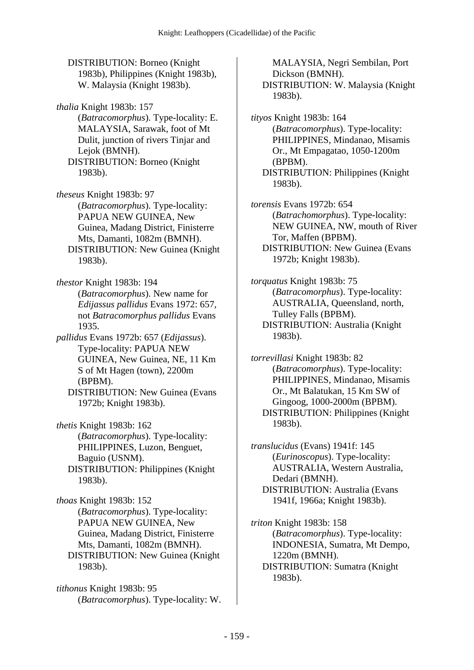DISTRIBUTION: Borneo (Knight 1983b), Philippines (Knight 1983b), W. Malaysia (Knight 1983b).

*thalia* Knight 1983b: 157 (*Batracomorphus*). Type-locality: E. MALAYSIA, Sarawak, foot of Mt Dulit, junction of rivers Tinjar and Lejok (BMNH).

 DISTRIBUTION: Borneo (Knight 1983b).

*theseus* Knight 1983b: 97 (*Batracomorphus*). Type-locality: PAPUA NEW GUINEA, New Guinea, Madang District, Finisterre Mts, Damanti, 1082m (BMNH). DISTRIBUTION: New Guinea (Knight 1983b).

*thestor* Knight 1983b: 194 (*Batracomorphus*). New name for *Edijassus pallidus* Evans 1972: 657, not *Batracomorphus pallidus* Evans 1935.

*pallidus* Evans 1972b: 657 (*Edijassus*). Type-locality: PAPUA NEW GUINEA, New Guinea, NE, 11 Km S of Mt Hagen (town), 2200m (BPBM).

 DISTRIBUTION: New Guinea (Evans 1972b; Knight 1983b).

*thetis* Knight 1983b: 162 (*Batracomorphus*). Type-locality: PHILIPPINES, Luzon, Benguet, Baguio (USNM). DISTRIBUTION: Philippines (Knight 1983b).

*thoas* Knight 1983b: 152 (*Batracomorphus*). Type-locality: PAPUA NEW GUINEA, New Guinea, Madang District, Finisterre Mts, Damanti, 1082m (BMNH). DISTRIBUTION: New Guinea (Knight 1983b).

*tithonus* Knight 1983b: 95 (*Batracomorphus*). Type-locality: W.

MALAYSIA, Negri Sembilan, Port Dickson (BMNH). DISTRIBUTION: W. Malaysia (Knight 1983b).

*tityos* Knight 1983b: 164 (*Batracomorphus*). Type-locality: PHILIPPINES, Mindanao, Misamis Or., Mt Empagatao, 1050-1200m (BPBM). DISTRIBUTION: Philippines (Knight 1983b).

*torensis* Evans 1972b: 654 (*Batrachomorphus*). Type-locality: NEW GUINEA, NW, mouth of River Tor, Maffen (BPBM). DISTRIBUTION: New Guinea (Evans 1972b; Knight 1983b).

*torquatus* Knight 1983b: 75 (*Batracomorphus*). Type-locality: AUSTRALIA, Queensland, north, Tulley Falls (BPBM). DISTRIBUTION: Australia (Knight 1983b).

*torrevillasi* Knight 1983b: 82 (*Batracomorphus*). Type-locality: PHILIPPINES, Mindanao, Misamis Or., Mt Balatukan, 15 Km SW of Gingoog, 1000-2000m (BPBM). DISTRIBUTION: Philippines (Knight 1983b).

*translucidus* (Evans) 1941f: 145 (*Eurinoscopus*). Type-locality: AUSTRALIA, Western Australia, Dedari (BMNH). DISTRIBUTION: Australia (Evans 1941f, 1966a; Knight 1983b).

*triton* Knight 1983b: 158 (*Batracomorphus*). Type-locality: INDONESIA, Sumatra, Mt Dempo, 1220m (BMNH). DISTRIBUTION: Sumatra (Knight 1983b).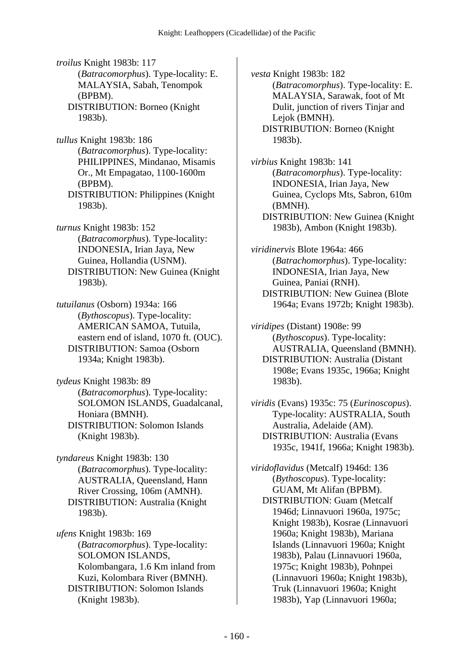*troilus* Knight 1983b: 117 (*Batracomorphus*). Type-locality: E. MALAYSIA, Sabah, Tenompok (BPBM). DISTRIBUTION: Borneo (Knight 1983b).

*tullus* Knight 1983b: 186 (*Batracomorphus*). Type-locality: PHILIPPINES, Mindanao, Misamis Or., Mt Empagatao, 1100-1600m (BPBM). DISTRIBUTION: Philippines (Knight 1983b).

*turnus* Knight 1983b: 152 (*Batracomorphus*). Type-locality: INDONESIA, Irian Jaya, New Guinea, Hollandia (USNM). DISTRIBUTION: New Guinea (Knight 1983b).

*tutuilanus* (Osborn) 1934a: 166 (*Bythoscopus*). Type-locality: AMERICAN SAMOA, Tutuila, eastern end of island, 1070 ft. (OUC). DISTRIBUTION: Samoa (Osborn 1934a; Knight 1983b).

*tydeus* Knight 1983b: 89 (*Batracomorphus*). Type-locality: SOLOMON ISLANDS, Guadalcanal, Honiara (BMNH). DISTRIBUTION: Solomon Islands (Knight 1983b).

*tyndareus* Knight 1983b: 130 (*Batracomorphus*). Type-locality: AUSTRALIA, Queensland, Hann River Crossing, 106m (AMNH). DISTRIBUTION: Australia (Knight 1983b).

*ufens* Knight 1983b: 169 (*Batracomorphus*). Type-locality: SOLOMON ISLANDS, Kolombangara, 1.6 Km inland from Kuzi, Kolombara River (BMNH). DISTRIBUTION: Solomon Islands (Knight 1983b).

*vesta* Knight 1983b: 182 (*Batracomorphus*). Type-locality: E. MALAYSIA, Sarawak, foot of Mt Dulit, junction of rivers Tinjar and Lejok (BMNH). DISTRIBUTION: Borneo (Knight 1983b).

*virbius* Knight 1983b: 141 (*Batracomorphus*). Type-locality: INDONESIA, Irian Jaya, New Guinea, Cyclops Mts, Sabron, 610m (BMNH). DISTRIBUTION: New Guinea (Knight 1983b), Ambon (Knight 1983b).

*viridinervis* Blote 1964a: 466 (*Batrachomorphus*). Type-locality: INDONESIA, Irian Jaya, New Guinea, Paniai (RNH). DISTRIBUTION: New Guinea (Blote 1964a; Evans 1972b; Knight 1983b).

*viridipes* (Distant) 1908e: 99 (*Bythoscopus*). Type-locality: AUSTRALIA, Queensland (BMNH). DISTRIBUTION: Australia (Distant 1908e; Evans 1935c, 1966a; Knight 1983b).

*viridis* (Evans) 1935c: 75 (*Eurinoscopus*). Type-locality: AUSTRALIA, South Australia, Adelaide (AM). DISTRIBUTION: Australia (Evans 1935c, 1941f, 1966a; Knight 1983b).

*viridoflavidus* (Metcalf) 1946d: 136 (*Bythoscopus*). Type-locality: GUAM, Mt Alifan (BPBM). DISTRIBUTION: Guam (Metcalf 1946d; Linnavuori 1960a, 1975c; Knight 1983b), Kosrae (Linnavuori 1960a; Knight 1983b), Mariana Islands (Linnavuori 1960a; Knight 1983b), Palau (Linnavuori 1960a, 1975c; Knight 1983b), Pohnpei (Linnavuori 1960a; Knight 1983b), Truk (Linnavuori 1960a; Knight 1983b), Yap (Linnavuori 1960a;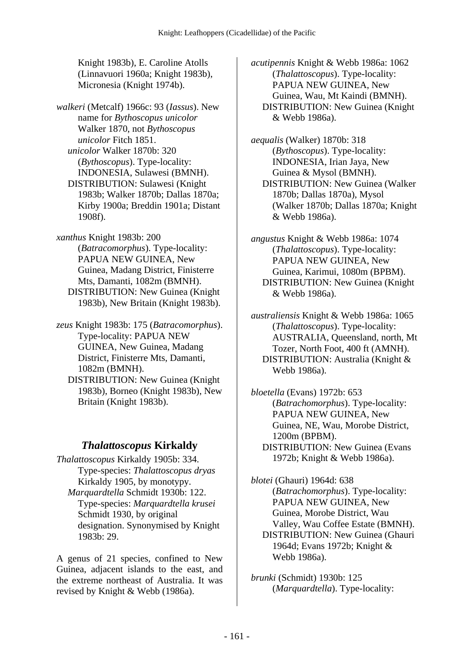Knight 1983b), E. Caroline Atolls (Linnavuori 1960a; Knight 1983b), Micronesia (Knight 1974b).

*walkeri* (Metcalf) 1966c: 93 (*Iassus*). New name for *Bythoscopus unicolor* Walker 1870, not *Bythoscopus unicolor* Fitch 1851.  *unicolor* Walker 1870b: 320 (*Bythoscopus*). Type-locality: INDONESIA, Sulawesi (BMNH). DISTRIBUTION: Sulawesi (Knight 1983b; Walker 1870b; Dallas 1870a; Kirby 1900a; Breddin 1901a; Distant 1908f).

*xanthus* Knight 1983b: 200 (*Batracomorphus*). Type-locality: PAPUA NEW GUINEA, New Guinea, Madang District, Finisterre Mts, Damanti, 1082m (BMNH). DISTRIBUTION: New Guinea (Knight 1983b), New Britain (Knight 1983b).

*zeus* Knight 1983b: 175 (*Batracomorphus*). Type-locality: PAPUA NEW GUINEA, New Guinea, Madang District, Finisterre Mts, Damanti, 1082m (BMNH). DISTRIBUTION: New Guinea (Knight

1983b), Borneo (Knight 1983b), New Britain (Knight 1983b).

#### *Thalattoscopus* **Kirkaldy**

*Thalattoscopus* Kirkaldy 1905b: 334. Type-species: *Thalattoscopus dryas* Kirkaldy 1905, by monotypy.  *Marquardtella* Schmidt 1930b: 122. Type-species: *Marquardtella krusei* Schmidt 1930, by original designation. Synonymised by Knight 1983b: 29.

A genus of 21 species, confined to New Guinea, adjacent islands to the east, and the extreme northeast of Australia. It was revised by Knight & Webb (1986a).

*acutipennis* Knight & Webb 1986a: 1062 (*Thalattoscopus*). Type-locality: PAPUA NEW GUINEA, New Guinea, Wau, Mt Kaindi (BMNH). DISTRIBUTION: New Guinea (Knight & Webb 1986a).

*aequalis* (Walker) 1870b: 318 (*Bythoscopus*). Type-locality: INDONESIA, Irian Jaya, New Guinea & Mysol (BMNH). DISTRIBUTION: New Guinea (Walker 1870b; Dallas 1870a), Mysol (Walker 1870b; Dallas 1870a; Knight & Webb 1986a).

*angustus* Knight & Webb 1986a: 1074 (*Thalattoscopus*). Type-locality: PAPUA NEW GUINEA, New Guinea, Karimui, 1080m (BPBM). DISTRIBUTION: New Guinea (Knight & Webb 1986a).

*australiensis* Knight & Webb 1986a: 1065 (*Thalattoscopus*). Type-locality: AUSTRALIA, Queensland, north, Mt Tozer, North Foot, 400 ft (AMNH). DISTRIBUTION: Australia (Knight & Webb 1986a).

*bloetella* (Evans) 1972b: 653 (*Batrachomorphus*). Type-locality: PAPUA NEW GUINEA, New Guinea, NE, Wau, Morobe District, 1200m (BPBM). DISTRIBUTION: New Guinea (Evans 1972b; Knight & Webb 1986a).

*blotei* (Ghauri) 1964d: 638 (*Batrachomorphus*). Type-locality: PAPUA NEW GUINEA, New Guinea, Morobe District, Wau Valley, Wau Coffee Estate (BMNH). DISTRIBUTION: New Guinea (Ghauri 1964d; Evans 1972b; Knight & Webb 1986a).

*brunki* (Schmidt) 1930b: 125 (*Marquardtella*). Type-locality: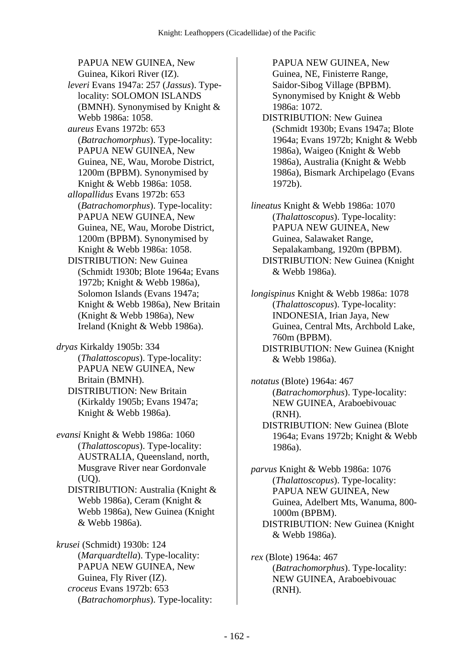PAPUA NEW GUINEA, New Guinea, Kikori River (IZ).  *leveri* Evans 1947a: 257 (*Jassus*). Typelocality: SOLOMON ISLANDS (BMNH). Synonymised by Knight & Webb 1986a: 1058.  *aureus* Evans 1972b: 653 (*Batrachomorphus*). Type-locality: PAPUA NEW GUINEA, New Guinea, NE, Wau, Morobe District, 1200m (BPBM). Synonymised by Knight & Webb 1986a: 1058.  *allopallidus* Evans 1972b: 653 (*Batrachomorphus*). Type-locality: PAPUA NEW GUINEA, New Guinea, NE, Wau, Morobe District, 1200m (BPBM). Synonymised by Knight & Webb 1986a: 1058. DISTRIBUTION: New Guinea (Schmidt 1930b; Blote 1964a; Evans 1972b; Knight & Webb 1986a), Solomon Islands (Evans 1947a; Knight & Webb 1986a), New Britain (Knight & Webb 1986a), New Ireland (Knight & Webb 1986a).

*dryas* Kirkaldy 1905b: 334 (*Thalattoscopus*). Type-locality: PAPUA NEW GUINEA, New Britain (BMNH). DISTRIBUTION: New Britain (Kirkaldy 1905b; Evans 1947a; Knight & Webb 1986a).

*evansi* Knight & Webb 1986a: 1060 (*Thalattoscopus*). Type-locality: AUSTRALIA, Queensland, north, Musgrave River near Gordonvale (UQ).

 DISTRIBUTION: Australia (Knight & Webb 1986a), Ceram (Knight & Webb 1986a), New Guinea (Knight & Webb 1986a).

*krusei* (Schmidt) 1930b: 124 (*Marquardtella*). Type-locality: PAPUA NEW GUINEA, New Guinea, Fly River (IZ).  *croceus* Evans 1972b: 653 (*Batrachomorphus*). Type-locality: PAPUA NEW GUINEA, New Guinea, NE, Finisterre Range, Saidor-Sibog Village (BPBM). Synonymised by Knight & Webb 1986a: 1072.

 DISTRIBUTION: New Guinea (Schmidt 1930b; Evans 1947a; Blote 1964a; Evans 1972b; Knight & Webb 1986a), Waigeo (Knight & Webb 1986a), Australia (Knight & Webb 1986a), Bismark Archipelago (Evans 1972b).

*lineatus* Knight & Webb 1986a: 1070 (*Thalattoscopus*). Type-locality: PAPUA NEW GUINEA, New Guinea, Salawaket Range, Sepalakambang, 1920m (BPBM). DISTRIBUTION: New Guinea (Knight & Webb 1986a).

*longispinus* Knight & Webb 1986a: 1078 (*Thalattoscopus*). Type-locality: INDONESIA, Irian Jaya, New Guinea, Central Mts, Archbold Lake, 760m (BPBM). DISTRIBUTION: New Guinea (Knight & Webb 1986a).

*notatus* (Blote) 1964a: 467 (*Batrachomorphus*). Type-locality: NEW GUINEA, Araboebivouac (RNH). DISTRIBUTION: New Guinea (Blote 1964a; Evans 1972b; Knight & Webb 1986a).

*parvus* Knight & Webb 1986a: 1076 (*Thalattoscopus*). Type-locality: PAPUA NEW GUINEA, New Guinea, Adelbert Mts, Wanuma, 800- 1000m (BPBM). DISTRIBUTION: New Guinea (Knight & Webb 1986a).

*rex* (Blote) 1964a: 467 (*Batrachomorphus*). Type-locality: NEW GUINEA, Araboebivouac (RNH).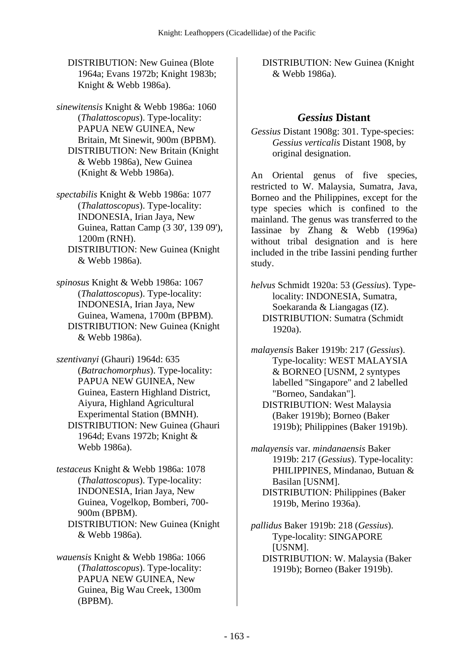DISTRIBUTION: New Guinea (Blote 1964a; Evans 1972b; Knight 1983b; Knight & Webb 1986a).

*sinewitensis* Knight & Webb 1986a: 1060 (*Thalattoscopus*). Type-locality: PAPUA NEW GUINEA, New Britain, Mt Sinewit, 900m (BPBM). DISTRIBUTION: New Britain (Knight & Webb 1986a), New Guinea (Knight & Webb 1986a).

*spectabilis* Knight & Webb 1986a: 1077 (*Thalattoscopus*). Type-locality: INDONESIA, Irian Jaya, New Guinea, Rattan Camp (3 30', 139 09'), 1200m (RNH). DISTRIBUTION: New Guinea (Knight

& Webb 1986a).

*spinosus* Knight & Webb 1986a: 1067 (*Thalattoscopus*). Type-locality: INDONESIA, Irian Jaya, New Guinea, Wamena, 1700m (BPBM). DISTRIBUTION: New Guinea (Knight & Webb 1986a).

*szentivanyi* (Ghauri) 1964d: 635 (*Batrachomorphus*). Type-locality: PAPUA NEW GUINEA, New Guinea, Eastern Highland District, Aiyura, Highland Agricultural Experimental Station (BMNH). DISTRIBUTION: New Guinea (Ghauri 1964d; Evans 1972b; Knight & Webb 1986a).

*testaceus* Knight & Webb 1986a: 1078 (*Thalattoscopus*). Type-locality: INDONESIA, Irian Jaya, New Guinea, Vogelkop, Bomberi, 700- 900m (BPBM). DISTRIBUTION: New Guinea (Knight & Webb 1986a).

*wauensis* Knight & Webb 1986a: 1066 (*Thalattoscopus*). Type-locality: PAPUA NEW GUINEA, New Guinea, Big Wau Creek, 1300m (BPBM).

 DISTRIBUTION: New Guinea (Knight & Webb 1986a).

#### *Gessius* **Distant**

*Gessius* Distant 1908g: 301. Type-species: *Gessius verticalis* Distant 1908, by original designation.

An Oriental genus of five species, restricted to W. Malaysia, Sumatra, Java, Borneo and the Philippines, except for the type species which is confined to the mainland. The genus was transferred to the Iassinae by Zhang & Webb (1996a) without tribal designation and is here included in the tribe Iassini pending further study.

*helvus* Schmidt 1920a: 53 (*Gessius*). Typelocality: INDONESIA, Sumatra, Soekaranda & Liangagas (IZ). DISTRIBUTION: Sumatra (Schmidt 1920a).

*malayensis* Baker 1919b: 217 (*Gessius*). Type-locality: WEST MALAYSIA & BORNEO [USNM, 2 syntypes labelled "Singapore" and 2 labelled "Borneo, Sandakan"]. DISTRIBUTION: West Malaysia (Baker 1919b); Borneo (Baker 1919b); Philippines (Baker 1919b).

*malayensis* var. *mindanaensis* Baker 1919b: 217 (*Gessius*). Type-locality: PHILIPPINES, Mindanao, Butuan & Basilan [USNM]. DISTRIBUTION: Philippines (Baker 1919b, Merino 1936a).

*pallidus* Baker 1919b: 218 (*Gessius*). Type-locality: SINGAPORE [USNM]. DISTRIBUTION: W. Malaysia (Baker 1919b); Borneo (Baker 1919b).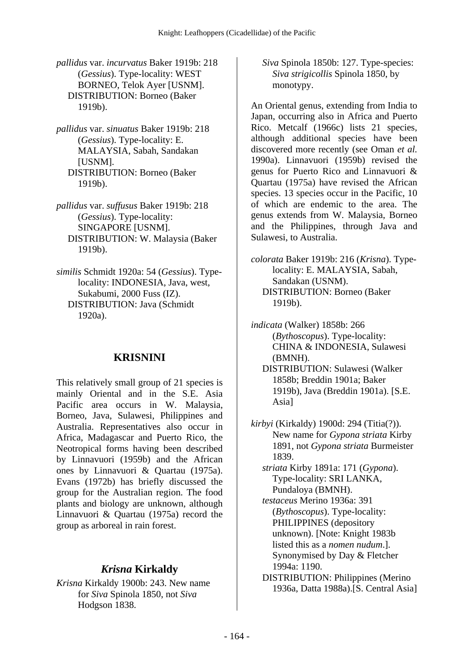*pallidus* var. *incurvatus* Baker 1919b: 218 (*Gessius*). Type-locality: WEST BORNEO, Telok Ayer [USNM]. DISTRIBUTION: Borneo (Baker 1919b).

- *pallidus* var. *sinuatus* Baker 1919b: 218 (*Gessius*). Type-locality: E. MALAYSIA, Sabah, Sandakan [USNM]. DISTRIBUTION: Borneo (Baker 1919b).
- *pallidus* var. *suffusus* Baker 1919b: 218 (*Gessius*). Type-locality: SINGAPORE [USNM]. DISTRIBUTION: W. Malaysia (Baker 1919b).
- *similis* Schmidt 1920a: 54 (*Gessius*). Typelocality: INDONESIA, Java, west, Sukabumi, 2000 Fuss (IZ). DISTRIBUTION: Java (Schmidt 1920a).

#### **KRISNINI**

This relatively small group of 21 species is mainly Oriental and in the S.E. Asia Pacific area occurs in W. Malaysia, Borneo, Java, Sulawesi, Philippines and Australia. Representatives also occur in Africa, Madagascar and Puerto Rico, the Neotropical forms having been described by Linnavuori (1959b) and the African ones by Linnavuori & Quartau (1975a). Evans (1972b) has briefly discussed the group for the Australian region. The food plants and biology are unknown, although Linnavuori & Quartau (1975a) record the group as arboreal in rain forest.

#### *Krisna* **Kirkaldy**

*Krisna* Kirkaldy 1900b: 243. New name for *Siva* Spinola 1850, not *Siva* Hodgson 1838.

 *Siva* Spinola 1850b: 127. Type-species: *Siva strigicollis* Spinola 1850, by monotypy.

An Oriental genus, extending from India to Japan, occurring also in Africa and Puerto Rico. Metcalf (1966c) lists 21 species, although additional species have been discovered more recently (see Oman *et al.* 1990a). Linnavuori (1959b) revised the genus for Puerto Rico and Linnavuori & Quartau (1975a) have revised the African species. 13 species occur in the Pacific, 10 of which are endemic to the area. The genus extends from W. Malaysia, Borneo and the Philippines, through Java and Sulawesi, to Australia.

*colorata* Baker 1919b: 216 (*Krisna*). Typelocality: E. MALAYSIA, Sabah, Sandakan (USNM). DISTRIBUTION: Borneo (Baker 1919b).

*indicata* (Walker) 1858b: 266 (*Bythoscopus*). Type-locality: CHINA & INDONESIA, Sulawesi (BMNH).

 DISTRIBUTION: Sulawesi (Walker 1858b; Breddin 1901a; Baker 1919b), Java (Breddin 1901a). [S.E. Asia]

*kirbyi* (Kirkaldy) 1900d: 294 (Titia(?)). New name for *Gypona striata* Kirby 1891, not *Gypona striata* Burmeister 1839.

 *striata* Kirby 1891a: 171 (*Gypona*). Type-locality: SRI LANKA, Pundaloya (BMNH).

 *testaceus* Merino 1936a: 391 (*Bythoscopus*). Type-locality: PHILIPPINES (depository unknown). [Note: Knight 1983b listed this as a *nomen nudum*.]. Synonymised by Day & Fletcher 1994a: 1190.

 DISTRIBUTION: Philippines (Merino 1936a, Datta 1988a).[S. Central Asia]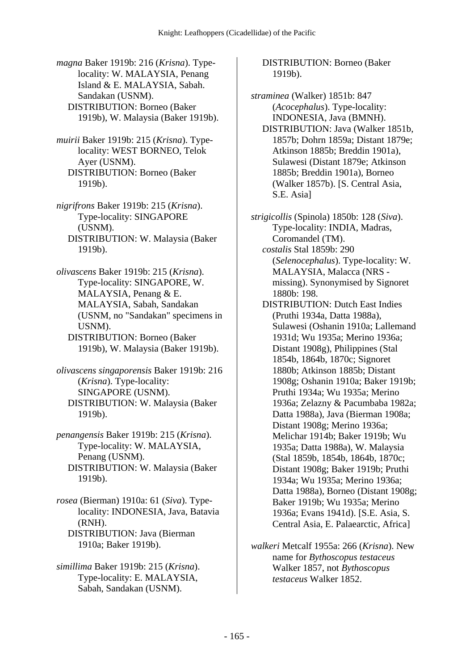*magna* Baker 1919b: 216 (*Krisna*). Typelocality: W. MALAYSIA, Penang Island & E. MALAYSIA, Sabah. Sandakan (USNM). DISTRIBUTION: Borneo (Baker 1919b), W. Malaysia (Baker 1919b).

*muirii* Baker 1919b: 215 (*Krisna*). Typelocality: WEST BORNEO, Telok Ayer (USNM). DISTRIBUTION: Borneo (Baker 1919b).

*nigrifrons* Baker 1919b: 215 (*Krisna*). Type-locality: SINGAPORE (USNM). DISTRIBUTION: W. Malaysia (Baker 1919b).

*olivascens* Baker 1919b: 215 (*Krisna*). Type-locality: SINGAPORE, W. MALAYSIA, Penang & E. MALAYSIA, Sabah, Sandakan (USNM, no "Sandakan" specimens in USNM). DISTRIBUTION: Borneo (Baker

1919b), W. Malaysia (Baker 1919b).

*olivascens singaporensis* Baker 1919b: 216 (*Krisna*). Type-locality: SINGAPORE (USNM). DISTRIBUTION: W. Malaysia (Baker 1919b).

*penangensis* Baker 1919b: 215 (*Krisna*). Type-locality: W. MALAYSIA, Penang (USNM). DISTRIBUTION: W. Malaysia (Baker 1919b).

*rosea* (Bierman) 1910a: 61 (*Siva*). Typelocality: INDONESIA, Java, Batavia (RNH). DISTRIBUTION: Java (Bierman 1910a; Baker 1919b).

*simillima* Baker 1919b: 215 (*Krisna*). Type-locality: E. MALAYSIA, Sabah, Sandakan (USNM).

#### DISTRIBUTION: Borneo (Baker 1919b).

*straminea* (Walker) 1851b: 847 (*Acocephalus*). Type-locality: INDONESIA, Java (BMNH). DISTRIBUTION: Java (Walker 1851b, 1857b; Dohrn 1859a; Distant 1879e; Atkinson 1885b; Breddin 1901a), Sulawesi (Distant 1879e; Atkinson 1885b; Breddin 1901a), Borneo (Walker 1857b). [S. Central Asia, S.E. Asia]

*strigicollis* (Spinola) 1850b: 128 (*Siva*). Type-locality: INDIA, Madras, Coromandel (TM).  *costalis* Stal 1859b: 290 (*Selenocephalus*). Type-locality: W. MALAYSIA, Malacca (NRS missing). Synonymised by Signoret

1880b: 198. DISTRIBUTION: Dutch East Indies (Pruthi 1934a, Datta 1988a), Sulawesi (Oshanin 1910a; Lallemand 1931d; Wu 1935a; Merino 1936a; Distant 1908g), Philippines (Stal 1854b, 1864b, 1870c; Signoret 1880b; Atkinson 1885b; Distant 1908g; Oshanin 1910a; Baker 1919b; Pruthi 1934a; Wu 1935a; Merino 1936a; Zelazny & Pacumbaba 1982a; Datta 1988a), Java (Bierman 1908a; Distant 1908g; Merino 1936a; Melichar 1914b; Baker 1919b; Wu 1935a; Datta 1988a), W. Malaysia (Stal 1859b, 1854b, 1864b, 1870c; Distant 1908g; Baker 1919b; Pruthi 1934a; Wu 1935a; Merino 1936a; Datta 1988a), Borneo (Distant 1908g; Baker 1919b; Wu 1935a; Merino 1936a; Evans 1941d). [S.E. Asia, S. Central Asia, E. Palaearctic, Africa]

*walkeri* Metcalf 1955a: 266 (*Krisna*). New name for *Bythoscopus testaceus* Walker 1857, not *Bythoscopus testaceus* Walker 1852.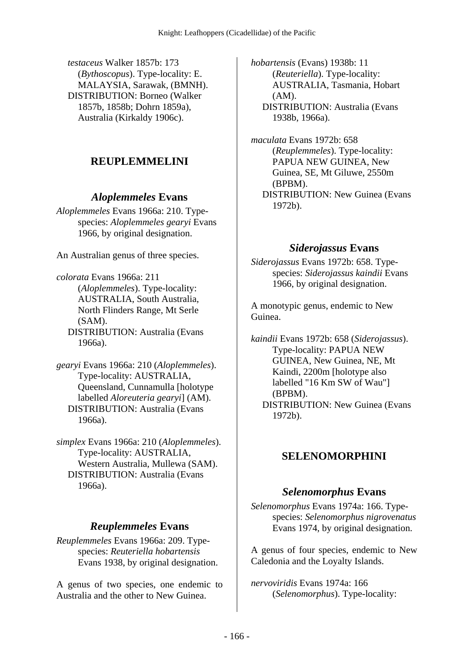*testaceus* Walker 1857b: 173 (*Bythoscopus*). Type-locality: E. MALAYSIA, Sarawak, (BMNH). DISTRIBUTION: Borneo (Walker 1857b, 1858b; Dohrn 1859a), Australia (Kirkaldy 1906c).

# **REUPLEMMELINI**

#### *Aloplemmeles* **Evans**

*Aloplemmeles* Evans 1966a: 210. Typespecies: *Aloplemmeles gearyi* Evans 1966, by original designation.

An Australian genus of three species.

*colorata* Evans 1966a: 211 (*Aloplemmeles*). Type-locality: AUSTRALIA, South Australia, North Flinders Range, Mt Serle (SAM).

 DISTRIBUTION: Australia (Evans 1966a).

*gearyi* Evans 1966a: 210 (*Aloplemmeles*). Type-locality: AUSTRALIA, Queensland, Cunnamulla [holotype labelled *Aloreuteria gearyi*] (AM). DISTRIBUTION: Australia (Evans 1966a).

*simplex* Evans 1966a: 210 (*Aloplemmeles*). Type-locality: AUSTRALIA, Western Australia, Mullewa (SAM). DISTRIBUTION: Australia (Evans 1966a).

#### *Reuplemmeles* **Evans**

*Reuplemmeles* Evans 1966a: 209. Typespecies: *Reuteriella hobartensis* Evans 1938, by original designation.

A genus of two species, one endemic to Australia and the other to New Guinea.

*hobartensis* (Evans) 1938b: 11 (*Reuteriella*). Type-locality: AUSTRALIA, Tasmania, Hobart (AM). DISTRIBUTION: Australia (Evans 1938b, 1966a).

*maculata* Evans 1972b: 658 (*Reuplemmeles*). Type-locality: PAPUA NEW GUINEA, New Guinea, SE, Mt Giluwe, 2550m (BPBM). DISTRIBUTION: New Guinea (Evans 1972b).

#### *Siderojassus* **Evans**

*Siderojassus* Evans 1972b: 658. Typespecies: *Siderojassus kaindii* Evans 1966, by original designation.

A monotypic genus, endemic to New Guinea.

*kaindii* Evans 1972b: 658 (*Siderojassus*). Type-locality: PAPUA NEW GUINEA, New Guinea, NE, Mt Kaindi, 2200m [holotype also labelled "16 Km SW of Wau"] (BPBM). DISTRIBUTION: New Guinea (Evans 1972b).

# **SELENOMORPHINI**

#### *Selenomorphus* **Evans**

*Selenomorphus* Evans 1974a: 166. Typespecies: *Selenomorphus nigrovenatus* Evans 1974, by original designation.

A genus of four species, endemic to New Caledonia and the Loyalty Islands.

*nervoviridis* Evans 1974a: 166 (*Selenomorphus*). Type-locality: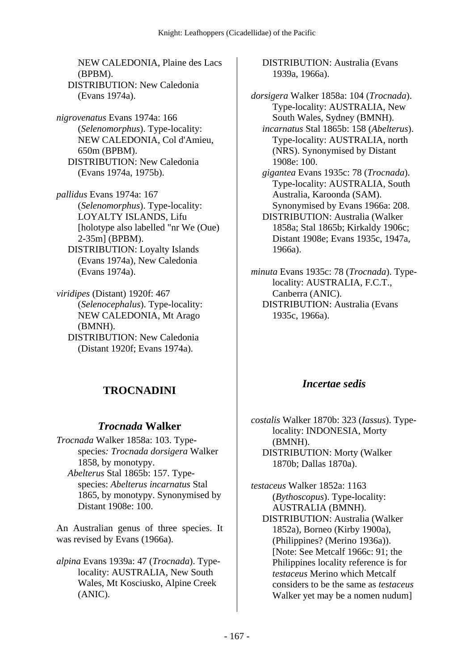NEW CALEDONIA, Plaine des Lacs (BPBM). DISTRIBUTION: New Caledonia (Evans 1974a).

*nigrovenatus* Evans 1974a: 166 (*Selenomorphus*). Type-locality: NEW CALEDONIA, Col d'Amieu, 650m (BPBM). DISTRIBUTION: New Caledonia (Evans 1974a, 1975b).

*pallidus* Evans 1974a: 167 (*Selenomorphus*). Type-locality: LOYALTY ISLANDS, Lifu [holotype also labelled "nr We (Oue) 2-35m] (BPBM).

 DISTRIBUTION: Loyalty Islands (Evans 1974a), New Caledonia (Evans 1974a).

*viridipes* (Distant) 1920f: 467 (*Selenocephalus*). Type-locality: NEW CALEDONIA, Mt Arago (BMNH). DISTRIBUTION: New Caledonia (Distant 1920f; Evans 1974a).

# **TROCNADINI**

#### *Trocnada* **Walker**

*Trocnada* Walker 1858a: 103. Typespecies*: Trocnada dorsigera* Walker 1858, by monotypy.  *Abelterus* Stal 1865b: 157. Typespecies: *Abelterus incarnatus* Stal 1865, by monotypy. Synonymised by

Distant 1908e: 100.

An Australian genus of three species. It was revised by Evans (1966a).

*alpina* Evans 1939a: 47 (*Trocnada*). Typelocality: AUSTRALIA, New South Wales, Mt Kosciusko, Alpine Creek (ANIC).

 DISTRIBUTION: Australia (Evans 1939a, 1966a).

*dorsigera* Walker 1858a: 104 (*Trocnada*). Type-locality: AUSTRALIA, New South Wales, Sydney (BMNH).  *incarnatus* Stal 1865b: 158 (*Abelterus*). Type-locality: AUSTRALIA, north (NRS). Synonymised by Distant 1908e: 100.

 *gigantea* Evans 1935c: 78 (*Trocnada*). Type-locality: AUSTRALIA, South Australia, Karoonda (SAM). Synonymised by Evans 1966a: 208. DISTRIBUTION: Australia (Walker 1858a; Stal 1865b; Kirkaldy 1906c;

Distant 1908e; Evans 1935c, 1947a,

1966a). *minuta* Evans 1935c: 78 (*Trocnada*). Typelocality: AUSTRALIA, F.C.T., Canberra (ANIC). DISTRIBUTION: Australia (Evans

1935c, 1966a).

#### *Incertae sedis*

*costalis* Walker 1870b: 323 (*Iassus*). Typelocality: INDONESIA, Morty (BMNH). DISTRIBUTION: Morty (Walker 1870b; Dallas 1870a).

*testaceus* Walker 1852a: 1163 (*Bythoscopus*). Type-locality: AUSTRALIA (BMNH). DISTRIBUTION: Australia (Walker 1852a), Borneo (Kirby 1900a), (Philippines? (Merino 1936a)). [Note: See Metcalf 1966c: 91; the Philippines locality reference is for *testaceus* Merino which Metcalf considers to be the same as *testaceus* Walker yet may be a nomen nudum]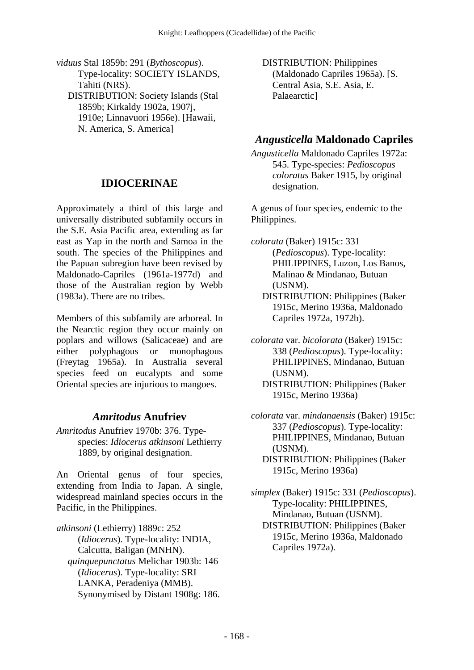*viduus* Stal 1859b: 291 (*Bythoscopus*). Type-locality: SOCIETY ISLANDS, Tahiti (NRS). DISTRIBUTION: Society Islands (Stal 1859b; Kirkaldy 1902a, 1907j, 1910e; Linnavuori 1956e). [Hawaii, N. America, S. America]

#### **IDIOCERINAE**

Approximately a third of this large and universally distributed subfamily occurs in the S.E. Asia Pacific area, extending as far east as Yap in the north and Samoa in the south. The species of the Philippines and the Papuan subregion have been revised by Maldonado-Capriles (1961a-1977d) and those of the Australian region by Webb (1983a). There are no tribes.

Members of this subfamily are arboreal. In the Nearctic region they occur mainly on poplars and willows (Salicaceae) and are either polyphagous or monophagous (Freytag 1965a). In Australia several species feed on eucalypts and some Oriental species are injurious to mangoes.

#### *Amritodus* **Anufriev**

*Amritodus* Anufriev 1970b: 376. Typespecies: *Idiocerus atkinsoni* Lethierry 1889, by original designation.

An Oriental genus of four species, extending from India to Japan. A single, widespread mainland species occurs in the Pacific, in the Philippines.

*atkinsoni* (Lethierry) 1889c: 252 (*Idiocerus*). Type-locality: INDIA, Calcutta, Baligan (MNHN).  *quinquepunctatus* Melichar 1903b: 146 (*Idiocerus*). Type-locality: SRI LANKA, Peradeniya (MMB). Synonymised by Distant 1908g: 186.  DISTRIBUTION: Philippines (Maldonado Capriles 1965a). [S. Central Asia, S.E. Asia, E. Palaearctic]

#### *Angusticella* **Maldonado Capriles**

*Angusticella* Maldonado Capriles 1972a: 545. Type-species: *Pedioscopus coloratus* Baker 1915, by original designation.

A genus of four species, endemic to the Philippines.

*colorata* (Baker) 1915c: 331 (*Pedioscopus*). Type-locality: PHILIPPINES, Luzon, Los Banos, Malinao & Mindanao, Butuan (USNM).

 DISTRIBUTION: Philippines (Baker 1915c, Merino 1936a, Maldonado Capriles 1972a, 1972b).

*colorata* var. *bicolorata* (Baker) 1915c: 338 (*Pedioscopus*). Type-locality: PHILIPPINES, Mindanao, Butuan (USNM). DISTRIBUTION: Philippines (Baker 1915c, Merino 1936a)

*colorata* var. *mindanaensis* (Baker) 1915c: 337 (*Pedioscopus*). Type-locality: PHILIPPINES, Mindanao, Butuan (USNM). DISTRIBUTION: Philippines (Baker 1915c, Merino 1936a)

*simplex* (Baker) 1915c: 331 (*Pedioscopus*). Type-locality: PHILIPPINES, Mindanao, Butuan (USNM). DISTRIBUTION: Philippines (Baker 1915c, Merino 1936a, Maldonado Capriles 1972a).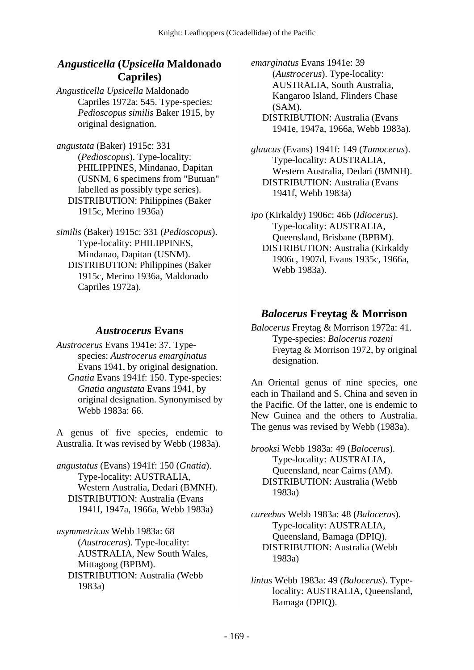#### *Angusticella* **(***Upsicella* **Maldonado Capriles)**

*Angusticella Upsicella* Maldonado Capriles 1972a: 545. Type-species*: Pedioscopus similis* Baker 1915, by original designation.

*angustata* (Baker) 1915c: 331 (*Pedioscopus*). Type-locality: PHILIPPINES, Mindanao, Dapitan (USNM, 6 specimens from "Butuan" labelled as possibly type series). DISTRIBUTION: Philippines (Baker 1915c, Merino 1936a)

*similis* (Baker) 1915c: 331 (*Pedioscopus*). Type-locality: PHILIPPINES, Mindanao, Dapitan (USNM). DISTRIBUTION: Philippines (Baker 1915c, Merino 1936a, Maldonado Capriles 1972a).

#### *Austrocerus* **Evans**

*Austrocerus* Evans 1941e: 37. Typespecies: *Austrocerus emarginatus* Evans 1941, by original designation.  *Gnatia* Evans 1941f: 150. Type-species: *Gnatia angustata* Evans 1941, by original designation. Synonymised by Webb 1983a: 66.

A genus of five species, endemic to Australia. It was revised by Webb (1983a).

*angustatus* (Evans) 1941f: 150 (*Gnatia*). Type-locality: AUSTRALIA, Western Australia, Dedari (BMNH). DISTRIBUTION: Australia (Evans 1941f, 1947a, 1966a, Webb 1983a)

*asymmetricus* Webb 1983a: 68 (*Austrocerus*). Type-locality: AUSTRALIA, New South Wales, Mittagong (BPBM). DISTRIBUTION: Australia (Webb 1983a)

*emarginatus* Evans 1941e: 39 (*Austrocerus*). Type-locality: AUSTRALIA, South Australia, Kangaroo Island, Flinders Chase (SAM). DISTRIBUTION: Australia (Evans

1941e, 1947a, 1966a, Webb 1983a).

*glaucus* (Evans) 1941f: 149 (*Tumocerus*). Type-locality: AUSTRALIA, Western Australia, Dedari (BMNH). DISTRIBUTION: Australia (Evans 1941f, Webb 1983a)

*ipo* (Kirkaldy) 1906c: 466 (*Idiocerus*). Type-locality: AUSTRALIA, Queensland, Brisbane (BPBM). DISTRIBUTION: Australia (Kirkaldy 1906c, 1907d, Evans 1935c, 1966a, Webb 1983a).

#### *Balocerus* **Freytag & Morrison**

*Balocerus* Freytag & Morrison 1972a: 41. Type-species: *Balocerus rozeni* Freytag & Morrison 1972, by original designation.

An Oriental genus of nine species, one each in Thailand and S. China and seven in the Pacific. Of the latter, one is endemic to New Guinea and the others to Australia. The genus was revised by Webb (1983a).

*brooksi* Webb 1983a: 49 (*Balocerus*). Type-locality: AUSTRALIA, Queensland, near Cairns (AM). DISTRIBUTION: Australia (Webb 1983a)

*careebus* Webb 1983a: 48 (*Balocerus*). Type-locality: AUSTRALIA, Queensland, Bamaga (DPIQ). DISTRIBUTION: Australia (Webb 1983a)

*lintus* Webb 1983a: 49 (*Balocerus*). Typelocality: AUSTRALIA, Queensland, Bamaga (DPIQ).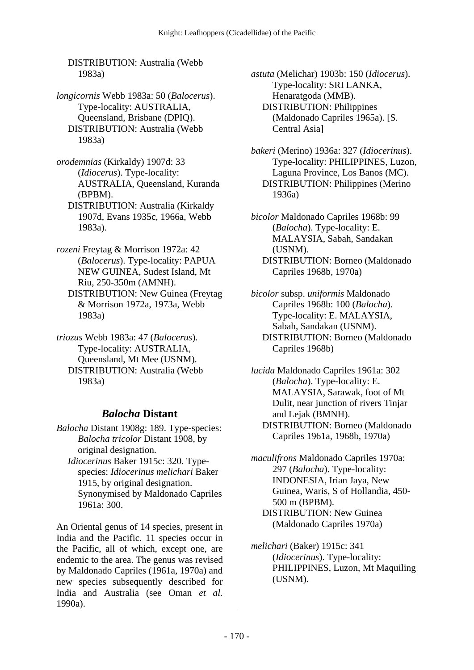DISTRIBUTION: Australia (Webb 1983a)

*longicornis* Webb 1983a: 50 (*Balocerus*). Type-locality: AUSTRALIA, Queensland, Brisbane (DPIQ). DISTRIBUTION: Australia (Webb 1983a)

*orodemnias* (Kirkaldy) 1907d: 33 (*Idiocerus*). Type-locality: AUSTRALIA, Queensland, Kuranda (BPBM).

 DISTRIBUTION: Australia (Kirkaldy 1907d, Evans 1935c, 1966a, Webb 1983a).

*rozeni* Freytag & Morrison 1972a: 42 (*Balocerus*). Type-locality: PAPUA NEW GUINEA, Sudest Island, Mt Riu, 250-350m (AMNH). DISTRIBUTION: New Guinea (Freytag & Morrison 1972a, 1973a, Webb 1983a)

*triozus* Webb 1983a: 47 (*Balocerus*). Type-locality: AUSTRALIA, Queensland, Mt Mee (USNM). DISTRIBUTION: Australia (Webb 1983a)

#### *Balocha* **Distant**

*Balocha* Distant 1908g: 189. Type-species: *Balocha tricolor* Distant 1908, by original designation.

 *Idiocerinus* Baker 1915c: 320. Typespecies: *Idiocerinus melichari* Baker 1915, by original designation. Synonymised by Maldonado Capriles 1961a: 300.

An Oriental genus of 14 species, present in India and the Pacific. 11 species occur in the Pacific, all of which, except one, are endemic to the area. The genus was revised by Maldonado Capriles (1961a, 1970a) and new species subsequently described for India and Australia (see Oman *et al.* 1990a).

*astuta* (Melichar) 1903b: 150 (*Idiocerus*). Type-locality: SRI LANKA, Henaratgoda (MMB). DISTRIBUTION: Philippines (Maldonado Capriles 1965a). [S. Central Asia]

*bakeri* (Merino) 1936a: 327 (*Idiocerinus*). Type-locality: PHILIPPINES, Luzon, Laguna Province, Los Banos (MC). DISTRIBUTION: Philippines (Merino 1936a)

*bicolor* Maldonado Capriles 1968b: 99 (*Balocha*). Type-locality: E. MALAYSIA, Sabah, Sandakan (USNM). DISTRIBUTION: Borneo (Maldonado Capriles 1968b, 1970a)

*bicolor* subsp. *uniformis* Maldonado Capriles 1968b: 100 (*Balocha*). Type-locality: E. MALAYSIA, Sabah, Sandakan (USNM). DISTRIBUTION: Borneo (Maldonado Capriles 1968b)

*lucida* Maldonado Capriles 1961a: 302 (*Balocha*). Type-locality: E. MALAYSIA, Sarawak, foot of Mt Dulit, near junction of rivers Tinjar and Lejak (BMNH). DISTRIBUTION: Borneo (Maldonado Capriles 1961a, 1968b, 1970a)

*maculifrons* Maldonado Capriles 1970a: 297 (*Balocha*). Type-locality: INDONESIA, Irian Jaya, New Guinea, Waris, S of Hollandia, 450- 500 m (BPBM). DISTRIBUTION: New Guinea (Maldonado Capriles 1970a)

*melichari* (Baker) 1915c: 341 (*Idiocerinus*). Type-locality: PHILIPPINES, Luzon, Mt Maquiling (USNM).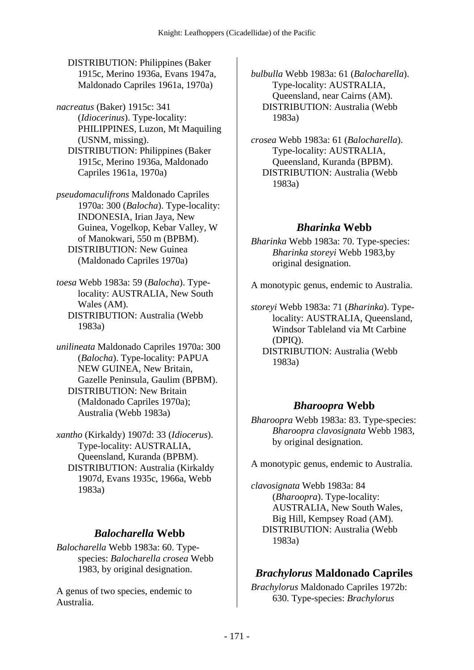DISTRIBUTION: Philippines (Baker 1915c, Merino 1936a, Evans 1947a, Maldonado Capriles 1961a, 1970a)

*nacreatus* (Baker) 1915c: 341 (*Idiocerinus*). Type-locality: PHILIPPINES, Luzon, Mt Maquiling (USNM, missing). DISTRIBUTION: Philippines (Baker 1915c, Merino 1936a, Maldonado Capriles 1961a, 1970a)

*pseudomaculifrons* Maldonado Capriles 1970a: 300 (*Balocha*). Type-locality: INDONESIA, Irian Jaya, New Guinea, Vogelkop, Kebar Valley, W of Manokwari, 550 m (BPBM). DISTRIBUTION: New Guinea (Maldonado Capriles 1970a)

*toesa* Webb 1983a: 59 (*Balocha*). Typelocality: AUSTRALIA, New South Wales (AM). DISTRIBUTION: Australia (Webb 1983a)

*unilineata* Maldonado Capriles 1970a: 300 (*Balocha*). Type-locality: PAPUA NEW GUINEA, New Britain, Gazelle Peninsula, Gaulim (BPBM). DISTRIBUTION: New Britain (Maldonado Capriles 1970a); Australia (Webb 1983a)

*xantho* (Kirkaldy) 1907d: 33 (*Idiocerus*). Type-locality: AUSTRALIA, Queensland, Kuranda (BPBM). DISTRIBUTION: Australia (Kirkaldy 1907d, Evans 1935c, 1966a, Webb 1983a)

#### *Balocharella* **Webb**

*Balocharella* Webb 1983a: 60. Typespecies: *Balocharella crosea* Webb 1983, by original designation.

A genus of two species, endemic to Australia.

*bulbulla* Webb 1983a: 61 (*Balocharella*). Type-locality: AUSTRALIA, Queensland, near Cairns (AM). DISTRIBUTION: Australia (Webb 1983a)

*crosea* Webb 1983a: 61 (*Balocharella*). Type-locality: AUSTRALIA, Queensland, Kuranda (BPBM). DISTRIBUTION: Australia (Webb 1983a)

### *Bharinka* **Webb**

*Bharinka* Webb 1983a: 70. Type-species: *Bharinka storeyi* Webb 1983,by original designation.

A monotypic genus, endemic to Australia.

*storeyi* Webb 1983a: 71 (*Bharinka*). Typelocality: AUSTRALIA, Queensland, Windsor Tableland via Mt Carbine (DPIQ). DISTRIBUTION: Australia (Webb 1983a)

# *Bharoopra* **Webb**

*Bharoopra* Webb 1983a: 83. Type-species: *Bharoopra clavosignata* Webb 1983, by original designation.

A monotypic genus, endemic to Australia.

*clavosignata* Webb 1983a: 84 (*Bharoopra*). Type-locality: AUSTRALIA, New South Wales, Big Hill, Kempsey Road (AM). DISTRIBUTION: Australia (Webb 1983a)

# *Brachylorus* **Maldonado Capriles**

*Brachylorus* Maldonado Capriles 1972b: 630. Type-species: *Brachylorus*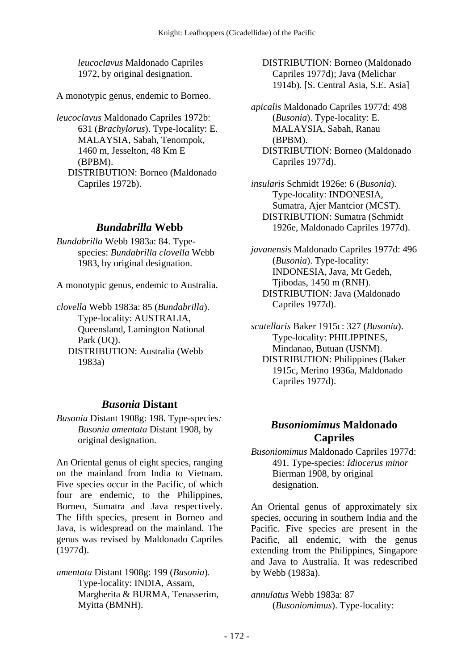*leucoclavus* Maldonado Capriles 1972, by original designation.

A monotypic genus, endemic to Borneo.

*leucoclavus* Maldonado Capriles 1972b: 631 (*Brachylorus*). Type-locality: E. MALAYSIA, Sabah, Tenompok, 1460 m, Jesselton, 48 Km E (BPBM). DISTRIBUTION: Borneo (Maldonado Capriles 1972b).

### *Bundabrilla* **Webb**

*Bundabrilla* Webb 1983a: 84. Typespecies: *Bundabrilla clovella* Webb 1983, by original designation.

A monotypic genus, endemic to Australia.

*clovella* Webb 1983a: 85 (*Bundabrilla*). Type-locality: AUSTRALIA, Queensland, Lamington National Park (UQ). DISTRIBUTION: Australia (Webb 1983a)

#### *Busonia* **Distant**

*Busonia* Distant 1908g: 198. Type-species*: Busonia amentata* Distant 1908, by original designation.

An Oriental genus of eight species, ranging on the mainland from India to Vietnam. Five species occur in the Pacific, of which four are endemic, to the Philippines, Borneo, Sumatra and Java respectively. The fifth species, present in Borneo and Java, is widespread on the mainland. The genus was revised by Maldonado Capriles (1977d).

*amentata* Distant 1908g: 199 (*Busonia*). Type-locality: INDIA, Assam, Margherita & BURMA, Tenasserim, Myitta (BMNH).

 DISTRIBUTION: Borneo (Maldonado Capriles 1977d); Java (Melichar 1914b). [S. Central Asia, S.E. Asia]

*apicalis* Maldonado Capriles 1977d: 498 (*Busonia*). Type-locality: E. MALAYSIA, Sabah, Ranau (BPBM). DISTRIBUTION: Borneo (Maldonado Capriles 1977d).

*insularis* Schmidt 1926e: 6 (*Busonia*). Type-locality: INDONESIA, Sumatra, Ajer Mantcior (MCST). DISTRIBUTION: Sumatra (Schmidt 1926e, Maldonado Capriles 1977d).

*javanensis* Maldonado Capriles 1977d: 496 (*Busonia*). Type-locality: INDONESIA, Java, Mt Gedeh, Tjibodas, 1450 m (RNH). DISTRIBUTION: Java (Maldonado Capriles 1977d).

*scutellaris* Baker 1915c: 327 (*Busonia*). Type-locality: PHILIPPINES, Mindanao, Butuan (USNM). DISTRIBUTION: Philippines (Baker 1915c, Merino 1936a, Maldonado Capriles 1977d).

# *Busoniomimus* **Maldonado Capriles**

*Busoniomimus* Maldonado Capriles 1977d: 491. Type-species: *Idiocerus minor* Bierman 1908, by original designation.

An Oriental genus of approximately six species, occuring in southern India and the Pacific. Five species are present in the Pacific, all endemic, with the genus extending from the Philippines, Singapore and Java to Australia. It was redescribed by Webb (1983a).

*annulatus* Webb 1983a: 87 (*Busoniomimus*). Type-locality: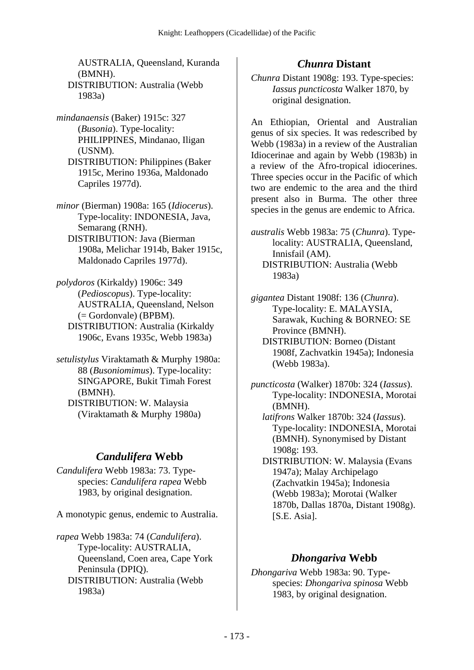AUSTRALIA, Queensland, Kuranda (BMNH). DISTRIBUTION: Australia (Webb 1983a)

*mindanaensis* (Baker) 1915c: 327 (*Busonia*). Type-locality: PHILIPPINES, Mindanao, Iligan (USNM). DISTRIBUTION: Philippines (Baker 1915c, Merino 1936a, Maldonado Capriles 1977d).

*minor* (Bierman) 1908a: 165 (*Idiocerus*). Type-locality: INDONESIA, Java, Semarang (RNH).

- DISTRIBUTION: Java (Bierman 1908a, Melichar 1914b, Baker 1915c, Maldonado Capriles 1977d).
- *polydoros* (Kirkaldy) 1906c: 349 (*Pedioscopus*). Type-locality: AUSTRALIA, Queensland, Nelson (= Gordonvale) (BPBM). DISTRIBUTION: Australia (Kirkaldy 1906c, Evans 1935c, Webb 1983a)
- *setulistylus* Viraktamath & Murphy 1980a: 88 (*Busoniomimus*). Type-locality: SINGAPORE, Bukit Timah Forest (BMNH). DISTRIBUTION: W. Malaysia
	- (Viraktamath & Murphy 1980a)

# *Candulifera* **Webb**

*Candulifera* Webb 1983a: 73. Typespecies: *Candulifera rapea* Webb 1983, by original designation.

A monotypic genus, endemic to Australia.

*rapea* Webb 1983a: 74 (*Candulifera*). Type-locality: AUSTRALIA, Queensland, Coen area, Cape York Peninsula (DPIQ). DISTRIBUTION: Australia (Webb 1983a)

# *Chunra* **Distant**

*Chunra* Distant 1908g: 193. Type-species: *Iassus puncticosta* Walker 1870, by original designation.

An Ethiopian, Oriental and Australian genus of six species. It was redescribed by Webb (1983a) in a review of the Australian Idiocerinae and again by Webb (1983b) in a review of the Afro-tropical idiocerines. Three species occur in the Pacific of which two are endemic to the area and the third present also in Burma. The other three species in the genus are endemic to Africa.

*australis* Webb 1983a: 75 (*Chunra*). Typelocality: AUSTRALIA, Queensland, Innisfail (AM). DISTRIBUTION: Australia (Webb 1983a)

*gigantea* Distant 1908f: 136 (*Chunra*). Type-locality: E. MALAYSIA, Sarawak, Kuching & BORNEO: SE Province (BMNH).

 DISTRIBUTION: Borneo (Distant 1908f, Zachvatkin 1945a); Indonesia (Webb 1983a).

*puncticosta* (Walker) 1870b: 324 (*Iassus*). Type-locality: INDONESIA, Morotai (BMNH).

 *latifrons* Walker 1870b: 324 (*Iassus*). Type-locality: INDONESIA, Morotai (BMNH). Synonymised by Distant 1908g: 193.

 DISTRIBUTION: W. Malaysia (Evans 1947a); Malay Archipelago (Zachvatkin 1945a); Indonesia (Webb 1983a); Morotai (Walker 1870b, Dallas 1870a, Distant 1908g). [S.E. Asia].

# *Dhongariva* **Webb**

*Dhongariva* Webb 1983a: 90. Typespecies: *Dhongariva spinosa* Webb 1983, by original designation.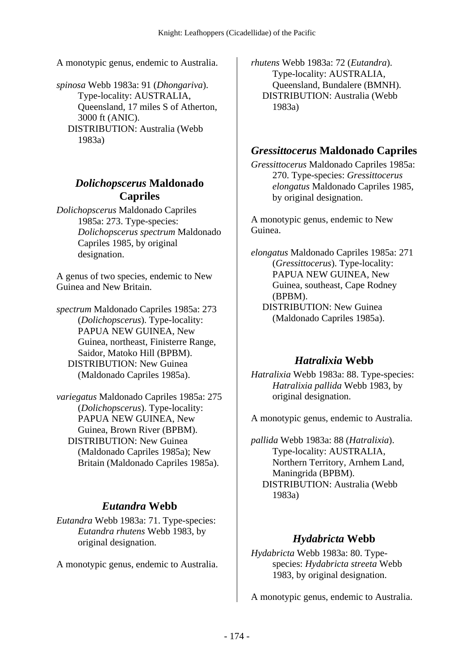A monotypic genus, endemic to Australia.

*spinosa* Webb 1983a: 91 (*Dhongariva*). Type-locality: AUSTRALIA, Queensland, 17 miles S of Atherton, 3000 ft (ANIC). DISTRIBUTION: Australia (Webb 1983a)

#### *Dolichopscerus* **Maldonado Capriles**

*Dolichopscerus* Maldonado Capriles 1985a: 273. Type-species: *Dolichopscerus spectrum* Maldonado Capriles 1985, by original designation.

A genus of two species, endemic to New Guinea and New Britain.

*spectrum* Maldonado Capriles 1985a: 273 (*Dolichopscerus*). Type-locality: PAPUA NEW GUINEA, New Guinea, northeast, Finisterre Range, Saidor, Matoko Hill (BPBM). DISTRIBUTION: New Guinea (Maldonado Capriles 1985a).

#### *variegatus* Maldonado Capriles 1985a: 275 (*Dolichopscerus*). Type-locality: PAPUA NEW GUINEA, New Guinea, Brown River (BPBM). DISTRIBUTION: New Guinea (Maldonado Capriles 1985a); New Britain (Maldonado Capriles 1985a).

# *Eutandra* **Webb**

*Eutandra* Webb 1983a: 71. Type-species: *Eutandra rhutens* Webb 1983, by original designation.

A monotypic genus, endemic to Australia.

*rhutens* Webb 1983a: 72 (*Eutandra*). Type-locality: AUSTRALIA, Queensland, Bundalere (BMNH). DISTRIBUTION: Australia (Webb 1983a)

### *Gressittocerus* **Maldonado Capriles**

*Gressittocerus* Maldonado Capriles 1985a: 270. Type-species: *Gressittocerus elongatus* Maldonado Capriles 1985, by original designation.

A monotypic genus, endemic to New Guinea.

*elongatus* Maldonado Capriles 1985a: 271 (*Gressittocerus*). Type-locality: PAPUA NEW GUINEA, New Guinea, southeast, Cape Rodney (BPBM). DISTRIBUTION: New Guinea (Maldonado Capriles 1985a).

#### *Hatralixia* **Webb**

*Hatralixia* Webb 1983a: 88. Type-species: *Hatralixia pallida* Webb 1983, by original designation.

A monotypic genus, endemic to Australia.

*pallida* Webb 1983a: 88 (*Hatralixia*). Type-locality: AUSTRALIA, Northern Territory, Arnhem Land, Maningrida (BPBM). DISTRIBUTION: Australia (Webb 1983a)

# *Hydabricta* **Webb**

*Hydabricta* Webb 1983a: 80. Typespecies: *Hydabricta streeta* Webb 1983, by original designation.

A monotypic genus, endemic to Australia.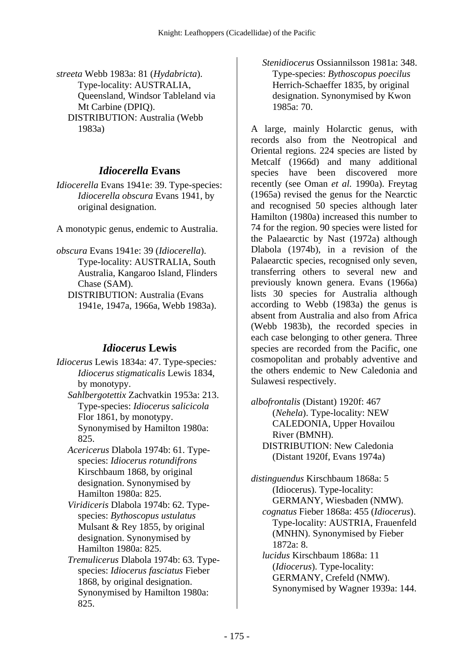*streeta* Webb 1983a: 81 (*Hydabricta*). Type-locality: AUSTRALIA, Queensland, Windsor Tableland via Mt Carbine (DPIQ). DISTRIBUTION: Australia (Webb 1983a)

#### *Idiocerella* **Evans**

*Idiocerella* Evans 1941e: 39. Type-species: *Idiocerella obscura* Evans 1941, by original designation.

A monotypic genus, endemic to Australia.

- *obscura* Evans 1941e: 39 (*Idiocerella*). Type-locality: AUSTRALIA, South Australia, Kangaroo Island, Flinders Chase (SAM).
	- DISTRIBUTION: Australia (Evans 1941e, 1947a, 1966a, Webb 1983a).

#### *Idiocerus* **Lewis**

*Idiocerus* Lewis 1834a: 47. Type-species*: Idiocerus stigmaticalis* Lewis 1834, by monotypy.  *Sahlbergotettix* Zachvatkin 1953a: 213. Type-species: *Idiocerus salicicola* Flor 1861, by monotypy. Synonymised by Hamilton 1980a: 825.  *Acericerus* Dlabola 1974b: 61. Typespecies: *Idiocerus rotundifrons* Kirschbaum 1868, by original designation. Synonymised by Hamilton 1980a: 825.  *Viridiceris* Dlabola 1974b: 62. Typespecies: *Bythoscopus ustulatus* Mulsant & Rey 1855, by original designation. Synonymised by Hamilton 1980a: 825.

 *Tremulicerus* Dlabola 1974b: 63. Typespecies: *Idiocerus fasciatus* Fieber 1868, by original designation. Synonymised by Hamilton 1980a: 825.

 *Stenidiocerus* Ossiannilsson 1981a: 348. Type-species: *Bythoscopus poecilus* Herrich-Schaeffer 1835, by original designation. Synonymised by Kwon 1985a: 70.

A large, mainly Holarctic genus, with records also from the Neotropical and Oriental regions. 224 species are listed by Metcalf (1966d) and many additional species have been discovered more recently (see Oman *et al.* 1990a). Freytag (1965a) revised the genus for the Nearctic and recognised 50 species although later Hamilton (1980a) increased this number to 74 for the region. 90 species were listed for the Palaearctic by Nast (1972a) although Dlabola (1974b), in a revision of the Palaearctic species, recognised only seven, transferring others to several new and previously known genera. Evans (1966a) lists 30 species for Australia although according to Webb (1983a) the genus is absent from Australia and also from Africa (Webb 1983b), the recorded species in each case belonging to other genera. Three species are recorded from the Pacific, one cosmopolitan and probably adventive and the others endemic to New Caledonia and Sulawesi respectively.

*albofrontalis* (Distant) 1920f: 467 (*Nehela*). Type-locality: NEW CALEDONIA, Upper Hovailou River (BMNH). DISTRIBUTION: New Caledonia (Distant 1920f, Evans 1974a)

*distinguendus* Kirschbaum 1868a: 5 (Idiocerus). Type-locality: GERMANY, Wiesbaden (NMW).

 *cognatus* Fieber 1868a: 455 (*Idiocerus*). Type-locality: AUSTRIA, Frauenfeld (MNHN). Synonymised by Fieber 1872a: 8.

 *lucidus* Kirschbaum 1868a: 11 (*Idiocerus*). Type-locality: GERMANY, Crefeld (NMW). Synonymised by Wagner 1939a: 144.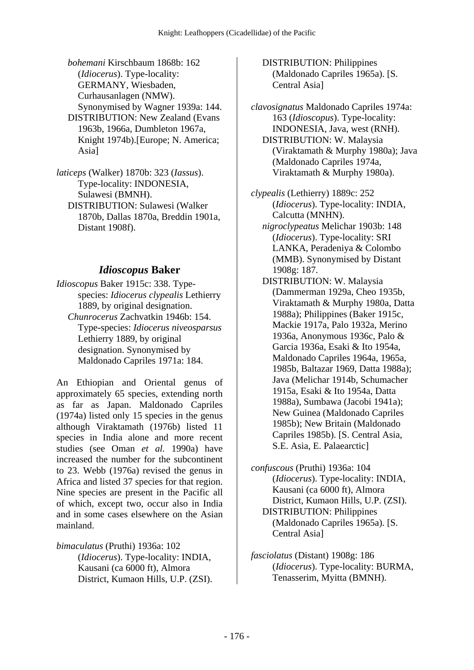- *bohemani* Kirschbaum 1868b: 162 (*Idiocerus*). Type-locality: GERMANY, Wiesbaden, Curhausanlagen (NMW). Synonymised by Wagner 1939a: 144. DISTRIBUTION: New Zealand (Evans 1963b, 1966a, Dumbleton 1967a,
- Knight 1974b).[Europe; N. America; Asia]
- *laticeps* (Walker) 1870b: 323 (*Iassus*). Type-locality: INDONESIA, Sulawesi (BMNH). DISTRIBUTION: Sulawesi (Walker 1870b, Dallas 1870a, Breddin 1901a, Distant 1908f).

#### *Idioscopus* **Baker**

*Idioscopus* Baker 1915c: 338. Typespecies: *Idiocerus clypealis* Lethierry 1889, by original designation.  *Chunrocerus* Zachvatkin 1946b: 154. Type-species: *Idiocerus niveosparsus* Lethierry 1889, by original designation. Synonymised by Maldonado Capriles 1971a: 184.

An Ethiopian and Oriental genus of approximately 65 species, extending north as far as Japan. Maldonado Capriles (1974a) listed only 15 species in the genus although Viraktamath (1976b) listed 11 species in India alone and more recent studies (see Oman *et al.* 1990a) have increased the number for the subcontinent to 23. Webb (1976a) revised the genus in Africa and listed 37 species for that region. Nine species are present in the Pacific all of which, except two, occur also in India and in some cases elsewhere on the Asian mainland.

*bimaculatus* (Pruthi) 1936a: 102 (*Idiocerus*). Type-locality: INDIA, Kausani (ca 6000 ft), Almora District, Kumaon Hills, U.P. (ZSI).  DISTRIBUTION: Philippines (Maldonado Capriles 1965a). [S. Central Asia]

*clavosignatus* Maldonado Capriles 1974a: 163 (*Idioscopus*). Type-locality: INDONESIA, Java, west (RNH). DISTRIBUTION: W. Malaysia (Viraktamath & Murphy 1980a); Java (Maldonado Capriles 1974a, Viraktamath & Murphy 1980a).

- *clypealis* (Lethierry) 1889c: 252 (*Idiocerus*). Type-locality: INDIA, Calcutta (MNHN).  *nigroclypeatus* Melichar 1903b: 148 (*Idiocerus*). Type-locality: SRI LANKA, Peradeniya & Colombo (MMB). Synonymised by Distant 1908g: 187.
	- DISTRIBUTION: W. Malaysia (Dammerman 1929a, Cheo 1935b, Viraktamath & Murphy 1980a, Datta 1988a); Philippines (Baker 1915c, Mackie 1917a, Palo 1932a, Merino 1936a, Anonymous 1936c, Palo & Garcia 1936a, Esaki & Ito 1954a, Maldonado Capriles 1964a, 1965a, 1985b, Baltazar 1969, Datta 1988a); Java (Melichar 1914b, Schumacher 1915a, Esaki & Ito 1954a, Datta 1988a), Sumbawa (Jacobi 1941a); New Guinea (Maldonado Capriles 1985b); New Britain (Maldonado Capriles 1985b). [S. Central Asia, S.E. Asia, E. Palaearctic]

*confuscous* (Pruthi) 1936a: 104 (*Idiocerus*). Type-locality: INDIA, Kausani (ca 6000 ft), Almora District, Kumaon Hills, U.P. (ZSI). DISTRIBUTION: Philippines (Maldonado Capriles 1965a). [S. Central Asia]

*fasciolatus* (Distant) 1908g: 186 (*Idiocerus*). Type-locality: BURMA, Tenasserim, Myitta (BMNH).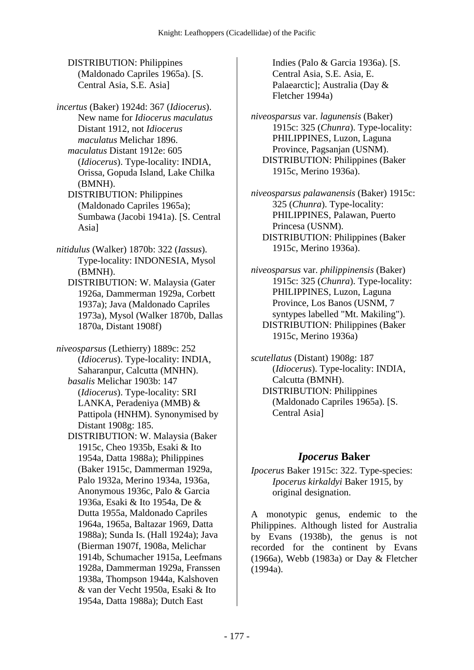DISTRIBUTION: Philippines (Maldonado Capriles 1965a). [S. Central Asia, S.E. Asia]

*incertus* (Baker) 1924d: 367 (*Idiocerus*). New name for *Idiocerus maculatus* Distant 1912, not *Idiocerus maculatus* Melichar 1896.  *maculatus* Distant 1912e: 605 (*Idiocerus*). Type-locality: INDIA, Orissa, Gopuda Island, Lake Chilka

(BMNH). DISTRIBUTION: Philippines (Maldonado Capriles 1965a); Sumbawa (Jacobi 1941a). [S. Central Asia]

- *nitidulus* (Walker) 1870b: 322 (*Iassus*). Type-locality: INDONESIA, Mysol (BMNH).
	- DISTRIBUTION: W. Malaysia (Gater 1926a, Dammerman 1929a, Corbett 1937a); Java (Maldonado Capriles 1973a), Mysol (Walker 1870b, Dallas 1870a, Distant 1908f)

*niveosparsus* (Lethierry) 1889c: 252 (*Idiocerus*). Type-locality: INDIA, Saharanpur, Calcutta (MNHN).  *basalis* Melichar 1903b: 147 (*Idiocerus*). Type-locality: SRI LANKA, Peradeniya (MMB) & Pattipola (HNHM). Synonymised by Distant 1908g: 185.

 DISTRIBUTION: W. Malaysia (Baker 1915c, Cheo 1935b, Esaki & Ito 1954a, Datta 1988a); Philippines (Baker 1915c, Dammerman 1929a, Palo 1932a, Merino 1934a, 1936a, Anonymous 1936c, Palo & Garcia 1936a, Esaki & Ito 1954a, De & Dutta 1955a, Maldonado Capriles 1964a, 1965a, Baltazar 1969, Datta 1988a); Sunda Is. (Hall 1924a); Java (Bierman 1907f, 1908a, Melichar 1914b, Schumacher 1915a, Leefmans 1928a, Dammerman 1929a, Franssen 1938a, Thompson 1944a, Kalshoven & van der Vecht 1950a, Esaki & Ito 1954a, Datta 1988a); Dutch East

Indies (Palo & Garcia 1936a). [S. Central Asia, S.E. Asia, E. Palaearctic]; Australia (Day & Fletcher 1994a)

*niveosparsus* var. *lagunensis* (Baker) 1915c: 325 (*Chunra*). Type-locality: PHILIPPINES, Luzon, Laguna Province, Pagsanjan (USNM). DISTRIBUTION: Philippines (Baker 1915c, Merino 1936a).

*niveosparsus palawanensis* (Baker) 1915c: 325 (*Chunra*). Type-locality: PHILIPPINES, Palawan, Puerto Princesa (USNM). DISTRIBUTION: Philippines (Baker 1915c, Merino 1936a).

*niveosparsus* var. *philippinensis* (Baker) 1915c: 325 (*Chunra*). Type-locality: PHILIPPINES, Luzon, Laguna Province, Los Banos (USNM, 7 syntypes labelled "Mt. Makiling"). DISTRIBUTION: Philippines (Baker 1915c, Merino 1936a)

*scutellatus* (Distant) 1908g: 187 (*Idiocerus*). Type-locality: INDIA, Calcutta (BMNH). DISTRIBUTION: Philippines (Maldonado Capriles 1965a). [S. Central Asia]

# *Ipocerus* **Baker**

*Ipocerus* Baker 1915c: 322. Type-species: *Ipocerus kirkaldyi* Baker 1915, by original designation.

A monotypic genus, endemic to the Philippines. Although listed for Australia by Evans (1938b), the genus is not recorded for the continent by Evans (1966a), Webb (1983a) or Day & Fletcher (1994a).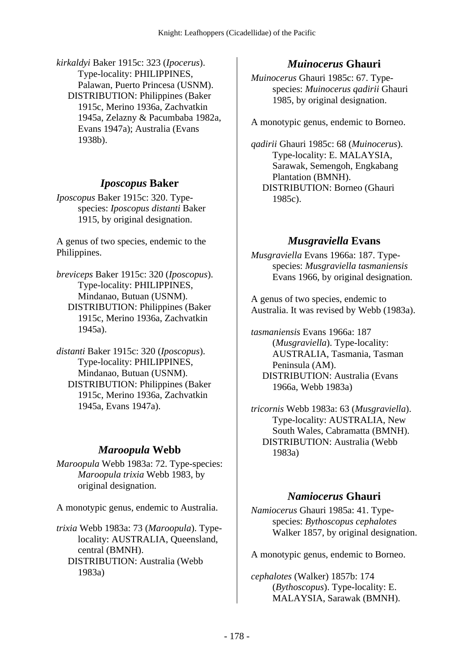*kirkaldyi* Baker 1915c: 323 (*Ipocerus*). Type-locality: PHILIPPINES, Palawan, Puerto Princesa (USNM). DISTRIBUTION: Philippines (Baker 1915c, Merino 1936a, Zachvatkin 1945a, Zelazny & Pacumbaba 1982a, Evans 1947a); Australia (Evans 1938b).

### *Iposcopus* **Baker**

*Iposcopus* Baker 1915c: 320. Typespecies: *Iposcopus distanti* Baker 1915, by original designation.

A genus of two species, endemic to the Philippines.

*breviceps* Baker 1915c: 320 (*Iposcopus*). Type-locality: PHILIPPINES, Mindanao, Butuan (USNM). DISTRIBUTION: Philippines (Baker 1915c, Merino 1936a, Zachvatkin 1945a).

*distanti* Baker 1915c: 320 (*Iposcopus*). Type-locality: PHILIPPINES, Mindanao, Butuan (USNM). DISTRIBUTION: Philippines (Baker 1915c, Merino 1936a, Zachvatkin 1945a, Evans 1947a).

#### *Maroopula* **Webb**

*Maroopula* Webb 1983a: 72. Type-species: *Maroopula trixia* Webb 1983, by original designation.

A monotypic genus, endemic to Australia.

*trixia* Webb 1983a: 73 (*Maroopula*). Typelocality: AUSTRALIA, Queensland, central (BMNH). DISTRIBUTION: Australia (Webb 1983a)

# *Muinocerus* **Ghauri**

*Muinocerus* Ghauri 1985c: 67. Typespecies: *Muinocerus qadirii* Ghauri 1985, by original designation.

A monotypic genus, endemic to Borneo.

*qadirii* Ghauri 1985c: 68 (*Muinocerus*). Type-locality: E. MALAYSIA, Sarawak, Semengoh, Engkabang Plantation (BMNH). DISTRIBUTION: Borneo (Ghauri 1985c).

# *Musgraviella* **Evans**

*Musgraviella* Evans 1966a: 187. Typespecies: *Musgraviella tasmaniensis* Evans 1966, by original designation.

A genus of two species, endemic to Australia. It was revised by Webb (1983a).

*tasmaniensis* Evans 1966a: 187 (*Musgraviella*). Type-locality: AUSTRALIA, Tasmania, Tasman Peninsula (AM). DISTRIBUTION: Australia (Evans 1966a, Webb 1983a)

*tricornis* Webb 1983a: 63 (*Musgraviella*). Type-locality: AUSTRALIA, New South Wales, Cabramatta (BMNH). DISTRIBUTION: Australia (Webb 1983a)

# *Namiocerus* **Ghauri**

*Namiocerus* Ghauri 1985a: 41. Typespecies: *Bythoscopus cephalotes* Walker 1857, by original designation.

A monotypic genus, endemic to Borneo.

*cephalotes* (Walker) 1857b: 174 (*Bythoscopus*). Type-locality: E. MALAYSIA, Sarawak (BMNH).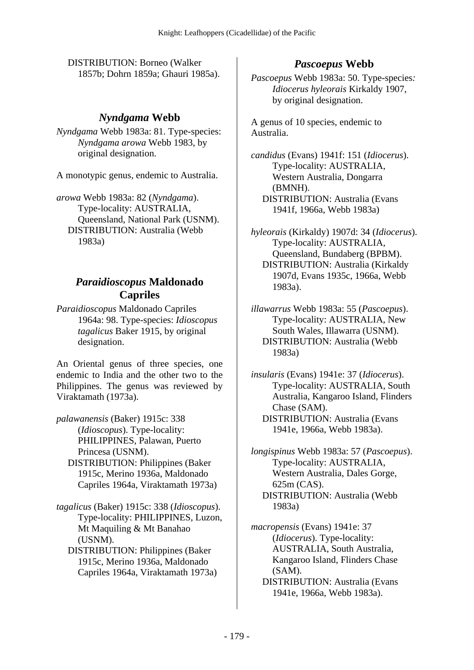DISTRIBUTION: Borneo (Walker 1857b; Dohrn 1859a; Ghauri 1985a).

## *Nyndgama* **Webb**

*Nyndgama* Webb 1983a: 81. Type-species: *Nyndgama arowa* Webb 1983, by original designation.

A monotypic genus, endemic to Australia.

*arowa* Webb 1983a: 82 (*Nyndgama*). Type-locality: AUSTRALIA, Queensland, National Park (USNM). DISTRIBUTION: Australia (Webb 1983a)

### *Paraidioscopus* **Maldonado Capriles**

*Paraidioscopus* Maldonado Capriles 1964a: 98. Type-species: *Idioscopus tagalicus* Baker 1915, by original designation.

An Oriental genus of three species, one endemic to India and the other two to the Philippines. The genus was reviewed by Viraktamath (1973a).

*palawanensis* (Baker) 1915c: 338 (*Idioscopus*). Type-locality: PHILIPPINES, Palawan, Puerto Princesa (USNM). DISTRIBUTION: Philippines (Baker

- 1915c, Merino 1936a, Maldonado Capriles 1964a, Viraktamath 1973a)
- *tagalicus* (Baker) 1915c: 338 (*Idioscopus*). Type-locality: PHILIPPINES, Luzon, Mt Maquiling & Mt Banahao (USNM).
	- DISTRIBUTION: Philippines (Baker 1915c, Merino 1936a, Maldonado Capriles 1964a, Viraktamath 1973a)

# *Pascoepus* **Webb**

*Pascoepus* Webb 1983a: 50. Type-species*: Idiocerus hyleorais* Kirkaldy 1907, by original designation.

A genus of 10 species, endemic to Australia.

*candidus* (Evans) 1941f: 151 (*Idiocerus*). Type-locality: AUSTRALIA, Western Australia, Dongarra (BMNH). DISTRIBUTION: Australia (Evans 1941f, 1966a, Webb 1983a)

- *hyleorais* (Kirkaldy) 1907d: 34 (*Idiocerus*). Type-locality: AUSTRALIA, Queensland, Bundaberg (BPBM). DISTRIBUTION: Australia (Kirkaldy 1907d, Evans 1935c, 1966a, Webb 1983a).
- *illawarrus* Webb 1983a: 55 (*Pascoepus*). Type-locality: AUSTRALIA, New South Wales, Illawarra (USNM). DISTRIBUTION: Australia (Webb 1983a)

*insularis* (Evans) 1941e: 37 (*Idiocerus*). Type-locality: AUSTRALIA, South Australia, Kangaroo Island, Flinders Chase (SAM). DISTRIBUTION: Australia (Evans 1941e, 1966a, Webb 1983a).

*longispinus* Webb 1983a: 57 (*Pascoepus*). Type-locality: AUSTRALIA, Western Australia, Dales Gorge, 625m (CAS). DISTRIBUTION: Australia (Webb 1983a)

*macropensis* (Evans) 1941e: 37 (*Idiocerus*). Type-locality: AUSTRALIA, South Australia, Kangaroo Island, Flinders Chase (SAM).

 DISTRIBUTION: Australia (Evans 1941e, 1966a, Webb 1983a).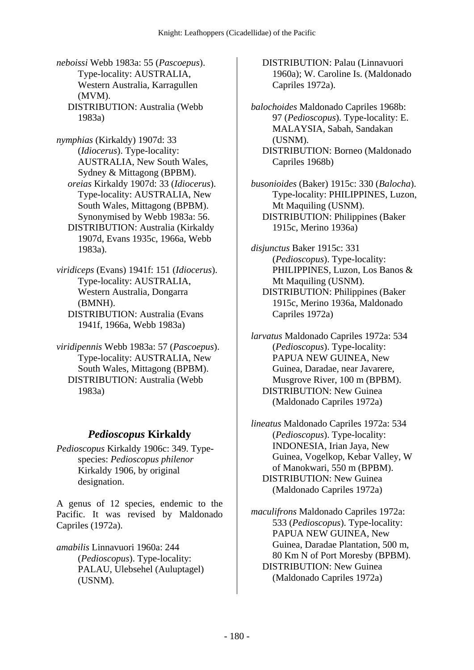*neboissi* Webb 1983a: 55 (*Pascoepus*). Type-locality: AUSTRALIA, Western Australia, Karragullen (MVM). DISTRIBUTION: Australia (Webb 1983a)

*nymphias* (Kirkaldy) 1907d: 33 (*Idiocerus*). Type-locality: AUSTRALIA, New South Wales, Sydney & Mittagong (BPBM).  *oreias* Kirkaldy 1907d: 33 (*Idiocerus*). Type-locality: AUSTRALIA, New South Wales, Mittagong (BPBM). Synonymised by Webb 1983a: 56. DISTRIBUTION: Australia (Kirkaldy 1907d, Evans 1935c, 1966a, Webb 1983a).

- *viridiceps* (Evans) 1941f: 151 (*Idiocerus*). Type-locality: AUSTRALIA, Western Australia, Dongarra (BMNH). DISTRIBUTION: Australia (Evans
	- 1941f, 1966a, Webb 1983a)

*viridipennis* Webb 1983a: 57 (*Pascoepus*). Type-locality: AUSTRALIA, New South Wales, Mittagong (BPBM). DISTRIBUTION: Australia (Webb 1983a)

# *Pedioscopus* **Kirkaldy**

*Pedioscopus* Kirkaldy 1906c: 349. Typespecies: *Pedioscopus philenor* Kirkaldy 1906, by original designation.

A genus of 12 species, endemic to the Pacific. It was revised by Maldonado Capriles (1972a).

*amabilis* Linnavuori 1960a: 244 (*Pedioscopus*). Type-locality: PALAU, Ulebsehel (Auluptagel) (USNM).

 DISTRIBUTION: Palau (Linnavuori 1960a); W. Caroline Is. (Maldonado Capriles 1972a).

*balochoides* Maldonado Capriles 1968b: 97 (*Pedioscopus*). Type-locality: E. MALAYSIA, Sabah, Sandakan (USNM). DISTRIBUTION: Borneo (Maldonado Capriles 1968b)

*busonioides* (Baker) 1915c: 330 (*Balocha*). Type-locality: PHILIPPINES, Luzon, Mt Maquiling (USNM). DISTRIBUTION: Philippines (Baker 1915c, Merino 1936a)

*disjunctus* Baker 1915c: 331 (*Pedioscopus*). Type-locality: PHILIPPINES, Luzon, Los Banos & Mt Maquiling (USNM). DISTRIBUTION: Philippines (Baker 1915c, Merino 1936a, Maldonado

Capriles 1972a) *larvatus* Maldonado Capriles 1972a: 534 (*Pedioscopus*). Type-locality: PAPUA NEW GUINEA, New

Guinea, Daradae, near Javarere, Musgrove River, 100 m (BPBM). DISTRIBUTION: New Guinea (Maldonado Capriles 1972a)

*lineatus* Maldonado Capriles 1972a: 534 (*Pedioscopus*). Type-locality: INDONESIA, Irian Jaya, New Guinea, Vogelkop, Kebar Valley, W of Manokwari, 550 m (BPBM). DISTRIBUTION: New Guinea (Maldonado Capriles 1972a)

*maculifrons* Maldonado Capriles 1972a: 533 (*Pedioscopus*). Type-locality: PAPUA NEW GUINEA, New Guinea, Daradae Plantation, 500 m, 80 Km N of Port Moresby (BPBM). DISTRIBUTION: New Guinea (Maldonado Capriles 1972a)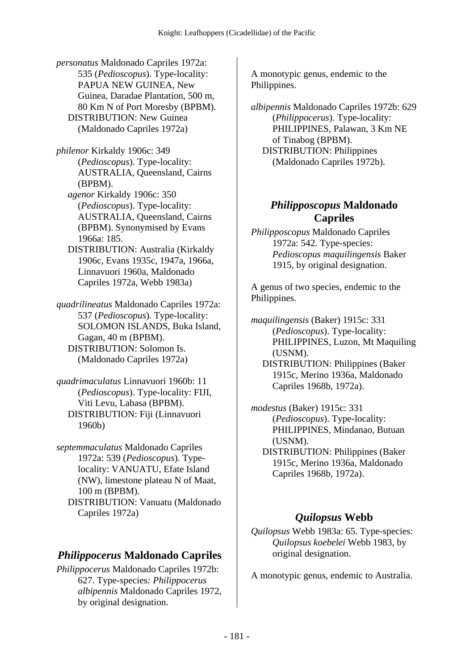*personatus* Maldonado Capriles 1972a: 535 (*Pedioscopus*). Type-locality: PAPUA NEW GUINEA, New Guinea, Daradae Plantation, 500 m, 80 Km N of Port Moresby (BPBM). DISTRIBUTION: New Guinea (Maldonado Capriles 1972a)

*philenor* Kirkaldy 1906c: 349 (*Pedioscopus*). Type-locality: AUSTRALIA, Queensland, Cairns (BPBM).

 *agenor* Kirkaldy 1906c: 350 (*Pedioscopus*). Type-locality: AUSTRALIA, Queensland, Cairns (BPBM). Synonymised by Evans 1966a: 185.

 DISTRIBUTION: Australia (Kirkaldy 1906c, Evans 1935c, 1947a, 1966a, Linnavuori 1960a, Maldonado Capriles 1972a, Webb 1983a)

*quadrilineatus* Maldonado Capriles 1972a: 537 (*Pedioscopus*). Type-locality: SOLOMON ISLANDS, Buka Island, Gagan, 40 m (BPBM). DISTRIBUTION: Solomon Is. (Maldonado Capriles 1972a)

*quadrimaculatus* Linnavuori 1960b: 11 (*Pedioscopus*). Type-locality: FIJI, Viti Levu, Labasa (BPBM). DISTRIBUTION: Fiji (Linnavuori 1960b)

*septemmaculatus* Maldonado Capriles 1972a: 539 (*Pedioscopus*). Typelocality: VANUATU, Efate Island (NW), limestone plateau N of Maat, 100 m (BPBM). DISTRIBUTION: Vanuatu (Maldonado Capriles 1972a)

# *Philippocerus* **Maldonado Capriles**

*Philippocerus* Maldonado Capriles 1972b: 627. Type-species*: Philippocerus albipennis* Maldonado Capriles 1972, by original designation.

A monotypic genus, endemic to the Philippines.

*albipennis* Maldonado Capriles 1972b: 629 (*Philippocerus*). Type-locality: PHILIPPINES, Palawan, 3 Km NE of Tinabog (BPBM). DISTRIBUTION: Philippines (Maldonado Capriles 1972b).

# *Philipposcopus* **Maldonado Capriles**

*Philipposcopus* Maldonado Capriles 1972a: 542. Type-species: *Pedioscopus maquilingensis* Baker 1915, by original designation.

A genus of two species, endemic to the Philippines.

*maquilingensis* (Baker) 1915c: 331 (*Pedioscopus*). Type-locality: PHILIPPINES, Luzon, Mt Maquiling (USNM). DISTRIBUTION: Philippines (Baker 1915c, Merino 1936a, Maldonado Capriles 1968b, 1972a).

*modestus* (Baker) 1915c: 331 (*Pedioscopus*). Type-locality: PHILIPPINES, Mindanao, Butuan (USNM).

 DISTRIBUTION: Philippines (Baker 1915c, Merino 1936a, Maldonado Capriles 1968b, 1972a).

# *Quilopsus* **Webb**

*Quilopsus* Webb 1983a: 65. Type-species: *Quilopsus koebelei* Webb 1983, by original designation.

A monotypic genus, endemic to Australia.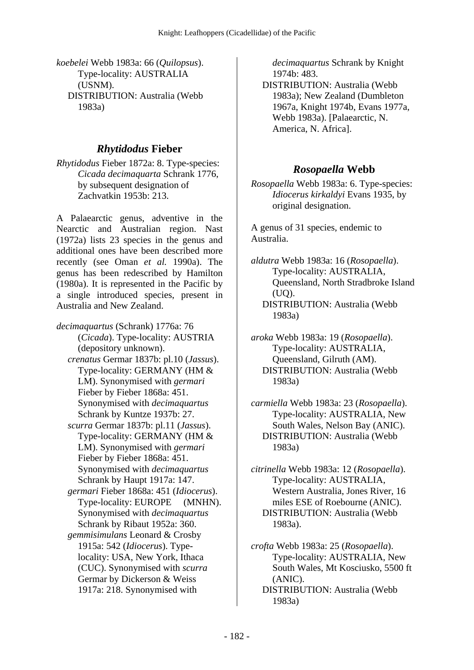*koebelei* Webb 1983a: 66 (*Quilopsus*). Type-locality: AUSTRALIA (USNM). DISTRIBUTION: Australia (Webb 1983a)

#### *Rhytidodus* **Fieber**

*Rhytidodus* Fieber 1872a: 8. Type-species: *Cicada decimaquarta* Schrank 1776, by subsequent designation of Zachvatkin 1953b: 213.

A Palaearctic genus, adventive in the Nearctic and Australian region. Nast (1972a) lists 23 species in the genus and additional ones have been described more recently (see Oman *et al.* 1990a). The genus has been redescribed by Hamilton (1980a). It is represented in the Pacific by a single introduced species, present in Australia and New Zealand.

*decimaquartus* (Schrank) 1776a: 76 (*Cicada*). Type-locality: AUSTRIA (depository unknown).  *crenatus* Germar 1837b: pl.10 (*Jassus*). Type-locality: GERMANY (HM & LM). Synonymised with *germari* Fieber by Fieber 1868a: 451. Synonymised with *decimaquartus* Schrank by Kuntze 1937b: 27.  *scurra* Germar 1837b: pl.11 (*Jassus*). Type-locality: GERMANY (HM & LM). Synonymised with *germari* Fieber by Fieber 1868a: 451. Synonymised with *decimaquartus* Schrank by Haupt 1917a: 147.  *germari* Fieber 1868a: 451 (*Idiocerus*). Type-locality: EUROPE (MNHN). Synonymised with *decimaquartus* Schrank by Ribaut 1952a: 360.  *gemmisimulans* Leonard & Crosby 1915a: 542 (*Idiocerus*). Typelocality: USA, New York, Ithaca (CUC). Synonymised with *scurra* Germar by Dickerson & Weiss

1917a: 218. Synonymised with

*decimaquartus* Schrank by Knight 1974b: 483.

 DISTRIBUTION: Australia (Webb 1983a); New Zealand (Dumbleton 1967a, Knight 1974b, Evans 1977a, Webb 1983a). [Palaearctic, N. America, N. Africa].

#### *Rosopaella* **Webb**

*Rosopaella* Webb 1983a: 6. Type-species: *Idiocerus kirkaldyi* Evans 1935, by original designation.

A genus of 31 species, endemic to Australia.

*aldutra* Webb 1983a: 16 (*Rosopaella*). Type-locality: AUSTRALIA, Queensland, North Stradbroke Island (UQ).

 DISTRIBUTION: Australia (Webb 1983a)

*aroka* Webb 1983a: 19 (*Rosopaella*). Type-locality: AUSTRALIA, Queensland, Gilruth (AM). DISTRIBUTION: Australia (Webb 1983a)

*carmiella* Webb 1983a: 23 (*Rosopaella*). Type-locality: AUSTRALIA, New South Wales, Nelson Bay (ANIC). DISTRIBUTION: Australia (Webb 1983a)

*citrinella* Webb 1983a: 12 (*Rosopaella*). Type-locality: AUSTRALIA, Western Australia, Jones River, 16 miles ESE of Roebourne (ANIC). DISTRIBUTION: Australia (Webb 1983a).

*crofta* Webb 1983a: 25 (*Rosopaella*). Type-locality: AUSTRALIA, New South Wales, Mt Kosciusko, 5500 ft (ANIC). DISTRIBUTION: Australia (Webb 1983a)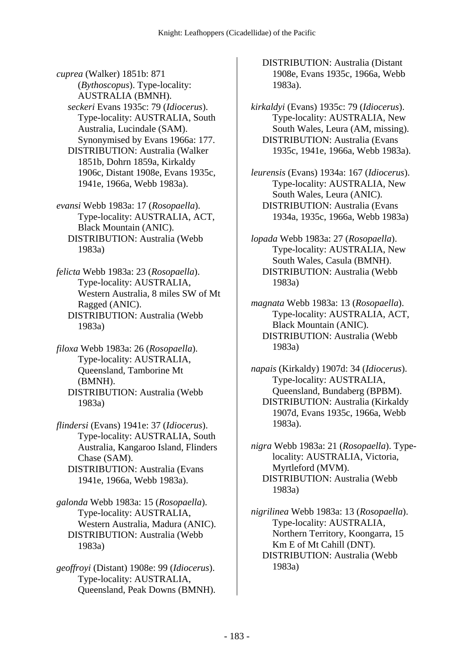*cuprea* (Walker) 1851b: 871 (*Bythoscopus*). Type-locality: AUSTRALIA (BMNH).  *seckeri* Evans 1935c: 79 (*Idiocerus*). Type-locality: AUSTRALIA, South Australia, Lucindale (SAM). Synonymised by Evans 1966a: 177. DISTRIBUTION: Australia (Walker 1851b, Dohrn 1859a, Kirkaldy 1906c, Distant 1908e, Evans 1935c, 1941e, 1966a, Webb 1983a).

*evansi* Webb 1983a: 17 (*Rosopaella*). Type-locality: AUSTRALIA, ACT, Black Mountain (ANIC). DISTRIBUTION: Australia (Webb 1983a)

*felicta* Webb 1983a: 23 (*Rosopaella*). Type-locality: AUSTRALIA, Western Australia, 8 miles SW of Mt Ragged (ANIC). DISTRIBUTION: Australia (Webb 1983a)

*filoxa* Webb 1983a: 26 (*Rosopaella*). Type-locality: AUSTRALIA, Queensland, Tamborine Mt (BMNH). DISTRIBUTION: Australia (Webb 1983a)

*flindersi* (Evans) 1941e: 37 (*Idiocerus*). Type-locality: AUSTRALIA, South Australia, Kangaroo Island, Flinders Chase (SAM). DISTRIBUTION: Australia (Evans 1941e, 1966a, Webb 1983a).

*galonda* Webb 1983a: 15 (*Rosopaella*). Type-locality: AUSTRALIA, Western Australia, Madura (ANIC). DISTRIBUTION: Australia (Webb 1983a)

*geoffroyi* (Distant) 1908e: 99 (*Idiocerus*). Type-locality: AUSTRALIA, Queensland, Peak Downs (BMNH).  DISTRIBUTION: Australia (Distant 1908e, Evans 1935c, 1966a, Webb 1983a).

*kirkaldyi* (Evans) 1935c: 79 (*Idiocerus*). Type-locality: AUSTRALIA, New South Wales, Leura (AM, missing). DISTRIBUTION: Australia (Evans 1935c, 1941e, 1966a, Webb 1983a).

*leurensis* (Evans) 1934a: 167 (*Idiocerus*). Type-locality: AUSTRALIA, New South Wales, Leura (ANIC). DISTRIBUTION: Australia (Evans 1934a, 1935c, 1966a, Webb 1983a)

*lopada* Webb 1983a: 27 (*Rosopaella*). Type-locality: AUSTRALIA, New South Wales, Casula (BMNH). DISTRIBUTION: Australia (Webb 1983a)

*magnata* Webb 1983a: 13 (*Rosopaella*). Type-locality: AUSTRALIA, ACT, Black Mountain (ANIC). DISTRIBUTION: Australia (Webb 1983a)

*napais* (Kirkaldy) 1907d: 34 (*Idiocerus*). Type-locality: AUSTRALIA, Queensland, Bundaberg (BPBM). DISTRIBUTION: Australia (Kirkaldy 1907d, Evans 1935c, 1966a, Webb 1983a).

*nigra* Webb 1983a: 21 (*Rosopaella*). Typelocality: AUSTRALIA, Victoria, Myrtleford (MVM). DISTRIBUTION: Australia (Webb 1983a)

*nigrilinea* Webb 1983a: 13 (*Rosopaella*). Type-locality: AUSTRALIA, Northern Territory, Koongarra, 15 Km E of Mt Cahill (DNT). DISTRIBUTION: Australia (Webb 1983a)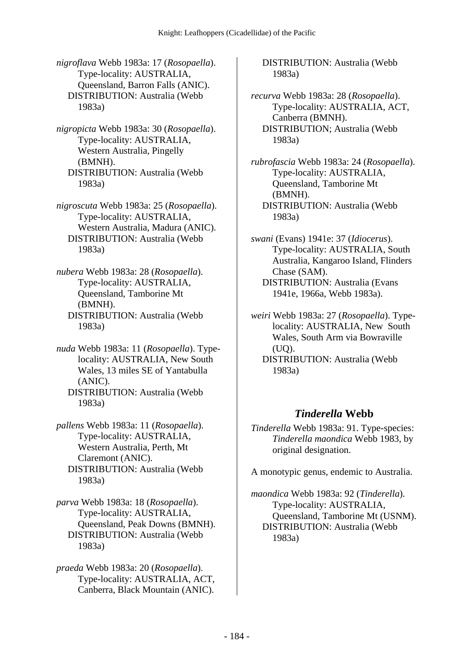*nigroflava* Webb 1983a: 17 (*Rosopaella*). Type-locality: AUSTRALIA, Queensland, Barron Falls (ANIC). DISTRIBUTION: Australia (Webb 1983a)

*nigropicta* Webb 1983a: 30 (*Rosopaella*). Type-locality: AUSTRALIA, Western Australia, Pingelly (BMNH). DISTRIBUTION: Australia (Webb 1983a)

*nigroscuta* Webb 1983a: 25 (*Rosopaella*). Type-locality: AUSTRALIA, Western Australia, Madura (ANIC). DISTRIBUTION: Australia (Webb 1983a)

*nubera* Webb 1983a: 28 (*Rosopaella*). Type-locality: AUSTRALIA, Queensland, Tamborine Mt (BMNH). DISTRIBUTION: Australia (Webb 1983a)

*nuda* Webb 1983a: 11 (*Rosopaella*). Typelocality: AUSTRALIA, New South Wales, 13 miles SE of Yantabulla (ANIC). DISTRIBUTION: Australia (Webb 1983a)

*pallens* Webb 1983a: 11 (*Rosopaella*). Type-locality: AUSTRALIA, Western Australia, Perth, Mt Claremont (ANIC). DISTRIBUTION: Australia (Webb 1983a)

*parva* Webb 1983a: 18 (*Rosopaella*). Type-locality: AUSTRALIA, Queensland, Peak Downs (BMNH). DISTRIBUTION: Australia (Webb 1983a)

*praeda* Webb 1983a: 20 (*Rosopaella*). Type-locality: AUSTRALIA, ACT, Canberra, Black Mountain (ANIC).  DISTRIBUTION: Australia (Webb 1983a)

*recurva* Webb 1983a: 28 (*Rosopaella*). Type-locality: AUSTRALIA, ACT, Canberra (BMNH). DISTRIBUTION; Australia (Webb 1983a)

*rubrofascia* Webb 1983a: 24 (*Rosopaella*). Type-locality: AUSTRALIA, Queensland, Tamborine Mt (BMNH). DISTRIBUTION: Australia (Webb 1983a)

*swani* (Evans) 1941e: 37 (*Idiocerus*). Type-locality: AUSTRALIA, South Australia, Kangaroo Island, Flinders Chase (SAM). DISTRIBUTION: Australia (Evans 1941e, 1966a, Webb 1983a).

*weiri* Webb 1983a: 27 (*Rosopaella*). Typelocality: AUSTRALIA, New South Wales, South Arm via Bowraville  $(UO)$ .

 DISTRIBUTION: Australia (Webb 1983a)

# *Tinderella* **Webb**

*Tinderella* Webb 1983a: 91. Type-species: *Tinderella maondica* Webb 1983, by original designation.

A monotypic genus, endemic to Australia.

*maondica* Webb 1983a: 92 (*Tinderella*). Type-locality: AUSTRALIA, Queensland, Tamborine Mt (USNM). DISTRIBUTION: Australia (Webb 1983a)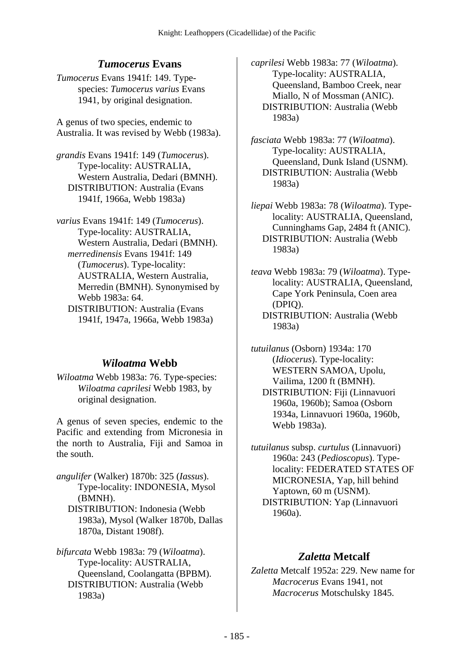# *Tumocerus* **Evans**

*Tumocerus* Evans 1941f: 149. Typespecies: *Tumocerus varius* Evans 1941, by original designation.

A genus of two species, endemic to Australia. It was revised by Webb (1983a).

*grandis* Evans 1941f: 149 (*Tumocerus*). Type-locality: AUSTRALIA, Western Australia, Dedari (BMNH). DISTRIBUTION: Australia (Evans 1941f, 1966a, Webb 1983a)

*varius* Evans 1941f: 149 (*Tumocerus*). Type-locality: AUSTRALIA, Western Australia, Dedari (BMNH).  *merredinensis* Evans 1941f: 149 (*Tumocerus*). Type-locality: AUSTRALIA, Western Australia, Merredin (BMNH). Synonymised by Webb 1983a: 64. DISTRIBUTION: Australia (Evans 1941f, 1947a, 1966a, Webb 1983a)

# *Wiloatma* **Webb**

*Wiloatma* Webb 1983a: 76. Type-species: *Wiloatma caprilesi* Webb 1983, by original designation.

A genus of seven species, endemic to the Pacific and extending from Micronesia in the north to Australia, Fiji and Samoa in the south.

*angulifer* (Walker) 1870b: 325 (*Iassus*). Type-locality: INDONESIA, Mysol (BMNH). DISTRIBUTION: Indonesia (Webb 1983a), Mysol (Walker 1870b, Dallas 1870a, Distant 1908f).

*bifurcata* Webb 1983a: 79 (*Wiloatma*). Type-locality: AUSTRALIA, Queensland, Coolangatta (BPBM). DISTRIBUTION: Australia (Webb 1983a)

*caprilesi* Webb 1983a: 77 (*Wiloatma*). Type-locality: AUSTRALIA, Queensland, Bamboo Creek, near Miallo, N of Mossman (ANIC). DISTRIBUTION: Australia (Webb 1983a)

*fasciata* Webb 1983a: 77 (*Wiloatma*). Type-locality: AUSTRALIA, Queensland, Dunk Island (USNM). DISTRIBUTION: Australia (Webb 1983a)

*liepai* Webb 1983a: 78 (*Wiloatma*). Typelocality: AUSTRALIA, Queensland, Cunninghams Gap, 2484 ft (ANIC). DISTRIBUTION: Australia (Webb 1983a)

*teava* Webb 1983a: 79 (*Wiloatma*). Typelocality: AUSTRALIA, Queensland, Cape York Peninsula, Coen area (DPIQ). DISTRIBUTION: Australia (Webb 1983a)

*tutuilanus* (Osborn) 1934a: 170 (*Idiocerus*). Type-locality: WESTERN SAMOA, Upolu, Vailima, 1200 ft (BMNH). DISTRIBUTION: Fiji (Linnavuori 1960a, 1960b); Samoa (Osborn 1934a, Linnavuori 1960a, 1960b, Webb 1983a).

*tutuilanus* subsp. *curtulus* (Linnavuori) 1960a: 243 (*Pedioscopus*). Typelocality: FEDERATED STATES OF MICRONESIA, Yap, hill behind Yaptown, 60 m (USNM). DISTRIBUTION: Yap (Linnavuori 1960a).

# *Zaletta* **Metcalf**

*Zaletta* Metcalf 1952a: 229. New name for *Macrocerus* Evans 1941, not *Macrocerus* Motschulsky 1845.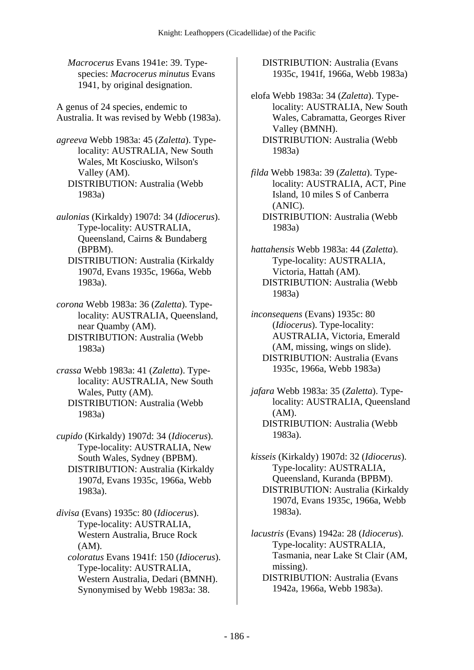*Macrocerus* Evans 1941e: 39. Typespecies: *Macrocerus minutus* Evans 1941, by original designation.

A genus of 24 species, endemic to Australia. It was revised by Webb (1983a).

*agreeva* Webb 1983a: 45 (*Zaletta*). Typelocality: AUSTRALIA, New South Wales, Mt Kosciusko, Wilson's Valley (AM). DISTRIBUTION: Australia (Webb 1983a)

*aulonias* (Kirkaldy) 1907d: 34 (*Idiocerus*). Type-locality: AUSTRALIA, Queensland, Cairns & Bundaberg (BPBM).

 DISTRIBUTION: Australia (Kirkaldy 1907d, Evans 1935c, 1966a, Webb 1983a).

*corona* Webb 1983a: 36 (*Zaletta*). Typelocality: AUSTRALIA, Queensland, near Quamby (AM). DISTRIBUTION: Australia (Webb 1983a)

*crassa* Webb 1983a: 41 (*Zaletta*). Typelocality: AUSTRALIA, New South Wales, Putty (AM). DISTRIBUTION: Australia (Webb 1983a)

*cupido* (Kirkaldy) 1907d: 34 (*Idiocerus*). Type-locality: AUSTRALIA, New South Wales, Sydney (BPBM). DISTRIBUTION: Australia (Kirkaldy 1907d, Evans 1935c, 1966a, Webb 1983a).

*divisa* (Evans) 1935c: 80 (*Idiocerus*). Type-locality: AUSTRALIA, Western Australia, Bruce Rock (AM).

 *coloratus* Evans 1941f: 150 (*Idiocerus*). Type-locality: AUSTRALIA, Western Australia, Dedari (BMNH). Synonymised by Webb 1983a: 38.

 DISTRIBUTION: Australia (Evans 1935c, 1941f, 1966a, Webb 1983a)

elofa Webb 1983a: 34 (*Zaletta*). Typelocality: AUSTRALIA, New South Wales, Cabramatta, Georges River Valley (BMNH). DISTRIBUTION: Australia (Webb 1983a)

*filda* Webb 1983a: 39 (*Zaletta*). Typelocality: AUSTRALIA, ACT, Pine Island, 10 miles S of Canberra (ANIC). DISTRIBUTION: Australia (Webb 1983a)

*hattahensis* Webb 1983a: 44 (*Zaletta*). Type-locality: AUSTRALIA, Victoria, Hattah (AM). DISTRIBUTION: Australia (Webb 1983a)

*inconsequens* (Evans) 1935c: 80 (*Idiocerus*). Type-locality: AUSTRALIA, Victoria, Emerald (AM, missing, wings on slide). DISTRIBUTION: Australia (Evans 1935c, 1966a, Webb 1983a)

*jafara* Webb 1983a: 35 (*Zaletta*). Typelocality: AUSTRALIA, Queensland (AM). DISTRIBUTION: Australia (Webb 1983a).

*kisseis* (Kirkaldy) 1907d: 32 (*Idiocerus*). Type-locality: AUSTRALIA, Queensland, Kuranda (BPBM). DISTRIBUTION: Australia (Kirkaldy 1907d, Evans 1935c, 1966a, Webb 1983a).

*lacustris* (Evans) 1942a: 28 (*Idiocerus*). Type-locality: AUSTRALIA, Tasmania, near Lake St Clair (AM, missing).

 DISTRIBUTION: Australia (Evans 1942a, 1966a, Webb 1983a).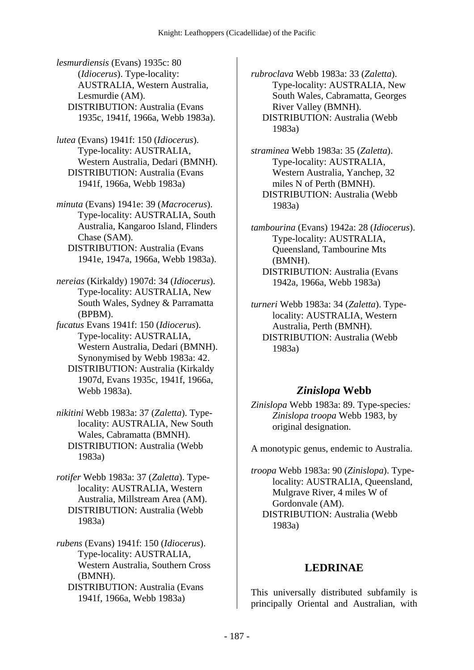*lesmurdiensis* (Evans) 1935c: 80 (*Idiocerus*). Type-locality: AUSTRALIA, Western Australia, Lesmurdie (AM). DISTRIBUTION: Australia (Evans 1935c, 1941f, 1966a, Webb 1983a).

*lutea* (Evans) 1941f: 150 (*Idiocerus*). Type-locality: AUSTRALIA, Western Australia, Dedari (BMNH). DISTRIBUTION: Australia (Evans 1941f, 1966a, Webb 1983a)

*minuta* (Evans) 1941e: 39 (*Macrocerus*). Type-locality: AUSTRALIA, South Australia, Kangaroo Island, Flinders Chase (SAM).

 DISTRIBUTION: Australia (Evans 1941e, 1947a, 1966a, Webb 1983a).

*nereias* (Kirkaldy) 1907d: 34 (*Idiocerus*). Type-locality: AUSTRALIA, New South Wales, Sydney & Parramatta (BPBM).

*fucatus* Evans 1941f: 150 (*Idiocerus*). Type-locality: AUSTRALIA, Western Australia, Dedari (BMNH). Synonymised by Webb 1983a: 42.

 DISTRIBUTION: Australia (Kirkaldy 1907d, Evans 1935c, 1941f, 1966a, Webb 1983a).

*nikitini* Webb 1983a: 37 (*Zaletta*). Typelocality: AUSTRALIA, New South Wales, Cabramatta (BMNH). DISTRIBUTION: Australia (Webb 1983a)

*rotifer* Webb 1983a: 37 (*Zaletta*). Typelocality: AUSTRALIA, Western Australia, Millstream Area (AM). DISTRIBUTION: Australia (Webb 1983a)

*rubens* (Evans) 1941f: 150 (*Idiocerus*). Type-locality: AUSTRALIA, Western Australia, Southern Cross (BMNH).

 DISTRIBUTION: Australia (Evans 1941f, 1966a, Webb 1983a)

*rubroclava* Webb 1983a: 33 (*Zaletta*). Type-locality: AUSTRALIA, New South Wales, Cabramatta, Georges River Valley (BMNH). DISTRIBUTION: Australia (Webb 1983a)

*straminea* Webb 1983a: 35 (*Zaletta*). Type-locality: AUSTRALIA, Western Australia, Yanchep, 32 miles N of Perth (BMNH). DISTRIBUTION: Australia (Webb 1983a)

*tambourina* (Evans) 1942a: 28 (*Idiocerus*). Type-locality: AUSTRALIA, Queensland, Tambourine Mts (BMNH). DISTRIBUTION: Australia (Evans 1942a, 1966a, Webb 1983a)

*turneri* Webb 1983a: 34 (*Zaletta*). Typelocality: AUSTRALIA, Western Australia, Perth (BMNH). DISTRIBUTION: Australia (Webb 1983a)

#### *Zinislopa* **Webb**

*Zinislopa* Webb 1983a: 89. Type-species*: Zinislopa troopa* Webb 1983, by original designation.

A monotypic genus, endemic to Australia.

*troopa* Webb 1983a: 90 (*Zinislopa*). Typelocality: AUSTRALIA, Queensland, Mulgrave River, 4 miles W of Gordonvale (AM). DISTRIBUTION: Australia (Webb 1983a)

#### **LEDRINAE**

This universally distributed subfamily is principally Oriental and Australian, with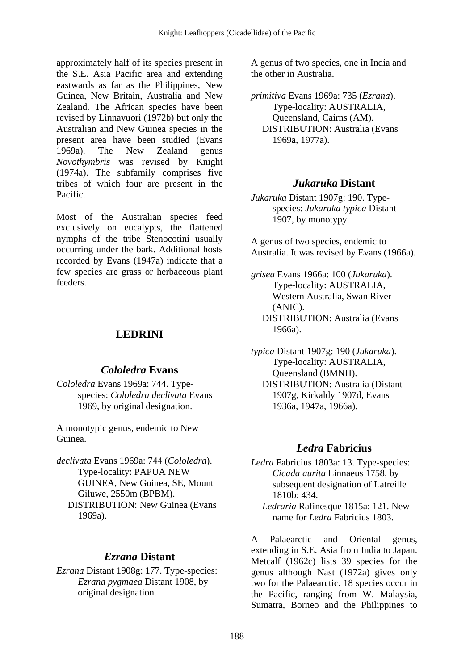approximately half of its species present in the S.E. Asia Pacific area and extending eastwards as far as the Philippines, New Guinea, New Britain, Australia and New Zealand. The African species have been revised by Linnavuori (1972b) but only the Australian and New Guinea species in the present area have been studied (Evans 1969a). The New Zealand genus *Novothymbris* was revised by Knight (1974a). The subfamily comprises five tribes of which four are present in the Pacific.

Most of the Australian species feed exclusively on eucalypts, the flattened nymphs of the tribe Stenocotini usually occurring under the bark. Additional hosts recorded by Evans (1947a) indicate that a few species are grass or herbaceous plant feeders.

# **LEDRINI**

#### *Cololedra* **Evans**

*Cololedra* Evans 1969a: 744. Typespecies: *Cololedra declivata* Evans 1969, by original designation.

A monotypic genus, endemic to New Guinea.

*declivata* Evans 1969a: 744 (*Cololedra*). Type-locality: PAPUA NEW GUINEA, New Guinea, SE, Mount Giluwe, 2550m (BPBM). DISTRIBUTION: New Guinea (Evans 1969a).

#### *Ezrana* **Distant**

*Ezrana* Distant 1908g: 177. Type-species: *Ezrana pygmaea* Distant 1908, by original designation.

A genus of two species, one in India and the other in Australia.

*primitiva* Evans 1969a: 735 (*Ezrana*). Type-locality: AUSTRALIA, Queensland, Cairns (AM). DISTRIBUTION: Australia (Evans 1969a, 1977a).

# *Jukaruka* **Distant**

*Jukaruka* Distant 1907g: 190. Typespecies: *Jukaruka typica* Distant 1907, by monotypy.

A genus of two species, endemic to Australia. It was revised by Evans (1966a).

*grisea* Evans 1966a: 100 (*Jukaruka*). Type-locality: AUSTRALIA, Western Australia, Swan River (ANIC). DISTRIBUTION: Australia (Evans 1966a).

*typica* Distant 1907g: 190 (*Jukaruka*). Type-locality: AUSTRALIA, Queensland (BMNH). DISTRIBUTION: Australia (Distant 1907g, Kirkaldy 1907d, Evans 1936a, 1947a, 1966a).

# *Ledra* **Fabricius**

*Ledra* Fabricius 1803a: 13. Type-species: *Cicada aurita* Linnaeus 1758, by subsequent designation of Latreille 1810b: 434.

A Palaearctic and Oriental genus, extending in S.E. Asia from India to Japan. Metcalf (1962c) lists 39 species for the genus although Nast (1972a) gives only two for the Palaearctic. 18 species occur in the Pacific, ranging from W. Malaysia, Sumatra, Borneo and the Philippines to

*Ledraria* Rafinesque 1815a: 121. New name for *Ledra* Fabricius 1803.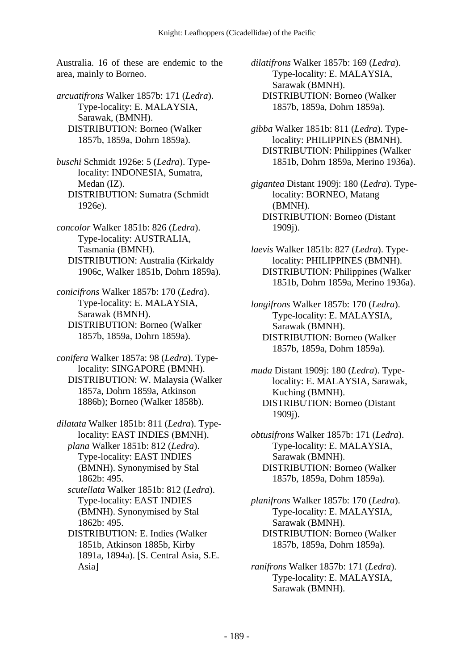Australia. 16 of these are endemic to the area, mainly to Borneo.

*arcuatifrons* Walker 1857b: 171 (*Ledra*). Type-locality: E. MALAYSIA, Sarawak, (BMNH). DISTRIBUTION: Borneo (Walker 1857b, 1859a, Dohrn 1859a).

*buschi* Schmidt 1926e: 5 (*Ledra*). Typelocality: INDONESIA, Sumatra, Medan (IZ). DISTRIBUTION: Sumatra (Schmidt 1926e).

*concolor* Walker 1851b: 826 (*Ledra*). Type-locality: AUSTRALIA, Tasmania (BMNH). DISTRIBUTION: Australia (Kirkaldy 1906c, Walker 1851b, Dohrn 1859a).

*conicifrons* Walker 1857b: 170 (*Ledra*). Type-locality: E. MALAYSIA, Sarawak (BMNH). DISTRIBUTION: Borneo (Walker 1857b, 1859a, Dohrn 1859a).

*conifera* Walker 1857a: 98 (*Ledra*). Typelocality: SINGAPORE (BMNH). DISTRIBUTION: W. Malaysia (Walker 1857a, Dohrn 1859a, Atkinson 1886b); Borneo (Walker 1858b).

*dilatata* Walker 1851b: 811 (*Ledra*). Typelocality: EAST INDIES (BMNH).  *plana* Walker 1851b: 812 (*Ledra*). Type-locality: EAST INDIES (BMNH). Synonymised by Stal 1862b: 495.

 *scutellata* Walker 1851b: 812 (*Ledra*). Type-locality: EAST INDIES (BMNH). Synonymised by Stal 1862b: 495.

 DISTRIBUTION: E. Indies (Walker 1851b, Atkinson 1885b, Kirby 1891a, 1894a). [S. Central Asia, S.E. Asia]

*dilatifrons* Walker 1857b: 169 (*Ledra*). Type-locality: E. MALAYSIA, Sarawak (BMNH). DISTRIBUTION: Borneo (Walker 1857b, 1859a, Dohrn 1859a).

*gibba* Walker 1851b: 811 (*Ledra*). Typelocality: PHILIPPINES (BMNH). DISTRIBUTION: Philippines (Walker 1851b, Dohrn 1859a, Merino 1936a).

*gigantea* Distant 1909j: 180 (*Ledra*). Typelocality: BORNEO, Matang (BMNH). DISTRIBUTION: Borneo (Distant 1909j).

*laevis* Walker 1851b: 827 (*Ledra*). Typelocality: PHILIPPINES (BMNH). DISTRIBUTION: Philippines (Walker 1851b, Dohrn 1859a, Merino 1936a).

*longifrons* Walker 1857b: 170 (*Ledra*). Type-locality: E. MALAYSIA, Sarawak (BMNH). DISTRIBUTION: Borneo (Walker 1857b, 1859a, Dohrn 1859a).

*muda* Distant 1909j: 180 (*Ledra*). Typelocality: E. MALAYSIA, Sarawak, Kuching (BMNH). DISTRIBUTION: Borneo (Distant 1909j).

*obtusifrons* Walker 1857b: 171 (*Ledra*). Type-locality: E. MALAYSIA, Sarawak (BMNH). DISTRIBUTION: Borneo (Walker 1857b, 1859a, Dohrn 1859a).

*planifrons* Walker 1857b: 170 (*Ledra*). Type-locality: E. MALAYSIA, Sarawak (BMNH). DISTRIBUTION: Borneo (Walker 1857b, 1859a, Dohrn 1859a).

*ranifrons* Walker 1857b: 171 (*Ledra*). Type-locality: E. MALAYSIA, Sarawak (BMNH).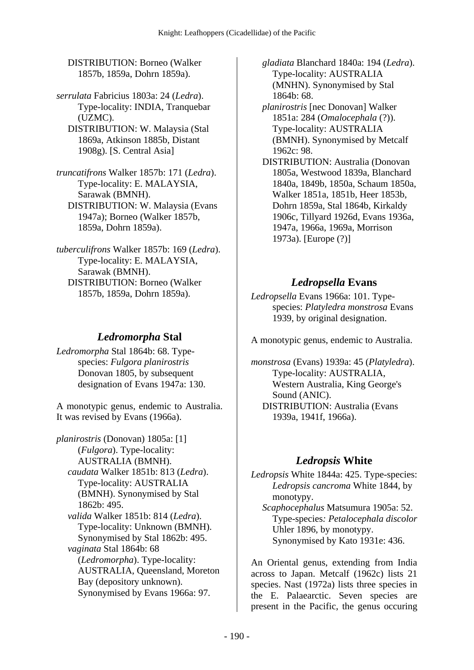DISTRIBUTION: Borneo (Walker 1857b, 1859a, Dohrn 1859a).

*serrulata* Fabricius 1803a: 24 (*Ledra*). Type-locality: INDIA, Tranquebar (UZMC). DISTRIBUTION: W. Malaysia (Stal

1869a, Atkinson 1885b, Distant 1908g). [S. Central Asia]

*truncatifrons* Walker 1857b: 171 (*Ledra*). Type-locality: E. MALAYSIA, Sarawak (BMNH). DISTRIBUTION: W. Malaysia (Evans 1947a); Borneo (Walker 1857b, 1859a, Dohrn 1859a).

*tuberculifrons* Walker 1857b: 169 (*Ledra*). Type-locality: E. MALAYSIA, Sarawak (BMNH). DISTRIBUTION: Borneo (Walker 1857b, 1859a, Dohrn 1859a).

# *Ledromorpha* **Stal**

*Ledromorpha* Stal 1864b: 68. Typespecies: *Fulgora planirostris* Donovan 1805, by subsequent designation of Evans 1947a: 130.

A monotypic genus, endemic to Australia. It was revised by Evans (1966a).

*planirostris* (Donovan) 1805a: [1] (*Fulgora*). Type-locality: AUSTRALIA (BMNH).  *caudata* Walker 1851b: 813 (*Ledra*). Type-locality: AUSTRALIA (BMNH). Synonymised by Stal 1862b: 495.  *valida* Walker 1851b: 814 (*Ledra*). Type-locality: Unknown (BMNH). Synonymised by Stal 1862b: 495.  *vaginata* Stal 1864b: 68 (*Ledromorpha*). Type-locality: AUSTRALIA, Queensland, Moreton Bay (depository unknown). Synonymised by Evans 1966a: 97.

 *gladiata* Blanchard 1840a: 194 (*Ledra*). Type-locality: AUSTRALIA (MNHN). Synonymised by Stal 1864b: 68.

 *planirostris* [nec Donovan] Walker 1851a: 284 (*Omalocephala* (?)). Type-locality: AUSTRALIA (BMNH). Synonymised by Metcalf 1962c: 98.

 DISTRIBUTION: Australia (Donovan 1805a, Westwood 1839a, Blanchard 1840a, 1849b, 1850a, Schaum 1850a, Walker 1851a, 1851b, Heer 1853b, Dohrn 1859a, Stal 1864b, Kirkaldy 1906c, Tillyard 1926d, Evans 1936a, 1947a, 1966a, 1969a, Morrison 1973a). [Europe (?)]

# *Ledropsella* **Evans**

*Ledropsella* Evans 1966a: 101. Typespecies: *Platyledra monstrosa* Evans 1939, by original designation.

A monotypic genus, endemic to Australia.

*monstrosa* (Evans) 1939a: 45 (*Platyledra*). Type-locality: AUSTRALIA, Western Australia, King George's Sound (ANIC). DISTRIBUTION: Australia (Evans 1939a, 1941f, 1966a).

# *Ledropsis* **White**

*Ledropsis* White 1844a: 425. Type-species: *Ledropsis cancroma* White 1844, by monotypy.  *Scaphocephalus* Matsumura 1905a: 52. Type-species*: Petalocephala discolor* Uhler 1896, by monotypy. Synonymised by Kato 1931e: 436.

An Oriental genus, extending from India across to Japan. Metcalf (1962c) lists 21 species. Nast (1972a) lists three species in the E. Palaearctic. Seven species are present in the Pacific, the genus occuring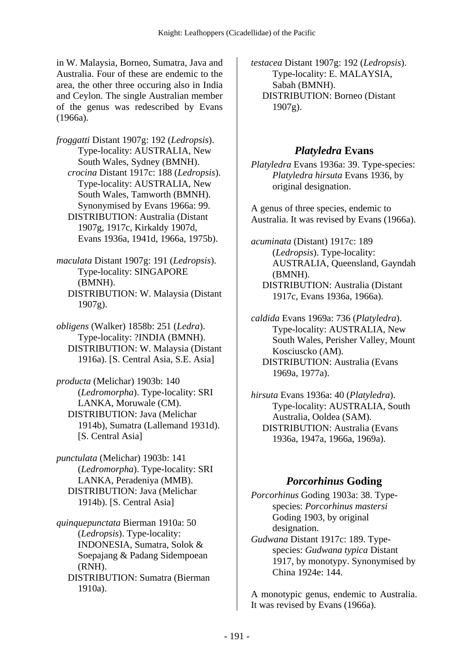in W. Malaysia, Borneo, Sumatra, Java and Australia. Four of these are endemic to the area, the other three occuring also in India and Ceylon. The single Australian member of the genus was redescribed by Evans (1966a).

*froggatti* Distant 1907g: 192 (*Ledropsis*). Type-locality: AUSTRALIA, New South Wales, Sydney (BMNH).  *crocina* Distant 1917c: 188 (*Ledropsis*). Type-locality: AUSTRALIA, New South Wales, Tamworth (BMNH). Synonymised by Evans 1966a: 99. DISTRIBUTION: Australia (Distant 1907g, 1917c, Kirkaldy 1907d, Evans 1936a, 1941d, 1966a, 1975b).

*maculata* Distant 1907g: 191 (*Ledropsis*). Type-locality: SINGAPORE (BMNH). DISTRIBUTION: W. Malaysia (Distant  $1907g$ ).

*obligens* (Walker) 1858b: 251 (*Ledra*). Type-locality: ?INDIA (BMNH). DISTRIBUTION: W. Malaysia (Distant 1916a). [S. Central Asia, S.E. Asia]

*producta* (Melichar) 1903b: 140 (*Ledromorpha*). Type-locality: SRI LANKA, Moruwale (CM). DISTRIBUTION: Java (Melichar 1914b), Sumatra (Lallemand 1931d). [S. Central Asia]

*punctulata* (Melichar) 1903b: 141 (*Ledromorpha*). Type-locality: SRI LANKA, Peradeniya (MMB). DISTRIBUTION: Java (Melichar 1914b). [S. Central Asia]

*quinquepunctata* Bierman 1910a: 50 (*Ledropsis*). Type-locality: INDONESIA, Sumatra, Solok & Soepajang & Padang Sidempoean (RNH). DISTRIBUTION: Sumatra (Bierman 1910a).

*testacea* Distant 1907g: 192 (*Ledropsis*). Type-locality: E. MALAYSIA, Sabah (BMNH). DISTRIBUTION: Borneo (Distant  $1907g$ ).

#### *Platyledra* **Evans**

*Platyledra* Evans 1936a: 39. Type-species: *Platyledra hirsuta* Evans 1936, by original designation.

A genus of three species, endemic to Australia. It was revised by Evans (1966a).

*acuminata* (Distant) 1917c: 189 (*Ledropsis*). Type-locality: AUSTRALIA, Queensland, Gayndah (BMNH). DISTRIBUTION: Australia (Distant 1917c, Evans 1936a, 1966a).

*caldida* Evans 1969a: 736 (*Platyledra*). Type-locality: AUSTRALIA, New South Wales, Perisher Valley, Mount Kosciuscko (AM). DISTRIBUTION: Australia (Evans 1969a, 1977a).

*hirsuta* Evans 1936a: 40 (*Platyledra*). Type-locality: AUSTRALIA, South Australia, Ooldea (SAM). DISTRIBUTION: Australia (Evans 1936a, 1947a, 1966a, 1969a).

#### *Porcorhinus* **Goding**

*Porcorhinus* Goding 1903a: 38. Typespecies: *Porcorhinus mastersi* Goding 1903, by original designation. *Gudwana* Distant 1917c: 189. Typespecies: *Gudwana typica* Distant 1917, by monotypy. Synonymised by

China 1924e: 144.

A monotypic genus, endemic to Australia. It was revised by Evans (1966a).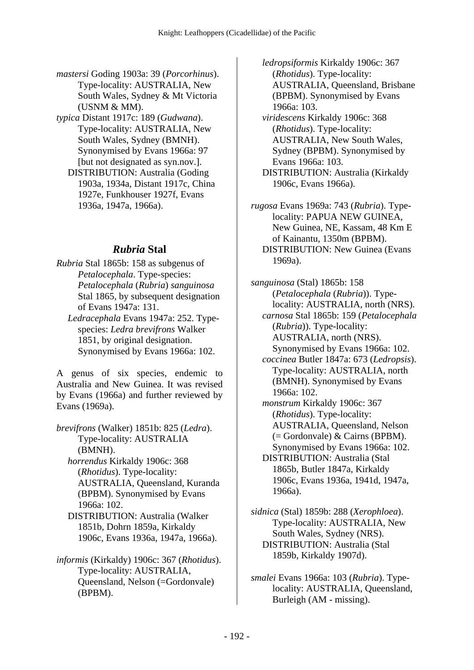- *mastersi* Goding 1903a: 39 (*Porcorhinus*). Type-locality: AUSTRALIA, New South Wales, Sydney & Mt Victoria (USNM & MM).
- *typica* Distant 1917c: 189 (*Gudwana*). Type-locality: AUSTRALIA, New South Wales, Sydney (BMNH). Synonymised by Evans 1966a: 97 [but not designated as syn.nov.].
	- DISTRIBUTION: Australia (Goding 1903a, 1934a, Distant 1917c, China 1927e, Funkhouser 1927f, Evans 1936a, 1947a, 1966a).

# *Rubria* **Stal**

- *Rubria* Stal 1865b: 158 as subgenus of *Petalocephala*. Type-species: *Petalocephala* (*Rubria*) *sanguinosa* Stal 1865, by subsequent designation of Evans 1947a: 131.
	- *Ledracephala* Evans 1947a: 252. Typespecies: *Ledra brevifrons* Walker 1851, by original designation. Synonymised by Evans 1966a: 102.

A genus of six species, endemic to Australia and New Guinea. It was revised by Evans (1966a) and further reviewed by Evans (1969a).

- *brevifrons* (Walker) 1851b: 825 (*Ledra*). Type-locality: AUSTRALIA (BMNH).
	- *horrendus* Kirkaldy 1906c: 368 (*Rhotidus*). Type-locality: AUSTRALIA, Queensland, Kuranda (BPBM). Synonymised by Evans 1966a: 102.
	- DISTRIBUTION: Australia (Walker 1851b, Dohrn 1859a, Kirkaldy 1906c, Evans 1936a, 1947a, 1966a).
- *informis* (Kirkaldy) 1906c: 367 (*Rhotidus*). Type-locality: AUSTRALIA, Queensland, Nelson (=Gordonvale) (BPBM).

 *ledropsiformis* Kirkaldy 1906c: 367 (*Rhotidus*). Type-locality: AUSTRALIA, Queensland, Brisbane (BPBM). Synonymised by Evans 1966a: 103.

- *viridescens* Kirkaldy 1906c: 368 (*Rhotidus*). Type-locality: AUSTRALIA, New South Wales, Sydney (BPBM). Synonymised by Evans 1966a: 103.
- DISTRIBUTION: Australia (Kirkaldy 1906c, Evans 1966a).
- *rugosa* Evans 1969a: 743 (*Rubria*). Typelocality: PAPUA NEW GUINEA, New Guinea, NE, Kassam, 48 Km E of Kainantu, 1350m (BPBM). DISTRIBUTION: New Guinea (Evans 1969a).

*sanguinosa* (Stal) 1865b: 158 (*Petalocephala* (*Rubria*)). Typelocality: AUSTRALIA, north (NRS).  *carnosa* Stal 1865b: 159 (*Petalocephala* (*Rubria*)). Type-locality: AUSTRALIA, north (NRS). Synonymised by Evans 1966a: 102.  *coccinea* Butler 1847a: 673 (*Ledropsis*). Type-locality: AUSTRALIA, north (BMNH). Synonymised by Evans 1966a: 102.  *monstrum* Kirkaldy 1906c: 367 (*Rhotidus*). Type-locality: AUSTRALIA, Queensland, Nelson (= Gordonvale) & Cairns (BPBM). Synonymised by Evans 1966a: 102. DISTRIBUTION: Australia (Stal

- 1865b, Butler 1847a, Kirkaldy 1906c, Evans 1936a, 1941d, 1947a, 1966a).
- *sidnica* (Stal) 1859b: 288 (*Xerophloea*). Type-locality: AUSTRALIA, New South Wales, Sydney (NRS). DISTRIBUTION: Australia (Stal 1859b, Kirkaldy 1907d).
- *smalei* Evans 1966a: 103 (*Rubria*). Typelocality: AUSTRALIA, Queensland, Burleigh (AM - missing).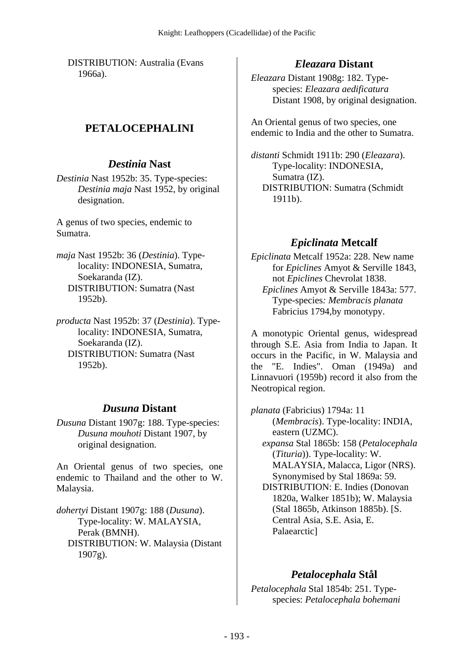DISTRIBUTION: Australia (Evans 1966a).

### **PETALOCEPHALINI**

#### *Destinia* **Nast**

*Destinia* Nast 1952b: 35. Type-species: *Destinia maja* Nast 1952, by original designation.

A genus of two species, endemic to Sumatra.

- *maja* Nast 1952b: 36 (*Destinia*). Typelocality: INDONESIA, Sumatra, Soekaranda (IZ). DISTRIBUTION: Sumatra (Nast 1952b).
- *producta* Nast 1952b: 37 (*Destinia*). Typelocality: INDONESIA, Sumatra, Soekaranda (IZ). DISTRIBUTION: Sumatra (Nast 1952b).

#### *Dusuna* **Distant**

*Dusuna* Distant 1907g: 188. Type-species: *Dusuna mouhoti* Distant 1907, by original designation.

An Oriental genus of two species, one endemic to Thailand and the other to W. Malaysia.

*dohertyi* Distant 1907g: 188 (*Dusuna*). Type-locality: W. MALAYSIA, Perak (BMNH). DISTRIBUTION: W. Malaysia (Distant  $1907g$ ).

#### *Eleazara* **Distant**

*Eleazara* Distant 1908g: 182. Typespecies: *Eleazara aedificatura* Distant 1908, by original designation.

An Oriental genus of two species, one endemic to India and the other to Sumatra.

*distanti* Schmidt 1911b: 290 (*Eleazara*). Type-locality: INDONESIA, Sumatra (IZ). DISTRIBUTION: Sumatra (Schmidt 1911b).

#### *Epiclinata* **Metcalf**

*Epiclinata* Metcalf 1952a: 228. New name for *Epiclines* Amyot & Serville 1843, not *Epiclines* Chevrolat 1838.  *Epiclines* Amyot & Serville 1843a: 577. Type-species*: Membracis planata* Fabricius 1794,by monotypy.

A monotypic Oriental genus, widespread through S.E. Asia from India to Japan. It occurs in the Pacific, in W. Malaysia and the "E. Indies". Oman (1949a) and Linnavuori (1959b) record it also from the Neotropical region.

*planata* (Fabricius) 1794a: 11 (*Membracis*). Type-locality: INDIA, eastern (UZMC).  *expansa* Stal 1865b: 158 (*Petalocephala* (*Tituria*)). Type-locality: W. MALAYSIA, Malacca, Ligor (NRS). Synonymised by Stal 1869a: 59. DISTRIBUTION: E. Indies (Donovan 1820a, Walker 1851b); W. Malaysia (Stal 1865b, Atkinson 1885b). [S. Central Asia, S.E. Asia, E. Palaearctic]

#### *Petalocephala* **Stål**

*Petalocephala* Stal 1854b: 251. Typespecies: *Petalocephala bohemani*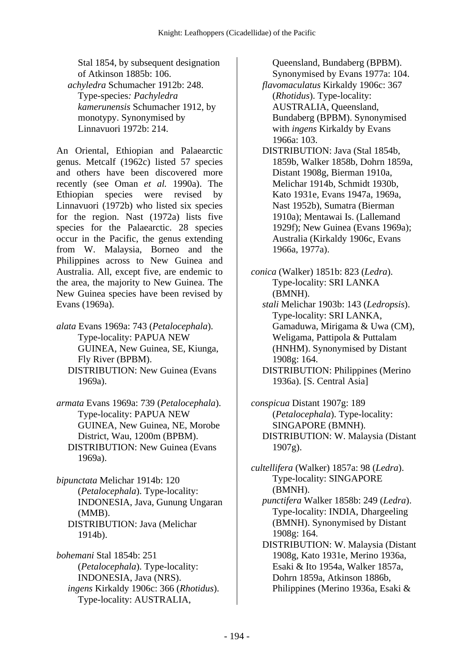Stal 1854, by subsequent designation of Atkinson 1885b: 106.  *achyledra* Schumacher 1912b: 248. Type-species*: Pachyledra kamerunensis* Schumacher 1912, by monotypy. Synonymised by Linnavuori 1972b: 214.

An Oriental, Ethiopian and Palaearctic genus. Metcalf (1962c) listed 57 species and others have been discovered more recently (see Oman *et al.* 1990a). The Ethiopian species were revised by Linnavuori (1972b) who listed six species for the region. Nast (1972a) lists five species for the Palaearctic. 28 species occur in the Pacific, the genus extending from W. Malaysia, Borneo and the Philippines across to New Guinea and Australia. All, except five, are endemic to the area, the majority to New Guinea. The New Guinea species have been revised by Evans (1969a).

- *alata* Evans 1969a: 743 (*Petalocephala*). Type-locality: PAPUA NEW GUINEA, New Guinea, SE, Kiunga, Fly River (BPBM). DISTRIBUTION: New Guinea (Evans 1969a).
- *armata* Evans 1969a: 739 (*Petalocephala*). Type-locality: PAPUA NEW GUINEA, New Guinea, NE, Morobe District, Wau, 1200m (BPBM). DISTRIBUTION: New Guinea (Evans 1969a).
- *bipunctata* Melichar 1914b: 120 (*Petalocephala*). Type-locality: INDONESIA, Java, Gunung Ungaran (MMB). DISTRIBUTION: Java (Melichar 1914b).

*bohemani* Stal 1854b: 251 (*Petalocephala*). Type-locality: INDONESIA, Java (NRS).  *ingens* Kirkaldy 1906c: 366 (*Rhotidus*). Type-locality: AUSTRALIA,

Queensland, Bundaberg (BPBM). Synonymised by Evans 1977a: 104.

 *flavomaculatus* Kirkaldy 1906c: 367 (*Rhotidus*). Type-locality: AUSTRALIA, Queensland, Bundaberg (BPBM). Synonymised with *ingens* Kirkaldy by Evans 1966a: 103.

- DISTRIBUTION: Java (Stal 1854b, 1859b, Walker 1858b, Dohrn 1859a, Distant 1908g, Bierman 1910a, Melichar 1914b, Schmidt 1930b, Kato 1931e, Evans 1947a, 1969a, Nast 1952b), Sumatra (Bierman 1910a); Mentawai Is. (Lallemand 1929f); New Guinea (Evans 1969a); Australia (Kirkaldy 1906c, Evans 1966a, 1977a).
- *conica* (Walker) 1851b: 823 (*Ledra*). Type-locality: SRI LANKA (BMNH).
	- *stali* Melichar 1903b: 143 (*Ledropsis*). Type-locality: SRI LANKA, Gamaduwa, Mirigama & Uwa (CM), Weligama, Pattipola & Puttalam (HNHM). Synonymised by Distant 1908g: 164.
	- DISTRIBUTION: Philippines (Merino 1936a). [S. Central Asia]
- *conspicua* Distant 1907g: 189 (*Petalocephala*). Type-locality: SINGAPORE (BMNH). DISTRIBUTION: W. Malaysia (Distant 1907g).
- *cultellifera* (Walker) 1857a: 98 (*Ledra*). Type-locality: SINGAPORE (BMNH).
	- *punctifera* Walker 1858b: 249 (*Ledra*). Type-locality: INDIA, Dhargeeling (BMNH). Synonymised by Distant 1908g: 164.
	- DISTRIBUTION: W. Malaysia (Distant 1908g, Kato 1931e, Merino 1936a, Esaki & Ito 1954a, Walker 1857a, Dohrn 1859a, Atkinson 1886b, Philippines (Merino 1936a, Esaki &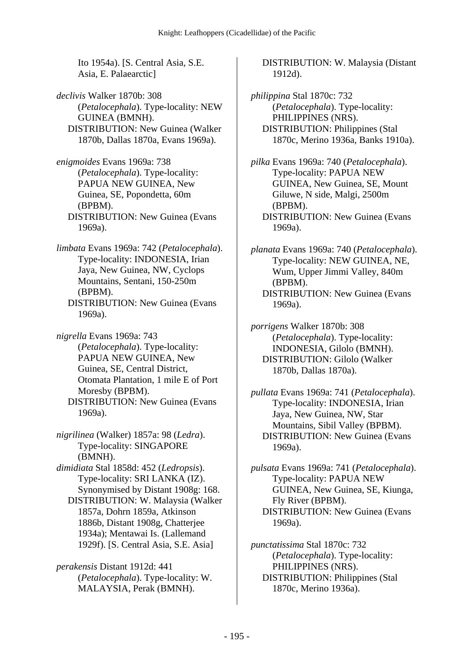Ito 1954a). [S. Central Asia, S.E. Asia, E. Palaearctic]

*declivis* Walker 1870b: 308 (*Petalocephala*). Type-locality: NEW GUINEA (BMNH). DISTRIBUTION: New Guinea (Walker 1870b, Dallas 1870a, Evans 1969a).

*enigmoides* Evans 1969a: 738 (*Petalocephala*). Type-locality: PAPUA NEW GUINEA, New Guinea, SE, Popondetta, 60m (BPBM). DISTRIBUTION: New Guinea (Evans 1969a).

*limbata* Evans 1969a: 742 (*Petalocephala*). Type-locality: INDONESIA, Irian Jaya, New Guinea, NW, Cyclops Mountains, Sentani, 150-250m (BPBM).

 DISTRIBUTION: New Guinea (Evans 1969a).

*nigrella* Evans 1969a: 743 (*Petalocephala*). Type-locality: PAPUA NEW GUINEA, New Guinea, SE, Central District, Otomata Plantation, 1 mile E of Port Moresby (BPBM). DISTRIBUTION: New Guinea (Evans 1969a).

*nigrilinea* (Walker) 1857a: 98 (*Ledra*). Type-locality: SINGAPORE (BMNH).

*dimidiata* Stal 1858d: 452 (*Ledropsis*). Type-locality: SRI LANKA (IZ). Synonymised by Distant 1908g: 168. DISTRIBUTION: W. Malaysia (Walker 1857a, Dohrn 1859a, Atkinson 1886b, Distant 1908g, Chatterjee 1934a); Mentawai Is. (Lallemand 1929f). [S. Central Asia, S.E. Asia]

*perakensis* Distant 1912d: 441 (*Petalocephala*). Type-locality: W. MALAYSIA, Perak (BMNH).

 DISTRIBUTION: W. Malaysia (Distant 1912d).

*philippina* Stal 1870c: 732 (*Petalocephala*). Type-locality: PHILIPPINES (NRS). DISTRIBUTION: Philippines (Stal 1870c, Merino 1936a, Banks 1910a).

*pilka* Evans 1969a: 740 (*Petalocephala*). Type-locality: PAPUA NEW GUINEA, New Guinea, SE, Mount Giluwe, N side, Malgi, 2500m (BPBM). DISTRIBUTION: New Guinea (Evans 1969a).

*planata* Evans 1969a: 740 (*Petalocephala*). Type-locality: NEW GUINEA, NE, Wum, Upper Jimmi Valley, 840m (BPBM). DISTRIBUTION: New Guinea (Evans 1969a).

*porrigens* Walker 1870b: 308 (*Petalocephala*). Type-locality: INDONESIA, Gilolo (BMNH). DISTRIBUTION: Gilolo (Walker 1870b, Dallas 1870a).

*pullata* Evans 1969a: 741 (*Petalocephala*). Type-locality: INDONESIA, Irian Jaya, New Guinea, NW, Star Mountains, Sibil Valley (BPBM). DISTRIBUTION: New Guinea (Evans 1969a).

*pulsata* Evans 1969a: 741 (*Petalocephala*). Type-locality: PAPUA NEW GUINEA, New Guinea, SE, Kiunga, Fly River (BPBM). DISTRIBUTION: New Guinea (Evans 1969a).

*punctatissima* Stal 1870c: 732 (*Petalocephala*). Type-locality: PHILIPPINES (NRS). DISTRIBUTION: Philippines (Stal 1870c, Merino 1936a).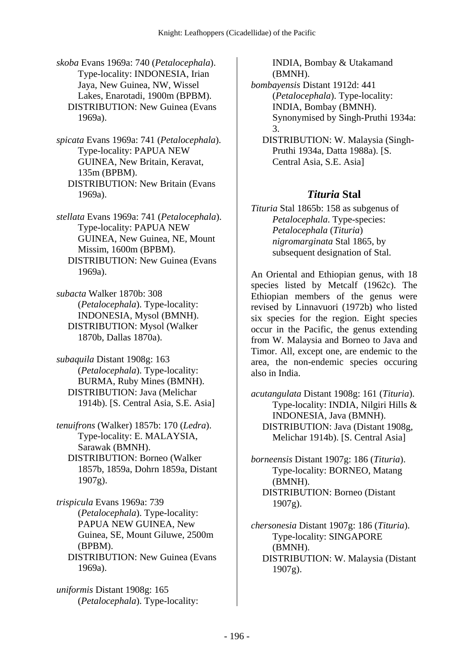*skoba* Evans 1969a: 740 (*Petalocephala*). Type-locality: INDONESIA, Irian Jaya, New Guinea, NW, Wissel Lakes, Enarotadi, 1900m (BPBM). DISTRIBUTION: New Guinea (Evans 1969a).

*spicata* Evans 1969a: 741 (*Petalocephala*). Type-locality: PAPUA NEW GUINEA, New Britain, Keravat, 135m (BPBM). DISTRIBUTION: New Britain (Evans 1969a).

*stellata* Evans 1969a: 741 (*Petalocephala*). Type-locality: PAPUA NEW GUINEA, New Guinea, NE, Mount Missim, 1600m (BPBM). DISTRIBUTION: New Guinea (Evans 1969a).

*subacta* Walker 1870b: 308 (*Petalocephala*). Type-locality: INDONESIA, Mysol (BMNH). DISTRIBUTION: Mysol (Walker 1870b, Dallas 1870a).

*subaquila* Distant 1908g: 163 (*Petalocephala*). Type-locality: BURMA, Ruby Mines (BMNH). DISTRIBUTION: Java (Melichar 1914b). [S. Central Asia, S.E. Asia]

*tenuifrons* (Walker) 1857b: 170 (*Ledra*). Type-locality: E. MALAYSIA, Sarawak (BMNH). DISTRIBUTION: Borneo (Walker 1857b, 1859a, Dohrn 1859a, Distant 1907g).

*trispicula* Evans 1969a: 739 (*Petalocephala*). Type-locality: PAPUA NEW GUINEA, New Guinea, SE, Mount Giluwe, 2500m (BPBM). DISTRIBUTION: New Guinea (Evans 1969a).

*uniformis* Distant 1908g: 165 (*Petalocephala*). Type-locality: INDIA, Bombay & Utakamand (BMNH).

*bombayensis* Distant 1912d: 441 (*Petalocephala*). Type-locality: INDIA, Bombay (BMNH). Synonymised by Singh-Pruthi 1934a: 3.

 DISTRIBUTION: W. Malaysia (Singh-Pruthi 1934a, Datta 1988a). [S. Central Asia, S.E. Asia]

#### *Tituria* **Stal**

*Tituria* Stal 1865b: 158 as subgenus of *Petalocephala*. Type-species: *Petalocephala* (*Tituria*) *nigromarginata* Stal 1865, by subsequent designation of Stal.

An Oriental and Ethiopian genus, with 18 species listed by Metcalf (1962c). The Ethiopian members of the genus were revised by Linnavuori (1972b) who listed six species for the region. Eight species occur in the Pacific, the genus extending from W. Malaysia and Borneo to Java and Timor. All, except one, are endemic to the area, the non-endemic species occuring also in India.

*acutangulata* Distant 1908g: 161 (*Tituria*). Type-locality: INDIA, Nilgiri Hills & INDONESIA, Java (BMNH). DISTRIBUTION: Java (Distant 1908g, Melichar 1914b). [S. Central Asia]

*borneensis* Distant 1907g: 186 (*Tituria*). Type-locality: BORNEO, Matang (BMNH). DISTRIBUTION: Borneo (Distant 1907g).

*chersonesia* Distant 1907g: 186 (*Tituria*). Type-locality: SINGAPORE (BMNH). DISTRIBUTION: W. Malaysia (Distant 1907g).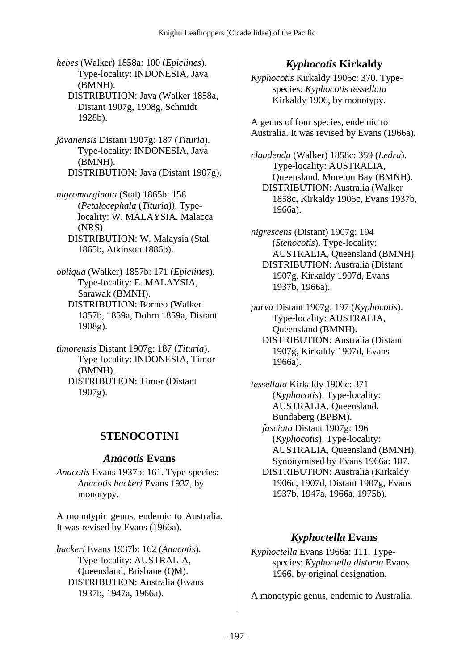- *hebes* (Walker) 1858a: 100 (*Epiclines*). Type-locality: INDONESIA, Java (BMNH).
	- DISTRIBUTION: Java (Walker 1858a, Distant 1907g, 1908g, Schmidt 1928b).
- *javanensis* Distant 1907g: 187 (*Tituria*). Type-locality: INDONESIA, Java (BMNH). DISTRIBUTION: Java (Distant 1907g).
- *nigromarginata* (Stal) 1865b: 158 (*Petalocephala* (*Tituria*)). Typelocality: W. MALAYSIA, Malacca (NRS).
	- DISTRIBUTION: W. Malaysia (Stal 1865b, Atkinson 1886b).
- *obliqua* (Walker) 1857b: 171 (*Epiclines*). Type-locality: E. MALAYSIA, Sarawak (BMNH). DISTRIBUTION: Borneo (Walker 1857b, 1859a, Dohrn 1859a, Distant 1908g).
- *timorensis* Distant 1907g: 187 (*Tituria*). Type-locality: INDONESIA, Timor (BMNH). DISTRIBUTION: Timor (Distant  $1907g$ ).

# **STENOCOTINI**

#### *Anacotis* **Evans**

*Anacotis* Evans 1937b: 161. Type-species: *Anacotis hackeri* Evans 1937, by monotypy.

A monotypic genus, endemic to Australia. It was revised by Evans (1966a).

*hackeri* Evans 1937b: 162 (*Anacotis*). Type-locality: AUSTRALIA, Queensland, Brisbane (QM). DISTRIBUTION: Australia (Evans 1937b, 1947a, 1966a).

# *Kyphocotis* **Kirkaldy**

*Kyphocotis* Kirkaldy 1906c: 370. Typespecies: *Kyphocotis tessellata* Kirkaldy 1906, by monotypy.

A genus of four species, endemic to Australia. It was revised by Evans (1966a).

*claudenda* (Walker) 1858c: 359 (*Ledra*). Type-locality: AUSTRALIA, Queensland, Moreton Bay (BMNH). DISTRIBUTION: Australia (Walker 1858c, Kirkaldy 1906c, Evans 1937b, 1966a).

*nigrescens* (Distant) 1907g: 194 (*Stenocotis*). Type-locality: AUSTRALIA, Queensland (BMNH). DISTRIBUTION: Australia (Distant 1907g, Kirkaldy 1907d, Evans 1937b, 1966a).

*parva* Distant 1907g: 197 (*Kyphocotis*). Type-locality: AUSTRALIA, Queensland (BMNH). DISTRIBUTION: Australia (Distant 1907g, Kirkaldy 1907d, Evans 1966a).

*tessellata* Kirkaldy 1906c: 371 (*Kyphocotis*). Type-locality: AUSTRALIA, Queensland, Bundaberg (BPBM).  *fasciata* Distant 1907g: 196 (*Kyphocotis*). Type-locality: AUSTRALIA, Queensland (BMNH). Synonymised by Evans 1966a: 107. DISTRIBUTION: Australia (Kirkaldy 1906c, 1907d, Distant 1907g, Evans 1937b, 1947a, 1966a, 1975b).

# *Kyphoctella* **Evans**

*Kyphoctella* Evans 1966a: 111. Typespecies: *Kyphoctella distorta* Evans 1966, by original designation.

A monotypic genus, endemic to Australia.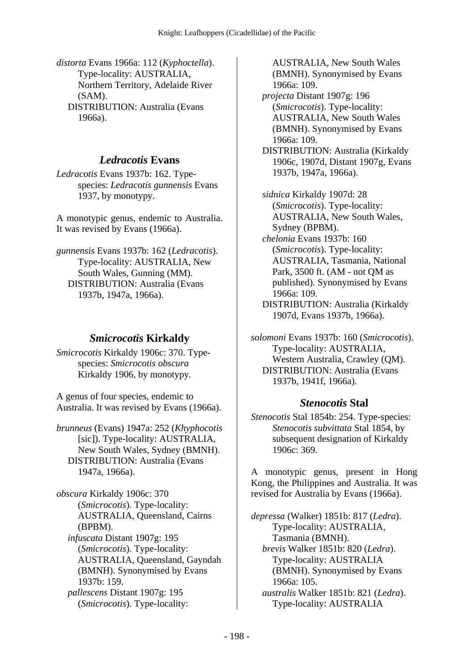*distorta* Evans 1966a: 112 (*Kyphoctella*). Type-locality: AUSTRALIA, Northern Territory, Adelaide River (SAM). DISTRIBUTION: Australia (Evans 1966a).

## *Ledracotis* **Evans**

*Ledracotis* Evans 1937b: 162. Typespecies: *Ledracotis gunnensis* Evans 1937, by monotypy.

A monotypic genus, endemic to Australia. It was revised by Evans (1966a).

*gunnensis* Evans 1937b: 162 (*Ledracotis*). Type-locality: AUSTRALIA, New South Wales, Gunning (MM). DISTRIBUTION: Australia (Evans 1937b, 1947a, 1966a).

# *Smicrocotis* **Kirkaldy**

*Smicrocotis* Kirkaldy 1906c: 370. Typespecies: *Smicrocotis obscura* Kirkaldy 1906, by monotypy.

A genus of four species, endemic to Australia. It was revised by Evans (1966a).

*brunneus* (Evans) 1947a: 252 (*Khyphocotis* [sic]). Type-locality: AUSTRALIA, New South Wales, Sydney (BMNH). DISTRIBUTION: Australia (Evans 1947a, 1966a).

*obscura* Kirkaldy 1906c: 370 (*Smicrocotis*). Type-locality: AUSTRALIA, Queensland, Cairns (BPBM).

 *infuscata* Distant 1907g: 195 (*Smicrocotis*). Type-locality: AUSTRALIA, Queensland, Gayndah (BMNH). Synonymised by Evans 1937b: 159.

 *pallescens* Distant 1907g: 195 (*Smicrocotis*). Type-locality:

AUSTRALIA, New South Wales (BMNH). Synonymised by Evans 1966a: 109.  *projecta* Distant 1907g: 196 (*Smicrocotis*). Type-locality: AUSTRALIA, New South Wales (BMNH). Synonymised by Evans 1966a: 109. DISTRIBUTION: Australia (Kirkaldy 1906c, 1907d, Distant 1907g, Evans 1937b, 1947a, 1966a).

 *sidnica* Kirkaldy 1907d: 28 (*Smicrocotis*). Type-locality: AUSTRALIA, New South Wales, Sydney (BPBM).

 *chelonia* Evans 1937b: 160 (*Smicrocotis*). Type-locality: AUSTRALIA, Tasmania, National Park, 3500 ft. (AM - not QM as published). Synonymised by Evans 1966a: 109.

 DISTRIBUTION: Australia (Kirkaldy 1907d, Evans 1937b, 1966a).

*solomoni* Evans 1937b: 160 (*Smicrocotis*). Type-locality: AUSTRALIA, Western Australia, Crawley (QM). DISTRIBUTION: Australia (Evans 1937b, 1941f, 1966a).

# *Stenocotis* **Stal**

*Stenocotis* Stal 1854b: 254. Type-species: *Stenocotis subvittata* Stal 1854, by subsequent designation of Kirkaldy 1906c: 369.

A monotypic genus, present in Hong Kong, the Philippines and Australia. It was revised for Australia by Evans (1966a).

*depressa* (Walker) 1851b: 817 (*Ledra*). Type-locality: AUSTRALIA, Tasmania (BMNH).  *brevis* Walker 1851b: 820 (*Ledra*). Type-locality: AUSTRALIA (BMNH). Synonymised by Evans 1966a: 105.  *australis* Walker 1851b: 821 (*Ledra*). Type-locality: AUSTRALIA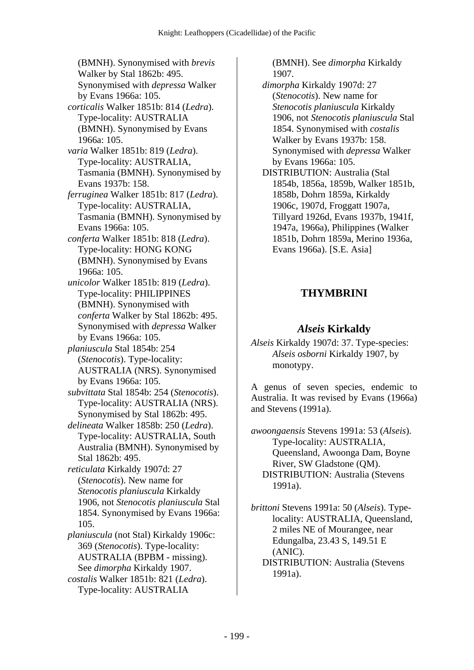(BMNH). Synonymised with *brevis* Walker by Stal 1862b: 495. Synonymised with *depressa* Walker by Evans 1966a: 105.  *corticalis* Walker 1851b: 814 (*Ledra*). Type-locality: AUSTRALIA (BMNH). Synonymised by Evans 1966a: 105.  *varia* Walker 1851b: 819 (*Ledra*). Type-locality: AUSTRALIA, Tasmania (BMNH). Synonymised by Evans 1937b: 158.  *ferruginea* Walker 1851b: 817 (*Ledra*). Type-locality: AUSTRALIA, Tasmania (BMNH). Synonymised by Evans 1966a: 105.  *conferta* Walker 1851b: 818 (*Ledra*). Type-locality: HONG KONG (BMNH). Synonymised by Evans 1966a: 105.  *unicolor* Walker 1851b: 819 (*Ledra*). Type-locality: PHILIPPINES (BMNH). Synonymised with *conferta* Walker by Stal 1862b: 495. Synonymised with *depressa* Walker by Evans 1966a: 105.  *planiuscula* Stal 1854b: 254 (*Stenocotis*). Type-locality: AUSTRALIA (NRS). Synonymised by Evans 1966a: 105.  *subvittata* Stal 1854b: 254 (*Stenocotis*). Type-locality: AUSTRALIA (NRS). Synonymised by Stal 1862b: 495.  *delineata* Walker 1858b: 250 (*Ledra*). Type-locality: AUSTRALIA, South Australia (BMNH). Synonymised by Stal 1862b: 495.  *reticulata* Kirkaldy 1907d: 27 (*Stenocotis*). New name for *Stenocotis planiuscula* Kirkaldy 1906, not *Stenocotis planiuscula* Stal 1854. Synonymised by Evans 1966a: 105.  *planiuscula* (not Stal) Kirkaldy 1906c: 369 (*Stenocotis*). Type-locality: AUSTRALIA (BPBM - missing). See *dimorpha* Kirkaldy 1907.

 *costalis* Walker 1851b: 821 (*Ledra*). Type-locality: AUSTRALIA

(BMNH). See *dimorpha* Kirkaldy 1907.

 *dimorpha* Kirkaldy 1907d: 27 (*Stenocotis*). New name for *Stenocotis planiuscula* Kirkaldy 1906, not *Stenocotis planiuscula* Stal 1854. Synonymised with *costalis* Walker by Evans 1937b: 158. Synonymised with *depressa* Walker by Evans 1966a: 105. DISTRIBUTION: Australia (Stal

1854b, 1856a, 1859b, Walker 1851b, 1858b, Dohrn 1859a, Kirkaldy 1906c, 1907d, Froggatt 1907a, Tillyard 1926d, Evans 1937b, 1941f, 1947a, 1966a), Philippines (Walker 1851b, Dohrn 1859a, Merino 1936a, Evans 1966a). [S.E. Asia]

# **THYMBRINI**

# *Alseis* **Kirkaldy**

*Alseis* Kirkaldy 1907d: 37. Type-species: *Alseis osborni* Kirkaldy 1907, by monotypy.

A genus of seven species, endemic to Australia. It was revised by Evans (1966a) and Stevens (1991a).

*awoongaensis* Stevens 1991a: 53 (*Alseis*). Type-locality: AUSTRALIA, Queensland, Awoonga Dam, Boyne River, SW Gladstone (QM). DISTRIBUTION: Australia (Stevens 1991a).

*brittoni* Stevens 1991a: 50 (*Alseis*). Typelocality: AUSTRALIA, Queensland, 2 miles NE of Mourangee, near Edungalba, 23.43 S, 149.51 E (ANIC). DISTRIBUTION: Australia (Stevens

1991a).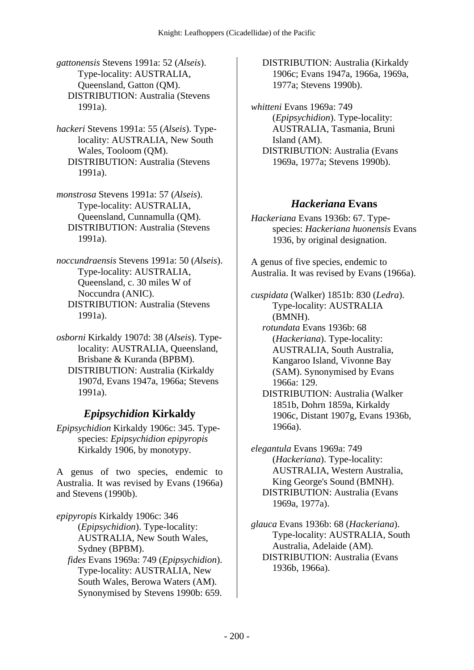*gattonensis* Stevens 1991a: 52 (*Alseis*). Type-locality: AUSTRALIA, Queensland, Gatton (QM). DISTRIBUTION: Australia (Stevens 1991a).

*hackeri* Stevens 1991a: 55 (*Alseis*). Typelocality: AUSTRALIA, New South Wales, Tooloom (QM). DISTRIBUTION: Australia (Stevens 1991a).

*monstrosa* Stevens 1991a: 57 (*Alseis*). Type-locality: AUSTRALIA, Queensland, Cunnamulla (QM). DISTRIBUTION: Australia (Stevens 1991a).

*noccundraensis* Stevens 1991a: 50 (*Alseis*). Type-locality: AUSTRALIA, Queensland, c. 30 miles W of Noccundra (ANIC). DISTRIBUTION: Australia (Stevens 1991a).

*osborni* Kirkaldy 1907d: 38 (*Alseis*). Typelocality: AUSTRALIA, Queensland, Brisbane & Kuranda (BPBM). DISTRIBUTION: Australia (Kirkaldy 1907d, Evans 1947a, 1966a; Stevens 1991a).

# *Epipsychidion* **Kirkaldy**

*Epipsychidion* Kirkaldy 1906c: 345. Typespecies: *Epipsychidion epipyropis* Kirkaldy 1906, by monotypy.

A genus of two species, endemic to Australia. It was revised by Evans (1966a) and Stevens (1990b).

*epipyropis* Kirkaldy 1906c: 346 (*Epipsychidion*). Type-locality: AUSTRALIA, New South Wales, Sydney (BPBM).  *fides* Evans 1969a: 749 (*Epipsychidion*). Type-locality: AUSTRALIA, New South Wales, Berowa Waters (AM). Synonymised by Stevens 1990b: 659.

 DISTRIBUTION: Australia (Kirkaldy 1906c; Evans 1947a, 1966a, 1969a, 1977a; Stevens 1990b).

*whitteni* Evans 1969a: 749 (*Epipsychidion*). Type-locality: AUSTRALIA, Tasmania, Bruni Island (AM). DISTRIBUTION: Australia (Evans 1969a, 1977a; Stevens 1990b).

### *Hackeriana* **Evans**

*Hackeriana* Evans 1936b: 67. Typespecies: *Hackeriana huonensis* Evans 1936, by original designation.

A genus of five species, endemic to Australia. It was revised by Evans (1966a).

*cuspidata* (Walker) 1851b: 830 (*Ledra*). Type-locality: AUSTRALIA (BMNH).

 *rotundata* Evans 1936b: 68 (*Hackeriana*). Type-locality: AUSTRALIA, South Australia, Kangaroo Island, Vivonne Bay (SAM). Synonymised by Evans 1966a: 129.

 DISTRIBUTION: Australia (Walker 1851b, Dohrn 1859a, Kirkaldy 1906c, Distant 1907g, Evans 1936b, 1966a).

*elegantula* Evans 1969a: 749 (*Hackeriana*). Type-locality: AUSTRALIA, Western Australia, King George's Sound (BMNH). DISTRIBUTION: Australia (Evans 1969a, 1977a).

*glauca* Evans 1936b: 68 (*Hackeriana*). Type-locality: AUSTRALIA, South Australia, Adelaide (AM). DISTRIBUTION: Australia (Evans 1936b, 1966a).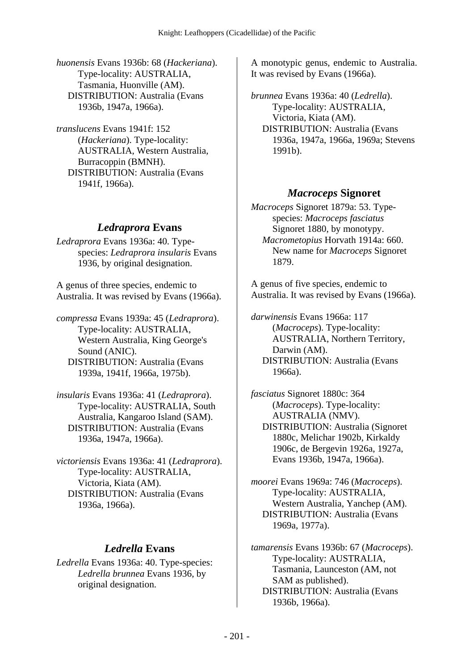*huonensis* Evans 1936b: 68 (*Hackeriana*). Type-locality: AUSTRALIA, Tasmania, Huonville (AM). DISTRIBUTION: Australia (Evans 1936b, 1947a, 1966a).

*translucens* Evans 1941f: 152 (*Hackeriana*). Type-locality: AUSTRALIA, Western Australia, Burracoppin (BMNH). DISTRIBUTION: Australia (Evans 1941f, 1966a).

#### *Ledraprora* **Evans**

*Ledraprora* Evans 1936a: 40. Typespecies: *Ledraprora insularis* Evans 1936, by original designation.

A genus of three species, endemic to Australia. It was revised by Evans (1966a).

*compressa* Evans 1939a: 45 (*Ledraprora*). Type-locality: AUSTRALIA, Western Australia, King George's Sound (ANIC). DISTRIBUTION: Australia (Evans 1939a, 1941f, 1966a, 1975b).

*insularis* Evans 1936a: 41 (*Ledraprora*). Type-locality: AUSTRALIA, South Australia, Kangaroo Island (SAM). DISTRIBUTION: Australia (Evans 1936a, 1947a, 1966a).

*victoriensis* Evans 1936a: 41 (*Ledraprora*). Type-locality: AUSTRALIA, Victoria, Kiata (AM). DISTRIBUTION: Australia (Evans 1936a, 1966a).

#### *Ledrella* **Evans**

*Ledrella* Evans 1936a: 40. Type-species: *Ledrella brunnea* Evans 1936, by original designation.

A monotypic genus, endemic to Australia. It was revised by Evans (1966a).

*brunnea* Evans 1936a: 40 (*Ledrella*). Type-locality: AUSTRALIA, Victoria, Kiata (AM). DISTRIBUTION: Australia (Evans 1936a, 1947a, 1966a, 1969a; Stevens 1991b).

### *Macroceps* **Signoret**

*Macroceps* Signoret 1879a: 53. Typespecies: *Macroceps fasciatus* Signoret 1880, by monotypy.  *Macrometopius* Horvath 1914a: 660. New name for *Macroceps* Signoret 1879.

A genus of five species, endemic to Australia. It was revised by Evans (1966a).

*darwinensis* Evans 1966a: 117 (*Macroceps*). Type-locality: AUSTRALIA, Northern Territory, Darwin (AM). DISTRIBUTION: Australia (Evans 1966a).

*fasciatus* Signoret 1880c: 364 (*Macroceps*). Type-locality: AUSTRALIA (NMV). DISTRIBUTION: Australia (Signoret 1880c, Melichar 1902b, Kirkaldy 1906c, de Bergevin 1926a, 1927a, Evans 1936b, 1947a, 1966a).

*moorei* Evans 1969a: 746 (*Macroceps*). Type-locality: AUSTRALIA, Western Australia, Yanchep (AM). DISTRIBUTION: Australia (Evans 1969a, 1977a).

*tamarensis* Evans 1936b: 67 (*Macroceps*). Type-locality: AUSTRALIA, Tasmania, Launceston (AM, not SAM as published). DISTRIBUTION: Australia (Evans 1936b, 1966a).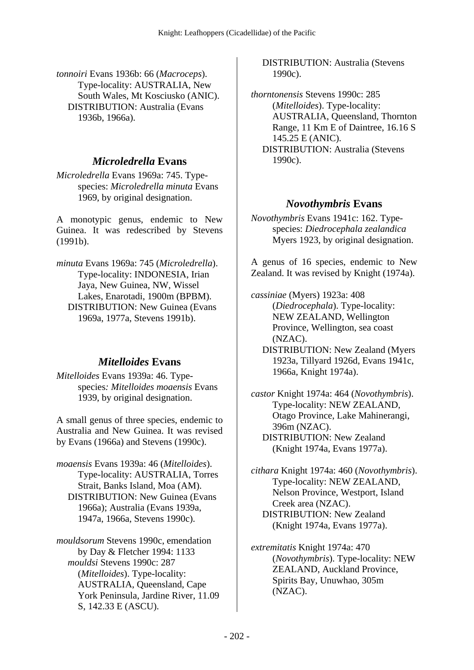*tonnoiri* Evans 1936b: 66 (*Macroceps*). Type-locality: AUSTRALIA, New South Wales, Mt Kosciusko (ANIC). DISTRIBUTION: Australia (Evans 1936b, 1966a).

## *Microledrella* **Evans**

*Microledrella* Evans 1969a: 745. Typespecies: *Microledrella minuta* Evans 1969, by original designation.

A monotypic genus, endemic to New Guinea. It was redescribed by Stevens (1991b).

*minuta* Evans 1969a: 745 (*Microledrella*). Type-locality: INDONESIA, Irian Jaya, New Guinea, NW, Wissel Lakes, Enarotadi, 1900m (BPBM). DISTRIBUTION: New Guinea (Evans 1969a, 1977a, Stevens 1991b).

# *Mitelloides* **Evans**

*Mitelloides* Evans 1939a: 46. Typespecies*: Mitelloides moaensis* Evans 1939, by original designation.

A small genus of three species, endemic to Australia and New Guinea. It was revised by Evans (1966a) and Stevens (1990c).

*moaensis* Evans 1939a: 46 (*Mitelloides*). Type-locality: AUSTRALIA, Torres Strait, Banks Island, Moa (AM). DISTRIBUTION: New Guinea (Evans 1966a); Australia (Evans 1939a, 1947a, 1966a, Stevens 1990c).

*mouldsorum* Stevens 1990c, emendation by Day & Fletcher 1994: 1133  *mouldsi* Stevens 1990c: 287 (*Mitelloides*). Type-locality: AUSTRALIA, Queensland, Cape York Peninsula, Jardine River, 11.09 S, 142.33 E (ASCU).

 DISTRIBUTION: Australia (Stevens 1990c).

*thorntonensis* Stevens 1990c: 285 (*Mitelloides*). Type-locality: AUSTRALIA, Queensland, Thornton Range, 11 Km E of Daintree, 16.16 S 145.25 E (ANIC).

 DISTRIBUTION: Australia (Stevens 1990c).

### *Novothymbris* **Evans**

*Novothymbris* Evans 1941c: 162. Typespecies: *Diedrocephala zealandica* Myers 1923, by original designation.

A genus of 16 species, endemic to New Zealand. It was revised by Knight (1974a).

*cassiniae* (Myers) 1923a: 408 (*Diedrocephala*). Type-locality: NEW ZEALAND, Wellington Province, Wellington, sea coast (NZAC).

 DISTRIBUTION: New Zealand (Myers 1923a, Tillyard 1926d, Evans 1941c, 1966a, Knight 1974a).

*castor* Knight 1974a: 464 (*Novothymbris*). Type-locality: NEW ZEALAND, Otago Province, Lake Mahinerangi, 396m (NZAC). DISTRIBUTION: New Zealand (Knight 1974a, Evans 1977a).

*cithara* Knight 1974a: 460 (*Novothymbris*). Type-locality: NEW ZEALAND, Nelson Province, Westport, Island Creek area (NZAC). DISTRIBUTION: New Zealand (Knight 1974a, Evans 1977a).

*extremitatis* Knight 1974a: 470 (*Novothymbris*). Type-locality: NEW ZEALAND, Auckland Province, Spirits Bay, Unuwhao, 305m (NZAC).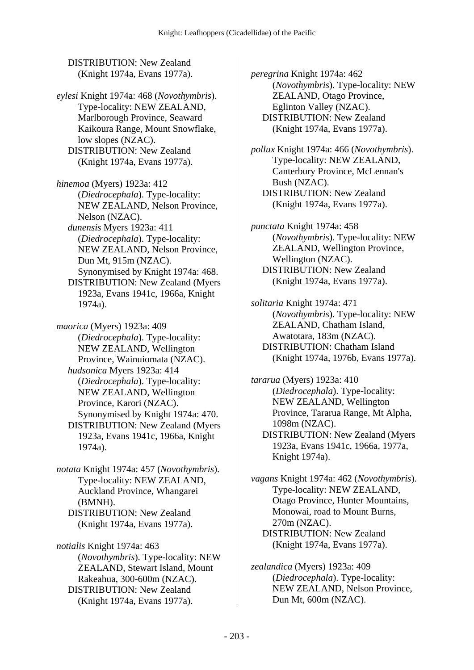DISTRIBUTION: New Zealand (Knight 1974a, Evans 1977a).

*eylesi* Knight 1974a: 468 (*Novothymbris*). Type-locality: NEW ZEALAND, Marlborough Province, Seaward Kaikoura Range, Mount Snowflake, low slopes (NZAC). DISTRIBUTION: New Zealand (Knight 1974a, Evans 1977a).

*hinemoa* (Myers) 1923a: 412 (*Diedrocephala*). Type-locality: NEW ZEALAND, Nelson Province, Nelson (NZAC).  *dunensis* Myers 1923a: 411

(*Diedrocephala*). Type-locality: NEW ZEALAND, Nelson Province, Dun Mt, 915m (NZAC). Synonymised by Knight 1974a: 468. DISTRIBUTION: New Zealand (Myers

1923a, Evans 1941c, 1966a, Knight 1974a).

*maorica* (Myers) 1923a: 409 (*Diedrocephala*). Type-locality: NEW ZEALAND, Wellington Province, Wainuiomata (NZAC).  *hudsonica* Myers 1923a: 414 (*Diedrocephala*). Type-locality: NEW ZEALAND, Wellington Province, Karori (NZAC). Synonymised by Knight 1974a: 470. DISTRIBUTION: New Zealand (Myers 1923a, Evans 1941c, 1966a, Knight 1974a).

*notata* Knight 1974a: 457 (*Novothymbris*). Type-locality: NEW ZEALAND, Auckland Province, Whangarei (BMNH). DISTRIBUTION: New Zealand (Knight 1974a, Evans 1977a).

*notialis* Knight 1974a: 463 (*Novothymbris*). Type-locality: NEW ZEALAND, Stewart Island, Mount Rakeahua, 300-600m (NZAC). DISTRIBUTION: New Zealand (Knight 1974a, Evans 1977a).

*peregrina* Knight 1974a: 462 (*Novothymbris*). Type-locality: NEW ZEALAND, Otago Province, Eglinton Valley (NZAC). DISTRIBUTION: New Zealand (Knight 1974a, Evans 1977a).

*pollux* Knight 1974a: 466 (*Novothymbris*). Type-locality: NEW ZEALAND, Canterbury Province, McLennan's Bush (NZAC). DISTRIBUTION: New Zealand (Knight 1974a, Evans 1977a).

*punctata* Knight 1974a: 458 (*Novothymbris*). Type-locality: NEW ZEALAND, Wellington Province, Wellington (NZAC). DISTRIBUTION: New Zealand (Knight 1974a, Evans 1977a).

*solitaria* Knight 1974a: 471 (*Novothymbris*). Type-locality: NEW ZEALAND, Chatham Island, Awatotara, 183m (NZAC). DISTRIBUTION: Chatham Island (Knight 1974a, 1976b, Evans 1977a).

*tararua* (Myers) 1923a: 410 (*Diedrocephala*). Type-locality: NEW ZEALAND, Wellington Province, Tararua Range, Mt Alpha, 1098m (NZAC). DISTRIBUTION: New Zealand (Myers 1923a, Evans 1941c, 1966a, 1977a, Knight 1974a).

*vagans* Knight 1974a: 462 (*Novothymbris*). Type-locality: NEW ZEALAND, Otago Province, Hunter Mountains, Monowai, road to Mount Burns, 270m (NZAC). DISTRIBUTION: New Zealand (Knight 1974a, Evans 1977a).

*zealandica* (Myers) 1923a: 409 (*Diedrocephala*). Type-locality: NEW ZEALAND, Nelson Province, Dun Mt, 600m (NZAC).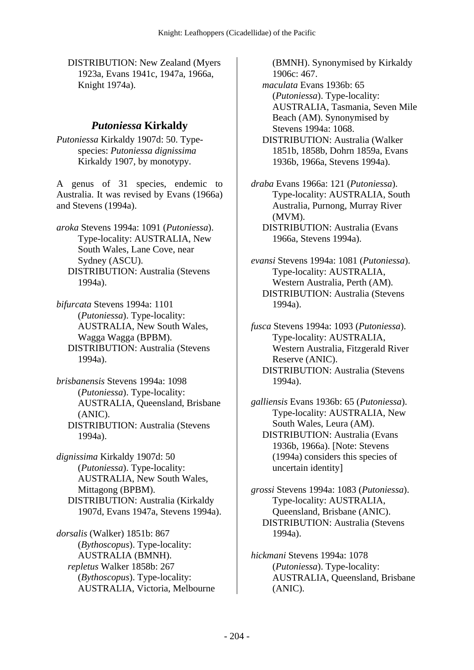DISTRIBUTION: New Zealand (Myers 1923a, Evans 1941c, 1947a, 1966a, Knight 1974a).

#### *Putoniessa* **Kirkaldy**

*Putoniessa* Kirkaldy 1907d: 50. Typespecies: *Putoniessa dignissima* Kirkaldy 1907, by monotypy.

A genus of 31 species, endemic to Australia. It was revised by Evans (1966a) and Stevens (1994a).

*aroka* Stevens 1994a: 1091 (*Putoniessa*). Type-locality: AUSTRALIA, New South Wales, Lane Cove, near Sydney (ASCU). DISTRIBUTION: Australia (Stevens 1994a).

*bifurcata* Stevens 1994a: 1101 (*Putoniessa*). Type-locality: AUSTRALIA, New South Wales, Wagga Wagga (BPBM). DISTRIBUTION: Australia (Stevens 1994a).

*brisbanensis* Stevens 1994a: 1098 (*Putoniessa*). Type-locality: AUSTRALIA, Queensland, Brisbane (ANIC). DISTRIBUTION: Australia (Stevens 1994a).

*dignissima* Kirkaldy 1907d: 50 (*Putoniessa*). Type-locality: AUSTRALIA, New South Wales, Mittagong (BPBM). DISTRIBUTION: Australia (Kirkaldy 1907d, Evans 1947a, Stevens 1994a).

*dorsalis* (Walker) 1851b: 867 (*Bythoscopus*). Type-locality: AUSTRALIA (BMNH).  *repletus* Walker 1858b: 267 (*Bythoscopus*). Type-locality: AUSTRALIA, Victoria, Melbourne (BMNH). Synonymised by Kirkaldy 1906c: 467.

 *maculata* Evans 1936b: 65 (*Putoniessa*). Type-locality: AUSTRALIA, Tasmania, Seven Mile Beach (AM). Synonymised by Stevens 1994a: 1068.

 DISTRIBUTION: Australia (Walker 1851b, 1858b, Dohrn 1859a, Evans 1936b, 1966a, Stevens 1994a).

*draba* Evans 1966a: 121 (*Putoniessa*). Type-locality: AUSTRALIA, South Australia, Purnong, Murray River (MVM).

 DISTRIBUTION: Australia (Evans 1966a, Stevens 1994a).

*evansi* Stevens 1994a: 1081 (*Putoniessa*). Type-locality: AUSTRALIA, Western Australia, Perth (AM). DISTRIBUTION: Australia (Stevens 1994a).

*fusca* Stevens 1994a: 1093 (*Putoniessa*). Type-locality: AUSTRALIA, Western Australia, Fitzgerald River Reserve (ANIC). DISTRIBUTION: Australia (Stevens 1994a).

*galliensis* Evans 1936b: 65 (*Putoniessa*). Type-locality: AUSTRALIA, New South Wales, Leura (AM). DISTRIBUTION: Australia (Evans 1936b, 1966a). [Note: Stevens (1994a) considers this species of uncertain identity]

*grossi* Stevens 1994a: 1083 (*Putoniessa*). Type-locality: AUSTRALIA, Queensland, Brisbane (ANIC). DISTRIBUTION: Australia (Stevens 1994a).

*hickmani* Stevens 1994a: 1078 (*Putoniessa*). Type-locality: AUSTRALIA, Queensland, Brisbane (ANIC).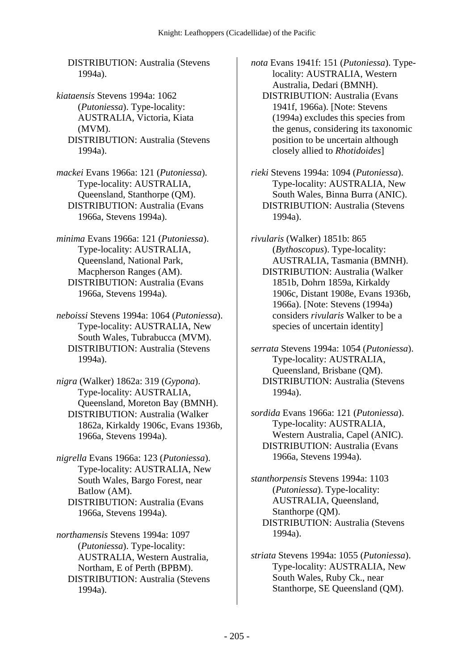DISTRIBUTION: Australia (Stevens 1994a).

- *kiataensis* Stevens 1994a: 1062 (*Putoniessa*). Type-locality: AUSTRALIA, Victoria, Kiata (MVM). DISTRIBUTION: Australia (Stevens 1994a).
- *mackei* Evans 1966a: 121 (*Putoniessa*). Type-locality: AUSTRALIA, Queensland, Stanthorpe (QM). DISTRIBUTION: Australia (Evans 1966a, Stevens 1994a).
- *minima* Evans 1966a: 121 (*Putoniessa*). Type-locality: AUSTRALIA, Queensland, National Park, Macpherson Ranges (AM). DISTRIBUTION: Australia (Evans 1966a, Stevens 1994a).
- *neboissi* Stevens 1994a: 1064 (*Putoniessa*). Type-locality: AUSTRALIA, New South Wales, Tubrabucca (MVM). DISTRIBUTION: Australia (Stevens 1994a).
- *nigra* (Walker) 1862a: 319 (*Gypona*). Type-locality: AUSTRALIA, Queensland, Moreton Bay (BMNH). DISTRIBUTION: Australia (Walker 1862a, Kirkaldy 1906c, Evans 1936b, 1966a, Stevens 1994a).
- *nigrella* Evans 1966a: 123 (*Putoniessa*). Type-locality: AUSTRALIA, New South Wales, Bargo Forest, near Batlow (AM). DISTRIBUTION: Australia (Evans 1966a, Stevens 1994a).
- *northamensis* Stevens 1994a: 1097 (*Putoniessa*). Type-locality: AUSTRALIA, Western Australia, Northam, E of Perth (BPBM). DISTRIBUTION: Australia (Stevens 1994a).

*nota* Evans 1941f: 151 (*Putoniessa*). Typelocality: AUSTRALIA, Western Australia, Dedari (BMNH). DISTRIBUTION: Australia (Evans 1941f, 1966a). [Note: Stevens (1994a) excludes this species from the genus, considering its taxonomic position to be uncertain although closely allied to *Rhotidoides*]

- *rieki* Stevens 1994a: 1094 (*Putoniessa*). Type-locality: AUSTRALIA, New South Wales, Binna Burra (ANIC). DISTRIBUTION: Australia (Stevens 1994a).
- *rivularis* (Walker) 1851b: 865 (*Bythoscopus*). Type-locality: AUSTRALIA, Tasmania (BMNH). DISTRIBUTION: Australia (Walker 1851b, Dohrn 1859a, Kirkaldy 1906c, Distant 1908e, Evans 1936b, 1966a). [Note: Stevens (1994a) considers *rivularis* Walker to be a species of uncertain identity]
- *serrata* Stevens 1994a: 1054 (*Putoniessa*). Type-locality: AUSTRALIA, Queensland, Brisbane (QM). DISTRIBUTION: Australia (Stevens 1994a).
- *sordida* Evans 1966a: 121 (*Putoniessa*). Type-locality: AUSTRALIA, Western Australia, Capel (ANIC). DISTRIBUTION: Australia (Evans 1966a, Stevens 1994a).
- *stanthorpensis* Stevens 1994a: 1103 (*Putoniessa*). Type-locality: AUSTRALIA, Queensland, Stanthorpe (QM). DISTRIBUTION: Australia (Stevens 1994a).
- *striata* Stevens 1994a: 1055 (*Putoniessa*). Type-locality: AUSTRALIA, New South Wales, Ruby Ck., near Stanthorpe, SE Queensland (QM).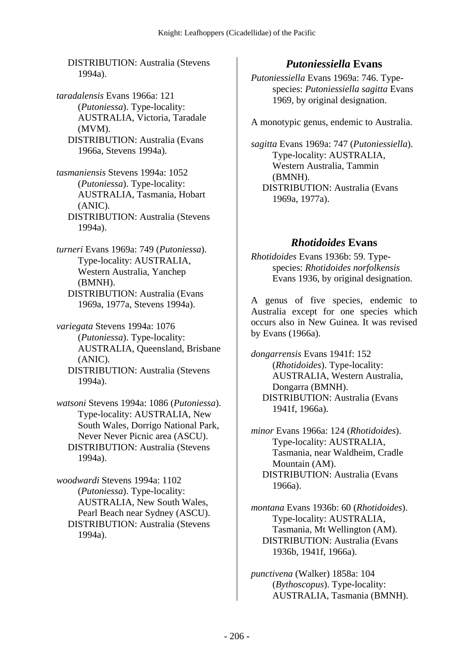DISTRIBUTION: Australia (Stevens 1994a).

*taradalensis* Evans 1966a: 121 (*Putoniessa*). Type-locality: AUSTRALIA, Victoria, Taradale (MVM). DISTRIBUTION: Australia (Evans 1966a, Stevens 1994a).

*tasmaniensis* Stevens 1994a: 1052 (*Putoniessa*). Type-locality: AUSTRALIA, Tasmania, Hobart (ANIC). DISTRIBUTION: Australia (Stevens 1994a).

*turneri* Evans 1969a: 749 (*Putoniessa*). Type-locality: AUSTRALIA, Western Australia, Yanchep (BMNH). DISTRIBUTION: Australia (Evans 1969a, 1977a, Stevens 1994a).

*variegata* Stevens 1994a: 1076 (*Putoniessa*). Type-locality: AUSTRALIA, Queensland, Brisbane (ANIC). DISTRIBUTION: Australia (Stevens 1994a).

*watsoni* Stevens 1994a: 1086 (*Putoniessa*). Type-locality: AUSTRALIA, New South Wales, Dorrigo National Park, Never Never Picnic area (ASCU). DISTRIBUTION: Australia (Stevens 1994a).

*woodwardi* Stevens 1994a: 1102 (*Putoniessa*). Type-locality: AUSTRALIA, New South Wales, Pearl Beach near Sydney (ASCU). DISTRIBUTION: Australia (Stevens 1994a).

# *Putoniessiella* **Evans**

*Putoniessiella* Evans 1969a: 746. Typespecies: *Putoniessiella sagitta* Evans 1969, by original designation.

A monotypic genus, endemic to Australia.

*sagitta* Evans 1969a: 747 (*Putoniessiella*). Type-locality: AUSTRALIA, Western Australia, Tammin (BMNH). DISTRIBUTION: Australia (Evans 1969a, 1977a).

### *Rhotidoides* **Evans**

*Rhotidoides* Evans 1936b: 59. Typespecies: *Rhotidoides norfolkensis* Evans 1936, by original designation.

A genus of five species, endemic to Australia except for one species which occurs also in New Guinea. It was revised by Evans (1966a).

*dongarrensis* Evans 1941f: 152 (*Rhotidoides*). Type-locality: AUSTRALIA, Western Australia, Dongarra (BMNH). DISTRIBUTION: Australia (Evans 1941f, 1966a).

*minor* Evans 1966a: 124 (*Rhotidoides*). Type-locality: AUSTRALIA, Tasmania, near Waldheim, Cradle Mountain (AM). DISTRIBUTION: Australia (Evans 1966a).

*montana* Evans 1936b: 60 (*Rhotidoides*). Type-locality: AUSTRALIA, Tasmania, Mt Wellington (AM). DISTRIBUTION: Australia (Evans 1936b, 1941f, 1966a).

*punctivena* (Walker) 1858a: 104 (*Bythoscopus*). Type-locality: AUSTRALIA, Tasmania (BMNH).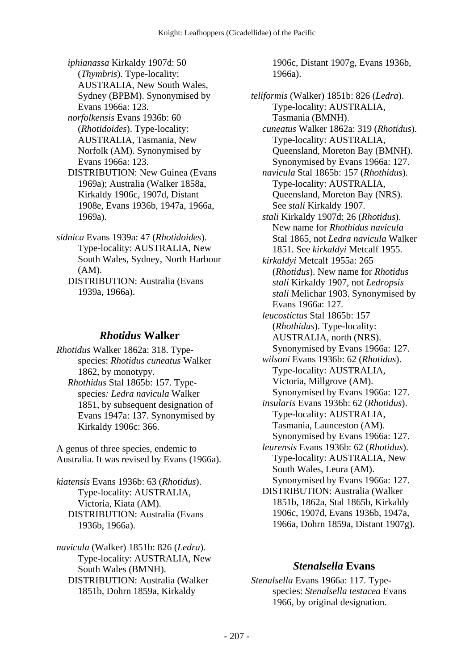- *iphianassa* Kirkaldy 1907d: 50 (*Thymbris*). Type-locality: AUSTRALIA, New South Wales, Sydney (BPBM). Synonymised by Evans 1966a: 123.
- *norfolkensis* Evans 1936b: 60 (*Rhotidoides*). Type-locality: AUSTRALIA, Tasmania, New Norfolk (AM). Synonymised by Evans 1966a: 123.
- DISTRIBUTION: New Guinea (Evans 1969a); Australia (Walker 1858a, Kirkaldy 1906c, 1907d, Distant 1908e, Evans 1936b, 1947a, 1966a, 1969a).
- *sidnica* Evans 1939a: 47 (*Rhotidoides*). Type-locality: AUSTRALIA, New South Wales, Sydney, North Harbour (AM).
	- DISTRIBUTION: Australia (Evans 1939a, 1966a).

## *Rhotidus* **Walker**

*Rhotidus* Walker 1862a: 318. Typespecies: *Rhotidus cuneatus* Walker 1862, by monotypy.  *Rhothidus* Stal 1865b: 157. Typespecies*: Ledra navicula* Walker 1851, by subsequent designation of Evans 1947a: 137. Synonymised by Kirkaldy 1906c: 366.

A genus of three species, endemic to Australia. It was revised by Evans (1966a).

*kiatensis* Evans 1936b: 63 (*Rhotidus*). Type-locality: AUSTRALIA, Victoria, Kiata (AM). DISTRIBUTION: Australia (Evans 1936b, 1966a).

*navicula* (Walker) 1851b: 826 (*Ledra*). Type-locality: AUSTRALIA, New South Wales (BMNH). DISTRIBUTION: Australia (Walker 1851b, Dohrn 1859a, Kirkaldy

1906c, Distant 1907g, Evans 1936b, 1966a).

*teliformis* (Walker) 1851b: 826 (*Ledra*). Type-locality: AUSTRALIA, Tasmania (BMNH).  *cuneatus* Walker 1862a: 319 (*Rhotidus*). Type-locality: AUSTRALIA, Queensland, Moreton Bay (BMNH). Synonymised by Evans 1966a: 127.  *navicula* Stal 1865b: 157 (*Rhothidus*). Type-locality: AUSTRALIA, Queensland, Moreton Bay (NRS). See *stali* Kirkaldy 1907.  *stali* Kirkaldy 1907d: 26 (*Rhotidus*). New name for *Rhothidus navicula* Stal 1865, not *Ledra navicula* Walker 1851. See *kirkaldyi* Metcalf 1955.  *kirkaldyi* Metcalf 1955a: 265 (*Rhotidus*). New name for *Rhotidus stali* Kirkaldy 1907, not *Ledropsis stali* Melichar 1903. Synonymised by Evans 1966a: 127.  *leucostictus* Stal 1865b: 157 (*Rhothidus*). Type-locality: AUSTRALIA, north (NRS). Synonymised by Evans 1966a: 127.  *wilsoni* Evans 1936b: 62 (*Rhotidus*). Type-locality: AUSTRALIA, Victoria, Millgrove (AM). Synonymised by Evans 1966a: 127.  *insularis* Evans 1936b: 62 (*Rhotidus*). Type-locality: AUSTRALIA, Tasmania, Launceston (AM). Synonymised by Evans 1966a: 127.  *leurensis* Evans 1936b: 62 (*Rhotidus*). Type-locality: AUSTRALIA, New South Wales, Leura (AM). Synonymised by Evans 1966a: 127. DISTRIBUTION: Australia (Walker 1851b, 1862a, Stal 1865b, Kirkaldy 1906c, 1907d, Evans 1936b, 1947a, 1966a, Dohrn 1859a, Distant 1907g).

# *Stenalsella* **Evans**

*Stenalsella* Evans 1966a: 117. Typespecies: *Stenalsella testacea* Evans 1966, by original designation.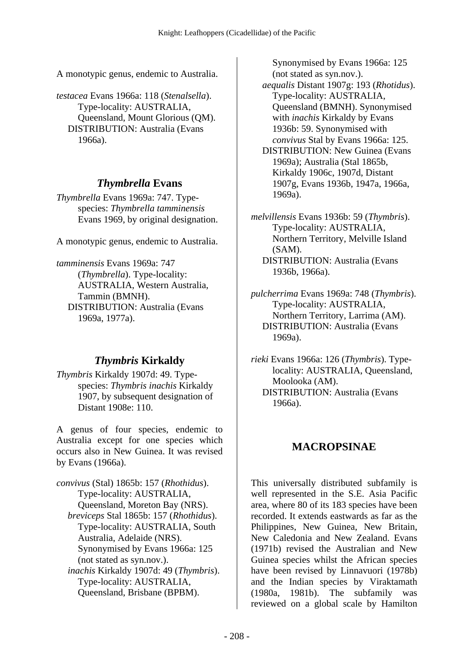A monotypic genus, endemic to Australia.

*testacea* Evans 1966a: 118 (*Stenalsella*). Type-locality: AUSTRALIA, Queensland, Mount Glorious (QM). DISTRIBUTION: Australia (Evans 1966a).

### *Thymbrella* **Evans**

*Thymbrella* Evans 1969a: 747. Typespecies: *Thymbrella tamminensis* Evans 1969, by original designation.

A monotypic genus, endemic to Australia.

*tamminensis* Evans 1969a: 747 (*Thymbrella*). Type-locality: AUSTRALIA, Western Australia, Tammin (BMNH). DISTRIBUTION: Australia (Evans 1969a, 1977a).

# *Thymbris* **Kirkaldy**

*Thymbris* Kirkaldy 1907d: 49. Typespecies: *Thymbris inachis* Kirkaldy 1907, by subsequent designation of Distant 1908e: 110.

A genus of four species, endemic to Australia except for one species which occurs also in New Guinea. It was revised by Evans (1966a).

*convivus* (Stal) 1865b: 157 (*Rhothidus*). Type-locality: AUSTRALIA, Queensland, Moreton Bay (NRS).  *breviceps* Stal 1865b: 157 (*Rhothidus*). Type-locality: AUSTRALIA, South Australia, Adelaide (NRS). Synonymised by Evans 1966a: 125 (not stated as syn.nov.).  *inachis* Kirkaldy 1907d: 49 (*Thymbris*). Type-locality: AUSTRALIA, Queensland, Brisbane (BPBM).

Synonymised by Evans 1966a: 125 (not stated as syn.nov.).  *aequalis* Distant 1907g: 193 (*Rhotidus*). Type-locality: AUSTRALIA, Queensland (BMNH). Synonymised with *inachis* Kirkaldy by Evans 1936b: 59. Synonymised with *convivus* Stal by Evans 1966a: 125. DISTRIBUTION: New Guinea (Evans 1969a); Australia (Stal 1865b, Kirkaldy 1906c, 1907d, Distant 1907g, Evans 1936b, 1947a, 1966a,

*melvillensis* Evans 1936b: 59 (*Thymbris*). Type-locality: AUSTRALIA, Northern Territory, Melville Island (SAM). DISTRIBUTION: Australia (Evans 1936b, 1966a).

1969a).

*pulcherrima* Evans 1969a: 748 (*Thymbris*). Type-locality: AUSTRALIA, Northern Territory, Larrima (AM). DISTRIBUTION: Australia (Evans 1969a).

*rieki* Evans 1966a: 126 (*Thymbris*). Typelocality: AUSTRALIA, Queensland, Moolooka (AM). DISTRIBUTION: Australia (Evans 1966a).

# **MACROPSINAE**

This universally distributed subfamily is well represented in the S.E. Asia Pacific area, where 80 of its 183 species have been recorded. It extends eastwards as far as the Philippines, New Guinea, New Britain, New Caledonia and New Zealand. Evans (1971b) revised the Australian and New Guinea species whilst the African species have been revised by Linnavuori (1978b) and the Indian species by Viraktamath (1980a, 1981b). The subfamily was reviewed on a global scale by Hamilton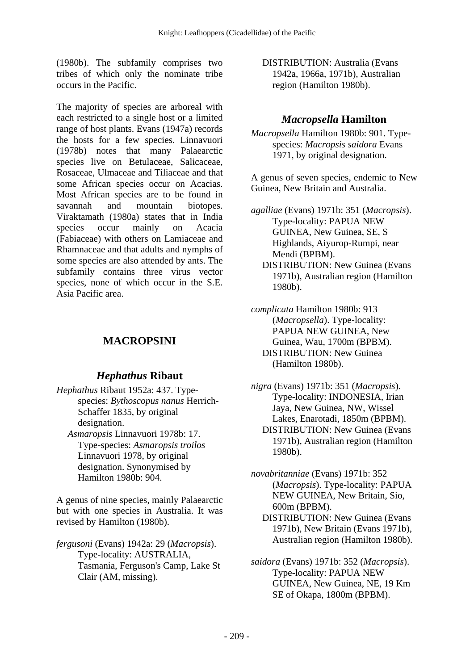(1980b). The subfamily comprises two tribes of which only the nominate tribe occurs in the Pacific.

The majority of species are arboreal with each restricted to a single host or a limited range of host plants. Evans (1947a) records the hosts for a few species. Linnavuori (1978b) notes that many Palaearctic species live on Betulaceae, Salicaceae, Rosaceae, Ulmaceae and Tiliaceae and that some African species occur on Acacias. Most African species are to be found in savannah and mountain biotopes. Viraktamath (1980a) states that in India species occur mainly on Acacia (Fabiaceae) with others on Lamiaceae and Rhamnaceae and that adults and nymphs of some species are also attended by ants. The subfamily contains three virus vector species, none of which occur in the S.E. Asia Pacific area.

# **MACROPSINI**

# *Hephathus* **Ribaut**

- *Hephathus* Ribaut 1952a: 437. Typespecies: *Bythoscopus nanus* Herrich-Schaffer 1835, by original designation.
	- *Asmaropsis* Linnavuori 1978b: 17. Type-species: *Asmaropsis troilos* Linnavuori 1978, by original designation. Synonymised by Hamilton 1980b: 904.

A genus of nine species, mainly Palaearctic but with one species in Australia. It was revised by Hamilton (1980b).

*fergusoni* (Evans) 1942a: 29 (*Macropsis*). Type-locality: AUSTRALIA, Tasmania, Ferguson's Camp, Lake St Clair (AM, missing).

 DISTRIBUTION: Australia (Evans 1942a, 1966a, 1971b), Australian region (Hamilton 1980b).

# *Macropsella* **Hamilton**

*Macropsella* Hamilton 1980b: 901. Typespecies: *Macropsis saidora* Evans 1971, by original designation.

A genus of seven species, endemic to New Guinea, New Britain and Australia.

- *agalliae* (Evans) 1971b: 351 (*Macropsis*). Type-locality: PAPUA NEW GUINEA, New Guinea, SE, S Highlands, Aiyurop-Rumpi, near Mendi (BPBM). DISTRIBUTION: New Guinea (Evans 1971b), Australian region (Hamilton 1980b).
- *complicata* Hamilton 1980b: 913 (*Macropsella*). Type-locality: PAPUA NEW GUINEA, New Guinea, Wau, 1700m (BPBM). DISTRIBUTION: New Guinea (Hamilton 1980b).
- *nigra* (Evans) 1971b: 351 (*Macropsis*). Type-locality: INDONESIA, Irian Jaya, New Guinea, NW, Wissel Lakes, Enarotadi, 1850m (BPBM). DISTRIBUTION: New Guinea (Evans 1971b), Australian region (Hamilton 1980b).
- *novabritanniae* (Evans) 1971b: 352 (*Macropsis*). Type-locality: PAPUA NEW GUINEA, New Britain, Sio, 600m (BPBM).
	- DISTRIBUTION: New Guinea (Evans 1971b), New Britain (Evans 1971b), Australian region (Hamilton 1980b).
- *saidora* (Evans) 1971b: 352 (*Macropsis*). Type-locality: PAPUA NEW GUINEA, New Guinea, NE, 19 Km SE of Okapa, 1800m (BPBM).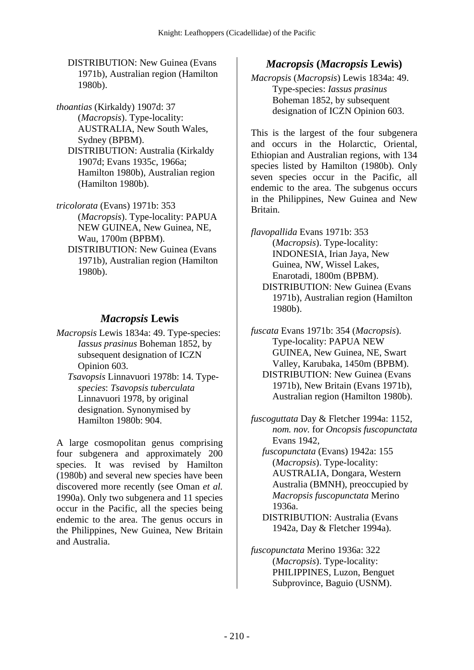DISTRIBUTION: New Guinea (Evans 1971b), Australian region (Hamilton 1980b).

*thoantias* (Kirkaldy) 1907d: 37 (*Macropsis*). Type-locality: AUSTRALIA, New South Wales, Sydney (BPBM). DISTRIBUTION: Australia (Kirkaldy 1907d; Evans 1935c, 1966a; Hamilton 1980b), Australian region (Hamilton 1980b).

- *tricolorata* (Evans) 1971b: 353 (*Macropsis*). Type-locality: PAPUA NEW GUINEA, New Guinea, NE, Wau, 1700m (BPBM).
	- DISTRIBUTION: New Guinea (Evans 1971b), Australian region (Hamilton 1980b).

### *Macropsis* **Lewis**

- *Macropsis* Lewis 1834a: 49. Type-species: *Iassus prasinus* Boheman 1852, by subsequent designation of ICZN Opinion 603.
	- *Tsavopsis* Linnavuori 1978b: 14. Type*species*: *Tsavopsis tuberculata* Linnavuori 1978, by original designation. Synonymised by Hamilton 1980b: 904.

A large cosmopolitan genus comprising four subgenera and approximately 200 species. It was revised by Hamilton (1980b) and several new species have been discovered more recently (see Oman *et al.* 1990a). Only two subgenera and 11 species occur in the Pacific, all the species being endemic to the area. The genus occurs in the Philippines, New Guinea, New Britain and Australia.

### *Macropsis* **(***Macropsis* **Lewis)**

*Macropsis* (*Macropsis*) Lewis 1834a: 49. Type-species: *Iassus prasinus* Boheman 1852, by subsequent designation of ICZN Opinion 603.

This is the largest of the four subgenera and occurs in the Holarctic, Oriental, Ethiopian and Australian regions, with 134 species listed by Hamilton (1980b). Only seven species occur in the Pacific, all endemic to the area. The subgenus occurs in the Philippines, New Guinea and New Britain.

*flavopallida* Evans 1971b: 353 (*Macropsis*). Type-locality: INDONESIA, Irian Jaya, New Guinea, NW, Wissel Lakes, Enarotadi, 1800m (BPBM). DISTRIBUTION: New Guinea (Evans 1971b), Australian region (Hamilton 1980b).

*fuscata* Evans 1971b: 354 (*Macropsis*). Type-locality: PAPUA NEW GUINEA, New Guinea, NE, Swart Valley, Karubaka, 1450m (BPBM). DISTRIBUTION: New Guinea (Evans 1971b), New Britain (Evans 1971b), Australian region (Hamilton 1980b).

- *fuscoguttata* Day & Fletcher 1994a: 1152, *nom. nov.* for *Oncopsis fuscopunctata* Evans 1942,
	- *fuscopunctata* (Evans) 1942a: 155 (*Macropsis*). Type-locality: AUSTRALIA, Dongara, Western Australia (BMNH), preoccupied by *Macropsis fuscopunctata* Merino 1936a.
		- DISTRIBUTION: Australia (Evans 1942a, Day & Fletcher 1994a).
- *fuscopunctata* Merino 1936a: 322 (*Macropsis*). Type-locality: PHILIPPINES, Luzon, Benguet Subprovince, Baguio (USNM).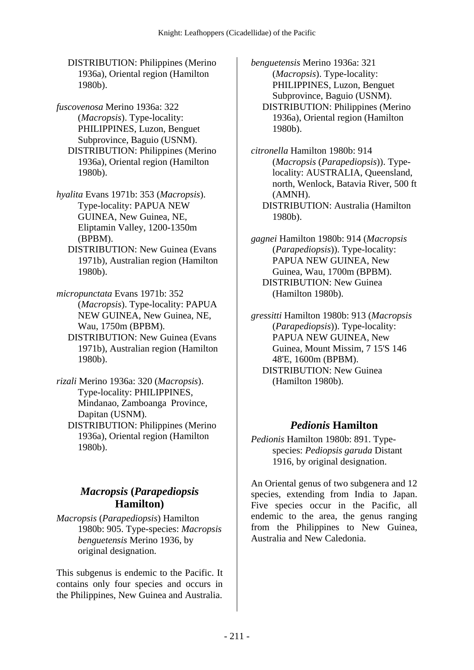DISTRIBUTION: Philippines (Merino 1936a), Oriental region (Hamilton 1980b).

*fuscovenosa* Merino 1936a: 322 (*Macropsis*). Type-locality: PHILIPPINES, Luzon, Benguet Subprovince, Baguio (USNM). DISTRIBUTION: Philippines (Merino 1936a), Oriental region (Hamilton 1980b).

*hyalita* Evans 1971b: 353 (*Macropsis*). Type-locality: PAPUA NEW GUINEA, New Guinea, NE, Eliptamin Valley, 1200-1350m (BPBM).

 DISTRIBUTION: New Guinea (Evans 1971b), Australian region (Hamilton 1980b).

*micropunctata* Evans 1971b: 352 (*Macropsis*). Type-locality: PAPUA NEW GUINEA, New Guinea, NE, Wau, 1750m (BPBM).

 DISTRIBUTION: New Guinea (Evans 1971b), Australian region (Hamilton 1980b).

*rizali* Merino 1936a: 320 (*Macropsis*). Type-locality: PHILIPPINES, Mindanao, Zamboanga Province, Dapitan (USNM).

 DISTRIBUTION: Philippines (Merino 1936a), Oriental region (Hamilton 1980b).

# *Macropsis* **(***Parapediopsis* **Hamilton)**

*Macropsis* (*Parapediopsis*) Hamilton 1980b: 905. Type-species: *Macropsis benguetensis* Merino 1936, by original designation.

This subgenus is endemic to the Pacific. It contains only four species and occurs in the Philippines, New Guinea and Australia.

*benguetensis* Merino 1936a: 321 (*Macropsis*). Type-locality: PHILIPPINES, Luzon, Benguet Subprovince, Baguio (USNM). DISTRIBUTION: Philippines (Merino 1936a), Oriental region (Hamilton 1980b).

*citronella* Hamilton 1980b: 914 (*Macropsis* (*Parapediopsis*)). Typelocality: AUSTRALIA, Queensland, north, Wenlock, Batavia River, 500 ft (AMNH). DISTRIBUTION: Australia (Hamilton 1980b).

*gagnei* Hamilton 1980b: 914 (*Macropsis* (*Parapediopsis*)). Type-locality: PAPUA NEW GUINEA, New Guinea, Wau, 1700m (BPBM). DISTRIBUTION: New Guinea (Hamilton 1980b).

*gressitti* Hamilton 1980b: 913 (*Macropsis* (*Parapediopsis*)). Type-locality: PAPUA NEW GUINEA, New Guinea, Mount Missim, 7 15'S 146 48'E, 1600m (BPBM). DISTRIBUTION: New Guinea (Hamilton 1980b).

# *Pedionis* **Hamilton**

*Pedionis* Hamilton 1980b: 891. Typespecies: *Pediopsis garuda* Distant 1916, by original designation.

An Oriental genus of two subgenera and 12 species, extending from India to Japan. Five species occur in the Pacific, all endemic to the area, the genus ranging from the Philippines to New Guinea, Australia and New Caledonia.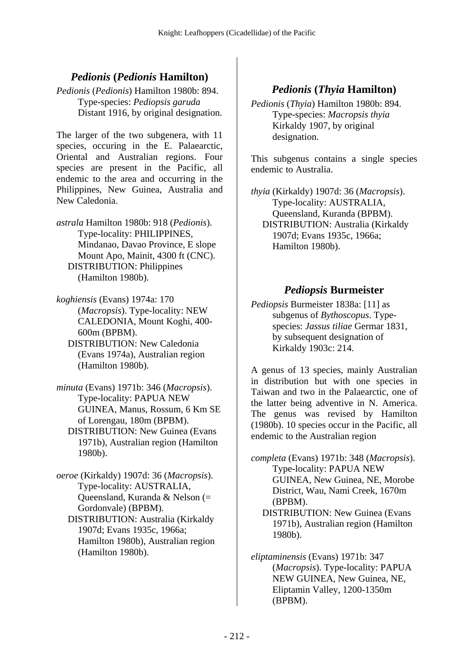## *Pedionis* **(***Pedionis* **Hamilton)**

*Pedionis* (*Pedionis*) Hamilton 1980b: 894. Type-species: *Pediopsis garuda* Distant 1916, by original designation.

The larger of the two subgenera, with 11 species, occuring in the E. Palaearctic, Oriental and Australian regions. Four species are present in the Pacific, all endemic to the area and occurring in the Philippines, New Guinea, Australia and New Caledonia.

*astrala* Hamilton 1980b: 918 (*Pedionis*). Type-locality: PHILIPPINES, Mindanao, Davao Province, E slope Mount Apo, Mainit, 4300 ft (CNC). DISTRIBUTION: Philippines (Hamilton 1980b).

*koghiensis* (Evans) 1974a: 170 (*Macropsis*). Type-locality: NEW CALEDONIA, Mount Koghi, 400- 600m (BPBM).

- DISTRIBUTION: New Caledonia (Evans 1974a), Australian region (Hamilton 1980b).
- *minuta* (Evans) 1971b: 346 (*Macropsis*). Type-locality: PAPUA NEW GUINEA, Manus, Rossum, 6 Km SE of Lorengau, 180m (BPBM). DISTRIBUTION: New Guinea (Evans 1971b), Australian region (Hamilton 1980b).

*oeroe* (Kirkaldy) 1907d: 36 (*Macropsis*). Type-locality: AUSTRALIA, Queensland, Kuranda & Nelson (= Gordonvale) (BPBM). DISTRIBUTION: Australia (Kirkaldy 1907d; Evans 1935c, 1966a; Hamilton 1980b), Australian region (Hamilton 1980b).

## *Pedionis* **(***Thyia* **Hamilton)**

*Pedionis* (*Thyia*) Hamilton 1980b: 894. Type-species: *Macropsis thyia* Kirkaldy 1907, by original designation.

This subgenus contains a single species endemic to Australia.

*thyia* (Kirkaldy) 1907d: 36 (*Macropsis*). Type-locality: AUSTRALIA, Queensland, Kuranda (BPBM). DISTRIBUTION: Australia (Kirkaldy 1907d; Evans 1935c, 1966a; Hamilton 1980b).

### *Pediopsis* **Burmeister**

*Pediopsis* Burmeister 1838a: [11] as subgenus of *Bythoscopus*. Typespecies: *Jassus tiliae* Germar 1831, by subsequent designation of Kirkaldy 1903c: 214.

A genus of 13 species, mainly Australian in distribution but with one species in Taiwan and two in the Palaearctic, one of the latter being adventive in N. America. The genus was revised by Hamilton (1980b). 10 species occur in the Pacific, all endemic to the Australian region

*completa* (Evans) 1971b: 348 (*Macropsis*). Type-locality: PAPUA NEW GUINEA, New Guinea, NE, Morobe District, Wau, Nami Creek, 1670m (BPBM).

 DISTRIBUTION: New Guinea (Evans 1971b), Australian region (Hamilton 1980b).

*eliptaminensis* (Evans) 1971b: 347 (*Macropsis*). Type-locality: PAPUA NEW GUINEA, New Guinea, NE, Eliptamin Valley, 1200-1350m (BPBM).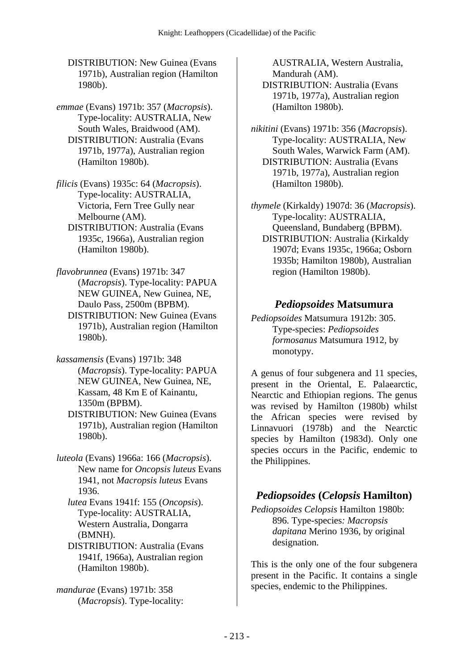DISTRIBUTION: New Guinea (Evans 1971b), Australian region (Hamilton 1980b).

- *emmae* (Evans) 1971b: 357 (*Macropsis*). Type-locality: AUSTRALIA, New South Wales, Braidwood (AM). DISTRIBUTION: Australia (Evans 1971b, 1977a), Australian region (Hamilton 1980b).
- *filicis* (Evans) 1935c: 64 (*Macropsis*). Type-locality: AUSTRALIA, Victoria, Fern Tree Gully near Melbourne (AM).
	- DISTRIBUTION: Australia (Evans 1935c, 1966a), Australian region (Hamilton 1980b).
- *flavobrunnea* (Evans) 1971b: 347 (*Macropsis*). Type-locality: PAPUA NEW GUINEA, New Guinea, NE, Daulo Pass, 2500m (BPBM). DISTRIBUTION: New Guinea (Evans 1971b), Australian region (Hamilton 1980b).
- *kassamensis* (Evans) 1971b: 348 (*Macropsis*). Type-locality: PAPUA NEW GUINEA, New Guinea, NE, Kassam, 48 Km E of Kainantu, 1350m (BPBM).
	- DISTRIBUTION: New Guinea (Evans 1971b), Australian region (Hamilton 1980b).

*luteola* (Evans) 1966a: 166 (*Macropsis*). New name for *Oncopsis luteus* Evans 1941, not *Macropsis luteus* Evans 1936.

 *lutea* Evans 1941f: 155 (*Oncopsis*). Type-locality: AUSTRALIA, Western Australia, Dongarra (BMNH).

 DISTRIBUTION: Australia (Evans 1941f, 1966a), Australian region (Hamilton 1980b).

*mandurae* (Evans) 1971b: 358 (*Macropsis*). Type-locality: AUSTRALIA, Western Australia, Mandurah (AM).

- DISTRIBUTION: Australia (Evans 1971b, 1977a), Australian region (Hamilton 1980b).
- *nikitini* (Evans) 1971b: 356 (*Macropsis*). Type-locality: AUSTRALIA, New South Wales, Warwick Farm (AM). DISTRIBUTION: Australia (Evans 1971b, 1977a), Australian region (Hamilton 1980b).

*thymele* (Kirkaldy) 1907d: 36 (*Macropsis*). Type-locality: AUSTRALIA, Queensland, Bundaberg (BPBM). DISTRIBUTION: Australia (Kirkaldy 1907d; Evans 1935c, 1966a; Osborn 1935b; Hamilton 1980b), Australian region (Hamilton 1980b).

#### *Pediopsoides* **Matsumura**

*Pediopsoides* Matsumura 1912b: 305. Type-species: *Pediopsoides formosanus* Matsumura 1912, by monotypy.

A genus of four subgenera and 11 species, present in the Oriental, E. Palaearctic, Nearctic and Ethiopian regions. The genus was revised by Hamilton (1980b) whilst the African species were revised by Linnavuori (1978b) and the Nearctic species by Hamilton (1983d). Only one species occurs in the Pacific, endemic to the Philippines.

# *Pediopsoides* **(***Celopsis* **Hamilton)**

*Pediopsoides Celopsis* Hamilton 1980b: 896. Type-species*: Macropsis dapitana* Merino 1936, by original designation.

This is the only one of the four subgenera present in the Pacific. It contains a single species, endemic to the Philippines.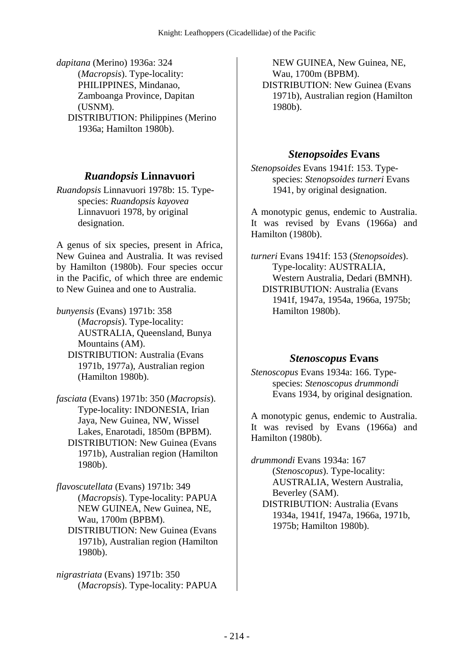*dapitana* (Merino) 1936a: 324 (*Macropsis*). Type-locality: PHILIPPINES, Mindanao, Zamboanga Province, Dapitan (USNM). DISTRIBUTION: Philippines (Merino 1936a; Hamilton 1980b).

#### *Ruandopsis* **Linnavuori**

*Ruandopsis* Linnavuori 1978b: 15. Typespecies: *Ruandopsis kayovea* Linnavuori 1978, by original designation.

A genus of six species, present in Africa, New Guinea and Australia. It was revised by Hamilton (1980b). Four species occur in the Pacific, of which three are endemic to New Guinea and one to Australia.

*bunyensis* (Evans) 1971b: 358 (*Macropsis*). Type-locality: AUSTRALIA, Queensland, Bunya Mountains (AM).

- DISTRIBUTION: Australia (Evans 1971b, 1977a), Australian region (Hamilton 1980b).
- *fasciata* (Evans) 1971b: 350 (*Macropsis*). Type-locality: INDONESIA, Irian Jaya, New Guinea, NW, Wissel Lakes, Enarotadi, 1850m (BPBM). DISTRIBUTION: New Guinea (Evans 1971b), Australian region (Hamilton 1980b).

*flavoscutellata* (Evans) 1971b: 349 (*Macropsis*). Type-locality: PAPUA NEW GUINEA, New Guinea, NE, Wau, 1700m (BPBM).

 DISTRIBUTION: New Guinea (Evans 1971b), Australian region (Hamilton 1980b).

*nigrastriata* (Evans) 1971b: 350 (*Macropsis*). Type-locality: PAPUA

NEW GUINEA, New Guinea, NE, Wau, 1700m (BPBM). DISTRIBUTION: New Guinea (Evans 1971b), Australian region (Hamilton 1980b).

### *Stenopsoides* **Evans**

*Stenopsoides* Evans 1941f: 153. Typespecies: *Stenopsoides turneri* Evans 1941, by original designation.

A monotypic genus, endemic to Australia. It was revised by Evans (1966a) and Hamilton (1980b).

*turneri* Evans 1941f: 153 (*Stenopsoides*). Type-locality: AUSTRALIA, Western Australia, Dedari (BMNH). DISTRIBUTION: Australia (Evans 1941f, 1947a, 1954a, 1966a, 1975b; Hamilton 1980b).

#### *Stenoscopus* **Evans**

*Stenoscopus* Evans 1934a: 166. Typespecies: *Stenoscopus drummondi* Evans 1934, by original designation.

A monotypic genus, endemic to Australia. It was revised by Evans (1966a) and Hamilton (1980b).

*drummondi* Evans 1934a: 167 (*Stenoscopus*). Type-locality: AUSTRALIA, Western Australia, Beverley (SAM). DISTRIBUTION: Australia (Evans 1934a, 1941f, 1947a, 1966a, 1971b, 1975b; Hamilton 1980b).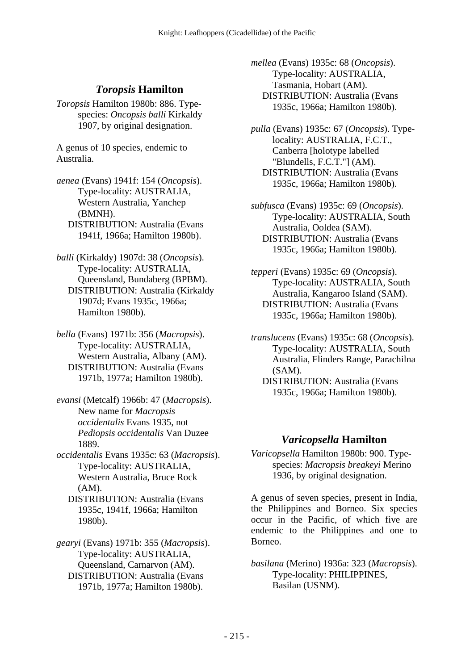## *Toropsis* **Hamilton**

*Toropsis* Hamilton 1980b: 886. Typespecies: *Oncopsis balli* Kirkaldy 1907, by original designation.

A genus of 10 species, endemic to Australia.

*aenea* (Evans) 1941f: 154 (*Oncopsis*). Type-locality: AUSTRALIA, Western Australia, Yanchep (BMNH). DISTRIBUTION: Australia (Evans 1941f, 1966a; Hamilton 1980b).

*balli* (Kirkaldy) 1907d: 38 (*Oncopsis*). Type-locality: AUSTRALIA, Queensland, Bundaberg (BPBM). DISTRIBUTION: Australia (Kirkaldy 1907d; Evans 1935c, 1966a; Hamilton 1980b).

*bella* (Evans) 1971b: 356 (*Macropsis*). Type-locality: AUSTRALIA, Western Australia, Albany (AM). DISTRIBUTION: Australia (Evans 1971b, 1977a; Hamilton 1980b).

- *evansi* (Metcalf) 1966b: 47 (*Macropsis*). New name for *Macropsis occidentalis* Evans 1935, not *Pediopsis occidentalis* Van Duzee 1889.
- *occidentalis* Evans 1935c: 63 (*Macropsis*). Type-locality: AUSTRALIA, Western Australia, Bruce Rock (AM).
	- DISTRIBUTION: Australia (Evans 1935c, 1941f, 1966a; Hamilton 1980b).

*gearyi* (Evans) 1971b: 355 (*Macropsis*). Type-locality: AUSTRALIA, Queensland, Carnarvon (AM). DISTRIBUTION: Australia (Evans 1971b, 1977a; Hamilton 1980b).

*mellea* (Evans) 1935c: 68 (*Oncopsis*). Type-locality: AUSTRALIA, Tasmania, Hobart (AM). DISTRIBUTION: Australia (Evans 1935c, 1966a; Hamilton 1980b).

*pulla* (Evans) 1935c: 67 (*Oncopsis*). Typelocality: AUSTRALIA, F.C.T., Canberra [holotype labelled "Blundells, F.C.T."] (AM). DISTRIBUTION: Australia (Evans 1935c, 1966a; Hamilton 1980b).

*subfusca* (Evans) 1935c: 69 (*Oncopsis*). Type-locality: AUSTRALIA, South Australia, Ooldea (SAM). DISTRIBUTION: Australia (Evans 1935c, 1966a; Hamilton 1980b).

*tepperi* (Evans) 1935c: 69 (*Oncopsis*). Type-locality: AUSTRALIA, South Australia, Kangaroo Island (SAM). DISTRIBUTION: Australia (Evans 1935c, 1966a; Hamilton 1980b).

*translucens* (Evans) 1935c: 68 (*Oncopsis*). Type-locality: AUSTRALIA, South Australia, Flinders Range, Parachilna (SAM).

 DISTRIBUTION: Australia (Evans 1935c, 1966a; Hamilton 1980b).

#### *Varicopsella* **Hamilton**

*Varicopsella* Hamilton 1980b: 900. Typespecies: *Macropsis breakeyi* Merino 1936, by original designation.

A genus of seven species, present in India, the Philippines and Borneo. Six species occur in the Pacific, of which five are endemic to the Philippines and one to Borneo.

*basilana* (Merino) 1936a: 323 (*Macropsis*). Type-locality: PHILIPPINES, Basilan (USNM).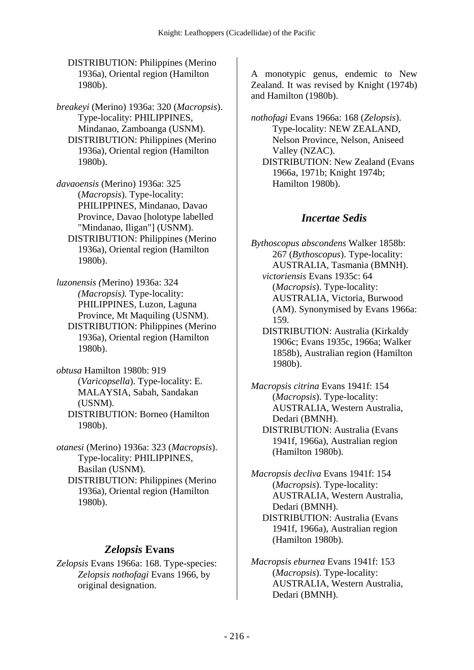DISTRIBUTION: Philippines (Merino 1936a), Oriental region (Hamilton 1980b).

*breakeyi* (Merino) 1936a: 320 (*Macropsis*). Type-locality: PHILIPPINES, Mindanao, Zamboanga (USNM). DISTRIBUTION: Philippines (Merino 1936a), Oriental region (Hamilton 1980b).

*davaoensis* (Merino) 1936a: 325 (*Macropsis*). Type-locality: PHILIPPINES, Mindanao, Davao Province, Davao [holotype labelled "Mindanao, Iligan"] (USNM). DISTRIBUTION: Philippines (Merino 1936a), Oriental region (Hamilton 1980b).

*luzonensis (*Merino) 1936a: 324 *(Macropsis).* Type-locality: PHILIPPINES, Luzon, Laguna Province, Mt Maquiling (USNM). DISTRIBUTION: Philippines (Merino 1936a), Oriental region (Hamilton 1980b).

*obtusa* Hamilton 1980b: 919 (*Varicopsella*). Type-locality: E. MALAYSIA, Sabah, Sandakan (USNM). DISTRIBUTION: Borneo (Hamilton 1980b).

*otanesi* (Merino) 1936a: 323 (*Macropsis*). Type-locality: PHILIPPINES, Basilan (USNM). DISTRIBUTION: Philippines (Merino 1936a), Oriental region (Hamilton 1980b).

## *Zelopsis* **Evans**

*Zelopsis* Evans 1966a: 168. Type-species: *Zelopsis nothofagi* Evans 1966, by original designation.

A monotypic genus, endemic to New Zealand. It was revised by Knight (1974b) and Hamilton (1980b).

*nothofagi* Evans 1966a: 168 (*Zelopsis*). Type-locality: NEW ZEALAND, Nelson Province, Nelson, Aniseed Valley (NZAC). DISTRIBUTION: New Zealand (Evans 1966a, 1971b; Knight 1974b; Hamilton 1980b).

## *Incertae Sedis*

*Bythoscopus abscondens* Walker 1858b: 267 (*Bythoscopus*). Type-locality: AUSTRALIA, Tasmania (BMNH).  *victoriensis* Evans 1935c: 64 (*Macropsis*). Type-locality: AUSTRALIA, Victoria, Burwood (AM). Synonymised by Evans 1966a: 159. DISTRIBUTION: Australia (Kirkaldy 1906c; Evans 1935c, 1966a; Walker 1858b), Australian region (Hamilton 1980b).

*Macropsis citrina* Evans 1941f: 154 (*Macropsis*). Type-locality: AUSTRALIA, Western Australia, Dedari (BMNH). DISTRIBUTION: Australia (Evans 1941f, 1966a), Australian region

*Macropsis decliva* Evans 1941f: 154 (*Macropsis*). Type-locality: AUSTRALIA, Western Australia, Dedari (BMNH).

(Hamilton 1980b).

 DISTRIBUTION: Australia (Evans 1941f, 1966a), Australian region (Hamilton 1980b).

*Macropsis eburnea* Evans 1941f: 153 (*Macropsis*). Type-locality: AUSTRALIA, Western Australia, Dedari (BMNH).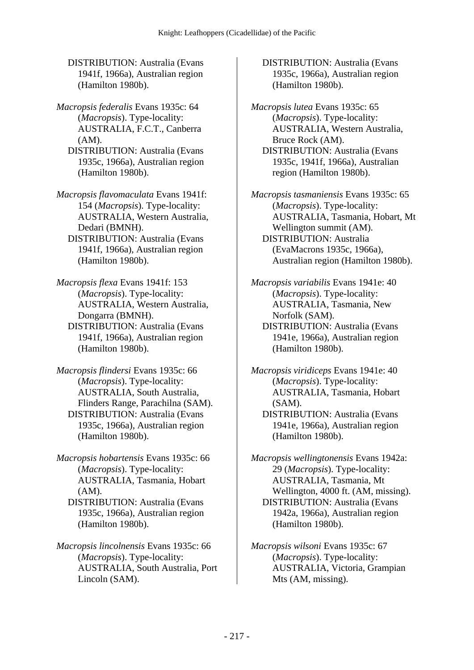DISTRIBUTION: Australia (Evans 1941f, 1966a), Australian region (Hamilton 1980b).

*Macropsis federalis* Evans 1935c: 64 (*Macropsis*). Type-locality: AUSTRALIA, F.C.T., Canberra (AM).

 DISTRIBUTION: Australia (Evans 1935c, 1966a), Australian region (Hamilton 1980b).

*Macropsis flavomaculata* Evans 1941f: 154 (*Macropsis*). Type-locality: AUSTRALIA, Western Australia, Dedari (BMNH).

 DISTRIBUTION: Australia (Evans 1941f, 1966a), Australian region (Hamilton 1980b).

*Macropsis flexa* Evans 1941f: 153 (*Macropsis*). Type-locality: AUSTRALIA, Western Australia, Dongarra (BMNH).

 DISTRIBUTION: Australia (Evans 1941f, 1966a), Australian region (Hamilton 1980b).

*Macropsis flindersi* Evans 1935c: 66 (*Macropsis*). Type-locality: AUSTRALIA, South Australia, Flinders Range, Parachilna (SAM). DISTRIBUTION: Australia (Evans 1935c, 1966a), Australian region (Hamilton 1980b).

*Macropsis hobartensis* Evans 1935c: 66 (*Macropsis*). Type-locality: AUSTRALIA, Tasmania, Hobart (AM).

 DISTRIBUTION: Australia (Evans 1935c, 1966a), Australian region (Hamilton 1980b).

*Macropsis lincolnensis* Evans 1935c: 66 (*Macropsis*). Type-locality: AUSTRALIA, South Australia, Port Lincoln (SAM).

 DISTRIBUTION: Australia (Evans 1935c, 1966a), Australian region (Hamilton 1980b).

*Macropsis lutea* Evans 1935c: 65 (*Macropsis*). Type-locality: AUSTRALIA, Western Australia, Bruce Rock (AM). DISTRIBUTION: Australia (Evans 1935c, 1941f, 1966a), Australian region (Hamilton 1980b).

*Macropsis tasmaniensis* Evans 1935c: 65 (*Macropsis*). Type-locality: AUSTRALIA, Tasmania, Hobart, Mt Wellington summit (AM). DISTRIBUTION: Australia (EvaMacrons 1935c, 1966a), Australian region (Hamilton 1980b).

*Macropsis variabilis* Evans 1941e: 40 (*Macropsis*). Type-locality: AUSTRALIA, Tasmania, New Norfolk (SAM).

 DISTRIBUTION: Australia (Evans 1941e, 1966a), Australian region (Hamilton 1980b).

*Macropsis viridiceps* Evans 1941e: 40 (*Macropsis*). Type-locality: AUSTRALIA, Tasmania, Hobart (SAM).

 DISTRIBUTION: Australia (Evans 1941e, 1966a), Australian region (Hamilton 1980b).

*Macropsis wellingtonensis* Evans 1942a: 29 (*Macropsis*). Type-locality: AUSTRALIA, Tasmania, Mt Wellington, 4000 ft. (AM, missing). DISTRIBUTION: Australia (Evans 1942a, 1966a), Australian region (Hamilton 1980b).

*Macropsis wilsoni* Evans 1935c: 67 (*Macropsis*). Type-locality: AUSTRALIA, Victoria, Grampian Mts (AM, missing).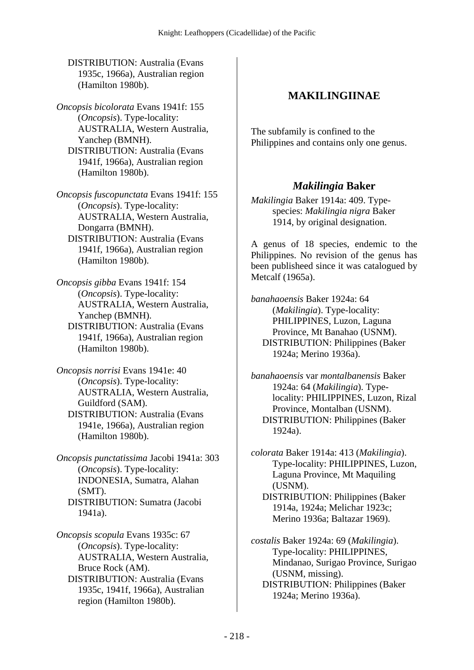DISTRIBUTION: Australia (Evans 1935c, 1966a), Australian region (Hamilton 1980b).

*Oncopsis bicolorata* Evans 1941f: 155 (*Oncopsis*). Type-locality: AUSTRALIA, Western Australia, Yanchep (BMNH). DISTRIBUTION: Australia (Evans 1941f, 1966a), Australian region (Hamilton 1980b).

*Oncopsis fuscopunctata* Evans 1941f: 155 (*Oncopsis*). Type-locality: AUSTRALIA, Western Australia, Dongarra (BMNH). DISTRIBUTION: Australia (Evans 1941f, 1966a), Australian region (Hamilton 1980b).

*Oncopsis gibba* Evans 1941f: 154 (*Oncopsis*). Type-locality: AUSTRALIA, Western Australia, Yanchep (BMNH). DISTRIBUTION: Australia (Evans 1941f, 1966a), Australian region (Hamilton 1980b).

*Oncopsis norrisi* Evans 1941e: 40 (*Oncopsis*). Type-locality: AUSTRALIA, Western Australia, Guildford (SAM). DISTRIBUTION: Australia (Evans 1941e, 1966a), Australian region (Hamilton 1980b).

*Oncopsis punctatissima* Jacobi 1941a: 303 (*Oncopsis*). Type-locality: INDONESIA, Sumatra, Alahan (SMT). DISTRIBUTION: Sumatra (Jacobi 1941a).

*Oncopsis scopula* Evans 1935c: 67 (*Oncopsis*). Type-locality: AUSTRALIA, Western Australia, Bruce Rock (AM). DISTRIBUTION: Australia (Evans

1935c, 1941f, 1966a), Australian region (Hamilton 1980b).

### **MAKILINGIINAE**

The subfamily is confined to the Philippines and contains only one genus.

#### *Makilingia* **Baker**

*Makilingia* Baker 1914a: 409. Typespecies: *Makilingia nigra* Baker 1914, by original designation.

A genus of 18 species, endemic to the Philippines. No revision of the genus has been publisheed since it was catalogued by Metcalf (1965a).

*banahaoensis* Baker 1924a: 64 (*Makilingia*). Type-locality: PHILIPPINES, Luzon, Laguna Province, Mt Banahao (USNM). DISTRIBUTION: Philippines (Baker 1924a; Merino 1936a).

*banahaoensis* var *montalbanensis* Baker 1924a: 64 (*Makilingia*). Typelocality: PHILIPPINES, Luzon, Rizal Province, Montalban (USNM). DISTRIBUTION: Philippines (Baker 1924a).

*colorata* Baker 1914a: 413 (*Makilingia*). Type-locality: PHILIPPINES, Luzon, Laguna Province, Mt Maquiling (USNM). DISTRIBUTION: Philippines (Baker 1914a, 1924a; Melichar 1923c; Merino 1936a; Baltazar 1969).

*costalis* Baker 1924a: 69 (*Makilingia*). Type-locality: PHILIPPINES, Mindanao, Surigao Province, Surigao (USNM, missing). DISTRIBUTION: Philippines (Baker 1924a; Merino 1936a).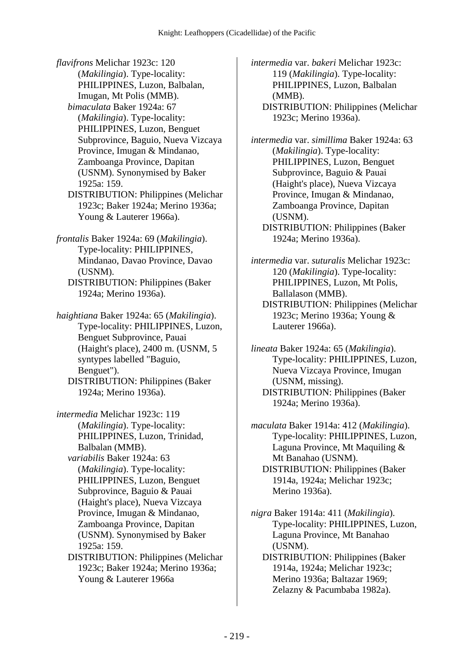*flavifrons* Melichar 1923c: 120 (*Makilingia*). Type-locality: PHILIPPINES, Luzon, Balbalan, Imugan, Mt Polis (MMB).  *bimaculata* Baker 1924a: 67 (*Makilingia*). Type-locality: PHILIPPINES, Luzon, Benguet Subprovince, Baguio, Nueva Vizcaya Province, Imugan & Mindanao, Zamboanga Province, Dapitan (USNM). Synonymised by Baker 1925a: 159.

 DISTRIBUTION: Philippines (Melichar 1923c; Baker 1924a; Merino 1936a; Young & Lauterer 1966a).

*frontalis* Baker 1924a: 69 (*Makilingia*). Type-locality: PHILIPPINES, Mindanao, Davao Province, Davao (USNM).

 DISTRIBUTION: Philippines (Baker 1924a; Merino 1936a).

*haightiana* Baker 1924a: 65 (*Makilingia*). Type-locality: PHILIPPINES, Luzon, Benguet Subprovince, Pauai (Haight's place), 2400 m. (USNM, 5 syntypes labelled "Baguio, Benguet").

 DISTRIBUTION: Philippines (Baker 1924a; Merino 1936a).

*intermedia* Melichar 1923c: 119 (*Makilingia*). Type-locality: PHILIPPINES, Luzon, Trinidad, Balbalan (MMB).  *variabilis* Baker 1924a: 63

(*Makilingia*). Type-locality: PHILIPPINES, Luzon, Benguet Subprovince, Baguio & Pauai (Haight's place), Nueva Vizcaya Province, Imugan & Mindanao, Zamboanga Province, Dapitan (USNM). Synonymised by Baker 1925a: 159.

 DISTRIBUTION: Philippines (Melichar 1923c; Baker 1924a; Merino 1936a; Young & Lauterer 1966a

*intermedia* var. *bakeri* Melichar 1923c: 119 (*Makilingia*). Type-locality: PHILIPPINES, Luzon, Balbalan (MMB). DISTRIBUTION: Philippines (Melichar

1923c; Merino 1936a).

*intermedia* var. *simillima* Baker 1924a: 63 (*Makilingia*). Type-locality: PHILIPPINES, Luzon, Benguet Subprovince, Baguio & Pauai (Haight's place), Nueva Vizcaya Province, Imugan & Mindanao, Zamboanga Province, Dapitan (USNM).

 DISTRIBUTION: Philippines (Baker 1924a; Merino 1936a).

*intermedia* var. *suturalis* Melichar 1923c: 120 (*Makilingia*). Type-locality: PHILIPPINES, Luzon, Mt Polis, Ballalason (MMB). DISTRIBUTION: Philippines (Melichar

1923c; Merino 1936a; Young & Lauterer 1966a).

*lineata* Baker 1924a: 65 (*Makilingia*). Type-locality: PHILIPPINES, Luzon, Nueva Vizcaya Province, Imugan (USNM, missing). DISTRIBUTION: Philippines (Baker 1924a; Merino 1936a).

*maculata* Baker 1914a: 412 (*Makilingia*). Type-locality: PHILIPPINES, Luzon, Laguna Province, Mt Maquiling & Mt Banahao (USNM). DISTRIBUTION: Philippines (Baker 1914a, 1924a; Melichar 1923c; Merino 1936a).

*nigra* Baker 1914a: 411 (*Makilingia*). Type-locality: PHILIPPINES, Luzon, Laguna Province, Mt Banahao (USNM).

 DISTRIBUTION: Philippines (Baker 1914a, 1924a; Melichar 1923c; Merino 1936a; Baltazar 1969; Zelazny & Pacumbaba 1982a).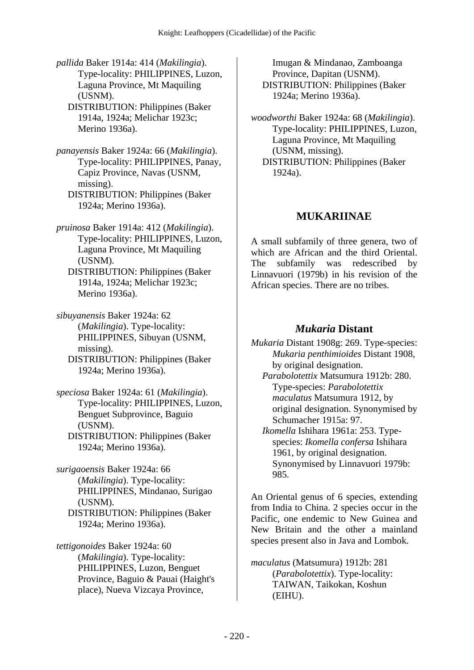*pallida* Baker 1914a: 414 (*Makilingia*). Type-locality: PHILIPPINES, Luzon, Laguna Province, Mt Maquiling (USNM). DISTRIBUTION: Philippines (Baker

1914a, 1924a; Melichar 1923c; Merino 1936a).

*panayensis* Baker 1924a: 66 (*Makilingia*). Type-locality: PHILIPPINES, Panay, Capiz Province, Navas (USNM, missing).

 DISTRIBUTION: Philippines (Baker 1924a; Merino 1936a).

- *pruinosa* Baker 1914a: 412 (*Makilingia*). Type-locality: PHILIPPINES, Luzon, Laguna Province, Mt Maquiling (USNM).
	- DISTRIBUTION: Philippines (Baker 1914a, 1924a; Melichar 1923c; Merino 1936a).

*sibuyanensis* Baker 1924a: 62 (*Makilingia*). Type-locality: PHILIPPINES, Sibuyan (USNM, missing).

 DISTRIBUTION: Philippines (Baker 1924a; Merino 1936a).

*speciosa* Baker 1924a: 61 (*Makilingia*). Type-locality: PHILIPPINES, Luzon, Benguet Subprovince, Baguio (USNM). DISTRIBUTION: Philippines (Baker 1924a; Merino 1936a).

*surigaoensis* Baker 1924a: 66 (*Makilingia*). Type-locality: PHILIPPINES, Mindanao, Surigao (USNM). DISTRIBUTION: Philippines (Baker

1924a; Merino 1936a).

*tettigonoides* Baker 1924a: 60 (*Makilingia*). Type-locality: PHILIPPINES, Luzon, Benguet Province, Baguio & Pauai (Haight's place), Nueva Vizcaya Province,

Imugan & Mindanao, Zamboanga Province, Dapitan (USNM). DISTRIBUTION: Philippines (Baker 1924a; Merino 1936a).

*woodworthi* Baker 1924a: 68 (*Makilingia*). Type-locality: PHILIPPINES, Luzon, Laguna Province, Mt Maquiling (USNM, missing). DISTRIBUTION: Philippines (Baker 1924a).

# **MUKARIINAE**

A small subfamily of three genera, two of which are African and the third Oriental. The subfamily was redescribed by Linnavuori (1979b) in his revision of the African species. There are no tribes.

### *Mukaria* **Distant**

*Mukaria* Distant 1908g: 269. Type-species: *Mukaria penthimioides* Distant 1908, by original designation.

 *Parabolotettix* Matsumura 1912b: 280. Type-species: *Parabolotettix maculatus* Matsumura 1912, by original designation. Synonymised by Schumacher 1915a: 97.

 *Ikomella* Ishihara 1961a: 253. Typespecies: *Ikomella confersa* Ishihara 1961, by original designation. Synonymised by Linnavuori 1979b: 985.

An Oriental genus of 6 species, extending from India to China. 2 species occur in the Pacific, one endemic to New Guinea and New Britain and the other a mainland species present also in Java and Lombok.

*maculatus* (Matsumura) 1912b: 281 (*Parabolotettix*). Type-locality: TAIWAN, Taikokan, Koshun (EIHU).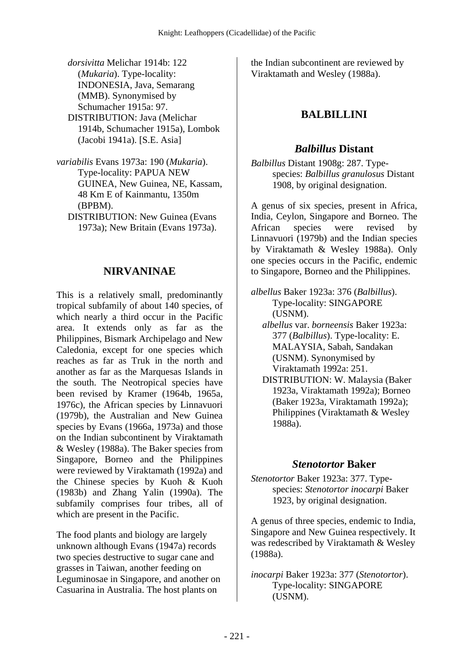*dorsivitta* Melichar 1914b: 122 (*Mukaria*). Type-locality: INDONESIA, Java, Semarang (MMB). Synonymised by Schumacher 1915a: 97. DISTRIBUTION: Java (Melichar 1914b, Schumacher 1915a), Lombok (Jacobi 1941a). [S.E. Asia]

- *variabilis* Evans 1973a: 190 (*Mukaria*). Type-locality: PAPUA NEW GUINEA, New Guinea, NE, Kassam, 48 Km E of Kainmantu, 1350m (BPBM).
	- DISTRIBUTION: New Guinea (Evans 1973a); New Britain (Evans 1973a).

#### **NIRVANINAE**

This is a relatively small, predominantly tropical subfamily of about 140 species, of which nearly a third occur in the Pacific area. It extends only as far as the Philippines, Bismark Archipelago and New Caledonia, except for one species which reaches as far as Truk in the north and another as far as the Marquesas Islands in the south. The Neotropical species have been revised by Kramer (1964b, 1965a, 1976c), the African species by Linnavuori (1979b), the Australian and New Guinea species by Evans (1966a, 1973a) and those on the Indian subcontinent by Viraktamath & Wesley (1988a). The Baker species from Singapore, Borneo and the Philippines were reviewed by Viraktamath (1992a) and the Chinese species by Kuoh & Kuoh (1983b) and Zhang Yalin (1990a). The subfamily comprises four tribes, all of which are present in the Pacific.

The food plants and biology are largely unknown although Evans (1947a) records two species destructive to sugar cane and grasses in Taiwan, another feeding on Leguminosae in Singapore, and another on Casuarina in Australia. The host plants on

the Indian subcontinent are reviewed by Viraktamath and Wesley (1988a).

# **BALBILLINI**

### *Balbillus* **Distant**

*Balbillus* Distant 1908g: 287. Typespecies: *Balbillus granulosus* Distant 1908, by original designation.

A genus of six species, present in Africa, India, Ceylon, Singapore and Borneo. The African species were revised by Linnavuori (1979b) and the Indian species by Viraktamath & Wesley 1988a). Only one species occurs in the Pacific, endemic to Singapore, Borneo and the Philippines.

- *albellus* Baker 1923a: 376 (*Balbillus*). Type-locality: SINGAPORE (USNM).
	- *albellus* var. *borneensis* Baker 1923a: 377 (*Balbillus*). Type-locality: E. MALAYSIA, Sabah, Sandakan (USNM). Synonymised by Viraktamath 1992a: 251.
	- DISTRIBUTION: W. Malaysia (Baker 1923a, Viraktamath 1992a); Borneo (Baker 1923a, Viraktamath 1992a); Philippines (Viraktamath & Wesley 1988a).

#### *Stenotortor* **Baker**

*Stenotortor* Baker 1923a: 377. Typespecies: *Stenotortor inocarpi* Baker 1923, by original designation.

A genus of three species, endemic to India, Singapore and New Guinea respectively. It was redescribed by Viraktamath & Wesley (1988a).

*inocarpi* Baker 1923a: 377 (*Stenotortor*). Type-locality: SINGAPORE (USNM).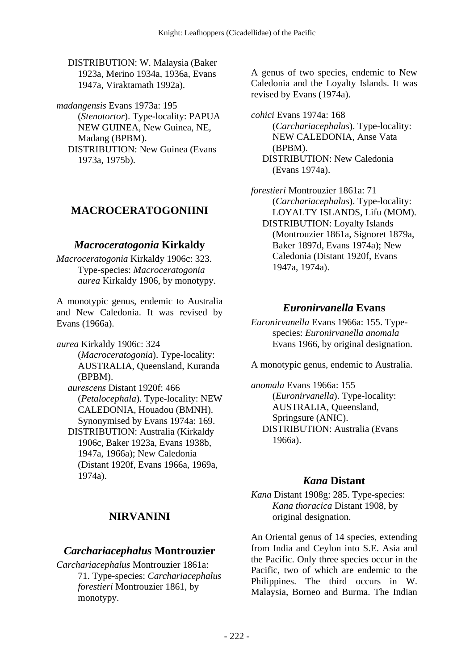DISTRIBUTION: W. Malaysia (Baker 1923a, Merino 1934a, 1936a, Evans 1947a, Viraktamath 1992a).

*madangensis* Evans 1973a: 195 (*Stenotortor*). Type-locality: PAPUA NEW GUINEA, New Guinea, NE, Madang (BPBM). DISTRIBUTION: New Guinea (Evans 1973a, 1975b).

# **MACROCERATOGONIINI**

### *Macroceratogonia* **Kirkaldy**

*Macroceratogonia* Kirkaldy 1906c: 323. Type-species: *Macroceratogonia aurea* Kirkaldy 1906, by monotypy.

A monotypic genus, endemic to Australia and New Caledonia. It was revised by Evans (1966a).

*aurea* Kirkaldy 1906c: 324 (*Macroceratogonia*). Type-locality: AUSTRALIA, Queensland, Kuranda (BPBM).  *aurescens* Distant 1920f: 466 (*Petalocephala*). Type-locality: NEW

CALEDONIA, Houadou (BMNH). Synonymised by Evans 1974a: 169. DISTRIBUTION: Australia (Kirkaldy 1906c, Baker 1923a, Evans 1938b, 1947a, 1966a); New Caledonia (Distant 1920f, Evans 1966a, 1969a, 1974a).

# **NIRVANINI**

## *Carchariacephalus* **Montrouzier**

*Carchariacephalus* Montrouzier 1861a: 71. Type-species: *Carchariacephalus forestieri* Montrouzier 1861, by monotypy.

A genus of two species, endemic to New Caledonia and the Loyalty Islands. It was revised by Evans (1974a).

*cohici* Evans 1974a: 168 (*Carchariacephalus*). Type-locality: NEW CALEDONIA, Anse Vata (BPBM). DISTRIBUTION: New Caledonia (Evans 1974a).

*forestieri* Montrouzier 1861a: 71 (*Carchariacephalus*). Type-locality: LOYALTY ISLANDS, Lifu (MOM). DISTRIBUTION: Loyalty Islands (Montrouzier 1861a, Signoret 1879a, Baker 1897d, Evans 1974a); New Caledonia (Distant 1920f, Evans 1947a, 1974a).

#### *Euronirvanella* **Evans**

*Euronirvanella* Evans 1966a: 155. Typespecies: *Euronirvanella anomala* Evans 1966, by original designation.

A monotypic genus, endemic to Australia.

*anomala* Evans 1966a: 155 (*Euronirvanella*). Type-locality: AUSTRALIA, Queensland, Springsure (ANIC). DISTRIBUTION: Australia (Evans 1966a).

## *Kana* **Distant**

*Kana* Distant 1908g: 285. Type-species: *Kana thoracica* Distant 1908, by original designation.

An Oriental genus of 14 species, extending from India and Ceylon into S.E. Asia and the Pacific. Only three species occur in the Pacific, two of which are endemic to the Philippines. The third occurs in W. Malaysia, Borneo and Burma. The Indian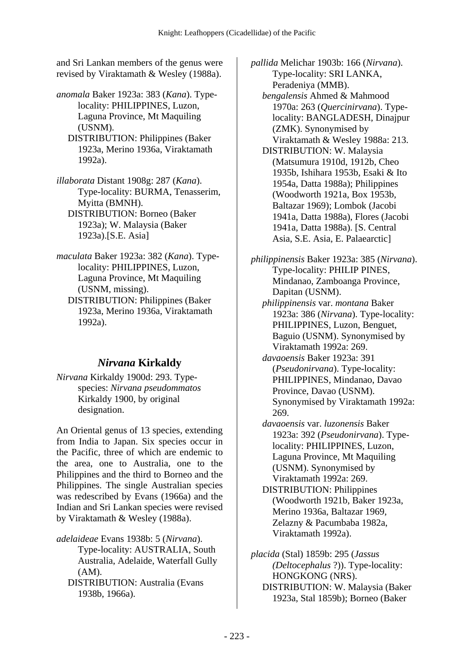and Sri Lankan members of the genus were revised by Viraktamath & Wesley (1988a).

*anomala* Baker 1923a: 383 (*Kana*). Typelocality: PHILIPPINES, Luzon, Laguna Province, Mt Maquiling (USNM).

 DISTRIBUTION: Philippines (Baker 1923a, Merino 1936a, Viraktamath 1992a).

*illaborata* Distant 1908g: 287 (*Kana*). Type-locality: BURMA, Tenasserim, Myitta (BMNH). DISTRIBUTION: Borneo (Baker 1923a); W. Malaysia (Baker 1923a).[S.E. Asia]

*maculata* Baker 1923a: 382 (*Kana*). Typelocality: PHILIPPINES, Luzon, Laguna Province, Mt Maquiling (USNM, missing). DISTRIBUTION: Philippines (Baker 1923a, Merino 1936a, Viraktamath 1992a).

## *Nirvana* **Kirkaldy**

*Nirvana* Kirkaldy 1900d: 293. Typespecies: *Nirvana pseudommatos* Kirkaldy 1900, by original designation.

An Oriental genus of 13 species, extending from India to Japan. Six species occur in the Pacific, three of which are endemic to the area, one to Australia, one to the Philippines and the third to Borneo and the Philippines. The single Australian species was redescribed by Evans (1966a) and the Indian and Sri Lankan species were revised by Viraktamath & Wesley (1988a).

*adelaideae* Evans 1938b: 5 (*Nirvana*).

Type-locality: AUSTRALIA, South Australia, Adelaide, Waterfall Gully (AM).

 DISTRIBUTION: Australia (Evans 1938b, 1966a).

*pallida* Melichar 1903b: 166 (*Nirvana*). Type-locality: SRI LANKA, Peradeniya (MMB).

 *bengalensis* Ahmed & Mahmood 1970a: 263 (*Quercinirvana*). Typelocality: BANGLADESH, Dinajpur (ZMK). Synonymised by Viraktamath & Wesley 1988a: 213.

 DISTRIBUTION: W. Malaysia (Matsumura 1910d, 1912b, Cheo 1935b, Ishihara 1953b, Esaki & Ito 1954a, Datta 1988a); Philippines (Woodworth 1921a, Box 1953b, Baltazar 1969); Lombok (Jacobi 1941a, Datta 1988a), Flores (Jacobi 1941a, Datta 1988a). [S. Central Asia, S.E. Asia, E. Palaearctic]

*philippinensis* Baker 1923a: 385 (*Nirvana*). Type-locality: PHILIP PINES, Mindanao, Zamboanga Province, Dapitan (USNM).

 *philippinensis* var. *montana* Baker 1923a: 386 (*Nirvana*). Type-locality: PHILIPPINES, Luzon, Benguet, Baguio (USNM). Synonymised by Viraktamath 1992a: 269.

 *davaoensis* Baker 1923a: 391 (*Pseudonirvana*). Type-locality: PHILIPPINES, Mindanao, Davao Province, Davao (USNM). Synonymised by Viraktamath 1992a: 269.

 *davaoensis* var. *luzonensis* Baker 1923a: 392 (*Pseudonirvana*). Typelocality: PHILIPPINES, Luzon, Laguna Province, Mt Maquiling (USNM). Synonymised by Viraktamath 1992a: 269.

 DISTRIBUTION: Philippines (Woodworth 1921b, Baker 1923a, Merino 1936a, Baltazar 1969, Zelazny & Pacumbaba 1982a, Viraktamath 1992a).

*placida* (Stal) 1859b: 295 (*Jassus (Deltocephalus* ?)). Type-locality: HONGKONG (NRS). DISTRIBUTION: W. Malaysia (Baker 1923a, Stal 1859b); Borneo (Baker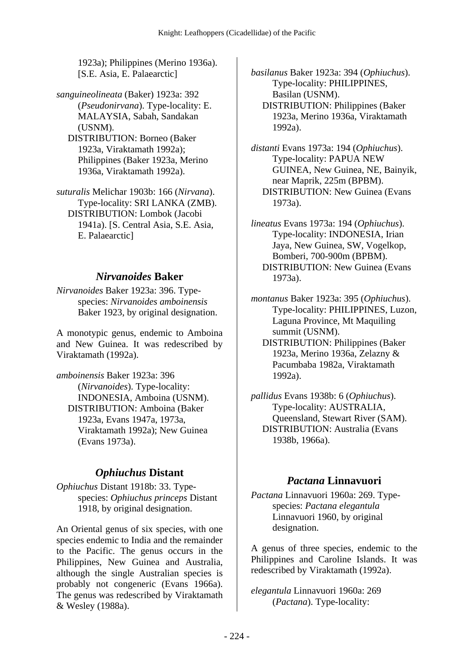1923a); Philippines (Merino 1936a). [S.E. Asia, E. Palaearctic]

*sanguineolineata* (Baker) 1923a: 392 (*Pseudonirvana*). Type-locality: E. MALAYSIA, Sabah, Sandakan (USNM). DISTRIBUTION: Borneo (Baker 1923a, Viraktamath 1992a); Philippines (Baker 1923a, Merino 1936a, Viraktamath 1992a).

*suturalis* Melichar 1903b: 166 (*Nirvana*). Type-locality: SRI LANKA (ZMB). DISTRIBUTION: Lombok (Jacobi 1941a). [S. Central Asia, S.E. Asia, E. Palaearctic]

#### *Nirvanoides* **Baker**

*Nirvanoides* Baker 1923a: 396. Typespecies: *Nirvanoides amboinensis* Baker 1923, by original designation.

A monotypic genus, endemic to Amboina and New Guinea. It was redescribed by Viraktamath (1992a).

*amboinensis* Baker 1923a: 396 (*Nirvanoides*). Type-locality: INDONESIA, Amboina (USNM). DISTRIBUTION: Amboina (Baker 1923a, Evans 1947a, 1973a, Viraktamath 1992a); New Guinea (Evans 1973a).

## *Ophiuchus* **Distant**

*Ophiuchus* Distant 1918b: 33. Typespecies: *Ophiuchus princeps* Distant 1918, by original designation.

An Oriental genus of six species, with one species endemic to India and the remainder to the Pacific. The genus occurs in the Philippines, New Guinea and Australia, although the single Australian species is probably not congeneric (Evans 1966a). The genus was redescribed by Viraktamath & Wesley (1988a).

*basilanus* Baker 1923a: 394 (*Ophiuchus*). Type-locality: PHILIPPINES, Basilan (USNM). DISTRIBUTION: Philippines (Baker 1923a, Merino 1936a, Viraktamath 1992a).

*distanti* Evans 1973a: 194 (*Ophiuchus*). Type-locality: PAPUA NEW GUINEA, New Guinea, NE, Bainyik, near Maprik, 225m (BPBM). DISTRIBUTION: New Guinea (Evans 1973a).

*lineatus* Evans 1973a: 194 (*Ophiuchus*). Type-locality: INDONESIA, Irian Jaya, New Guinea, SW, Vogelkop, Bomberi, 700-900m (BPBM). DISTRIBUTION: New Guinea (Evans 1973a).

*montanus* Baker 1923a: 395 (*Ophiuchus*). Type-locality: PHILIPPINES, Luzon, Laguna Province, Mt Maquiling summit (USNM).

 DISTRIBUTION: Philippines (Baker 1923a, Merino 1936a, Zelazny & Pacumbaba 1982a, Viraktamath 1992a).

*pallidus* Evans 1938b: 6 (*Ophiuchus*). Type-locality: AUSTRALIA, Queensland, Stewart River (SAM). DISTRIBUTION: Australia (Evans 1938b, 1966a).

#### *Pactana* **Linnavuori**

*Pactana* Linnavuori 1960a: 269. Typespecies: *Pactana elegantula* Linnavuori 1960, by original designation.

A genus of three species, endemic to the Philippines and Caroline Islands. It was redescribed by Viraktamath (1992a).

*elegantula* Linnavuori 1960a: 269 (*Pactana*). Type-locality: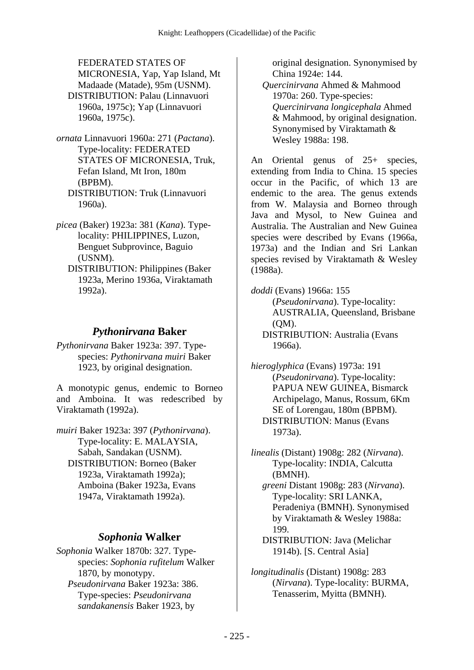FEDERATED STATES OF MICRONESIA, Yap, Yap Island, Mt Madaade (Matade), 95m (USNM). DISTRIBUTION: Palau (Linnavuori 1960a, 1975c); Yap (Linnavuori 1960a, 1975c).

- *ornata* Linnavuori 1960a: 271 (*Pactana*). Type-locality: FEDERATED STATES OF MICRONESIA, Truk, Fefan Island, Mt Iron, 180m (BPBM). DISTRIBUTION: Truk (Linnavuori 1960a).
- *picea* (Baker) 1923a: 381 (*Kana*). Typelocality: PHILIPPINES, Luzon, Benguet Subprovince, Baguio (USNM).
	- DISTRIBUTION: Philippines (Baker 1923a, Merino 1936a, Viraktamath 1992a).

## *Pythonirvana* **Baker**

*Pythonirvana* Baker 1923a: 397. Typespecies: *Pythonirvana muiri* Baker 1923, by original designation.

A monotypic genus, endemic to Borneo and Amboina. It was redescribed by Viraktamath (1992a).

*muiri* Baker 1923a: 397 (*Pythonirvana*). Type-locality: E. MALAYSIA, Sabah, Sandakan (USNM). DISTRIBUTION: Borneo (Baker 1923a, Viraktamath 1992a); Amboina (Baker 1923a, Evans 1947a, Viraktamath 1992a).

## *Sophonia* **Walker**

*Sophonia* Walker 1870b: 327. Typespecies: *Sophonia rufitelum* Walker 1870, by monotypy.  *Pseudonirvana* Baker 1923a: 386. Type-species: *Pseudonirvana sandakanensis* Baker 1923, by

original designation. Synonymised by China 1924e: 144.

 *Quercinirvana* Ahmed & Mahmood 1970a: 260. Type-species: *Quercinirvana longicephala* Ahmed & Mahmood, by original designation. Synonymised by Viraktamath & Wesley 1988a: 198.

An Oriental genus of 25+ species, extending from India to China. 15 species occur in the Pacific, of which 13 are endemic to the area. The genus extends from W. Malaysia and Borneo through Java and Mysol, to New Guinea and Australia. The Australian and New Guinea species were described by Evans (1966a, 1973a) and the Indian and Sri Lankan species revised by Viraktamath & Wesley (1988a).

*doddi* (Evans) 1966a: 155 (*Pseudonirvana*). Type-locality: AUSTRALIA, Queensland, Brisbane (QM). DISTRIBUTION: Australia (Evans 1966a).

*hieroglyphica* (Evans) 1973a: 191 (*Pseudonirvana*). Type-locality: PAPUA NEW GUINEA, Bismarck Archipelago, Manus, Rossum, 6Km SE of Lorengau, 180m (BPBM). DISTRIBUTION: Manus (Evans 1973a).

*linealis* (Distant) 1908g: 282 (*Nirvana*). Type-locality: INDIA, Calcutta (BMNH).  *greeni* Distant 1908g: 283 (*Nirvana*). Type-locality: SRI LANKA, Peradeniya (BMNH). Synonymised by Viraktamath & Wesley 1988a: 199.

 DISTRIBUTION: Java (Melichar 1914b). [S. Central Asia]

*longitudinalis* (Distant) 1908g: 283 (*Nirvana*). Type-locality: BURMA, Tenasserim, Myitta (BMNH).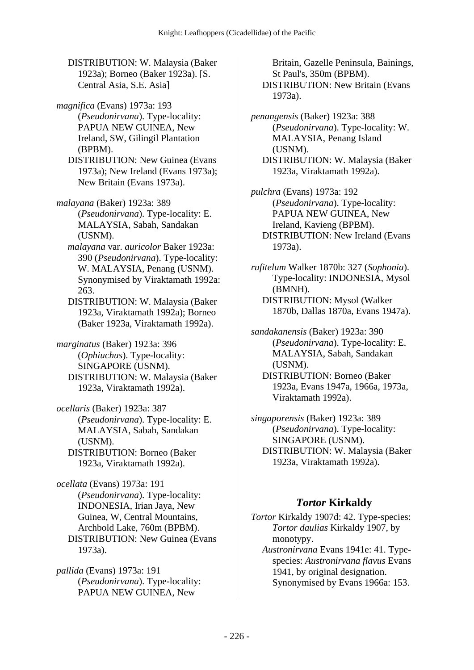DISTRIBUTION: W. Malaysia (Baker 1923a); Borneo (Baker 1923a). [S. Central Asia, S.E. Asia]

*magnifica* (Evans) 1973a: 193 (*Pseudonirvana*). Type-locality: PAPUA NEW GUINEA, New Ireland, SW, Gilingil Plantation (BPBM).

 DISTRIBUTION: New Guinea (Evans 1973a); New Ireland (Evans 1973a); New Britain (Evans 1973a).

*malayana* (Baker) 1923a: 389 (*Pseudonirvana*). Type-locality: E. MALAYSIA, Sabah, Sandakan (USNM).

 *malayana* var. *auricolor* Baker 1923a: 390 (*Pseudonirvana*). Type-locality: W. MALAYSIA, Penang (USNM). Synonymised by Viraktamath 1992a: 263.

 DISTRIBUTION: W. Malaysia (Baker 1923a, Viraktamath 1992a); Borneo (Baker 1923a, Viraktamath 1992a).

*marginatus* (Baker) 1923a: 396 (*Ophiuchus*). Type-locality: SINGAPORE (USNM). DISTRIBUTION: W. Malaysia (Baker 1923a, Viraktamath 1992a).

*ocellaris* (Baker) 1923a: 387 (*Pseudonirvana*). Type-locality: E. MALAYSIA, Sabah, Sandakan (USNM).

 DISTRIBUTION: Borneo (Baker 1923a, Viraktamath 1992a).

*ocellata* (Evans) 1973a: 191 (*Pseudonirvana*). Type-locality: INDONESIA, Irian Jaya, New Guinea, W, Central Mountains, Archbold Lake, 760m (BPBM). DISTRIBUTION: New Guinea (Evans 1973a).

*pallida* (Evans) 1973a: 191 (*Pseudonirvana*). Type-locality: PAPUA NEW GUINEA, New

Britain, Gazelle Peninsula, Bainings, St Paul's, 350m (BPBM). DISTRIBUTION: New Britain (Evans 1973a).

*penangensis* (Baker) 1923a: 388 (*Pseudonirvana*). Type-locality: W. MALAYSIA, Penang Island (USNM). DISTRIBUTION: W. Malaysia (Baker 1923a, Viraktamath 1992a).

*pulchra* (Evans) 1973a: 192 (*Pseudonirvana*). Type-locality: PAPUA NEW GUINEA, New Ireland, Kavieng (BPBM). DISTRIBUTION: New Ireland (Evans 1973a).

*rufitelum* Walker 1870b: 327 (*Sophonia*). Type-locality: INDONESIA, Mysol (BMNH). DISTRIBUTION: Mysol (Walker 1870b, Dallas 1870a, Evans 1947a).

*sandakanensis* (Baker) 1923a: 390 (*Pseudonirvana*). Type-locality: E. MALAYSIA, Sabah, Sandakan (USNM). DISTRIBUTION: Borneo (Baker 1923a, Evans 1947a, 1966a, 1973a, Viraktamath 1992a).

*singaporensis* (Baker) 1923a: 389 (*Pseudonirvana*). Type-locality: SINGAPORE (USNM). DISTRIBUTION: W. Malaysia (Baker 1923a, Viraktamath 1992a).

# *Tortor* **Kirkaldy**

*Tortor* Kirkaldy 1907d: 42. Type-species: *Tortor daulias* Kirkaldy 1907, by monotypy.

 *Austronirvana* Evans 1941e: 41. Typespecies: *Austronirvana flavus* Evans 1941, by original designation. Synonymised by Evans 1966a: 153.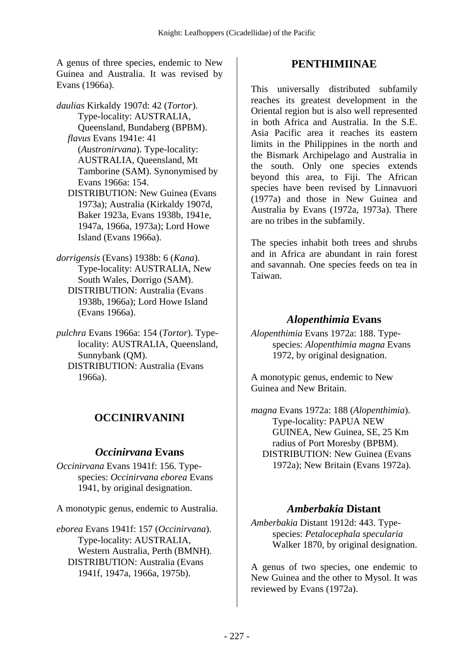A genus of three species, endemic to New Guinea and Australia. It was revised by Evans (1966a).

*daulias* Kirkaldy 1907d: 42 (*Tortor*). Type-locality: AUSTRALIA, Queensland, Bundaberg (BPBM).  *flavus* Evans 1941e: 41 (*Austronirvana*). Type-locality: AUSTRALIA, Queensland, Mt Tamborine (SAM). Synonymised by Evans 1966a: 154. DISTRIBUTION: New Guinea (Evans 1973a); Australia (Kirkaldy 1907d, Baker 1923a, Evans 1938b, 1941e, 1947a, 1966a, 1973a); Lord Howe Island (Evans 1966a).

*dorrigensis* (Evans) 1938b: 6 (*Kana*). Type-locality: AUSTRALIA, New South Wales, Dorrigo (SAM). DISTRIBUTION: Australia (Evans 1938b, 1966a); Lord Howe Island (Evans 1966a).

*pulchra* Evans 1966a: 154 (*Tortor*). Typelocality: AUSTRALIA, Queensland, Sunnybank (QM). DISTRIBUTION: Australia (Evans 1966a).

# **OCCINIRVANINI**

## *Occinirvana* **Evans**

*Occinirvana* Evans 1941f: 156. Typespecies: *Occinirvana eborea* Evans 1941, by original designation.

A monotypic genus, endemic to Australia.

*eborea* Evans 1941f: 157 (*Occinirvana*). Type-locality: AUSTRALIA, Western Australia, Perth (BMNH). DISTRIBUTION: Australia (Evans 1941f, 1947a, 1966a, 1975b).

## **PENTHIMIINAE**

This universally distributed subfamily reaches its greatest development in the Oriental region but is also well represented in both Africa and Australia. In the S.E. Asia Pacific area it reaches its eastern limits in the Philippines in the north and the Bismark Archipelago and Australia in the south. Only one species extends beyond this area, to Fiji. The African species have been revised by Linnavuori (1977a) and those in New Guinea and Australia by Evans (1972a, 1973a). There are no tribes in the subfamily.

The species inhabit both trees and shrubs and in Africa are abundant in rain forest and savannah. One species feeds on tea in Taiwan.

## *Alopenthimia* **Evans**

*Alopenthimia* Evans 1972a: 188. Typespecies: *Alopenthimia magna* Evans 1972, by original designation.

A monotypic genus, endemic to New Guinea and New Britain.

*magna* Evans 1972a: 188 (*Alopenthimia*). Type-locality: PAPUA NEW GUINEA, New Guinea, SE, 25 Km radius of Port Moresby (BPBM). DISTRIBUTION: New Guinea (Evans 1972a); New Britain (Evans 1972a).

## *Amberbakia* **Distant**

*Amberbakia* Distant 1912d: 443. Typespecies: *Petalocephala specularia* Walker 1870, by original designation.

A genus of two species, one endemic to New Guinea and the other to Mysol. It was reviewed by Evans (1972a).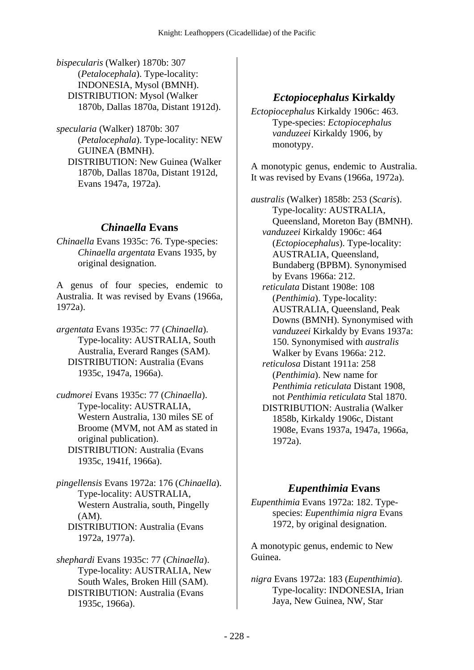*bispecularis* (Walker) 1870b: 307 (*Petalocephala*). Type-locality: INDONESIA, Mysol (BMNH). DISTRIBUTION: Mysol (Walker 1870b, Dallas 1870a, Distant 1912d).

*specularia* (Walker) 1870b: 307 (*Petalocephala*). Type-locality: NEW GUINEA (BMNH). DISTRIBUTION: New Guinea (Walker 1870b, Dallas 1870a, Distant 1912d, Evans 1947a, 1972a).

#### *Chinaella* **Evans**

*Chinaella* Evans 1935c: 76. Type-species: *Chinaella argentata* Evans 1935, by original designation.

A genus of four species, endemic to Australia. It was revised by Evans (1966a, 1972a).

- *argentata* Evans 1935c: 77 (*Chinaella*). Type-locality: AUSTRALIA, South Australia, Everard Ranges (SAM). DISTRIBUTION: Australia (Evans 1935c, 1947a, 1966a).
- *cudmorei* Evans 1935c: 77 (*Chinaella*). Type-locality: AUSTRALIA, Western Australia, 130 miles SE of Broome (MVM, not AM as stated in original publication). DISTRIBUTION: Australia (Evans 1935c, 1941f, 1966a).

*pingellensis* Evans 1972a: 176 (*Chinaella*). Type-locality: AUSTRALIA, Western Australia, south, Pingelly (AM). DISTRIBUTION: Australia (Evans 1972a, 1977a).

*shephardi* Evans 1935c: 77 (*Chinaella*). Type-locality: AUSTRALIA, New South Wales, Broken Hill (SAM). DISTRIBUTION: Australia (Evans 1935c, 1966a).

#### *Ectopiocephalus* **Kirkaldy**

*Ectopiocephalus* Kirkaldy 1906c: 463. Type-species: *Ectopiocephalus vanduzeei* Kirkaldy 1906, by monotypy.

A monotypic genus, endemic to Australia. It was revised by Evans (1966a, 1972a).

*australis* (Walker) 1858b: 253 (*Scaris*). Type-locality: AUSTRALIA, Queensland, Moreton Bay (BMNH).  *vanduzeei* Kirkaldy 1906c: 464 (*Ectopiocephalus*). Type-locality: AUSTRALIA, Queensland, Bundaberg (BPBM). Synonymised by Evans 1966a: 212.  *reticulata* Distant 1908e: 108 (*Penthimia*). Type-locality: AUSTRALIA, Queensland, Peak Downs (BMNH). Synonymised with *vanduzeei* Kirkaldy by Evans 1937a: 150. Synonymised with *australis* Walker by Evans 1966a: 212.  *reticulosa* Distant 1911a: 258 (*Penthimia*). New name for *Penthimia reticulata* Distant 1908, not *Penthimia reticulata* Stal 1870. DISTRIBUTION: Australia (Walker 1858b, Kirkaldy 1906c, Distant 1908e, Evans 1937a, 1947a, 1966a, 1972a).

#### *Eupenthimia* **Evans**

*Eupenthimia* Evans 1972a: 182. Typespecies: *Eupenthimia nigra* Evans 1972, by original designation.

A monotypic genus, endemic to New Guinea.

*nigra* Evans 1972a: 183 (*Eupenthimia*). Type-locality: INDONESIA, Irian Jaya, New Guinea, NW, Star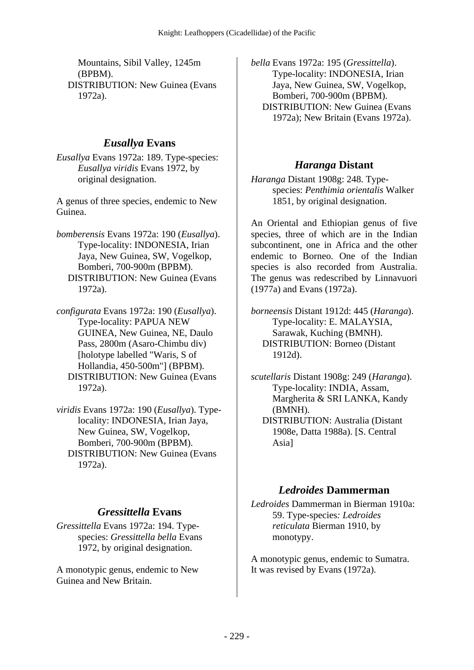Mountains, Sibil Valley, 1245m (BPBM). DISTRIBUTION: New Guinea (Evans 1972a).

## *Eusallya* **Evans**

*Eusallya* Evans 1972a: 189. Type-species: *Eusallya viridis* Evans 1972, by original designation.

A genus of three species, endemic to New Guinea.

- *bomberensis* Evans 1972a: 190 (*Eusallya*). Type-locality: INDONESIA, Irian Jaya, New Guinea, SW, Vogelkop, Bomberi, 700-900m (BPBM). DISTRIBUTION: New Guinea (Evans 1972a).
- *configurata* Evans 1972a: 190 (*Eusallya*). Type-locality: PAPUA NEW GUINEA, New Guinea, NE, Daulo Pass, 2800m (Asaro-Chimbu div) [holotype labelled "Waris, S of Hollandia, 450-500m"] (BPBM). DISTRIBUTION: New Guinea (Evans 1972a).
- *viridis* Evans 1972a: 190 (*Eusallya*). Typelocality: INDONESIA, Irian Jaya, New Guinea, SW, Vogelkop, Bomberi, 700-900m (BPBM). DISTRIBUTION: New Guinea (Evans 1972a).

# *Gressittella* **Evans**

*Gressittella* Evans 1972a: 194. Typespecies: *Gressittella bella* Evans 1972, by original designation.

A monotypic genus, endemic to New Guinea and New Britain.

*bella* Evans 1972a: 195 (*Gressittella*). Type-locality: INDONESIA, Irian Jaya, New Guinea, SW, Vogelkop, Bomberi, 700-900m (BPBM). DISTRIBUTION: New Guinea (Evans 1972a); New Britain (Evans 1972a).

# *Haranga* **Distant**

*Haranga* Distant 1908g: 248. Typespecies: *Penthimia orientalis* Walker 1851, by original designation.

An Oriental and Ethiopian genus of five species, three of which are in the Indian subcontinent, one in Africa and the other endemic to Borneo. One of the Indian species is also recorded from Australia. The genus was redescribed by Linnavuori (1977a) and Evans (1972a).

*borneensis* Distant 1912d: 445 (*Haranga*). Type-locality: E. MALAYSIA, Sarawak, Kuching (BMNH). DISTRIBUTION: Borneo (Distant 1912d).

*scutellaris* Distant 1908g: 249 (*Haranga*). Type-locality: INDIA, Assam, Margherita & SRI LANKA, Kandy (BMNH). DISTRIBUTION: Australia (Distant 1908e, Datta 1988a). [S. Central Asia]

## *Ledroides* **Dammerman**

*Ledroides* Dammerman in Bierman 1910a: 59. Type-species*: Ledroides reticulata* Bierman 1910, by monotypy.

A monotypic genus, endemic to Sumatra. It was revised by Evans (1972a).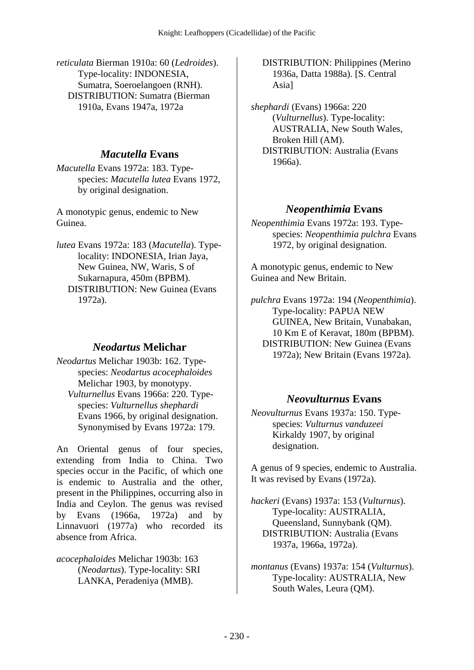*reticulata* Bierman 1910a: 60 (*Ledroides*). Type-locality: INDONESIA, Sumatra, Soeroelangoen (RNH). DISTRIBUTION: Sumatra (Bierman 1910a, Evans 1947a, 1972a

### *Macutella* **Evans**

*Macutella* Evans 1972a: 183. Typespecies: *Macutella lutea* Evans 1972, by original designation.

A monotypic genus, endemic to New Guinea.

*lutea* Evans 1972a: 183 (*Macutella*). Typelocality: INDONESIA, Irian Jaya, New Guinea, NW, Waris, S of Sukarnapura, 450m (BPBM). DISTRIBUTION: New Guinea (Evans 1972a).

## *Neodartus* **Melichar**

*Neodartus* Melichar 1903b: 162. Typespecies: *Neodartus acocephaloides* Melichar 1903, by monotypy.  *Vulturnellus* Evans 1966a: 220. Typespecies: *Vulturnellus shephardi* Evans 1966, by original designation. Synonymised by Evans 1972a: 179.

An Oriental genus of four species, extending from India to China. Two species occur in the Pacific, of which one is endemic to Australia and the other, present in the Philippines, occurring also in India and Ceylon. The genus was revised by Evans (1966a, 1972a) and by Linnavuori (1977a) who recorded its absence from Africa.

*acocephaloides* Melichar 1903b: 163 (*Neodartus*). Type-locality: SRI LANKA, Peradeniya (MMB).

 DISTRIBUTION: Philippines (Merino 1936a, Datta 1988a). [S. Central Asia]

*shephardi* (Evans) 1966a: 220 (*Vulturnellus*). Type-locality: AUSTRALIA, New South Wales, Broken Hill (AM). DISTRIBUTION: Australia (Evans 1966a).

### *Neopenthimia* **Evans**

*Neopenthimia* Evans 1972a: 193. Typespecies: *Neopenthimia pulchra* Evans 1972, by original designation.

A monotypic genus, endemic to New Guinea and New Britain.

*pulchra* Evans 1972a: 194 (*Neopenthimia*). Type-locality: PAPUA NEW GUINEA, New Britain, Vunabakan, 10 Km E of Keravat, 180m (BPBM). DISTRIBUTION: New Guinea (Evans 1972a); New Britain (Evans 1972a).

## *Neovulturnus* **Evans**

*Neovulturnus* Evans 1937a: 150. Typespecies: *Vulturnus vanduzeei* Kirkaldy 1907, by original designation.

A genus of 9 species, endemic to Australia. It was revised by Evans (1972a).

*hackeri* (Evans) 1937a: 153 (*Vulturnus*). Type-locality: AUSTRALIA, Queensland, Sunnybank (QM). DISTRIBUTION: Australia (Evans 1937a, 1966a, 1972a).

*montanus* (Evans) 1937a: 154 (*Vulturnus*). Type-locality: AUSTRALIA, New South Wales, Leura (QM).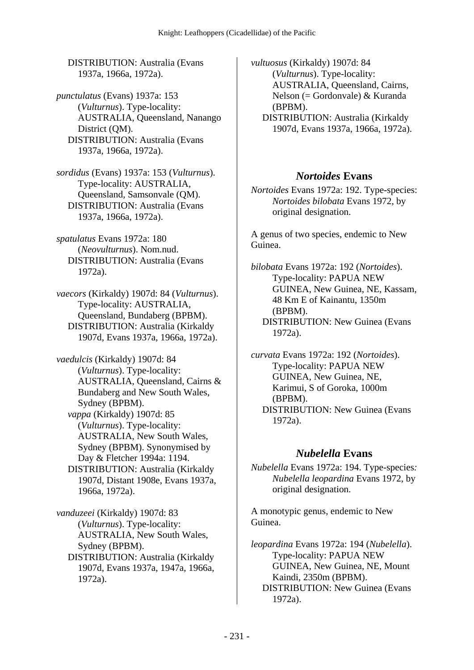DISTRIBUTION: Australia (Evans 1937a, 1966a, 1972a).

*punctulatus* (Evans) 1937a: 153 (*Vulturnus*). Type-locality: AUSTRALIA, Queensland, Nanango District (OM). DISTRIBUTION: Australia (Evans 1937a, 1966a, 1972a).

*sordidus* (Evans) 1937a: 153 (*Vulturnus*). Type-locality: AUSTRALIA, Queensland, Samsonvale (QM). DISTRIBUTION: Australia (Evans 1937a, 1966a, 1972a).

*spatulatus* Evans 1972a: 180 (*Neovulturnus*). Nom.nud. DISTRIBUTION: Australia (Evans 1972a).

*vaecors* (Kirkaldy) 1907d: 84 (*Vulturnus*). Type-locality: AUSTRALIA, Queensland, Bundaberg (BPBM). DISTRIBUTION: Australia (Kirkaldy 1907d, Evans 1937a, 1966a, 1972a).

*vaedulcis* (Kirkaldy) 1907d: 84 (*Vulturnus*). Type-locality: AUSTRALIA, Queensland, Cairns & Bundaberg and New South Wales, Sydney (BPBM).  *vappa* (Kirkaldy) 1907d: 85 (*Vulturnus*). Type-locality: AUSTRALIA, New South Wales, Sydney (BPBM). Synonymised by Day & Fletcher 1994a: 1194. DISTRIBUTION: Australia (Kirkaldy

1907d, Distant 1908e, Evans 1937a, 1966a, 1972a).

*vanduzeei* (Kirkaldy) 1907d: 83 (*Vulturnus*). Type-locality: AUSTRALIA, New South Wales, Sydney (BPBM). DISTRIBUTION: Australia (Kirkaldy 1907d, Evans 1937a, 1947a, 1966a,

1972a).

*vultuosus* (Kirkaldy) 1907d: 84 (*Vulturnus*). Type-locality: AUSTRALIA, Queensland, Cairns, Nelson (= Gordonvale) & Kuranda (BPBM).

 DISTRIBUTION: Australia (Kirkaldy 1907d, Evans 1937a, 1966a, 1972a).

#### *Nortoides* **Evans**

*Nortoides* Evans 1972a: 192. Type-species: *Nortoides bilobata* Evans 1972, by original designation.

A genus of two species, endemic to New Guinea.

*bilobata* Evans 1972a: 192 (*Nortoides*). Type-locality: PAPUA NEW GUINEA, New Guinea, NE, Kassam, 48 Km E of Kainantu, 1350m (BPBM). DISTRIBUTION: New Guinea (Evans 1972a).

*curvata* Evans 1972a: 192 (*Nortoides*). Type-locality: PAPUA NEW GUINEA, New Guinea, NE, Karimui, S of Goroka, 1000m (BPBM). DISTRIBUTION: New Guinea (Evans 1972a).

#### *Nubelella* **Evans**

*Nubelella* Evans 1972a: 194. Type-species*: Nubelella leopardina* Evans 1972, by original designation.

A monotypic genus, endemic to New Guinea.

*leopardina* Evans 1972a: 194 (*Nubelella*). Type-locality: PAPUA NEW GUINEA, New Guinea, NE, Mount Kaindi, 2350m (BPBM). DISTRIBUTION: New Guinea (Evans 1972a).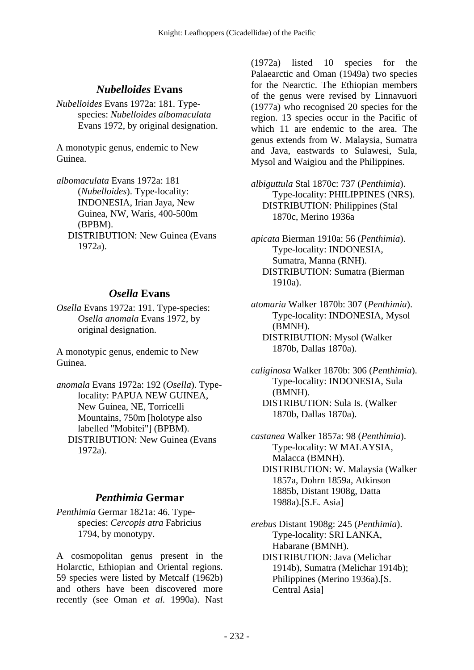## *Nubelloides* **Evans**

*Nubelloides* Evans 1972a: 181. Typespecies: *Nubelloides albomaculata* Evans 1972, by original designation.

A monotypic genus, endemic to New Guinea.

*albomaculata* Evans 1972a: 181 (*Nubelloides*). Type-locality: INDONESIA, Irian Jaya, New Guinea, NW, Waris, 400-500m (BPBM). DISTRIBUTION: New Guinea (Evans 1972a).

## *Osella* **Evans**

*Osella* Evans 1972a: 191. Type-species: *Osella anomala* Evans 1972, by original designation.

A monotypic genus, endemic to New Guinea.

*anomala* Evans 1972a: 192 (*Osella*). Typelocality: PAPUA NEW GUINEA, New Guinea, NE, Torricelli Mountains, 750m [holotype also labelled "Mobitei"] (BPBM). DISTRIBUTION: New Guinea (Evans 1972a).

## *Penthimia* **Germar**

*Penthimia* Germar 1821a: 46. Typespecies: *Cercopis atra* Fabricius 1794, by monotypy.

A cosmopolitan genus present in the Holarctic, Ethiopian and Oriental regions. 59 species were listed by Metcalf (1962b) and others have been discovered more recently (see Oman *et al.* 1990a). Nast

(1972a) listed 10 species for the Palaearctic and Oman (1949a) two species for the Nearctic. The Ethiopian members of the genus were revised by Linnavuori (1977a) who recognised 20 species for the region. 13 species occur in the Pacific of which 11 are endemic to the area. The genus extends from W. Malaysia, Sumatra and Java, eastwards to Sulawesi, Sula, Mysol and Waigiou and the Philippines.

*albiguttula* Stal 1870c: 737 (*Penthimia*). Type-locality: PHILIPPINES (NRS). DISTRIBUTION: Philippines (Stal 1870c, Merino 1936a

*apicata* Bierman 1910a: 56 (*Penthimia*). Type-locality: INDONESIA, Sumatra, Manna (RNH). DISTRIBUTION: Sumatra (Bierman 1910a).

*atomaria* Walker 1870b: 307 (*Penthimia*). Type-locality: INDONESIA, Mysol (BMNH). DISTRIBUTION: Mysol (Walker 1870b, Dallas 1870a).

*caliginosa* Walker 1870b: 306 (*Penthimia*). Type-locality: INDONESIA, Sula (BMNH). DISTRIBUTION: Sula Is. (Walker 1870b, Dallas 1870a).

*castanea* Walker 1857a: 98 (*Penthimia*). Type-locality: W MALAYSIA, Malacca (BMNH). DISTRIBUTION: W. Malaysia (Walker 1857a, Dohrn 1859a, Atkinson 1885b, Distant 1908g, Datta 1988a).[S.E. Asia]

*erebus* Distant 1908g: 245 (*Penthimia*). Type-locality: SRI LANKA, Habarane (BMNH). DISTRIBUTION: Java (Melichar 1914b), Sumatra (Melichar 1914b); Philippines (Merino 1936a).[S. Central Asia]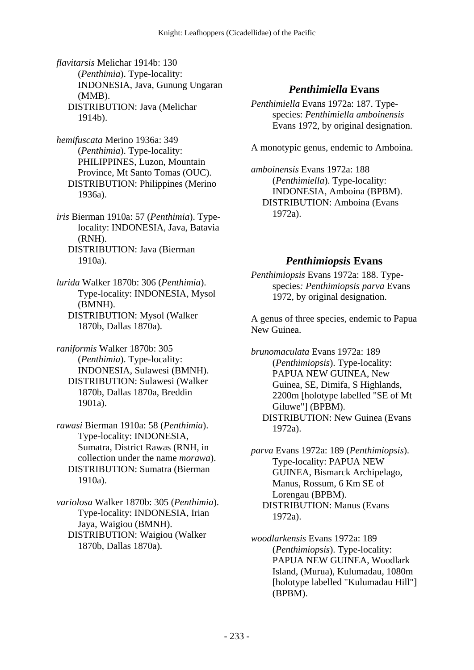*flavitarsis* Melichar 1914b: 130 (*Penthimia*). Type-locality: INDONESIA, Java, Gunung Ungaran (MMB). DISTRIBUTION: Java (Melichar 1914b).

*hemifuscata* Merino 1936a: 349 (*Penthimia*). Type-locality: PHILIPPINES, Luzon, Mountain Province, Mt Santo Tomas (OUC). DISTRIBUTION: Philippines (Merino 1936a).

*iris* Bierman 1910a: 57 (*Penthimia*). Typelocality: INDONESIA, Java, Batavia (RNH). DISTRIBUTION: Java (Bierman 1910a).

*lurida* Walker 1870b: 306 (*Penthimia*). Type-locality: INDONESIA, Mysol (BMNH). DISTRIBUTION: Mysol (Walker 1870b, Dallas 1870a).

*raniformis* Walker 1870b: 305 (*Penthimia*). Type-locality: INDONESIA, Sulawesi (BMNH). DISTRIBUTION: Sulawesi (Walker 1870b, Dallas 1870a, Breddin 1901a).

*rawasi* Bierman 1910a: 58 (*Penthimia*). Type-locality: INDONESIA, Sumatra, District Rawas (RNH, in collection under the name *morawa*). DISTRIBUTION: Sumatra (Bierman 1910a).

*variolosa* Walker 1870b: 305 (*Penthimia*). Type-locality: INDONESIA, Irian Jaya, Waigiou (BMNH). DISTRIBUTION: Waigiou (Walker 1870b, Dallas 1870a).

### *Penthimiella* **Evans**

*Penthimiella* Evans 1972a: 187. Typespecies: *Penthimiella amboinensis* Evans 1972, by original designation.

A monotypic genus, endemic to Amboina.

*amboinensis* Evans 1972a: 188 (*Penthimiella*). Type-locality: INDONESIA, Amboina (BPBM). DISTRIBUTION: Amboina (Evans 1972a).

## *Penthimiopsis* **Evans**

*Penthimiopsis* Evans 1972a: 188. Typespecies*: Penthimiopsis parva* Evans 1972, by original designation.

A genus of three species, endemic to Papua New Guinea.

*brunomaculata* Evans 1972a: 189 (*Penthimiopsis*). Type-locality: PAPUA NEW GUINEA, New Guinea, SE, Dimifa, S Highlands, 2200m [holotype labelled "SE of Mt Giluwe"] (BPBM). DISTRIBUTION: New Guinea (Evans 1972a).

*parva* Evans 1972a: 189 (*Penthimiopsis*). Type-locality: PAPUA NEW GUINEA, Bismarck Archipelago, Manus, Rossum, 6 Km SE of Lorengau (BPBM). DISTRIBUTION: Manus (Evans 1972a).

*woodlarkensis* Evans 1972a: 189 (*Penthimiopsis*). Type-locality: PAPUA NEW GUINEA, Woodlark Island, (Murua), Kulumadau, 1080m [holotype labelled "Kulumadau Hill"] (BPBM).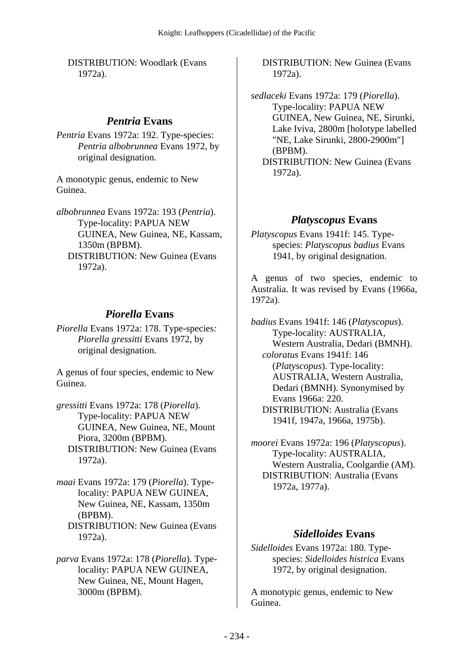DISTRIBUTION: Woodlark (Evans 1972a).

#### *Pentria* **Evans**

*Pentria* Evans 1972a: 192. Type-species: *Pentria albobrunnea* Evans 1972, by original designation.

A monotypic genus, endemic to New Guinea.

*albobrunnea* Evans 1972a: 193 (*Pentria*). Type-locality: PAPUA NEW GUINEA, New Guinea, NE, Kassam, 1350m (BPBM). DISTRIBUTION: New Guinea (Evans 1972a).

#### *Piorella* **Evans**

*Piorella* Evans 1972a: 178. Type-species*: Piorella gressitti* Evans 1972, by original designation.

A genus of four species, endemic to New Guinea.

*gressitti* Evans 1972a: 178 (*Piorella*). Type-locality: PAPUA NEW GUINEA, New Guinea, NE, Mount Piora, 3200m (BPBM). DISTRIBUTION: New Guinea (Evans 1972a).

*maai* Evans 1972a: 179 (*Piorella*). Typelocality: PAPUA NEW GUINEA, New Guinea, NE, Kassam, 1350m (BPBM). DISTRIBUTION: New Guinea (Evans 1972a).

*parva* Evans 1972a: 178 (*Piorella*). Typelocality: PAPUA NEW GUINEA, New Guinea, NE, Mount Hagen, 3000m (BPBM).

 DISTRIBUTION: New Guinea (Evans 1972a).

*sedlaceki* Evans 1972a: 179 (*Piorella*). Type-locality: PAPUA NEW GUINEA, New Guinea, NE, Sirunki, Lake Iviva, 2800m [holotype labelled "NE, Lake Sirunki, 2800-2900m"] (BPBM). DISTRIBUTION: New Guinea (Evans 1972a).

#### *Platyscopus* **Evans**

*Platyscopus* Evans 1941f: 145. Typespecies: *Platyscopus badius* Evans 1941, by original designation.

A genus of two species, endemic to Australia. It was revised by Evans (1966a, 1972a).

*badius* Evans 1941f: 146 (*Platyscopus*). Type-locality: AUSTRALIA, Western Australia, Dedari (BMNH).  *coloratus* Evans 1941f: 146 (*Platyscopus*). Type-locality: AUSTRALIA, Western Australia, Dedari (BMNH). Synonymised by Evans 1966a: 220. DISTRIBUTION: Australia (Evans 1941f, 1947a, 1966a, 1975b).

*moorei* Evans 1972a: 196 (*Platyscopus*). Type-locality: AUSTRALIA, Western Australia, Coolgardie (AM). DISTRIBUTION: Australia (Evans 1972a, 1977a).

#### *Sidelloides* **Evans**

*Sidelloides* Evans 1972a: 180. Typespecies: *Sidelloides histrica* Evans 1972, by original designation.

A monotypic genus, endemic to New Guinea.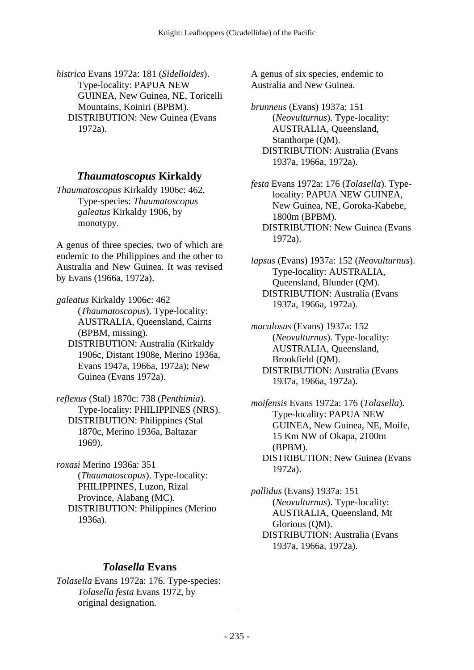*histrica* Evans 1972a: 181 (*Sidelloides*). Type-locality: PAPUA NEW GUINEA, New Guinea, NE, Toricelli Mountains, Koiniri (BPBM). DISTRIBUTION: New Guinea (Evans 1972a).

### *Thaumatoscopus* **Kirkaldy**

*Thaumatoscopus* Kirkaldy 1906c: 462. Type-species: *Thaumatoscopus galeatus* Kirkaldy 1906, by monotypy.

A genus of three species, two of which are endemic to the Philippines and the other to Australia and New Guinea. It was revised by Evans (1966a, 1972a).

*galeatus* Kirkaldy 1906c: 462 (*Thaumatoscopus*). Type-locality: AUSTRALIA, Queensland, Cairns (BPBM, missing). DISTRIBUTION: Australia (Kirkaldy 1906c, Distant 1908e, Merino 1936a, Evans 1947a, 1966a, 1972a); New

Guinea (Evans 1972a).

*reflexus* (Stal) 1870c: 738 (*Penthimia*). Type-locality: PHILIPPINES (NRS). DISTRIBUTION: Philippines (Stal 1870c, Merino 1936a, Baltazar 1969).

*roxasi* Merino 1936a: 351 (*Thaumatoscopus*). Type-locality: PHILIPPINES, Luzon, Rizal Province, Alabang (MC). DISTRIBUTION: Philippines (Merino 1936a).

## *Tolasella* **Evans**

*Tolasella* Evans 1972a: 176. Type-species: *Tolasella festa* Evans 1972, by original designation.

A genus of six species, endemic to Australia and New Guinea.

*brunneus* (Evans) 1937a: 151 (*Neovulturnus*). Type-locality: AUSTRALIA, Queensland, Stanthorpe (QM). DISTRIBUTION: Australia (Evans 1937a, 1966a, 1972a).

*festa* Evans 1972a: 176 (*Tolasella*). Typelocality: PAPUA NEW GUINEA, New Guinea, NE, Goroka-Kabebe, 1800m (BPBM). DISTRIBUTION: New Guinea (Evans 1972a).

*lapsus* (Evans) 1937a: 152 (*Neovulturnus*). Type-locality: AUSTRALIA, Queensland, Blunder (QM). DISTRIBUTION: Australia (Evans 1937a, 1966a, 1972a).

*maculosus* (Evans) 1937a: 152 (*Neovulturnus*). Type-locality: AUSTRALIA, Queensland, Brookfield (QM). DISTRIBUTION: Australia (Evans 1937a, 1966a, 1972a).

*moifensis* Evans 1972a: 176 (*Tolasella*). Type-locality: PAPUA NEW GUINEA, New Guinea, NE, Moife, 15 Km NW of Okapa, 2100m (BPBM). DISTRIBUTION: New Guinea (Evans 1972a).

*pallidus* (Evans) 1937a: 151 (*Neovulturnus*). Type-locality: AUSTRALIA, Queensland, Mt Glorious (QM). DISTRIBUTION: Australia (Evans 1937a, 1966a, 1972a).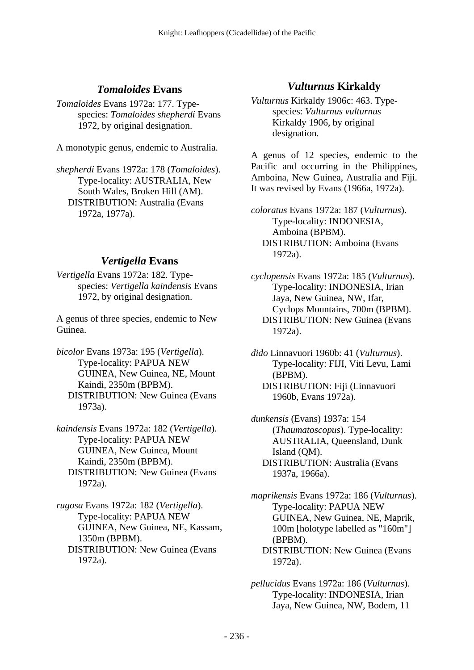### *Tomaloides* **Evans**

*Tomaloides* Evans 1972a: 177. Typespecies: *Tomaloides shepherdi* Evans 1972, by original designation.

A monotypic genus, endemic to Australia.

*shepherdi* Evans 1972a: 178 (*Tomaloides*). Type-locality: AUSTRALIA, New South Wales, Broken Hill (AM). DISTRIBUTION: Australia (Evans 1972a, 1977a).

## *Vertigella* **Evans**

*Vertigella* Evans 1972a: 182. Typespecies: *Vertigella kaindensis* Evans 1972, by original designation.

A genus of three species, endemic to New Guinea.

- *bicolor* Evans 1973a: 195 (*Vertigella*). Type-locality: PAPUA NEW GUINEA, New Guinea, NE, Mount Kaindi, 2350m (BPBM). DISTRIBUTION: New Guinea (Evans 1973a).
- *kaindensis* Evans 1972a: 182 (*Vertigella*). Type-locality: PAPUA NEW GUINEA, New Guinea, Mount Kaindi, 2350m (BPBM). DISTRIBUTION: New Guinea (Evans 1972a).

*rugosa* Evans 1972a: 182 (*Vertigella*). Type-locality: PAPUA NEW GUINEA, New Guinea, NE, Kassam, 1350m (BPBM). DISTRIBUTION: New Guinea (Evans 1972a).

## *Vulturnus* **Kirkaldy**

*Vulturnus* Kirkaldy 1906c: 463. Typespecies: *Vulturnus vulturnus* Kirkaldy 1906, by original designation.

A genus of 12 species, endemic to the Pacific and occurring in the Philippines, Amboina, New Guinea, Australia and Fiji. It was revised by Evans (1966a, 1972a).

*coloratus* Evans 1972a: 187 (*Vulturnus*). Type-locality: INDONESIA, Amboina (BPBM). DISTRIBUTION: Amboina (Evans 1972a).

*cyclopensis* Evans 1972a: 185 (*Vulturnus*). Type-locality: INDONESIA, Irian Jaya, New Guinea, NW, Ifar, Cyclops Mountains, 700m (BPBM). DISTRIBUTION: New Guinea (Evans 1972a).

*dido* Linnavuori 1960b: 41 (*Vulturnus*). Type-locality: FIJI, Viti Levu, Lami (BPBM). DISTRIBUTION: Fiji (Linnavuori 1960b, Evans 1972a).

*dunkensis* (Evans) 1937a: 154 (*Thaumatoscopus*). Type-locality: AUSTRALIA, Queensland, Dunk Island (QM). DISTRIBUTION: Australia (Evans 1937a, 1966a).

*maprikensis* Evans 1972a: 186 (*Vulturnus*). Type-locality: PAPUA NEW GUINEA, New Guinea, NE, Maprik, 100m [holotype labelled as "160m"] (BPBM). DISTRIBUTION: New Guinea (Evans 1972a).

*pellucidus* Evans 1972a: 186 (*Vulturnus*). Type-locality: INDONESIA, Irian Jaya, New Guinea, NW, Bodem, 11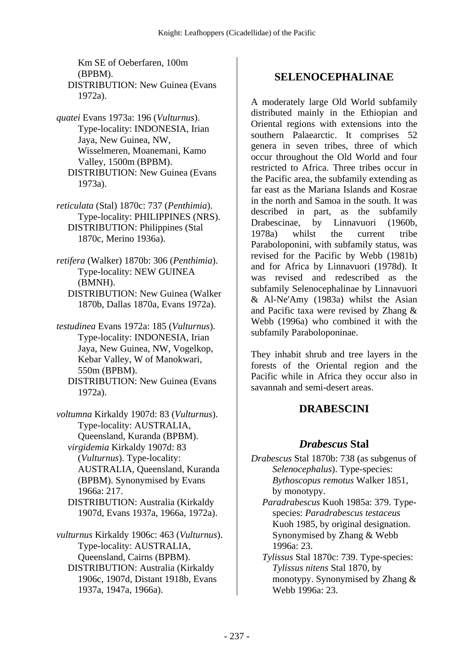Km SE of Oeberfaren, 100m (BPBM). DISTRIBUTION: New Guinea (Evans 1972a).

- *quatei* Evans 1973a: 196 (*Vulturnus*). Type-locality: INDONESIA, Irian Jaya, New Guinea, NW, Wisselmeren, Moanemani, Kamo Valley, 1500m (BPBM). DISTRIBUTION: New Guinea (Evans 1973a).
- *reticulata* (Stal) 1870c: 737 (*Penthimia*). Type-locality: PHILIPPINES (NRS). DISTRIBUTION: Philippines (Stal 1870c, Merino 1936a).
- *retifera* (Walker) 1870b: 306 (*Penthimia*). Type-locality: NEW GUINEA (BMNH). DISTRIBUTION: New Guinea (Walker
	- 1870b, Dallas 1870a, Evans 1972a).
- *testudinea* Evans 1972a: 185 (*Vulturnus*). Type-locality: INDONESIA, Irian Jaya, New Guinea, NW, Vogelkop, Kebar Valley, W of Manokwari, 550m (BPBM).
	- DISTRIBUTION: New Guinea (Evans 1972a).
- *voltumna* Kirkaldy 1907d: 83 (*Vulturnus*). Type-locality: AUSTRALIA, Queensland, Kuranda (BPBM).  *virgidemia* Kirkaldy 1907d: 83 (*Vulturnus*). Type-locality: AUSTRALIA, Queensland, Kuranda (BPBM). Synonymised by Evans 1966a: 217. DISTRIBUTION: Australia (Kirkaldy

1907d, Evans 1937a, 1966a, 1972a).

*vulturnus* Kirkaldy 1906c: 463 (*Vulturnus*). Type-locality: AUSTRALIA, Queensland, Cairns (BPBM). DISTRIBUTION: Australia (Kirkaldy 1906c, 1907d, Distant 1918b, Evans 1937a, 1947a, 1966a).

### **SELENOCEPHALINAE**

A moderately large Old World subfamily distributed mainly in the Ethiopian and Oriental regions with extensions into the southern Palaearctic. It comprises 52 genera in seven tribes, three of which occur throughout the Old World and four restricted to Africa. Three tribes occur in the Pacific area, the subfamily extending as far east as the Mariana Islands and Kosrae in the north and Samoa in the south. It was described in part, as the subfamily Drabescinae, by Linnavuori (1960b, 1978a) whilst the current tribe Paraboloponini, with subfamily status, was revised for the Pacific by Webb (1981b) and for Africa by Linnavuori (1978d). It was revised and redescribed as the subfamily Selenocephalinae by Linnavuori & Al-Ne'Amy (1983a) whilst the Asian and Pacific taxa were revised by Zhang & Webb (1996a) who combined it with the subfamily Paraboloponinae.

They inhabit shrub and tree layers in the forests of the Oriental region and the Pacific while in Africa they occur also in savannah and semi-desert areas.

#### **DRABESCINI**

#### *Drabescus* **Stal**

*Drabescus* Stal 1870b: 738 (as subgenus of *Selenocephalus*). Type-species: *Bythoscopus remotus* Walker 1851, by monotypy.

 *Paradrabescus* Kuoh 1985a: 379. Typespecies: *Paradrabescus testaceus* Kuoh 1985, by original designation. Synonymised by Zhang & Webb 1996a: 23.

 *Tylissus* Stal 1870c: 739. Type-species: *Tylissus nitens* Stal 1870, by monotypy. Synonymised by Zhang & Webb 1996a: 23.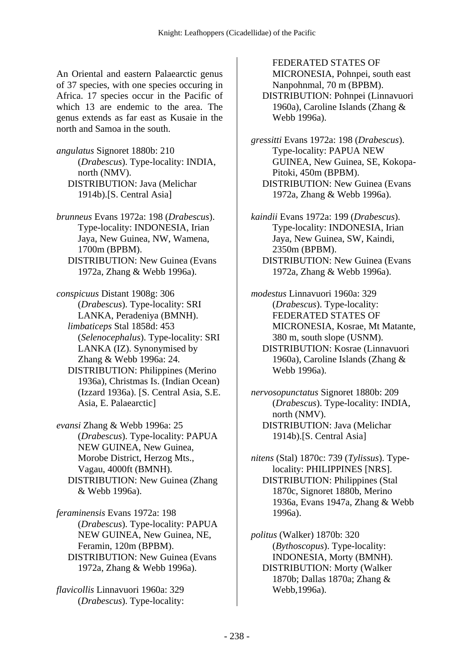An Oriental and eastern Palaearctic genus of 37 species, with one species occuring in Africa. 17 species occur in the Pacific of which 13 are endemic to the area. The genus extends as far east as Kusaie in the north and Samoa in the south.

*angulatus* Signoret 1880b: 210 (*Drabescus*). Type-locality: INDIA, north (NMV). DISTRIBUTION: Java (Melichar 1914b).[S. Central Asia]

*brunneus* Evans 1972a: 198 (*Drabescus*). Type-locality: INDONESIA, Irian Jaya, New Guinea, NW, Wamena, 1700m (BPBM). DISTRIBUTION: New Guinea (Evans 1972a, Zhang & Webb 1996a).

*conspicuus* Distant 1908g: 306 (*Drabescus*). Type-locality: SRI LANKA, Peradeniya (BMNH).  *limbaticeps* Stal 1858d: 453 (*Selenocephalus*). Type-locality: SRI LANKA (IZ). Synonymised by Zhang & Webb 1996a: 24. DISTRIBUTION: Philippines (Merino 1936a), Christmas Is. (Indian Ocean) (Izzard 1936a). [S. Central Asia, S.E. Asia, E. Palaearctic]

*evansi* Zhang & Webb 1996a: 25 (*Drabescus*). Type-locality: PAPUA NEW GUINEA, New Guinea, Morobe District, Herzog Mts., Vagau, 4000ft (BMNH). DISTRIBUTION: New Guinea (Zhang & Webb 1996a).

*feraminensis* Evans 1972a: 198 (*Drabescus*). Type-locality: PAPUA NEW GUINEA, New Guinea, NE, Feramin, 120m (BPBM). DISTRIBUTION: New Guinea (Evans 1972a, Zhang & Webb 1996a).

*flavicollis* Linnavuori 1960a: 329 (*Drabescus*). Type-locality:

FEDERATED STATES OF MICRONESIA, Pohnpei, south east Nanpohnmal, 70 m (BPBM).

 DISTRIBUTION: Pohnpei (Linnavuori 1960a), Caroline Islands (Zhang & Webb 1996a).

*gressitti* Evans 1972a: 198 (*Drabescus*). Type-locality: PAPUA NEW GUINEA, New Guinea, SE, Kokopa-Pitoki, 450m (BPBM). DISTRIBUTION: New Guinea (Evans 1972a, Zhang & Webb 1996a).

*kaindii* Evans 1972a: 199 (*Drabescus*). Type-locality: INDONESIA, Irian Jaya, New Guinea, SW, Kaindi, 2350m (BPBM). DISTRIBUTION: New Guinea (Evans 1972a, Zhang & Webb 1996a).

*modestus* Linnavuori 1960a: 329 (*Drabescus*). Type-locality: FEDERATED STATES OF MICRONESIA, Kosrae, Mt Matante, 380 m, south slope (USNM). DISTRIBUTION: Kosrae (Linnavuori 1960a), Caroline Islands (Zhang & Webb 1996a).

*nervosopunctatus* Signoret 1880b: 209 (*Drabescus*). Type-locality: INDIA, north (NMV). DISTRIBUTION: Java (Melichar 1914b).[S. Central Asia]

*nitens* (Stal) 1870c: 739 (*Tylissus*). Typelocality: PHILIPPINES [NRS]. DISTRIBUTION: Philippines (Stal 1870c, Signoret 1880b, Merino 1936a, Evans 1947a, Zhang & Webb 1996a).

*politus* (Walker) 1870b: 320 (*Bythoscopus*). Type-locality: INDONESIA, Morty (BMNH). DISTRIBUTION: Morty (Walker 1870b; Dallas 1870a; Zhang & Webb,1996a).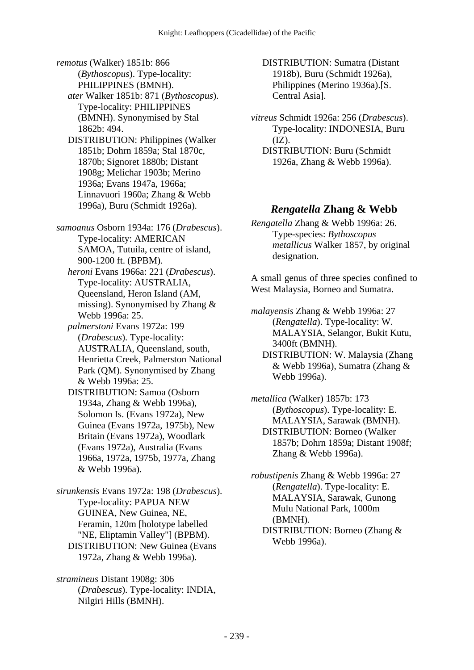*remotus* (Walker) 1851b: 866 (*Bythoscopus*). Type-locality: PHILIPPINES (BMNH).

 *ater* Walker 1851b: 871 (*Bythoscopus*). Type-locality: PHILIPPINES (BMNH). Synonymised by Stal 1862b: 494.

 DISTRIBUTION: Philippines (Walker 1851b; Dohrn 1859a; Stal 1870c, 1870b; Signoret 1880b; Distant 1908g; Melichar 1903b; Merino 1936a; Evans 1947a, 1966a; Linnavuori 1960a; Zhang & Webb 1996a), Buru (Schmidt 1926a).

*samoanus* Osborn 1934a: 176 (*Drabescus*). Type-locality: AMERICAN SAMOA, Tutuila, centre of island, 900-1200 ft. (BPBM).

 *heroni* Evans 1966a: 221 (*Drabescus*). Type-locality: AUSTRALIA, Queensland, Heron Island (AM, missing). Synonymised by Zhang & Webb 1996a: 25.

 *palmerstoni* Evans 1972a: 199 (*Drabescus*). Type-locality: AUSTRALIA, Queensland, south, Henrietta Creek, Palmerston National Park (QM). Synonymised by Zhang & Webb 1996a: 25.

 DISTRIBUTION: Samoa (Osborn 1934a, Zhang & Webb 1996a), Solomon Is. (Evans 1972a), New Guinea (Evans 1972a, 1975b), New Britain (Evans 1972a), Woodlark (Evans 1972a), Australia (Evans 1966a, 1972a, 1975b, 1977a, Zhang & Webb 1996a).

*sirunkensis* Evans 1972a: 198 (*Drabescus*). Type-locality: PAPUA NEW GUINEA, New Guinea, NE, Feramin, 120m [holotype labelled "NE, Eliptamin Valley"] (BPBM). DISTRIBUTION: New Guinea (Evans 1972a, Zhang & Webb 1996a).

*stramineus* Distant 1908g: 306 (*Drabescus*). Type-locality: INDIA, Nilgiri Hills (BMNH).

 DISTRIBUTION: Sumatra (Distant 1918b), Buru (Schmidt 1926a), Philippines (Merino 1936a).[S. Central Asia].

*vitreus* Schmidt 1926a: 256 (*Drabescus*). Type-locality: INDONESIA, Buru  $(IZ).$ 

 DISTRIBUTION: Buru (Schmidt 1926a, Zhang & Webb 1996a).

#### *Rengatella* **Zhang & Webb**

*Rengatella* Zhang & Webb 1996a: 26. Type-species: *Bythoscopus metallicus* Walker 1857, by original designation.

A small genus of three species confined to West Malaysia, Borneo and Sumatra.

*malayensis* Zhang & Webb 1996a: 27 (*Rengatella*). Type-locality: W. MALAYSIA, Selangor, Bukit Kutu, 3400ft (BMNH).

 DISTRIBUTION: W. Malaysia (Zhang & Webb 1996a), Sumatra (Zhang & Webb 1996a).

*metallica* (Walker) 1857b: 173 (*Bythoscopus*). Type-locality: E. MALAYSIA, Sarawak (BMNH). DISTRIBUTION: Borneo (Walker 1857b; Dohrn 1859a; Distant 1908f; Zhang & Webb 1996a).

*robustipenis* Zhang & Webb 1996a: 27 (*Rengatella*). Type-locality: E. MALAYSIA, Sarawak, Gunong Mulu National Park, 1000m (BMNH). DISTRIBUTION: Borneo (Zhang &

Webb 1996a).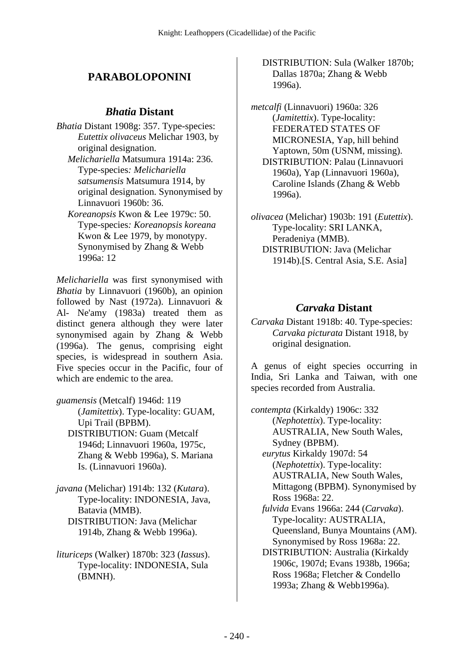### **PARABOLOPONINI**

#### *Bhatia* **Distant**

- *Bhatia* Distant 1908g: 357. Type-species: *Eutettix olivaceus* Melichar 1903, by original designation.
	- *Melichariella* Matsumura 1914a: 236. Type-species*: Melichariella satsumensis* Matsumura 1914, by original designation. Synonymised by Linnavuori 1960b: 36.
	- *Koreanopsis* Kwon & Lee 1979c: 50. Type-species*: Koreanopsis koreana* Kwon & Lee 1979, by monotypy. Synonymised by Zhang & Webb 1996a: 12

*Melichariella* was first synonymised with *Bhatia* by Linnavuori (1960b), an opinion followed by Nast (1972a). Linnavuori & Al- Ne'amy (1983a) treated them as distinct genera although they were later synonymised again by Zhang & Webb (1996a). The genus, comprising eight species, is widespread in southern Asia. Five species occur in the Pacific, four of which are endemic to the area.

- *guamensis* (Metcalf) 1946d: 119 (*Jamitettix*). Type-locality: GUAM, Upi Trail (BPBM). DISTRIBUTION: Guam (Metcalf 1946d; Linnavuori 1960a, 1975c, Zhang & Webb 1996a), S. Mariana Is. (Linnavuori 1960a).
- *javana* (Melichar) 1914b: 132 (*Kutara*). Type-locality: INDONESIA, Java, Batavia (MMB). DISTRIBUTION: Java (Melichar 1914b, Zhang & Webb 1996a).
- *lituriceps* (Walker) 1870b: 323 (*Iassus*). Type-locality: INDONESIA, Sula (BMNH).

 DISTRIBUTION: Sula (Walker 1870b; Dallas 1870a; Zhang & Webb 1996a).

*metcalfi* (Linnavuori) 1960a: 326 (*Jamitettix*). Type-locality: FEDERATED STATES OF MICRONESIA, Yap, hill behind Yaptown, 50m (USNM, missing). DISTRIBUTION: Palau (Linnavuori 1960a), Yap (Linnavuori 1960a), Caroline Islands (Zhang & Webb 1996a).

*olivacea* (Melichar) 1903b: 191 (*Eutettix*). Type-locality: SRI LANKA, Peradeniya (MMB). DISTRIBUTION: Java (Melichar 1914b).[S. Central Asia, S.E. Asia]

#### *Carvaka* **Distant**

*Carvaka* Distant 1918b: 40. Type-species: *Carvaka picturata* Distant 1918, by original designation.

A genus of eight species occurring in India, Sri Lanka and Taiwan, with one species recorded from Australia.

*contempta* (Kirkaldy) 1906c: 332 (*Nephotettix*). Type-locality: AUSTRALIA, New South Wales, Sydney (BPBM).  *eurytus* Kirkaldy 1907d: 54 (*Nephotettix*). Type-locality: AUSTRALIA, New South Wales, Mittagong (BPBM). Synonymised by Ross 1968a: 22.  *fulvida* Evans 1966a: 244 (*Carvaka*). Type-locality: AUSTRALIA, Queensland, Bunya Mountains (AM). Synonymised by Ross 1968a: 22. DISTRIBUTION: Australia (Kirkaldy 1906c, 1907d; Evans 1938b, 1966a; Ross 1968a; Fletcher & Condello

1993a; Zhang & Webb1996a).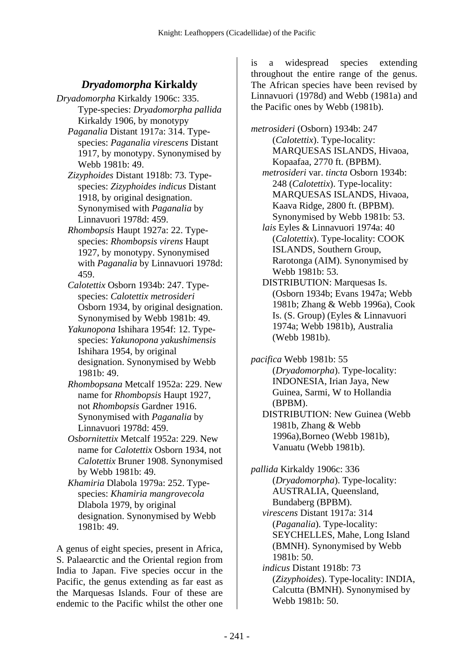### *Dryadomorpha* **Kirkaldy**

- *Dryadomorpha* Kirkaldy 1906c: 335. Type-species: *Dryadomorpha pallida* Kirkaldy 1906, by monotypy
	- *Paganalia* Distant 1917a: 314. Typespecies: *Paganalia virescens* Distant 1917, by monotypy. Synonymised by Webb 1981b: 49.
	- *Zizyphoides* Distant 1918b: 73. Typespecies: *Zizyphoides indicus* Distant 1918, by original designation. Synonymised with *Paganalia* by Linnavuori 1978d: 459.
	- *Rhombopsis* Haupt 1927a: 22. Typespecies: *Rhombopsis virens* Haupt 1927, by monotypy. Synonymised with *Paganalia* by Linnavuori 1978d: 459.
	- *Calotettix* Osborn 1934b: 247. Typespecies: *Calotettix metrosideri* Osborn 1934, by original designation. Synonymised by Webb 1981b: 49.
	- *Yakunopona* Ishihara 1954f: 12. Typespecies: *Yakunopona yakushimensis* Ishihara 1954, by original designation. Synonymised by Webb 1981b: 49.
	- *Rhombopsana* Metcalf 1952a: 229. New name for *Rhombopsis* Haupt 1927, not *Rhombopsis* Gardner 1916. Synonymised with *Paganalia* by Linnavuori 1978d: 459.
	- *Osbornitettix* Metcalf 1952a: 229. New name for *Calotettix* Osborn 1934, not *Calotettix* Bruner 1908. Synonymised by Webb 1981b: 49.
	- *Khamiria* Dlabola 1979a: 252. Typespecies: *Khamiria mangrovecola* Dlabola 1979, by original designation. Synonymised by Webb 1981b: 49.

A genus of eight species, present in Africa, S. Palaearctic and the Oriental region from India to Japan. Five species occur in the Pacific, the genus extending as far east as the Marquesas Islands. Four of these are endemic to the Pacific whilst the other one

is a widespread species extending throughout the entire range of the genus. The African species have been revised by Linnavuori (1978d) and Webb (1981a) and the Pacific ones by Webb (1981b).

*metrosideri* (Osborn) 1934b: 247 (*Calotettix*). Type-locality: MARQUESAS ISLANDS, Hivaoa, Kopaafaa, 2770 ft. (BPBM).

- *metrosideri* var. *tincta* Osborn 1934b: 248 (*Calotettix*). Type-locality: MARQUESAS ISLANDS, Hivaoa, Kaava Ridge, 2800 ft. (BPBM). Synonymised by Webb 1981b: 53.
- *lais* Eyles & Linnavuori 1974a: 40 (*Calotettix*). Type-locality: COOK ISLANDS, Southern Group, Rarotonga (AIM). Synonymised by Webb 1981b: 53.
- DISTRIBUTION: Marquesas Is. (Osborn 1934b; Evans 1947a; Webb 1981b; Zhang & Webb 1996a), Cook Is. (S. Group) (Eyles & Linnavuori 1974a; Webb 1981b), Australia (Webb 1981b).

*pacifica* Webb 1981b: 55 (*Dryadomorpha*). Type-locality: INDONESIA, Irian Jaya, New Guinea, Sarmi, W to Hollandia (BPBM). DISTRIBUTION: New Guinea (Webb 1981b, Zhang & Webb 1996a),Borneo (Webb 1981b), Vanuatu (Webb 1981b).

*pallida* Kirkaldy 1906c: 336 (*Dryadomorpha*). Type-locality: AUSTRALIA, Queensland, Bundaberg (BPBM).  *virescens* Distant 1917a: 314 (*Paganalia*). Type-locality: SEYCHELLES, Mahe, Long Island (BMNH). Synonymised by Webb 1981b: 50.  *indicus* Distant 1918b: 73 (*Zizyphoides*). Type-locality: INDIA, Calcutta (BMNH). Synonymised by

Webb 1981b: 50.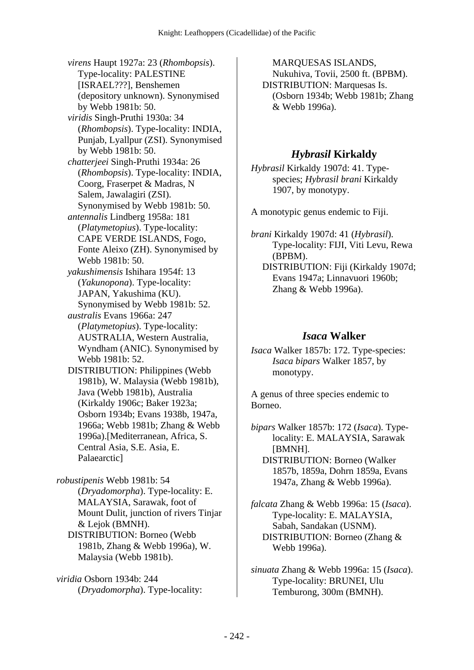*virens* Haupt 1927a: 23 (*Rhombopsis*). Type-locality: PALESTINE [ISRAEL???], Benshemen (depository unknown). Synonymised by Webb 1981b: 50.  *viridis* Singh-Pruthi 1930a: 34 (*Rhombopsis*). Type-locality: INDIA, Punjab, Lyallpur (ZSI). Synonymised by Webb 1981b: 50.  *chatterjeei* Singh-Pruthi 1934a: 26 (*Rhombopsis*). Type-locality: INDIA, Coorg, Fraserpet & Madras, N Salem, Jawalagiri (ZSI). Synonymised by Webb 1981b: 50.  *antennalis* Lindberg 1958a: 181 (*Platymetopius*). Type-locality: CAPE VERDE ISLANDS, Fogo, Fonte Aleixo (ZH). Synonymised by Webb 1981b: 50.  *yakushimensis* Ishihara 1954f: 13 (*Yakunopona*). Type-locality: JAPAN, Yakushima (KU). Synonymised by Webb 1981b: 52.  *australis* Evans 1966a: 247 (*Platymetopius*). Type-locality: AUSTRALIA, Western Australia, Wyndham (ANIC). Synonymised by Webb 1981b: 52. DISTRIBUTION: Philippines (Webb 1981b), W. Malaysia (Webb 1981b), Java (Webb 1981b), Australia (Kirkaldy 1906c; Baker 1923a; Osborn 1934b; Evans 1938b, 1947a, 1966a; Webb 1981b; Zhang & Webb 1996a).[Mediterranean, Africa, S. Central Asia, S.E. Asia, E. Palaearctic]

*robustipenis* Webb 1981b: 54 (*Dryadomorpha*). Type-locality: E. MALAYSIA, Sarawak, foot of Mount Dulit, junction of rivers Tinjar & Lejok (BMNH). DISTRIBUTION: Borneo (Webb 1981b, Zhang & Webb 1996a), W. Malaysia (Webb 1981b).

*viridia* Osborn 1934b: 244 (*Dryadomorpha*). Type-locality:

MARQUESAS ISLANDS, Nukuhiva, Tovii, 2500 ft. (BPBM). DISTRIBUTION: Marquesas Is. (Osborn 1934b; Webb 1981b; Zhang & Webb 1996a).

#### *Hybrasil* **Kirkaldy**

*Hybrasil* Kirkaldy 1907d: 41. Typespecies; *Hybrasil brani* Kirkaldy 1907, by monotypy.

A monotypic genus endemic to Fiji.

*brani* Kirkaldy 1907d: 41 (*Hybrasil*). Type-locality: FIJI, Viti Levu, Rewa (BPBM). DISTRIBUTION: Fiji (Kirkaldy 1907d; Evans 1947a; Linnavuori 1960b; Zhang & Webb 1996a).

#### *Isaca* **Walker**

*Isaca* Walker 1857b: 172. Type-species: *Isaca bipars* Walker 1857, by monotypy.

A genus of three species endemic to Borneo.

*bipars* Walker 1857b: 172 (*Isaca*). Typelocality: E. MALAYSIA, Sarawak [BMNH]. DISTRIBUTION: Borneo (Walker 1857b, 1859a, Dohrn 1859a, Evans 1947a, Zhang & Webb 1996a).

*falcata* Zhang & Webb 1996a: 15 (*Isaca*). Type-locality: E. MALAYSIA, Sabah, Sandakan (USNM). DISTRIBUTION: Borneo (Zhang & Webb 1996a).

*sinuata* Zhang & Webb 1996a: 15 (*Isaca*). Type-locality: BRUNEI, Ulu Temburong, 300m (BMNH).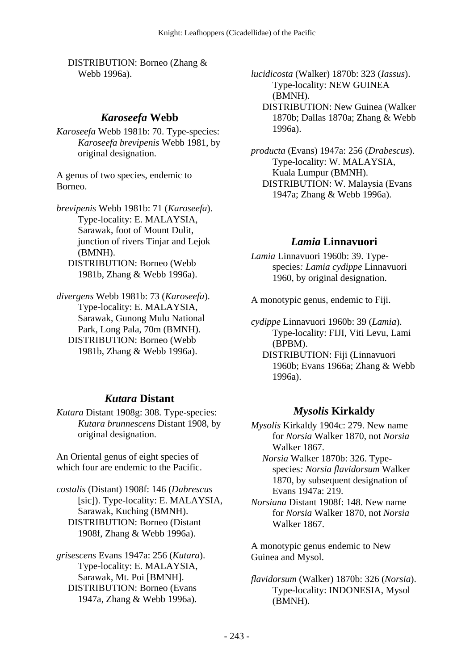DISTRIBUTION: Borneo (Zhang & Webb 1996a).

#### *Karoseefa* **Webb**

*Karoseefa* Webb 1981b: 70. Type-species: *Karoseefa brevipenis* Webb 1981, by original designation.

A genus of two species, endemic to Borneo.

*brevipenis* Webb 1981b: 71 (*Karoseefa*). Type-locality: E. MALAYSIA, Sarawak, foot of Mount Dulit, junction of rivers Tinjar and Lejok (BMNH). DISTRIBUTION: Borneo (Webb 1981b, Zhang & Webb 1996a).

*divergens* Webb 1981b: 73 (*Karoseefa*). Type-locality: E. MALAYSIA, Sarawak, Gunong Mulu National Park, Long Pala, 70m (BMNH). DISTRIBUTION: Borneo (Webb 1981b, Zhang & Webb 1996a).

#### *Kutara* **Distant**

*Kutara* Distant 1908g: 308. Type-species: *Kutara brunnescens* Distant 1908, by original designation.

An Oriental genus of eight species of which four are endemic to the Pacific.

*costalis* (Distant) 1908f: 146 (*Dabrescus* [sic]). Type-locality: E. MALAYSIA, Sarawak, Kuching (BMNH). DISTRIBUTION: Borneo (Distant 1908f, Zhang & Webb 1996a).

*grisescens* Evans 1947a: 256 (*Kutara*). Type-locality: E. MALAYSIA, Sarawak, Mt. Poi [BMNH]. DISTRIBUTION: Borneo (Evans 1947a, Zhang & Webb 1996a).

*lucidicosta* (Walker) 1870b: 323 (*Iassus*). Type-locality: NEW GUINEA (BMNH). DISTRIBUTION: New Guinea (Walker 1870b; Dallas 1870a; Zhang & Webb

1996a).

*producta* (Evans) 1947a: 256 (*Drabescus*). Type-locality: W. MALAYSIA, Kuala Lumpur (BMNH). DISTRIBUTION: W. Malaysia (Evans 1947a; Zhang & Webb 1996a).

#### *Lamia* **Linnavuori**

*Lamia* Linnavuori 1960b: 39. Typespecies*: Lamia cydippe* Linnavuori 1960, by original designation.

A monotypic genus, endemic to Fiji.

*cydippe* Linnavuori 1960b: 39 (*Lamia*). Type-locality: FIJI, Viti Levu, Lami (BPBM).

 DISTRIBUTION: Fiji (Linnavuori 1960b; Evans 1966a; Zhang & Webb 1996a).

#### *Mysolis* **Kirkaldy**

*Mysolis* Kirkaldy 1904c: 279. New name for *Norsia* Walker 1870, not *Norsia* Walker 1867.

 *Norsia* Walker 1870b: 326. Typespecies*: Norsia flavidorsum* Walker 1870, by subsequent designation of Evans 1947a: 219.

*Norsiana* Distant 1908f: 148. New name for *Norsia* Walker 1870, not *Norsia* Walker 1867.

A monotypic genus endemic to New Guinea and Mysol.

*flavidorsum* (Walker) 1870b: 326 (*Norsia*). Type-locality: INDONESIA, Mysol (BMNH).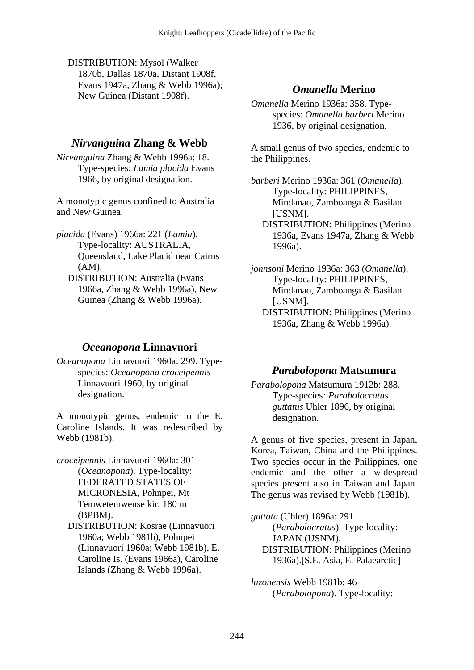DISTRIBUTION: Mysol (Walker 1870b, Dallas 1870a, Distant 1908f, Evans 1947a, Zhang & Webb 1996a); New Guinea (Distant 1908f).

### *Nirvanguina* **Zhang & Webb**

*Nirvanguina* Zhang & Webb 1996a: 18. Type-species: *Lamia placida* Evans 1966, by original designation.

A monotypic genus confined to Australia and New Guinea.

- *placida* (Evans) 1966a: 221 (*Lamia*). Type-locality: AUSTRALIA, Queensland, Lake Placid near Cairns (AM). DISTRIBUTION: Australia (Evans
	- 1966a, Zhang & Webb 1996a), New Guinea (Zhang & Webb 1996a).

## *Oceanopona* **Linnavuori**

*Oceanopona* Linnavuori 1960a: 299. Typespecies: *Oceanopona croceipennis* Linnavuori 1960, by original designation.

A monotypic genus, endemic to the E. Caroline Islands. It was redescribed by Webb (1981b).

- *croceipennis* Linnavuori 1960a: 301 (*Oceanopona*). Type-locality: FEDERATED STATES OF MICRONESIA, Pohnpei, Mt Temwetemwense kir, 180 m (BPBM). DISTRIBUTION: Kosrae (Linnavuori
	- 1960a; Webb 1981b), Pohnpei (Linnavuori 1960a; Webb 1981b), E. Caroline Is. (Evans 1966a), Caroline Islands (Zhang & Webb 1996a).

## *Omanella* **Merino**

*Omanella* Merino 1936a: 358. Typespecies: *Omanella barberi* Merino 1936, by original designation.

A small genus of two species, endemic to the Philippines.

*barberi* Merino 1936a: 361 (*Omanella*). Type-locality: PHILIPPINES, Mindanao, Zamboanga & Basilan [USNM].

 DISTRIBUTION: Philippines (Merino 1936a, Evans 1947a, Zhang & Webb 1996a).

*johnsoni* Merino 1936a: 363 (*Omanella*). Type-locality: PHILIPPINES, Mindanao, Zamboanga & Basilan [USNM].

 DISTRIBUTION: Philippines (Merino 1936a, Zhang & Webb 1996a).

## *Parabolopona* **Matsumura**

*Parabolopona* Matsumura 1912b: 288. Type-species*: Parabolocratus guttatus* Uhler 1896, by original designation.

A genus of five species, present in Japan, Korea, Taiwan, China and the Philippines. Two species occur in the Philippines, one endemic and the other a widespread species present also in Taiwan and Japan. The genus was revised by Webb (1981b).

*guttata* (Uhler) 1896a: 291 (*Parabolocratus*). Type-locality: JAPAN (USNM). DISTRIBUTION: Philippines (Merino 1936a).[S.E. Asia, E. Palaearctic]

*luzonensis* Webb 1981b: 46 (*Parabolopona*). Type-locality: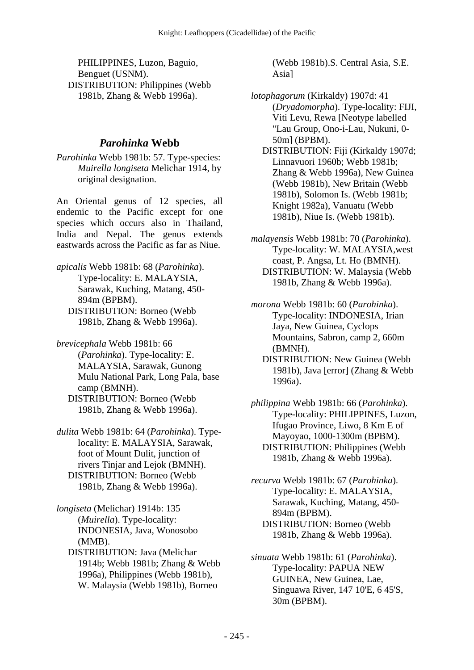PHILIPPINES, Luzon, Baguio, Benguet (USNM). DISTRIBUTION: Philippines (Webb 1981b, Zhang & Webb 1996a).

## *Parohinka* **Webb**

*Parohinka* Webb 1981b: 57. Type-species: *Muirella longiseta* Melichar 1914, by original designation.

An Oriental genus of 12 species, all endemic to the Pacific except for one species which occurs also in Thailand, India and Nepal. The genus extends eastwards across the Pacific as far as Niue.

- *apicalis* Webb 1981b: 68 (*Parohinka*). Type-locality: E. MALAYSIA, Sarawak, Kuching, Matang, 450- 894m (BPBM). DISTRIBUTION: Borneo (Webb 1981b, Zhang & Webb 1996a).
- *brevicephala* Webb 1981b: 66 (*Parohinka*). Type-locality: E. MALAYSIA, Sarawak, Gunong Mulu National Park, Long Pala, base camp (BMNH). DISTRIBUTION: Borneo (Webb 1981b, Zhang & Webb 1996a).
- *dulita* Webb 1981b: 64 (*Parohinka*). Typelocality: E. MALAYSIA, Sarawak, foot of Mount Dulit, junction of rivers Tinjar and Lejok (BMNH). DISTRIBUTION: Borneo (Webb 1981b, Zhang & Webb 1996a).
- *longiseta* (Melichar) 1914b: 135 (*Muirella*). Type-locality: INDONESIA, Java, Wonosobo (MMB).
	- DISTRIBUTION: Java (Melichar 1914b; Webb 1981b; Zhang & Webb 1996a), Philippines (Webb 1981b), W. Malaysia (Webb 1981b), Borneo

(Webb 1981b).S. Central Asia, S.E. Asia]

- *lotophagorum* (Kirkaldy) 1907d: 41 (*Dryadomorpha*). Type-locality: FIJI, Viti Levu, Rewa [Neotype labelled "Lau Group, Ono-i-Lau, Nukuni, 0- 50m] (BPBM).
	- DISTRIBUTION: Fiji (Kirkaldy 1907d; Linnavuori 1960b; Webb 1981b; Zhang & Webb 1996a), New Guinea (Webb 1981b), New Britain (Webb 1981b), Solomon Is. (Webb 1981b; Knight 1982a), Vanuatu (Webb 1981b), Niue Is. (Webb 1981b).
- *malayensis* Webb 1981b: 70 (*Parohinka*). Type-locality: W. MALAYSIA,west coast, P. Angsa, Lt. Ho (BMNH). DISTRIBUTION: W. Malaysia (Webb 1981b, Zhang & Webb 1996a).
- *morona* Webb 1981b: 60 (*Parohinka*). Type-locality: INDONESIA, Irian Jaya, New Guinea, Cyclops Mountains, Sabron, camp 2, 660m (BMNH).
	- DISTRIBUTION: New Guinea (Webb 1981b), Java [error] (Zhang & Webb 1996a).
- *philippina* Webb 1981b: 66 (*Parohinka*). Type-locality: PHILIPPINES, Luzon, Ifugao Province, Liwo, 8 Km E of Mayoyao, 1000-1300m (BPBM). DISTRIBUTION: Philippines (Webb 1981b, Zhang & Webb 1996a).
- *recurva* Webb 1981b: 67 (*Parohinka*). Type-locality: E. MALAYSIA, Sarawak, Kuching, Matang, 450- 894m (BPBM). DISTRIBUTION: Borneo (Webb
- *sinuata* Webb 1981b: 61 (*Parohinka*). Type-locality: PAPUA NEW GUINEA, New Guinea, Lae, Singuawa River, 147 10'E, 6 45'S, 30m (BPBM).

1981b, Zhang & Webb 1996a).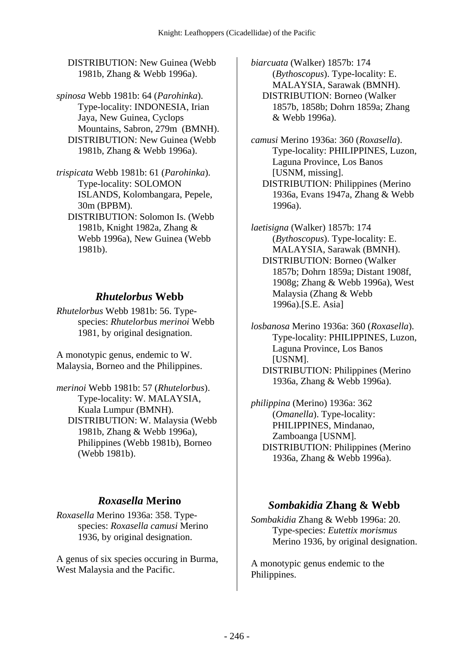DISTRIBUTION: New Guinea (Webb 1981b, Zhang & Webb 1996a).

*spinosa* Webb 1981b: 64 (*Parohinka*). Type-locality: INDONESIA, Irian Jaya, New Guinea, Cyclops Mountains, Sabron, 279m (BMNH). DISTRIBUTION: New Guinea (Webb 1981b, Zhang & Webb 1996a).

*trispicata* Webb 1981b: 61 (*Parohinka*). Type-locality: SOLOMON ISLANDS, Kolombangara, Pepele, 30m (BPBM).

 DISTRIBUTION: Solomon Is. (Webb 1981b, Knight 1982a, Zhang & Webb 1996a), New Guinea (Webb 1981b).

#### *Rhutelorbus* **Webb**

*Rhutelorbus* Webb 1981b: 56. Typespecies: *Rhutelorbus merinoi* Webb 1981, by original designation.

A monotypic genus, endemic to W. Malaysia, Borneo and the Philippines.

*merinoi* Webb 1981b: 57 (*Rhutelorbus*). Type-locality: W. MALAYSIA, Kuala Lumpur (BMNH). DISTRIBUTION: W. Malaysia (Webb 1981b, Zhang & Webb 1996a), Philippines (Webb 1981b), Borneo (Webb 1981b).

#### *Roxasella* **Merino**

*Roxasella* Merino 1936a: 358. Typespecies: *Roxasella camusi* Merino 1936, by original designation.

A genus of six species occuring in Burma, West Malaysia and the Pacific.

*biarcuata* (Walker) 1857b: 174 (*Bythoscopus*). Type-locality: E. MALAYSIA, Sarawak (BMNH). DISTRIBUTION: Borneo (Walker 1857b, 1858b; Dohrn 1859a; Zhang & Webb 1996a).

*camusi* Merino 1936a: 360 (*Roxasella*). Type-locality: PHILIPPINES, Luzon, Laguna Province, Los Banos [USNM, missing]. DISTRIBUTION: Philippines (Merino 1936a, Evans 1947a, Zhang & Webb 1996a).

*laetisigna* (Walker) 1857b: 174 (*Bythoscopus*). Type-locality: E. MALAYSIA, Sarawak (BMNH). DISTRIBUTION: Borneo (Walker 1857b; Dohrn 1859a; Distant 1908f, 1908g; Zhang & Webb 1996a), West Malaysia (Zhang & Webb 1996a).[S.E. Asia]

*losbanosa* Merino 1936a: 360 (*Roxasella*). Type-locality: PHILIPPINES, Luzon, Laguna Province, Los Banos [USNM]. DISTRIBUTION: Philippines (Merino 1936a, Zhang & Webb 1996a).

*philippina* (Merino) 1936a: 362 (*Omanella*). Type-locality: PHILIPPINES, Mindanao, Zamboanga [USNM]. DISTRIBUTION: Philippines (Merino 1936a, Zhang & Webb 1996a).

#### *Sombakidia* **Zhang & Webb**

*Sombakidia* Zhang & Webb 1996a: 20. Type-species: *Eutettix morismus* Merino 1936, by original designation.

A monotypic genus endemic to the Philippines.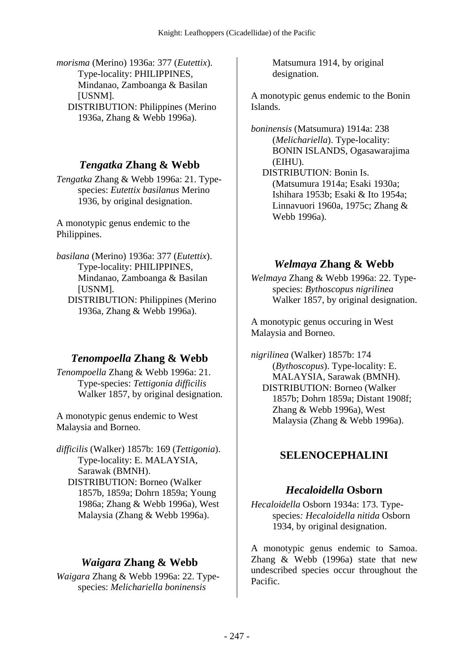*morisma* (Merino) 1936a: 377 (*Eutettix*). Type-locality: PHILIPPINES, Mindanao, Zamboanga & Basilan [USNM]. DISTRIBUTION: Philippines (Merino 1936a, Zhang & Webb 1996a).

## *Tengatka* **Zhang & Webb**

*Tengatka* Zhang & Webb 1996a: 21. Typespecies: *Eutettix basilanus* Merino 1936, by original designation.

A monotypic genus endemic to the Philippines.

*basilana* (Merino) 1936a: 377 (*Eutettix*). Type-locality: PHILIPPINES, Mindanao, Zamboanga & Basilan [USNM]. DISTRIBUTION: Philippines (Merino 1936a, Zhang & Webb 1996a).

## *Tenompoella* **Zhang & Webb**

*Tenompoella* Zhang & Webb 1996a: 21. Type-species: *Tettigonia difficilis* Walker 1857, by original designation.

A monotypic genus endemic to West Malaysia and Borneo.

*difficilis* (Walker) 1857b: 169 (*Tettigonia*). Type-locality: E. MALAYSIA, Sarawak (BMNH). DISTRIBUTION: Borneo (Walker 1857b, 1859a; Dohrn 1859a; Young 1986a; Zhang & Webb 1996a), West Malaysia (Zhang & Webb 1996a).

## *Waigara* **Zhang & Webb**

*Waigara* Zhang & Webb 1996a: 22. Typespecies: *Melichariella boninensis*

Matsumura 1914, by original designation.

A monotypic genus endemic to the Bonin Islands.

*boninensis* (Matsumura) 1914a: 238 (*Melichariella*). Type-locality: BONIN ISLANDS, Ogasawarajima (EIHU).

 DISTRIBUTION: Bonin Is. (Matsumura 1914a; Esaki 1930a; Ishihara 1953b; Esaki & Ito 1954a; Linnavuori 1960a, 1975c; Zhang & Webb 1996a).

### *Welmaya* **Zhang & Webb**

*Welmaya* Zhang & Webb 1996a: 22. Typespecies: *Bythoscopus nigrilinea* Walker 1857, by original designation.

A monotypic genus occuring in West Malaysia and Borneo.

*nigrilinea* (Walker) 1857b: 174 (*Bythoscopus*). Type-locality: E. MALAYSIA, Sarawak (BMNH). DISTRIBUTION: Borneo (Walker 1857b; Dohrn 1859a; Distant 1908f; Zhang & Webb 1996a), West Malaysia (Zhang & Webb 1996a).

# **SELENOCEPHALINI**

## *Hecaloidella* **Osborn**

*Hecaloidella* Osborn 1934a: 173. Typespecies*: Hecaloidella nitida* Osborn 1934, by original designation.

A monotypic genus endemic to Samoa. Zhang & Webb (1996a) state that new undescribed species occur throughout the Pacific.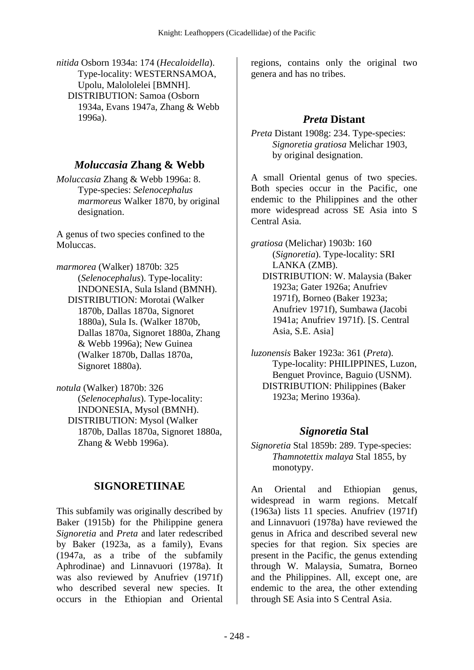*nitida* Osborn 1934a: 174 (*Hecaloidella*). Type-locality: WESTERNSAMOA, Upolu, Malololelei [BMNH]. DISTRIBUTION: Samoa (Osborn 1934a, Evans 1947a, Zhang & Webb 1996a).

## *Moluccasia* **Zhang & Webb**

*Moluccasia* Zhang & Webb 1996a: 8. Type-species: *Selenocephalus marmoreus* Walker 1870, by original designation.

A genus of two species confined to the Moluccas.

*marmorea* (Walker) 1870b: 325 (*Selenocephalus*). Type-locality: INDONESIA, Sula Island (BMNH). DISTRIBUTION: Morotai (Walker 1870b, Dallas 1870a, Signoret 1880a), Sula Is. (Walker 1870b, Dallas 1870a, Signoret 1880a, Zhang & Webb 1996a); New Guinea (Walker 1870b, Dallas 1870a, Signoret 1880a).

*notula* (Walker) 1870b: 326 (*Selenocephalus*). Type-locality: INDONESIA, Mysol (BMNH). DISTRIBUTION: Mysol (Walker 1870b, Dallas 1870a, Signoret 1880a, Zhang & Webb 1996a).

## **SIGNORETIINAE**

This subfamily was originally described by Baker (1915b) for the Philippine genera *Signoretia* and *Preta* and later redescribed by Baker (1923a, as a family), Evans (1947a, as a tribe of the subfamily Aphrodinae) and Linnavuori (1978a). It was also reviewed by Anufriev (1971f) who described several new species. It occurs in the Ethiopian and Oriental

regions, contains only the original two genera and has no tribes.

## *Preta* **Distant**

*Preta* Distant 1908g: 234. Type-species: *Signoretia gratiosa* Melichar 1903, by original designation.

A small Oriental genus of two species. Both species occur in the Pacific, one endemic to the Philippines and the other more widespread across SE Asia into S Central Asia.

*gratiosa* (Melichar) 1903b: 160 (*Signoretia*). Type-locality: SRI LANKA (ZMB). DISTRIBUTION: W. Malaysia (Baker 1923a; Gater 1926a; Anufriev 1971f), Borneo (Baker 1923a; Anufriev 1971f), Sumbawa (Jacobi 1941a; Anufriev 1971f). [S. Central Asia, S.E. Asia]

*luzonensis* Baker 1923a: 361 (*Preta*). Type-locality: PHILIPPINES, Luzon, Benguet Province, Baguio (USNM). DISTRIBUTION: Philippines (Baker 1923a; Merino 1936a).

## *Signoretia* **Stal**

*Signoretia* Stal 1859b: 289. Type-species: *Thamnotettix malaya* Stal 1855, by monotypy.

An Oriental and Ethiopian genus, widespread in warm regions. Metcalf (1963a) lists 11 species. Anufriev (1971f) and Linnavuori (1978a) have reviewed the genus in Africa and described several new species for that region. Six species are present in the Pacific, the genus extending through W. Malaysia, Sumatra, Borneo and the Philippines. All, except one, are endemic to the area, the other extending through SE Asia into S Central Asia.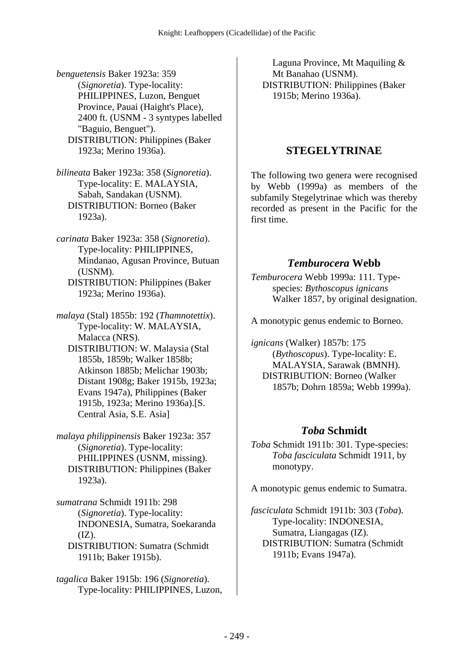*benguetensis* Baker 1923a: 359 (*Signoretia*). Type-locality: PHILIPPINES, Luzon, Benguet Province, Pauai (Haight's Place), 2400 ft. (USNM - 3 syntypes labelled "Baguio, Benguet"). DISTRIBUTION: Philippines (Baker 1923a; Merino 1936a).

*bilineata* Baker 1923a: 358 (*Signoretia*). Type-locality: E. MALAYSIA, Sabah, Sandakan (USNM). DISTRIBUTION: Borneo (Baker 1923a).

*carinata* Baker 1923a: 358 (*Signoretia*). Type-locality: PHILIPPINES, Mindanao, Agusan Province, Butuan (USNM). DISTRIBUTION: Philippines (Baker

1923a; Merino 1936a).

*malaya* (Stal) 1855b: 192 (*Thamnotettix*). Type-locality: W. MALAYSIA, Malacca (NRS).

 DISTRIBUTION: W. Malaysia (Stal 1855b, 1859b; Walker 1858b; Atkinson 1885b; Melichar 1903b; Distant 1908g; Baker 1915b, 1923a; Evans 1947a), Philippines (Baker 1915b, 1923a; Merino 1936a).[S. Central Asia, S.E. Asia]

*malaya philippinensis* Baker 1923a: 357 (*Signoretia*). Type-locality: PHILIPPINES (USNM, missing). DISTRIBUTION: Philippines (Baker 1923a).

*sumatrana* Schmidt 1911b: 298 (*Signoretia*). Type-locality: INDONESIA, Sumatra, Soekaranda  $(IZ).$  DISTRIBUTION: Sumatra (Schmidt 1911b; Baker 1915b).

*tagalica* Baker 1915b: 196 (*Signoretia*). Type-locality: PHILIPPINES, Luzon,

Laguna Province, Mt Maquiling & Mt Banahao (USNM). DISTRIBUTION: Philippines (Baker 1915b; Merino 1936a).

### **STEGELYTRINAE**

The following two genera were recognised by Webb (1999a) as members of the subfamily Stegelytrinae which was thereby recorded as present in the Pacific for the first time.

### *Temburocera* **Webb**

*Temburocera* Webb 1999a: 111. Typespecies: *Bythoscopus ignicans* Walker 1857, by original designation.

A monotypic genus endemic to Borneo.

*ignicans* (Walker) 1857b: 175 (*Bythoscopus*). Type-locality: E. MALAYSIA, Sarawak (BMNH). DISTRIBUTION: Borneo (Walker 1857b; Dohrn 1859a; Webb 1999a).

## *Toba* **Schmidt**

*Toba* Schmidt 1911b: 301. Type-species: *Toba fasciculata* Schmidt 1911, by monotypy.

A monotypic genus endemic to Sumatra.

*fasciculata* Schmidt 1911b: 303 (*Toba*). Type-locality: INDONESIA, Sumatra, Liangagas (IZ). DISTRIBUTION: Sumatra (Schmidt 1911b; Evans 1947a).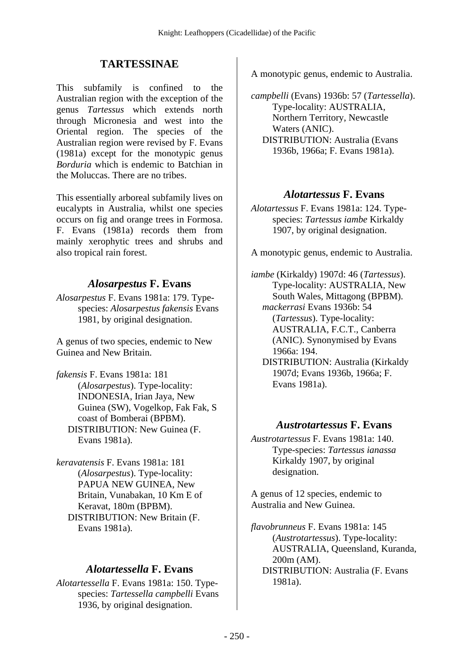# **TARTESSINAE**

This subfamily is confined to the Australian region with the exception of the genus *Tartessus* which extends north through Micronesia and west into the Oriental region. The species of the Australian region were revised by F. Evans (1981a) except for the monotypic genus *Borduria* which is endemic to Batchian in the Moluccas. There are no tribes.

This essentially arboreal subfamily lives on eucalypts in Australia, whilst one species occurs on fig and orange trees in Formosa. F. Evans (1981a) records them from mainly xerophytic trees and shrubs and also tropical rain forest.

## *Alosarpestus* **F. Evans**

*Alosarpestus* F. Evans 1981a: 179. Typespecies: *Alosarpestus fakensis* Evans 1981, by original designation.

A genus of two species, endemic to New Guinea and New Britain.

*fakensis* F. Evans 1981a: 181 (*Alosarpestus*). Type-locality: INDONESIA, Irian Jaya, New Guinea (SW), Vogelkop, Fak Fak, S coast of Bomberai (BPBM). DISTRIBUTION: New Guinea (F. Evans 1981a).

*keravatensis* F. Evans 1981a: 181 (*Alosarpestus*). Type-locality: PAPUA NEW GUINEA, New Britain, Vunabakan, 10 Km E of Keravat, 180m (BPBM). DISTRIBUTION: New Britain (F. Evans 1981a).

## *Alotartessella* **F. Evans**

*Alotartessella* F. Evans 1981a: 150. Typespecies: *Tartessella campbelli* Evans 1936, by original designation.

A monotypic genus, endemic to Australia.

*campbelli* (Evans) 1936b: 57 (*Tartessella*). Type-locality: AUSTRALIA, Northern Territory, Newcastle Waters (ANIC). DISTRIBUTION: Australia (Evans 1936b, 1966a; F. Evans 1981a).

#### *Alotartessus* **F. Evans**

*Alotartessus* F. Evans 1981a: 124. Typespecies: *Tartessus iambe* Kirkaldy 1907, by original designation.

A monotypic genus, endemic to Australia.

*iambe* (Kirkaldy) 1907d: 46 (*Tartessus*). Type-locality: AUSTRALIA, New South Wales, Mittagong (BPBM).  *mackerrasi* Evans 1936b: 54 (*Tartessus*). Type-locality: AUSTRALIA, F.C.T., Canberra (ANIC). Synonymised by Evans 1966a: 194. DISTRIBUTION: Australia (Kirkaldy 1907d; Evans 1936b, 1966a; F. Evans 1981a).

#### *Austrotartessus* **F. Evans**

*Austrotartessus* F. Evans 1981a: 140. Type-species: *Tartessus ianassa* Kirkaldy 1907, by original designation.

A genus of 12 species, endemic to Australia and New Guinea.

*flavobrunneus* F. Evans 1981a: 145 (*Austrotartessus*). Type-locality: AUSTRALIA, Queensland, Kuranda, 200m (AM). DISTRIBUTION: Australia (F. Evans 1981a).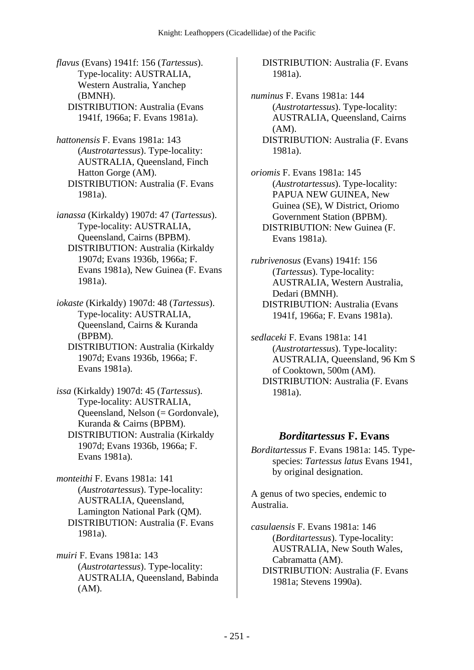*flavus* (Evans) 1941f: 156 (*Tartessus*). Type-locality: AUSTRALIA, Western Australia, Yanchep (BMNH). DISTRIBUTION: Australia (Evans 1941f, 1966a; F. Evans 1981a).

*hattonensis* F. Evans 1981a: 143 (*Austrotartessus*). Type-locality: AUSTRALIA, Queensland, Finch Hatton Gorge (AM). DISTRIBUTION: Australia (F. Evans 1981a).

*ianassa* (Kirkaldy) 1907d: 47 (*Tartessus*). Type-locality: AUSTRALIA, Queensland, Cairns (BPBM). DISTRIBUTION: Australia (Kirkaldy 1907d; Evans 1936b, 1966a; F. Evans 1981a), New Guinea (F. Evans 1981a).

*iokaste* (Kirkaldy) 1907d: 48 (*Tartessus*). Type-locality: AUSTRALIA, Queensland, Cairns & Kuranda (BPBM).

 DISTRIBUTION: Australia (Kirkaldy 1907d; Evans 1936b, 1966a; F. Evans 1981a).

*issa* (Kirkaldy) 1907d: 45 (*Tartessus*). Type-locality: AUSTRALIA, Queensland, Nelson (= Gordonvale), Kuranda & Cairns (BPBM). DISTRIBUTION: Australia (Kirkaldy 1907d; Evans 1936b, 1966a; F. Evans 1981a).

*monteithi* F. Evans 1981a: 141 (*Austrotartessus*). Type-locality: AUSTRALIA, Queensland, Lamington National Park (QM). DISTRIBUTION: Australia (F. Evans 1981a).

*muiri* F. Evans 1981a: 143 (*Austrotartessus*). Type-locality: AUSTRALIA, Queensland, Babinda (AM).

 DISTRIBUTION: Australia (F. Evans 1981a).

*numinus* F. Evans 1981a: 144 (*Austrotartessus*). Type-locality: AUSTRALIA, Queensland, Cairns (AM). DISTRIBUTION: Australia (F. Evans 1981a).

*oriomis* F. Evans 1981a: 145 (*Austrotartessus*). Type-locality: PAPUA NEW GUINEA, New Guinea (SE), W District, Oriomo Government Station (BPBM). DISTRIBUTION: New Guinea (F. Evans 1981a).

*rubrivenosus* (Evans) 1941f: 156 (*Tartessus*). Type-locality: AUSTRALIA, Western Australia, Dedari (BMNH). DISTRIBUTION: Australia (Evans 1941f, 1966a; F. Evans 1981a).

*sedlaceki* F. Evans 1981a: 141 (*Austrotartessus*). Type-locality: AUSTRALIA, Queensland, 96 Km S of Cooktown, 500m (AM). DISTRIBUTION: Australia (F. Evans 1981a).

#### *Borditartessus* **F. Evans**

*Borditartessus* F. Evans 1981a: 145. Typespecies: *Tartessus latus* Evans 1941, by original designation.

A genus of two species, endemic to Australia.

*casulaensis* F. Evans 1981a: 146 (*Borditartessus*). Type-locality: AUSTRALIA, New South Wales, Cabramatta (AM). DISTRIBUTION: Australia (F. Evans 1981a; Stevens 1990a).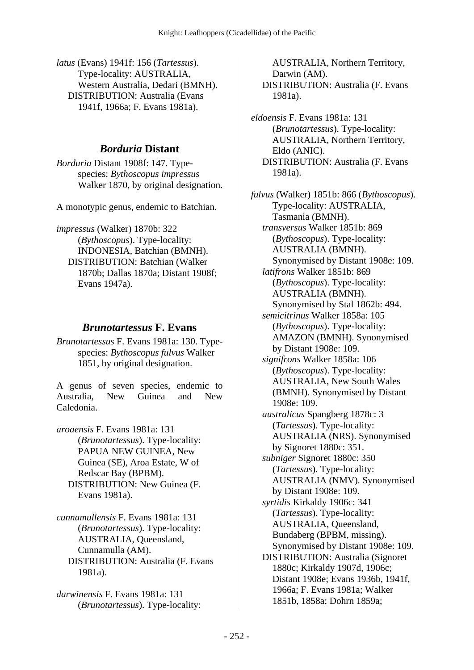*latus* (Evans) 1941f: 156 (*Tartessus*). Type-locality: AUSTRALIA, Western Australia, Dedari (BMNH). DISTRIBUTION: Australia (Evans 1941f, 1966a; F. Evans 1981a).

## *Borduria* **Distant**

*Borduria* Distant 1908f: 147. Typespecies: *Bythoscopus impressus* Walker 1870, by original designation.

A monotypic genus, endemic to Batchian.

*impressus* (Walker) 1870b: 322 (*Bythoscopus*). Type-locality: INDONESIA, Batchian (BMNH). DISTRIBUTION: Batchian (Walker 1870b; Dallas 1870a; Distant 1908f; Evans 1947a).

## *Brunotartessus* **F. Evans**

*Brunotartessus* F. Evans 1981a: 130. Typespecies: *Bythoscopus fulvus* Walker 1851, by original designation.

A genus of seven species, endemic to Australia, New Guinea and New Caledonia.

*aroaensis* F. Evans 1981a: 131 (*Brunotartessus*). Type-locality: PAPUA NEW GUINEA, New Guinea (SE), Aroa Estate, W of Redscar Bay (BPBM). DISTRIBUTION: New Guinea (F. Evans 1981a).

*cunnamullensis* F. Evans 1981a: 131 (*Brunotartessus*). Type-locality: AUSTRALIA, Queensland, Cunnamulla (AM). DISTRIBUTION: Australia (F. Evans 1981a).

*darwinensis* F. Evans 1981a: 131 (*Brunotartessus*). Type-locality:

AUSTRALIA, Northern Territory, Darwin (AM). DISTRIBUTION: Australia (F. Evans 1981a).

*eldoensis* F. Evans 1981a: 131 (*Brunotartessus*). Type-locality: AUSTRALIA, Northern Territory, Eldo (ANIC). DISTRIBUTION: Australia (F. Evans 1981a).

*fulvus* (Walker) 1851b: 866 (*Bythoscopus*). Type-locality: AUSTRALIA, Tasmania (BMNH).  *transversus* Walker 1851b: 869 (*Bythoscopus*). Type-locality: AUSTRALIA (BMNH). Synonymised by Distant 1908e: 109.  *latifrons* Walker 1851b: 869 (*Bythoscopus*). Type-locality: AUSTRALIA (BMNH). Synonymised by Stal 1862b: 494.  *semicitrinus* Walker 1858a: 105 (*Bythoscopus*). Type-locality: AMAZON (BMNH). Synonymised by Distant 1908e: 109.  *signifrons* Walker 1858a: 106 (*Bythoscopus*). Type-locality: AUSTRALIA, New South Wales (BMNH). Synonymised by Distant 1908e: 109.  *australicus* Spangberg 1878c: 3 (*Tartessus*). Type-locality: AUSTRALIA (NRS). Synonymised by Signoret 1880c: 351.  *subniger* Signoret 1880c: 350 (*Tartessus*). Type-locality: AUSTRALIA (NMV). Synonymised by Distant 1908e: 109.  *syrtidis* Kirkaldy 1906c: 341 (*Tartessus*). Type-locality: AUSTRALIA, Queensland, Bundaberg (BPBM, missing). Synonymised by Distant 1908e: 109. DISTRIBUTION: Australia (Signoret 1880c; Kirkaldy 1907d, 1906c; Distant 1908e; Evans 1936b, 1941f, 1966a; F. Evans 1981a; Walker 1851b, 1858a; Dohrn 1859a;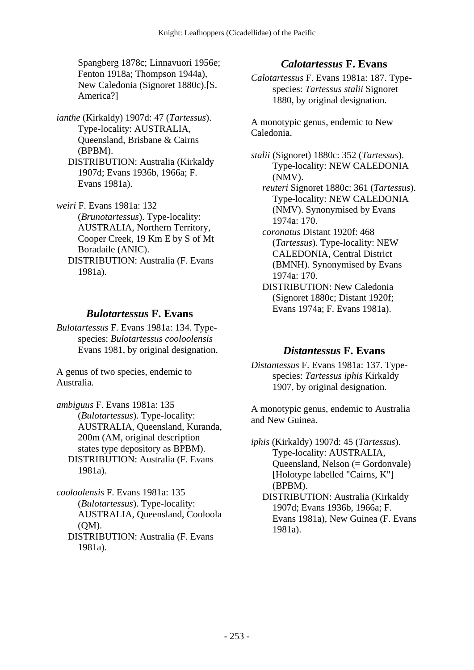Spangberg 1878c; Linnavuori 1956e; Fenton 1918a; Thompson 1944a), New Caledonia (Signoret 1880c).[S. America?]

- *ianthe* (Kirkaldy) 1907d: 47 (*Tartessus*). Type-locality: AUSTRALIA, Queensland, Brisbane & Cairns (BPBM).
	- DISTRIBUTION: Australia (Kirkaldy 1907d; Evans 1936b, 1966a; F. Evans 1981a).

*weiri* F. Evans 1981a: 132 (*Brunotartessus*). Type-locality: AUSTRALIA, Northern Territory, Cooper Creek, 19 Km E by S of Mt Boradaile (ANIC). DISTRIBUTION: Australia (F. Evans 1981a).

#### *Bulotartessus* **F. Evans**

*Bulotartessus* F. Evans 1981a: 134. Typespecies: *Bulotartessus cooloolensis* Evans 1981, by original designation.

A genus of two species, endemic to Australia.

*ambiguus* F. Evans 1981a: 135 (*Bulotartessus*). Type-locality: AUSTRALIA, Queensland, Kuranda, 200m (AM, original description states type depository as BPBM). DISTRIBUTION: Australia (F. Evans 1981a).

*cooloolensis* F. Evans 1981a: 135 (*Bulotartessus*). Type-locality: AUSTRALIA, Queensland, Cooloola (QM). DISTRIBUTION: Australia (F. Evans 1981a).

## *Calotartessus* **F. Evans**

*Calotartessus* F. Evans 1981a: 187. Typespecies: *Tartessus stalii* Signoret 1880, by original designation.

A monotypic genus, endemic to New Caledonia.

*stalii* (Signoret) 1880c: 352 (*Tartessus*). Type-locality: NEW CALEDONIA (NMV).

 *reuteri* Signoret 1880c: 361 (*Tartessus*). Type-locality: NEW CALEDONIA (NMV). Synonymised by Evans 1974a: 170.

- *coronatus* Distant 1920f: 468 (*Tartessus*). Type-locality: NEW CALEDONIA, Central District (BMNH). Synonymised by Evans 1974a: 170.
- DISTRIBUTION: New Caledonia (Signoret 1880c; Distant 1920f; Evans 1974a; F. Evans 1981a).

#### *Distantessus* **F. Evans**

*Distantessus* F. Evans 1981a: 137. Typespecies: *Tartessus iphis* Kirkaldy 1907, by original designation.

A monotypic genus, endemic to Australia and New Guinea.

*iphis* (Kirkaldy) 1907d: 45 (*Tartessus*). Type-locality: AUSTRALIA, Queensland, Nelson (= Gordonvale) [Holotype labelled "Cairns, K"] (BPBM). DISTRIBUTION: Australia (Kirkaldy 1907d; Evans 1936b, 1966a; F. Evans 1981a), New Guinea (F. Evans 1981a).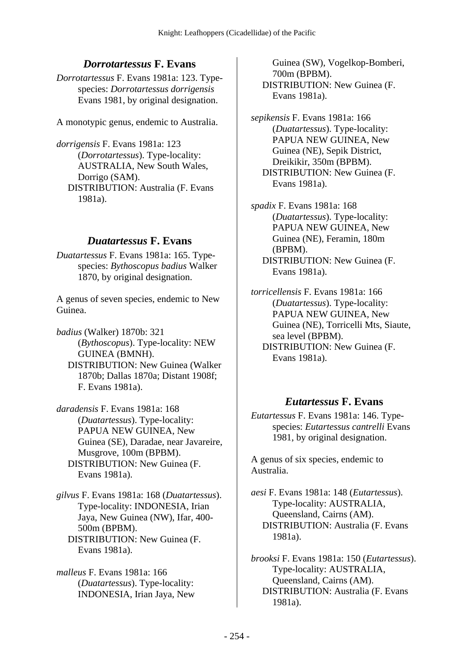## *Dorrotartessus* **F. Evans**

*Dorrotartessus* F. Evans 1981a: 123. Typespecies: *Dorrotartessus dorrigensis* Evans 1981, by original designation.

A monotypic genus, endemic to Australia.

*dorrigensis* F. Evans 1981a: 123 (*Dorrotartessus*). Type-locality: AUSTRALIA, New South Wales, Dorrigo (SAM). DISTRIBUTION: Australia (F. Evans 1981a).

#### *Duatartessus* **F. Evans**

*Duatartessus* F. Evans 1981a: 165. Typespecies: *Bythoscopus badius* Walker 1870, by original designation.

A genus of seven species, endemic to New Guinea.

*badius* (Walker) 1870b: 321 (*Bythoscopus*). Type-locality: NEW GUINEA (BMNH). DISTRIBUTION: New Guinea (Walker 1870b; Dallas 1870a; Distant 1908f; F. Evans 1981a).

*daradensis* F. Evans 1981a: 168 (*Duatartessus*). Type-locality: PAPUA NEW GUINEA, New Guinea (SE), Daradae, near Javareire, Musgrove, 100m (BPBM). DISTRIBUTION: New Guinea (F. Evans 1981a).

*gilvus* F. Evans 1981a: 168 (*Duatartessus*). Type-locality: INDONESIA, Irian Jaya, New Guinea (NW), Ifar, 400- 500m (BPBM). DISTRIBUTION: New Guinea (F. Evans 1981a).

*malleus* F. Evans 1981a: 166 (*Duatartessus*). Type-locality: INDONESIA, Irian Jaya, New

Guinea (SW), Vogelkop-Bomberi, 700m (BPBM). DISTRIBUTION: New Guinea (F. Evans 1981a).

*sepikensis* F. Evans 1981a: 166 (*Duatartessus*). Type-locality: PAPUA NEW GUINEA, New Guinea (NE), Sepik District, Dreikikir, 350m (BPBM). DISTRIBUTION: New Guinea (F. Evans 1981a).

*spadix* F. Evans 1981a: 168 (*Duatartessus*). Type-locality: PAPUA NEW GUINEA, New Guinea (NE), Feramin, 180m (BPBM). DISTRIBUTION: New Guinea (F. Evans 1981a).

*torricellensis* F. Evans 1981a: 166 (*Duatartessus*). Type-locality: PAPUA NEW GUINEA, New Guinea (NE), Torricelli Mts, Siaute, sea level (BPBM). DISTRIBUTION: New Guinea (F. Evans 1981a).

## *Eutartessus* **F. Evans**

*Eutartessus* F. Evans 1981a: 146. Typespecies: *Eutartessus cantrelli* Evans 1981, by original designation.

A genus of six species, endemic to Australia.

*aesi* F. Evans 1981a: 148 (*Eutartessus*). Type-locality: AUSTRALIA, Queensland, Cairns (AM). DISTRIBUTION: Australia (F. Evans 1981a).

*brooksi* F. Evans 1981a: 150 (*Eutartessus*). Type-locality: AUSTRALIA, Queensland, Cairns (AM). DISTRIBUTION: Australia (F. Evans 1981a).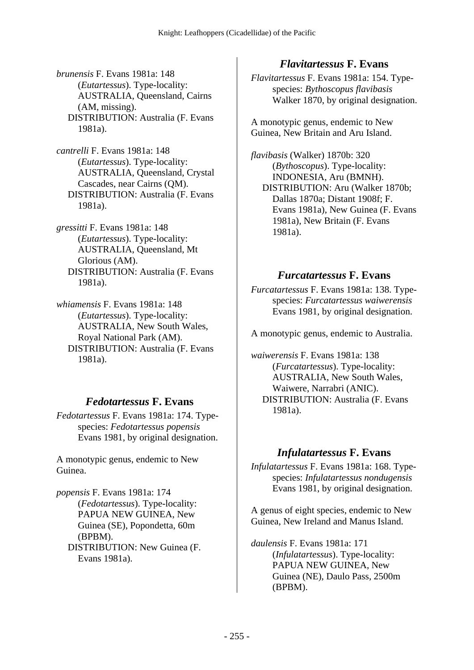*brunensis* F. Evans 1981a: 148 (*Eutartessus*). Type-locality: AUSTRALIA, Queensland, Cairns (AM, missing). DISTRIBUTION: Australia (F. Evans 1981a).

*cantrelli* F. Evans 1981a: 148 (*Eutartessus*). Type-locality: AUSTRALIA, Queensland, Crystal Cascades, near Cairns (QM). DISTRIBUTION: Australia (F. Evans 1981a).

*gressitti* F. Evans 1981a: 148 (*Eutartessus*). Type-locality: AUSTRALIA, Queensland, Mt Glorious (AM). DISTRIBUTION: Australia (F. Evans 1981a).

*whiamensis* F. Evans 1981a: 148 (*Eutartessus*). Type-locality: AUSTRALIA, New South Wales, Royal National Park (AM). DISTRIBUTION: Australia (F. Evans 1981a).

# *Fedotartessus* **F. Evans**

*Fedotartessus* F. Evans 1981a: 174. Typespecies: *Fedotartessus popensis* Evans 1981, by original designation.

A monotypic genus, endemic to New Guinea.

*popensis* F. Evans 1981a: 174 (*Fedotartessus*). Type-locality: PAPUA NEW GUINEA, New Guinea (SE), Popondetta, 60m (BPBM). DISTRIBUTION: New Guinea (F. Evans 1981a).

# *Flavitartessus* **F. Evans**

*Flavitartessus* F. Evans 1981a: 154. Typespecies: *Bythoscopus flavibasis* Walker 1870, by original designation.

A monotypic genus, endemic to New Guinea, New Britain and Aru Island.

*flavibasis* (Walker) 1870b: 320 (*Bythoscopus*). Type-locality: INDONESIA, Aru (BMNH). DISTRIBUTION: Aru (Walker 1870b; Dallas 1870a; Distant 1908f; F. Evans 1981a), New Guinea (F. Evans 1981a), New Britain (F. Evans 1981a).

#### *Furcatartessus* **F. Evans**

*Furcatartessus* F. Evans 1981a: 138. Typespecies: *Furcatartessus waiwerensis* Evans 1981, by original designation.

A monotypic genus, endemic to Australia.

*waiwerensis* F. Evans 1981a: 138 (*Furcatartessus*). Type-locality: AUSTRALIA, New South Wales, Waiwere, Narrabri (ANIC). DISTRIBUTION: Australia (F. Evans 1981a).

## *Infulatartessus* **F. Evans**

*Infulatartessus* F. Evans 1981a: 168. Typespecies: *Infulatartessus nondugensis* Evans 1981, by original designation.

A genus of eight species, endemic to New Guinea, New Ireland and Manus Island.

*daulensis* F. Evans 1981a: 171 (*Infulatartessus*). Type-locality: PAPUA NEW GUINEA, New Guinea (NE), Daulo Pass, 2500m (BPBM).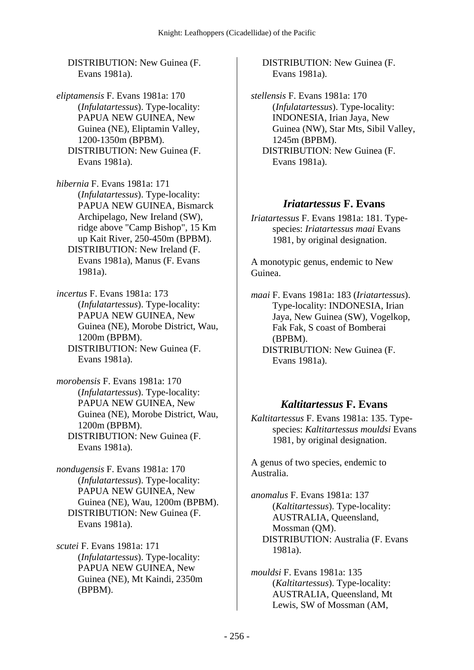DISTRIBUTION: New Guinea (F. Evans 1981a).

*eliptamensis* F. Evans 1981a: 170 (*Infulatartessus*). Type-locality: PAPUA NEW GUINEA, New Guinea (NE), Eliptamin Valley, 1200-1350m (BPBM). DISTRIBUTION: New Guinea (F. Evans 1981a).

*hibernia* F. Evans 1981a: 171 (*Infulatartessus*). Type-locality: PAPUA NEW GUINEA, Bismarck Archipelago, New Ireland (SW), ridge above "Camp Bishop", 15 Km up Kait River, 250-450m (BPBM). DISTRIBUTION: New Ireland (F. Evans 1981a), Manus (F. Evans 1981a).

*incertus* F. Evans 1981a: 173 (*Infulatartessus*). Type-locality: PAPUA NEW GUINEA, New Guinea (NE), Morobe District, Wau, 1200m (BPBM). DISTRIBUTION: New Guinea (F. Evans 1981a).

*morobensis* F. Evans 1981a: 170 (*Infulatartessus*). Type-locality: PAPUA NEW GUINEA, New Guinea (NE), Morobe District, Wau, 1200m (BPBM). DISTRIBUTION: New Guinea (F. Evans 1981a).

*nondugensis* F. Evans 1981a: 170 (*Infulatartessus*). Type-locality: PAPUA NEW GUINEA, New Guinea (NE), Wau, 1200m (BPBM). DISTRIBUTION: New Guinea (F. Evans 1981a).

*scutei* F. Evans 1981a: 171 (*Infulatartessus*). Type-locality: PAPUA NEW GUINEA, New Guinea (NE), Mt Kaindi, 2350m (BPBM).

 DISTRIBUTION: New Guinea (F. Evans 1981a).

*stellensis* F. Evans 1981a: 170 (*Infulatartessus*). Type-locality: INDONESIA, Irian Jaya, New Guinea (NW), Star Mts, Sibil Valley, 1245m (BPBM). DISTRIBUTION: New Guinea (F. Evans 1981a).

#### *Iriatartessus* **F. Evans**

*Iriatartessus* F. Evans 1981a: 181. Typespecies: *Iriatartessus maai* Evans 1981, by original designation.

A monotypic genus, endemic to New Guinea.

*maai* F. Evans 1981a: 183 (*Iriatartessus*). Type-locality: INDONESIA, Irian Jaya, New Guinea (SW), Vogelkop, Fak Fak, S coast of Bomberai (BPBM). DISTRIBUTION: New Guinea (F. Evans 1981a).

#### *Kaltitartessus* **F. Evans**

*Kaltitartessus* F. Evans 1981a: 135. Typespecies: *Kaltitartessus mouldsi* Evans 1981, by original designation.

A genus of two species, endemic to Australia.

*anomalus* F. Evans 1981a: 137 (*Kaltitartessus*). Type-locality: AUSTRALIA, Queensland, Mossman (QM). DISTRIBUTION: Australia (F. Evans 1981a).

*mouldsi* F. Evans 1981a: 135 (*Kaltitartessus*). Type-locality: AUSTRALIA, Queensland, Mt Lewis, SW of Mossman (AM,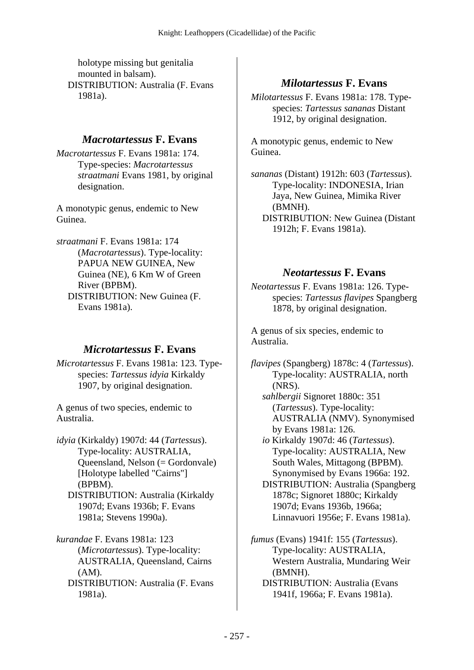holotype missing but genitalia mounted in balsam). DISTRIBUTION: Australia (F. Evans 1981a).

#### *Macrotartessus* **F. Evans**

*Macrotartessus* F. Evans 1981a: 174. Type-species: *Macrotartessus straatmani* Evans 1981, by original designation.

A monotypic genus, endemic to New Guinea.

*straatmani* F. Evans 1981a: 174 (*Macrotartessus*). Type-locality: PAPUA NEW GUINEA, New Guinea (NE), 6 Km W of Green River (BPBM). DISTRIBUTION: New Guinea (F. Evans 1981a).

#### *Microtartessus* **F. Evans**

*Microtartessus* F. Evans 1981a: 123. Typespecies: *Tartessus idyia* Kirkaldy 1907, by original designation.

A genus of two species, endemic to Australia.

*idyia* (Kirkaldy) 1907d: 44 (*Tartessus*). Type-locality: AUSTRALIA, Queensland, Nelson (= Gordonvale) [Holotype labelled "Cairns"] (BPBM). DISTRIBUTION: Australia (Kirkaldy 1907d; Evans 1936b; F. Evans 1981a; Stevens 1990a).

*kurandae* F. Evans 1981a: 123 (*Microtartessus*). Type-locality: AUSTRALIA, Queensland, Cairns  $(AM)$ .

 DISTRIBUTION: Australia (F. Evans 1981a).

# *Milotartessus* **F. Evans**

*Milotartessus* F. Evans 1981a: 178. Typespecies: *Tartessus sananas* Distant 1912, by original designation.

A monotypic genus, endemic to New Guinea.

*sananas* (Distant) 1912h: 603 (*Tartessus*). Type-locality: INDONESIA, Irian Jaya, New Guinea, Mimika River (BMNH). DISTRIBUTION: New Guinea (Distant 1912h; F. Evans 1981a).

#### *Neotartessus* **F. Evans**

*Neotartessus* F. Evans 1981a: 126. Typespecies: *Tartessus flavipes* Spangberg 1878, by original designation.

A genus of six species, endemic to Australia.

*flavipes* (Spangberg) 1878c: 4 (*Tartessus*). Type-locality: AUSTRALIA, north (NRS).

 *sahlbergii* Signoret 1880c: 351 (*Tartessus*). Type-locality: AUSTRALIA (NMV). Synonymised by Evans 1981a: 126.

 *io* Kirkaldy 1907d: 46 (*Tartessus*). Type-locality: AUSTRALIA, New South Wales, Mittagong (BPBM). Synonymised by Evans 1966a: 192.

 DISTRIBUTION: Australia (Spangberg 1878c; Signoret 1880c; Kirkaldy 1907d; Evans 1936b, 1966a; Linnavuori 1956e; F. Evans 1981a).

*fumus* (Evans) 1941f: 155 (*Tartessus*). Type-locality: AUSTRALIA, Western Australia, Mundaring Weir (BMNH).

 DISTRIBUTION: Australia (Evans 1941f, 1966a; F. Evans 1981a).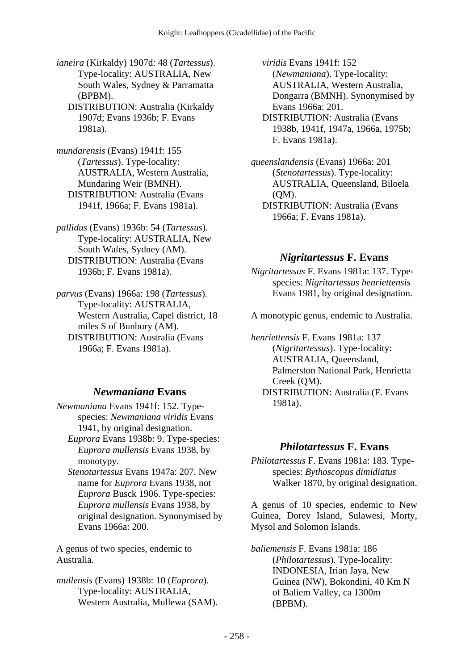*ianeira* (Kirkaldy) 1907d: 48 (*Tartessus*). Type-locality: AUSTRALIA, New South Wales, Sydney & Parramatta (BPBM).

 DISTRIBUTION: Australia (Kirkaldy 1907d; Evans 1936b; F. Evans 1981a).

*mundarensis* (Evans) 1941f: 155 (*Tartessus*). Type-locality: AUSTRALIA, Western Australia, Mundaring Weir (BMNH). DISTRIBUTION: Australia (Evans 1941f, 1966a; F. Evans 1981a).

*pallidus* (Evans) 1936b: 54 (*Tartessus*). Type-locality: AUSTRALIA, New South Wales, Sydney (AM). DISTRIBUTION: Australia (Evans 1936b; F. Evans 1981a).

*parvus* (Evans) 1966a: 198 (*Tartessus*). Type-locality: AUSTRALIA, Western Australia, Capel district, 18 miles S of Bunbury (AM). DISTRIBUTION: Australia (Evans 1966a; F. Evans 1981a).

## *Newmaniana* **Evans**

*Newmaniana* Evans 1941f: 152. Typespecies: *Newmaniana viridis* Evans 1941, by original designation.

 *Euprora* Evans 1938b: 9. Type-species: *Euprora mullensis* Evans 1938, by monotypy.

 *Stenotartessus* Evans 1947a: 207. New name for *Euprora* Evans 1938, not *Euprora* Busck 1906. Type-species: *Euprora mullensis* Evans 1938, by original designation. Synonymised by Evans 1966a: 200.

A genus of two species, endemic to Australia.

*mullensis* (Evans) 1938b: 10 (*Euprora*). Type-locality: AUSTRALIA, Western Australia, Mullewa (SAM).  *viridis* Evans 1941f: 152 (*Newmaniana*). Type-locality: AUSTRALIA, Western Australia, Dongarra (BMNH). Synonymised by Evans 1966a: 201.

 DISTRIBUTION: Australia (Evans 1938b, 1941f, 1947a, 1966a, 1975b; F. Evans 1981a).

*queenslandensis* (Evans) 1966a: 201 (*Stenotartessus*). Type-locality: AUSTRALIA, Queensland, Biloela (QM). DISTRIBUTION: Australia (Evans 1966a; F. Evans 1981a).

#### *Nigritartessus* **F. Evans**

*Nigritartessus* F. Evans 1981a: 137. Typespecies: *Nigritartessus henriettensis* Evans 1981, by original designation.

A monotypic genus, endemic to Australia.

*henriettensis* F. Evans 1981a: 137 (*Nigritartessus*). Type-locality: AUSTRALIA, Queensland, Palmerston National Park, Henrietta Creek (QM). DISTRIBUTION: Australia (F. Evans 1981a).

#### *Philotartessus* **F. Evans**

*Philotartessus* F. Evans 1981a: 183. Typespecies: *Bythoscopus dimidiatus* Walker 1870, by original designation.

A genus of 10 species, endemic to New Guinea, Dorey Island, Sulawesi, Morty, Mysol and Solomon Islands.

*baliemensis* F. Evans 1981a: 186 (*Philotartessus*). Type-locality: INDONESIA, Irian Jaya, New Guinea (NW), Bokondini, 40 Km N of Baliem Valley, ca 1300m (BPBM).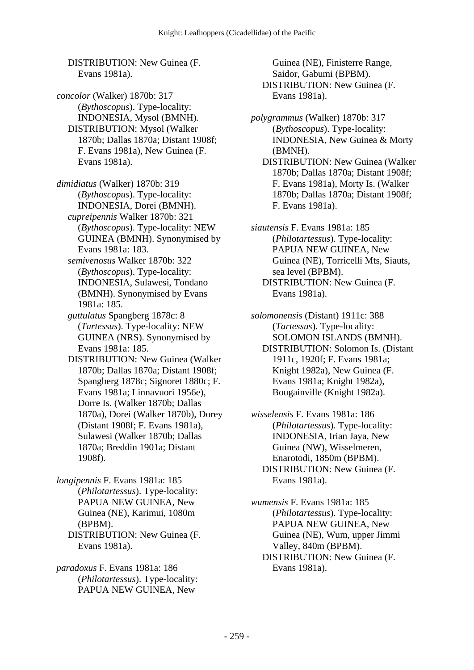DISTRIBUTION: New Guinea (F. Evans 1981a).

*concolor* (Walker) 1870b: 317 (*Bythoscopus*). Type-locality: INDONESIA, Mysol (BMNH). DISTRIBUTION: Mysol (Walker 1870b; Dallas 1870a; Distant 1908f; F. Evans 1981a), New Guinea (F. Evans 1981a).

*dimidiatus* (Walker) 1870b: 319 (*Bythoscopus*). Type-locality: INDONESIA, Dorei (BMNH).  *cupreipennis* Walker 1870b: 321 (*Bythoscopus*). Type-locality: NEW GUINEA (BMNH). Synonymised by Evans 1981a: 183.  *semivenosus* Walker 1870b: 322

(*Bythoscopus*). Type-locality: INDONESIA, Sulawesi, Tondano (BMNH). Synonymised by Evans 1981a: 185.

 *guttulatus* Spangberg 1878c: 8 (*Tartessus*). Type-locality: NEW GUINEA (NRS). Synonymised by Evans 1981a: 185.

 DISTRIBUTION: New Guinea (Walker 1870b; Dallas 1870a; Distant 1908f; Spangberg 1878c; Signoret 1880c; F. Evans 1981a; Linnavuori 1956e), Dorre Is. (Walker 1870b; Dallas 1870a), Dorei (Walker 1870b), Dorey (Distant 1908f; F. Evans 1981a), Sulawesi (Walker 1870b; Dallas 1870a; Breddin 1901a; Distant 1908f).

*longipennis* F. Evans 1981a: 185 (*Philotartessus*). Type-locality: PAPUA NEW GUINEA, New Guinea (NE), Karimui, 1080m (BPBM). DISTRIBUTION: New Guinea (F. Evans 1981a).

*paradoxus* F. Evans 1981a: 186 (*Philotartessus*). Type-locality: PAPUA NEW GUINEA, New

Guinea (NE), Finisterre Range, Saidor, Gabumi (BPBM). DISTRIBUTION: New Guinea (F. Evans 1981a).

*polygrammus* (Walker) 1870b: 317 (*Bythoscopus*). Type-locality: INDONESIA, New Guinea & Morty (BMNH). DISTRIBUTION: New Guinea (Walker 1870b; Dallas 1870a; Distant 1908f; F. Evans 1981a), Morty Is. (Walker 1870b; Dallas 1870a; Distant 1908f; F. Evans 1981a).

*siautensis* F. Evans 1981a: 185 (*Philotartessus*). Type-locality: PAPUA NEW GUINEA, New Guinea (NE), Torricelli Mts, Siauts, sea level (BPBM). DISTRIBUTION: New Guinea (F. Evans 1981a).

*solomonensis* (Distant) 1911c: 388 (*Tartessus*). Type-locality: SOLOMON ISLANDS (BMNH). DISTRIBUTION: Solomon Is. (Distant 1911c, 1920f; F. Evans 1981a; Knight 1982a), New Guinea (F. Evans 1981a; Knight 1982a), Bougainville (Knight 1982a).

*wisselensis* F. Evans 1981a: 186 (*Philotartessus*). Type-locality: INDONESIA, Irian Jaya, New Guinea (NW), Wisselmeren, Enarotodi, 1850m (BPBM). DISTRIBUTION: New Guinea (F. Evans 1981a).

*wumensis* F. Evans 1981a: 185 (*Philotartessus*). Type-locality: PAPUA NEW GUINEA, New Guinea (NE), Wum, upper Jimmi Valley, 840m (BPBM). DISTRIBUTION: New Guinea (F. Evans 1981a).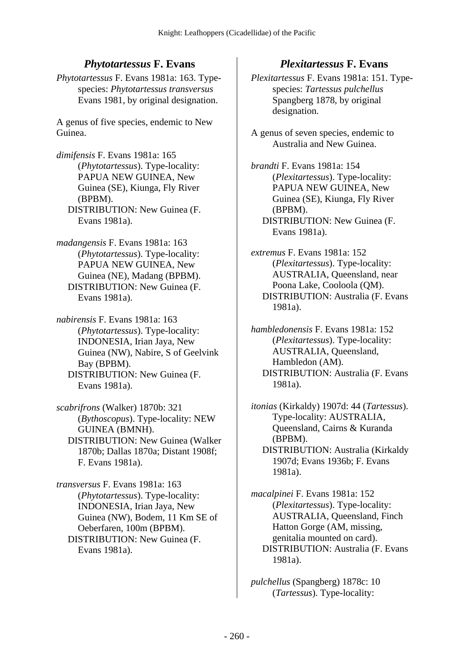# *Phytotartessus* **F. Evans**

*Phytotartessus* F. Evans 1981a: 163. Typespecies: *Phytotartessus transversus* Evans 1981, by original designation.

A genus of five species, endemic to New Guinea.

*dimifensis* F. Evans 1981a: 165 (*Phytotartessus*). Type-locality: PAPUA NEW GUINEA, New Guinea (SE), Kiunga, Fly River (BPBM). DISTRIBUTION: New Guinea (F. Evans 1981a).

*madangensis* F. Evans 1981a: 163 (*Phytotartessus*). Type-locality: PAPUA NEW GUINEA, New Guinea (NE), Madang (BPBM). DISTRIBUTION: New Guinea (F. Evans 1981a).

*nabirensis* F. Evans 1981a: 163 (*Phytotartessus*). Type-locality: INDONESIA, Irian Jaya, New Guinea (NW), Nabire, S of Geelvink Bay (BPBM). DISTRIBUTION: New Guinea (F. Evans 1981a).

*scabrifrons* (Walker) 1870b: 321 (*Bythoscopus*). Type-locality: NEW GUINEA (BMNH). DISTRIBUTION: New Guinea (Walker 1870b; Dallas 1870a; Distant 1908f; F. Evans 1981a).

*transversus* F. Evans 1981a: 163 (*Phytotartessus*). Type-locality: INDONESIA, Irian Jaya, New Guinea (NW), Bodem, 11 Km SE of Oeberfaren, 100m (BPBM). DISTRIBUTION: New Guinea (F. Evans 1981a).

## *Plexitartessus* **F. Evans**

*Plexitartessus* F. Evans 1981a: 151. Typespecies: *Tartessus pulchellus* Spangberg 1878, by original designation.

A genus of seven species, endemic to Australia and New Guinea.

*brandti* F. Evans 1981a: 154 (*Plexitartessus*). Type-locality: PAPUA NEW GUINEA, New Guinea (SE), Kiunga, Fly River (BPBM). DISTRIBUTION: New Guinea (F. Evans 1981a).

*extremus* F. Evans 1981a: 152 (*Plexitartessus*). Type-locality: AUSTRALIA, Queensland, near Poona Lake, Cooloola (QM). DISTRIBUTION: Australia (F. Evans 1981a).

*hambledonensis* F. Evans 1981a: 152 (*Plexitartessus*). Type-locality: AUSTRALIA, Queensland, Hambledon (AM). DISTRIBUTION: Australia (F. Evans 1981a).

*itonias* (Kirkaldy) 1907d: 44 (*Tartessus*). Type-locality: AUSTRALIA, Queensland, Cairns & Kuranda (BPBM). DISTRIBUTION: Australia (Kirkaldy 1907d; Evans 1936b; F. Evans 1981a).

*macalpinei* F. Evans 1981a: 152 (*Plexitartessus*). Type-locality: AUSTRALIA, Queensland, Finch Hatton Gorge (AM, missing, genitalia mounted on card). DISTRIBUTION: Australia (F. Evans 1981a).

*pulchellus* (Spangberg) 1878c: 10 (*Tartessus*). Type-locality: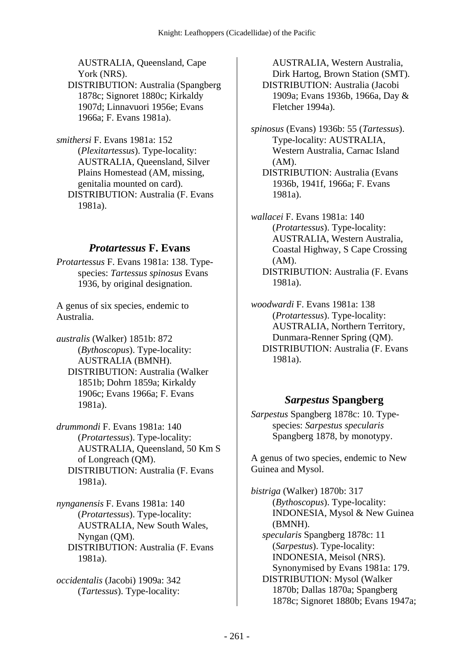AUSTRALIA, Queensland, Cape York (NRS). DISTRIBUTION: Australia (Spangberg

1878c; Signoret 1880c; Kirkaldy 1907d; Linnavuori 1956e; Evans 1966a; F. Evans 1981a).

*smithersi* F. Evans 1981a: 152 (*Plexitartessus*). Type-locality: AUSTRALIA, Queensland, Silver Plains Homestead (AM, missing, genitalia mounted on card). DISTRIBUTION: Australia (F. Evans 1981a).

## *Protartessus* **F. Evans**

*Protartessus* F. Evans 1981a: 138. Typespecies: *Tartessus spinosus* Evans 1936, by original designation.

A genus of six species, endemic to Australia.

*australis* (Walker) 1851b: 872 (*Bythoscopus*). Type-locality: AUSTRALIA (BMNH). DISTRIBUTION: Australia (Walker 1851b; Dohrn 1859a; Kirkaldy 1906c; Evans 1966a; F. Evans 1981a).

*drummondi* F. Evans 1981a: 140 (*Protartessus*). Type-locality: AUSTRALIA, Queensland, 50 Km S of Longreach (QM). DISTRIBUTION: Australia (F. Evans 1981a).

*nynganensis* F. Evans 1981a: 140 (*Protartessus*). Type-locality: AUSTRALIA, New South Wales, Nyngan (QM). DISTRIBUTION: Australia (F. Evans 1981a).

*occidentalis* (Jacobi) 1909a: 342 (*Tartessus*). Type-locality:

AUSTRALIA, Western Australia, Dirk Hartog, Brown Station (SMT). DISTRIBUTION: Australia (Jacobi 1909a; Evans 1936b, 1966a, Day & Fletcher 1994a).

*spinosus* (Evans) 1936b: 55 (*Tartessus*). Type-locality: AUSTRALIA, Western Australia, Carnac Island (AM).

 DISTRIBUTION: Australia (Evans 1936b, 1941f, 1966a; F. Evans 1981a).

*wallacei* F. Evans 1981a: 140 (*Protartessus*). Type-locality: AUSTRALIA, Western Australia, Coastal Highway, S Cape Crossing (AM). DISTRIBUTION: Australia (F. Evans 1981a).

*woodwardi* F. Evans 1981a: 138 (*Protartessus*). Type-locality: AUSTRALIA, Northern Territory, Dunmara-Renner Spring (QM). DISTRIBUTION: Australia (F. Evans 1981a).

## *Sarpestus* **Spangberg**

*Sarpestus* Spangberg 1878c: 10. Typespecies: *Sarpestus specularis* Spangberg 1878, by monotypy.

A genus of two species, endemic to New Guinea and Mysol.

*bistriga* (Walker) 1870b: 317 (*Bythoscopus*). Type-locality: INDONESIA, Mysol & New Guinea (BMNH).  *specularis* Spangberg 1878c: 11 (*Sarpestus*). Type-locality: INDONESIA, Meisol (NRS). Synonymised by Evans 1981a: 179. DISTRIBUTION: Mysol (Walker 1870b; Dallas 1870a; Spangberg 1878c; Signoret 1880b; Evans 1947a;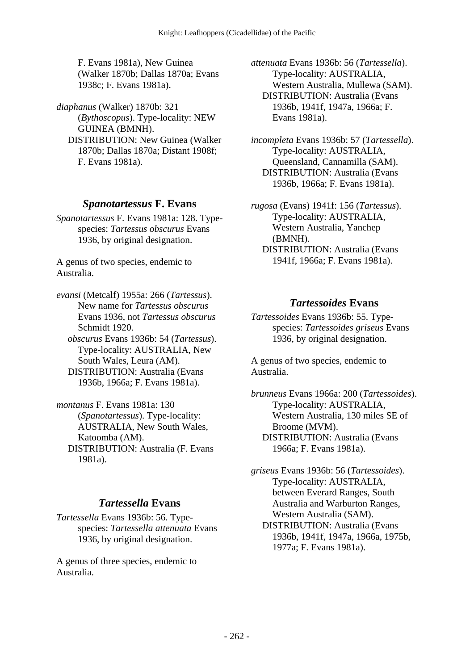F. Evans 1981a), New Guinea (Walker 1870b; Dallas 1870a; Evans 1938c; F. Evans 1981a).

*diaphanus* (Walker) 1870b: 321 (*Bythoscopus*). Type-locality: NEW GUINEA (BMNH). DISTRIBUTION: New Guinea (Walker 1870b; Dallas 1870a; Distant 1908f; F. Evans 1981a).

#### *Spanotartessus* **F. Evans**

*Spanotartessus* F. Evans 1981a: 128. Typespecies: *Tartessus obscurus* Evans 1936, by original designation.

A genus of two species, endemic to Australia.

*evansi* (Metcalf) 1955a: 266 (*Tartessus*). New name for *Tartessus obscurus* Evans 1936, not *Tartessus obscurus* Schmidt 1920.

 *obscurus* Evans 1936b: 54 (*Tartessus*). Type-locality: AUSTRALIA, New South Wales, Leura (AM). DISTRIBUTION: Australia (Evans 1936b, 1966a; F. Evans 1981a).

*montanus* F. Evans 1981a: 130 (*Spanotartessus*). Type-locality: AUSTRALIA, New South Wales, Katoomba (AM). DISTRIBUTION: Australia (F. Evans 1981a).

## *Tartessella* **Evans**

*Tartessella* Evans 1936b: 56. Typespecies: *Tartessella attenuata* Evans 1936, by original designation.

A genus of three species, endemic to Australia.

*attenuata* Evans 1936b: 56 (*Tartessella*). Type-locality: AUSTRALIA, Western Australia, Mullewa (SAM). DISTRIBUTION: Australia (Evans 1936b, 1941f, 1947a, 1966a; F. Evans 1981a).

*incompleta* Evans 1936b: 57 (*Tartessella*). Type-locality: AUSTRALIA, Queensland, Cannamilla (SAM). DISTRIBUTION: Australia (Evans 1936b, 1966a; F. Evans 1981a).

*rugosa* (Evans) 1941f: 156 (*Tartessus*). Type-locality: AUSTRALIA, Western Australia, Yanchep (BMNH). DISTRIBUTION: Australia (Evans 1941f, 1966a; F. Evans 1981a).

#### *Tartessoides* **Evans**

*Tartessoides* Evans 1936b: 55. Typespecies: *Tartessoides griseus* Evans 1936, by original designation.

A genus of two species, endemic to Australia.

*brunneus* Evans 1966a: 200 (*Tartessoides*). Type-locality: AUSTRALIA, Western Australia, 130 miles SE of Broome (MVM). DISTRIBUTION: Australia (Evans 1966a; F. Evans 1981a).

*griseus* Evans 1936b: 56 (*Tartessoides*). Type-locality: AUSTRALIA, between Everard Ranges, South Australia and Warburton Ranges, Western Australia (SAM). DISTRIBUTION: Australia (Evans 1936b, 1941f, 1947a, 1966a, 1975b, 1977a; F. Evans 1981a).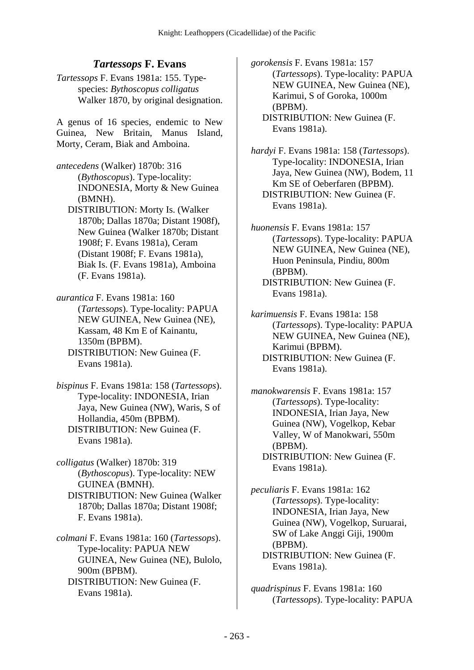## *Tartessops* **F. Evans**

*Tartessops* F. Evans 1981a: 155. Typespecies: *Bythoscopus colligatus* Walker 1870, by original designation.

A genus of 16 species, endemic to New Guinea, New Britain, Manus Island, Morty, Ceram, Biak and Amboina.

- *antecedens* (Walker) 1870b: 316 (*Bythoscopus*). Type-locality: INDONESIA, Morty & New Guinea (BMNH).
	- DISTRIBUTION: Morty Is. (Walker 1870b; Dallas 1870a; Distant 1908f), New Guinea (Walker 1870b; Distant 1908f; F. Evans 1981a), Ceram (Distant 1908f; F. Evans 1981a), Biak Is. (F. Evans 1981a), Amboina (F. Evans 1981a).
- *aurantica* F. Evans 1981a: 160 (*Tartessops*). Type-locality: PAPUA NEW GUINEA, New Guinea (NE), Kassam, 48 Km E of Kainantu, 1350m (BPBM). DISTRIBUTION: New Guinea (F. Evans 1981a).
- *bispinus* F. Evans 1981a: 158 (*Tartessops*). Type-locality: INDONESIA, Irian Jaya, New Guinea (NW), Waris, S of Hollandia, 450m (BPBM). DISTRIBUTION: New Guinea (F. Evans 1981a).

*colligatus* (Walker) 1870b: 319 (*Bythoscopus*). Type-locality: NEW GUINEA (BMNH). DISTRIBUTION: New Guinea (Walker 1870b; Dallas 1870a; Distant 1908f; F. Evans 1981a).

*colmani* F. Evans 1981a: 160 (*Tartessops*). Type-locality: PAPUA NEW GUINEA, New Guinea (NE), Bulolo, 900m (BPBM). DISTRIBUTION: New Guinea (F. Evans 1981a).

*gorokensis* F. Evans 1981a: 157 (*Tartessops*). Type-locality: PAPUA NEW GUINEA, New Guinea (NE), Karimui, S of Goroka, 1000m (BPBM). DISTRIBUTION: New Guinea (F. Evans 1981a).

*hardyi* F. Evans 1981a: 158 (*Tartessops*). Type-locality: INDONESIA, Irian Jaya, New Guinea (NW), Bodem, 11 Km SE of Oeberfaren (BPBM). DISTRIBUTION: New Guinea (F. Evans 1981a).

- *huonensis* F. Evans 1981a: 157 (*Tartessops*). Type-locality: PAPUA NEW GUINEA, New Guinea (NE), Huon Peninsula, Pindiu, 800m (BPBM). DISTRIBUTION: New Guinea (F. Evans 1981a).
- *karimuensis* F. Evans 1981a: 158 (*Tartessops*). Type-locality: PAPUA NEW GUINEA, New Guinea (NE), Karimui (BPBM). DISTRIBUTION: New Guinea (F. Evans 1981a).
- *manokwarensis* F. Evans 1981a: 157 (*Tartessops*). Type-locality: INDONESIA, Irian Jaya, New Guinea (NW), Vogelkop, Kebar Valley, W of Manokwari, 550m (BPBM). DISTRIBUTION: New Guinea (F.

Evans 1981a).

*peculiaris* F. Evans 1981a: 162 (*Tartessops*). Type-locality: INDONESIA, Irian Jaya, New Guinea (NW), Vogelkop, Suruarai, SW of Lake Anggi Giji, 1900m (BPBM). DISTRIBUTION: New Guinea (F. Evans 1981a).

*quadrispinus* F. Evans 1981a: 160 (*Tartessops*). Type-locality: PAPUA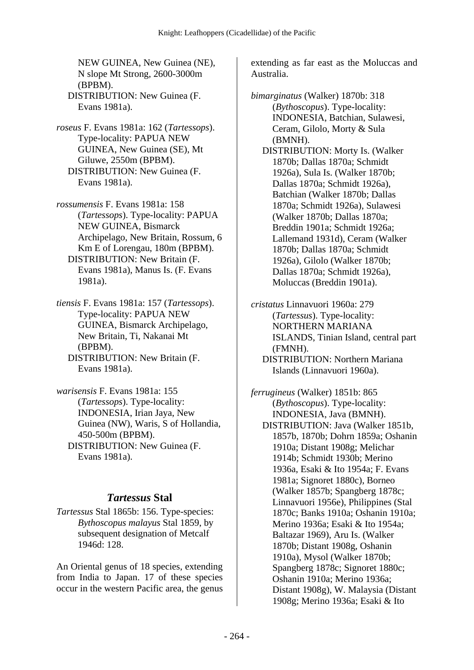NEW GUINEA, New Guinea (NE), N slope Mt Strong, 2600-3000m (BPBM). DISTRIBUTION: New Guinea (F. Evans 1981a).

*roseus* F. Evans 1981a: 162 (*Tartessops*). Type-locality: PAPUA NEW GUINEA, New Guinea (SE), Mt Giluwe, 2550m (BPBM). DISTRIBUTION: New Guinea (F. Evans 1981a).

*rossumensis* F. Evans 1981a: 158 (*Tartessops*). Type-locality: PAPUA NEW GUINEA, Bismarck Archipelago, New Britain, Rossum, 6 Km E of Lorengau, 180m (BPBM). DISTRIBUTION: New Britain (F. Evans 1981a), Manus Is. (F. Evans 1981a).

*tiensis* F. Evans 1981a: 157 (*Tartessops*). Type-locality: PAPUA NEW GUINEA, Bismarck Archipelago, New Britain, Ti, Nakanai Mt (BPBM).

 DISTRIBUTION: New Britain (F. Evans 1981a).

*warisensis* F. Evans 1981a: 155 (*Tartessops*). Type-locality: INDONESIA, Irian Jaya, New Guinea (NW), Waris, S of Hollandia, 450-500m (BPBM). DISTRIBUTION: New Guinea (F. Evans 1981a).

## *Tartessus* **Stal**

*Tartessus* Stal 1865b: 156. Type-species: *Bythoscopus malayus* Stal 1859, by subsequent designation of Metcalf 1946d: 128.

An Oriental genus of 18 species, extending from India to Japan. 17 of these species occur in the western Pacific area, the genus extending as far east as the Moluccas and Australia.

*bimarginatus* (Walker) 1870b: 318 (*Bythoscopus*). Type-locality: INDONESIA, Batchian, Sulawesi, Ceram, Gilolo, Morty & Sula (BMNH). DISTRIBUTION: Morty Is. (Walker 1870b; Dallas 1870a; Schmidt 1926a), Sula Is. (Walker 1870b; Dallas 1870a; Schmidt 1926a), Batchian (Walker 1870b; Dallas 1870a; Schmidt 1926a), Sulawesi (Walker 1870b; Dallas 1870a; Breddin 1901a; Schmidt 1926a; Lallemand 1931d), Ceram (Walker 1870b; Dallas 1870a; Schmidt 1926a), Gilolo (Walker 1870b; Dallas 1870a; Schmidt 1926a), Moluccas (Breddin 1901a).

*cristatus* Linnavuori 1960a: 279 (*Tartessus*). Type-locality: NORTHERN MARIANA ISLANDS, Tinian Island, central part (FMNH). DISTRIBUTION: Northern Mariana

Islands (Linnavuori 1960a).

*ferrugineus* (Walker) 1851b: 865 (*Bythoscopus*). Type-locality: INDONESIA, Java (BMNH). DISTRIBUTION: Java (Walker 1851b, 1857b, 1870b; Dohrn 1859a; Oshanin 1910a; Distant 1908g; Melichar 1914b; Schmidt 1930b; Merino 1936a, Esaki & Ito 1954a; F. Evans 1981a; Signoret 1880c), Borneo (Walker 1857b; Spangberg 1878c; Linnavuori 1956e), Philippines (Stal 1870c; Banks 1910a; Oshanin 1910a; Merino 1936a; Esaki & Ito 1954a; Baltazar 1969), Aru Is. (Walker 1870b; Distant 1908g, Oshanin 1910a), Mysol (Walker 1870b; Spangberg 1878c; Signoret 1880c; Oshanin 1910a; Merino 1936a; Distant 1908g), W. Malaysia (Distant 1908g; Merino 1936a; Esaki & Ito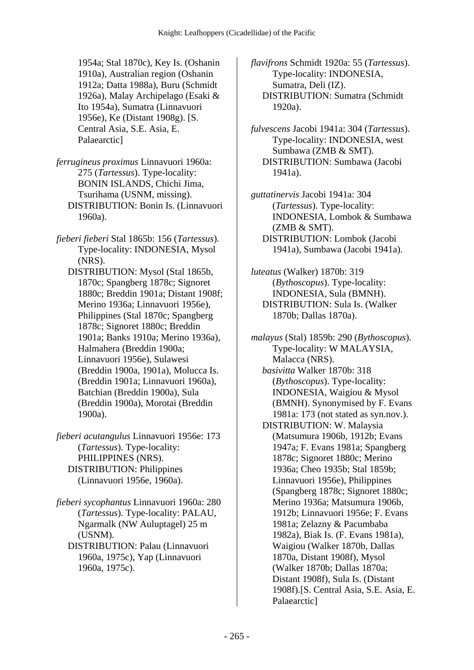1954a; Stal 1870c), Key Is. (Oshanin 1910a), Australian region (Oshanin 1912a; Datta 1988a), Buru (Schmidt 1926a), Malay Archipelago (Esaki & Ito 1954a), Sumatra (Linnavuori 1956e), Ke (Distant 1908g). [S. Central Asia, S.E. Asia, E. Palaearctic]

*ferrugineus proximus* Linnavuori 1960a: 275 (*Tartessus*). Type-locality: BONIN ISLANDS, Chichi Jima, Tsurihama (USNM, missing). DISTRIBUTION: Bonin Is. (Linnavuori 1960a).

*fieberi fieberi* Stal 1865b: 156 (*Tartessus*). Type-locality: INDONESIA, Mysol (NRS).

 DISTRIBUTION: Mysol (Stal 1865b, 1870c; Spangberg 1878c; Signoret 1880c; Breddin 1901a; Distant 1908f; Merino 1936a; Linnavuori 1956e), Philippines (Stal 1870c; Spangberg 1878c; Signoret 1880c; Breddin 1901a; Banks 1910a; Merino 1936a), Halmahera (Breddin 1900a; Linnavuori 1956e), Sulawesi (Breddin 1900a, 1901a), Molucca Is. (Breddin 1901a; Linnavuori 1960a), Batchian (Breddin 1900a), Sula (Breddin 1900a), Morotai (Breddin 1900a).

- *fieberi acutangulus* Linnavuori 1956e: 173 (*Tartessus*). Type-locality: PHILIPPINES (NRS). DISTRIBUTION: Philippines (Linnavuori 1956e, 1960a).
- *fieberi sycophantus* Linnavuori 1960a: 280 (*Tartessus*). Type-locality: PALAU, Ngarmalk (NW Auluptagel) 25 m (USNM).
	- DISTRIBUTION: Palau (Linnavuori 1960a, 1975c), Yap (Linnavuori 1960a, 1975c).

*flavifrons* Schmidt 1920a: 55 (*Tartessus*). Type-locality: INDONESIA, Sumatra, Deli (IZ). DISTRIBUTION: Sumatra (Schmidt 1920a).

*fulvescens* Jacobi 1941a: 304 (*Tartessus*). Type-locality: INDONESIA, west Sumbawa (ZMB & SMT). DISTRIBUTION: Sumbawa (Jacobi 1941a).

*guttatinervis* Jacobi 1941a: 304 (*Tartessus*). Type-locality: INDONESIA, Lombok & Sumbawa (ZMB & SMT). DISTRIBUTION: Lombok (Jacobi 1941a), Sumbawa (Jacobi 1941a).

*luteatus* (Walker) 1870b: 319 (*Bythoscopus*). Type-locality: INDONESIA, Sula (BMNH). DISTRIBUTION: Sula Is. (Walker 1870b; Dallas 1870a).

*malayus* (Stal) 1859b: 290 (*Bythoscopus*). Type-locality: W MALAYSIA, Malacca (NRS).  *basivitta* Walker 1870b: 318 (*Bythoscopus*). Type-locality: INDONESIA, Waigiou & Mysol (BMNH). Synonymised by F. Evans 1981a: 173 (not stated as syn.nov.). DISTRIBUTION: W. Malaysia (Matsumura 1906b, 1912b; Evans 1947a; F. Evans 1981a; Spangberg 1878c; Signoret 1880c; Merino 1936a; Cheo 1935b; Stal 1859b; Linnavuori 1956e), Philippines (Spangberg 1878c; Signoret 1880c; Merino 1936a; Matsumura 1906b, 1912b; Linnavuori 1956e; F. Evans 1981a; Zelazny & Pacumbaba 1982a), Biak Is. (F. Evans 1981a), Waigiou (Walker 1870b, Dallas 1870a, Distant 1908f), Mysol (Walker 1870b; Dallas 1870a; Distant 1908f), Sula Is. (Distant 1908f).[S. Central Asia, S.E. Asia, E. Palaearctic]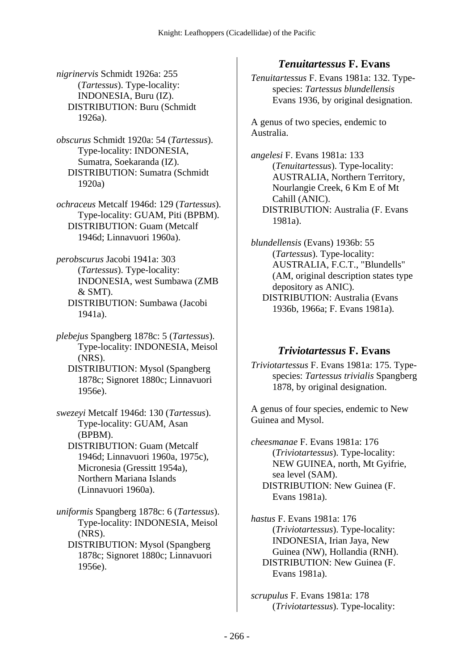*nigrinervis* Schmidt 1926a: 255 (*Tartessus*). Type-locality: INDONESIA, Buru (IZ). DISTRIBUTION: Buru (Schmidt 1926a).

*obscurus* Schmidt 1920a: 54 (*Tartessus*). Type-locality: INDONESIA, Sumatra, Soekaranda (IZ). DISTRIBUTION: Sumatra (Schmidt 1920a)

*ochraceus* Metcalf 1946d: 129 (*Tartessus*). Type-locality: GUAM, Piti (BPBM). DISTRIBUTION: Guam (Metcalf 1946d; Linnavuori 1960a).

*perobscurus* Jacobi 1941a: 303 (*Tartessus*). Type-locality: INDONESIA, west Sumbawa (ZMB & SMT). DISTRIBUTION: Sumbawa (Jacobi 1941a).

*plebejus* Spangberg 1878c: 5 (*Tartessus*). Type-locality: INDONESIA, Meisol (NRS).

 DISTRIBUTION: Mysol (Spangberg 1878c; Signoret 1880c; Linnavuori 1956e).

*swezeyi* Metcalf 1946d: 130 (*Tartessus*). Type-locality: GUAM, Asan (BPBM). DISTRIBUTION: Guam (Metcalf

1946d; Linnavuori 1960a, 1975c), Micronesia (Gressitt 1954a), Northern Mariana Islands (Linnavuori 1960a).

*uniformis* Spangberg 1878c: 6 (*Tartessus*). Type-locality: INDONESIA, Meisol (NRS).

 DISTRIBUTION: Mysol (Spangberg 1878c; Signoret 1880c; Linnavuori 1956e).

## *Tenuitartessus* **F. Evans**

*Tenuitartessus* F. Evans 1981a: 132. Typespecies: *Tartessus blundellensis* Evans 1936, by original designation.

A genus of two species, endemic to Australia.

*angelesi* F. Evans 1981a: 133 (*Tenuitartessus*). Type-locality: AUSTRALIA, Northern Territory, Nourlangie Creek, 6 Km E of Mt Cahill (ANIC). DISTRIBUTION: Australia (F. Evans 1981a).

*blundellensis* (Evans) 1936b: 55 (*Tartessus*). Type-locality: AUSTRALIA, F.C.T., "Blundells" (AM, original description states type depository as ANIC). DISTRIBUTION: Australia (Evans 1936b, 1966a; F. Evans 1981a).

#### *Triviotartessus* **F. Evans**

*Triviotartessus* F. Evans 1981a: 175. Typespecies: *Tartessus trivialis* Spangberg 1878, by original designation.

A genus of four species, endemic to New Guinea and Mysol.

*cheesmanae* F. Evans 1981a: 176 (*Triviotartessus*). Type-locality: NEW GUINEA, north, Mt Gyifrie, sea level (SAM). DISTRIBUTION: New Guinea (F. Evans 1981a).

*hastus* F. Evans 1981a: 176 (*Triviotartessus*). Type-locality: INDONESIA, Irian Jaya, New Guinea (NW), Hollandia (RNH). DISTRIBUTION: New Guinea (F. Evans 1981a).

*scrupulus* F. Evans 1981a: 178 (*Triviotartessus*). Type-locality: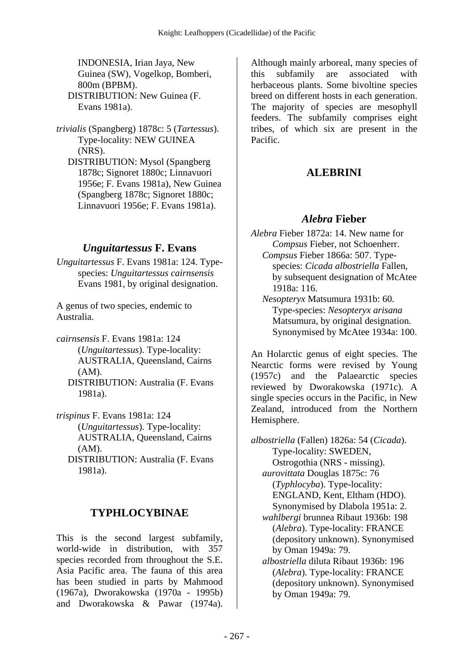INDONESIA, Irian Jaya, New Guinea (SW), Vogelkop, Bomberi, 800m (BPBM). DISTRIBUTION: New Guinea (F. Evans 1981a).

*trivialis* (Spangberg) 1878c: 5 (*Tartessus*). Type-locality: NEW GUINEA (NRS).

 DISTRIBUTION: Mysol (Spangberg 1878c; Signoret 1880c; Linnavuori 1956e; F. Evans 1981a), New Guinea (Spangberg 1878c; Signoret 1880c; Linnavuori 1956e; F. Evans 1981a).

# *Unguitartessus* **F. Evans**

*Unguitartessus* F. Evans 1981a: 124. Typespecies: *Unguitartessus cairnsensis* Evans 1981, by original designation.

A genus of two species, endemic to Australia.

*cairnsensis* F. Evans 1981a: 124 (*Unguitartessus*). Type-locality: AUSTRALIA, Queensland, Cairns (AM).

 DISTRIBUTION: Australia (F. Evans 1981a).

*trispinus* F. Evans 1981a: 124 (*Unguitartessus*). Type-locality: AUSTRALIA, Queensland, Cairns (AM).

 DISTRIBUTION: Australia (F. Evans 1981a).

## **TYPHLOCYBINAE**

This is the second largest subfamily, world-wide in distribution, with 357 species recorded from throughout the S.E. Asia Pacific area. The fauna of this area has been studied in parts by Mahmood (1967a), Dworakowska (1970a - 1995b) and Dworakowska & Pawar (1974a).

Although mainly arboreal, many species of this subfamily are associated with herbaceous plants. Some bivoltine species breed on different hosts in each generation. The majority of species are mesophyll feeders. The subfamily comprises eight tribes, of which six are present in the Pacific.

# **ALEBRINI**

## *Alebra* **Fieber**

*Alebra* Fieber 1872a: 14. New name for *Compsus* Fieber, not Schoenherr.  *Compsus* Fieber 1866a: 507. Typespecies: *Cicada albostriella* Fallen, by subsequent designation of McAtee 1918a: 116.

 *Nesopteryx* Matsumura 1931b: 60. Type-species: *Nesopteryx arisana* Matsumura, by original designation. Synonymised by McAtee 1934a: 100.

An Holarctic genus of eight species. The Nearctic forms were revised by Young (1957c) and the Palaearctic species reviewed by Dworakowska (1971c). A single species occurs in the Pacific, in New Zealand, introduced from the Northern Hemisphere.

*albostriella* (Fallen) 1826a: 54 (*Cicada*). Type-locality: SWEDEN, Ostrogothia (NRS - missing).  *aurovittata* Douglas 1875c: 76 (*Typhlocyba*). Type-locality: ENGLAND, Kent, Eltham (HDO). Synonymised by Dlabola 1951a: 2.  *wahlbergi* brunnea Ribaut 1936b: 198 (*Alebra*). Type-locality: FRANCE (depository unknown). Synonymised by Oman 1949a: 79.  *albostriella* diluta Ribaut 1936b: 196 (*Alebra*). Type-locality: FRANCE (depository unknown). Synonymised by Oman 1949a: 79.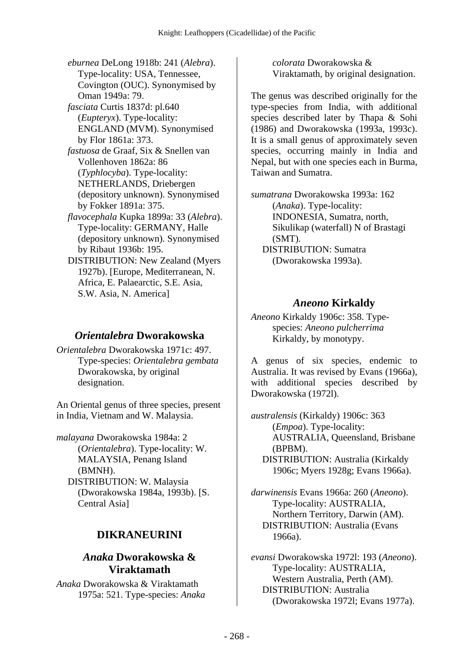*eburnea* DeLong 1918b: 241 (*Alebra*). Type-locality: USA, Tennessee, Covington (OUC). Synonymised by Oman 1949a: 79.  *fasciata* Curtis 1837d: pl.640 (*Eupteryx*). Type-locality: ENGLAND (MVM). Synonymised by Flor 1861a: 373.  *fastuosa* de Graaf, Six & Snellen van Vollenhoven 1862a: 86 (*Typhlocyba*). Type-locality: NETHERLANDS, Driebergen (depository unknown). Synonymised by Fokker 1891a: 375.  *flavocephala* Kupka 1899a: 33 (*Alebra*). Type-locality: GERMANY, Halle (depository unknown). Synonymised by Ribaut 1936b: 195. DISTRIBUTION: New Zealand (Myers 1927b). [Europe, Mediterranean, N. Africa, E. Palaearctic, S.E. Asia, S.W. Asia, N. America]

#### *Orientalebra* **Dworakowska**

*Orientalebra* Dworakowska 1971c: 497. Type-species: *Orientalebra gembata* Dworakowska, by original designation.

An Oriental genus of three species, present in India, Vietnam and W. Malaysia.

*malayana* Dworakowska 1984a: 2 (*Orientalebra*). Type-locality: W. MALAYSIA, Penang Island (BMNH). DISTRIBUTION: W. Malaysia (Dworakowska 1984a, 1993b). [S. Central Asia]

## **DIKRANEURINI**

#### *Anaka* **Dworakowska & Viraktamath**

*Anaka* Dworakowska & Viraktamath 1975a: 521. Type-species: *Anaka*  *colorata* Dworakowska & Viraktamath, by original designation.

The genus was described originally for the type-species from India, with additional species described later by Thapa & Sohi (1986) and Dworakowska (1993a, 1993c). It is a small genus of approximately seven species, occurring mainly in India and Nepal, but with one species each in Burma, Taiwan and Sumatra.

*sumatrana* Dworakowska 1993a: 162 (*Anaka*). Type-locality: INDONESIA, Sumatra, north, Sikulikap (waterfall) N of Brastagi (SMT). DISTRIBUTION: Sumatra (Dworakowska 1993a).

#### *Aneono* **Kirkaldy**

*Aneono* Kirkaldy 1906c: 358. Typespecies: *Aneono pulcherrima* Kirkaldy, by monotypy.

A genus of six species, endemic to Australia. It was revised by Evans (1966a), with additional species described by Dworakowska (1972l).

*australensis* (Kirkaldy) 1906c: 363 (*Empoa*). Type-locality: AUSTRALIA, Queensland, Brisbane (BPBM). DISTRIBUTION: Australia (Kirkaldy 1906c; Myers 1928g; Evans 1966a).

*darwinensis* Evans 1966a: 260 (*Aneono*). Type-locality: AUSTRALIA, Northern Territory, Darwin (AM). DISTRIBUTION: Australia (Evans 1966a).

*evansi* Dworakowska 1972l: 193 (*Aneono*). Type-locality: AUSTRALIA, Western Australia, Perth (AM). DISTRIBUTION: Australia (Dworakowska 1972l; Evans 1977a).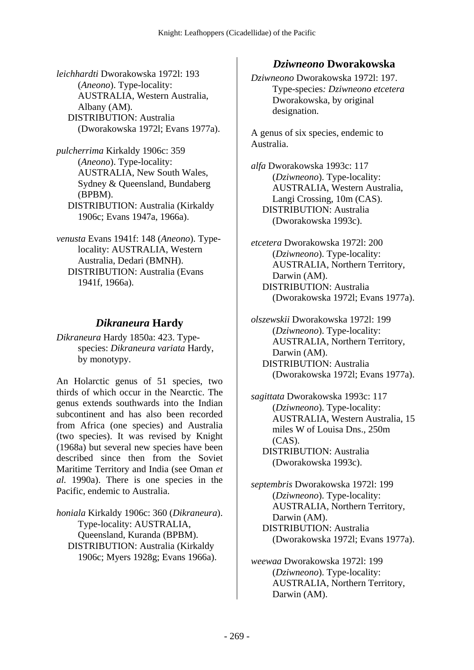*leichhardti* Dworakowska 1972l: 193 (*Aneono*). Type-locality: AUSTRALIA, Western Australia, Albany (AM). DISTRIBUTION: Australia (Dworakowska 1972l; Evans 1977a).

*pulcherrima* Kirkaldy 1906c: 359 (*Aneono*). Type-locality: AUSTRALIA, New South Wales, Sydney & Queensland, Bundaberg (BPBM). DISTRIBUTION: Australia (Kirkaldy 1906c; Evans 1947a, 1966a).

*venusta* Evans 1941f: 148 (*Aneono*). Typelocality: AUSTRALIA, Western Australia, Dedari (BMNH). DISTRIBUTION: Australia (Evans 1941f, 1966a).

## *Dikraneura* **Hardy**

*Dikraneura* Hardy 1850a: 423. Typespecies: *Dikraneura variata* Hardy, by monotypy.

An Holarctic genus of 51 species, two thirds of which occur in the Nearctic. The genus extends southwards into the Indian subcontinent and has also been recorded from Africa (one species) and Australia (two species). It was revised by Knight (1968a) but several new species have been described since then from the Soviet Maritime Territory and India (see Oman *et al.* 1990a). There is one species in the Pacific, endemic to Australia.

*honiala* Kirkaldy 1906c: 360 (*Dikraneura*). Type-locality: AUSTRALIA, Queensland, Kuranda (BPBM). DISTRIBUTION: Australia (Kirkaldy 1906c; Myers 1928g; Evans 1966a).

## *Dziwneono* **Dworakowska**

*Dziwneono* Dworakowska 1972l: 197. Type-species*: Dziwneono etcetera* Dworakowska, by original designation.

A genus of six species, endemic to Australia.

*alfa* Dworakowska 1993c: 117 (*Dziwneono*). Type-locality: AUSTRALIA, Western Australia, Langi Crossing, 10m (CAS). DISTRIBUTION: Australia (Dworakowska 1993c).

*etcetera* Dworakowska 1972l: 200 (*Dziwneono*). Type-locality: AUSTRALIA, Northern Territory, Darwin (AM). DISTRIBUTION: Australia (Dworakowska 1972l; Evans 1977a).

*olszewskii* Dworakowska 1972l: 199 (*Dziwneono*). Type-locality: AUSTRALIA, Northern Territory, Darwin (AM). DISTRIBUTION: Australia (Dworakowska 1972l; Evans 1977a).

*sagittata* Dworakowska 1993c: 117 (*Dziwneono*). Type-locality: AUSTRALIA, Western Australia, 15 miles W of Louisa Dns., 250m  $(CAS)$ . DISTRIBUTION: Australia (Dworakowska 1993c).

*septembris* Dworakowska 1972l: 199 (*Dziwneono*). Type-locality: AUSTRALIA, Northern Territory, Darwin (AM). DISTRIBUTION: Australia (Dworakowska 1972l; Evans 1977a).

*weewaa* Dworakowska 1972l: 199 (*Dziwneono*). Type-locality: AUSTRALIA, Northern Territory, Darwin (AM).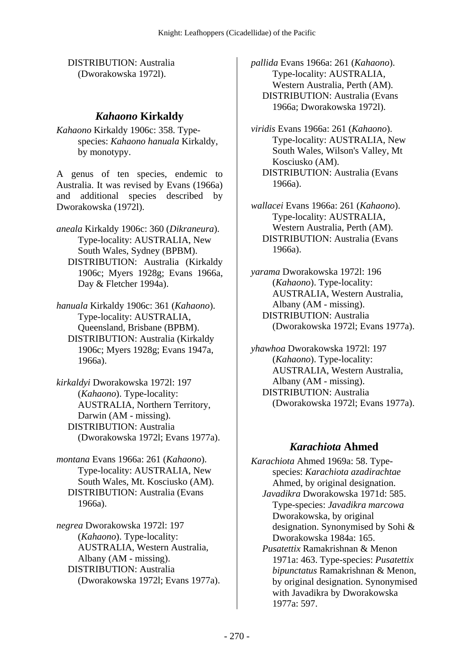DISTRIBUTION: Australia (Dworakowska 1972l).

#### *Kahaono* **Kirkaldy**

*Kahaono* Kirkaldy 1906c: 358. Typespecies: *Kahaono hanuala* Kirkaldy, by monotypy.

A genus of ten species, endemic to Australia. It was revised by Evans (1966a) and additional species described by Dworakowska (1972l).

*aneala* Kirkaldy 1906c: 360 (*Dikraneura*). Type-locality: AUSTRALIA, New South Wales, Sydney (BPBM). DISTRIBUTION: Australia (Kirkaldy 1906c; Myers 1928g; Evans 1966a, Day & Fletcher 1994a).

*hanuala* Kirkaldy 1906c: 361 (*Kahaono*). Type-locality: AUSTRALIA, Queensland, Brisbane (BPBM). DISTRIBUTION: Australia (Kirkaldy 1906c; Myers 1928g; Evans 1947a, 1966a).

*kirkaldyi* Dworakowska 1972l: 197 (*Kahaono*). Type-locality: AUSTRALIA, Northern Territory, Darwin (AM - missing). DISTRIBUTION: Australia (Dworakowska 1972l; Evans 1977a).

*montana* Evans 1966a: 261 (*Kahaono*). Type-locality: AUSTRALIA, New South Wales, Mt. Kosciusko (AM). DISTRIBUTION: Australia (Evans 1966a).

*negrea* Dworakowska 1972l: 197 (*Kahaono*). Type-locality: AUSTRALIA, Western Australia, Albany (AM - missing). DISTRIBUTION: Australia (Dworakowska 1972l; Evans 1977a). *pallida* Evans 1966a: 261 (*Kahaono*). Type-locality: AUSTRALIA, Western Australia, Perth (AM). DISTRIBUTION: Australia (Evans 1966a; Dworakowska 1972l).

*viridis* Evans 1966a: 261 (*Kahaono*). Type-locality: AUSTRALIA, New South Wales, Wilson's Valley, Mt Kosciusko (AM). DISTRIBUTION: Australia (Evans 1966a).

*wallacei* Evans 1966a: 261 (*Kahaono*). Type-locality: AUSTRALIA, Western Australia, Perth (AM). DISTRIBUTION: Australia (Evans 1966a).

*yarama* Dworakowska 1972l: 196 (*Kahaono*). Type-locality: AUSTRALIA, Western Australia, Albany (AM - missing). DISTRIBUTION: Australia (Dworakowska 1972l; Evans 1977a).

*yhawhoa* Dworakowska 1972l: 197 (*Kahaono*). Type-locality: AUSTRALIA, Western Australia, Albany (AM - missing). DISTRIBUTION: Australia (Dworakowska 1972l; Evans 1977a).

## *Karachiota* **Ahmed**

*Karachiota* Ahmed 1969a: 58. Typespecies: *Karachiota azadirachtae* Ahmed, by original designation.  *Javadikra* Dworakowska 1971d: 585. Type-species: *Javadikra marcowa* Dworakowska, by original designation. Synonymised by Sohi & Dworakowska 1984a: 165.  *Pusatettix* Ramakrishnan & Menon 1971a: 463. Type-species: *Pusatettix bipunctatus* Ramakrishnan & Menon, by original designation. Synonymised with Javadikra by Dworakowska 1977a: 597.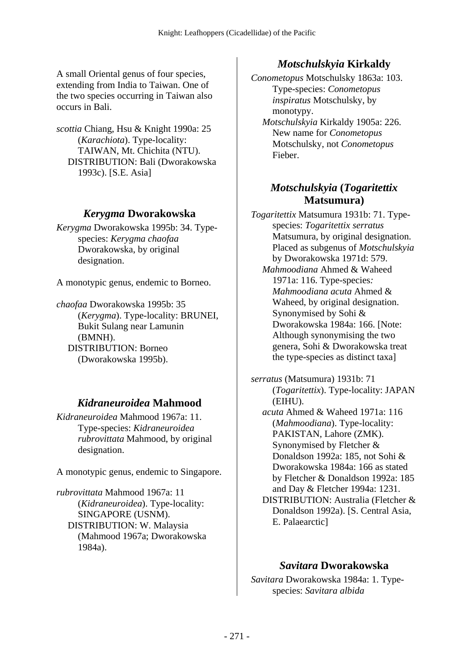A small Oriental genus of four species, extending from India to Taiwan. One of the two species occurring in Taiwan also occurs in Bali.

*scottia* Chiang, Hsu & Knight 1990a: 25 (*Karachiota*). Type-locality: TAIWAN, Mt. Chichita (NTU). DISTRIBUTION: Bali (Dworakowska 1993c). [S.E. Asia]

#### *Kerygma* **Dworakowska**

*Kerygma* Dworakowska 1995b: 34. Typespecies: *Kerygma chaofaa* Dworakowska, by original designation.

A monotypic genus, endemic to Borneo.

*chaofaa* Dworakowska 1995b: 35 (*Kerygma*). Type-locality: BRUNEI, Bukit Sulang near Lamunin (BMNH). DISTRIBUTION: Borneo (Dworakowska 1995b).

## *Kidraneuroidea* **Mahmood**

*Kidraneuroidea* Mahmood 1967a: 11. Type-species: *Kidraneuroidea rubrovittata* Mahmood, by original designation.

A monotypic genus, endemic to Singapore.

*rubrovittata* Mahmood 1967a: 11 (*Kidraneuroidea*). Type-locality: SINGAPORE (USNM). DISTRIBUTION: W. Malaysia (Mahmood 1967a; Dworakowska 1984a).

#### *Motschulskyia* **Kirkaldy**

*Conometopus* Motschulsky 1863a: 103. Type-species: *Conometopus inspiratus* Motschulsky, by monotypy.

 *Motschulskyia* Kirkaldy 1905a: 226. New name for *Conometopus* Motschulsky, not *Conometopus* Fieber.

## *Motschulskyia* **(***Togaritettix* **Matsumura)**

*Togaritettix* Matsumura 1931b: 71. Typespecies: *Togaritettix serratus* Matsumura, by original designation. Placed as subgenus of *Motschulskyia* by Dworakowska 1971d: 579.  *Mahmoodiana* Ahmed & Waheed

1971a: 116. Type-species*: Mahmoodiana acuta* Ahmed & Waheed, by original designation. Synonymised by Sohi & Dworakowska 1984a: 166. [Note: Although synonymising the two genera, Sohi & Dworakowska treat the type-species as distinct taxa]

*serratus* (Matsumura) 1931b: 71 (*Togaritettix*). Type-locality: JAPAN (EIHU).

 *acuta* Ahmed & Waheed 1971a: 116 (*Mahmoodiana*). Type-locality: PAKISTAN, Lahore (ZMK). Synonymised by Fletcher & Donaldson 1992a: 185, not Sohi & Dworakowska 1984a: 166 as stated by Fletcher & Donaldson 1992a: 185 and Day & Fletcher 1994a: 1231. DISTRIBUTION: Australia (Fletcher & Donaldson 1992a). [S. Central Asia, E. Palaearctic]

## *Savitara* **Dworakowska**

*Savitara* Dworakowska 1984a: 1. Typespecies: *Savitara albida*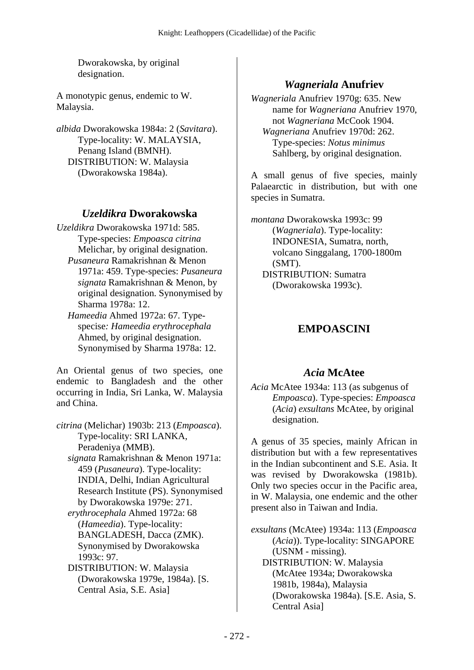Dworakowska, by original designation.

A monotypic genus, endemic to W. Malaysia.

*albida* Dworakowska 1984a: 2 (*Savitara*). Type-locality: W. MALAYSIA, Penang Island (BMNH). DISTRIBUTION: W. Malaysia (Dworakowska 1984a).

#### *Uzeldikra* **Dworakowska**

*Uzeldikra* Dworakowska 1971d: 585. Type-species: *Empoasca citrina* Melichar, by original designation.  *Pusaneura* Ramakrishnan & Menon 1971a: 459. Type-species: *Pusaneura signata* Ramakrishnan & Menon, by original designation. Synonymised by Sharma 1978a: 12.

 *Hameedia* Ahmed 1972a: 67. Typespecise*: Hameedia erythrocephala* Ahmed, by original designation. Synonymised by Sharma 1978a: 12.

An Oriental genus of two species, one endemic to Bangladesh and the other occurring in India, Sri Lanka, W. Malaysia and China.

*citrina* (Melichar) 1903b: 213 (*Empoasca*). Type-locality: SRI LANKA, Peradeniya (MMB).  *signata* Ramakrishnan & Menon 1971a: 459 (*Pusaneura*). Type-locality: INDIA, Delhi, Indian Agricultural Research Institute (PS). Synonymised by Dworakowska 1979e: 271.  *erythrocephala* Ahmed 1972a: 68 (*Hameedia*). Type-locality: BANGLADESH, Dacca (ZMK). Synonymised by Dworakowska 1993c: 97. DISTRIBUTION: W. Malaysia (Dworakowska 1979e, 1984a). [S. Central Asia, S.E. Asia]

# *Wagneriala* **Anufriev**

*Wagneriala* Anufriev 1970g: 635. New name for *Wagneriana* Anufriev 1970, not *Wagneriana* McCook 1904.  *Wagneriana* Anufriev 1970d: 262. Type-species: *Notus minimus* Sahlberg, by original designation.

A small genus of five species, mainly Palaearctic in distribution, but with one species in Sumatra.

*montana* Dworakowska 1993c: 99 (*Wagneriala*). Type-locality: INDONESIA, Sumatra, north, volcano Singgalang, 1700-1800m (SMT). DISTRIBUTION: Sumatra (Dworakowska 1993c).

# **EMPOASCINI**

## *Acia* **McAtee**

*Acia* McAtee 1934a: 113 (as subgenus of *Empoasca*). Type-species: *Empoasca* (*Acia*) *exsultans* McAtee, by original designation.

A genus of 35 species, mainly African in distribution but with a few representatives in the Indian subcontinent and S.E. Asia. It was revised by Dworakowska (1981b). Only two species occur in the Pacific area, in W. Malaysia, one endemic and the other present also in Taiwan and India.

*exsultans* (McAtee) 1934a: 113 (*Empoasca* (*Acia*)). Type-locality: SINGAPORE (USNM - missing). DISTRIBUTION: W. Malaysia (McAtee 1934a; Dworakowska 1981b, 1984a), Malaysia (Dworakowska 1984a). [S.E. Asia, S. Central Asia]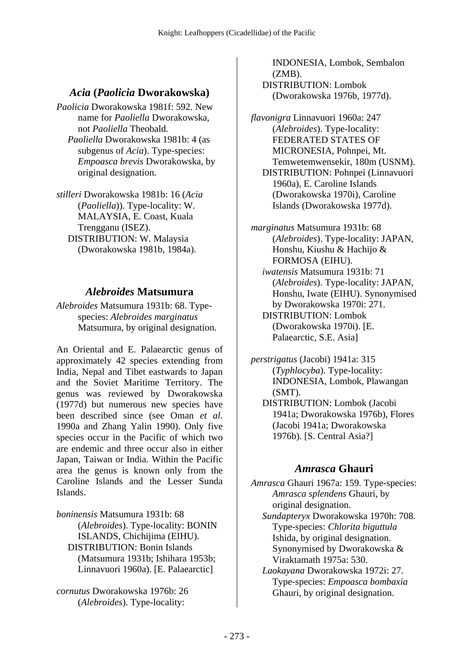## *Acia* **(***Paolicia* **Dworakowska)**

- *Paolicia* Dworakowska 1981f: 592. New name for *Paoliella* Dworakowska, not *Paoliella* Theobald.  *Paoliella* Dworakowska 1981b: 4 (as
	- subgenus of *Acia*). Type-species: *Empoasca brevis* Dworakowska, by original designation.
- *stilleri* Dworakowska 1981b: 16 (*Acia* (*Paoliella*)). Type-locality: W. MALAYSIA, E. Coast, Kuala Trengganu (ISEZ). DISTRIBUTION: W. Malaysia (Dworakowska 1981b, 1984a).

## *Alebroides* **Matsumura**

*Alebroides* Matsumura 1931b: 68. Typespecies: *Alebroides marginatus* Matsumura, by original designation.

An Oriental and E. Palaearctic genus of approximately 42 species extending from India, Nepal and Tibet eastwards to Japan and the Soviet Maritime Territory. The genus was reviewed by Dworakowska (1977d) but numerous new species have been described since (see Oman *et al.* 1990a and Zhang Yalin 1990). Only five species occur in the Pacific of which two are endemic and three occur also in either Japan, Taiwan or India. Within the Pacific area the genus is known only from the Caroline Islands and the Lesser Sunda Islands.

*boninensis* Matsumura 1931b: 68 (*Alebroides*). Type-locality: BONIN ISLANDS, Chichijima (EIHU). DISTRIBUTION: Bonin Islands (Matsumura 1931b; Ishihara 1953b; Linnavuori 1960a). [E. Palaearctic]

*cornutus* Dworakowska 1976b: 26 (*Alebroides*). Type-locality:

INDONESIA, Lombok, Sembalon (ZMB). DISTRIBUTION: Lombok (Dworakowska 1976b, 1977d).

*flavonigra* Linnavuori 1960a: 247 (*Alebroides*). Type-locality: FEDERATED STATES OF MICRONESIA, Pohnpei, Mt. Temwetemwensekir, 180m (USNM). DISTRIBUTION: Pohnpei (Linnavuori 1960a), E. Caroline Islands (Dworakowska 1970i), Caroline Islands (Dworakowska 1977d).

*marginatus* Matsumura 1931b: 68 (*Alebroides*). Type-locality: JAPAN, Honshu, Kiushu & Hachijo & FORMOSA (EIHU).  *iwatensis* Matsumura 1931b: 71 (*Alebroides*). Type-locality: JAPAN, Honshu, Iwate (EIHU). Synonymised by Dworakowska 1970i: 271. DISTRIBUTION: Lombok (Dworakowska 1970i). [E. Palaearctic, S.E. Asia]

*perstrigatus* (Jacobi) 1941a: 315 (*Typhlocyba*). Type-locality: INDONESIA, Lombok, Plawangan (SMT). DISTRIBUTION: Lombok (Jacobi

1941a; Dworakowska 1976b), Flores (Jacobi 1941a; Dworakowska 1976b). [S. Central Asia?]

## *Amrasca* **Ghauri**

*Amrasca* Ghauri 1967a: 159. Type-species: *Amrasca splendens* Ghauri, by original designation.

 *Sundapteryx* Dworakowska 1970h: 708. Type-species: *Chlorita biguttula* Ishida, by original designation. Synonymised by Dworakowska & Viraktamath 1975a: 530.

 *Laokayana* Dworakowska 1972i: 27. Type-species: *Empoasca bombaxia* Ghauri, by original designation.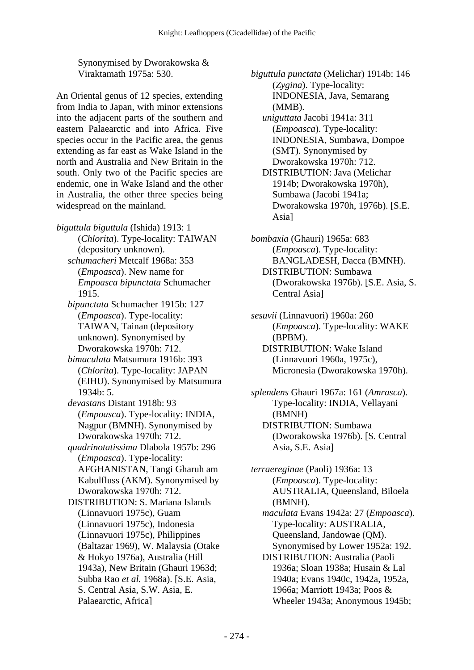Synonymised by Dworakowska & Viraktamath 1975a: 530.

An Oriental genus of 12 species, extending from India to Japan, with minor extensions into the adjacent parts of the southern and eastern Palaearctic and into Africa. Five species occur in the Pacific area, the genus extending as far east as Wake Island in the north and Australia and New Britain in the south. Only two of the Pacific species are endemic, one in Wake Island and the other in Australia, the other three species being widespread on the mainland.

*biguttula biguttula* (Ishida) 1913: 1 (*Chlorita*). Type-locality: TAIWAN (depository unknown).  *schumacheri* Metcalf 1968a: 353 (*Empoasca*). New name for *Empoasca bipunctata* Schumacher 1915.  *bipunctata* Schumacher 1915b: 127 (*Empoasca*). Type-locality: TAIWAN, Tainan (depository unknown). Synonymised by Dworakowska 1970h: 712.  *bimaculata* Matsumura 1916b: 393 (*Chlorita*). Type-locality: JAPAN (EIHU). Synonymised by Matsumura 1934b: 5.  *devastans* Distant 1918b: 93 (*Empoasca*). Type-locality: INDIA, Nagpur (BMNH). Synonymised by Dworakowska 1970h: 712.  *quadrinotatissima* Dlabola 1957b: 296 (*Empoasca*). Type-locality: AFGHANISTAN, Tangi Gharuh am Kabulfluss (AKM). Synonymised by Dworakowska 1970h: 712. DISTRIBUTION: S. Mariana Islands (Linnavuori 1975c), Guam (Linnavuori 1975c), Indonesia (Linnavuori 1975c), Philippines (Baltazar 1969), W. Malaysia (Otake & Hokyo 1976a), Australia (Hill 1943a), New Britain (Ghauri 1963d; Subba Rao *et al.* 1968a). [S.E. Asia, S. Central Asia, S.W. Asia, E. Palaearctic, Africa]

*biguttula punctata* (Melichar) 1914b: 146 (*Zygina*). Type-locality: INDONESIA, Java, Semarang (MMB).  *uniguttata* Jacobi 1941a: 311

(*Empoasca*). Type-locality: INDONESIA, Sumbawa, Dompoe (SMT). Synonymised by Dworakowska 1970h: 712. DISTRIBUTION: Java (Melichar 1914b; Dworakowska 1970h),

Sumbawa (Jacobi 1941a; Dworakowska 1970h, 1976b). [S.E. Asia]

*bombaxia* (Ghauri) 1965a: 683 (*Empoasca*). Type-locality: BANGLADESH, Dacca (BMNH). DISTRIBUTION: Sumbawa (Dworakowska 1976b). [S.E. Asia, S. Central Asia]

*sesuvii* (Linnavuori) 1960a: 260 (*Empoasca*). Type-locality: WAKE (BPBM). DISTRIBUTION: Wake Island (Linnavuori 1960a, 1975c), Micronesia (Dworakowska 1970h).

*splendens* Ghauri 1967a: 161 (*Amrasca*). Type-locality: INDIA, Vellayani (BMNH) DISTRIBUTION: Sumbawa (Dworakowska 1976b). [S. Central Asia, S.E. Asia]

*terraereginae* (Paoli) 1936a: 13 (*Empoasca*). Type-locality: AUSTRALIA, Queensland, Biloela (BMNH).  *maculata* Evans 1942a: 27 (*Empoasca*). Type-locality: AUSTRALIA, Queensland, Jandowae (QM). Synonymised by Lower 1952a: 192. DISTRIBUTION: Australia (Paoli 1936a; Sloan 1938a; Husain & Lal 1940a; Evans 1940c, 1942a, 1952a, 1966a; Marriott 1943a; Poos & Wheeler 1943a; Anonymous 1945b;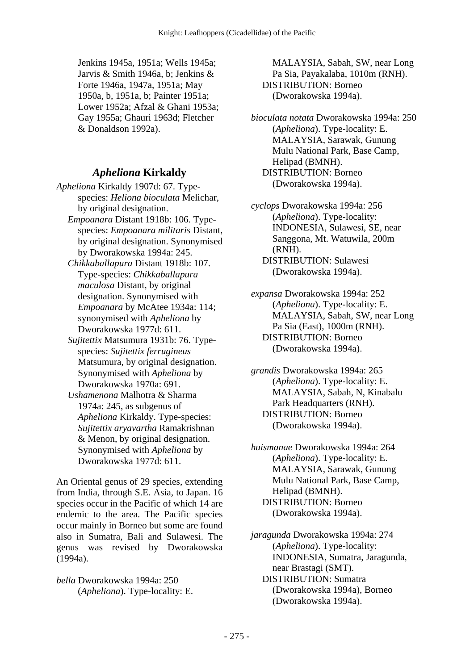Jenkins 1945a, 1951a; Wells 1945a; Jarvis & Smith 1946a, b; Jenkins & Forte 1946a, 1947a, 1951a; May 1950a, b, 1951a, b; Painter 1951a; Lower 1952a; Afzal & Ghani 1953a; Gay 1955a; Ghauri 1963d; Fletcher & Donaldson 1992a).

#### *Apheliona* **Kirkaldy**

- *Apheliona* Kirkaldy 1907d: 67. Typespecies: *Heliona bioculata* Melichar, by original designation.
	- *Empoanara* Distant 1918b: 106. Typespecies: *Empoanara militaris* Distant, by original designation. Synonymised by Dworakowska 1994a: 245.
	- *Chikkaballapura* Distant 1918b: 107. Type-species: *Chikkaballapura maculosa* Distant, by original designation. Synonymised with *Empoanara* by McAtee 1934a: 114; synonymised with *Apheliona* by Dworakowska 1977d: 611.
	- *Sujitettix* Matsumura 1931b: 76. Typespecies: *Sujitettix ferrugineus* Matsumura, by original designation. Synonymised with *Apheliona* by Dworakowska 1970a: 691.
	- *Ushamenona* Malhotra & Sharma 1974a: 245, as subgenus of *Apheliona* Kirkaldy. Type-species: *Sujitettix aryavartha* Ramakrishnan & Menon, by original designation. Synonymised with *Apheliona* by Dworakowska 1977d: 611.

An Oriental genus of 29 species, extending from India, through S.E. Asia, to Japan. 16 species occur in the Pacific of which 14 are endemic to the area. The Pacific species occur mainly in Borneo but some are found also in Sumatra, Bali and Sulawesi. The genus was revised by Dworakowska (1994a).

*bella* Dworakowska 1994a: 250 (*Apheliona*). Type-locality: E.

MALAYSIA, Sabah, SW, near Long Pa Sia, Payakalaba, 1010m (RNH). DISTRIBUTION: Borneo (Dworakowska 1994a).

*bioculata notata* Dworakowska 1994a: 250 (*Apheliona*). Type-locality: E. MALAYSIA, Sarawak, Gunung Mulu National Park, Base Camp, Helipad (BMNH). DISTRIBUTION: Borneo (Dworakowska 1994a).

*cyclops* Dworakowska 1994a: 256 (*Apheliona*). Type-locality: INDONESIA, Sulawesi, SE, near Sanggona, Mt. Watuwila, 200m (RNH). DISTRIBUTION: Sulawesi (Dworakowska 1994a).

- *expansa* Dworakowska 1994a: 252 (*Apheliona*). Type-locality: E. MALAYSIA, Sabah, SW, near Long Pa Sia (East), 1000m (RNH). DISTRIBUTION: Borneo (Dworakowska 1994a).
- *grandis* Dworakowska 1994a: 265 (*Apheliona*). Type-locality: E. MALAYSIA, Sabah, N, Kinabalu Park Headquarters (RNH). DISTRIBUTION: Borneo (Dworakowska 1994a).

*huismanae* Dworakowska 1994a: 264 (*Apheliona*). Type-locality: E. MALAYSIA, Sarawak, Gunung Mulu National Park, Base Camp, Helipad (BMNH). DISTRIBUTION: Borneo (Dworakowska 1994a).

*jaragunda* Dworakowska 1994a: 274 (*Apheliona*). Type-locality: INDONESIA, Sumatra, Jaragunda, near Brastagi (SMT). DISTRIBUTION: Sumatra (Dworakowska 1994a), Borneo (Dworakowska 1994a).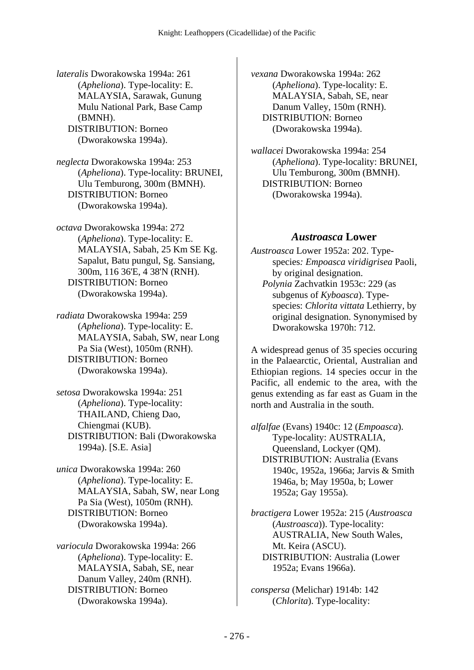*lateralis* Dworakowska 1994a: 261 (*Apheliona*). Type-locality: E. MALAYSIA, Sarawak, Gunung Mulu National Park, Base Camp (BMNH). DISTRIBUTION: Borneo (Dworakowska 1994a).

*neglecta* Dworakowska 1994a: 253 (*Apheliona*). Type-locality: BRUNEI, Ulu Temburong, 300m (BMNH). DISTRIBUTION: Borneo (Dworakowska 1994a).

*octava* Dworakowska 1994a: 272 (*Apheliona*). Type-locality: E. MALAYSIA, Sabah, 25 Km SE Kg. Sapalut, Batu pungul, Sg. Sansiang, 300m, 116 36'E, 4 38'N (RNH). DISTRIBUTION: Borneo (Dworakowska 1994a).

*radiata* Dworakowska 1994a: 259 (*Apheliona*). Type-locality: E. MALAYSIA, Sabah, SW, near Long Pa Sia (West), 1050m (RNH). DISTRIBUTION: Borneo (Dworakowska 1994a).

*setosa* Dworakowska 1994a: 251 (*Apheliona*). Type-locality: THAILAND, Chieng Dao, Chiengmai (KUB). DISTRIBUTION: Bali (Dworakowska 1994a). [S.E. Asia]

*unica* Dworakowska 1994a: 260 (*Apheliona*). Type-locality: E. MALAYSIA, Sabah, SW, near Long Pa Sia (West), 1050m (RNH). DISTRIBUTION: Borneo (Dworakowska 1994a).

*variocula* Dworakowska 1994a: 266 (*Apheliona*). Type-locality: E. MALAYSIA, Sabah, SE, near Danum Valley, 240m (RNH). DISTRIBUTION: Borneo (Dworakowska 1994a).

*vexana* Dworakowska 1994a: 262 (*Apheliona*). Type-locality: E. MALAYSIA, Sabah, SE, near Danum Valley, 150m (RNH). DISTRIBUTION: Borneo (Dworakowska 1994a).

*wallacei* Dworakowska 1994a: 254 (*Apheliona*). Type-locality: BRUNEI, Ulu Temburong, 300m (BMNH). DISTRIBUTION: Borneo (Dworakowska 1994a).

#### *Austroasca* **Lower**

*Austroasca* Lower 1952a: 202. Typespecies*: Empoasca viridigrisea* Paoli, by original designation.  *Polynia* Zachvatkin 1953c: 229 (as subgenus of *Kyboasca*). Typespecies: *Chlorita vittata* Lethierry, by original designation. Synonymised by Dworakowska 1970h: 712.

A widespread genus of 35 species occuring in the Palaearctic, Oriental, Australian and Ethiopian regions. 14 species occur in the Pacific, all endemic to the area, with the genus extending as far east as Guam in the north and Australia in the south.

*alfalfae* (Evans) 1940c: 12 (*Empoasca*). Type-locality: AUSTRALIA, Queensland, Lockyer (QM). DISTRIBUTION: Australia (Evans 1940c, 1952a, 1966a; Jarvis & Smith 1946a, b; May 1950a, b; Lower 1952a; Gay 1955a).

*bractigera* Lower 1952a: 215 (*Austroasca* (*Austroasca*)). Type-locality: AUSTRALIA, New South Wales, Mt. Keira (ASCU). DISTRIBUTION: Australia (Lower 1952a; Evans 1966a).

*conspersa* (Melichar) 1914b: 142 (*Chlorita*). Type-locality: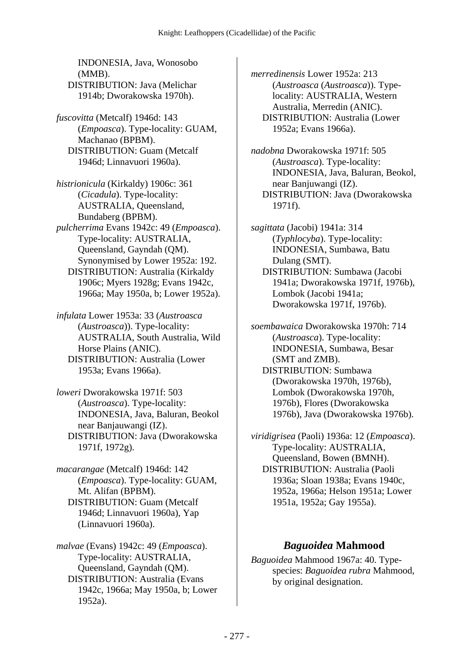INDONESIA, Java, Wonosobo (MMB). DISTRIBUTION: Java (Melichar 1914b; Dworakowska 1970h).

*fuscovitta* (Metcalf) 1946d: 143 (*Empoasca*). Type-locality: GUAM, Machanao (BPBM). DISTRIBUTION: Guam (Metcalf 1946d; Linnavuori 1960a).

*histrionicula* (Kirkaldy) 1906c: 361 (*Cicadula*). Type-locality: AUSTRALIA, Queensland, Bundaberg (BPBM). *pulcherrima* Evans 1942c: 49 (*Empoasca*). Type-locality: AUSTRALIA, Queensland, Gayndah (QM). Synonymised by Lower 1952a: 192. DISTRIBUTION: Australia (Kirkaldy 1906c; Myers 1928g; Evans 1942c, 1966a; May 1950a, b; Lower 1952a).

*infulata* Lower 1953a: 33 (*Austroasca* (*Austroasca*)). Type-locality: AUSTRALIA, South Australia, Wild Horse Plains (ANIC). DISTRIBUTION: Australia (Lower 1953a; Evans 1966a).

*loweri* Dworakowska 1971f: 503 (*Austroasca*). Type-locality: INDONESIA, Java, Baluran, Beokol near Banjauwangi (IZ). DISTRIBUTION: Java (Dworakowska 1971f, 1972g).

*macarangae* (Metcalf) 1946d: 142 (*Empoasca*). Type-locality: GUAM, Mt. Alifan (BPBM). DISTRIBUTION: Guam (Metcalf 1946d; Linnavuori 1960a), Yap (Linnavuori 1960a).

*malvae* (Evans) 1942c: 49 (*Empoasca*). Type-locality: AUSTRALIA, Queensland, Gayndah (QM). DISTRIBUTION: Australia (Evans 1942c, 1966a; May 1950a, b; Lower 1952a).

*merredinensis* Lower 1952a: 213 (*Austroasca* (*Austroasca*)). Typelocality: AUSTRALIA, Western Australia, Merredin (ANIC). DISTRIBUTION: Australia (Lower 1952a; Evans 1966a).

*nadobna* Dworakowska 1971f: 505 (*Austroasca*). Type-locality: INDONESIA, Java, Baluran, Beokol, near Banjuwangi (IZ). DISTRIBUTION: Java (Dworakowska 1971f).

*sagittata* (Jacobi) 1941a: 314 (*Typhlocyba*). Type-locality: INDONESIA, Sumbawa, Batu Dulang (SMT). DISTRIBUTION: Sumbawa (Jacobi 1941a; Dworakowska 1971f, 1976b), Lombok (Jacobi 1941a; Dworakowska 1971f, 1976b).

*soembawaica* Dworakowska 1970h: 714 (*Austroasca*). Type-locality: INDONESIA, Sumbawa, Besar (SMT and ZMB). DISTRIBUTION: Sumbawa (Dworakowska 1970h, 1976b), Lombok (Dworakowska 1970h, 1976b), Flores (Dworakowska 1976b), Java (Dworakowska 1976b).

*viridigrisea* (Paoli) 1936a: 12 (*Empoasca*). Type-locality: AUSTRALIA, Queensland, Bowen (BMNH). DISTRIBUTION: Australia (Paoli 1936a; Sloan 1938a; Evans 1940c, 1952a, 1966a; Helson 1951a; Lower 1951a, 1952a; Gay 1955a).

#### *Baguoidea* **Mahmood**

*Baguoidea* Mahmood 1967a: 40. Typespecies: *Baguoidea rubra* Mahmood, by original designation.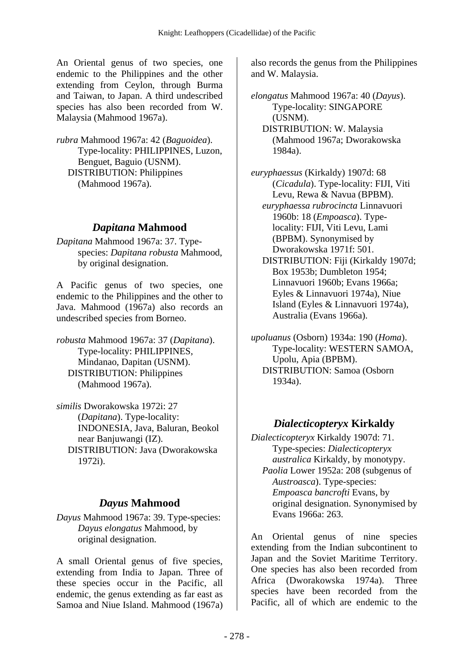An Oriental genus of two species, one endemic to the Philippines and the other extending from Ceylon, through Burma and Taiwan, to Japan. A third undescribed species has also been recorded from W. Malaysia (Mahmood 1967a).

*rubra* Mahmood 1967a: 42 (*Baguoidea*). Type-locality: PHILIPPINES, Luzon, Benguet, Baguio (USNM). DISTRIBUTION: Philippines (Mahmood 1967a).

#### *Dapitana* **Mahmood**

*Dapitana* Mahmood 1967a: 37. Typespecies: *Dapitana robusta* Mahmood, by original designation.

A Pacific genus of two species, one endemic to the Philippines and the other to Java. Mahmood (1967a) also records an undescribed species from Borneo.

*robusta* Mahmood 1967a: 37 (*Dapitana*). Type-locality: PHILIPPINES, Mindanao, Dapitan (USNM). DISTRIBUTION: Philippines (Mahmood 1967a).

*similis* Dworakowska 1972i: 27 (*Dapitana*). Type-locality: INDONESIA, Java, Baluran, Beokol near Banjuwangi (IZ). DISTRIBUTION: Java (Dworakowska 1972i).

## *Dayus* **Mahmood**

*Dayus* Mahmood 1967a: 39. Type-species: *Dayus elongatus* Mahmood, by original designation.

A small Oriental genus of five species, extending from India to Japan. Three of these species occur in the Pacific, all endemic, the genus extending as far east as Samoa and Niue Island. Mahmood (1967a) also records the genus from the Philippines and W. Malaysia.

*elongatus* Mahmood 1967a: 40 (*Dayus*). Type-locality: SINGAPORE (USNM). DISTRIBUTION: W. Malaysia (Mahmood 1967a; Dworakowska 1984a).

*euryphaessus* (Kirkaldy) 1907d: 68 (*Cicadula*). Type-locality: FIJI, Viti Levu, Rewa & Navua (BPBM).  *euryphaessa rubrocincta* Linnavuori 1960b: 18 (*Empoasca*). Typelocality: FIJI, Viti Levu, Lami (BPBM). Synonymised by Dworakowska 1971f: 501.

 DISTRIBUTION: Fiji (Kirkaldy 1907d; Box 1953b; Dumbleton 1954; Linnavuori 1960b; Evans 1966a; Eyles & Linnavuori 1974a), Niue Island (Eyles & Linnavuori 1974a), Australia (Evans 1966a).

*upoluanus* (Osborn) 1934a: 190 (*Homa*). Type-locality: WESTERN SAMOA, Upolu, Apia (BPBM). DISTRIBUTION: Samoa (Osborn 1934a).

# *Dialecticopteryx* **Kirkaldy**

*Dialecticopteryx* Kirkaldy 1907d: 71. Type-species: *Dialecticopteryx australica* Kirkaldy, by monotypy.  *Paolia* Lower 1952a: 208 (subgenus of *Austroasca*). Type-species: *Empoasca bancrofti* Evans, by original designation. Synonymised by Evans 1966a: 263.

An Oriental genus of nine species extending from the Indian subcontinent to Japan and the Soviet Maritime Territory. One species has also been recorded from Africa (Dworakowska 1974a). Three species have been recorded from the Pacific, all of which are endemic to the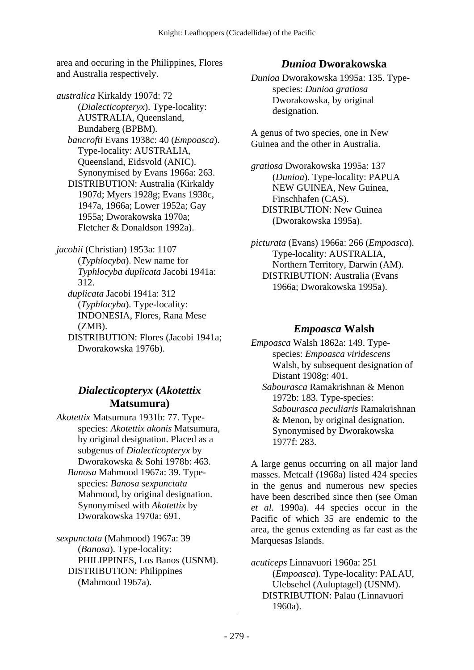area and occuring in the Philippines, Flores and Australia respectively.

*australica* Kirkaldy 1907d: 72 (*Dialecticopteryx*). Type-locality: AUSTRALIA, Queensland, Bundaberg (BPBM).  *bancrofti* Evans 1938c: 40 (*Empoasca*). Type-locality: AUSTRALIA, Queensland, Eidsvold (ANIC). Synonymised by Evans 1966a: 263. DISTRIBUTION: Australia (Kirkaldy 1907d; Myers 1928g; Evans 1938c, 1947a, 1966a; Lower 1952a; Gay 1955a; Dworakowska 1970a; Fletcher & Donaldson 1992a).

*jacobii* (Christian) 1953a: 1107 (*Typhlocyba*). New name for *Typhlocyba duplicata* Jacobi 1941a: 312.  *duplicata* Jacobi 1941a: 312

(*Typhlocyba*). Type-locality: INDONESIA, Flores, Rana Mese (ZMB).

 DISTRIBUTION: Flores (Jacobi 1941a; Dworakowska 1976b).

#### *Dialecticopteryx* **(***Akotettix* **Matsumura)**

*Akotettix* Matsumura 1931b: 77. Typespecies: *Akotettix akonis* Matsumura, by original designation. Placed as a subgenus of *Dialecticopteryx* by Dworakowska & Sohi 1978b: 463.  *Banosa* Mahmood 1967a: 39. Typespecies: *Banosa sexpunctata* Mahmood, by original designation. Synonymised with *Akotettix* by Dworakowska 1970a: 691.

*sexpunctata* (Mahmood) 1967a: 39 (*Banosa*). Type-locality: PHILIPPINES, Los Banos (USNM). DISTRIBUTION: Philippines (Mahmood 1967a).

#### *Dunioa* **Dworakowska**

*Dunioa* Dworakowska 1995a: 135. Typespecies: *Dunioa gratiosa* Dworakowska, by original designation.

A genus of two species, one in New Guinea and the other in Australia.

*gratiosa* Dworakowska 1995a: 137 (*Dunioa*). Type-locality: PAPUA NEW GUINEA, New Guinea, Finschhafen (CAS). DISTRIBUTION: New Guinea (Dworakowska 1995a).

*picturata* (Evans) 1966a: 266 (*Empoasca*). Type-locality: AUSTRALIA, Northern Territory, Darwin (AM). DISTRIBUTION: Australia (Evans 1966a; Dworakowska 1995a).

#### *Empoasca* **Walsh**

*Empoasca* Walsh 1862a: 149. Typespecies: *Empoasca viridescens* Walsh, by subsequent designation of Distant 1908g: 401.  *Sabourasca* Ramakrishnan & Menon 1972b: 183. Type-species: *Sabourasca peculiaris* Ramakrishnan & Menon, by original designation.

> Synonymised by Dworakowska 1977f: 283.

A large genus occurring on all major land masses. Metcalf (1968a) listed 424 species in the genus and numerous new species have been described since then (see Oman *et al.* 1990a). 44 species occur in the Pacific of which 35 are endemic to the area, the genus extending as far east as the Marquesas Islands.

*acuticeps* Linnavuori 1960a: 251 (*Empoasca*). Type-locality: PALAU, Ulebsehel (Auluptagel) (USNM). DISTRIBUTION: Palau (Linnavuori 1960a).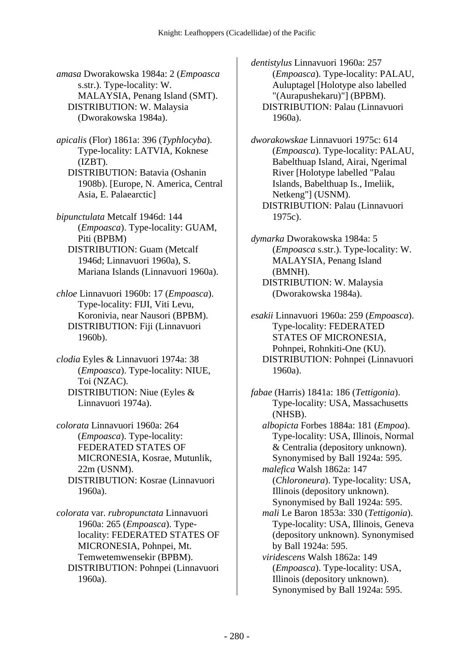*amasa* Dworakowska 1984a: 2 (*Empoasca* s.str.). Type-locality: W. MALAYSIA, Penang Island (SMT). DISTRIBUTION: W. Malaysia (Dworakowska 1984a).

*apicalis* (Flor) 1861a: 396 (*Typhlocyba*). Type-locality: LATVIA, Koknese (IZBT).

 DISTRIBUTION: Batavia (Oshanin 1908b). [Europe, N. America, Central Asia, E. Palaearctic]

*bipunctulata* Metcalf 1946d: 144 (*Empoasca*). Type-locality: GUAM, Piti (BPBM) DISTRIBUTION: Guam (Metcalf 1946d; Linnavuori 1960a), S. Mariana Islands (Linnavuori 1960a).

*chloe* Linnavuori 1960b: 17 (*Empoasca*). Type-locality: FIJI, Viti Levu, Koronivia, near Nausori (BPBM). DISTRIBUTION: Fiji (Linnavuori 1960b).

*clodia* Eyles & Linnavuori 1974a: 38 (*Empoasca*). Type-locality: NIUE, Toi (NZAC). DISTRIBUTION: Niue (Eyles & Linnavuori 1974a).

*colorata* Linnavuori 1960a: 264 (*Empoasca*). Type-locality: FEDERATED STATES OF MICRONESIA, Kosrae, Mutunlik, 22m (USNM). DISTRIBUTION: Kosrae (Linnavuori 1960a).

*colorata* var. *rubropunctata* Linnavuori 1960a: 265 (*Empoasca*). Typelocality: FEDERATED STATES OF MICRONESIA, Pohnpei, Mt. Temwetemwensekir (BPBM). DISTRIBUTION: Pohnpei (Linnavuori 1960a).

*dentistylus* Linnavuori 1960a: 257 (*Empoasca*). Type-locality: PALAU, Auluptagel [Holotype also labelled "(Aurapushekaru)"] (BPBM). DISTRIBUTION: Palau (Linnavuori 1960a).

*dworakowskae* Linnavuori 1975c: 614 (*Empoasca*). Type-locality: PALAU, Babelthuap Island, Airai, Ngerimal River [Holotype labelled "Palau Islands, Babelthuap Is., Imeliik, Netkeng"] (USNM). DISTRIBUTION: Palau (Linnavuori 1975c).

*dymarka* Dworakowska 1984a: 5 (*Empoasca* s.str.). Type-locality: W. MALAYSIA, Penang Island (BMNH). DISTRIBUTION: W. Malaysia (Dworakowska 1984a).

*esakii* Linnavuori 1960a: 259 (*Empoasca*). Type-locality: FEDERATED STATES OF MICRONESIA, Pohnpei, Rohnkiti-One (KU). DISTRIBUTION: Pohnpei (Linnavuori 1960a).

*fabae* (Harris) 1841a: 186 (*Tettigonia*). Type-locality: USA, Massachusetts (NHSB).  *albopicta* Forbes 1884a: 181 (*Empoa*). Type-locality: USA, Illinois, Normal & Centralia (depository unknown). Synonymised by Ball 1924a: 595.  *malefica* Walsh 1862a: 147 (*Chloroneura*). Type-locality: USA, Illinois (depository unknown). Synonymised by Ball 1924a: 595.  *mali* Le Baron 1853a: 330 (*Tettigonia*). Type-locality: USA, Illinois, Geneva (depository unknown). Synonymised by Ball 1924a: 595.  *viridescens* Walsh 1862a: 149 (*Empoasca*). Type-locality: USA, Illinois (depository unknown). Synonymised by Ball 1924a: 595.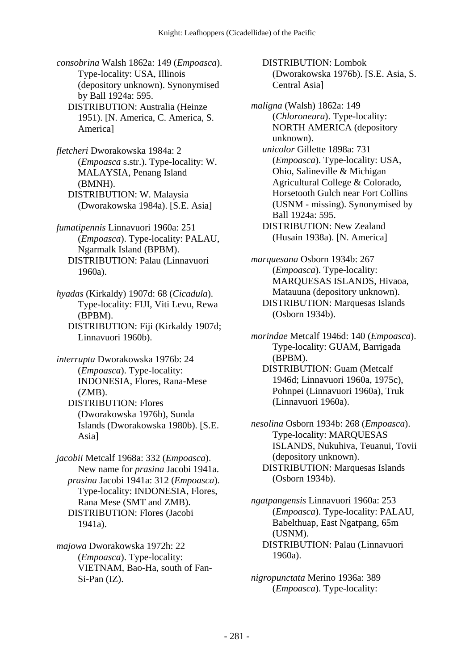*consobrina* Walsh 1862a: 149 (*Empoasca*). Type-locality: USA, Illinois (depository unknown). Synonymised by Ball 1924a: 595. DISTRIBUTION: Australia (Heinze 1951). [N. America, C. America, S. America]

*fletcheri* Dworakowska 1984a: 2 (*Empoasca* s.str.). Type-locality: W. MALAYSIA, Penang Island (BMNH). DISTRIBUTION: W. Malaysia (Dworakowska 1984a). [S.E. Asia]

*fumatipennis* Linnavuori 1960a: 251 (*Empoasca*). Type-locality: PALAU, Ngarmalk Island (BPBM). DISTRIBUTION: Palau (Linnavuori 1960a).

*hyadas* (Kirkaldy) 1907d: 68 (*Cicadula*). Type-locality: FIJI, Viti Levu, Rewa (BPBM). DISTRIBUTION: Fiji (Kirkaldy 1907d; Linnavuori 1960b).

*interrupta* Dworakowska 1976b: 24 (*Empoasca*). Type-locality: INDONESIA, Flores, Rana-Mese (ZMB). DISTRIBUTION: Flores (Dworakowska 1976b), Sunda

Islands (Dworakowska 1980b). [S.E. Asia]

*jacobii* Metcalf 1968a: 332 (*Empoasca*). New name for *prasina* Jacobi 1941a.  *prasina* Jacobi 1941a: 312 (*Empoasca*). Type-locality: INDONESIA, Flores, Rana Mese (SMT and ZMB). DISTRIBUTION: Flores (Jacobi 1941a).

*majowa* Dworakowska 1972h: 22 (*Empoasca*). Type-locality: VIETNAM, Bao-Ha, south of Fan-Si-Pan (IZ).

 DISTRIBUTION: Lombok (Dworakowska 1976b). [S.E. Asia, S. Central Asia]

*maligna* (Walsh) 1862a: 149 (*Chloroneura*). Type-locality: NORTH AMERICA (depository unknown).  *unicolor* Gillette 1898a: 731 (*Empoasca*). Type-locality: USA, Ohio, Salineville & Michigan Agricultural College & Colorado, Horsetooth Gulch near Fort Collins (USNM - missing). Synonymised by Ball 1924a: 595. DISTRIBUTION: New Zealand (Husain 1938a). [N. America]

*marquesana* Osborn 1934b: 267 (*Empoasca*). Type-locality: MARQUESAS ISLANDS, Hivaoa, Matauuna (depository unknown). DISTRIBUTION: Marquesas Islands (Osborn 1934b).

*morindae* Metcalf 1946d: 140 (*Empoasca*). Type-locality: GUAM, Barrigada (BPBM). DISTRIBUTION: Guam (Metcalf 1946d; Linnavuori 1960a, 1975c),

Pohnpei (Linnavuori 1960a), Truk (Linnavuori 1960a).

*nesolina* Osborn 1934b: 268 (*Empoasca*). Type-locality: MARQUESAS ISLANDS, Nukuhiva, Teuanui, Tovii (depository unknown). DISTRIBUTION: Marquesas Islands (Osborn 1934b).

*ngatpangensis* Linnavuori 1960a: 253 (*Empoasca*). Type-locality: PALAU, Babelthuap, East Ngatpang, 65m (USNM). DISTRIBUTION: Palau (Linnavuori 1960a).

*nigropunctata* Merino 1936a: 389 (*Empoasca*). Type-locality: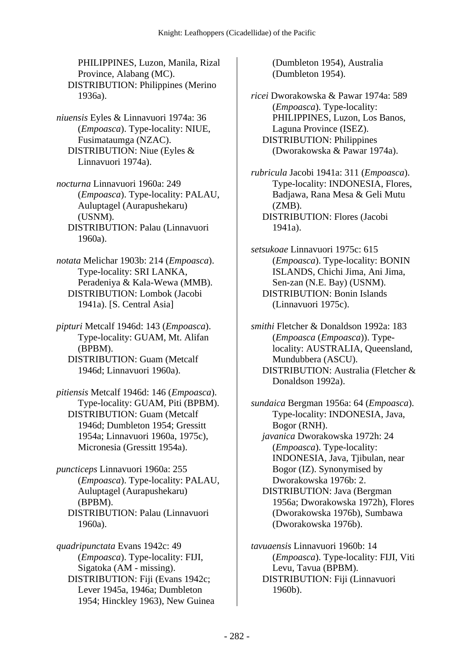PHILIPPINES, Luzon, Manila, Rizal Province, Alabang (MC). DISTRIBUTION: Philippines (Merino 1936a).

*niuensis* Eyles & Linnavuori 1974a: 36 (*Empoasca*). Type-locality: NIUE, Fusimataumga (NZAC). DISTRIBUTION: Niue (Eyles & Linnavuori 1974a).

*nocturna* Linnavuori 1960a: 249 (*Empoasca*). Type-locality: PALAU, Auluptagel (Aurapushekaru) (USNM). DISTRIBUTION: Palau (Linnavuori 1960a).

*notata* Melichar 1903b: 214 (*Empoasca*). Type-locality: SRI LANKA, Peradeniya & Kala-Wewa (MMB). DISTRIBUTION: Lombok (Jacobi 1941a). [S. Central Asia]

*pipturi* Metcalf 1946d: 143 (*Empoasca*). Type-locality: GUAM, Mt. Alifan (BPBM). DISTRIBUTION: Guam (Metcalf

1946d; Linnavuori 1960a).

*pitiensis* Metcalf 1946d: 146 (*Empoasca*). Type-locality: GUAM, Piti (BPBM). DISTRIBUTION: Guam (Metcalf 1946d; Dumbleton 1954; Gressitt 1954a; Linnavuori 1960a, 1975c), Micronesia (Gressitt 1954a).

*puncticeps* Linnavuori 1960a: 255 (*Empoasca*). Type-locality: PALAU, Auluptagel (Aurapushekaru) (BPBM). DISTRIBUTION: Palau (Linnavuori 1960a).

*quadripunctata* Evans 1942c: 49 (*Empoasca*). Type-locality: FIJI, Sigatoka (AM - missing). DISTRIBUTION: Fiji (Evans 1942c; Lever 1945a, 1946a; Dumbleton 1954; Hinckley 1963), New Guinea (Dumbleton 1954), Australia (Dumbleton 1954).

*ricei* Dworakowska & Pawar 1974a: 589 (*Empoasca*). Type-locality: PHILIPPINES, Luzon, Los Banos, Laguna Province (ISEZ). DISTRIBUTION: Philippines (Dworakowska & Pawar 1974a).

*rubricula* Jacobi 1941a: 311 (*Empoasca*). Type-locality: INDONESIA, Flores, Badjawa, Rana Mesa & Geli Mutu  $(ZMB)$ . DISTRIBUTION: Flores (Jacobi 1941a).

*setsukoae* Linnavuori 1975c: 615 (*Empoasca*). Type-locality: BONIN ISLANDS, Chichi Jima, Ani Jima, Sen-zan (N.E. Bay) (USNM). DISTRIBUTION: Bonin Islands (Linnavuori 1975c).

*smithi* Fletcher & Donaldson 1992a: 183 (*Empoasca* (*Empoasca*)). Typelocality: AUSTRALIA, Queensland, Mundubbera (ASCU). DISTRIBUTION: Australia (Fletcher & Donaldson 1992a).

*sundaica* Bergman 1956a: 64 (*Empoasca*). Type-locality: INDONESIA, Java, Bogor (RNH).  *javanica* Dworakowska 1972h: 24 (*Empoasca*). Type-locality: INDONESIA, Java, Tjibulan, near Bogor (IZ). Synonymised by Dworakowska 1976b: 2. DISTRIBUTION: Java (Bergman 1956a; Dworakowska 1972h), Flores (Dworakowska 1976b), Sumbawa (Dworakowska 1976b).

*tavuaensis* Linnavuori 1960b: 14 (*Empoasca*). Type-locality: FIJI, Viti Levu, Tavua (BPBM). DISTRIBUTION: Fiji (Linnavuori 1960b).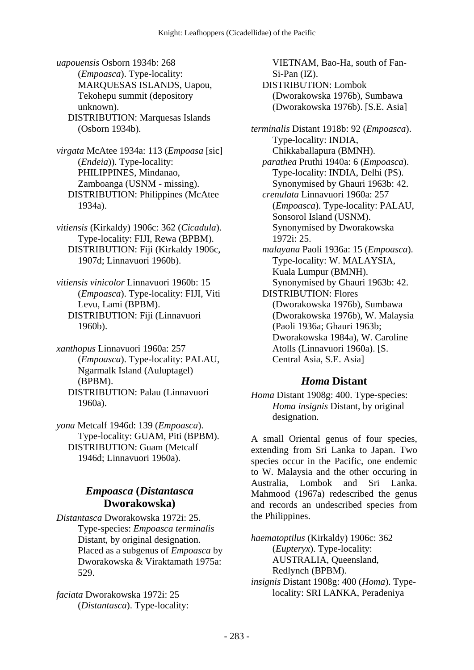*uapouensis* Osborn 1934b: 268 (*Empoasca*). Type-locality: MARQUESAS ISLANDS, Uapou, Tekohepu summit (depository unknown). DISTRIBUTION: Marquesas Islands (Osborn 1934b).

*virgata* McAtee 1934a: 113 (*Empoasa* [sic] (*Endeia*)). Type-locality: PHILIPPINES, Mindanao, Zamboanga (USNM - missing). DISTRIBUTION: Philippines (McAtee 1934a).

*vitiensis* (Kirkaldy) 1906c: 362 (*Cicadula*). Type-locality: FIJI, Rewa (BPBM). DISTRIBUTION: Fiji (Kirkaldy 1906c, 1907d; Linnavuori 1960b).

*vitiensis vinicolor* Linnavuori 1960b: 15 (*Empoasca*). Type-locality: FIJI, Viti Levu, Lami (BPBM). DISTRIBUTION: Fiji (Linnavuori 1960b).

*xanthopus* Linnavuori 1960a: 257 (*Empoasca*). Type-locality: PALAU, Ngarmalk Island (Auluptagel) (BPBM). DISTRIBUTION: Palau (Linnavuori 1960a).

*yona* Metcalf 1946d: 139 (*Empoasca*). Type-locality: GUAM, Piti (BPBM). DISTRIBUTION: Guam (Metcalf 1946d; Linnavuori 1960a).

#### *Empoasca* **(***Distantasca* **Dworakowska)**

*Distantasca* Dworakowska 1972i: 25. Type-species: *Empoasca terminalis* Distant, by original designation. Placed as a subgenus of *Empoasca* by Dworakowska & Viraktamath 1975a: 529.

*faciata* Dworakowska 1972i: 25 (*Distantasca*). Type-locality:

VIETNAM, Bao-Ha, south of Fan-Si-Pan (IZ). DISTRIBUTION: Lombok (Dworakowska 1976b), Sumbawa (Dworakowska 1976b). [S.E. Asia]

*terminalis* Distant 1918b: 92 (*Empoasca*). Type-locality: INDIA, Chikkaballapura (BMNH).  *parathea* Pruthi 1940a: 6 (*Empoasca*). Type-locality: INDIA, Delhi (PS). Synonymised by Ghauri 1963b: 42.  *crenulata* Linnavuori 1960a: 257 (*Empoasca*). Type-locality: PALAU, Sonsorol Island (USNM). Synonymised by Dworakowska 1972i: 25.  *malayana* Paoli 1936a: 15 (*Empoasca*). Type-locality: W. MALAYSIA, Kuala Lumpur (BMNH). Synonymised by Ghauri 1963b: 42. DISTRIBUTION: Flores (Dworakowska 1976b), Sumbawa (Dworakowska 1976b), W. Malaysia (Paoli 1936a; Ghauri 1963b; Dworakowska 1984a), W. Caroline Atolls (Linnavuori 1960a). [S. Central Asia, S.E. Asia]

#### *Homa* **Distant**

*Homa* Distant 1908g: 400. Type-species: *Homa insignis* Distant, by original designation.

A small Oriental genus of four species, extending from Sri Lanka to Japan. Two species occur in the Pacific, one endemic to W. Malaysia and the other occuring in Australia, Lombok and Sri Lanka. Mahmood (1967a) redescribed the genus and records an undescribed species from the Philippines.

*haematoptilus* (Kirkaldy) 1906c: 362 (*Eupteryx*). Type-locality: AUSTRALIA, Queensland, Redlynch (BPBM). *insignis* Distant 1908g: 400 (*Homa*). Typelocality: SRI LANKA, Peradeniya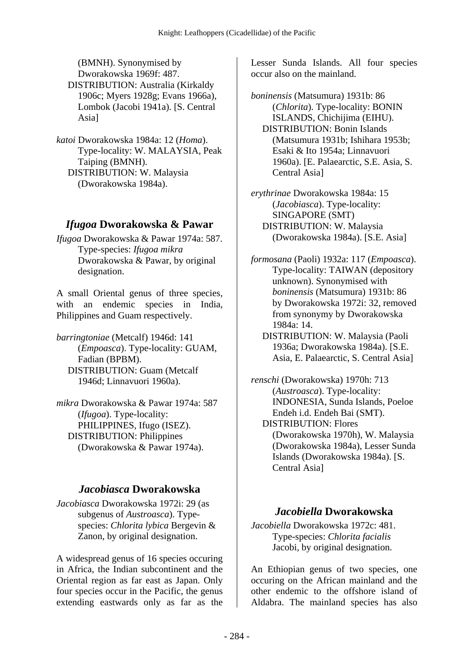(BMNH). Synonymised by Dworakowska 1969f: 487. DISTRIBUTION: Australia (Kirkaldy 1906c; Myers 1928g; Evans 1966a), Lombok (Jacobi 1941a). [S. Central Asia]

*katoi* Dworakowska 1984a: 12 (*Homa*). Type-locality: W. MALAYSIA, Peak Taiping (BMNH). DISTRIBUTION: W. Malaysia (Dworakowska 1984a).

#### *Ifugoa* **Dworakowska & Pawar**

*Ifugoa* Dworakowska & Pawar 1974a: 587. Type-species: *Ifugoa mikra* Dworakowska & Pawar, by original designation.

A small Oriental genus of three species, with an endemic species in India, Philippines and Guam respectively.

*barringtoniae* (Metcalf) 1946d: 141 (*Empoasca*). Type-locality: GUAM, Fadian (BPBM). DISTRIBUTION: Guam (Metcalf 1946d; Linnavuori 1960a).

*mikra* Dworakowska & Pawar 1974a: 587 (*Ifugoa*). Type-locality: PHILIPPINES, Ifugo (ISEZ). DISTRIBUTION: Philippines (Dworakowska & Pawar 1974a).

#### *Jacobiasca* **Dworakowska**

*Jacobiasca* Dworakowska 1972i: 29 (as subgenus of *Austroasca*). Typespecies: *Chlorita lybica* Bergevin & Zanon, by original designation.

A widespread genus of 16 species occuring in Africa, the Indian subcontinent and the Oriental region as far east as Japan. Only four species occur in the Pacific, the genus extending eastwards only as far as the

Lesser Sunda Islands. All four species occur also on the mainland.

*boninensis* (Matsumura) 1931b: 86 (*Chlorita*). Type-locality: BONIN ISLANDS, Chichijima (EIHU). DISTRIBUTION: Bonin Islands (Matsumura 1931b; Ishihara 1953b; Esaki & Ito 1954a; Linnavuori 1960a). [E. Palaearctic, S.E. Asia, S. Central Asia]

*erythrinae* Dworakowska 1984a: 15 (*Jacobiasca*). Type-locality: SINGAPORE (SMT) DISTRIBUTION: W. Malaysia (Dworakowska 1984a). [S.E. Asia]

*formosana* (Paoli) 1932a: 117 (*Empoasca*). Type-locality: TAIWAN (depository unknown). Synonymised with *boninensis* (Matsumura) 1931b: 86 by Dworakowska 1972i: 32, removed from synonymy by Dworakowska 1984a: 14.

 DISTRIBUTION: W. Malaysia (Paoli 1936a; Dworakowska 1984a). [S.E. Asia, E. Palaearctic, S. Central Asia]

*renschi* (Dworakowska) 1970h: 713 (*Austroasca*). Type-locality: INDONESIA, Sunda Islands, Poeloe Endeh i.d. Endeh Bai (SMT). DISTRIBUTION: Flores (Dworakowska 1970h), W. Malaysia (Dworakowska 1984a), Lesser Sunda Islands (Dworakowska 1984a). [S. Central Asia]

## *Jacobiella* **Dworakowska**

*Jacobiella* Dworakowska 1972c: 481. Type-species: *Chlorita facialis* Jacobi, by original designation.

An Ethiopian genus of two species, one occuring on the African mainland and the other endemic to the offshore island of Aldabra. The mainland species has also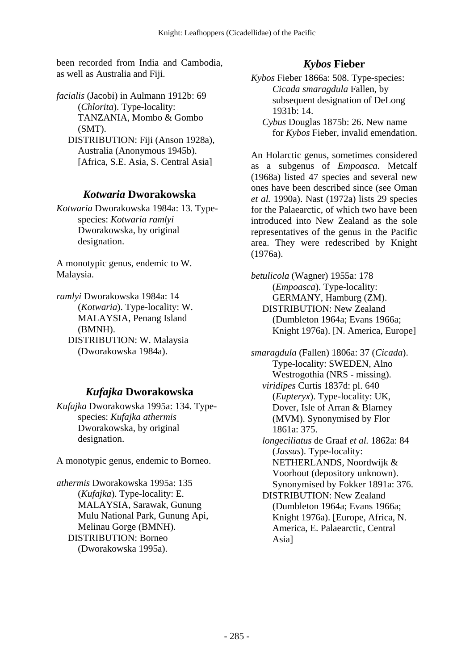been recorded from India and Cambodia, as well as Australia and Fiji.

*facialis* (Jacobi) in Aulmann 1912b: 69 (*Chlorita*). Type-locality: TANZANIA, Mombo & Gombo (SMT). DISTRIBUTION: Fiji (Anson 1928a), Australia (Anonymous 1945b). [Africa, S.E. Asia, S. Central Asia]

#### *Kotwaria* **Dworakowska**

*Kotwaria* Dworakowska 1984a: 13. Typespecies: *Kotwaria ramlyi* Dworakowska, by original designation.

A monotypic genus, endemic to W. Malaysia.

*ramlyi* Dworakowska 1984a: 14 (*Kotwaria*). Type-locality: W. MALAYSIA, Penang Island (BMNH). DISTRIBUTION: W. Malaysia (Dworakowska 1984a).

## *Kufajka* **Dworakowska**

*Kufajka* Dworakowska 1995a: 134. Typespecies: *Kufajka athermis* Dworakowska, by original designation.

A monotypic genus, endemic to Borneo.

*athermis* Dworakowska 1995a: 135 (*Kufajka*). Type-locality: E. MALAYSIA, Sarawak, Gunung Mulu National Park, Gunung Api, Melinau Gorge (BMNH). DISTRIBUTION: Borneo (Dworakowska 1995a).

## *Kybos* **Fieber**

*Kybos* Fieber 1866a: 508. Type-species: *Cicada smaragdula* Fallen, by subsequent designation of DeLong 1931b: 14.

 *Cybus* Douglas 1875b: 26. New name for *Kybos* Fieber, invalid emendation.

An Holarctic genus, sometimes considered as a subgenus of *Empoasca*. Metcalf (1968a) listed 47 species and several new ones have been described since (see Oman *et al.* 1990a). Nast (1972a) lists 29 species for the Palaearctic, of which two have been introduced into New Zealand as the sole representatives of the genus in the Pacific area. They were redescribed by Knight (1976a).

*betulicola* (Wagner) 1955a: 178 (*Empoasca*). Type-locality: GERMANY, Hamburg (ZM). DISTRIBUTION: New Zealand (Dumbleton 1964a; Evans 1966a; Knight 1976a). [N. America, Europe]

*smaragdula* (Fallen) 1806a: 37 (*Cicada*). Type-locality: SWEDEN, Alno Westrogothia (NRS - missing).  *viridipes* Curtis 1837d: pl. 640 (*Eupteryx*). Type-locality: UK, Dover, Isle of Arran & Blarney (MVM). Synonymised by Flor 1861a: 375.  *longeciliatus* de Graaf *et al.* 1862a: 84 (*Jassus*). Type-locality: NETHERLANDS, Noordwijk & Voorhout (depository unknown). Synonymised by Fokker 1891a: 376. DISTRIBUTION: New Zealand (Dumbleton 1964a; Evans 1966a; Knight 1976a). [Europe, Africa, N.

America, E. Palaearctic, Central Asia]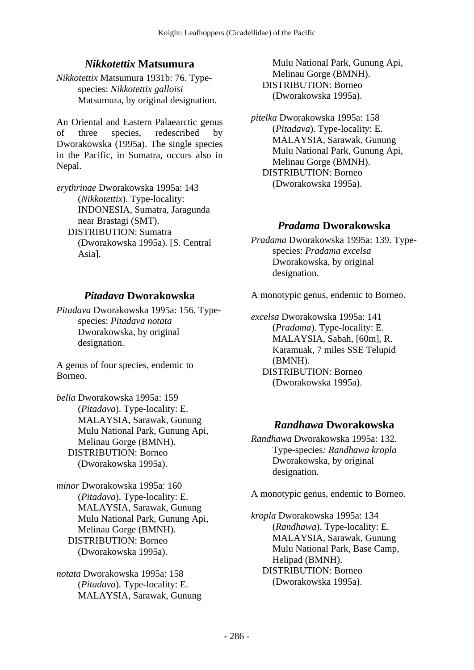## *Nikkotettix* **Matsumura**

*Nikkotettix* Matsumura 1931b: 76. Typespecies: *Nikkotettix galloisi* Matsumura, by original designation.

An Oriental and Eastern Palaearctic genus of three species, redescribed by Dworakowska (1995a). The single species in the Pacific, in Sumatra, occurs also in Nepal.

*erythrinae* Dworakowska 1995a: 143 (*Nikkotettix*). Type-locality: INDONESIA, Sumatra, Jaragunda near Brastagi (SMT). DISTRIBUTION: Sumatra (Dworakowska 1995a). [S. Central Asia].

## *Pitadava* **Dworakowska**

*Pitadava* Dworakowska 1995a: 156. Typespecies: *Pitadava notata* Dworakowska, by original designation.

A genus of four species, endemic to Borneo.

*bella* Dworakowska 1995a: 159 (*Pitadava*). Type-locality: E. MALAYSIA, Sarawak, Gunung Mulu National Park, Gunung Api, Melinau Gorge (BMNH). DISTRIBUTION: Borneo (Dworakowska 1995a).

*minor* Dworakowska 1995a: 160 (*Pitadava*). Type-locality: E. MALAYSIA, Sarawak, Gunung Mulu National Park, Gunung Api, Melinau Gorge (BMNH). DISTRIBUTION: Borneo (Dworakowska 1995a).

*notata* Dworakowska 1995a: 158 (*Pitadava*). Type-locality: E. MALAYSIA, Sarawak, Gunung

Mulu National Park, Gunung Api, Melinau Gorge (BMNH). DISTRIBUTION: Borneo (Dworakowska 1995a).

*pitelka* Dworakowska 1995a: 158 (*Pitadava*). Type-locality: E. MALAYSIA, Sarawak, Gunung Mulu National Park, Gunung Api, Melinau Gorge (BMNH). DISTRIBUTION: Borneo (Dworakowska 1995a).

## *Pradama* **Dworakowska**

*Pradama* Dworakowska 1995a: 139. Typespecies: *Pradama excelsa* Dworakowska, by original designation.

A monotypic genus, endemic to Borneo.

*excelsa* Dworakowska 1995a: 141 (*Pradama*). Type-locality: E. MALAYSIA, Sabah, [60m], R. Karamuak, 7 miles SSE Telupid (BMNH). DISTRIBUTION: Borneo (Dworakowska 1995a).

### *Randhawa* **Dworakowska**

*Randhawa* Dworakowska 1995a: 132. Type-species*: Randhawa kropla* Dworakowska, by original designation.

A monotypic genus, endemic to Borneo.

*kropla* Dworakowska 1995a: 134 (*Randhawa*). Type-locality: E. MALAYSIA, Sarawak, Gunung Mulu National Park, Base Camp, Helipad (BMNH). DISTRIBUTION: Borneo (Dworakowska 1995a).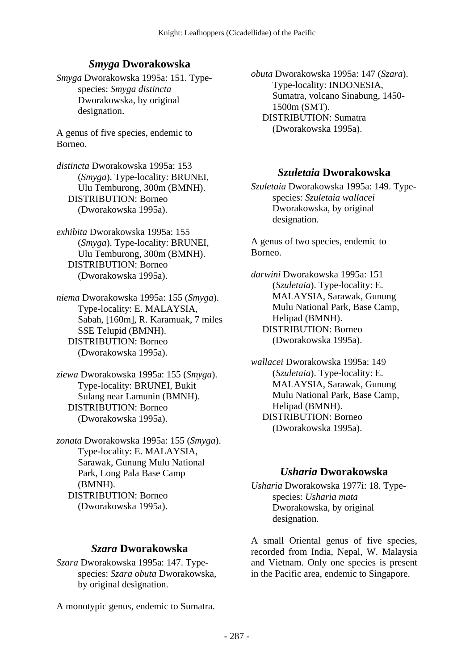## *Smyga* **Dworakowska**

*Smyga* Dworakowska 1995a: 151. Typespecies: *Smyga distincta* Dworakowska, by original designation.

A genus of five species, endemic to Borneo.

*distincta* Dworakowska 1995a: 153 (*Smyga*). Type-locality: BRUNEI, Ulu Temburong, 300m (BMNH). DISTRIBUTION: Borneo (Dworakowska 1995a).

*exhibita* Dworakowska 1995a: 155 (*Smyga*). Type-locality: BRUNEI, Ulu Temburong, 300m (BMNH). DISTRIBUTION: Borneo (Dworakowska 1995a).

*niema* Dworakowska 1995a: 155 (*Smyga*). Type-locality: E. MALAYSIA, Sabah, [160m], R. Karamuak, 7 miles SSE Telupid (BMNH). DISTRIBUTION: Borneo (Dworakowska 1995a).

*ziewa* Dworakowska 1995a: 155 (*Smyga*). Type-locality: BRUNEI, Bukit Sulang near Lamunin (BMNH). DISTRIBUTION: Borneo (Dworakowska 1995a).

*zonata* Dworakowska 1995a: 155 (*Smyga*). Type-locality: E. MALAYSIA, Sarawak, Gunung Mulu National Park, Long Pala Base Camp (BMNH). DISTRIBUTION: Borneo (Dworakowska 1995a).

### *Szara* **Dworakowska**

*Szara* Dworakowska 1995a: 147. Typespecies: *Szara obuta* Dworakowska, by original designation.

A monotypic genus, endemic to Sumatra.

*obuta* Dworakowska 1995a: 147 (*Szara*). Type-locality: INDONESIA, Sumatra, volcano Sinabung, 1450- 1500m (SMT). DISTRIBUTION: Sumatra (Dworakowska 1995a).

## *Szuletaia* **Dworakowska**

*Szuletaia* Dworakowska 1995a: 149. Typespecies: *Szuletaia wallacei* Dworakowska, by original designation.

A genus of two species, endemic to Borneo.

*darwini* Dworakowska 1995a: 151 (*Szuletaia*). Type-locality: E. MALAYSIA, Sarawak, Gunung Mulu National Park, Base Camp, Helipad (BMNH). DISTRIBUTION: Borneo (Dworakowska 1995a).

*wallacei* Dworakowska 1995a: 149 (*Szuletaia*). Type-locality: E. MALAYSIA, Sarawak, Gunung Mulu National Park, Base Camp, Helipad (BMNH). DISTRIBUTION: Borneo (Dworakowska 1995a).

## *Usharia* **Dworakowska**

*Usharia* Dworakowska 1977i: 18. Typespecies: *Usharia mata* Dworakowska, by original designation.

A small Oriental genus of five species, recorded from India, Nepal, W. Malaysia and Vietnam. Only one species is present in the Pacific area, endemic to Singapore.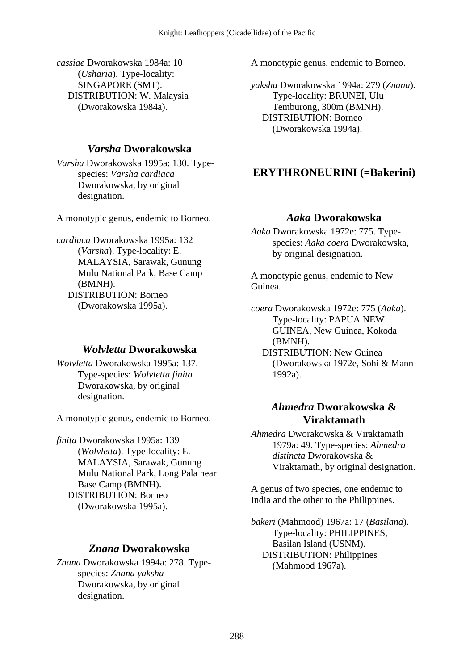*cassiae* Dworakowska 1984a: 10 (*Usharia*). Type-locality: SINGAPORE (SMT). DISTRIBUTION: W. Malaysia (Dworakowska 1984a).

### *Varsha* **Dworakowska**

*Varsha* Dworakowska 1995a: 130. Typespecies: *Varsha cardiaca* Dworakowska, by original designation.

A monotypic genus, endemic to Borneo.

*cardiaca* Dworakowska 1995a: 132 (*Varsha*). Type-locality: E. MALAYSIA, Sarawak, Gunung Mulu National Park, Base Camp (BMNH). DISTRIBUTION: Borneo (Dworakowska 1995a).

### *Wolvletta* **Dworakowska**

*Wolvletta* Dworakowska 1995a: 137. Type-species: *Wolvletta finita* Dworakowska, by original designation.

A monotypic genus, endemic to Borneo.

*finita* Dworakowska 1995a: 139 (*Wolvletta*). Type-locality: E. MALAYSIA, Sarawak, Gunung Mulu National Park, Long Pala near Base Camp (BMNH). DISTRIBUTION: Borneo (Dworakowska 1995a).

### *Znana* **Dworakowska**

*Znana* Dworakowska 1994a: 278. Typespecies: *Znana yaksha* Dworakowska, by original designation.

A monotypic genus, endemic to Borneo.

*yaksha* Dworakowska 1994a: 279 (*Znana*). Type-locality: BRUNEI, Ulu Temburong, 300m (BMNH). DISTRIBUTION: Borneo (Dworakowska 1994a).

# **ERYTHRONEURINI (=Bakerini)**

## *Aaka* **Dworakowska**

*Aaka* Dworakowska 1972e: 775. Typespecies: *Aaka coera* Dworakowska, by original designation.

A monotypic genus, endemic to New Guinea.

*coera* Dworakowska 1972e: 775 (*Aaka*). Type-locality: PAPUA NEW GUINEA, New Guinea, Kokoda (BMNH).

 DISTRIBUTION: New Guinea (Dworakowska 1972e, Sohi & Mann 1992a).

### *Ahmedra* **Dworakowska & Viraktamath**

*Ahmedra* Dworakowska & Viraktamath 1979a: 49. Type-species: *Ahmedra distincta* Dworakowska & Viraktamath, by original designation.

A genus of two species, one endemic to India and the other to the Philippines.

*bakeri* (Mahmood) 1967a: 17 (*Basilana*). Type-locality: PHILIPPINES, Basilan Island (USNM). DISTRIBUTION: Philippines (Mahmood 1967a).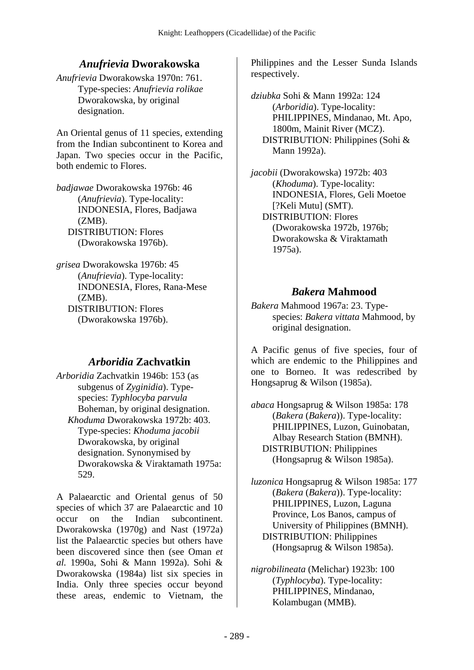## *Anufrievia* **Dworakowska**

*Anufrievia* Dworakowska 1970n: 761. Type-species: *Anufrievia rolikae* Dworakowska, by original designation.

An Oriental genus of 11 species, extending from the Indian subcontinent to Korea and Japan. Two species occur in the Pacific, both endemic to Flores.

*badjawae* Dworakowska 1976b: 46 (*Anufrievia*). Type-locality: INDONESIA, Flores, Badjawa  $(ZMB)$ . DISTRIBUTION: Flores (Dworakowska 1976b).

*grisea* Dworakowska 1976b: 45 (*Anufrievia*). Type-locality: INDONESIA, Flores, Rana-Mese  $(ZMB)$ . DISTRIBUTION: Flores (Dworakowska 1976b).

## *Arboridia* **Zachvatkin**

*Arboridia* Zachvatkin 1946b: 153 (as subgenus of *Zyginidia*). Typespecies: *Typhlocyba parvula* Boheman, by original designation.  *Khoduma* Dworakowska 1972b: 403. Type-species: *Khoduma jacobii* Dworakowska, by original designation. Synonymised by Dworakowska & Viraktamath 1975a: 529.

A Palaearctic and Oriental genus of 50 species of which 37 are Palaearctic and 10 occur on the Indian subcontinent. Dworakowska (1970g) and Nast (1972a) list the Palaearctic species but others have been discovered since then (see Oman *et al.* 1990a, Sohi & Mann 1992a). Sohi & Dworakowska (1984a) list six species in India. Only three species occur beyond these areas, endemic to Vietnam, the

Philippines and the Lesser Sunda Islands respectively.

*dziubka* Sohi & Mann 1992a: 124 (*Arboridia*). Type-locality: PHILIPPINES, Mindanao, Mt. Apo, 1800m, Mainit River (MCZ). DISTRIBUTION: Philippines (Sohi & Mann 1992a).

*jacobii* (Dworakowska) 1972b: 403 (*Khoduma*). Type-locality: INDONESIA, Flores, Geli Moetoe [?Keli Mutu] (SMT). DISTRIBUTION: Flores (Dworakowska 1972b, 1976b; Dworakowska & Viraktamath 1975a).

## *Bakera* **Mahmood**

*Bakera* Mahmood 1967a: 23. Typespecies: *Bakera vittata* Mahmood, by original designation.

A Pacific genus of five species, four of which are endemic to the Philippines and one to Borneo. It was redescribed by Hongsaprug & Wilson (1985a).

*abaca* Hongsaprug & Wilson 1985a: 178 (*Bakera* (*Bakera*)). Type-locality: PHILIPPINES, Luzon, Guinobatan, Albay Research Station (BMNH). DISTRIBUTION: Philippines (Hongsaprug & Wilson 1985a).

*luzonica* Hongsaprug & Wilson 1985a: 177 (*Bakera* (*Bakera*)). Type-locality: PHILIPPINES, Luzon, Laguna Province, Los Banos, campus of University of Philippines (BMNH). DISTRIBUTION: Philippines (Hongsaprug & Wilson 1985a).

*nigrobilineata* (Melichar) 1923b: 100 (*Typhlocyba*). Type-locality: PHILIPPINES, Mindanao, Kolambugan (MMB).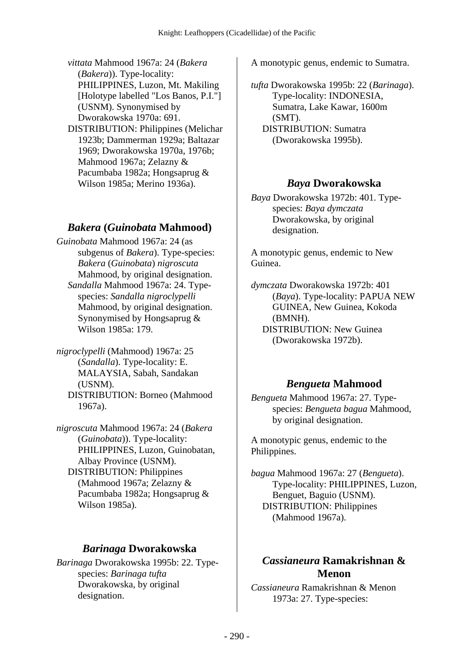*vittata* Mahmood 1967a: 24 (*Bakera* (*Bakera*)). Type-locality: PHILIPPINES, Luzon, Mt. Makiling [Holotype labelled "Los Banos, P.I."] (USNM). Synonymised by Dworakowska 1970a: 691. DISTRIBUTION: Philippines (Melichar

1923b; Dammerman 1929a; Baltazar 1969; Dworakowska 1970a, 1976b; Mahmood 1967a; Zelazny & Pacumbaba 1982a; Hongsaprug & Wilson 1985a; Merino 1936a).

## *Bakera* **(***Guinobata* **Mahmood)**

*Guinobata* Mahmood 1967a: 24 (as subgenus of *Bakera*). Type-species: *Bakera* (*Guinobata*) *nigroscuta* Mahmood, by original designation.  *Sandalla* Mahmood 1967a: 24. Typespecies: *Sandalla nigroclypelli* Mahmood, by original designation. Synonymised by Hongsaprug & Wilson 1985a: 179.

*nigroclypelli* (Mahmood) 1967a: 25 (*Sandalla*). Type-locality: E. MALAYSIA, Sabah, Sandakan (USNM). DISTRIBUTION: Borneo (Mahmood 1967a).

*nigroscuta* Mahmood 1967a: 24 (*Bakera* (*Guinobata*)). Type-locality: PHILIPPINES, Luzon, Guinobatan, Albay Province (USNM). DISTRIBUTION: Philippines (Mahmood 1967a; Zelazny & Pacumbaba 1982a; Hongsaprug & Wilson 1985a).

### *Barinaga* **Dworakowska**

*Barinaga* Dworakowska 1995b: 22. Typespecies: *Barinaga tufta* Dworakowska, by original designation.

A monotypic genus, endemic to Sumatra.

*tufta* Dworakowska 1995b: 22 (*Barinaga*). Type-locality: INDONESIA, Sumatra, Lake Kawar, 1600m (SMT). DISTRIBUTION: Sumatra (Dworakowska 1995b).

### *Baya* **Dworakowska**

*Baya* Dworakowska 1972b: 401. Typespecies: *Baya dymczata* Dworakowska, by original designation.

A monotypic genus, endemic to New Guinea.

*dymczata* Dworakowska 1972b: 401 (*Baya*). Type-locality: PAPUA NEW GUINEA, New Guinea, Kokoda (BMNH). DISTRIBUTION: New Guinea (Dworakowska 1972b).

## *Bengueta* **Mahmood**

*Bengueta* Mahmood 1967a: 27. Typespecies: *Bengueta bagua* Mahmood, by original designation.

A monotypic genus, endemic to the Philippines.

*bagua* Mahmood 1967a: 27 (*Bengueta*). Type-locality: PHILIPPINES, Luzon, Benguet, Baguio (USNM). DISTRIBUTION: Philippines (Mahmood 1967a).

## *Cassianeura* **Ramakrishnan & Menon**

*Cassianeura* Ramakrishnan & Menon 1973a: 27. Type-species: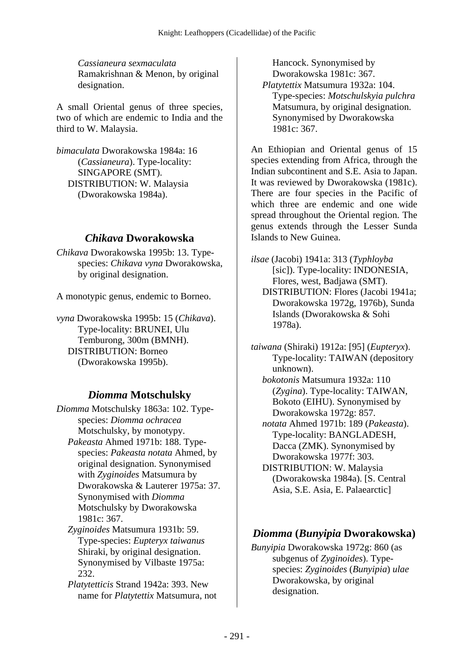*Cassianeura sexmaculata* Ramakrishnan & Menon, by original designation.

A small Oriental genus of three species, two of which are endemic to India and the third to W. Malaysia.

*bimaculata* Dworakowska 1984a: 16 (*Cassianeura*). Type-locality: SINGAPORE (SMT). DISTRIBUTION: W. Malaysia (Dworakowska 1984a).

### *Chikava* **Dworakowska**

*Chikava* Dworakowska 1995b: 13. Typespecies: *Chikava vyna* Dworakowska, by original designation.

A monotypic genus, endemic to Borneo.

*vyna* Dworakowska 1995b: 15 (*Chikava*). Type-locality: BRUNEI, Ulu Temburong, 300m (BMNH). DISTRIBUTION: Borneo (Dworakowska 1995b).

## *Diomma* **Motschulsky**

*Diomma* Motschulsky 1863a: 102. Typespecies: *Diomma ochracea* Motschulsky, by monotypy.  *Pakeasta* Ahmed 1971b: 188. Typespecies: *Pakeasta notata* Ahmed, by original designation. Synonymised with *Zyginoides* Matsumura by Dworakowska & Lauterer 1975a: 37. Synonymised with *Diomma* Motschulsky by Dworakowska 1981c: 367.

 *Zyginoides* Matsumura 1931b: 59. Type-species: *Eupteryx taiwanus* Shiraki, by original designation. Synonymised by Vilbaste 1975a: 232.

 *Platytetticis* Strand 1942a: 393. New name for *Platytettix* Matsumura, not

Hancock. Synonymised by Dworakowska 1981c: 367.  *Platytettix* Matsumura 1932a: 104. Type-species: *Motschulskyia pulchra* Matsumura, by original designation. Synonymised by Dworakowska 1981c: 367.

An Ethiopian and Oriental genus of 15 species extending from Africa, through the Indian subcontinent and S.E. Asia to Japan. It was reviewed by Dworakowska (1981c). There are four species in the Pacific of which three are endemic and one wide spread throughout the Oriental region. The genus extends through the Lesser Sunda Islands to New Guinea.

*ilsae* (Jacobi) 1941a: 313 (*Typhloyba* [sic]). Type-locality: INDONESIA, Flores, west, Badjawa (SMT).

 DISTRIBUTION: Flores (Jacobi 1941a; Dworakowska 1972g, 1976b), Sunda Islands (Dworakowska & Sohi 1978a).

*taiwana* (Shiraki) 1912a: [95] (*Eupteryx*). Type-locality: TAIWAN (depository unknown).

 *bokotonis* Matsumura 1932a: 110 (*Zygina*). Type-locality: TAIWAN, Bokoto (EIHU). Synonymised by Dworakowska 1972g: 857.

 *notata* Ahmed 1971b: 189 (*Pakeasta*). Type-locality: BANGLADESH, Dacca (ZMK). Synonymised by Dworakowska 1977f: 303.

 DISTRIBUTION: W. Malaysia (Dworakowska 1984a). [S. Central Asia, S.E. Asia, E. Palaearctic]

# *Diomma* **(***Bunyipia* **Dworakowska)**

*Bunyipia* Dworakowska 1972g: 860 (as subgenus of *Zyginoides*). Typespecies: *Zyginoides* (*Bunyipia*) *ulae* Dworakowska, by original designation.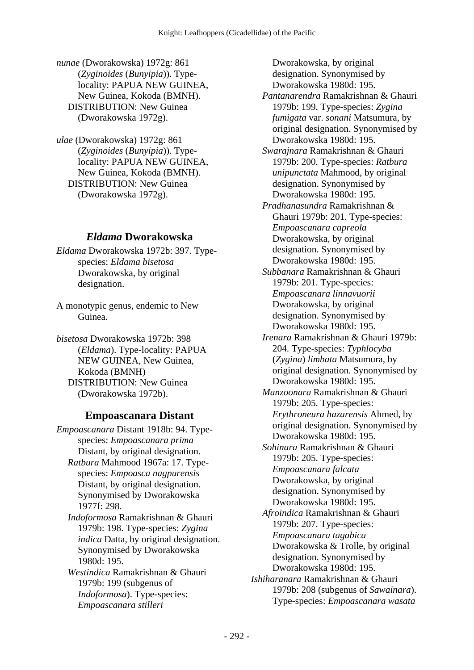*nunae* (Dworakowska) 1972g: 861 (*Zyginoides* (*Bunyipia*)). Typelocality: PAPUA NEW GUINEA, New Guinea, Kokoda (BMNH). DISTRIBUTION: New Guinea (Dworakowska 1972g).

*ulae* (Dworakowska) 1972g: 861 (*Zyginoides* (*Bunyipia*)). Typelocality: PAPUA NEW GUINEA, New Guinea, Kokoda (BMNH). DISTRIBUTION: New Guinea (Dworakowska 1972g).

#### *Eldama* **Dworakowska**

*Eldama* Dworakowska 1972b: 397. Typespecies: *Eldama bisetosa* Dworakowska, by original designation.

A monotypic genus, endemic to New Guinea.

*bisetosa* Dworakowska 1972b: 398 (*Eldama*). Type-locality: PAPUA NEW GUINEA, New Guinea, Kokoda (BMNH) DISTRIBUTION: New Guinea (Dworakowska 1972b).

#### **Empoascanara Distant**

*Empoascanara* Distant 1918b: 94. Typespecies: *Empoascanara prima* Distant, by original designation.  *Ratbura* Mahmood 1967a: 17. Typespecies: *Empoasca nagpurensis* Distant, by original designation. Synonymised by Dworakowska 1977f: 298.  *Indoformosa* Ramakrishnan & Ghauri 1979b: 198. Type-species: *Zygina indica* Datta, by original designation. Synonymised by Dworakowska 1980d: 195.

 *Westindica* Ramakrishnan & Ghauri 1979b: 199 (subgenus of *Indoformosa*). Type-species: *Empoascanara stilleri*

Dworakowska, by original designation. Synonymised by Dworakowska 1980d: 195.  *Pantanarendra* Ramakrishnan & Ghauri 1979b: 199. Type-species: *Zygina fumigata* var. *sonani* Matsumura, by original designation. Synonymised by Dworakowska 1980d: 195.  *Swarajnara* Ramakrishnan & Ghauri 1979b: 200. Type-species: *Ratbura unipunctata* Mahmood, by original designation. Synonymised by Dworakowska 1980d: 195.  *Pradhanasundra* Ramakrishnan & Ghauri 1979b: 201. Type-species: *Empoascanara capreola* Dworakowska, by original designation. Synonymised by Dworakowska 1980d: 195.  *Subbanara* Ramakrishnan & Ghauri 1979b: 201. Type-species: *Empoascanara linnavuorii* Dworakowska, by original designation. Synonymised by Dworakowska 1980d: 195.  *Irenara* Ramakrishnan & Ghauri 1979b: 204. Type-species: *Typhlocyba* (*Zygina*) *limbata* Matsumura, by original designation. Synonymised by Dworakowska 1980d: 195.  *Manzoonara* Ramakrishnan & Ghauri 1979b: 205. Type-species: *Erythroneura hazarensis* Ahmed, by original designation. Synonymised by Dworakowska 1980d: 195.  *Sohinara* Ramakrishnan & Ghauri 1979b: 205. Type-species: *Empoascanara falcata* Dworakowska, by original designation. Synonymised by Dworakowska 1980d: 195.  *Afroindica* Ramakrishnan & Ghauri 1979b: 207. Type-species: *Empoascanara tagabica* Dworakowska & Trolle, by original designation. Synonymised by Dworakowska 1980d: 195. *Ishiharanara* Ramakrishnan & Ghauri 1979b: 208 (subgenus of *Sawainara*). Type-species: *Empoascanara wasata*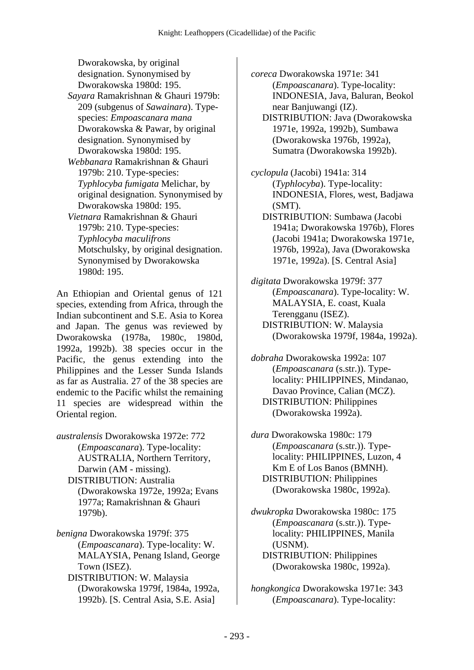Dworakowska, by original designation. Synonymised by Dworakowska 1980d: 195.

- *Sayara* Ramakrishnan & Ghauri 1979b: 209 (subgenus of *Sawainara*). Typespecies: *Empoascanara mana* Dworakowska & Pawar, by original designation. Synonymised by Dworakowska 1980d: 195.
- *Webbanara* Ramakrishnan & Ghauri 1979b: 210. Type-species: *Typhlocyba fumigata* Melichar, by original designation. Synonymised by Dworakowska 1980d: 195.
- *Vietnara* Ramakrishnan & Ghauri 1979b: 210. Type-species: *Typhlocyba maculifrons* Motschulsky, by original designation. Synonymised by Dworakowska 1980d: 195.

An Ethiopian and Oriental genus of 121 species, extending from Africa, through the Indian subcontinent and S.E. Asia to Korea and Japan. The genus was reviewed by Dworakowska (1978a, 1980c, 1980d, 1992a, 1992b). 38 species occur in the Pacific, the genus extending into the Philippines and the Lesser Sunda Islands as far as Australia. 27 of the 38 species are endemic to the Pacific whilst the remaining 11 species are widespread within the Oriental region.

- *australensis* Dworakowska 1972e: 772 (*Empoascanara*). Type-locality: AUSTRALIA, Northern Territory, Darwin (AM - missing). DISTRIBUTION: Australia (Dworakowska 1972e, 1992a; Evans 1977a; Ramakrishnan & Ghauri 1979b).
- *benigna* Dworakowska 1979f: 375 (*Empoascanara*). Type-locality: W. MALAYSIA, Penang Island, George Town (ISEZ).
	- DISTRIBUTION: W. Malaysia (Dworakowska 1979f, 1984a, 1992a, 1992b). [S. Central Asia, S.E. Asia]

*coreca* Dworakowska 1971e: 341 (*Empoascanara*). Type-locality: INDONESIA, Java, Baluran, Beokol near Banjuwangi (IZ).

- DISTRIBUTION: Java (Dworakowska 1971e, 1992a, 1992b), Sumbawa (Dworakowska 1976b, 1992a), Sumatra (Dworakowska 1992b).
- *cyclopula* (Jacobi) 1941a: 314 (*Typhlocyba*). Type-locality: INDONESIA, Flores, west, Badjawa (SMT).
	- DISTRIBUTION: Sumbawa (Jacobi 1941a; Dworakowska 1976b), Flores (Jacobi 1941a; Dworakowska 1971e, 1976b, 1992a), Java (Dworakowska 1971e, 1992a). [S. Central Asia]
- *digitata* Dworakowska 1979f: 377 (*Empoascanara*). Type-locality: W. MALAYSIA, E. coast, Kuala Terengganu (ISEZ). DISTRIBUTION: W. Malaysia (Dworakowska 1979f, 1984a, 1992a).

*dobraha* Dworakowska 1992a: 107 (*Empoascanara* (s.str.)). Typelocality: PHILIPPINES, Mindanao, Davao Province, Calian (MCZ). DISTRIBUTION: Philippines (Dworakowska 1992a).

*dura* Dworakowska 1980c: 179 (*Empoascanara* (s.str.)). Typelocality: PHILIPPINES, Luzon, 4 Km E of Los Banos (BMNH). DISTRIBUTION: Philippines (Dworakowska 1980c, 1992a).

- *dwukropka* Dworakowska 1980c: 175 (*Empoascanara* (s.str.)). Typelocality: PHILIPPINES, Manila (USNM). DISTRIBUTION: Philippines (Dworakowska 1980c, 1992a).
- *hongkongica* Dworakowska 1971e: 343 (*Empoascanara*). Type-locality: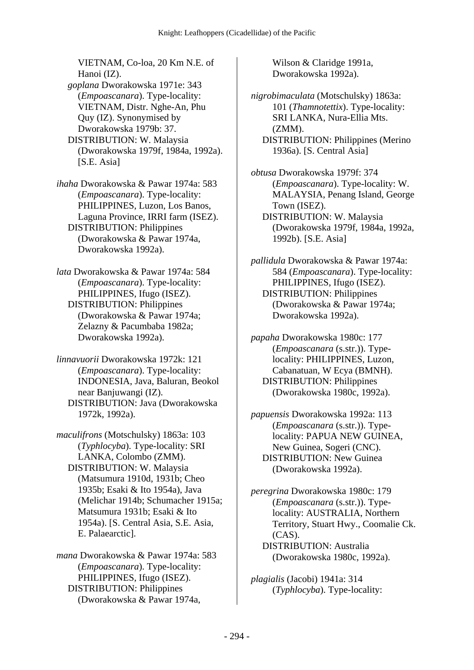VIETNAM, Co-loa, 20 Km N.E. of Hanoi (IZ).

 *goplana* Dworakowska 1971e: 343 (*Empoascanara*). Type-locality: VIETNAM, Distr. Nghe-An, Phu Quy (IZ). Synonymised by Dworakowska 1979b: 37.

 DISTRIBUTION: W. Malaysia (Dworakowska 1979f, 1984a, 1992a). [S.E. Asia]

*ihaha* Dworakowska & Pawar 1974a: 583 (*Empoascanara*). Type-locality: PHILIPPINES, Luzon, Los Banos, Laguna Province, IRRI farm (ISEZ). DISTRIBUTION: Philippines (Dworakowska & Pawar 1974a, Dworakowska 1992a).

*lata* Dworakowska & Pawar 1974a: 584 (*Empoascanara*). Type-locality: PHILIPPINES, Ifugo (ISEZ). DISTRIBUTION: Philippines (Dworakowska & Pawar 1974a; Zelazny & Pacumbaba 1982a; Dworakowska 1992a).

*linnavuorii* Dworakowska 1972k: 121 (*Empoascanara*). Type-locality: INDONESIA, Java, Baluran, Beokol near Banjuwangi (IZ). DISTRIBUTION: Java (Dworakowska 1972k, 1992a).

*maculifrons* (Motschulsky) 1863a: 103 (*Typhlocyba*). Type-locality: SRI LANKA, Colombo (ZMM). DISTRIBUTION: W. Malaysia (Matsumura 1910d, 1931b; Cheo 1935b; Esaki & Ito 1954a), Java (Melichar 1914b; Schumacher 1915a; Matsumura 1931b; Esaki & Ito 1954a). [S. Central Asia, S.E. Asia, E. Palaearctic].

*mana* Dworakowska & Pawar 1974a: 583 (*Empoascanara*). Type-locality: PHILIPPINES, Ifugo (ISEZ). DISTRIBUTION: Philippines (Dworakowska & Pawar 1974a,

Wilson & Claridge 1991a, Dworakowska 1992a).

*nigrobimaculata* (Motschulsky) 1863a: 101 (*Thamnotettix*). Type-locality: SRI LANKA, Nura-Ellia Mts. (ZMM). DISTRIBUTION: Philippines (Merino 1936a). [S. Central Asia]

*obtusa* Dworakowska 1979f: 374 (*Empoascanara*). Type-locality: W. MALAYSIA, Penang Island, George Town (ISEZ). DISTRIBUTION: W. Malaysia (Dworakowska 1979f, 1984a, 1992a, 1992b). [S.E. Asia]

*pallidula* Dworakowska & Pawar 1974a: 584 (*Empoascanara*). Type-locality: PHILIPPINES, Ifugo (ISEZ). DISTRIBUTION: Philippines (Dworakowska & Pawar 1974a; Dworakowska 1992a).

*papaha* Dworakowska 1980c: 177 (*Empoascanara* (s.str.)). Typelocality: PHILIPPINES, Luzon, Cabanatuan, W Ecya (BMNH). DISTRIBUTION: Philippines (Dworakowska 1980c, 1992a).

*papuensis* Dworakowska 1992a: 113 (*Empoascanara* (s.str.)). Typelocality: PAPUA NEW GUINEA, New Guinea, Sogeri (CNC). DISTRIBUTION: New Guinea (Dworakowska 1992a).

*peregrina* Dworakowska 1980c: 179 (*Empoascanara* (s.str.)). Typelocality: AUSTRALIA, Northern Territory, Stuart Hwy., Coomalie Ck. (CAS). DISTRIBUTION: Australia (Dworakowska 1980c, 1992a).

*plagialis* (Jacobi) 1941a: 314 (*Typhlocyba*). Type-locality: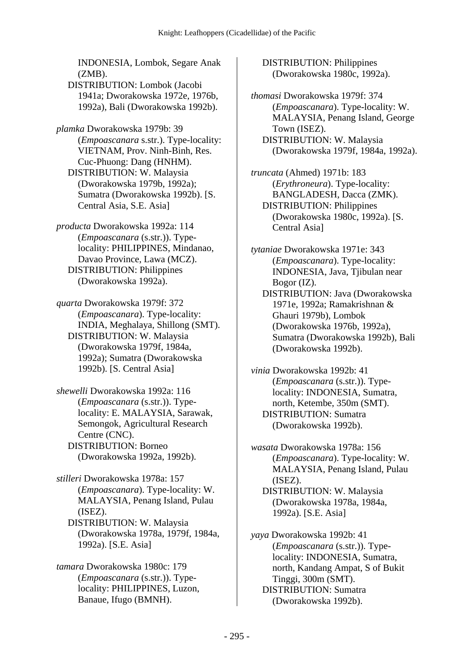INDONESIA, Lombok, Segare Anak (ZMB). DISTRIBUTION: Lombok (Jacobi 1941a; Dworakowska 1972e, 1976b, 1992a), Bali (Dworakowska 1992b).

*plamka* Dworakowska 1979b: 39 (*Empoascanara* s.str.). Type-locality: VIETNAM, Prov. Ninh-Binh, Res. Cuc-Phuong: Dang (HNHM). DISTRIBUTION: W. Malaysia (Dworakowska 1979b, 1992a); Sumatra (Dworakowska 1992b). [S. Central Asia, S.E. Asia]

*producta* Dworakowska 1992a: 114 (*Empoascanara* (s.str.)). Typelocality: PHILIPPINES, Mindanao, Davao Province, Lawa (MCZ). DISTRIBUTION: Philippines (Dworakowska 1992a).

*quarta* Dworakowska 1979f: 372 (*Empoascanara*). Type-locality: INDIA, Meghalaya, Shillong (SMT). DISTRIBUTION: W. Malaysia (Dworakowska 1979f, 1984a, 1992a); Sumatra (Dworakowska 1992b). [S. Central Asia]

*shewelli* Dworakowska 1992a: 116 (*Empoascanara* (s.str.)). Typelocality: E. MALAYSIA, Sarawak, Semongok, Agricultural Research Centre (CNC). DISTRIBUTION: Borneo (Dworakowska 1992a, 1992b).

*stilleri* Dworakowska 1978a: 157 (*Empoascanara*). Type-locality: W. MALAYSIA, Penang Island, Pulau (ISEZ). DISTRIBUTION: W. Malaysia (Dworakowska 1978a, 1979f, 1984a, 1992a). [S.E. Asia]

*tamara* Dworakowska 1980c: 179 (*Empoascanara* (s.str.)). Typelocality: PHILIPPINES, Luzon, Banaue, Ifugo (BMNH).

 DISTRIBUTION: Philippines (Dworakowska 1980c, 1992a).

*thomasi* Dworakowska 1979f: 374 (*Empoascanara*). Type-locality: W. MALAYSIA, Penang Island, George Town (ISEZ). DISTRIBUTION: W. Malaysia (Dworakowska 1979f, 1984a, 1992a).

*truncata* (Ahmed) 1971b: 183 (*Erythroneura*). Type-locality: BANGLADESH, Dacca (ZMK). DISTRIBUTION: Philippines (Dworakowska 1980c, 1992a). [S. Central Asia]

*tytaniae* Dworakowska 1971e: 343 (*Empoascanara*). Type-locality: INDONESIA, Java, Tjibulan near Bogor (IZ). DISTRIBUTION: Java (Dworakowska 1971e, 1992a; Ramakrishnan & Ghauri 1979b), Lombok (Dworakowska 1976b, 1992a), Sumatra (Dworakowska 1992b), Bali (Dworakowska 1992b).

*vinia* Dworakowska 1992b: 41 (*Empoascanara* (s.str.)). Typelocality: INDONESIA, Sumatra, north, Ketembe, 350m (SMT). DISTRIBUTION: Sumatra (Dworakowska 1992b).

*wasata* Dworakowska 1978a: 156 (*Empoascanara*). Type-locality: W. MALAYSIA, Penang Island, Pulau (ISEZ). DISTRIBUTION: W. Malaysia (Dworakowska 1978a, 1984a, 1992a). [S.E. Asia]

*yaya* Dworakowska 1992b: 41 (*Empoascanara* (s.str.)). Typelocality: INDONESIA, Sumatra, north, Kandang Ampat, S of Bukit Tinggi, 300m (SMT). DISTRIBUTION: Sumatra (Dworakowska 1992b).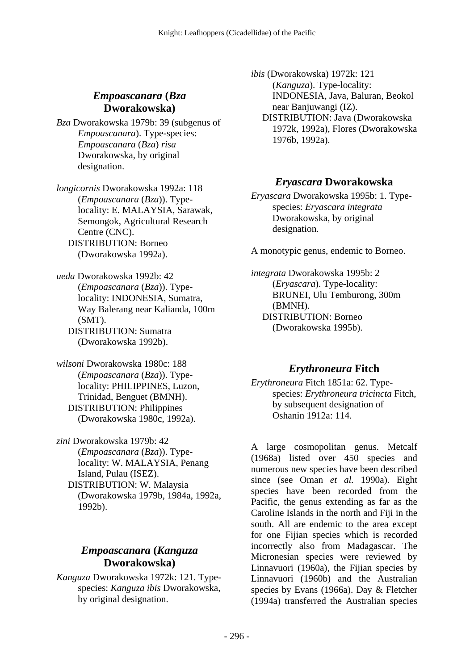## *Empoascanara* **(***Bza* **Dworakowska)**

*Bza* Dworakowska 1979b: 39 (subgenus of *Empoascanara*). Type-species: *Empoascanara* (*Bza*) *risa* Dworakowska, by original designation.

*longicornis* Dworakowska 1992a: 118 (*Empoascanara* (*Bza*)). Typelocality: E. MALAYSIA, Sarawak, Semongok, Agricultural Research Centre (CNC). DISTRIBUTION: Borneo (Dworakowska 1992a).

*ueda* Dworakowska 1992b: 42 (*Empoascanara* (*Bza*)). Typelocality: INDONESIA, Sumatra, Way Balerang near Kalianda, 100m (SMT). DISTRIBUTION: Sumatra (Dworakowska 1992b).

*wilsoni* Dworakowska 1980c: 188 (*Empoascanara* (*Bza*)). Typelocality: PHILIPPINES, Luzon, Trinidad, Benguet (BMNH). DISTRIBUTION: Philippines (Dworakowska 1980c, 1992a).

*zini* Dworakowska 1979b: 42 (*Empoascanara* (*Bza*)). Typelocality: W. MALAYSIA, Penang Island, Pulau (ISEZ). DISTRIBUTION: W. Malaysia (Dworakowska 1979b, 1984a, 1992a, 1992b).

# *Empoascanara* **(***Kanguza* **Dworakowska)**

*Kanguza* Dworakowska 1972k: 121. Typespecies: *Kanguza ibis* Dworakowska, by original designation.

*ibis* (Dworakowska) 1972k: 121 (*Kanguza*). Type-locality: INDONESIA, Java, Baluran, Beokol near Banjuwangi (IZ). DISTRIBUTION: Java (Dworakowska 1972k, 1992a), Flores (Dworakowska

1976b, 1992a).

## *Eryascara* **Dworakowska**

*Eryascara* Dworakowska 1995b: 1. Typespecies: *Eryascara integrata* Dworakowska, by original designation.

A monotypic genus, endemic to Borneo.

*integrata* Dworakowska 1995b: 2 (*Eryascara*). Type-locality: BRUNEI, Ulu Temburong, 300m (BMNH). DISTRIBUTION: Borneo (Dworakowska 1995b).

# *Erythroneura* **Fitch**

*Erythroneura* Fitch 1851a: 62. Typespecies: *Erythroneura tricincta* Fitch, by subsequent designation of Oshanin 1912a: 114.

A large cosmopolitan genus. Metcalf (1968a) listed over 450 species and numerous new species have been described since (see Oman *et al.* 1990a). Eight species have been recorded from the Pacific, the genus extending as far as the Caroline Islands in the north and Fiji in the south. All are endemic to the area except for one Fijian species which is recorded incorrectly also from Madagascar. The Micronesian species were reviewed by Linnavuori (1960a), the Fijian species by Linnavuori (1960b) and the Australian species by Evans (1966a). Day & Fletcher (1994a) transferred the Australian species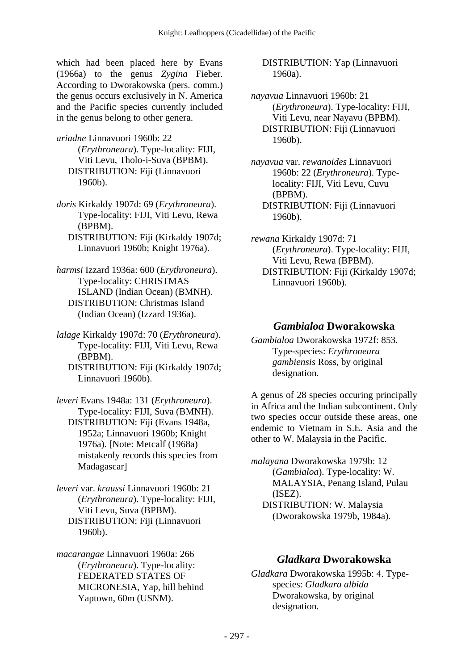which had been placed here by Evans (1966a) to the genus *Zygina* Fieber. According to Dworakowska (pers. comm.) the genus occurs exclusively in N. America and the Pacific species currently included in the genus belong to other genera.

*ariadne* Linnavuori 1960b: 22 (*Erythroneura*). Type-locality: FIJI, Viti Levu, Tholo-i-Suva (BPBM). DISTRIBUTION: Fiji (Linnavuori 1960b).

*doris* Kirkaldy 1907d: 69 (*Erythroneura*). Type-locality: FIJI, Viti Levu, Rewa (BPBM).

 DISTRIBUTION: Fiji (Kirkaldy 1907d; Linnavuori 1960b; Knight 1976a).

*harmsi* Izzard 1936a: 600 (*Erythroneura*). Type-locality: CHRISTMAS ISLAND (Indian Ocean) (BMNH). DISTRIBUTION: Christmas Island (Indian Ocean) (Izzard 1936a).

*lalage* Kirkaldy 1907d: 70 (*Erythroneura*). Type-locality: FIJI, Viti Levu, Rewa (BPBM). DISTRIBUTION: Fiji (Kirkaldy 1907d; Linnavuori 1960b).

*leveri* Evans 1948a: 131 (*Erythroneura*). Type-locality: FIJI, Suva (BMNH). DISTRIBUTION: Fiji (Evans 1948a, 1952a; Linnavuori 1960b; Knight 1976a). [Note: Metcalf (1968a) mistakenly records this species from Madagascar]

*leveri* var. *kraussi* Linnavuori 1960b: 21 (*Erythroneura*). Type-locality: FIJI, Viti Levu, Suva (BPBM). DISTRIBUTION: Fiji (Linnavuori 1960b).

*macarangae* Linnavuori 1960a: 266 (*Erythroneura*). Type-locality: FEDERATED STATES OF MICRONESIA, Yap, hill behind Yaptown, 60m (USNM).

 DISTRIBUTION: Yap (Linnavuori 1960a).

*nayavua* Linnavuori 1960b: 21 (*Erythroneura*). Type-locality: FIJI, Viti Levu, near Nayavu (BPBM). DISTRIBUTION: Fiji (Linnavuori 1960b).

*nayavua* var. *rewanoides* Linnavuori 1960b: 22 (*Erythroneura*). Typelocality: FIJI, Viti Levu, Cuvu (BPBM). DISTRIBUTION: Fiji (Linnavuori 1960b).

*rewana* Kirkaldy 1907d: 71 (*Erythroneura*). Type-locality: FIJI, Viti Levu, Rewa (BPBM). DISTRIBUTION: Fiji (Kirkaldy 1907d; Linnavuori 1960b).

## *Gambialoa* **Dworakowska**

*Gambialoa* Dworakowska 1972f: 853. Type-species: *Erythroneura gambiensis* Ross, by original designation.

A genus of 28 species occuring principally in Africa and the Indian subcontinent. Only two species occur outside these areas, one endemic to Vietnam in S.E. Asia and the other to W. Malaysia in the Pacific.

*malayana* Dworakowska 1979b: 12 (*Gambialoa*). Type-locality: W. MALAYSIA, Penang Island, Pulau (ISEZ). DISTRIBUTION: W. Malaysia (Dworakowska 1979b, 1984a).

### *Gladkara* **Dworakowska**

*Gladkara* Dworakowska 1995b: 4. Typespecies: *Gladkara albida* Dworakowska, by original designation.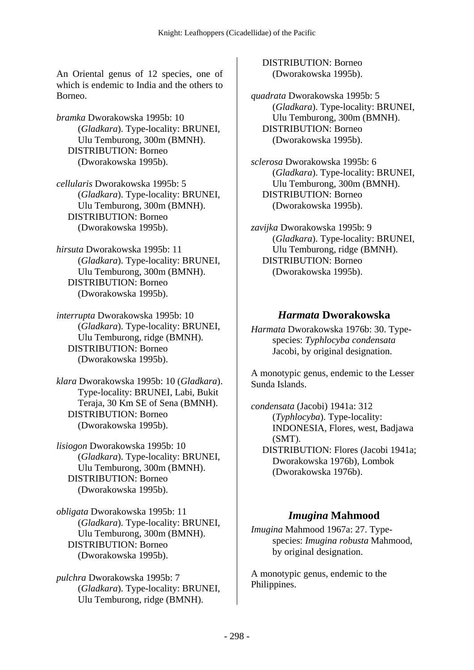An Oriental genus of 12 species, one of which is endemic to India and the others to Borneo.

*bramka* Dworakowska 1995b: 10 (*Gladkara*). Type-locality: BRUNEI, Ulu Temburong, 300m (BMNH). DISTRIBUTION: Borneo (Dworakowska 1995b).

*cellularis* Dworakowska 1995b: 5 (*Gladkara*). Type-locality: BRUNEI, Ulu Temburong, 300m (BMNH). DISTRIBUTION: Borneo (Dworakowska 1995b).

*hirsuta* Dworakowska 1995b: 11 (*Gladkara*). Type-locality: BRUNEI, Ulu Temburong, 300m (BMNH). DISTRIBUTION: Borneo (Dworakowska 1995b).

*interrupta* Dworakowska 1995b: 10 (*Gladkara*). Type-locality: BRUNEI, Ulu Temburong, ridge (BMNH). DISTRIBUTION: Borneo (Dworakowska 1995b).

*klara* Dworakowska 1995b: 10 (*Gladkara*). Type-locality: BRUNEI, Labi, Bukit Teraja, 30 Km SE of Sena (BMNH). DISTRIBUTION: Borneo (Dworakowska 1995b).

*lisiogon* Dworakowska 1995b: 10 (*Gladkara*). Type-locality: BRUNEI, Ulu Temburong, 300m (BMNH). DISTRIBUTION: Borneo (Dworakowska 1995b).

*obligata* Dworakowska 1995b: 11 (*Gladkara*). Type-locality: BRUNEI, Ulu Temburong, 300m (BMNH). DISTRIBUTION: Borneo (Dworakowska 1995b).

*pulchra* Dworakowska 1995b: 7 (*Gladkara*). Type-locality: BRUNEI, Ulu Temburong, ridge (BMNH).

 DISTRIBUTION: Borneo (Dworakowska 1995b).

*quadrata* Dworakowska 1995b: 5 (*Gladkara*). Type-locality: BRUNEI, Ulu Temburong, 300m (BMNH). DISTRIBUTION: Borneo (Dworakowska 1995b).

*sclerosa* Dworakowska 1995b: 6 (*Gladkara*). Type-locality: BRUNEI, Ulu Temburong, 300m (BMNH). DISTRIBUTION: Borneo (Dworakowska 1995b).

*zavijka* Dworakowska 1995b: 9 (*Gladkara*). Type-locality: BRUNEI, Ulu Temburong, ridge (BMNH). DISTRIBUTION: Borneo (Dworakowska 1995b).

#### *Harmata* **Dworakowska**

*Harmata* Dworakowska 1976b: 30. Typespecies: *Typhlocyba condensata* Jacobi, by original designation.

A monotypic genus, endemic to the Lesser Sunda Islands.

*condensata* (Jacobi) 1941a: 312 (*Typhlocyba*). Type-locality: INDONESIA, Flores, west, Badjawa (SMT). DISTRIBUTION: Flores (Jacobi 1941a; Dworakowska 1976b), Lombok (Dworakowska 1976b).

### *Imugina* **Mahmood**

*Imugina* Mahmood 1967a: 27. Typespecies: *Imugina robusta* Mahmood, by original designation.

A monotypic genus, endemic to the Philippines.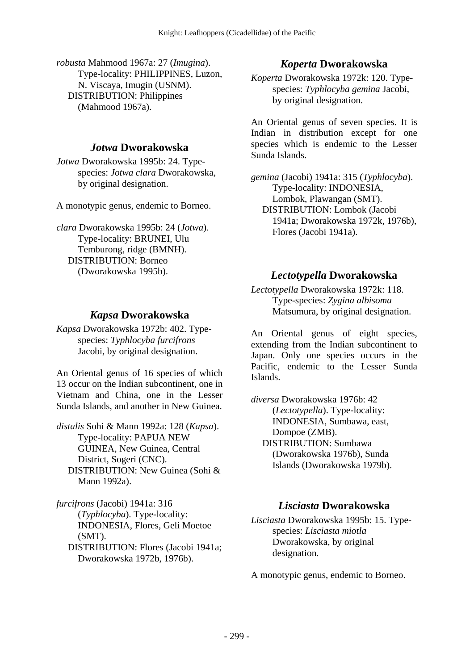*robusta* Mahmood 1967a: 27 (*Imugina*). Type-locality: PHILIPPINES, Luzon, N. Viscaya, Imugin (USNM). DISTRIBUTION: Philippines (Mahmood 1967a).

#### *Jotwa* **Dworakowska**

*Jotwa* Dworakowska 1995b: 24. Typespecies: *Jotwa clara* Dworakowska, by original designation.

A monotypic genus, endemic to Borneo.

*clara* Dworakowska 1995b: 24 (*Jotwa*). Type-locality: BRUNEI, Ulu Temburong, ridge (BMNH). DISTRIBUTION: Borneo (Dworakowska 1995b).

### *Kapsa* **Dworakowska**

*Kapsa* Dworakowska 1972b: 402. Typespecies: *Typhlocyba furcifrons* Jacobi, by original designation.

An Oriental genus of 16 species of which 13 occur on the Indian subcontinent, one in Vietnam and China, one in the Lesser Sunda Islands, and another in New Guinea.

*distalis* Sohi & Mann 1992a: 128 (*Kapsa*). Type-locality: PAPUA NEW GUINEA, New Guinea, Central District, Sogeri (CNC). DISTRIBUTION: New Guinea (Sohi & Mann 1992a).

*furcifrons* (Jacobi) 1941a: 316 (*Typhlocyba*). Type-locality: INDONESIA, Flores, Geli Moetoe (SMT). DISTRIBUTION: Flores (Jacobi 1941a; Dworakowska 1972b, 1976b).

# *Koperta* **Dworakowska**

*Koperta* Dworakowska 1972k: 120. Typespecies: *Typhlocyba gemina* Jacobi, by original designation.

An Oriental genus of seven species. It is Indian in distribution except for one species which is endemic to the Lesser Sunda Islands.

*gemina* (Jacobi) 1941a: 315 (*Typhlocyba*). Type-locality: INDONESIA, Lombok, Plawangan (SMT). DISTRIBUTION: Lombok (Jacobi 1941a; Dworakowska 1972k, 1976b), Flores (Jacobi 1941a).

## *Lectotypella* **Dworakowska**

*Lectotypella* Dworakowska 1972k: 118. Type-species: *Zygina albisoma* Matsumura, by original designation.

An Oriental genus of eight species, extending from the Indian subcontinent to Japan. Only one species occurs in the Pacific, endemic to the Lesser Sunda Islands.

*diversa* Dworakowska 1976b: 42 (*Lectotypella*). Type-locality: INDONESIA, Sumbawa, east, Dompoe (ZMB). DISTRIBUTION: Sumbawa (Dworakowska 1976b), Sunda Islands (Dworakowska 1979b).

## *Lisciasta* **Dworakowska**

*Lisciasta* Dworakowska 1995b: 15. Typespecies: *Lisciasta miotla* Dworakowska, by original designation.

A monotypic genus, endemic to Borneo.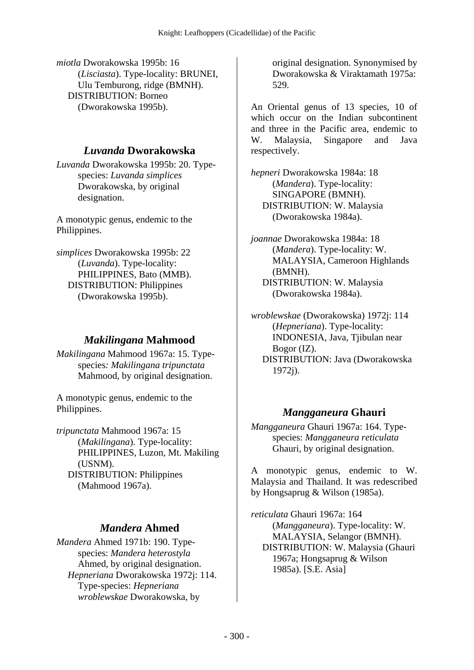*miotla* Dworakowska 1995b: 16 (*Lisciasta*). Type-locality: BRUNEI, Ulu Temburong, ridge (BMNH). DISTRIBUTION: Borneo (Dworakowska 1995b).

## *Luvanda* **Dworakowska**

*Luvanda* Dworakowska 1995b: 20. Typespecies: *Luvanda simplices* Dworakowska, by original designation.

A monotypic genus, endemic to the Philippines.

*simplices* Dworakowska 1995b: 22 (*Luvanda*). Type-locality: PHILIPPINES, Bato (MMB). DISTRIBUTION: Philippines (Dworakowska 1995b).

## *Makilingana* **Mahmood**

*Makilingana* Mahmood 1967a: 15. Typespecies*: Makilingana tripunctata* Mahmood, by original designation.

A monotypic genus, endemic to the Philippines.

*tripunctata* Mahmood 1967a: 15 (*Makilingana*). Type-locality: PHILIPPINES, Luzon, Mt. Makiling (USNM). DISTRIBUTION: Philippines (Mahmood 1967a).

## *Mandera* **Ahmed**

*Mandera* Ahmed 1971b: 190. Typespecies: *Mandera heterostyla* Ahmed, by original designation.  *Hepneriana* Dworakowska 1972j: 114. Type-species: *Hepneriana wroblewskae* Dworakowska, by

original designation. Synonymised by Dworakowska & Viraktamath 1975a: 529.

An Oriental genus of 13 species, 10 of which occur on the Indian subcontinent and three in the Pacific area, endemic to W. Malaysia, Singapore and Java respectively.

*hepneri* Dworakowska 1984a: 18 (*Mandera*). Type-locality: SINGAPORE (BMNH). DISTRIBUTION: W. Malaysia (Dworakowska 1984a).

*joannae* Dworakowska 1984a: 18 (*Mandera*). Type-locality: W. MALAYSIA, Cameroon Highlands (BMNH). DISTRIBUTION: W. Malaysia (Dworakowska 1984a).

*wroblewskae* (Dworakowska) 1972j: 114 (*Hepneriana*). Type-locality: INDONESIA, Java, Tjibulan near Bogor (IZ).

 DISTRIBUTION: Java (Dworakowska 1972j).

## *Mangganeura* **Ghauri**

*Mangganeura* Ghauri 1967a: 164. Typespecies: *Mangganeura reticulata* Ghauri, by original designation.

A monotypic genus, endemic to W. Malaysia and Thailand. It was redescribed by Hongsaprug & Wilson (1985a).

*reticulata* Ghauri 1967a: 164 (*Mangganeura*). Type-locality: W. MALAYSIA, Selangor (BMNH). DISTRIBUTION: W. Malaysia (Ghauri 1967a; Hongsaprug & Wilson 1985a). [S.E. Asia]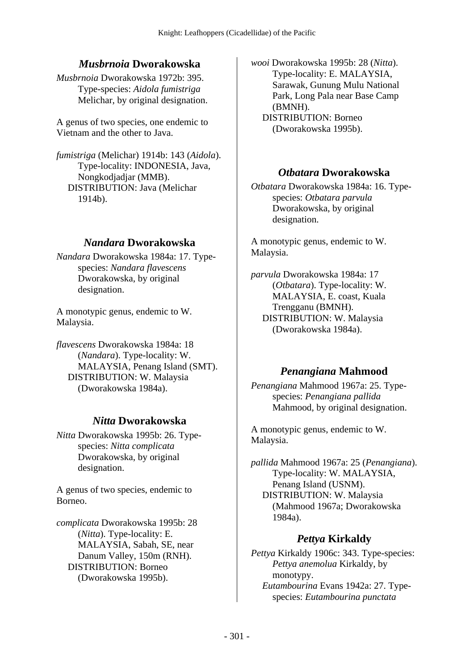## *Musbrnoia* **Dworakowska**

*Musbrnoia* Dworakowska 1972b: 395. Type-species: *Aidola fumistriga* Melichar, by original designation.

A genus of two species, one endemic to Vietnam and the other to Java.

*fumistriga* (Melichar) 1914b: 143 (*Aidola*). Type-locality: INDONESIA, Java, Nongkodjadjar (MMB). DISTRIBUTION: Java (Melichar 1914b).

#### *Nandara* **Dworakowska**

*Nandara* Dworakowska 1984a: 17. Typespecies: *Nandara flavescens* Dworakowska, by original designation.

A monotypic genus, endemic to W. Malaysia.

*flavescens* Dworakowska 1984a: 18 (*Nandara*). Type-locality: W. MALAYSIA, Penang Island (SMT). DISTRIBUTION: W. Malaysia (Dworakowska 1984a).

#### *Nitta* **Dworakowska**

*Nitta* Dworakowska 1995b: 26. Typespecies: *Nitta complicata* Dworakowska, by original designation.

A genus of two species, endemic to Borneo.

*complicata* Dworakowska 1995b: 28 (*Nitta*). Type-locality: E. MALAYSIA, Sabah, SE, near Danum Valley, 150m (RNH). DISTRIBUTION: Borneo (Dworakowska 1995b).

*wooi* Dworakowska 1995b: 28 (*Nitta*). Type-locality: E. MALAYSIA, Sarawak, Gunung Mulu National Park, Long Pala near Base Camp (BMNH). DISTRIBUTION: Borneo

(Dworakowska 1995b).

### *Otbatara* **Dworakowska**

*Otbatara* Dworakowska 1984a: 16. Typespecies: *Otbatara parvula* Dworakowska, by original designation.

A monotypic genus, endemic to W. Malaysia.

*parvula* Dworakowska 1984a: 17 (*Otbatara*). Type-locality: W. MALAYSIA, E. coast, Kuala Trengganu (BMNH). DISTRIBUTION: W. Malaysia (Dworakowska 1984a).

### *Penangiana* **Mahmood**

*Penangiana* Mahmood 1967a: 25. Typespecies: *Penangiana pallida* Mahmood, by original designation.

A monotypic genus, endemic to W. Malaysia.

*pallida* Mahmood 1967a: 25 (*Penangiana*). Type-locality: W. MALAYSIA, Penang Island (USNM). DISTRIBUTION: W. Malaysia (Mahmood 1967a; Dworakowska 1984a).

### *Pettya* **Kirkaldy**

*Pettya* Kirkaldy 1906c: 343. Type-species: *Pettya anemolua* Kirkaldy, by monotypy.  *Eutambourina* Evans 1942a: 27. Typespecies: *Eutambourina punctata*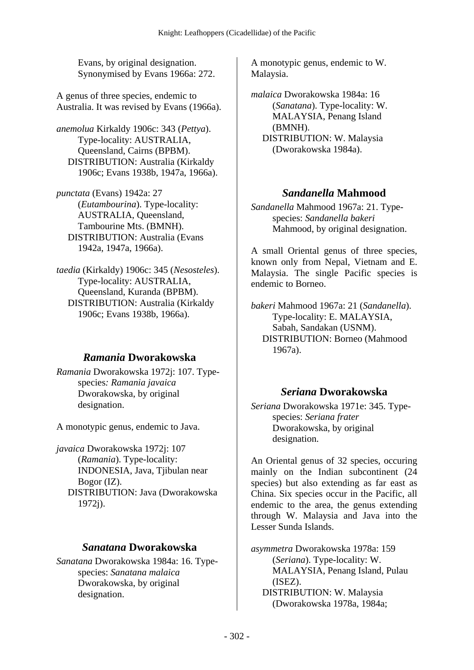Evans, by original designation. Synonymised by Evans 1966a: 272.

A genus of three species, endemic to Australia. It was revised by Evans (1966a).

*anemolua* Kirkaldy 1906c: 343 (*Pettya*). Type-locality: AUSTRALIA, Queensland, Cairns (BPBM). DISTRIBUTION: Australia (Kirkaldy 1906c; Evans 1938b, 1947a, 1966a).

*punctata* (Evans) 1942a: 27 (*Eutambourina*). Type-locality: AUSTRALIA, Queensland, Tambourine Mts. (BMNH). DISTRIBUTION: Australia (Evans 1942a, 1947a, 1966a).

*taedia* (Kirkaldy) 1906c: 345 (*Nesosteles*). Type-locality: AUSTRALIA, Queensland, Kuranda (BPBM). DISTRIBUTION: Australia (Kirkaldy 1906c; Evans 1938b, 1966a).

## *Ramania* **Dworakowska**

*Ramania* Dworakowska 1972j: 107. Typespecies*: Ramania javaica* Dworakowska, by original designation.

A monotypic genus, endemic to Java.

*javaica* Dworakowska 1972j: 107 (*Ramania*). Type-locality: INDONESIA, Java, Tjibulan near Bogor (IZ). DISTRIBUTION: Java (Dworakowska 1972j).

### *Sanatana* **Dworakowska**

*Sanatana* Dworakowska 1984a: 16. Typespecies: *Sanatana malaica* Dworakowska, by original designation.

A monotypic genus, endemic to W. Malaysia.

*malaica* Dworakowska 1984a: 16 (*Sanatana*). Type-locality: W. MALAYSIA, Penang Island (BMNH). DISTRIBUTION: W. Malaysia (Dworakowska 1984a).

## *Sandanella* **Mahmood**

*Sandanella* Mahmood 1967a: 21. Typespecies: *Sandanella bakeri* Mahmood, by original designation.

A small Oriental genus of three species, known only from Nepal, Vietnam and E. Malaysia. The single Pacific species is endemic to Borneo.

*bakeri* Mahmood 1967a: 21 (*Sandanella*). Type-locality: E. MALAYSIA, Sabah, Sandakan (USNM). DISTRIBUTION: Borneo (Mahmood 1967a).

### *Seriana* **Dworakowska**

*Seriana* Dworakowska 1971e: 345. Typespecies: *Seriana frater* Dworakowska, by original designation.

An Oriental genus of 32 species, occuring mainly on the Indian subcontinent (24 species) but also extending as far east as China. Six species occur in the Pacific, all endemic to the area, the genus extending through W. Malaysia and Java into the Lesser Sunda Islands.

*asymmetra* Dworakowska 1978a: 159 (*Seriana*). Type-locality: W. MALAYSIA, Penang Island, Pulau (ISEZ). DISTRIBUTION: W. Malaysia (Dworakowska 1978a, 1984a;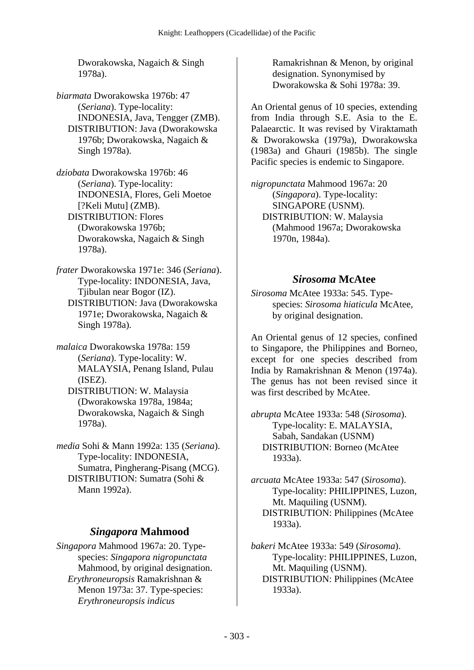Dworakowska, Nagaich & Singh 1978a).

*biarmata* Dworakowska 1976b: 47 (*Seriana*). Type-locality: INDONESIA, Java, Tengger (ZMB). DISTRIBUTION: Java (Dworakowska 1976b; Dworakowska, Nagaich & Singh 1978a).

*dziobata* Dworakowska 1976b: 46 (*Seriana*). Type-locality: INDONESIA, Flores, Geli Moetoe [?Keli Mutu] (ZMB). DISTRIBUTION: Flores (Dworakowska 1976b; Dworakowska, Nagaich & Singh 1978a).

*frater* Dworakowska 1971e: 346 (*Seriana*). Type-locality: INDONESIA, Java, Tjibulan near Bogor (IZ). DISTRIBUTION: Java (Dworakowska 1971e; Dworakowska, Nagaich & Singh 1978a).

*malaica* Dworakowska 1978a: 159 (*Seriana*). Type-locality: W. MALAYSIA, Penang Island, Pulau (ISEZ). DISTRIBUTION: W. Malaysia (Dworakowska 1978a, 1984a;

Dworakowska, Nagaich & Singh 1978a).

*media* Sohi & Mann 1992a: 135 (*Seriana*). Type-locality: INDONESIA, Sumatra, Pingherang-Pisang (MCG). DISTRIBUTION: Sumatra (Sohi & Mann 1992a).

## *Singapora* **Mahmood**

*Singapora* Mahmood 1967a: 20. Typespecies: *Singapora nigropunctata* Mahmood, by original designation.  *Erythroneuropsis* Ramakrishnan & Menon 1973a: 37. Type-species: *Erythroneuropsis indicus*

Ramakrishnan & Menon, by original designation. Synonymised by Dworakowska & Sohi 1978a: 39.

An Oriental genus of 10 species, extending from India through S.E. Asia to the E. Palaearctic. It was revised by Viraktamath & Dworakowska (1979a), Dworakowska (1983a) and Ghauri (1985b). The single Pacific species is endemic to Singapore.

*nigropunctata* Mahmood 1967a: 20 (*Singapora*). Type-locality: SINGAPORE (USNM). DISTRIBUTION: W. Malaysia (Mahmood 1967a; Dworakowska 1970n, 1984a).

## *Sirosoma* **McAtee**

*Sirosoma* McAtee 1933a: 545. Typespecies: *Sirosoma hiaticula* McAtee, by original designation.

An Oriental genus of 12 species, confined to Singapore, the Philippines and Borneo, except for one species described from India by Ramakrishnan & Menon (1974a). The genus has not been revised since it was first described by McAtee.

*abrupta* McAtee 1933a: 548 (*Sirosoma*). Type-locality: E. MALAYSIA, Sabah, Sandakan (USNM) DISTRIBUTION: Borneo (McAtee 1933a).

*arcuata* McAtee 1933a: 547 (*Sirosoma*). Type-locality: PHILIPPINES, Luzon, Mt. Maquiling (USNM). DISTRIBUTION: Philippines (McAtee 1933a).

*bakeri* McAtee 1933a: 549 (*Sirosoma*). Type-locality: PHILIPPINES, Luzon, Mt. Maquiling (USNM). DISTRIBUTION: Philippines (McAtee 1933a).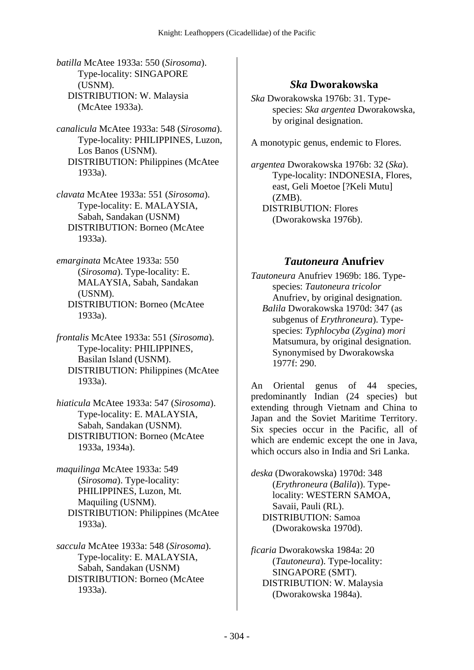- *batilla* McAtee 1933a: 550 (*Sirosoma*). Type-locality: SINGAPORE (USNM). DISTRIBUTION: W. Malaysia (McAtee 1933a).
- *canalicula* McAtee 1933a: 548 (*Sirosoma*). Type-locality: PHILIPPINES, Luzon, Los Banos (USNM). DISTRIBUTION: Philippines (McAtee 1933a).
- *clavata* McAtee 1933a: 551 (*Sirosoma*). Type-locality: E. MALAYSIA, Sabah, Sandakan (USNM) DISTRIBUTION: Borneo (McAtee 1933a).
- *emarginata* McAtee 1933a: 550 (*Sirosoma*). Type-locality: E. MALAYSIA, Sabah, Sandakan (USNM). DISTRIBUTION: Borneo (McAtee 1933a).
- *frontalis* McAtee 1933a: 551 (*Sirosoma*). Type-locality: PHILIPPINES, Basilan Island (USNM). DISTRIBUTION: Philippines (McAtee 1933a).
- *hiaticula* McAtee 1933a: 547 (*Sirosoma*). Type-locality: E. MALAYSIA, Sabah, Sandakan (USNM). DISTRIBUTION: Borneo (McAtee 1933a, 1934a).
- *maquilinga* McAtee 1933a: 549 (*Sirosoma*). Type-locality: PHILIPPINES, Luzon, Mt. Maquiling (USNM). DISTRIBUTION: Philippines (McAtee 1933a).
- *saccula* McAtee 1933a: 548 (*Sirosoma*). Type-locality: E. MALAYSIA, Sabah, Sandakan (USNM) DISTRIBUTION: Borneo (McAtee 1933a).

## *Ska* **Dworakowska**

- *Ska* Dworakowska 1976b: 31. Typespecies: *Ska argentea* Dworakowska, by original designation.
- A monotypic genus, endemic to Flores.

*argentea* Dworakowska 1976b: 32 (*Ska*). Type-locality: INDONESIA, Flores, east, Geli Moetoe [?Keli Mutu] (ZMB). DISTRIBUTION: Flores (Dworakowska 1976b).

### *Tautoneura* **Anufriev**

*Tautoneura* Anufriev 1969b: 186. Typespecies: *Tautoneura tricolor* Anufriev, by original designation.  *Balila* Dworakowska 1970d: 347 (as subgenus of *Erythroneura*). Typespecies: *Typhlocyba* (*Zygina*) *mori* Matsumura, by original designation. Synonymised by Dworakowska 1977f: 290.

An Oriental genus of 44 species, predominantly Indian (24 species) but extending through Vietnam and China to Japan and the Soviet Maritime Territory. Six species occur in the Pacific, all of which are endemic except the one in Java. which occurs also in India and Sri Lanka.

*deska* (Dworakowska) 1970d: 348 (*Erythroneura* (*Balila*)). Typelocality: WESTERN SAMOA, Savaii, Pauli (RL). DISTRIBUTION: Samoa (Dworakowska 1970d).

*ficaria* Dworakowska 1984a: 20 (*Tautoneura*). Type-locality: SINGAPORE (SMT). DISTRIBUTION: W. Malaysia (Dworakowska 1984a).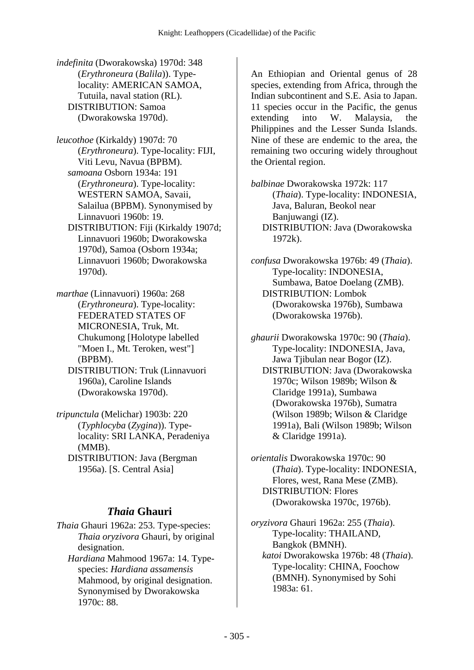*indefinita* (Dworakowska) 1970d: 348 (*Erythroneura* (*Balila*)). Typelocality: AMERICAN SAMOA, Tutuila, naval station (RL). DISTRIBUTION: Samoa (Dworakowska 1970d).

- *leucothoe* (Kirkaldy) 1907d: 70 (*Erythroneura*). Type-locality: FIJI, Viti Levu, Navua (BPBM).  *samoana* Osborn 1934a: 191 (*Erythroneura*). Type-locality: WESTERN SAMOA, Savaii, Salailua (BPBM). Synonymised by Linnavuori 1960b: 19. DISTRIBUTION: Fiji (Kirkaldy 1907d;
	- Linnavuori 1960b; Dworakowska 1970d), Samoa (Osborn 1934a; Linnavuori 1960b; Dworakowska 1970d).
- *marthae* (Linnavuori) 1960a: 268 (*Erythroneura*). Type-locality: FEDERATED STATES OF MICRONESIA, Truk, Mt. Chukumong [Holotype labelled "Moen I., Mt. Teroken, west"] (BPBM).
	- DISTRIBUTION: Truk (Linnavuori 1960a), Caroline Islands (Dworakowska 1970d).
- *tripunctula* (Melichar) 1903b: 220 (*Typhlocyba* (*Zygina*)). Typelocality: SRI LANKA, Peradeniya (MMB). DISTRIBUTION: Java (Bergman 1956a). [S. Central Asia]

### *Thaia* **Ghauri**

- *Thaia* Ghauri 1962a: 253. Type-species: *Thaia oryzivora* Ghauri, by original designation.
	- *Hardiana* Mahmood 1967a: 14. Typespecies: *Hardiana assamensis* Mahmood, by original designation. Synonymised by Dworakowska 1970c: 88.

An Ethiopian and Oriental genus of 28 species, extending from Africa, through the Indian subcontinent and S.E. Asia to Japan. 11 species occur in the Pacific, the genus extending into W. Malaysia, the Philippines and the Lesser Sunda Islands. Nine of these are endemic to the area, the remaining two occuring widely throughout the Oriental region.

*balbinae* Dworakowska 1972k: 117 (*Thaia*). Type-locality: INDONESIA, Java, Baluran, Beokol near Banjuwangi (IZ). DISTRIBUTION: Java (Dworakowska 1972k).

*confusa* Dworakowska 1976b: 49 (*Thaia*). Type-locality: INDONESIA, Sumbawa, Batoe Doelang (ZMB). DISTRIBUTION: Lombok (Dworakowska 1976b), Sumbawa (Dworakowska 1976b).

*ghaurii* Dworakowska 1970c: 90 (*Thaia*). Type-locality: INDONESIA, Java, Jawa Tjibulan near Bogor (IZ). DISTRIBUTION: Java (Dworakowska 1970c; Wilson 1989b; Wilson & Claridge 1991a), Sumbawa (Dworakowska 1976b), Sumatra (Wilson 1989b; Wilson & Claridge 1991a), Bali (Wilson 1989b; Wilson & Claridge 1991a).

*orientalis* Dworakowska 1970c: 90 (*Thaia*). Type-locality: INDONESIA, Flores, west, Rana Mese (ZMB). DISTRIBUTION: Flores (Dworakowska 1970c, 1976b).

*oryzivora* Ghauri 1962a: 255 (*Thaia*). Type-locality: THAILAND, Bangkok (BMNH).  *katoi* Dworakowska 1976b: 48 (*Thaia*). Type-locality: CHINA, Foochow (BMNH). Synonymised by Sohi 1983a: 61.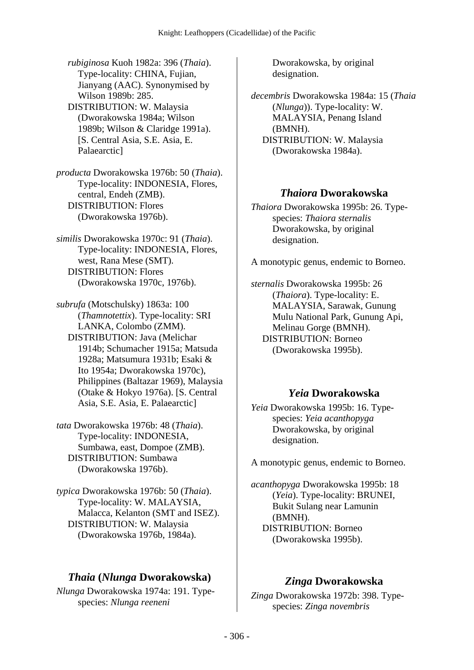*rubiginosa* Kuoh 1982a: 396 (*Thaia*). Type-locality: CHINA, Fujian, Jianyang (AAC). Synonymised by Wilson 1989b: 285. DISTRIBUTION: W. Malaysia (Dworakowska 1984a; Wilson 1989b; Wilson & Claridge 1991a). [S. Central Asia, S.E. Asia, E. Palaearctic]

*producta* Dworakowska 1976b: 50 (*Thaia*). Type-locality: INDONESIA, Flores, central, Endeh (ZMB). DISTRIBUTION: Flores (Dworakowska 1976b).

*similis* Dworakowska 1970c: 91 (*Thaia*). Type-locality: INDONESIA, Flores, west, Rana Mese (SMT). DISTRIBUTION: Flores (Dworakowska 1970c, 1976b).

*subrufa* (Motschulsky) 1863a: 100 (*Thamnotettix*). Type-locality: SRI LANKA, Colombo (ZMM). DISTRIBUTION: Java (Melichar 1914b; Schumacher 1915a; Matsuda 1928a; Matsumura 1931b; Esaki & Ito 1954a; Dworakowska 1970c), Philippines (Baltazar 1969), Malaysia (Otake & Hokyo 1976a). [S. Central Asia, S.E. Asia, E. Palaearctic]

*tata* Dworakowska 1976b: 48 (*Thaia*). Type-locality: INDONESIA, Sumbawa, east, Dompoe (ZMB). DISTRIBUTION: Sumbawa (Dworakowska 1976b).

*typica* Dworakowska 1976b: 50 (*Thaia*). Type-locality: W. MALAYSIA, Malacca, Kelanton (SMT and ISEZ). DISTRIBUTION: W. Malaysia (Dworakowska 1976b, 1984a).

#### *Thaia* **(***Nlunga* **Dworakowska)**

*Nlunga* Dworakowska 1974a: 191. Typespecies: *Nlunga reeneni*

Dworakowska, by original designation.

*decembris* Dworakowska 1984a: 15 (*Thaia* (*Nlunga*)). Type-locality: W. MALAYSIA, Penang Island (BMNH). DISTRIBUTION: W. Malaysia (Dworakowska 1984a).

#### *Thaiora* **Dworakowska**

*Thaiora* Dworakowska 1995b: 26. Typespecies: *Thaiora sternalis* Dworakowska, by original designation.

A monotypic genus, endemic to Borneo.

*sternalis* Dworakowska 1995b: 26 (*Thaiora*). Type-locality: E. MALAYSIA, Sarawak, Gunung Mulu National Park, Gunung Api, Melinau Gorge (BMNH). DISTRIBUTION: Borneo (Dworakowska 1995b).

#### *Yeia* **Dworakowska**

*Yeia* Dworakowska 1995b: 16. Typespecies: *Yeia acanthopyga* Dworakowska, by original designation.

A monotypic genus, endemic to Borneo.

*acanthopyga* Dworakowska 1995b: 18 (*Yeia*). Type-locality: BRUNEI, Bukit Sulang near Lamunin (BMNH). DISTRIBUTION: Borneo (Dworakowska 1995b).

### *Zinga* **Dworakowska**

*Zinga* Dworakowska 1972b: 398. Typespecies: *Zinga novembris*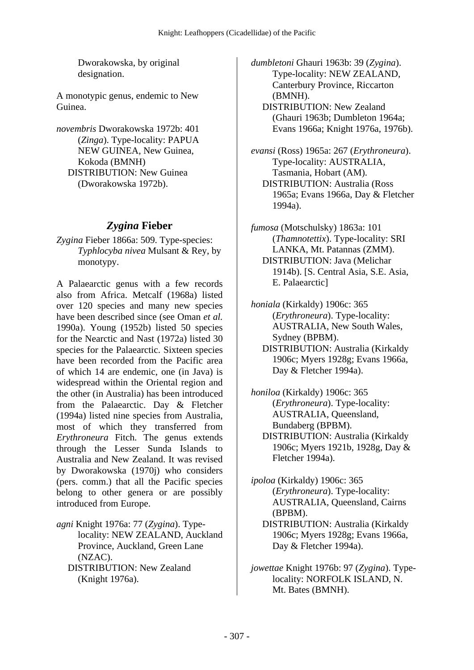Dworakowska, by original designation.

A monotypic genus, endemic to New Guinea.

*novembris* Dworakowska 1972b: 401 (*Zinga*). Type-locality: PAPUA NEW GUINEA, New Guinea, Kokoda (BMNH) DISTRIBUTION: New Guinea (Dworakowska 1972b).

#### *Zygina* **Fieber**

*Zygina* Fieber 1866a: 509. Type-species: *Typhlocyba nivea* Mulsant & Rey, by monotypy.

A Palaearctic genus with a few records also from Africa. Metcalf (1968a) listed over 120 species and many new species have been described since (see Oman *et al.* 1990a). Young (1952b) listed 50 species for the Nearctic and Nast (1972a) listed 30 species for the Palaearctic. Sixteen species have been recorded from the Pacific area of which 14 are endemic, one (in Java) is widespread within the Oriental region and the other (in Australia) has been introduced from the Palaearctic. Day & Fletcher (1994a) listed nine species from Australia, most of which they transferred from *Erythroneura* Fitch. The genus extends through the Lesser Sunda Islands to Australia and New Zealand. It was revised by Dworakowska (1970j) who considers (pers. comm.) that all the Pacific species belong to other genera or are possibly introduced from Europe.

*agni* Knight 1976a: 77 (*Zygina*). Typelocality: NEW ZEALAND, Auckland Province, Auckland, Green Lane (NZAC). DISTRIBUTION: New Zealand (Knight 1976a).

*dumbletoni* Ghauri 1963b: 39 (*Zygina*). Type-locality: NEW ZEALAND, Canterbury Province, Riccarton (BMNH).

 DISTRIBUTION: New Zealand (Ghauri 1963b; Dumbleton 1964a; Evans 1966a; Knight 1976a, 1976b).

*evansi* (Ross) 1965a: 267 (*Erythroneura*). Type-locality: AUSTRALIA, Tasmania, Hobart (AM). DISTRIBUTION: Australia (Ross 1965a; Evans 1966a, Day & Fletcher 1994a).

*fumosa* (Motschulsky) 1863a: 101 (*Thamnotettix*). Type-locality: SRI LANKA, Mt. Patannas (ZMM). DISTRIBUTION: Java (Melichar 1914b). [S. Central Asia, S.E. Asia, E. Palaearctic]

*honiala* (Kirkaldy) 1906c: 365 (*Erythroneura*). Type-locality: AUSTRALIA, New South Wales, Sydney (BPBM). DISTRIBUTION: Australia (Kirkaldy 1906c; Myers 1928g; Evans 1966a, Day & Fletcher 1994a).

*honiloa* (Kirkaldy) 1906c: 365 (*Erythroneura*). Type-locality: AUSTRALIA, Queensland, Bundaberg (BPBM). DISTRIBUTION: Australia (Kirkaldy 1906c; Myers 1921b, 1928g, Day & Fletcher 1994a).

*ipoloa* (Kirkaldy) 1906c: 365 (*Erythroneura*). Type-locality: AUSTRALIA, Queensland, Cairns (BPBM).

 DISTRIBUTION: Australia (Kirkaldy 1906c; Myers 1928g; Evans 1966a, Day & Fletcher 1994a).

*jowettae* Knight 1976b: 97 (*Zygina*). Typelocality: NORFOLK ISLAND, N. Mt. Bates (BMNH).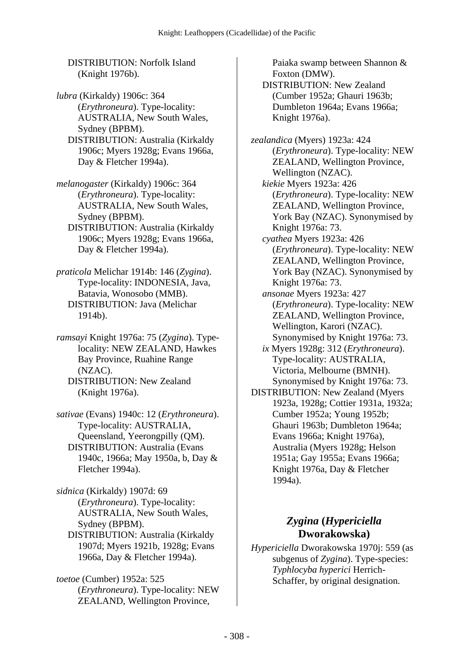DISTRIBUTION: Norfolk Island (Knight 1976b).

*lubra* (Kirkaldy) 1906c: 364 (*Erythroneura*). Type-locality: AUSTRALIA, New South Wales, Sydney (BPBM).

 DISTRIBUTION: Australia (Kirkaldy 1906c; Myers 1928g; Evans 1966a, Day & Fletcher 1994a).

*melanogaster* (Kirkaldy) 1906c: 364 (*Erythroneura*). Type-locality: AUSTRALIA, New South Wales, Sydney (BPBM).

 DISTRIBUTION: Australia (Kirkaldy 1906c; Myers 1928g; Evans 1966a, Day & Fletcher 1994a).

*praticola* Melichar 1914b: 146 (*Zygina*). Type-locality: INDONESIA, Java, Batavia, Wonosobo (MMB). DISTRIBUTION: Java (Melichar 1914b).

*ramsayi* Knight 1976a: 75 (*Zygina*). Typelocality: NEW ZEALAND, Hawkes Bay Province, Ruahine Range (NZAC). DISTRIBUTION: New Zealand (Knight 1976a).

*sativae* (Evans) 1940c: 12 (*Erythroneura*). Type-locality: AUSTRALIA, Queensland, Yeerongpilly (QM). DISTRIBUTION: Australia (Evans 1940c, 1966a; May 1950a, b, Day & Fletcher 1994a).

*sidnica* (Kirkaldy) 1907d: 69 (*Erythroneura*). Type-locality: AUSTRALIA, New South Wales, Sydney (BPBM). DISTRIBUTION: Australia (Kirkaldy 1907d; Myers 1921b, 1928g; Evans 1966a, Day & Fletcher 1994a).

*toetoe* (Cumber) 1952a: 525 (*Erythroneura*). Type-locality: NEW ZEALAND, Wellington Province,

Paiaka swamp between Shannon & Foxton (DMW).

 DISTRIBUTION: New Zealand (Cumber 1952a; Ghauri 1963b; Dumbleton 1964a; Evans 1966a; Knight 1976a).

*zealandica* (Myers) 1923a: 424 (*Erythroneura*). Type-locality: NEW ZEALAND, Wellington Province, Wellington (NZAC).  *kiekie* Myers 1923a: 426 (*Erythroneura*). Type-locality: NEW ZEALAND, Wellington Province, York Bay (NZAC). Synonymised by Knight 1976a: 73.  *cyathea* Myers 1923a: 426 (*Erythroneura*). Type-locality: NEW ZEALAND, Wellington Province, York Bay (NZAC). Synonymised by Knight 1976a: 73.  *ansonae* Myers 1923a: 427 (*Erythroneura*). Type-locality: NEW ZEALAND, Wellington Province, Wellington, Karori (NZAC). Synonymised by Knight 1976a: 73.  *ix* Myers 1928g: 312 (*Erythroneura*). Type-locality: AUSTRALIA, Victoria, Melbourne (BMNH). Synonymised by Knight 1976a: 73. DISTRIBUTION: New Zealand (Myers 1923a, 1928g; Cottier 1931a, 1932a; Cumber 1952a; Young 1952b; Ghauri 1963b; Dumbleton 1964a; Evans 1966a; Knight 1976a),

Australia (Myers 1928g; Helson 1951a; Gay 1955a; Evans 1966a; Knight 1976a, Day & Fletcher 1994a).

# *Zygina* **(***Hypericiella* **Dworakowska)**

*Hypericiella* Dworakowska 1970j: 559 (as subgenus of *Zygina*). Type-species: *Typhlocyba hyperici* Herrich-Schaffer, by original designation.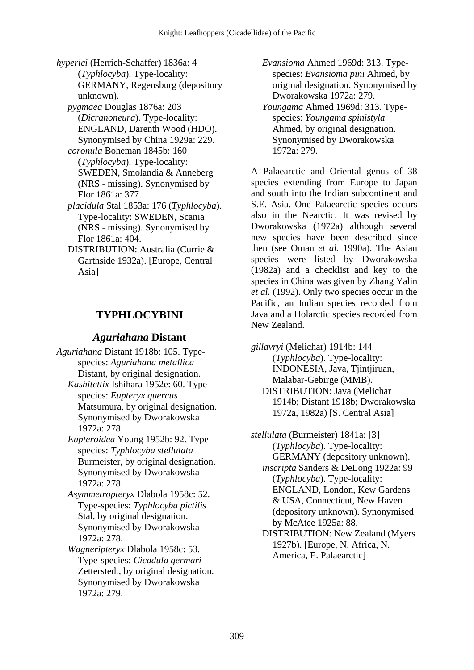*hyperici* (Herrich-Schaffer) 1836a: 4 (*Typhlocyba*). Type-locality: GERMANY, Regensburg (depository unknown).

 *pygmaea* Douglas 1876a: 203 (*Dicranoneura*). Type-locality: ENGLAND, Darenth Wood (HDO). Synonymised by China 1929a: 229.

 *coronula* Boheman 1845b: 160 (*Typhlocyba*). Type-locality: SWEDEN, Smolandia & Anneberg (NRS - missing). Synonymised by Flor 1861a: 377.

- *placidula* Stal 1853a: 176 (*Typhlocyba*). Type-locality: SWEDEN, Scania (NRS - missing). Synonymised by Flor 1861a: 404.
- DISTRIBUTION: Australia (Currie & Garthside 1932a). [Europe, Central Asia]

# **TYPHLOCYBINI**

#### *Aguriahana* **Distant**

*Aguriahana* Distant 1918b: 105. Typespecies: *Aguriahana metallica* Distant, by original designation.  *Kashitettix* Ishihara 1952e: 60. Typespecies: *Eupteryx quercus* Matsumura, by original designation. Synonymised by Dworakowska 1972a: 278.

 *Eupteroidea* Young 1952b: 92. Typespecies: *Typhlocyba stellulata* Burmeister, by original designation. Synonymised by Dworakowska 1972a: 278.

 *Asymmetropteryx* Dlabola 1958c: 52. Type-species: *Typhlocyba pictilis* Stal, by original designation. Synonymised by Dworakowska 1972a: 278.

 *Wagneripteryx* Dlabola 1958c: 53. Type-species: *Cicadula germari* Zetterstedt, by original designation. Synonymised by Dworakowska 1972a: 279.

 *Evansioma* Ahmed 1969d: 313. Typespecies: *Evansioma pini* Ahmed, by original designation. Synonymised by Dworakowska 1972a: 279.

 *Youngama* Ahmed 1969d: 313. Typespecies: *Youngama spinistyla* Ahmed, by original designation. Synonymised by Dworakowska 1972a: 279.

A Palaearctic and Oriental genus of 38 species extending from Europe to Japan and south into the Indian subcontinent and S.E. Asia. One Palaearctic species occurs also in the Nearctic. It was revised by Dworakowska (1972a) although several new species have been described since then (see Oman *et al.* 1990a). The Asian species were listed by Dworakowska (1982a) and a checklist and key to the species in China was given by Zhang Yalin *et al.* (1992). Only two species occur in the Pacific, an Indian species recorded from Java and a Holarctic species recorded from New Zealand.

*gillavryi* (Melichar) 1914b: 144 (*Typhlocyba*). Type-locality: INDONESIA, Java, Tjintjiruan, Malabar-Gebirge (MMB). DISTRIBUTION: Java (Melichar 1914b; Distant 1918b; Dworakowska 1972a, 1982a) [S. Central Asia]

*stellulata* (Burmeister) 1841a: [3] (*Typhlocyba*). Type-locality: GERMANY (depository unknown).  *inscripta* Sanders & DeLong 1922a: 99 (*Typhlocyba*). Type-locality: ENGLAND, London, Kew Gardens & USA, Connecticut, New Haven (depository unknown). Synonymised by McAtee 1925a: 88. DISTRIBUTION: New Zealand (Myers 1927b). [Europe, N. Africa, N.

America, E. Palaearctic]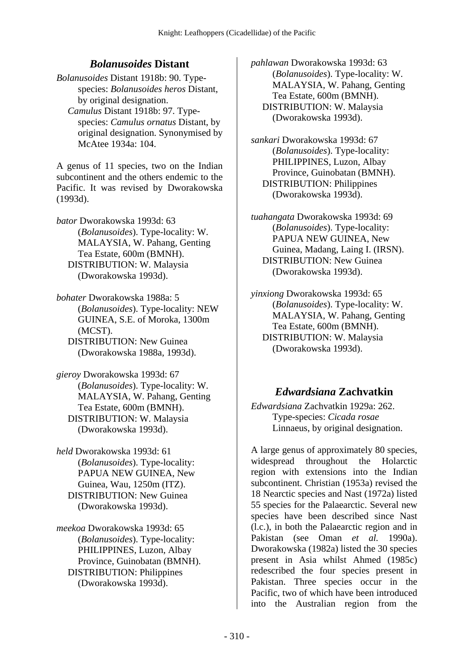## *Bolanusoides* **Distant**

*Bolanusoides* Distant 1918b: 90. Typespecies: *Bolanusoides heros* Distant, by original designation.  *Camulus* Distant 1918b: 97. Typespecies: *Camulus ornatus* Distant, by original designation. Synonymised by McAtee 1934a: 104.

A genus of 11 species, two on the Indian subcontinent and the others endemic to the Pacific. It was revised by Dworakowska (1993d).

*bator* Dworakowska 1993d: 63 (*Bolanusoides*). Type-locality: W. MALAYSIA, W. Pahang, Genting Tea Estate, 600m (BMNH). DISTRIBUTION: W. Malaysia (Dworakowska 1993d).

*bohater* Dworakowska 1988a: 5 (*Bolanusoides*). Type-locality: NEW GUINEA, S.E. of Moroka, 1300m (MCST). DISTRIBUTION: New Guinea

(Dworakowska 1988a, 1993d).

*gieroy* Dworakowska 1993d: 67 (*Bolanusoides*). Type-locality: W. MALAYSIA, W. Pahang, Genting Tea Estate, 600m (BMNH). DISTRIBUTION: W. Malaysia (Dworakowska 1993d).

*held* Dworakowska 1993d: 61 (*Bolanusoides*). Type-locality: PAPUA NEW GUINEA, New Guinea, Wau, 1250m (ITZ). DISTRIBUTION: New Guinea (Dworakowska 1993d).

*meekoa* Dworakowska 1993d: 65 (*Bolanusoides*). Type-locality: PHILIPPINES, Luzon, Albay Province, Guinobatan (BMNH). DISTRIBUTION: Philippines (Dworakowska 1993d).

*pahlawan* Dworakowska 1993d: 63 (*Bolanusoides*). Type-locality: W. MALAYSIA, W. Pahang, Genting Tea Estate, 600m (BMNH). DISTRIBUTION: W. Malaysia (Dworakowska 1993d).

*sankari* Dworakowska 1993d: 67 (*Bolanusoides*). Type-locality: PHILIPPINES, Luzon, Albay Province, Guinobatan (BMNH). DISTRIBUTION: Philippines (Dworakowska 1993d).

*tuahangata* Dworakowska 1993d: 69 (*Bolanusoides*). Type-locality: PAPUA NEW GUINEA, New Guinea, Madang, Laing I. (IRSN). DISTRIBUTION: New Guinea (Dworakowska 1993d).

*yinxiong* Dworakowska 1993d: 65 (*Bolanusoides*). Type-locality: W. MALAYSIA, W. Pahang, Genting Tea Estate, 600m (BMNH). DISTRIBUTION: W. Malaysia (Dworakowska 1993d).

### *Edwardsiana* **Zachvatkin**

*Edwardsiana* Zachvatkin 1929a: 262. Type-species: *Cicada rosae* Linnaeus, by original designation.

A large genus of approximately 80 species, widespread throughout the Holarctic region with extensions into the Indian subcontinent. Christian (1953a) revised the 18 Nearctic species and Nast (1972a) listed 55 species for the Palaearctic. Several new species have been described since Nast (l.c.), in both the Palaearctic region and in Pakistan (see Oman *et al.* 1990a). Dworakowska (1982a) listed the 30 species present in Asia whilst Ahmed (1985c) redescribed the four species present in Pakistan. Three species occur in the Pacific, two of which have been introduced into the Australian region from the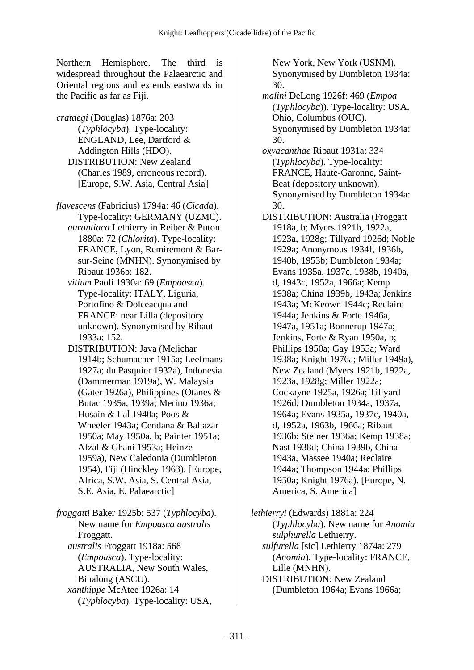Northern Hemisphere. The third is widespread throughout the Palaearctic and Oriental regions and extends eastwards in the Pacific as far as Fiji.

*crataegi* (Douglas) 1876a: 203 (*Typhlocyba*). Type-locality: ENGLAND, Lee, Dartford & Addington Hills (HDO). DISTRIBUTION: New Zealand (Charles 1989, erroneous record). [Europe, S.W. Asia, Central Asia]

*flavescens* (Fabricius) 1794a: 46 (*Cicada*). Type-locality: GERMANY (UZMC).  *aurantiaca* Lethierry in Reiber & Puton 1880a: 72 (*Chlorita*). Type-locality: FRANCE, Lyon, Remiremont & Barsur-Seine (MNHN). Synonymised by Ribaut 1936b: 182.

 *vitium* Paoli 1930a: 69 (*Empoasca*). Type-locality: ITALY, Liguria, Portofino & Dolceacqua and FRANCE: near Lilla (depository unknown). Synonymised by Ribaut 1933a: 152.

 DISTRIBUTION: Java (Melichar 1914b; Schumacher 1915a; Leefmans 1927a; du Pasquier 1932a), Indonesia (Dammerman 1919a), W. Malaysia (Gater 1926a), Philippines (Otanes & Butac 1935a, 1939a; Merino 1936a; Husain & Lal 1940a; Poos & Wheeler 1943a; Cendana & Baltazar 1950a; May 1950a, b; Painter 1951a; Afzal & Ghani 1953a; Heinze 1959a), New Caledonia (Dumbleton 1954), Fiji (Hinckley 1963). [Europe, Africa, S.W. Asia, S. Central Asia, S.E. Asia, E. Palaearctic]

*froggatti* Baker 1925b: 537 (*Typhlocyba*). New name for *Empoasca australis* Froggatt.  *australis* Froggatt 1918a: 568 (*Empoasca*). Type-locality: AUSTRALIA, New South Wales, Binalong (ASCU).  *xanthippe* McAtee 1926a: 14 (*Typhlocyba*). Type-locality: USA,

New York, New York (USNM). Synonymised by Dumbleton 1934a: 30.  *malini* DeLong 1926f: 469 (*Empoa* (*Typhlocyba*)). Type-locality: USA, Ohio, Columbus (OUC). Synonymised by Dumbleton 1934a: 30.  *oxyacanthae* Ribaut 1931a: 334 (*Typhlocyba*). Type-locality: FRANCE, Haute-Garonne, Saint-Beat (depository unknown). Synonymised by Dumbleton 1934a: 30. DISTRIBUTION: Australia (Froggatt 1918a, b; Myers 1921b, 1922a, 1923a, 1928g; Tillyard 1926d; Noble 1929a; Anonymous 1934f, 1936b, 1940b, 1953b; Dumbleton 1934a; Evans 1935a, 1937c, 1938b, 1940a, d, 1943c, 1952a, 1966a; Kemp 1938a; China 1939b, 1943a; Jenkins 1943a; McKeown 1944c; Reclaire 1944a; Jenkins & Forte 1946a, 1947a, 1951a; Bonnerup 1947a; Jenkins, Forte & Ryan 1950a, b; Phillips 1950a; Gay 1955a; Ward 1938a; Knight 1976a; Miller 1949a), New Zealand (Myers 1921b, 1922a, 1923a, 1928g; Miller 1922a; Cockayne 1925a, 1926a; Tillyard 1926d; Dumbleton 1934a, 1937a, 1964a; Evans 1935a, 1937c, 1940a, d, 1952a, 1963b, 1966a; Ribaut 1936b; Steiner 1936a; Kemp 1938a; Nast 1938d; China 1939b, China 1943a, Massee 1940a; Reclaire 1944a; Thompson 1944a; Phillips 1950a; Knight 1976a). [Europe, N. America, S. America]

*lethierryi* (Edwards) 1881a: 224 (*Typhlocyba*). New name for *Anomia sulphurella* Lethierry.  *sulfurella* [sic] Lethierry 1874a: 279 (*Anomia*). Type-locality: FRANCE, Lille (MNHN). DISTRIBUTION: New Zealand (Dumbleton 1964a; Evans 1966a;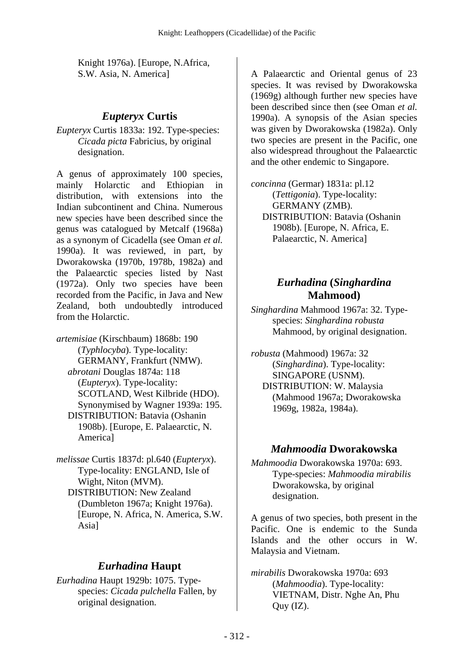Knight 1976a). [Europe, N.Africa, S.W. Asia, N. America]

#### *Eupteryx* **Curtis**

*Eupteryx* Curtis 1833a: 192. Type-species: *Cicada picta* Fabricius, by original designation.

A genus of approximately 100 species, mainly Holarctic and Ethiopian in distribution, with extensions into the Indian subcontinent and China. Numerous new species have been described since the genus was catalogued by Metcalf (1968a) as a synonym of Cicadella (see Oman *et al.* 1990a). It was reviewed, in part, by Dworakowska (1970b, 1978b, 1982a) and the Palaearctic species listed by Nast (1972a). Only two species have been recorded from the Pacific, in Java and New Zealand, both undoubtedly introduced from the Holarctic.

*artemisiae* (Kirschbaum) 1868b: 190 (*Typhlocyba*). Type-locality: GERMANY, Frankfurt (NMW).  *abrotani* Douglas 1874a: 118 (*Eupteryx*). Type-locality: SCOTLAND, West Kilbride (HDO). Synonymised by Wagner 1939a: 195. DISTRIBUTION: Batavia (Oshanin 1908b). [Europe, E. Palaearctic, N. America]

*melissae* Curtis 1837d: pl.640 (*Eupteryx*). Type-locality: ENGLAND, Isle of Wight, Niton (MVM). DISTRIBUTION: New Zealand (Dumbleton 1967a; Knight 1976a). [Europe, N. Africa, N. America, S.W. Asia]

### *Eurhadina* **Haupt**

*Eurhadina* Haupt 1929b: 1075. Typespecies: *Cicada pulchella* Fallen, by original designation.

A Palaearctic and Oriental genus of 23 species. It was revised by Dworakowska (1969g) although further new species have been described since then (see Oman *et al.* 1990a). A synopsis of the Asian species was given by Dworakowska (1982a). Only two species are present in the Pacific, one also widespread throughout the Palaearctic and the other endemic to Singapore.

*concinna* (Germar) 1831a: pl.12 (*Tettigonia*). Type-locality: GERMANY (ZMB). DISTRIBUTION: Batavia (Oshanin 1908b). [Europe, N. Africa, E. Palaearctic, N. America]

### *Eurhadina* **(***Singhardina* **Mahmood)**

*Singhardina* Mahmood 1967a: 32. Typespecies: *Singhardina robusta* Mahmood, by original designation.

*robusta* (Mahmood) 1967a: 32 (*Singhardina*). Type-locality: SINGAPORE (USNM). DISTRIBUTION: W. Malaysia (Mahmood 1967a; Dworakowska 1969g, 1982a, 1984a).

#### *Mahmoodia* **Dworakowska**

*Mahmoodia* Dworakowska 1970a: 693. Type-species: *Mahmoodia mirabilis* Dworakowska, by original designation.

A genus of two species, both present in the Pacific. One is endemic to the Sunda Islands and the other occurs in W. Malaysia and Vietnam.

*mirabilis* Dworakowska 1970a: 693 (*Mahmoodia*). Type-locality: VIETNAM, Distr. Nghe An, Phu  $Q$ uy  $(IZ)$ .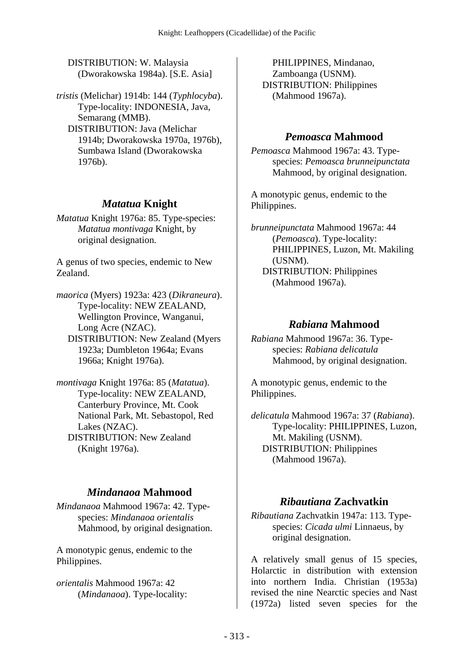DISTRIBUTION: W. Malaysia (Dworakowska 1984a). [S.E. Asia]

*tristis* (Melichar) 1914b: 144 (*Typhlocyba*). Type-locality: INDONESIA, Java, Semarang (MMB). DISTRIBUTION: Java (Melichar 1914b; Dworakowska 1970a, 1976b), Sumbawa Island (Dworakowska 1976b).

## *Matatua* **Knight**

*Matatua* Knight 1976a: 85. Type-species: *Matatua montivaga* Knight, by original designation.

A genus of two species, endemic to New Zealand.

*maorica* (Myers) 1923a: 423 (*Dikraneura*). Type-locality: NEW ZEALAND, Wellington Province, Wanganui, Long Acre (NZAC). DISTRIBUTION: New Zealand (Myers 1923a; Dumbleton 1964a; Evans

1966a; Knight 1976a).

*montivaga* Knight 1976a: 85 (*Matatua*). Type-locality: NEW ZEALAND, Canterbury Province, Mt. Cook National Park, Mt. Sebastopol, Red Lakes (NZAC). DISTRIBUTION: New Zealand (Knight 1976a).

## *Mindanaoa* **Mahmood**

*Mindanaoa* Mahmood 1967a: 42. Typespecies: *Mindanaoa orientalis* Mahmood, by original designation.

A monotypic genus, endemic to the Philippines.

*orientalis* Mahmood 1967a: 42 (*Mindanaoa*). Type-locality:

PHILIPPINES, Mindanao, Zamboanga (USNM). DISTRIBUTION: Philippines (Mahmood 1967a).

# *Pemoasca* **Mahmood**

*Pemoasca* Mahmood 1967a: 43. Typespecies: *Pemoasca brunneipunctata* Mahmood, by original designation.

A monotypic genus, endemic to the Philippines.

*brunneipunctata* Mahmood 1967a: 44 (*Pemoasca*). Type-locality: PHILIPPINES, Luzon, Mt. Makiling (USNM). DISTRIBUTION: Philippines (Mahmood 1967a).

# *Rabiana* **Mahmood**

*Rabiana* Mahmood 1967a: 36. Typespecies: *Rabiana delicatula* Mahmood, by original designation.

A monotypic genus, endemic to the Philippines.

*delicatula* Mahmood 1967a: 37 (*Rabiana*). Type-locality: PHILIPPINES, Luzon, Mt. Makiling (USNM). DISTRIBUTION: Philippines (Mahmood 1967a).

# *Ribautiana* **Zachvatkin**

*Ribautiana* Zachvatkin 1947a: 113. Typespecies: *Cicada ulmi* Linnaeus, by original designation.

A relatively small genus of 15 species, Holarctic in distribution with extension into northern India. Christian (1953a) revised the nine Nearctic species and Nast (1972a) listed seven species for the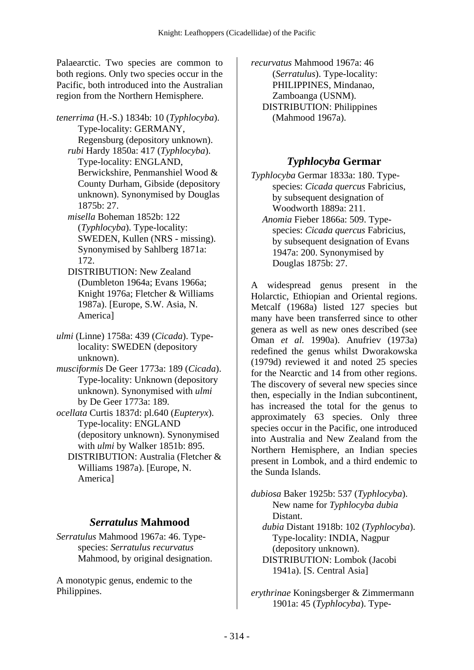Palaearctic. Two species are common to both regions. Only two species occur in the Pacific, both introduced into the Australian region from the Northern Hemisphere.

*tenerrima* (H.-S.) 1834b: 10 (*Typhlocyba*). Type-locality: GERMANY, Regensburg (depository unknown).  *rubi* Hardy 1850a: 417 (*Typhlocyba*). Type-locality: ENGLAND, Berwickshire, Penmanshiel Wood & County Durham, Gibside (depository unknown). Synonymised by Douglas 1875b: 27.  *misella* Boheman 1852b: 122 (*Typhlocyba*). Type-locality: SWEDEN, Kullen (NRS - missing). Synonymised by Sahlberg 1871a:

172. DISTRIBUTION: New Zealand (Dumbleton 1964a; Evans 1966a; Knight 1976a; Fletcher & Williams 1987a). [Europe, S.W. Asia, N. America]

*ulmi* (Linne) 1758a: 439 (*Cicada*). Typelocality: SWEDEN (depository unknown).

*musciformis* De Geer 1773a: 189 (*Cicada*). Type-locality: Unknown (depository unknown). Synonymised with *ulmi* by De Geer 1773a: 189.

*ocellata* Curtis 1837d: pl.640 (*Eupteryx*). Type-locality: ENGLAND (depository unknown). Synonymised with *ulmi* by Walker 1851b: 895.

 DISTRIBUTION: Australia (Fletcher & Williams 1987a). [Europe, N. America]

## *Serratulus* **Mahmood**

*Serratulus* Mahmood 1967a: 46. Typespecies: *Serratulus recurvatus* Mahmood, by original designation.

A monotypic genus, endemic to the Philippines.

*recurvatus* Mahmood 1967a: 46 (*Serratulus*). Type-locality: PHILIPPINES, Mindanao, Zamboanga (USNM). DISTRIBUTION: Philippines (Mahmood 1967a).

# *Typhlocyba* **Germar**

*Typhlocyba* Germar 1833a: 180. Typespecies: *Cicada quercus* Fabricius, by subsequent designation of Woodworth 1889a: 211.

 *Anomia* Fieber 1866a: 509. Typespecies: *Cicada quercus* Fabricius, by subsequent designation of Evans 1947a: 200. Synonymised by Douglas 1875b: 27.

A widespread genus present in the Holarctic, Ethiopian and Oriental regions. Metcalf (1968a) listed 127 species but many have been transferred since to other genera as well as new ones described (see Oman *et al.* 1990a). Anufriev (1973a) redefined the genus whilst Dworakowska (1979d) reviewed it and noted 25 species for the Nearctic and 14 from other regions. The discovery of several new species since then, especially in the Indian subcontinent, has increased the total for the genus to approximately 63 species. Only three species occur in the Pacific, one introduced into Australia and New Zealand from the Northern Hemisphere, an Indian species present in Lombok, and a third endemic to the Sunda Islands.

*dubiosa* Baker 1925b: 537 (*Typhlocyba*). New name for *Typhlocyba dubia* Distant.  *dubia* Distant 1918b: 102 (*Typhlocyba*).

Type-locality: INDIA, Nagpur (depository unknown). DISTRIBUTION: Lombok (Jacobi 1941a). [S. Central Asia]

*erythrinae* Koningsberger & Zimmermann

1901a: 45 (*Typhlocyba*). Type-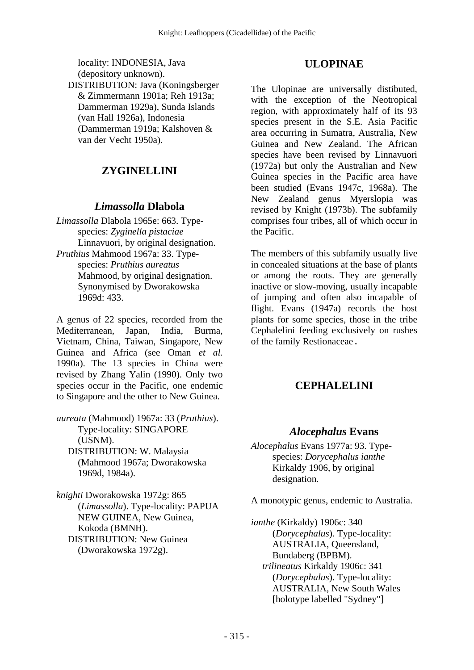locality: INDONESIA, Java (depository unknown). DISTRIBUTION: Java (Koningsberger & Zimmermann 1901a; Reh 1913a; Dammerman 1929a), Sunda Islands (van Hall 1926a), Indonesia (Dammerman 1919a; Kalshoven & van der Vecht 1950a).

## **ZYGINELLINI**

#### *Limassolla* **Dlabola**

*Limassolla* Dlabola 1965e: 663. Typespecies: *Zyginella pistaciae* Linnavuori, by original designation. *Pruthius* Mahmood 1967a: 33. Typespecies: *Pruthius aureatus* Mahmood, by original designation. Synonymised by Dworakowska 1969d: 433.

A genus of 22 species, recorded from the Mediterranean, Japan, India, Burma, Vietnam, China, Taiwan, Singapore, New Guinea and Africa (see Oman *et al.* 1990a). The 13 species in China were revised by Zhang Yalin (1990). Only two species occur in the Pacific, one endemic to Singapore and the other to New Guinea.

*aureata* (Mahmood) 1967a: 33 (*Pruthius*). Type-locality: SINGAPORE (USNM). DISTRIBUTION: W. Malaysia

(Mahmood 1967a; Dworakowska 1969d, 1984a).

*knighti* Dworakowska 1972g: 865 (*Limassolla*). Type-locality: PAPUA NEW GUINEA, New Guinea, Kokoda (BMNH). DISTRIBUTION: New Guinea (Dworakowska 1972g).

#### **ULOPINAE**

The Ulopinae are universally distibuted, with the exception of the Neotropical region, with approximately half of its 93 species present in the S.E. Asia Pacific area occurring in Sumatra, Australia, New Guinea and New Zealand. The African species have been revised by Linnavuori (1972a) but only the Australian and New Guinea species in the Pacific area have been studied (Evans 1947c, 1968a). The New Zealand genus Myerslopia was revised by Knight (1973b). The subfamily comprises four tribes, all of which occur in the Pacific.

The members of this subfamily usually live in concealed situations at the base of plants or among the roots. They are generally inactive or slow-moving, usually incapable of jumping and often also incapable of flight. Evans (1947a) records the host plants for some species, those in the tribe Cephalelini feeding exclusively on rushes of the family Restionaceae.

### **CEPHALELINI**

#### *Alocephalus* **Evans**

*Alocephalus* Evans 1977a: 93. Typespecies: *Dorycephalus ianthe* Kirkaldy 1906, by original designation.

A monotypic genus, endemic to Australia.

*ianthe* (Kirkaldy) 1906c: 340 (*Dorycephalus*). Type-locality: AUSTRALIA, Queensland, Bundaberg (BPBM).  *trilineatus* Kirkaldy 1906c: 341 (*Dorycephalus*). Type-locality: AUSTRALIA, New South Wales [holotype labelled "Sydney"]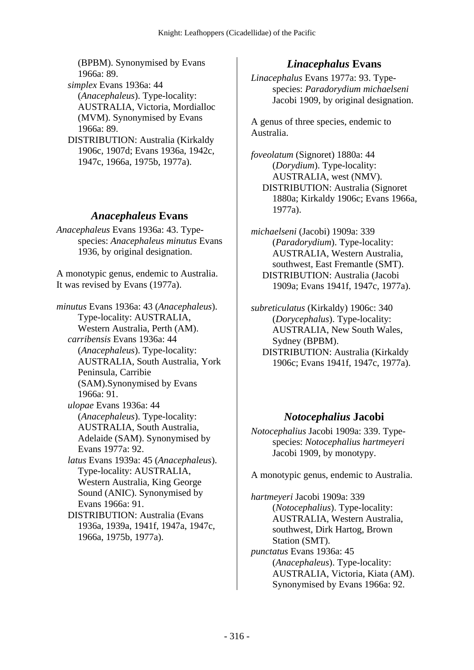(BPBM). Synonymised by Evans 1966a: 89.

 *simplex* Evans 1936a: 44 (*Anacephaleus*). Type-locality: AUSTRALIA, Victoria, Mordialloc (MVM). Synonymised by Evans 1966a: 89.

 DISTRIBUTION: Australia (Kirkaldy 1906c, 1907d; Evans 1936a, 1942c, 1947c, 1966a, 1975b, 1977a).

### *Anacephaleus* **Evans**

*Anacephaleus* Evans 1936a: 43. Typespecies: *Anacephaleus minutus* Evans 1936, by original designation.

A monotypic genus, endemic to Australia. It was revised by Evans (1977a).

*minutus* Evans 1936a: 43 (*Anacephaleus*). Type-locality: AUSTRALIA, Western Australia, Perth (AM).  *carribensis* Evans 1936a: 44 (*Anacephaleus*). Type-locality: AUSTRALIA, South Australia, York Peninsula, Carribie (SAM).Synonymised by Evans 1966a: 91.

 *ulopae* Evans 1936a: 44 (*Anacephaleus*). Type-locality: AUSTRALIA, South Australia, Adelaide (SAM). Synonymised by Evans 1977a: 92.

 *latus* Evans 1939a: 45 (*Anacephaleus*). Type-locality: AUSTRALIA, Western Australia, King George Sound (ANIC). Synonymised by Evans 1966a: 91.

 DISTRIBUTION: Australia (Evans 1936a, 1939a, 1941f, 1947a, 1947c, 1966a, 1975b, 1977a).

## *Linacephalus* **Evans**

*Linacephalus* Evans 1977a: 93. Typespecies: *Paradorydium michaelseni* Jacobi 1909, by original designation.

A genus of three species, endemic to Australia.

*foveolatum* (Signoret) 1880a: 44 (*Dorydium*). Type-locality: AUSTRALIA, west (NMV). DISTRIBUTION: Australia (Signoret 1880a; Kirkaldy 1906c; Evans 1966a, 1977a).

*michaelseni* (Jacobi) 1909a: 339 (*Paradorydium*). Type-locality: AUSTRALIA, Western Australia, southwest, East Fremantle (SMT). DISTRIBUTION: Australia (Jacobi 1909a; Evans 1941f, 1947c, 1977a).

*subreticulatus* (Kirkaldy) 1906c: 340 (*Dorycephalus*). Type-locality: AUSTRALIA, New South Wales, Sydney (BPBM). DISTRIBUTION: Australia (Kirkaldy 1906c; Evans 1941f, 1947c, 1977a).

### *Notocephalius* **Jacobi**

*Notocephalius* Jacobi 1909a: 339. Typespecies: *Notocephalius hartmeyeri* Jacobi 1909, by monotypy.

A monotypic genus, endemic to Australia.

*hartmeyeri* Jacobi 1909a: 339 (*Notocephalius*). Type-locality: AUSTRALIA, Western Australia, southwest, Dirk Hartog, Brown Station (SMT). *punctatus* Evans 1936a: 45 (*Anacephaleus*). Type-locality: AUSTRALIA, Victoria, Kiata (AM). Synonymised by Evans 1966a: 92.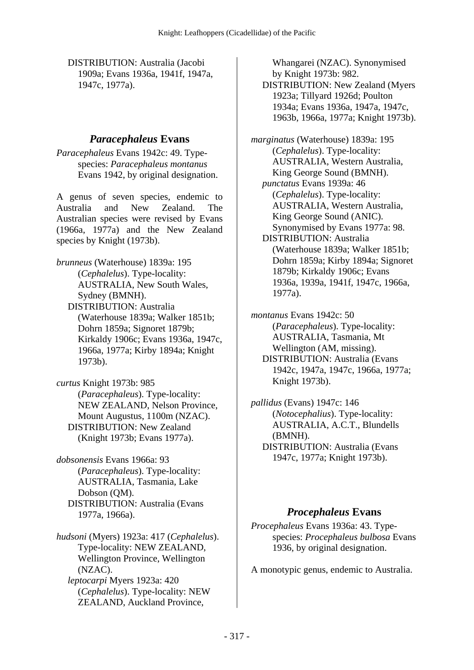DISTRIBUTION: Australia (Jacobi 1909a; Evans 1936a, 1941f, 1947a, 1947c, 1977a).

### *Paracephaleus* **Evans**

*Paracephaleus* Evans 1942c: 49. Typespecies: *Paracephaleus montanus* Evans 1942, by original designation.

A genus of seven species, endemic to Australia and New Zealand. The Australian species were revised by Evans (1966a, 1977a) and the New Zealand species by Knight (1973b).

*brunneus* (Waterhouse) 1839a: 195 (*Cephalelus*). Type-locality: AUSTRALIA, New South Wales, Sydney (BMNH). DISTRIBUTION: Australia

(Waterhouse 1839a; Walker 1851b; Dohrn 1859a; Signoret 1879b; Kirkaldy 1906c; Evans 1936a, 1947c, 1966a, 1977a; Kirby 1894a; Knight 1973b).

*curtus* Knight 1973b: 985 (*Paracephaleus*). Type-locality: NEW ZEALAND, Nelson Province, Mount Augustus, 1100m (NZAC). DISTRIBUTION: New Zealand (Knight 1973b; Evans 1977a).

*dobsonensis* Evans 1966a: 93 (*Paracephaleus*). Type-locality: AUSTRALIA, Tasmania, Lake Dobson (QM). DISTRIBUTION: Australia (Evans 1977a, 1966a).

*hudsoni* (Myers) 1923a: 417 (*Cephalelus*). Type-locality: NEW ZEALAND, Wellington Province, Wellington (NZAC).  *leptocarpi* Myers 1923a: 420 (*Cephalelus*). Type-locality: NEW ZEALAND, Auckland Province,

Whangarei (NZAC). Synonymised by Knight 1973b: 982. DISTRIBUTION: New Zealand (Myers 1923a; Tillyard 1926d; Poulton 1934a; Evans 1936a, 1947a, 1947c, 1963b, 1966a, 1977a; Knight 1973b).

*marginatus* (Waterhouse) 1839a: 195 (*Cephalelus*). Type-locality: AUSTRALIA, Western Australia, King George Sound (BMNH).  *punctatus* Evans 1939a: 46 (*Cephalelus*). Type-locality: AUSTRALIA, Western Australia, King George Sound (ANIC). Synonymised by Evans 1977a: 98. DISTRIBUTION: Australia (Waterhouse 1839a; Walker 1851b; Dohrn 1859a; Kirby 1894a; Signoret 1879b; Kirkaldy 1906c; Evans 1936a, 1939a, 1941f, 1947c, 1966a, 1977a).

*montanus* Evans 1942c: 50 (*Paracephaleus*). Type-locality: AUSTRALIA, Tasmania, Mt Wellington (AM, missing). DISTRIBUTION: Australia (Evans 1942c, 1947a, 1947c, 1966a, 1977a; Knight 1973b).

*pallidus* (Evans) 1947c: 146 (*Notocephalius*). Type-locality: AUSTRALIA, A.C.T., Blundells (BMNH). DISTRIBUTION: Australia (Evans 1947c, 1977a; Knight 1973b).

# *Procephaleus* **Evans**

*Procephaleus* Evans 1936a: 43. Typespecies: *Procephaleus bulbosa* Evans 1936, by original designation.

A monotypic genus, endemic to Australia.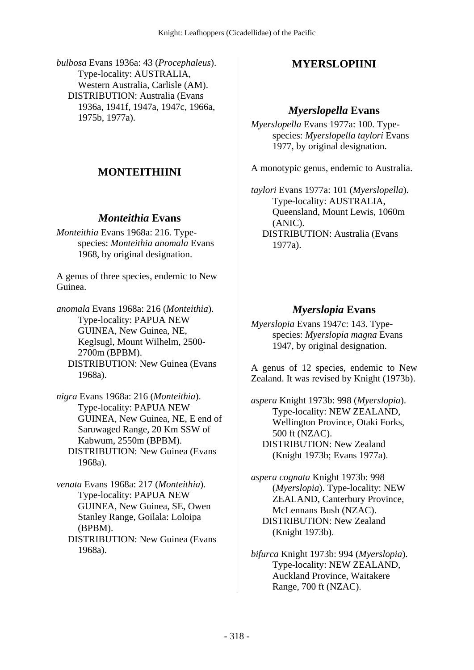*bulbosa* Evans 1936a: 43 (*Procephaleus*). Type-locality: AUSTRALIA, Western Australia, Carlisle (AM). DISTRIBUTION: Australia (Evans 1936a, 1941f, 1947a, 1947c, 1966a, 1975b, 1977a).

# **MONTEITHIINI**

## *Monteithia* **Evans**

*Monteithia* Evans 1968a: 216. Typespecies: *Monteithia anomala* Evans 1968, by original designation.

A genus of three species, endemic to New Guinea.

*anomala* Evans 1968a: 216 (*Monteithia*). Type-locality: PAPUA NEW GUINEA, New Guinea, NE, Keglsugl, Mount Wilhelm, 2500- 2700m (BPBM). DISTRIBUTION: New Guinea (Evans

1968a).

*nigra* Evans 1968a: 216 (*Monteithia*). Type-locality: PAPUA NEW GUINEA, New Guinea, NE, E end of Saruwaged Range, 20 Km SSW of Kabwum, 2550m (BPBM). DISTRIBUTION: New Guinea (Evans 1968a).

*venata* Evans 1968a: 217 (*Monteithia*). Type-locality: PAPUA NEW GUINEA, New Guinea, SE, Owen Stanley Range, Goilala: Loloipa (BPBM). DISTRIBUTION: New Guinea (Evans 1968a).

# **MYERSLOPIINI**

#### *Myerslopella* **Evans**

*Myerslopella* Evans 1977a: 100. Typespecies: *Myerslopella taylori* Evans 1977, by original designation.

A monotypic genus, endemic to Australia.

*taylori* Evans 1977a: 101 (*Myerslopella*). Type-locality: AUSTRALIA, Queensland, Mount Lewis, 1060m (ANIC). DISTRIBUTION: Australia (Evans 1977a).

## *Myerslopia* **Evans**

*Myerslopia* Evans 1947c: 143. Typespecies: *Myerslopia magna* Evans 1947, by original designation.

A genus of 12 species, endemic to New Zealand. It was revised by Knight (1973b).

*aspera* Knight 1973b: 998 (*Myerslopia*). Type-locality: NEW ZEALAND, Wellington Province, Otaki Forks, 500 ft (NZAC). DISTRIBUTION: New Zealand (Knight 1973b; Evans 1977a).

*aspera cognata* Knight 1973b: 998 (*Myerslopia*). Type-locality: NEW ZEALAND, Canterbury Province, McLennans Bush (NZAC). DISTRIBUTION: New Zealand (Knight 1973b).

*bifurca* Knight 1973b: 994 (*Myerslopia*). Type-locality: NEW ZEALAND, Auckland Province, Waitakere Range, 700 ft (NZAC).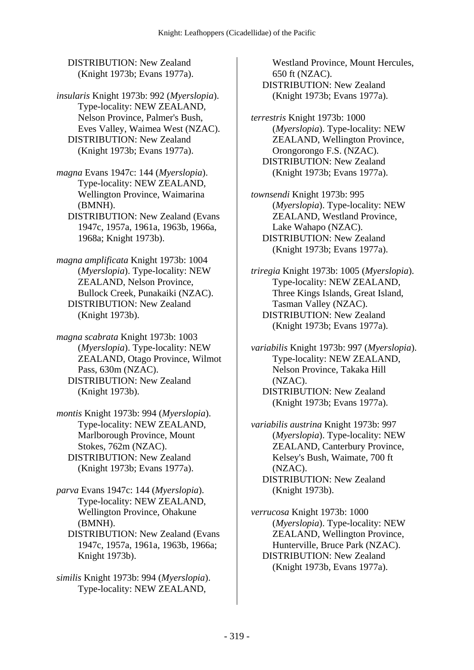DISTRIBUTION: New Zealand (Knight 1973b; Evans 1977a).

*insularis* Knight 1973b: 992 (*Myerslopia*). Type-locality: NEW ZEALAND, Nelson Province, Palmer's Bush, Eves Valley, Waimea West (NZAC). DISTRIBUTION: New Zealand (Knight 1973b; Evans 1977a).

- *magna* Evans 1947c: 144 (*Myerslopia*). Type-locality: NEW ZEALAND, Wellington Province, Waimarina (BMNH).
	- DISTRIBUTION: New Zealand (Evans 1947c, 1957a, 1961a, 1963b, 1966a, 1968a; Knight 1973b).
- *magna amplificata* Knight 1973b: 1004 (*Myerslopia*). Type-locality: NEW ZEALAND, Nelson Province, Bullock Creek, Punakaiki (NZAC). DISTRIBUTION: New Zealand (Knight 1973b).

*magna scabrata* Knight 1973b: 1003 (*Myerslopia*). Type-locality: NEW ZEALAND, Otago Province, Wilmot Pass, 630m (NZAC). DISTRIBUTION: New Zealand (Knight 1973b).

*montis* Knight 1973b: 994 (*Myerslopia*). Type-locality: NEW ZEALAND, Marlborough Province, Mount Stokes, 762m (NZAC). DISTRIBUTION: New Zealand (Knight 1973b; Evans 1977a).

*parva* Evans 1947c: 144 (*Myerslopia*). Type-locality: NEW ZEALAND, Wellington Province, Ohakune (BMNH).

 DISTRIBUTION: New Zealand (Evans 1947c, 1957a, 1961a, 1963b, 1966a; Knight 1973b).

*similis* Knight 1973b: 994 (*Myerslopia*). Type-locality: NEW ZEALAND,

Westland Province, Mount Hercules, 650 ft (NZAC). DISTRIBUTION: New Zealand (Knight 1973b; Evans 1977a).

*terrestris* Knight 1973b: 1000 (*Myerslopia*). Type-locality: NEW ZEALAND, Wellington Province, Orongorongo F.S. (NZAC). DISTRIBUTION: New Zealand (Knight 1973b; Evans 1977a).

*townsendi* Knight 1973b: 995 (*Myerslopia*). Type-locality: NEW ZEALAND, Westland Province, Lake Wahapo (NZAC). DISTRIBUTION: New Zealand (Knight 1973b; Evans 1977a).

*triregia* Knight 1973b: 1005 (*Myerslopia*). Type-locality: NEW ZEALAND, Three Kings Islands, Great Island, Tasman Valley (NZAC). DISTRIBUTION: New Zealand (Knight 1973b; Evans 1977a).

*variabilis* Knight 1973b: 997 (*Myerslopia*). Type-locality: NEW ZEALAND, Nelson Province, Takaka Hill (NZAC). DISTRIBUTION: New Zealand (Knight 1973b; Evans 1977a).

*variabilis austrina* Knight 1973b: 997 (*Myerslopia*). Type-locality: NEW ZEALAND, Canterbury Province, Kelsey's Bush, Waimate, 700 ft (NZAC). DISTRIBUTION: New Zealand (Knight 1973b).

*verrucosa* Knight 1973b: 1000 (*Myerslopia*). Type-locality: NEW ZEALAND, Wellington Province, Hunterville, Bruce Park (NZAC). DISTRIBUTION: New Zealand (Knight 1973b, Evans 1977a).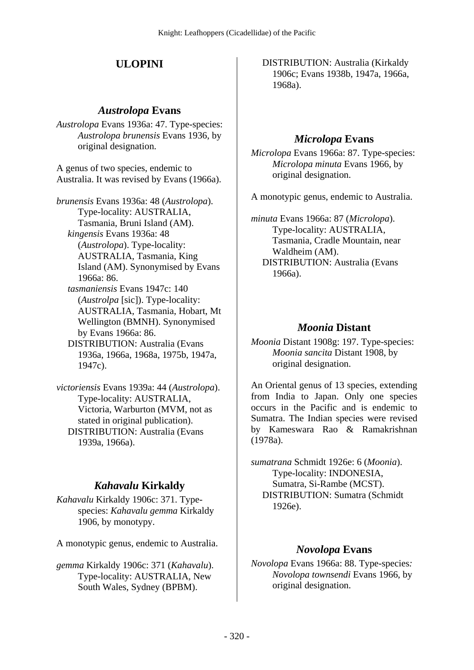# **ULOPINI**

### *Austrolopa* **Evans**

*Austrolopa* Evans 1936a: 47. Type-species: *Austrolopa brunensis* Evans 1936, by original designation.

A genus of two species, endemic to Australia. It was revised by Evans (1966a).

*brunensis* Evans 1936a: 48 (*Austrolopa*). Type-locality: AUSTRALIA, Tasmania, Bruni Island (AM).  *kingensis* Evans 1936a: 48 (*Austrolopa*). Type-locality: AUSTRALIA, Tasmania, King Island (AM). Synonymised by Evans 1966a: 86.  *tasmaniensis* Evans 1947c: 140 (*Austrolpa* [sic]). Type-locality: AUSTRALIA, Tasmania, Hobart, Mt Wellington (BMNH). Synonymised by Evans 1966a: 86. DISTRIBUTION: Australia (Evans

1936a, 1966a, 1968a, 1975b, 1947a, 1947c).

*victoriensis* Evans 1939a: 44 (*Austrolopa*). Type-locality: AUSTRALIA, Victoria, Warburton (MVM, not as stated in original publication). DISTRIBUTION: Australia (Evans 1939a, 1966a).

# *Kahavalu* **Kirkaldy**

*Kahavalu* Kirkaldy 1906c: 371. Typespecies: *Kahavalu gemma* Kirkaldy 1906, by monotypy.

A monotypic genus, endemic to Australia.

*gemma* Kirkaldy 1906c: 371 (*Kahavalu*). Type-locality: AUSTRALIA, New South Wales, Sydney (BPBM).

 DISTRIBUTION: Australia (Kirkaldy 1906c; Evans 1938b, 1947a, 1966a, 1968a).

# *Microlopa* **Evans**

*Microlopa* Evans 1966a: 87. Type-species: *Microlopa minuta* Evans 1966, by original designation.

A monotypic genus, endemic to Australia.

*minuta* Evans 1966a: 87 (*Microlopa*). Type-locality: AUSTRALIA, Tasmania, Cradle Mountain, near Waldheim (AM). DISTRIBUTION: Australia (Evans 1966a).

# *Moonia* **Distant**

*Moonia* Distant 1908g: 197. Type-species: *Moonia sancita* Distant 1908, by original designation.

An Oriental genus of 13 species, extending from India to Japan. Only one species occurs in the Pacific and is endemic to Sumatra. The Indian species were revised by Kameswara Rao & Ramakrishnan (1978a).

*sumatrana* Schmidt 1926e: 6 (*Moonia*). Type-locality: INDONESIA, Sumatra, Si-Rambe (MCST). DISTRIBUTION: Sumatra (Schmidt 1926e).

## *Novolopa* **Evans**

*Novolopa* Evans 1966a: 88. Type-species*: Novolopa townsendi* Evans 1966, by original designation.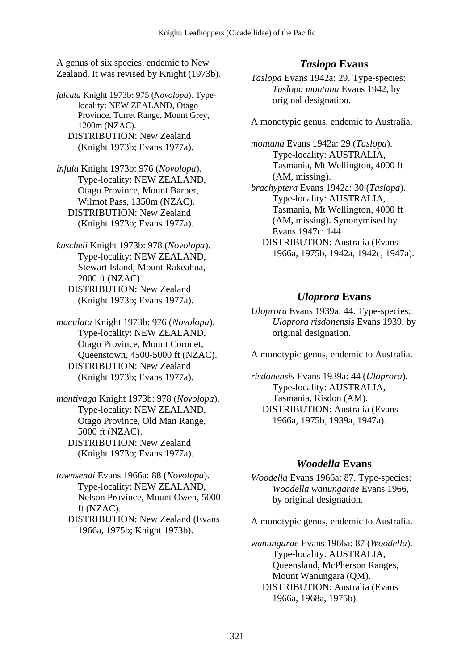A genus of six species, endemic to New Zealand. It was revised by Knight (1973b).

*falcata* Knight 1973b: 975 (*Novolopa*). Typelocality: NEW ZEALAND, Otago Province, Turret Range, Mount Grey, 1200m (NZAC). DISTRIBUTION: New Zealand (Knight 1973b; Evans 1977a).

*infula* Knight 1973b: 976 (*Novolopa*). Type-locality: NEW ZEALAND, Otago Province, Mount Barber, Wilmot Pass, 1350m (NZAC). DISTRIBUTION: New Zealand (Knight 1973b; Evans 1977a).

*kuscheli* Knight 1973b: 978 (*Novolopa*). Type-locality: NEW ZEALAND, Stewart Island, Mount Rakeahua, 2000 ft (NZAC). DISTRIBUTION: New Zealand (Knight 1973b; Evans 1977a).

*maculata* Knight 1973b: 976 (*Novolopa*). Type-locality: NEW ZEALAND, Otago Province, Mount Coronet, Queenstown, 4500-5000 ft (NZAC). DISTRIBUTION: New Zealand (Knight 1973b; Evans 1977a).

*montivaga* Knight 1973b: 978 (*Novolopa*). Type-locality: NEW ZEALAND, Otago Province, Old Man Range, 5000 ft (NZAC). DISTRIBUTION: New Zealand (Knight 1973b; Evans 1977a).

*townsendi* Evans 1966a: 88 (*Novolopa*). Type-locality: NEW ZEALAND, Nelson Province, Mount Owen, 5000 ft (NZAC). DISTRIBUTION: New Zealand (Evans

1966a, 1975b; Knight 1973b).

## *Taslopa* **Evans**

*Taslopa* Evans 1942a: 29. Type-species: *Taslopa montana* Evans 1942, by original designation.

A monotypic genus, endemic to Australia.

*montana* Evans 1942a: 29 (*Taslopa*). Type-locality: AUSTRALIA, Tasmania, Mt Wellington, 4000 ft (AM, missing).

*brachyptera* Evans 1942a: 30 (*Taslopa*). Type-locality: AUSTRALIA, Tasmania, Mt Wellington, 4000 ft (AM, missing). Synonymised by Evans 1947c: 144.

 DISTRIBUTION: Australia (Evans 1966a, 1975b, 1942a, 1942c, 1947a).

# *Uloprora* **Evans**

*Uloprora* Evans 1939a: 44. Type-species: *Uloprora risdonensis* Evans 1939, by original designation.

A monotypic genus, endemic to Australia.

*risdonensis* Evans 1939a: 44 (*Uloprora*). Type-locality: AUSTRALIA, Tasmania, Risdon (AM). DISTRIBUTION: Australia (Evans 1966a, 1975b, 1939a, 1947a).

## *Woodella* **Evans**

*Woodella* Evans 1966a: 87. Type-species: *Woodella wanungarae* Evans 1966, by original designation.

A monotypic genus, endemic to Australia.

*wanungarae* Evans 1966a: 87 (*Woodella*). Type-locality: AUSTRALIA, Queensland, McPherson Ranges, Mount Wanungara (QM). DISTRIBUTION: Australia (Evans 1966a, 1968a, 1975b).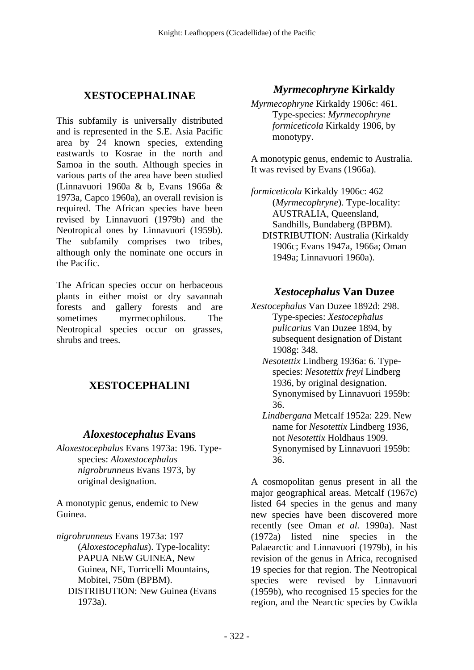# **XESTOCEPHALINAE**

This subfamily is universally distributed and is represented in the S.E. Asia Pacific area by 24 known species, extending eastwards to Kosrae in the north and Samoa in the south. Although species in various parts of the area have been studied (Linnavuori 1960a & b, Evans 1966a & 1973a, Capco 1960a), an overall revision is required. The African species have been revised by Linnavuori (1979b) and the Neotropical ones by Linnavuori (1959b). The subfamily comprises two tribes, although only the nominate one occurs in the Pacific.

The African species occur on herbaceous plants in either moist or dry savannah forests and gallery forests and are sometimes myrmecophilous. The Neotropical species occur on grasses, shrubs and trees.

# **XESTOCEPHALINI**

### *Aloxestocephalus* **Evans**

*Aloxestocephalus* Evans 1973a: 196. Typespecies: *Aloxestocephalus nigrobrunneus* Evans 1973, by original designation.

A monotypic genus, endemic to New Guinea.

*nigrobrunneus* Evans 1973a: 197 (*Aloxestocephalus*). Type-locality: PAPUA NEW GUINEA, New Guinea, NE, Torricelli Mountains, Mobitei, 750m (BPBM). DISTRIBUTION: New Guinea (Evans 1973a).

## *Myrmecophryne* **Kirkaldy**

*Myrmecophryne* Kirkaldy 1906c: 461. Type-species: *Myrmecophryne formiceticola* Kirkaldy 1906, by monotypy.

A monotypic genus, endemic to Australia. It was revised by Evans (1966a).

*formiceticola* Kirkaldy 1906c: 462 (*Myrmecophryne*). Type-locality: AUSTRALIA, Queensland, Sandhills, Bundaberg (BPBM). DISTRIBUTION: Australia (Kirkaldy 1906c; Evans 1947a, 1966a; Oman 1949a; Linnavuori 1960a).

#### *Xestocephalus* **Van Duzee**

- *Xestocephalus* Van Duzee 1892d: 298. Type-species: *Xestocephalus pulicarius* Van Duzee 1894, by subsequent designation of Distant 1908g: 348.
	- *Nesotettix* Lindberg 1936a: 6. Typespecies: *Nesotettix freyi* Lindberg 1936, by original designation. Synonymised by Linnavuori 1959b: 36.
	- *Lindbergana* Metcalf 1952a: 229. New name for *Nesotettix* Lindberg 1936, not *Nesotettix* Holdhaus 1909. Synonymised by Linnavuori 1959b: 36.

A cosmopolitan genus present in all the major geographical areas. Metcalf (1967c) listed 64 species in the genus and many new species have been discovered more recently (see Oman *et al.* 1990a). Nast (1972a) listed nine species in the Palaearctic and Linnavuori (1979b), in his revision of the genus in Africa, recognised 19 species for that region. The Neotropical species were revised by Linnavuori (1959b), who recognised 15 species for the region, and the Nearctic species by Cwikla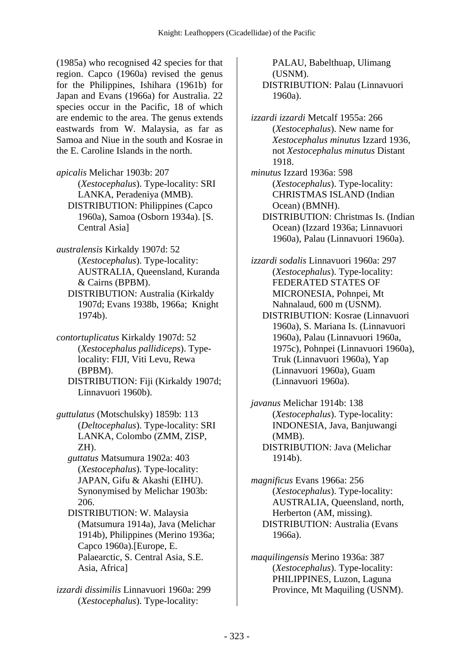(1985a) who recognised 42 species for that region. Capco (1960a) revised the genus for the Philippines, Ishihara (1961b) for Japan and Evans (1966a) for Australia. 22 species occur in the Pacific, 18 of which are endemic to the area. The genus extends eastwards from W. Malaysia, as far as Samoa and Niue in the south and Kosrae in the E. Caroline Islands in the north.

*apicalis* Melichar 1903b: 207 (*Xestocephalus*). Type-locality: SRI LANKA, Peradeniya (MMB). DISTRIBUTION: Philippines (Capco 1960a), Samoa (Osborn 1934a). [S. Central Asia]

*australensis* Kirkaldy 1907d: 52 (*Xestocephalus*). Type-locality: AUSTRALIA, Queensland, Kuranda & Cairns (BPBM).

 DISTRIBUTION: Australia (Kirkaldy 1907d; Evans 1938b, 1966a; Knight 1974b).

*contortuplicatus* Kirkaldy 1907d: 52 (*Xestocephalus pallidiceps*). Typelocality: FIJI, Viti Levu, Rewa (BPBM). DISTRIBUTION: Fiji (Kirkaldy 1907d;

Linnavuori 1960b).

*guttulatus* (Motschulsky) 1859b: 113 (*Deltocephalus*). Type-locality: SRI LANKA, Colombo (ZMM, ZISP, ZH).

 *guttatus* Matsumura 1902a: 403 (*Xestocephalus*). Type-locality: JAPAN, Gifu & Akashi (EIHU). Synonymised by Melichar 1903b: 206.

 DISTRIBUTION: W. Malaysia (Matsumura 1914a), Java (Melichar 1914b), Philippines (Merino 1936a; Capco 1960a).[Europe, E. Palaearctic, S. Central Asia, S.E. Asia, Africa]

*izzardi dissimilis* Linnavuori 1960a: 299 (*Xestocephalus*). Type-locality:

PALAU, Babelthuap, Ulimang (USNM). DISTRIBUTION: Palau (Linnavuori 1960a).

*izzardi izzardi* Metcalf 1955a: 266 (*Xestocephalus*). New name for *Xestocephalus minutus* Izzard 1936, not *Xestocephalus minutus* Distant 1918.

*minutus* Izzard 1936a: 598 (*Xestocephalus*). Type-locality: CHRISTMAS ISLAND (Indian Ocean) (BMNH). DISTRIBUTION: Christmas Is. (Indian

Ocean) (Izzard 1936a; Linnavuori 1960a), Palau (Linnavuori 1960a).

*izzardi sodalis* Linnavuori 1960a: 297 (*Xestocephalus*). Type-locality: FEDERATED STATES OF MICRONESIA, Pohnpei, Mt Nahnalaud, 600 m (USNM). DISTRIBUTION: Kosrae (Linnavuori 1960a), S. Mariana Is. (Linnavuori 1960a), Palau (Linnavuori 1960a, 1975c), Pohnpei (Linnavuori 1960a), Truk (Linnavuori 1960a), Yap (Linnavuori 1960a), Guam (Linnavuori 1960a).

*javanus* Melichar 1914b: 138 (*Xestocephalus*). Type-locality: INDONESIA, Java, Banjuwangi (MMB). DISTRIBUTION: Java (Melichar 1914b).

*magnificus* Evans 1966a: 256 (*Xestocephalus*). Type-locality: AUSTRALIA, Queensland, north, Herberton (AM, missing). DISTRIBUTION: Australia (Evans 1966a).

*maquilingensis* Merino 1936a: 387 (*Xestocephalus*). Type-locality: PHILIPPINES, Luzon, Laguna Province, Mt Maquiling (USNM).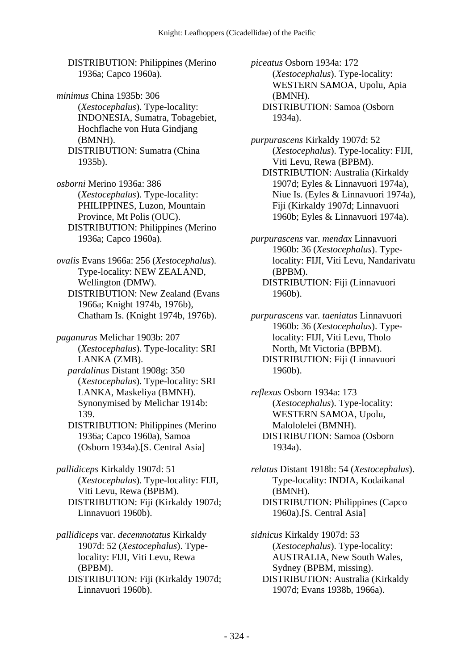DISTRIBUTION: Philippines (Merino 1936a; Capco 1960a).

*minimus* China 1935b: 306 (*Xestocephalus*). Type-locality: INDONESIA, Sumatra, Tobagebiet, Hochflache von Huta Gindjang (BMNH). DISTRIBUTION: Sumatra (China 1935b).

*osborni* Merino 1936a: 386 (*Xestocephalus*). Type-locality: PHILIPPINES, Luzon, Mountain Province, Mt Polis (OUC). DISTRIBUTION: Philippines (Merino 1936a; Capco 1960a).

*ovalis* Evans 1966a: 256 (*Xestocephalus*). Type-locality: NEW ZEALAND, Wellington (DMW). DISTRIBUTION: New Zealand (Evans 1966a; Knight 1974b, 1976b), Chatham Is. (Knight 1974b, 1976b).

*paganurus* Melichar 1903b: 207 (*Xestocephalus*). Type-locality: SRI LANKA (ZMB).  *pardalinus* Distant 1908g: 350 (*Xestocephalus*). Type-locality: SRI LANKA, Maskeliya (BMNH). Synonymised by Melichar 1914b: 139. DISTRIBUTION: Philippines (Merino

1936a; Capco 1960a), Samoa (Osborn 1934a).[S. Central Asia]

*pallidiceps* Kirkaldy 1907d: 51 (*Xestocephalus*). Type-locality: FIJI, Viti Levu, Rewa (BPBM). DISTRIBUTION: Fiji (Kirkaldy 1907d; Linnavuori 1960b).

*pallidiceps* var. *decemnotatus* Kirkaldy 1907d: 52 (*Xestocephalus*). Typelocality: FIJI, Viti Levu, Rewa (BPBM). DISTRIBUTION: Fiji (Kirkaldy 1907d; Linnavuori 1960b).

*piceatus* Osborn 1934a: 172 (*Xestocephalus*). Type-locality: WESTERN SAMOA, Upolu, Apia (BMNH). DISTRIBUTION: Samoa (Osborn 1934a).

*purpurascens* Kirkaldy 1907d: 52 (*Xestocephalus*). Type-locality: FIJI, Viti Levu, Rewa (BPBM).

 DISTRIBUTION: Australia (Kirkaldy 1907d; Eyles & Linnavuori 1974a), Niue Is. (Eyles & Linnavuori 1974a), Fiji (Kirkaldy 1907d; Linnavuori 1960b; Eyles & Linnavuori 1974a).

*purpurascens* var. *mendax* Linnavuori 1960b: 36 (*Xestocephalus*). Typelocality: FIJI, Viti Levu, Nandarivatu (BPBM). DISTRIBUTION: Fiji (Linnavuori 1960b).

*purpurascens* var. *taeniatus* Linnavuori 1960b: 36 (*Xestocephalus*). Typelocality: FIJI, Viti Levu, Tholo North, Mt Victoria (BPBM). DISTRIBUTION: Fiji (Linnavuori 1960b).

*reflexus* Osborn 1934a: 173 (*Xestocephalus*). Type-locality: WESTERN SAMOA, Upolu, Malololelei (BMNH). DISTRIBUTION: Samoa (Osborn 1934a).

*relatus* Distant 1918b: 54 (*Xestocephalus*). Type-locality: INDIA, Kodaikanal (BMNH). DISTRIBUTION: Philippines (Capco 1960a).[S. Central Asia]

*sidnicus* Kirkaldy 1907d: 53 (*Xestocephalus*). Type-locality: AUSTRALIA, New South Wales, Sydney (BPBM, missing). DISTRIBUTION: Australia (Kirkaldy 1907d; Evans 1938b, 1966a).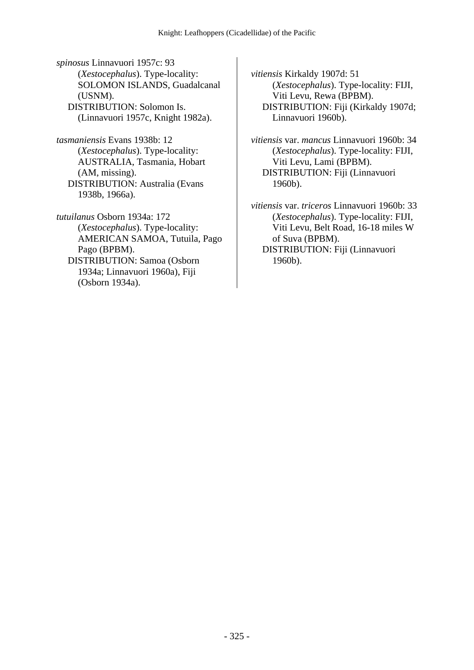*spinosus* Linnavuori 1957c: 93 (*Xestocephalus*). Type-locality: SOLOMON ISLANDS, Guadalcanal (USNM). DISTRIBUTION: Solomon Is. (Linnavuori 1957c, Knight 1982a).

*tasmaniensis* Evans 1938b: 12 (*Xestocephalus*). Type-locality: AUSTRALIA, Tasmania, Hobart (AM, missing). DISTRIBUTION: Australia (Evans 1938b, 1966a).

*tutuilanus* Osborn 1934a: 172 (*Xestocephalus*). Type-locality: AMERICAN SAMOA, Tutuila, Pago Pago (BPBM). DISTRIBUTION: Samoa (Osborn 1934a; Linnavuori 1960a), Fiji (Osborn 1934a).

*vitiensis* Kirkaldy 1907d: 51 (*Xestocephalus*). Type-locality: FIJI, Viti Levu, Rewa (BPBM). DISTRIBUTION: Fiji (Kirkaldy 1907d; Linnavuori 1960b).

*vitiensis* var. *mancus* Linnavuori 1960b: 34 (*Xestocephalus*). Type-locality: FIJI, Viti Levu, Lami (BPBM). DISTRIBUTION: Fiji (Linnavuori 1960b).

*vitiensis* var. *triceros* Linnavuori 1960b: 33 (*Xestocephalus*). Type-locality: FIJI, Viti Levu, Belt Road, 16-18 miles W of Suva (BPBM).

 DISTRIBUTION: Fiji (Linnavuori 1960b).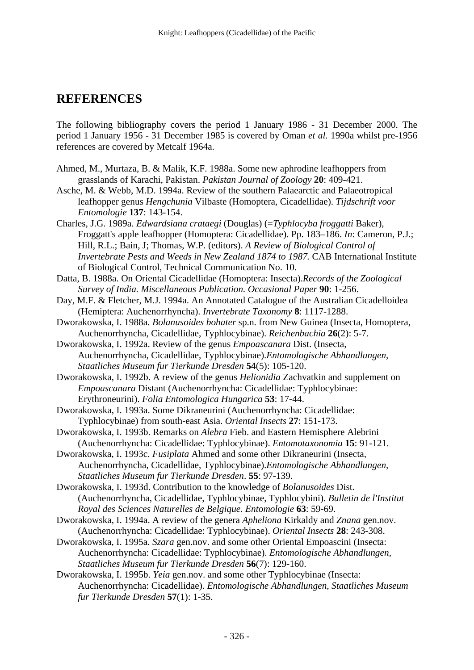# **REFERENCES**

The following bibliography covers the period 1 January 1986 - 31 December 2000. The period 1 January 1956 - 31 December 1985 is covered by Oman *et al.* 1990a whilst pre-1956 references are covered by Metcalf 1964a.

- Ahmed, M., Murtaza, B. & Malik, K.F. 1988a. Some new aphrodine leafhoppers from grasslands of Karachi, Pakistan. *Pakistan Journal of Zoology* **20**: 409-421.
- Asche, M. & Webb, M.D. 1994a. Review of the southern Palaearctic and Palaeotropical leafhopper genus *Hengchunia* Vilbaste (Homoptera, Cicadellidae). *Tijdschrift voor Entomologie* **137**: 143-154.
- Charles, J.G. 1989a. *Edwardsiana crataegi* (Douglas) (=*Typhlocyba froggatti* Baker), Froggatt's apple leafhopper (Homoptera: Cicadellidae). Pp. 183–186. *In*: Cameron, P.J.; Hill, R.L.; Bain, J; Thomas, W.P. (editors). *A Review of Biological Control of Invertebrate Pests and Weeds in New Zealand 1874 to 1987.* CAB International Institute of Biological Control, Technical Communication No. 10.
- Datta, B. 1988a. On Oriental Cicadellidae (Homoptera: Insecta).*Records of the Zoological Survey of India. Miscellaneous Publication. Occasional Paper* **90**: 1-256.
- Day, M.F. & Fletcher, M.J. 1994a. An Annotated Catalogue of the Australian Cicadelloidea (Hemiptera: Auchenorrhyncha). *Invertebrate Taxonomy* **8**: 1117-1288.
- Dworakowska, I. 1988a. *Bolanusoides bohater* sp.n. from New Guinea (Insecta, Homoptera, Auchenorrhyncha, Cicadellidae, Typhlocybinae). *Reichenbachia* **26**(2): 5-7.
- Dworakowska, I. 1992a. Review of the genus *Empoascanara* Dist. (Insecta, Auchenorrhyncha, Cicadellidae, Typhlocybinae).*Entomologische Abhandlungen, Staatliches Museum fur Tierkunde Dresden* **54**(5): 105-120.

Dworakowska, I. 1992b. A review of the genus *Helionidia* Zachvatkin and supplement on *Empoascanara* Distant (Auchenorrhyncha: Cicadellidae: Typhlocybinae: Erythroneurini). *Folia Entomologica Hungarica* **53**: 17-44.

- Dworakowska, I. 1993a. Some Dikraneurini (Auchenorrhyncha: Cicadellidae: Typhlocybinae) from south-east Asia. *Oriental Insects* **27**: 151-173.
- Dworakowska, I. 1993b. Remarks on *Alebra* Fieb. and Eastern Hemisphere Alebrini (Auchenorrhyncha: Cicadellidae: Typhlocybinae). *Entomotaxonomia* **15**: 91-121.
- Dworakowska, I. 1993c. *Fusiplata* Ahmed and some other Dikraneurini (Insecta, Auchenorrhyncha, Cicadellidae, Typhlocybinae).*Entomologische Abhandlungen, Staatliches Museum fur Tierkunde Dresden*. **55**: 97-139.
- Dworakowska, I. 1993d. Contribution to the knowledge of *Bolanusoides* Dist. (Auchenorrhyncha, Cicadellidae, Typhlocybinae, Typhlocybini). *Bulletin de l'Institut Royal des Sciences Naturelles de Belgique. Entomologie* **63**: 59-69.
- Dworakowska, I. 1994a. A review of the genera *Apheliona* Kirkaldy and *Znana* gen.nov. (Auchenorrhyncha: Cicadellidae: Typhlocybinae). *Oriental Insects* **28**: 243-308.
- Dworakowska, I. 1995a. *Szara* gen.nov. and some other Oriental Empoascini (Insecta: Auchenorrhyncha: Cicadellidae: Typhlocybinae). *Entomologische Abhandlungen, Staatliches Museum fur Tierkunde Dresden* **56**(7): 129-160.
- Dworakowska, I. 1995b. *Yeia* gen.nov. and some other Typhlocybinae (Insecta: Auchenorrhyncha: Cicadellidae). *Entomologische Abhandlungen, Staatliches Museum fur Tierkunde Dresden* **57**(1): 1-35.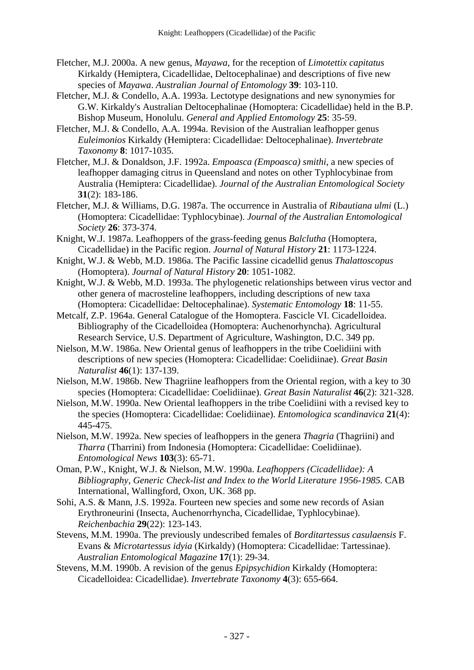Fletcher, M.J. 2000a. A new genus, *Mayawa*, for the reception of *Limotettix capitatus* Kirkaldy (Hemiptera, Cicadellidae, Deltocephalinae) and descriptions of five new species of *Mayawa*. *Australian Journal of Entomology* **39**: 103-110.

- Fletcher, M.J. & Condello, A.A. 1993a. Lectotype designations and new synonymies for G.W. Kirkaldy's Australian Deltocephalinae (Homoptera: Cicadellidae) held in the B.P. Bishop Museum, Honolulu. *General and Applied Entomology* **25**: 35-59.
- Fletcher, M.J. & Condello, A.A. 1994a. Revision of the Australian leafhopper genus *Euleimonios* Kirkaldy (Hemiptera: Cicadellidae: Deltocephalinae). *Invertebrate Taxonomy* **8**: 1017-1035.
- Fletcher, M.J. & Donaldson, J.F. 1992a. *Empoasca (Empoasca) smithi*, a new species of leafhopper damaging citrus in Queensland and notes on other Typhlocybinae from Australia (Hemiptera: Cicadellidae). *Journal of the Australian Entomological Society* **31**(2): 183-186.
- Fletcher, M.J. & Williams, D.G. 1987a. The occurrence in Australia of *Ribautiana ulmi* (L.) (Homoptera: Cicadellidae: Typhlocybinae). *Journal of the Australian Entomological Society* **26**: 373-374.
- Knight, W.J. 1987a. Leafhoppers of the grass-feeding genus *Balclutha* (Homoptera, Cicadellidae) in the Pacific region. *Journal of Natural History* **21**: 1173-1224.
- Knight, W.J. & Webb, M.D. 1986a. The Pacific Iassine cicadellid genus *Thalattoscopus* (Homoptera). *Journal of Natural History* **20**: 1051-1082.
- Knight, W.J. & Webb, M.D. 1993a. The phylogenetic relationships between virus vector and other genera of macrosteline leafhoppers, including descriptions of new taxa (Homoptera: Cicadellidae: Deltocephalinae). *Systematic Entomology* **18**: 11-55.
- Metcalf, Z.P. 1964a. General Catalogue of the Homoptera. Fascicle VI. Cicadelloidea. Bibliography of the Cicadelloidea (Homoptera: Auchenorhyncha). Agricultural Research Service, U.S. Department of Agriculture, Washington, D.C. 349 pp.
- Nielson, M.W. 1986a. New Oriental genus of leafhoppers in the tribe Coelidiini with descriptions of new species (Homoptera: Cicadellidae: Coelidiinae). *Great Basin Naturalist* **46**(1): 137-139.
- Nielson, M.W. 1986b. New Thagriine leafhoppers from the Oriental region, with a key to 30 species (Homoptera: Cicadellidae: Coelidiinae). *Great Basin Naturalist* **46**(2): 321-328.
- Nielson, M.W. 1990a. New Oriental leafhoppers in the tribe Coelidiini with a revised key to the species (Homoptera: Cicadellidae: Coelidiinae). *Entomologica scandinavica* **21**(4): 445-475.
- Nielson, M.W. 1992a. New species of leafhoppers in the genera *Thagria* (Thagriini) and *Tharra* (Tharrini) from Indonesia (Homoptera: Cicadellidae: Coelidiinae). *Entomological News* **103**(3): 65-71.
- Oman, P.W., Knight, W.J. & Nielson, M.W. 1990a. *Leafhoppers (Cicadellidae): A Bibliography, Generic Check-list and Index to the World Literature 1956-1985.* CAB International, Wallingford, Oxon, UK. 368 pp.
- Sohi, A.S. & Mann, J.S. 1992a. Fourteen new species and some new records of Asian Erythroneurini (Insecta, Auchenorrhyncha, Cicadellidae, Typhlocybinae). *Reichenbachia* **29**(22): 123-143.
- Stevens, M.M. 1990a. The previously undescribed females of *Borditartessus casulaensis* F. Evans & *Microtartessus idyia* (Kirkaldy) (Homoptera: Cicadellidae: Tartessinae). *Australian Entomological Magazine* **17**(1): 29-34.
- Stevens, M.M. 1990b. A revision of the genus *Epipsychidion* Kirkaldy (Homoptera: Cicadelloidea: Cicadellidae). *Invertebrate Taxonomy* **4**(3): 655-664.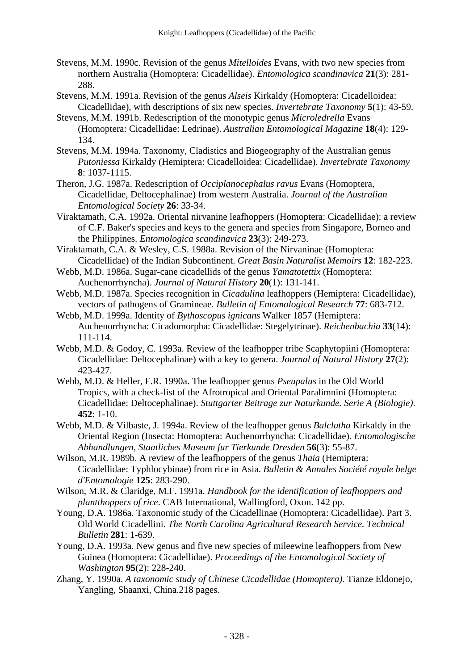- Stevens, M.M. 1990c. Revision of the genus *Mitelloides* Evans, with two new species from northern Australia (Homoptera: Cicadellidae). *Entomologica scandinavica* **21**(3): 281- 288.
- Stevens, M.M. 1991a. Revision of the genus *Alseis* Kirkaldy (Homoptera: Cicadelloidea: Cicadellidae), with descriptions of six new species. *Invertebrate Taxonomy* **5**(1): 43-59.
- Stevens, M.M. 1991b. Redescription of the monotypic genus *Microledrella* Evans (Homoptera: Cicadellidae: Ledrinae). *Australian Entomological Magazine* **18**(4): 129- 134.
- Stevens, M.M. 1994a. Taxonomy, Cladistics and Biogeography of the Australian genus *Putoniessa* Kirkaldy (Hemiptera: Cicadelloidea: Cicadellidae). *Invertebrate Taxonomy*  **8**: 1037-1115.
- Theron, J.G. 1987a. Redescription of *Occiplanocephalus ravus* Evans (Homoptera, Cicadellidae, Deltocephalinae) from western Australia. *Journal of the Australian Entomological Society* **26**: 33-34.
- Viraktamath, C.A. 1992a. Oriental nirvanine leafhoppers (Homoptera: Cicadellidae): a review of C.F. Baker's species and keys to the genera and species from Singapore, Borneo and the Philippines. *Entomologica scandinavica* **23**(3): 249-273.
- Viraktamath, C.A. & Wesley, C.S. 1988a. Revision of the Nirvaninae (Homoptera: Cicadellidae) of the Indian Subcontinent. *Great Basin Naturalist Memoirs* **12**: 182-223.
- Webb, M.D. 1986a. Sugar-cane cicadellids of the genus *Yamatotettix* (Homoptera: Auchenorrhyncha). *Journal of Natural History* **20**(1): 131-141.
- Webb, M.D. 1987a. Species recognition in *Cicadulina* leafhoppers (Hemiptera: Cicadellidae), vectors of pathogens of Gramineae. *Bulletin of Entomological Research* **77**: 683-712.
- Webb, M.D. 1999a. Identity of *Bythoscopus ignicans* Walker 1857 (Hemiptera: Auchenorrhyncha: Cicadomorpha: Cicadellidae: Stegelytrinae). *Reichenbachia* **33**(14): 111-114.
- Webb, M.D. & Godoy, C. 1993a. Review of the leafhopper tribe Scaphytopiini (Homoptera: Cicadellidae: Deltocephalinae) with a key to genera. *Journal of Natural History* **27**(2): 423-427.
- Webb, M.D. & Heller, F.R. 1990a. The leafhopper genus *Pseupalus* in the Old World Tropics, with a check-list of the Afrotropical and Oriental Paralimnini (Homoptera: Cicadellidae: Deltocephalinae). *Stuttgarter Beitrage zur Naturkunde. Serie A (Biologie)*. **452**: 1-10.
- Webb, M.D. & Vilbaste, J. 1994a. Review of the leafhopper genus *Balclutha* Kirkaldy in the Oriental Region (Insecta: Homoptera: Auchenorrhyncha: Cicadellidae). *Entomologische Abhandlungen, Staatliches Museum fur Tierkunde Dresden* **56**(3): 55-87.
- Wilson, M.R. 1989b. A review of the leafhoppers of the genus *Thaia* (Hemiptera: Cicadellidae: Typhlocybinae) from rice in Asia. *Bulletin & Annales Société royale belge d'Entomologie* **125**: 283-290.
- Wilson, M.R. & Claridge, M.F. 1991a. *Handbook for the identification of leafhoppers and plantthoppers of rice*. CAB International, Wallingford, Oxon. 142 pp.
- Young, D.A. 1986a. Taxonomic study of the Cicadellinae (Homoptera: Cicadellidae). Part 3. Old World Cicadellini. *The North Carolina Agricultural Research Service. Technical Bulletin* **281**: 1-639.
- Young, D.A. 1993a. New genus and five new species of mileewine leafhoppers from New Guinea (Homoptera: Cicadellidae). *Proceedings of the Entomological Society of Washington* **95**(2): 228-240.
- Zhang, Y. 1990a. *A taxonomic study of Chinese Cicadellidae (Homoptera).* Tianze Eldonejo, Yangling, Shaanxi, China.218 pages.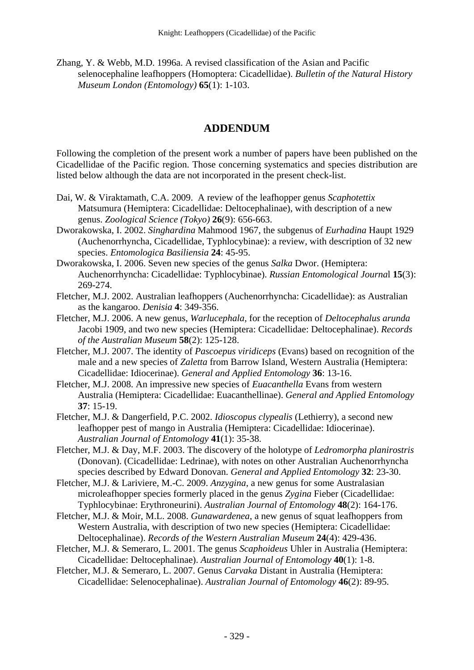Zhang, Y. & Webb, M.D. 1996a. A revised classification of the Asian and Pacific selenocephaline leafhoppers (Homoptera: Cicadellidae). *Bulletin of the Natural History Museum London (Entomology)* **65**(1): 1-103.

#### **ADDENDUM**

Following the completion of the present work a number of papers have been published on the Cicadellidae of the Pacific region. Those concerning systematics and species distribution are listed below although the data are not incorporated in the present check-list.

- Dai, W. & Viraktamath, C.A. 2009. A review of the leafhopper genus *Scaphotettix* Matsumura (Hemiptera: Cicadellidae: Deltocephalinae), with description of a new genus. *Zoological Science (Tokyo)* **26**(9): 656-663.
- Dworakowska, I. 2002. *Singhardina* Mahmood 1967, the subgenus of *Eurhadina* Haupt 1929 (Auchenorrhyncha, Cicadellidae, Typhlocybinae): a review, with description of 32 new species. *Entomologica Basiliensia* **24**: 45-95.
- Dworakowska, I. 2006. Seven new species of the genus *Salka* Dwor. (Hemiptera: Auchenorrhyncha: Cicadellidae: Typhlocybinae). *Russian Entomological Journa*l **15**(3): 269-274.
- Fletcher, M.J. 2002. Australian leafhoppers (Auchenorrhyncha: Cicadellidae): as Australian as the kangaroo. *Denisia* **4**: 349-356.
- Fletcher, M.J. 2006. A new genus, *Warlucephala*, for the reception of *Deltocephalus arunda* Jacobi 1909, and two new species (Hemiptera: Cicadellidae: Deltocephalinae). *Records of the Australian Museum* **58**(2): 125-128.
- Fletcher, M.J. 2007. The identity of *Pascoepus viridiceps* (Evans) based on recognition of the male and a new species of *Zaletta* from Barrow Island, Western Australia (Hemiptera: Cicadellidae: Idiocerinae). *General and Applied Entomology* **36**: 13-16.
- Fletcher, M.J. 2008. An impressive new species of *Euacanthella* Evans from western Australia (Hemiptera: Cicadellidae: Euacanthellinae). *General and Applied Entomology* **37**: 15-19.
- Fletcher, M.J. & Dangerfield, P.C. 2002. *Idioscopus clypealis* (Lethierry), a second new leafhopper pest of mango in Australia (Hemiptera: Cicadellidae: Idiocerinae). *Australian Journal of Entomology* **41**(1): 35-38.
- Fletcher, M.J. & Day, M.F. 2003. The discovery of the holotype of *Ledromorpha planirostris* (Donovan). (Cicadellidae: Ledrinae), with notes on other Australian Auchenorrhyncha species described by Edward Donovan. *General and Applied Entomology* **32**: 23-30.
- Fletcher, M.J. & Lariviere, M.-C. 2009. *Anzygina*, a new genus for some Australasian microleafhopper species formerly placed in the genus *Zygina* Fieber (Cicadellidae: Typhlocybinae: Erythroneurini). *Australian Journal of Entomology* **48**(2): 164-176.
- Fletcher, M.J. & Moir, M.L. 2008. *Gunawardenea*, a new genus of squat leafhoppers from Western Australia, with description of two new species (Hemiptera: Cicadellidae: Deltocephalinae). *Records of the Western Australian Museum* **24**(4): 429-436.
- Fletcher, M.J. & Semeraro, L. 2001. The genus *Scaphoideus* Uhler in Australia (Hemiptera: Cicadellidae: Deltocephalinae). *Australian Journal of Entomology* **40**(1): 1-8.
- Fletcher, M.J. & Semeraro, L. 2007. Genus *Carvaka* Distant in Australia (Hemiptera: Cicadellidae: Selenocephalinae). *Australian Journal of Entomology* **46**(2): 89-95.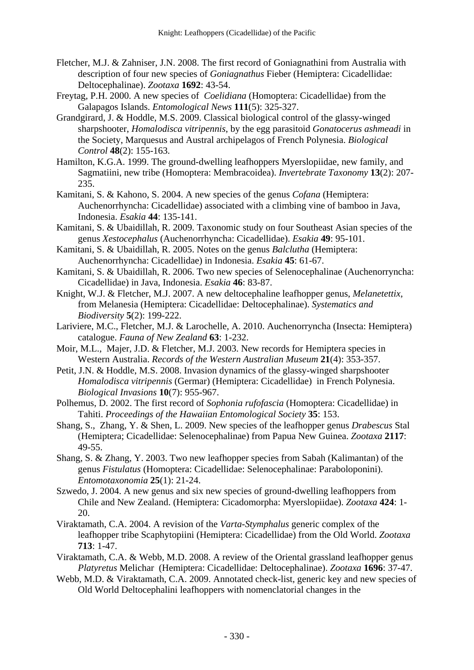- Fletcher, M.J. & Zahniser, J.N. 2008. The first record of Goniagnathini from Australia with description of four new species of *Goniagnathus* Fieber (Hemiptera: Cicadellidae: Deltocephalinae). *Zootaxa* **1692**: 43-54.
- Freytag, P.H. 2000. A new species of *Coelidiana* (Homoptera: Cicadellidae) from the Galapagos Islands. *Entomological News* **111**(5): 325-327.
- Grandgirard, J. & Hoddle, M.S. 2009. Classical biological control of the glassy-winged sharpshooter, *Homalodisca vitripennis*, by the egg parasitoid *Gonatocerus ashmeadi* in the Society, Marquesus and Austral archipelagos of French Polynesia. *Biological Control* **48**(2): 155-163.
- Hamilton, K.G.A. 1999. The ground-dwelling leafhoppers Myerslopiidae, new family, and Sagmatiini, new tribe (Homoptera: Membracoidea). *Invertebrate Taxonomy* **13**(2): 207- 235.
- Kamitani, S. & Kahono, S. 2004. A new species of the genus *Cofana* (Hemiptera: Auchenorrhyncha: Cicadellidae) associated with a climbing vine of bamboo in Java, Indonesia. *Esakia* **44**: 135-141.
- Kamitani, S. & Ubaidillah, R. 2009. Taxonomic study on four Southeast Asian species of the genus *Xestocephalus* (Auchenorrhyncha: Cicadellidae). *Esakia* **49**: 95-101.
- Kamitani, S. & Ubaidillah, R. 2005. Notes on the genus *Balclutha* (Hemiptera: Auchenorrhyncha: Cicadellidae) in Indonesia. *Esakia* **45**: 61-67.
- Kamitani, S. & Ubaidillah, R. 2006. Two new species of Selenocephalinae (Auchenorryncha: Cicadellidae) in Java, Indonesia. *Esakia* **46**: 83-87.
- Knight, W.J. & Fletcher, M.J. 2007. A new deltocephaline leafhopper genus, *Melanetettix*, from Melanesia (Hemiptera: Cicadellidae: Deltocephalinae). *Systematics and Biodiversity* **5**(2): 199-222.
- Lariviere, M.C., Fletcher, M.J. & Larochelle, A. 2010. Auchenorryncha (Insecta: Hemiptera) catalogue. *Fauna of New Zealand* **63**: 1-232.
- Moir, M.L., Majer, J.D. & Fletcher, M.J. 2003. New records for Hemiptera species in Western Australia. *Records of the Western Australian Museum* **21**(4): 353-357.
- Petit, J.N. & Hoddle, M.S. 2008. Invasion dynamics of the glassy-winged sharpshooter *Homalodisca vitripennis* (Germar) (Hemiptera: Cicadellidae) in French Polynesia. *Biological Invasions* **10**(7): 955-967.
- Polhemus, D. 2002. The first record of *Sophonia rufofascia* (Homoptera: Cicadellidae) in Tahiti. *Proceedings of the Hawaiian Entomological Society* **35**: 153.
- Shang, S., Zhang, Y. & Shen, L. 2009. New species of the leafhopper genus *Drabescus* Stal (Hemiptera; Cicadellidae: Selenocephalinae) from Papua New Guinea. *Zootaxa* **2117**: 49-55.
- Shang, S. & Zhang, Y. 2003. Two new leafhopper species from Sabah (Kalimantan) of the genus *Fistulatus* (Homoptera: Cicadellidae: Selenocephalinae: Paraboloponini). *Entomotaxonomia* **25**(1): 21-24.
- Szwedo, J. 2004. A new genus and six new species of ground-dwelling leafhoppers from Chile and New Zealand. (Hemiptera: Cicadomorpha: Myerslopiidae). *Zootaxa* **424**: 1- 20.
- Viraktamath, C.A. 2004. A revision of the *Varta*-*Stymphalus* generic complex of the leafhopper tribe Scaphytopiini (Hemiptera: Cicadellidae) from the Old World. *Zootaxa* **713**: 1-47.
- Viraktamath, C.A. & Webb, M.D. 2008. A review of the Oriental grassland leafhopper genus *Platyretus* Melichar (Hemiptera: Cicadellidae: Deltocephalinae). *Zootaxa* **1696**: 37-47.
- Webb, M.D. & Viraktamath, C.A. 2009. Annotated check-list, generic key and new species of Old World Deltocephalini leafhoppers with nomenclatorial changes in the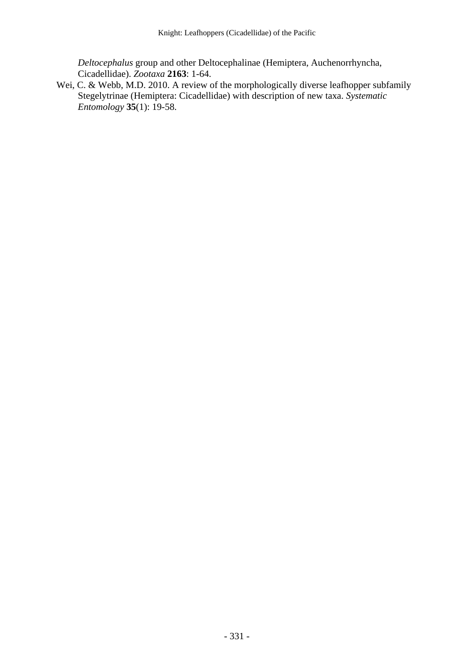*Deltocephalus* group and other Deltocephalinae (Hemiptera, Auchenorrhyncha, Cicadellidae). *Zootaxa* **2163**: 1-64.

Wei, C. & Webb, M.D. 2010. A review of the morphologically diverse leafhopper subfamily Stegelytrinae (Hemiptera: Cicadellidae) with description of new taxa. *Systematic Entomology* **35**(1): 19-58.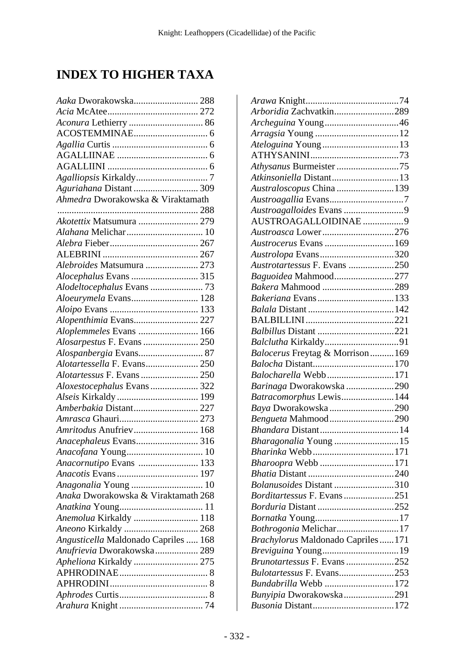# **INDEX TO HIGHER TAXA**

| Aaka Dworakowska 288                                  |  |
|-------------------------------------------------------|--|
|                                                       |  |
|                                                       |  |
|                                                       |  |
|                                                       |  |
|                                                       |  |
|                                                       |  |
|                                                       |  |
| Aguriahana Distant  309                               |  |
| Ahmedra Dworakowska & Viraktamath                     |  |
|                                                       |  |
| Akotettix Matsumura  279                              |  |
|                                                       |  |
|                                                       |  |
|                                                       |  |
| Alebroides Matsumura  273                             |  |
|                                                       |  |
| Alodeltocephalus Evans  73                            |  |
| Aloeurymela Evans 128                                 |  |
|                                                       |  |
| Alopenthimia Evans 227                                |  |
| Aloplemmeles Evans  166<br>Alosarpestus F. Evans  250 |  |
|                                                       |  |
| Alotartessella F. Evans 250                           |  |
| Alotartessus F. Evans 250                             |  |
| Aloxestocephalus Evans 322                            |  |
|                                                       |  |
| Amberbakia Distant 227                                |  |
|                                                       |  |
| Amritodus Anufriev 168                                |  |
| Anacephaleus Evans 316                                |  |
| Anacofana Young 10                                    |  |
| Anacornutipo Evans  133                               |  |
|                                                       |  |
| Anagonalia Young  10                                  |  |
| Anaka Dworakowska & Viraktamath 268                   |  |
|                                                       |  |
| Anemolua Kirkaldy  118                                |  |
|                                                       |  |
| Angusticella Maldonado Capriles  168                  |  |
| Anufrievia Dworakowska 289                            |  |
| Apheliona Kirkaldy  275                               |  |
|                                                       |  |
|                                                       |  |
|                                                       |  |
|                                                       |  |

| Arboridia Zachvatkin289                   |  |
|-------------------------------------------|--|
|                                           |  |
|                                           |  |
| Ateloguina Young13                        |  |
|                                           |  |
|                                           |  |
| Atkinsoniella Distant13                   |  |
| Australoscopus China139                   |  |
|                                           |  |
| Austroagalloides Evans 9                  |  |
| AUSTROAGALLOIDINAE 9                      |  |
| Austroasca Lower276                       |  |
| Austrocerus Evans  169                    |  |
| Austrolopa Evans320                       |  |
| Austrotartessus F. Evans 250              |  |
| Baguoidea Mahmood277                      |  |
| Bakera Mahmood 289                        |  |
| Bakeriana Evans133                        |  |
|                                           |  |
|                                           |  |
|                                           |  |
|                                           |  |
| Balocerus Freytag & Morrison 169          |  |
|                                           |  |
| Balocharella Webb171                      |  |
| Barinaga Dworakowska 290                  |  |
| Batracomorphus Lewis 144                  |  |
| Baya Dworakowska 290                      |  |
| Bengueta Mahmood290                       |  |
|                                           |  |
| Bharagonalia Young 15<br>Bharinka Webb171 |  |
|                                           |  |
| Bharoopra Webb 171                        |  |
| Bolanusoides Distant 310                  |  |
| Borditartessus F. Evans251                |  |
|                                           |  |
|                                           |  |
| Bothrogonia Melichar17                    |  |
| Brachylorus Maldonado Capriles  171       |  |
|                                           |  |
| Brunotartessus F. Evans252                |  |
| Bulotartessus F. Evans253                 |  |
| Bundabrilla Webb 172                      |  |
| Bunyipia Dworakowska291                   |  |
|                                           |  |
|                                           |  |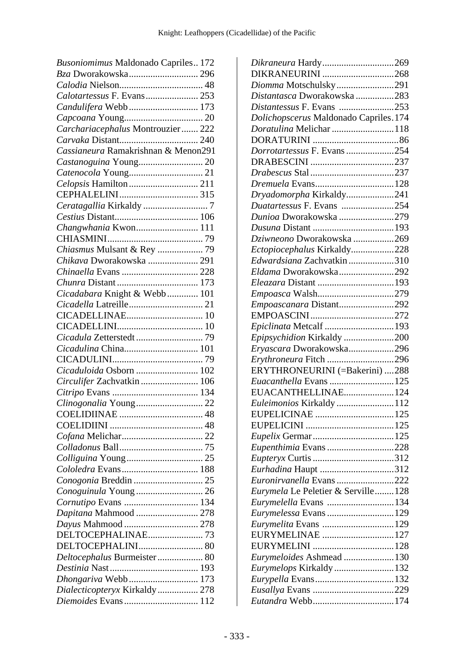| Busoniomimus Maldonado Capriles 172 |
|-------------------------------------|
| Bza Dworakowska 296                 |
|                                     |
| Calotartessus F. Evans 253          |
| Candulifera Webb 173                |
|                                     |
| Carchariacephalus Montrouzier 222   |
|                                     |
| Cassianeura Ramakrishnan & Menon291 |
| Castanoguina Young 20               |
|                                     |
| Celopsis Hamilton  211              |
|                                     |
| Ceratagallia Kirkaldy 7             |
|                                     |
| Changwhania Kwon 111                |
|                                     |
| Chiasmus Mulsant & Rey  79          |
| Chikava Dworakowska  291            |
| Chinaella Evans  228                |
|                                     |
| Cicadabara Knight & Webb  101       |
|                                     |
|                                     |
|                                     |
|                                     |
| Cicadulina China 101                |
|                                     |
|                                     |
| Cicaduloida Osborn  102             |
| Circulifer Zachvatkin  106          |
|                                     |
| Clinogonalia Young 22               |
| <b>COELIDIINAE</b>                  |
|                                     |
|                                     |
|                                     |
|                                     |
| Cololedra Evans 188                 |
|                                     |
| Conoguinula Young  26               |
| Cornutipo Evans  134                |
| Dapitana Mahmood  278               |
|                                     |
| DELTOCEPHALINAE73                   |
| DELTOCEPHALINI 80                   |
| Deltocephalus Burmeister  80        |
|                                     |
| Dhongariva Webb 173                 |
| Dialecticopteryx Kirkaldy  278      |
| Diemoides Evans 112                 |

| Dikraneura Hardy269                    |  |
|----------------------------------------|--|
| DIKRANEURINI 268                       |  |
| Diomma Motschulsky291                  |  |
| Distantasca Dworakowska 283            |  |
| Distantessus F. Evans 253              |  |
| Dolichopscerus Maldonado Capriles. 174 |  |
| Doratulina Melichar 118                |  |
|                                        |  |
| Dorrotartessus F. Evans 254            |  |
|                                        |  |
|                                        |  |
|                                        |  |
| Dryadomorpha Kirkaldy241               |  |
| Duatartessus F. Evans 254              |  |
| Dunioa Dworakowska 279                 |  |
|                                        |  |
| Dziwneono Dworakowska 269              |  |
| Ectopiocephalus Kirkaldy228            |  |
| Edwardsiana Zachvatkin 310             |  |
| Eldama Dworakowska292                  |  |
|                                        |  |
|                                        |  |
|                                        |  |
| Empoascanara Distant292                |  |
|                                        |  |
| Epiclinata Metcalf 193                 |  |
| Epipsychidion Kirkaldy 200             |  |
| Eryascara Dworakowska296               |  |
| Erythroneura Fitch 296                 |  |
| ERYTHRONEURINI (=Bakerini) 288         |  |
| Euacanthella Evans 125                 |  |
| EUACANTHELLINAE 124                    |  |
| Euleimonios Kirkaldy 112               |  |
|                                        |  |
|                                        |  |
|                                        |  |
| Eupenthimia Evans 228                  |  |
|                                        |  |
| <i>Eurhadina</i> Haupt 312             |  |
| Euronirvanella Evans 222               |  |
| Eurymela Le Peletier & Serville128     |  |
| <i>Eurymelella</i> Evans 134           |  |
| Eurymelessa Evans 129                  |  |
|                                        |  |
| EURYMELINAE 127                        |  |
|                                        |  |
| Eurymeloides Ashmead 130               |  |
| Eurymelops Kirkaldy132                 |  |
|                                        |  |
|                                        |  |
|                                        |  |
|                                        |  |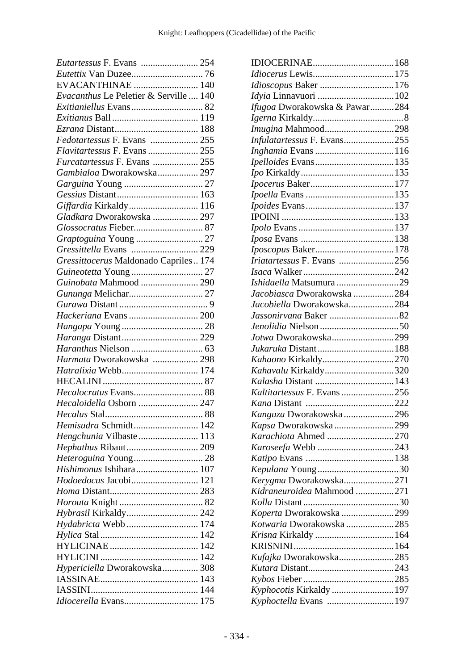| Eutartessus F. Evans  254              |  |
|----------------------------------------|--|
|                                        |  |
| EVACANTHINAE  140                      |  |
| Evacanthus Le Peletier & Serville  140 |  |
|                                        |  |
|                                        |  |
|                                        |  |
| Fedotartessus F. Evans  255            |  |
|                                        |  |
| Furcatartessus F. Evans  255           |  |
| Gambialoa Dworakowska 297              |  |
|                                        |  |
|                                        |  |
| Giffardia Kirkaldy 116                 |  |
| Gladkara Dworakowska  297              |  |
|                                        |  |
| Graptoguina Young  27                  |  |
| Gressittella Evans  229                |  |
| Gressittocerus Maldonado Capriles 174  |  |
| Guineotetta Young  27                  |  |
| Guinobata Mahmood  290                 |  |
|                                        |  |
|                                        |  |
|                                        |  |
|                                        |  |
|                                        |  |
|                                        |  |
| Harmata Dworakowska  298               |  |
|                                        |  |
|                                        |  |
| Hecalocratus Evans 88                  |  |
|                                        |  |
|                                        |  |
| Hemisudra Schmidt 142                  |  |
| Hengchunia Vilbaste 113                |  |
| Hephathus Ribaut 209                   |  |
| Heteroguina Young 28                   |  |
| Hishimonus Ishihara 107                |  |
| Hodoedocus Jacobi 121                  |  |
|                                        |  |
|                                        |  |
| Hybrasil Kirkaldy 242                  |  |
| Hydabricta Webb  174                   |  |
|                                        |  |
|                                        |  |
|                                        |  |
| Hypericiella Dworakowska 308           |  |
|                                        |  |
|                                        |  |
| Idiocerella Evans 175                  |  |
|                                        |  |

| Idioscopus Baker 176          |  |
|-------------------------------|--|
| Idyia Linnavuori 102          |  |
| Ifugoa Dworakowska & Pawar284 |  |
|                               |  |
| Imugina Mahmood298            |  |
| Infulatartessus F. Evans255   |  |
|                               |  |
|                               |  |
|                               |  |
|                               |  |
|                               |  |
|                               |  |
|                               |  |
|                               |  |
|                               |  |
|                               |  |
| Iriatartessus F. Evans 256    |  |
|                               |  |
| Ishidaella Matsumura 29       |  |
| Jacobiasca Dworakowska 284    |  |
| Jacobiella Dworakowska284     |  |
|                               |  |
|                               |  |
| Jotwa Dworakowska299          |  |
|                               |  |
| Kahaono Kirkaldy270           |  |
| Kahavalu Kirkaldy320          |  |
|                               |  |
| Kaltitartessus F. Evans 256   |  |
|                               |  |
| Kanguza Dworakowska 296       |  |
| Kapsa Dworakowska299          |  |
| Karachiota Ahmed 270          |  |
|                               |  |
|                               |  |
|                               |  |
| Kerygma Dworakowska271        |  |
| Kidraneuroidea Mahmood 271    |  |
|                               |  |
| Koperta Dworakowska 299       |  |
| Kotwaria Dworakowska285       |  |
|                               |  |
|                               |  |
| Kufajka Dworakowska285        |  |
|                               |  |
|                               |  |
| Kyphocotis Kirkaldy  197      |  |
| Kyphoctella Evans 197         |  |
|                               |  |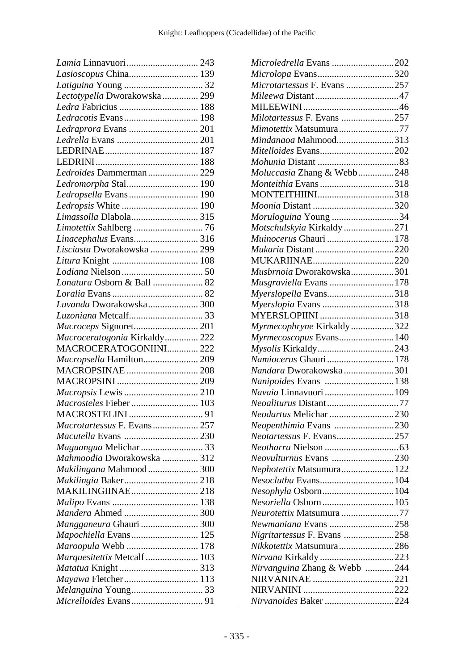| Lamia Linnavuori 243          |  |
|-------------------------------|--|
| Lasioscopus China 139         |  |
|                               |  |
| Lectotypella Dworakowska 299  |  |
|                               |  |
| Ledracotis Evans 198          |  |
| Ledraprora Evans  201         |  |
|                               |  |
|                               |  |
|                               |  |
| Ledroides Dammerman  229      |  |
| Ledromorpha Stal 190          |  |
| Ledropsella Evans 190         |  |
| Ledropsis White  190          |  |
| Limassolla Dlabola 315        |  |
|                               |  |
| Linacephalus Evans 316        |  |
| Lisciasta Dworakowska  299    |  |
|                               |  |
|                               |  |
| Lonatura Osborn & Ball  82    |  |
|                               |  |
| Luvanda Dworakowska 300       |  |
|                               |  |
| Macroceps Signoret 201        |  |
|                               |  |
|                               |  |
| Macroceratogonia Kirkaldy 222 |  |
| MACROCERATOGONIINI 222        |  |
| Macropsella Hamilton 209      |  |
| MACROPSINAE  208              |  |
|                               |  |
|                               |  |
| Macrosteles Fieber  103       |  |
|                               |  |
| Macrotartessus F. Evans 257   |  |
|                               |  |
| Maguangua Melichar  33        |  |
| Mahmoodia Dworakowska  312    |  |
| Makilingana Mahmood  300      |  |
|                               |  |
| <b>MAKILINGIINAE 218</b>      |  |
|                               |  |
| Mandera Ahmed  300            |  |
| Mangganeura Ghauri  300       |  |
| Mapochiella Evans 125         |  |
| Maroopula Webb  178           |  |
| Marquesitettix Metcalf 103    |  |
|                               |  |
| Mayawa Fletcher 113           |  |
|                               |  |

| Microledrella Evans 202      |  |
|------------------------------|--|
| Microlopa Evans320           |  |
| Microtartessus F. Evans 257  |  |
|                              |  |
|                              |  |
| Milotartessus F. Evans 257   |  |
| Mimotettix Matsumura77       |  |
| Mindanaoa Mahmood313         |  |
| Mitelloides Evans202         |  |
|                              |  |
| Moluccasia Zhang & Webb248   |  |
| Monteithia Evans318          |  |
|                              |  |
|                              |  |
| Moruloguina Young 34         |  |
| Motschulskyia Kirkaldy 271   |  |
| Muinocerus Ghauri 178        |  |
|                              |  |
|                              |  |
| Musbrnoia Dworakowska301     |  |
| Musgraviella Evans 178       |  |
| Myerslopella Evans318        |  |
| Myerslopia Evans 318         |  |
| MYERSLOPIINI 318             |  |
| Myrmecophryne Kirkaldy322    |  |
| Myrmecoscopus Evans 140      |  |
| Mysolis Kirkaldy243          |  |
| Namiocerus Ghauri178         |  |
| Nandara Dworakowska301       |  |
| Nanipoides Evans 138         |  |
|                              |  |
| Neoaliturus Distant77        |  |
| Neodartus Melichar 230       |  |
| Neopenthimia Evans 230       |  |
| Neotartessus F. Evans257     |  |
|                              |  |
| Neovulturnus Evans 230       |  |
| Nephotettix Matsumura122     |  |
| Nesoclutha Evans104          |  |
| Nesophyla Osborn104          |  |
| Nesoriella Osborn 105        |  |
| Neurotettix Matsumura 77     |  |
| Newmaniana Evans 258         |  |
| Nigritartessus F. Evans 258  |  |
| Nikkotettix Matsumura286     |  |
| Nirvana Kirkaldy 223         |  |
| Nirvanguina Zhang & Webb 244 |  |
| NIRVANINAE 221               |  |
|                              |  |
|                              |  |
| Nirvanoides Baker 224        |  |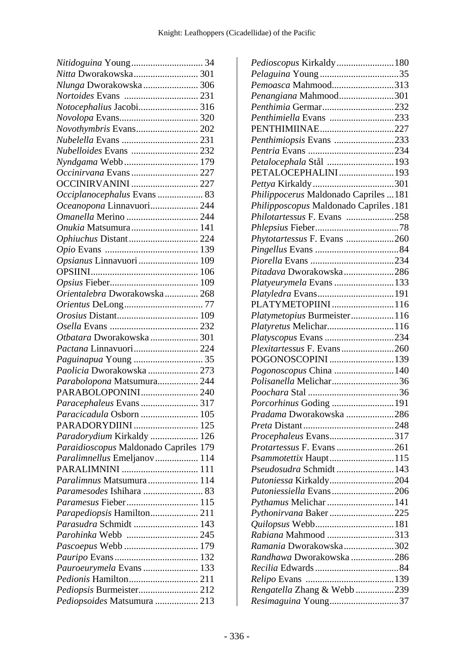| Nitidoguina Young 34                  |  |
|---------------------------------------|--|
| Nitta Dworakowska 301                 |  |
| Nlunga Dworakowska 306                |  |
|                                       |  |
| Notocephalius Jacobi 316              |  |
|                                       |  |
| Novothymbris Evans 202                |  |
|                                       |  |
| Nubelloides Evans  232                |  |
|                                       |  |
| Occinirvana Evans  227                |  |
| <b>OCCINIRVANINI  227</b>             |  |
| Occiplanocephalus Evans  83           |  |
| Oceanopona Linnavuori 244             |  |
| Omanella Merino  244                  |  |
| Onukia Matsumura 141                  |  |
| Ophiuchus Distant 224                 |  |
|                                       |  |
| Opsianus Linnavuori  109              |  |
|                                       |  |
|                                       |  |
| Orientalebra Dworakowska 268          |  |
|                                       |  |
|                                       |  |
|                                       |  |
| Otbatara Dworakowska  301             |  |
| Pactana Linnavuori 224                |  |
|                                       |  |
|                                       |  |
| Paguinapua Young  35                  |  |
| Paolicia Dworakowska  273             |  |
| Parabolopona Matsumura 244            |  |
| PARABOLOPONINI 240                    |  |
| Paracephaleus Evans 317               |  |
|                                       |  |
| PARADORYDIINI  125                    |  |
| Paradorydium Kirkaldy  126            |  |
| Paraidioscopus Maldonado Capriles 179 |  |
| Paralimnellus Emeljanov 114           |  |
|                                       |  |
| Paralimnus Matsumura 114              |  |
|                                       |  |
| Paramesus Fieber 115                  |  |
| Parapediopsis Hamilton 211            |  |
| Parasudra Schmidt  143                |  |
| Parohinka Webb  245                   |  |
| Pascoepus Webb  179                   |  |
|                                       |  |
| Pauroeurymela Evans  133              |  |
| Pedionis Hamilton 211                 |  |
| Pediopsis Burmeister 212              |  |

| Pedioscopus Kirkaldy180                |  |
|----------------------------------------|--|
|                                        |  |
| Pemoasca Mahmood313                    |  |
| Penangiana Mahmood301                  |  |
| Penthimia Germar232                    |  |
| Penthimiella Evans 233                 |  |
| PENTHIMIINAE227                        |  |
| Penthimiopsis Evans 233                |  |
|                                        |  |
| Petalocephala Stål 193                 |  |
| PETALOCEPHALINI 193                    |  |
|                                        |  |
| Philippocerus Maldonado Capriles  181  |  |
| Philipposcopus Maldonado Capriles. 181 |  |
| Philotartessus F. Evans 258            |  |
|                                        |  |
| Phytotartessus F. Evans 260            |  |
|                                        |  |
|                                        |  |
| Pitadava Dworakowska286                |  |
| Platyeurymela Evans 133                |  |
| Platyledra Evans191                    |  |
| PLATYMETOPIINI116                      |  |
| Platymetopius Burmeister116            |  |
| Platyretus Melichar116                 |  |
| Platyscopus Evans 234                  |  |
| Plexitartessus F. Evans260             |  |
| POGONOSCOPINI 139                      |  |
| Pogonoscopus China  140                |  |
| Polisanella Melichar36                 |  |
|                                        |  |
|                                        |  |
| Pradama Dworakowska 286                |  |
|                                        |  |
| Procephaleus Evans317                  |  |
| Protartessus F. Evans 261              |  |
|                                        |  |
| Psammotettix Haupt115                  |  |
| Pseudosudra Schmidt 143                |  |
| Putoniessa Kirkaldy204                 |  |
| Putoniessiella Evans206                |  |
| Pythamus Melichar  141                 |  |
| Pythonirvana Baker225                  |  |
| Quilopsus Webb181                      |  |
| Rabiana Mahmood 313                    |  |
| Ramania Dworakowska302                 |  |
| Randhawa Dworakowska 286               |  |
|                                        |  |
|                                        |  |
| Rengatella Zhang & Webb 239            |  |
| Resimaguina Young37                    |  |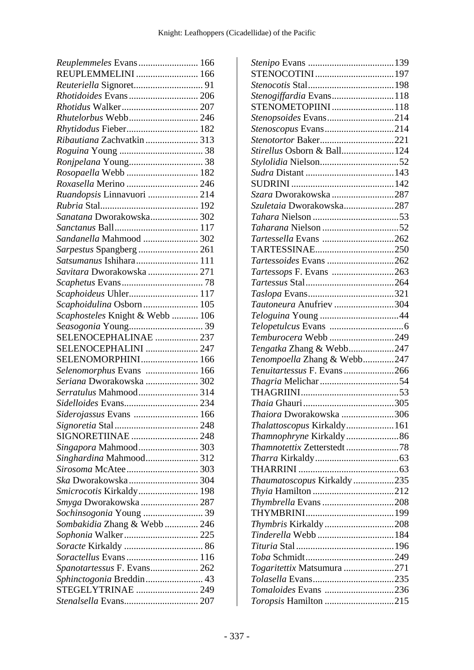| Reuplemmeles Evans 166          |  |
|---------------------------------|--|
| REUPLEMMELINI  166              |  |
|                                 |  |
| Rhotidoides Evans 206           |  |
|                                 |  |
|                                 |  |
| Rhytidodus Fieber 182           |  |
| Ribautiana Zachvatkin  313      |  |
|                                 |  |
|                                 |  |
| Rosopaella Webb  182            |  |
| Roxasella Merino  246           |  |
| Ruandopsis Linnavuori  214      |  |
|                                 |  |
| Sanatana Dworakowska 302        |  |
|                                 |  |
| Sandanella Mahmood  302         |  |
| Sarpestus Spangberg  261        |  |
|                                 |  |
| Savitara Dworakowska  271       |  |
|                                 |  |
| Scaphoideus Uhler 117           |  |
| Scaphoidulina Osborn 105        |  |
| Scaphosteles Knight & Webb  106 |  |
|                                 |  |
| SELENOCEPHALINAE  237           |  |
| SELENOCEPHALINI  247            |  |
| SELENOMORPHINI 166              |  |
| Selenomorphus Evans  166        |  |
| Seriana Dworakowska  302        |  |
| Serratulus Mahmood 314          |  |
|                                 |  |
| Siderojassus Evans  166         |  |
|                                 |  |
| SIGNORETIINAE  248              |  |
| Singapora Mahmood 303           |  |
| Singhardina Mahmood 312         |  |
| Sirosoma McAtee 303             |  |
|                                 |  |
| Smicrocotis Kirkaldy 198        |  |
|                                 |  |
| Smyga Dworakowska  287          |  |
| Sochinsogonia Young  39         |  |
| Sombakidia Zhang & Webb 246     |  |
| Sophonia Walker 225             |  |
|                                 |  |
|                                 |  |
| Spanotartessus F. Evans 262     |  |
| Sphinctogonia Breddin 43        |  |
| STEGELYTRINAE  249              |  |
| Stenalsella Evans 207           |  |

| Stenogiffardia Evans118                       |  |
|-----------------------------------------------|--|
| STENOMETOPIINI118                             |  |
| Stenopsoides Evans214                         |  |
| Stenoscopus Evans214                          |  |
| Stenotortor Baker221                          |  |
| Stirellus Osborn & Ball124                    |  |
|                                               |  |
|                                               |  |
|                                               |  |
| Szara Dworakowska 287                         |  |
| Szuletaia Dworakowska287                      |  |
|                                               |  |
|                                               |  |
| <i>Tartessella</i> Evans 262                  |  |
| TARTESSINAE250                                |  |
| Tartessoides Evans 262                        |  |
| Tartessops F. Evans 263                       |  |
|                                               |  |
|                                               |  |
| Tautoneura Anufriev 304                       |  |
|                                               |  |
|                                               |  |
|                                               |  |
|                                               |  |
| Temburocera Webb 249                          |  |
| Tengatka Zhang & Webb247                      |  |
| Tenompoella Zhang & Webb247                   |  |
| Tenuitartessus F. Evans266                    |  |
|                                               |  |
|                                               |  |
|                                               |  |
| Thaiora Dworakowska 306                       |  |
| Thalattoscopus Kirkaldy161                    |  |
|                                               |  |
| Thamnotettix Zetterstedt 78                   |  |
|                                               |  |
|                                               |  |
| Thaumatoscopus Kirkaldy235                    |  |
|                                               |  |
| Thymbrella Evans208                           |  |
|                                               |  |
| Thymbris Kirkaldy208                          |  |
| Tinderella Webb 184                           |  |
|                                               |  |
|                                               |  |
| Togaritettix Matsumura 271                    |  |
|                                               |  |
| Tomaloides Evans 236<br>Toropsis Hamilton 215 |  |